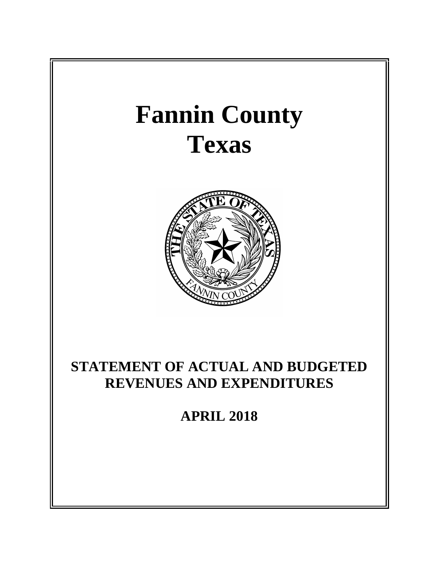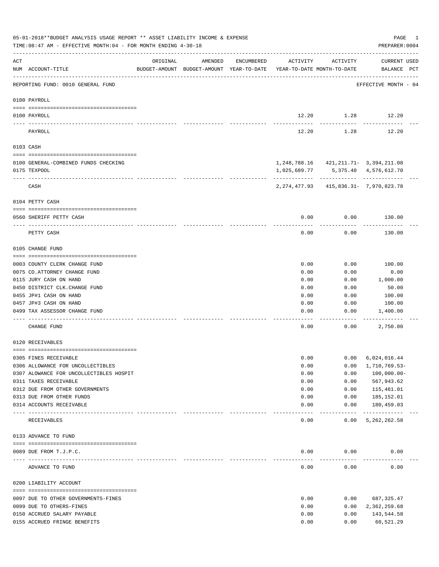|          | 05-01-2018**BUDGET ANALYSIS USAGE REPORT ** ASSET LIABILITY INCOME & EXPENSE<br>TIME: 08:47 AM - EFFECTIVE MONTH: 04 - FOR MONTH ENDING 4-30-18 |                                   |                                                                                |            |              |                                             | PAGE<br>PREPARER: 0004             | 1 |
|----------|-------------------------------------------------------------------------------------------------------------------------------------------------|-----------------------------------|--------------------------------------------------------------------------------|------------|--------------|---------------------------------------------|------------------------------------|---|
| ACT      | NUM ACCOUNT-TITLE                                                                                                                               | ORIGINAL                          | AMENDED<br>BUDGET-AMOUNT BUDGET-AMOUNT YEAR-TO-DATE YEAR-TO-DATE MONTH-TO-DATE | ENCUMBERED | ACTIVITY     | ACTIVITY                                    | <b>CURRENT USED</b><br>BALANCE PCT |   |
|          | REPORTING FUND: 0010 GENERAL FUND                                                                                                               |                                   |                                                                                |            |              |                                             | EFFECTIVE MONTH - 04               |   |
|          | 0100 PAYROLL                                                                                                                                    |                                   |                                                                                |            |              |                                             |                                    |   |
|          | 0100 PAYROLL                                                                                                                                    |                                   |                                                                                |            |              | 12.20 1.28 12.20                            |                                    |   |
| ---- --- | PAYROLL                                                                                                                                         |                                   |                                                                                |            | 12.20        | 1.28                                        | 12.20                              |   |
|          | 0103 CASH                                                                                                                                       |                                   |                                                                                |            |              |                                             |                                    |   |
|          | 0100 GENERAL-COMBINED FUNDS CHECKING                                                                                                            |                                   |                                                                                |            |              | 1, 248, 788.16 421, 211.71 - 3, 394, 211.08 |                                    |   |
|          | 0175 TEXPOOL                                                                                                                                    |                                   |                                                                                |            | 1,025,689.77 |                                             | 5,375.40 4,576,612.70              |   |
|          | CASH                                                                                                                                            |                                   |                                                                                |            |              | 2, 274, 477.93 415, 836.31 - 7, 970, 823.78 |                                    |   |
|          | 0104 PETTY CASH                                                                                                                                 |                                   |                                                                                |            |              |                                             |                                    |   |
|          |                                                                                                                                                 |                                   |                                                                                |            |              |                                             |                                    |   |
|          | 0560 SHERIFF PETTY CASH                                                                                                                         |                                   |                                                                                |            | 0.00         | 0.00                                        | 130.00                             |   |
|          | PETTY CASH                                                                                                                                      |                                   |                                                                                |            | 0.00         | 0.00                                        | 130.00                             |   |
|          | 0105 CHANGE FUND                                                                                                                                |                                   |                                                                                |            |              |                                             |                                    |   |
|          | 0003 COUNTY CLERK CHANGE FUND                                                                                                                   |                                   |                                                                                |            | 0.00         | 0.00                                        | 100.00                             |   |
|          | 0075 CO. ATTORNEY CHANGE FUND                                                                                                                   |                                   |                                                                                |            | 0.00         | 0.00                                        | 0.00                               |   |
|          | 0115 JURY CASH ON HAND                                                                                                                          |                                   |                                                                                |            | 0.00         | 0.00                                        | 1,000.00                           |   |
|          | 0450 DISTRICT CLK. CHANGE FUND                                                                                                                  |                                   |                                                                                |            | 0.00         | 0.00                                        | 50.00                              |   |
|          | 0455 JP#1 CASH ON HAND                                                                                                                          |                                   |                                                                                |            | 0.00         | 0.00                                        | 100.00                             |   |
|          | 0457 JP#3 CASH ON HAND                                                                                                                          |                                   |                                                                                |            | 0.00         | 0.00                                        | 100.00                             |   |
|          | 0499 TAX ASSESSOR CHANGE FUND                                                                                                                   |                                   |                                                                                |            | 0.00         | 0.00                                        | 1,400.00                           |   |
|          | CHANGE FUND                                                                                                                                     |                                   |                                                                                |            | 0.00         | 0.00                                        | 2,750.00                           |   |
|          | 0120 RECEIVABLES                                                                                                                                |                                   |                                                                                |            |              |                                             |                                    |   |
|          | 0305 FINES RECEIVABLE                                                                                                                           |                                   |                                                                                |            | 0.00         | 0.00                                        | 6,024,016.44                       |   |
|          | 0306 ALLOWANCE FOR UNCOLLECTIBLES                                                                                                               |                                   |                                                                                |            | 0.00         | 0.00                                        | 1,710,769.53-                      |   |
|          | 0307 ALOWANCE FOR UNCOLLECTIBLES HOSPIT                                                                                                         |                                   |                                                                                |            | 0.00         | 0.00                                        | $100,000.00-$                      |   |
|          | 0311 TAXES RECEIVABLE                                                                                                                           |                                   |                                                                                |            | 0.00         | 0.00                                        | 567,943.62                         |   |
|          | 0312 DUE FROM OTHER GOVERNMENTS                                                                                                                 |                                   |                                                                                |            | 0.00         | 0.00                                        | 115,461.01                         |   |
|          | 0313 DUE FROM OTHER FUNDS                                                                                                                       |                                   |                                                                                |            | 0.00         | 0.00                                        | 185,152.01                         |   |
|          | 0314 ACCOUNTS RECEIVABLE                                                                                                                        | _________________________________ |                                                                                |            | 0.00         | 0.00<br>$- - - - -$                         | 180,459.03<br>-------------        |   |
|          | RECEIVABLES                                                                                                                                     |                                   |                                                                                |            | 0.00         | 0.00                                        | 5, 262, 262.58                     |   |
|          | 0133 ADVANCE TO FUND                                                                                                                            |                                   |                                                                                |            |              |                                             |                                    |   |
|          | 0089 DUE FROM T.J.P.C.                                                                                                                          |                                   |                                                                                |            | 0.00         | 0.00                                        | 0.00                               |   |
|          | --------------------- -------------                                                                                                             |                                   |                                                                                |            |              |                                             |                                    |   |
|          | ADVANCE TO FUND                                                                                                                                 |                                   |                                                                                |            | 0.00         | 0.00                                        | 0.00                               |   |
|          | 0200 LIABILITY ACCOUNT                                                                                                                          |                                   |                                                                                |            |              |                                             |                                    |   |
|          | 0097 DUE TO OTHER GOVERNMENTS-FINES                                                                                                             |                                   |                                                                                |            | 0.00         | 0.00                                        | 687,325.47                         |   |
|          | 0099 DUE TO OTHERS-FINES                                                                                                                        |                                   |                                                                                |            | 0.00         | 0.00                                        | 2,362,259.68                       |   |
|          | 0150 ACCRUED SALARY PAYABLE                                                                                                                     |                                   |                                                                                |            | 0.00         | 0.00                                        | 143,544.58                         |   |
|          | 0155 ACCRUED FRINGE BENEFITS                                                                                                                    |                                   |                                                                                |            | 0.00         | 0.00                                        | 60,521.29                          |   |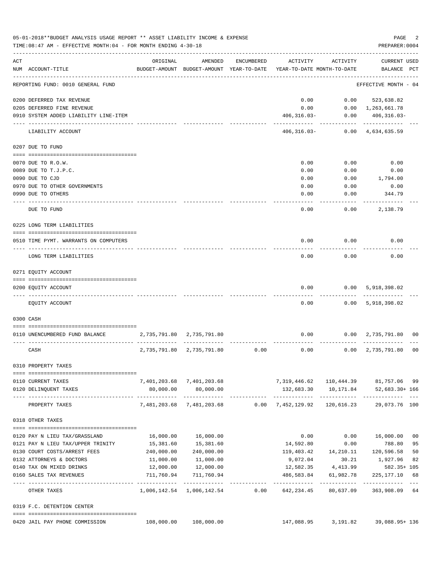|     | 05-01-2018**BUDGET ANALYSIS USAGE REPORT ** ASSET LIABILITY INCOME & EXPENSE<br>TIME: 08:47 AM - EFFECTIVE MONTH: 04 - FOR MONTH ENDING 4-30-18 |              |                                                     |            |                                           |                     | PAGE<br>PREPARER: 0004                  | 2  |
|-----|-------------------------------------------------------------------------------------------------------------------------------------------------|--------------|-----------------------------------------------------|------------|-------------------------------------------|---------------------|-----------------------------------------|----|
| ACT | NUM ACCOUNT-TITLE                                                                                                                               | ORIGINAL     | AMENDED<br>BUDGET-AMOUNT BUDGET-AMOUNT YEAR-TO-DATE | ENCUMBERED | ACTIVITY<br>YEAR-TO-DATE MONTH-TO-DATE    | ACTIVITY            | CURRENT USED<br>BALANCE PCT             |    |
|     | REPORTING FUND: 0010 GENERAL FUND                                                                                                               |              |                                                     |            |                                           |                     | EFFECTIVE MONTH - 04                    |    |
|     | 0200 DEFERRED TAX REVENUE                                                                                                                       |              |                                                     |            | 0.00                                      | 0.00                | 523,638.82                              |    |
|     | 0205 DEFERRED FINE REVENUE                                                                                                                      |              |                                                     |            | 0.00                                      |                     | $0.00 \quad 1,263,661.78$               |    |
|     | 0910 SYSTEM ADDED LIABILITY LINE-ITEM                                                                                                           |              |                                                     |            | $406, 316.03 -$                           | 0.00                | $406, 316.03 -$                         |    |
|     | LIABILITY ACCOUNT                                                                                                                               |              |                                                     |            | 406,316.03-                               | ---------           | ----------<br>$0.00 \quad 4,634,635.59$ |    |
|     | 0207 DUE TO FUND                                                                                                                                |              |                                                     |            |                                           |                     |                                         |    |
|     | 0070 DUE TO R.O.W.                                                                                                                              |              |                                                     |            | 0.00                                      | 0.00                | 0.00                                    |    |
|     | 0089 DUE TO T.J.P.C.                                                                                                                            |              |                                                     |            | 0.00                                      | 0.00                |                                         |    |
|     | 0090 DUE TO CJD                                                                                                                                 |              |                                                     |            | 0.00                                      | 0.00                | 0.00<br>1,794.00                        |    |
|     | 0970 DUE TO OTHER GOVERNMENTS                                                                                                                   |              |                                                     |            | 0.00                                      | 0.00                | 0.00                                    |    |
|     | 0990 DUE TO OTHERS                                                                                                                              |              |                                                     |            | 0.00                                      | 0.00                | 344.79                                  |    |
|     |                                                                                                                                                 |              |                                                     |            |                                           |                     |                                         |    |
|     | DUE TO FUND                                                                                                                                     |              |                                                     |            | 0.00                                      | 0.00                | 2,138.79                                |    |
|     | 0225 LONG TERM LIABILITIES                                                                                                                      |              |                                                     |            |                                           |                     |                                         |    |
|     | 0510 TIME PYMT. WARRANTS ON COMPUTERS                                                                                                           |              |                                                     |            | 0.00                                      | 0.00                | 0.00                                    |    |
|     | LONG TERM LIABILITIES                                                                                                                           |              |                                                     |            | 0.00                                      | 0.00                | 0.00                                    |    |
|     |                                                                                                                                                 |              |                                                     |            |                                           |                     |                                         |    |
|     | 0271 EQUITY ACCOUNT                                                                                                                             |              |                                                     |            |                                           |                     |                                         |    |
|     | 0200 EQUITY ACCOUNT                                                                                                                             |              |                                                     |            | 0.00                                      | 0.00                | 5,918,398.02                            |    |
|     | EQUITY ACCOUNT                                                                                                                                  |              |                                                     |            | 0.00                                      |                     | 0.00 5,918,398.02                       |    |
|     | 0300 CASH                                                                                                                                       |              |                                                     |            |                                           |                     |                                         |    |
|     | 0110 UNENCUMBERED FUND BALANCE                                                                                                                  |              | 2,735,791.80 2,735,791.80                           |            | 0.00                                      |                     | $0.00 \quad 2,735,791.80 \quad 00$      |    |
|     | CASH                                                                                                                                            | 2,735,791.80 | 2,735,791.80                                        | 0.00       | 0.00                                      | 0.00                | 2,735,791.80                            | 00 |
|     |                                                                                                                                                 |              |                                                     |            |                                           |                     |                                         |    |
|     | 0310 PROPERTY TAXES                                                                                                                             |              |                                                     |            |                                           |                     |                                         |    |
|     | 0110 CURRENT TAXES                                                                                                                              |              | 7,401,203.68 7,401,203.68                           |            | 7,319,446.62  110,444.39  81,757.06  99   |                     |                                         |    |
|     | 0120 DELINQUENT TAXES                                                                                                                           | 80,000.00    | 80,000.00                                           |            |                                           |                     | 132,683.30  10,171.84  52,683.30+166    |    |
|     | PROPERTY TAXES                                                                                                                                  |              | -------------<br>7,481,203.68 7,481,203.68          |            | $0.00$ $7,452,129.92$                     | 120,616.23          | 29,073.76 100                           |    |
|     | 0318 OTHER TAXES                                                                                                                                |              |                                                     |            |                                           |                     |                                         |    |
|     |                                                                                                                                                 |              |                                                     |            |                                           |                     |                                         |    |
|     | 0120 PAY N LIEU TAX/GRASSLAND                                                                                                                   |              | 16,000.00   16,000.00                               |            | 0.00                                      |                     | $0.00$ 16,000.00 00                     |    |
|     | 0121 PAY N LIEU TAX/UPPER TRINITY                                                                                                               | 15,381.60    | 15,381.60                                           |            | 14,592.80                                 | 0.00                | 788.80                                  | 95 |
|     | 0130 COURT COSTS/ARREST FEES                                                                                                                    | 240,000.00   | 240,000.00                                          |            |                                           |                     | 119,403.42  14,210.11  120,596.58       | 50 |
|     | 0132 ATTORNEYS & DOCTORS                                                                                                                        | 11,000.00    | 11,000.00                                           |            | 9,072.04                                  | 30.21               | 1,927.96                                | 82 |
|     | 0140 TAX ON MIXED DRINKS                                                                                                                        | 12,000.00    | 12,000.00                                           |            |                                           | 12,582.35 4,413.99  | 582.35+ 105                             |    |
|     | 0160 SALES TAX REVENUES                                                                                                                         | 711,760.94   | 711,760.94                                          |            | 486,583.84                                | 61,982.78           | 225, 177. 10                            | 68 |
|     | OTHER TAXES                                                                                                                                     |              |                                                     |            | 1,006,142.54 1,006,142.54 0.00 642,234.45 | 80,637.09           | 363,908.09 64                           |    |
|     | 0319 F.C. DETENTION CENTER                                                                                                                      |              |                                                     |            |                                           |                     |                                         |    |
|     | 0420 JAIL PAY PHONE COMMISSION                                                                                                                  | 108,000.00   | 108,000.00                                          |            |                                           | 147,088.95 3,191.82 | 39,088.95+ 136                          |    |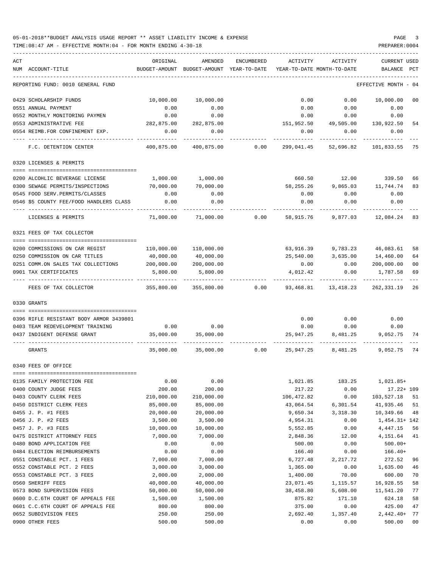| ACT | NUM ACCOUNT-TITLE                                | ORIGINAL<br>BUDGET-AMOUNT | AMENDED<br>BUDGET-AMOUNT YEAR-TO-DATE | ENCUMBERED | ACTIVITY             | ACTIVITY<br>YEAR-TO-DATE MONTH-TO-DATE | <b>CURRENT USED</b><br>BALANCE | PCT    |
|-----|--------------------------------------------------|---------------------------|---------------------------------------|------------|----------------------|----------------------------------------|--------------------------------|--------|
|     | REPORTING FUND: 0010 GENERAL FUND                |                           |                                       |            |                      |                                        | EFFECTIVE MONTH                | - 04   |
|     | 0429 SCHOLARSHIP FUNDS                           | 10,000.00                 | 10,000.00                             |            | 0.00                 | 0.00                                   | 10,000.00                      | 00     |
|     | 0551 ANNUAL PAYMENT                              | 0.00                      | 0.00                                  |            | 0.00                 | 0.00                                   | 0.00                           |        |
|     | 0552 MONTHLY MONITORING PAYMEN                   | 0.00                      | 0.00                                  |            | 0.00                 | 0.00                                   | 0.00                           |        |
|     | 0553 ADMINISTRATIVE FEE                          | 282,875.00                | 282,875.00                            |            |                      | 151,952.50 49,505.00                   | 130,922.50                     | -54    |
|     | 0554 REIMB.FOR CONFINEMENT EXP.                  | 0.00                      | 0.00                                  |            | 0.00                 | 0.00                                   | 0.00                           |        |
|     | F.C. DETENTION CENTER                            | 400,875.00                | 400,875.00                            | 0.00       | 299,041.45           | 52,696.82                              | 101,833.55                     | 75     |
|     | 0320 LICENSES & PERMITS                          |                           |                                       |            |                      |                                        |                                |        |
|     | 0200 ALCOHLIC BEVERAGE LICENSE                   | 1,000.00                  | 1,000.00                              |            | 660.50               |                                        | 12.00 339.50                   | 66     |
|     | 0300 SEWAGE PERMITS/INSPECTIONS                  | 70,000.00                 | 70,000.00                             |            | 58,255.26            |                                        | 9,865.03 11,744.74             | 83     |
|     | 0545 FOOD SERV.PERMITS/CLASSES                   | 0.00                      | 0.00                                  |            | 0.00                 | 0.00                                   | 0.00                           |        |
|     | 0546 \$5 COUNTY FEE/FOOD HANDLERS CLASS          | 0.00                      | 0.00                                  |            | 0.00                 | 0.00                                   | 0.00                           |        |
|     | LICENSES & PERMITS                               | 71,000.00                 | 71,000.00                             | 0.00       | 58,915.76            | 9,877.03                               | 12,084.24                      | 83     |
|     | 0321 FEES OF TAX COLLECTOR                       |                           |                                       |            |                      |                                        |                                |        |
|     |                                                  |                           |                                       |            |                      |                                        |                                |        |
|     | 0200 COMMISSIONS ON CAR REGIST                   | 110,000.00                | 110,000.00                            |            | 63,916.39            |                                        | 9,783.23 46,083.61             | 58     |
|     | 0250 COMMISSION ON CAR TITLES                    | 40,000.00                 | 40,000.00                             |            | 25,540.00            | 3,635.00                               | 14,460.00                      | 64     |
|     | 0251 COMM.ON SALES TAX COLLECTIONS               | 200,000.00                | 200,000.00                            |            | 0.00                 | 0.00                                   | 200,000.00                     | 00     |
|     | 0901 TAX CERTIFICATES                            | 5,800.00                  | 5,800.00                              |            | 4,012.42             | 0.00                                   | 1,787.58                       | 69     |
|     | FEES OF TAX COLLECTOR                            | 355,800.00                | 355,800.00                            | 0.00       | 93,468.81            | 13,418.23                              | 262,331.19                     | 26     |
|     | 0330 GRANTS                                      |                           |                                       |            |                      |                                        |                                |        |
|     |                                                  |                           |                                       |            |                      |                                        |                                |        |
|     | 0396 RIFLE RESISTANT BODY ARMOR 3439801          |                           |                                       |            | 0.00                 | 0.00                                   | 0.00                           |        |
|     | 0403 TEAM REDEVELOPMENT TRAINING                 | 0.00                      | 0.00                                  |            | 0.00                 | 0.00                                   | 0.00                           |        |
|     | 0437 INDIGENT DEFENSE GRANT                      | 35,000.00                 | 35,000.00                             |            | 25,947.25            | 8,481.25                               | 9,052.75                       | - 74   |
|     | GRANTS                                           | 35,000.00                 | 35,000.00                             | 0.00       | 25,947.25            | 8,481.25                               | 9,052.75                       | 74     |
|     | 0340 FEES OF OFFICE                              |                           |                                       |            |                      |                                        |                                |        |
|     |                                                  |                           |                                       |            |                      |                                        |                                |        |
|     | 0135 FAMILY PROTECTION FEE                       | 0.00<br>200.00            | 0.00<br>200.00                        |            | 1,021.85             | 183.25                                 | 1,021.85+                      |        |
|     | 0400 COUNTY JUDGE FEES<br>0403 COUNTY CLERK FEES | 210,000.00                | 210,000.00                            |            | 217.22<br>106,472.82 | 0.00<br>0.00                           | $17.22 + 109$<br>103,527.18    | 51     |
|     | 0450 DISTRICT CLERK FEES                         | 85,000.00                 | 85,000.00                             |            | 43,064.54            | 6,301.54                               | 41,935.46                      | 51     |
|     | 0455 J. P. #1 FEES                               | 20,000.00                 | 20,000.00                             |            | 9,650.34             | 3,318.30                               | 10,349.66                      | 48     |
|     | 0456 J. P. #2 FEES                               | 3,500.00                  | 3,500.00                              |            | 4,954.31             | 0.00                                   | $1,454.31+142$                 |        |
|     | 0457 J. P. #3 FEES                               | 10,000.00                 | 10,000.00                             |            | 5,552.85             | 0.00                                   | 4, 447.15                      | 56     |
|     | 0475 DISTRICT ATTORNEY FEES                      | 7,000.00                  | 7,000.00                              |            | 2,848.36             | 12.00                                  | 4,151.64                       | 41     |
|     | 0480 BOND APPLICATION FEE                        | 0.00                      | 0.00                                  |            | 500.00               | 0.00                                   | $500.00+$                      |        |
|     | 0484 ELECTION REIMBURSEMENTS                     | 0.00                      | 0.00                                  |            | 166.40               | 0.00                                   | $166.40+$                      |        |
|     | 0551 CONSTABLE PCT. 1 FEES                       | 7,000.00                  | 7,000.00                              |            | 6,727.48             | 2,217.72                               | 272.52                         | 96     |
|     | 0552 CONSTABLE PCT. 2 FEES                       | 3,000.00                  | 3,000.00                              |            | 1,365.00             | 0.00                                   | 1,635.00                       | 46     |
|     | 0553 CONSTABLE PCT. 3 FEES                       | 2,000.00                  | 2,000.00                              |            | 1,400.00             | 70.00                                  | 600.00                         | 70     |
|     | 0560 SHERIFF FEES                                | 40,000.00                 | 40,000.00                             |            | 23,071.45            | 1,115.57                               | 16,928.55                      | 58     |
|     | 0573 BOND SUPERVISION FEES                       | 50,000.00                 | 50,000.00                             |            | 38,458.80            | 5,608.00                               | 11,541.20                      | 77     |
|     | 0600 D.C.6TH COURT OF APPEALS FEE                | 1,500.00                  | 1,500.00                              |            | 875.82               | 171.10                                 | 624.18                         | 58     |
|     | 0601 C.C.6TH COURT OF APPEALS FEE                | 800.00                    | 800.00                                |            | 375.00               | 0.00                                   | 425.00                         | 47     |
|     | 0652 SUBDIVISION FEES                            | 250.00                    | 250.00                                |            | 2,692.40             | 1,357.40                               | $2,442.40+$                    | 77     |
|     | 0900 OTHER FEES                                  | 500.00                    | 500.00                                |            | 0.00                 | 0.00                                   | 500.00                         | $00\,$ |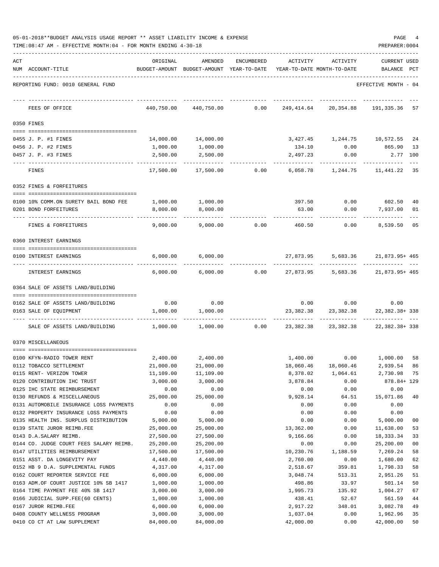| 05-01-2018**BUDGET ANALYSIS USAGE REPORT ** ASSET LIABILITY INCOME & EXPENSE |  |  |  |  | PAGE |  |
|------------------------------------------------------------------------------|--|--|--|--|------|--|
|                                                                              |  |  |  |  |      |  |

|     | TIME: 08:47 AM - EFFECTIVE MONTH: 04 - FOR MONTH ENDING 4-30-18<br>PREPARER: 0004 |                       |                                                                                |                |                       |                                              |                                  |                |  |  |  |
|-----|-----------------------------------------------------------------------------------|-----------------------|--------------------------------------------------------------------------------|----------------|-----------------------|----------------------------------------------|----------------------------------|----------------|--|--|--|
| ACT | NUM ACCOUNT-TITLE                                                                 | ORIGINAL              | AMENDED<br>BUDGET-AMOUNT BUDGET-AMOUNT YEAR-TO-DATE YEAR-TO-DATE MONTH-TO-DATE | ENCUMBERED     | ACTIVITY              | ACTIVITY                                     | <b>CURRENT USED</b><br>BALANCE   | PCT            |  |  |  |
|     | REPORTING FUND: 0010 GENERAL FUND                                                 |                       |                                                                                |                |                       |                                              | EFFECTIVE MONTH - 04             |                |  |  |  |
|     | FEES OF OFFICE                                                                    | 440,750.00            | 440,750.00                                                                     | 0.00           | 249,414.64            | 20,354.88                                    | 191,335.36 57                    |                |  |  |  |
|     | 0350 FINES                                                                        |                       |                                                                                |                |                       |                                              |                                  |                |  |  |  |
|     | 0455 J. P. #1 FINES                                                               |                       | 14,000.00    14,000.00                                                         |                |                       | 3,427.45 1,244.75 10,572.55 24               |                                  |                |  |  |  |
|     | 0456 J. P. #2 FINES                                                               | 1,000.00              | 1,000.00                                                                       |                |                       | 134.10   0.00   865.90   13                  |                                  |                |  |  |  |
|     | 0457 J. P. #3 FINES                                                               | 2,500.00              | 2,500.00                                                                       |                | 2,497.23              | 0.00                                         | 2.77 100                         |                |  |  |  |
|     | FINES                                                                             | 17,500.00             |                                                                                | 17,500.00 0.00 |                       | 6,058.78 1,244.75 11,441.22                  |                                  | 35             |  |  |  |
|     | 0352 FINES & FORFEITURES                                                          |                       |                                                                                |                |                       |                                              |                                  |                |  |  |  |
|     |                                                                                   |                       |                                                                                |                |                       |                                              |                                  |                |  |  |  |
|     | 0100 10% COMM.ON SURETY BAIL BOND FEE                                             |                       | 1,000.00 1,000.00                                                              |                |                       | 397.50 0.00 602.50                           |                                  | 40             |  |  |  |
|     | 0201 BOND FORFEITURES                                                             | 8,000.00              | 8,000.00                                                                       |                | 63.00                 | 0.00                                         | 7,937.00                         | 01             |  |  |  |
|     | FINES & FORFEITURES                                                               | 9,000.00              | 9,000.00                                                                       | 0.00           | 460.50                | 0.00                                         | 8,539.50 05                      |                |  |  |  |
|     | 0360 INTEREST EARNINGS                                                            |                       |                                                                                |                |                       |                                              |                                  |                |  |  |  |
|     | 0100 INTEREST EARNINGS                                                            | 6,000.00              | 6,000.00                                                                       |                |                       | 27,873.95 5,683.36 21,873.95+465             |                                  |                |  |  |  |
|     | INTEREST EARNINGS                                                                 | 6,000.00              | 6,000.00                                                                       | 0.00           |                       | 27,873.95 5,683.36 21,873.95+465             |                                  |                |  |  |  |
|     | 0364 SALE OF ASSETS LAND/BUILDING                                                 |                       |                                                                                |                |                       |                                              |                                  |                |  |  |  |
|     |                                                                                   |                       |                                                                                |                |                       |                                              |                                  |                |  |  |  |
|     | 0162 SALE OF ASSETS LAND/BUILDING<br>0163 SALE OF EQUIPMENT                       | 0.00<br>1,000.00      | 0.00<br>1,000.00                                                               |                | 23,382.38             | $0.00$ $0.00$ $0.00$<br>23,382.38            | 22,382.38+338                    |                |  |  |  |
|     | SALE OF ASSETS LAND/BUILDING                                                      | 1,000.00              | 1,000.00                                                                       | 0.00           | 23,382.38             | ------------<br>23,382.38                    | ____________<br>22, 382. 38+ 338 |                |  |  |  |
|     | 0370 MISCELLANEOUS                                                                |                       |                                                                                |                |                       |                                              |                                  |                |  |  |  |
|     |                                                                                   |                       | 2,400.00 2,400.00                                                              |                |                       |                                              |                                  |                |  |  |  |
|     | 0100 KFYN-RADIO TOWER RENT<br>0112 TOBACCO SETTLEMENT                             | 21,000.00             | 21,000.00                                                                      |                | 18,060.46             | 1,400.00   0.00   1,000.00   58<br>18,060.46 | 2,939.54                         | 86             |  |  |  |
|     | 0115 RENT- VERIZON TOWER                                                          | 11,109.00             | 11,109.00                                                                      |                | 8,378.02              | 1,064.61                                     | 2,730.98                         | 75             |  |  |  |
|     | 0120 CONTRIBUTION IHC TRUST                                                       | 3,000.00              | 3,000.00                                                                       |                | 3,878.84              | 0.00                                         | 878.84+ 129                      |                |  |  |  |
|     | 0125 IHC STATE REIMBURSEMENT                                                      | 0.00                  | 0.00                                                                           |                | 0.00                  | 0.00                                         | 0.00                             |                |  |  |  |
|     | 0130 REFUNDS & MISCELLANEOUS                                                      | 25,000.00             | 25,000.00                                                                      |                | 9,928.14              | 64.51                                        | 15,071.86                        | 40             |  |  |  |
|     | 0131 AUTOMOBILE INSURANCE LOSS PAYMENTS                                           | 0.00                  | 0.00                                                                           |                | 0.00                  | 0.00                                         | 0.00                             |                |  |  |  |
|     | 0132 PROPERTY INSURANCE LOSS PAYMENTS                                             | 0.00                  | 0.00                                                                           |                | 0.00                  | 0.00                                         | 0.00                             |                |  |  |  |
|     | 0135 HEALTH INS. SURPLUS DISTRIBUTION                                             | 5,000.00              | 5,000.00                                                                       |                | 0.00                  | 0.00                                         | 5,000.00                         | 00             |  |  |  |
|     | 0139 STATE JUROR REIMB.FEE                                                        | 25,000.00             | 25,000.00                                                                      |                | 13,362.00             | 0.00                                         | 11,638.00                        | 53             |  |  |  |
|     | 0143 D.A.SALARY REIMB.                                                            | 27,500.00             | 27,500.00                                                                      |                | 9,166.66              | 0.00                                         | 18, 333. 34                      | 33             |  |  |  |
|     | 0144 CO. JUDGE COURT FEES SALARY REIMB.                                           | 25,200.00             | 25,200.00                                                                      |                | 0.00                  | 0.00                                         | 25,200.00                        | 0 <sub>0</sub> |  |  |  |
|     | 0147 UTILITIES REIMBURSEMENT<br>0151 ASST. DA LONGEVITY PAY                       | 17,500.00<br>4,440.00 | 17,500.00<br>4,440.00                                                          |                | 10,230.76<br>2,760.00 | 1,188.59<br>0.00                             | 7,269.24<br>1,680.00             | 58<br>62       |  |  |  |
|     | 0152 HB 9 D.A. SUPPLEMENTAL FUNDS                                                 | 4,317.00              | 4,317.00                                                                       |                | 2,518.67              | 359.81                                       | 1,798.33                         | 58             |  |  |  |
|     | 0162 COURT REPORTER SERVICE FEE                                                   | 6,000.00              | 6,000.00                                                                       |                | 3,048.74              | 513.31                                       | 2,951.26                         | 51             |  |  |  |
|     | 0163 ADM.OF COURT JUSTICE 10% SB 1417                                             | 1,000.00              | 1,000.00                                                                       |                | 498.86                | 33.97                                        | 501.14                           | 50             |  |  |  |
|     | 0164 TIME PAYMENT FEE 40% SB 1417                                                 | 3,000.00              | 3,000.00                                                                       |                | 1,995.73              | 135.92                                       | 1,004.27                         | 67             |  |  |  |
|     | 0166 JUDICIAL SUPP.FEE(60 CENTS)                                                  | 1,000.00              | 1,000.00                                                                       |                | 438.41                | 52.67                                        | 561.59                           | 44             |  |  |  |
|     | 0167 JUROR REIMB.FEE                                                              | 6,000.00              | 6,000.00                                                                       |                | 2,917.22              | 348.01                                       | 3,082.78                         | 49             |  |  |  |
|     | 0408 COUNTY WELLNESS PROGRAM                                                      | 3,000.00              | 3,000.00                                                                       |                | 1,037.04              | 0.00                                         | 1,962.96                         | 35             |  |  |  |

0410 CO CT AT LAW SUPPLEMENT  $84,000.00$   $84,000.00$   $84,000.00$   $42,000.00$   $9.00$   $42,000.00$   $50$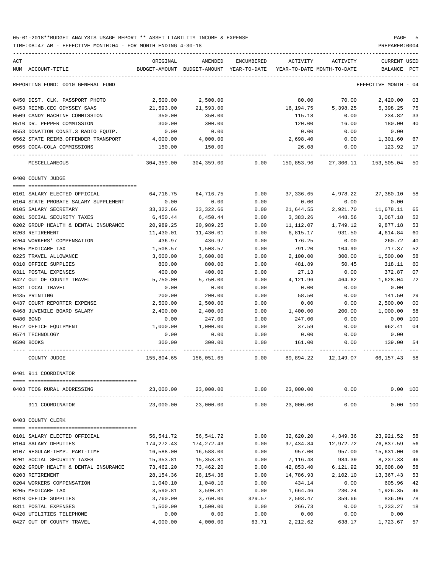TIME:08:47 AM - EFFECTIVE MONTH:04 - FOR MONTH ENDING 4-30-18 PREPARER:0004

| ACT                                  | ORIGINAL   | AMENDED                                  | ENCUMBERED | ACTIVITY                   | ACTIVITY             | <b>CURRENT USED</b>  |                |
|--------------------------------------|------------|------------------------------------------|------------|----------------------------|----------------------|----------------------|----------------|
| NUM ACCOUNT-TITLE                    |            | BUDGET-AMOUNT BUDGET-AMOUNT YEAR-TO-DATE |            | YEAR-TO-DATE MONTH-TO-DATE |                      | BALANCE PCT          |                |
|                                      |            |                                          |            |                            |                      |                      |                |
| REPORTING FUND: 0010 GENERAL FUND    |            |                                          |            |                            |                      | EFFECTIVE MONTH - 04 |                |
| 0450 DIST. CLK. PASSPORT PHOTO       | 2,500.00   | 2,500.00                                 |            | 80.00                      | 70.00                | 2,420.00             | 03             |
| 0453 REIMB.CEC ODYSSEY SAAS          | 21,593.00  | 21,593.00                                |            | 16,194.75                  | 5,398.25             | 5,398.25             | 75             |
| 0509 CANDY MACHINE COMMISSION        | 350.00     | 350.00                                   |            | 115.18                     | 0.00                 | 234.82               | 33             |
| 0510 DR. PEPPER COMMISSION           | 300.00     | 300.00                                   |            | 120.00                     | 16.00                | 180.00               | 40             |
| 0553 DONATION CONST.3 RADIO EQUIP.   | 0.00       | 0.00                                     |            | 0.00                       | 0.00                 | 0.00                 |                |
| 0562 STATE REIMB.OFFENDER TRANSPORT  | 4,000.00   | 4,000.00                                 |            | 2,698.40                   | 0.00                 | 1,301.60             | 67             |
| 0565 COCA-COLA COMMISSIONS           | 150.00     | 150.00                                   |            | 26.08                      | 0.00                 | 123.92               | 17             |
| MISCELLANEOUS                        | 304,359.00 | 304,359.00                               | 0.00       |                            | 150,853.96 27,306.11 | 153,505.04           | 50             |
| 0400 COUNTY JUDGE                    |            |                                          |            |                            |                      |                      |                |
| 0101 SALARY ELECTED OFFICIAL         | 64,716.75  | 64,716.75                                | 0.00       | 37,336.65                  | 4,978.22             | 27,380.10            | 58             |
| 0104 STATE PROBATE SALARY SUPPLEMENT | 0.00       | 0.00                                     | 0.00       | 0.00                       | 0.00                 | 0.00                 |                |
| 0105 SALARY SECRETARY                | 33,322.66  | 33, 322.66                               | 0.00       | 21,644.55                  | 2,921.70             | 11,678.11            | 65             |
| 0201 SOCIAL SECURITY TAXES           | 6,450.44   | 6,450.44                                 | 0.00       | 3,383.26                   | 448.56               | 3,067.18             | 52             |
| 0202 GROUP HEALTH & DENTAL INSURANCE | 20,989.25  | 20,989.25                                | 0.00       | 11,112.07                  | 1,749.12             | 9,877.18             | 53             |
| 0203 RETIREMENT                      | 11,430.01  | 11,430.01                                | 0.00       | 6,815.17                   | 931.50               | 4,614.84             | 60             |
| 0204 WORKERS' COMPENSATION           | 436.97     | 436.97                                   | 0.00       | 176.25                     | 0.00                 | 260.72               | 40             |
| 0205 MEDICARE TAX                    | 1,508.57   | 1,508.57                                 | 0.00       | 791.20                     | 104.90               | 717.37               | 52             |
| 0225 TRAVEL ALLOWANCE                | 3,600.00   | 3,600.00                                 | 0.00       | 2,100.00                   | 300.00               | 1,500.00             | 58             |
| 0310 OFFICE SUPPLIES                 | 800.00     | 800.00                                   | 0.00       | 481.89                     | 50.45                | 318.11               | 60             |
| 0311 POSTAL EXPENSES                 |            |                                          |            |                            |                      |                      | 07             |
|                                      | 400.00     | 400.00                                   | 0.00       | 27.13                      | 0.00                 | 372.87               |                |
| 0427 OUT OF COUNTY TRAVEL            | 5,750.00   | 5,750.00                                 | 0.00       | 4,121.96                   | 464.62               | 1,628.04             | 72             |
| 0431 LOCAL TRAVEL                    | 0.00       | 0.00                                     | 0.00       | 0.00                       | 0.00                 | 0.00                 |                |
| 0435 PRINTING                        | 200.00     | 200.00                                   | 0.00       | 58.50                      | 0.00                 | 141.50               | 29             |
| 0437 COURT REPORTER EXPENSE          | 2,500.00   | 2,500.00                                 | 0.00       | 0.00                       | 0.00                 | 2,500.00             | 0 <sub>0</sub> |
| 0468 JUVENILE BOARD SALARY           | 2,400.00   | 2,400.00                                 | 0.00       | 1,400.00                   | 200.00               | 1,000.00             | 58             |
| 0480 BOND                            | 0.00       | 247.00                                   | 0.00       | 247.00                     | 0.00                 | 0.00                 | 100            |
| 0572 OFFICE EQUIPMENT                | 1,000.00   | 1,000.00                                 | 0.00       | 37.59                      | 0.00                 | 962.41               | 04             |
| 0574 TECHNOLOGY                      | 0.00       | 0.00                                     | 0.00       | 0.00                       | 0.00                 | 0.00                 |                |
| 0590 BOOKS                           | 300.00     | 300.00                                   | 0.00       | 161.00                     | 0.00                 | 139.00               | 54             |
| COUNTY JUDGE                         | 155,804.65 | 156,051.65                               | 0.00       | 89,894.22                  | 12,149.07            | 66,157.43            | 58             |
| 0401 911 COORDINATOR                 |            |                                          |            |                            |                      |                      |                |
| 0403 TCOG RURAL ADDRESSING           |            | 23,000.00 23,000.00                      | 0.00       |                            | 23,000.00 0.00       |                      | 0.00 100       |
| 911 COORDINATOR                      | 23,000.00  | 23,000.00                                | 0.00       | 23,000.00                  | 0.00                 |                      | 0.00 100       |
| 0403 COUNTY CLERK                    |            |                                          |            |                            |                      |                      |                |
| 0101 SALARY ELECTED OFFICIAL         |            |                                          |            |                            |                      |                      |                |
|                                      | 56,541.72  | 56,541.72                                | 0.00       | 32,620.20                  | 4,349.36             | 23,921.52            | 58             |
| 0104 SALARY DEPUTIES                 | 174,272.43 | 174,272.43                               | 0.00       | 97,434.84                  | 12,972.72            | 76,837.59            | 56             |
| 0107 REGULAR-TEMP. PART-TIME         | 16,588.00  | 16,588.00                                | 0.00       | 957.00                     | 957.00               | 15,631.00            | 06             |
| 0201 SOCIAL SECURITY TAXES           | 15,353.81  | 15,353.81                                | 0.00       | 7,116.48                   | 984.39               | 8,237.33             | 46             |
| 0202 GROUP HEALTH & DENTAL INSURANCE | 73,462.20  | 73,462.20                                | 0.00       | 42,853.40                  | 6,121.92             | 30,608.80            | 58             |
| 0203 RETIREMENT                      | 28,154.36  | 28,154.36                                | 0.00       | 14,786.93                  | 2,102.10             | 13,367.43            | 53             |
| 0204 WORKERS COMPENSATION            | 1,040.10   | 1,040.10                                 | 0.00       | 434.14                     | 0.00                 | 605.96               | 42             |
| 0205 MEDICARE TAX                    | 3,590.81   | 3,590.81                                 | 0.00       | 1,664.46                   | 230.24               | 1,926.35             | 46             |
| 0310 OFFICE SUPPLIES                 | 3,760.00   | 3,760.00                                 | 329.57     | 2,593.47                   | 359.66               | 836.96               | 78             |
| 0311 POSTAL EXPENSES                 | 1,500.00   | 1,500.00                                 | 0.00       | 266.73                     | 0.00                 | 1,233.27             | 18             |
| 0420 UTILITIES TELEPHONE             | 0.00       | 0.00                                     | 0.00       | 0.00                       | 0.00                 | 0.00                 |                |

0427 OUT OF COUNTY TRAVEL 4,000.00 4,000.00 63.71 2,212.62 638.17 1,723.67 57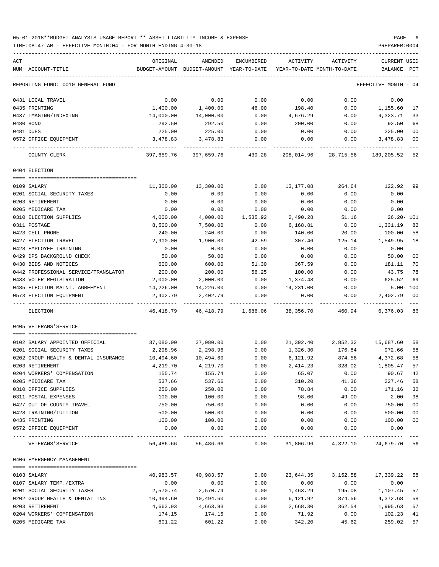### 05-01-2018\*\*BUDGET ANALYSIS USAGE REPORT \*\* ASSET LIABILITY INCOME & EXPENSE PAGE 6 TIME:08:47 AM - EFFECTIVE MONTH:04 - FOR MONTH ENDING 4-30-18 PREPARER:0004

| ACT |                                      | ORIGINAL  | AMENDED                                  | ENCUMBERED | ACTIVITY                   | ACTIVITY                                                 | <b>CURRENT USED</b>  |        |
|-----|--------------------------------------|-----------|------------------------------------------|------------|----------------------------|----------------------------------------------------------|----------------------|--------|
|     | NUM ACCOUNT-TITLE                    |           | BUDGET-AMOUNT BUDGET-AMOUNT YEAR-TO-DATE |            | YEAR-TO-DATE MONTH-TO-DATE |                                                          | BALANCE              | PCT    |
|     | REPORTING FUND: 0010 GENERAL FUND    |           |                                          |            |                            |                                                          | EFFECTIVE MONTH - 04 |        |
|     | 0431 LOCAL TRAVEL                    | 0.00      | 0.00                                     | 0.00       | 0.00                       | 0.00                                                     | 0.00                 |        |
|     | 0435 PRINTING                        | 1,400.00  | 1,400.00                                 | 46.00      | 198.40                     | 0.00                                                     | 1,155.60             | 17     |
|     | 0437 IMAGING/INDEXING                | 14,000.00 | 14,000.00                                | 0.00       | 4,676.29                   | 0.00                                                     | 9,323.71             | 33     |
|     | 0480 BOND                            | 292.50    | 292.50                                   | 0.00       | 200.00                     | 0.00                                                     | 92.50                | 68     |
|     | 0481 DUES                            | 225.00    | 225.00                                   | 0.00       | 0.00                       | 0.00                                                     | 225.00               | 00     |
|     | 0572 OFFICE EQUIPMENT                | 3,478.83  | 3,478.83                                 | 0.00       | 0.00                       | 0.00                                                     | 3,478.83             | 00     |
|     | COUNTY CLERK                         |           | 397,659.76 397,659.76 439.28             |            |                            | 208,014.96 28,715.56 189,205.52                          |                      | 52     |
|     | 0404 ELECTION                        |           |                                          |            |                            |                                                          |                      |        |
|     | 0109 SALARY                          | 11,300.00 | 13,300.00                                | 0.00       | 13,177.08                  | 264.64                                                   | 122.92 99            |        |
|     | 0201 SOCIAL SECURITY TAXES           | 0.00      | 0.00                                     | 0.00       | 0.00                       | 0.00                                                     | 0.00                 |        |
|     | 0203 RETIREMENT                      | 0.00      | 0.00                                     | 0.00       | 0.00                       | 0.00                                                     | 0.00                 |        |
|     | 0205 MEDICARE TAX                    | 0.00      | 0.00                                     | 0.00       | 0.00                       | 0.00                                                     | 0.00                 |        |
|     | 0310 ELECTION SUPPLIES               | 4,000.00  | 4,000.00                                 | 1,535.92   | 2,490.28                   | 51.16                                                    | 26.20- 101           |        |
|     | 0311 POSTAGE                         | 8,500.00  | 7,500.00                                 | 0.00       | 6,168.81                   | 0.00                                                     | 1,331.19             | 82     |
|     | 0423 CELL PHONE                      | 240.00    | 240.00                                   | 0.00       | 140.00                     | 20.00                                                    | 100.00               | 58     |
|     | 0427 ELECTION TRAVEL                 | 2,900.00  | 1,900.00                                 | 42.59      | 307.46                     | 125.14                                                   | 1,549.95             | 18     |
|     | 0428 EMPLOYEE TRAINING               | 0.00      | 0.00                                     | 0.00       | 0.00                       | 0.00                                                     | 0.00                 |        |
|     | 0429 DPS BACKGROUND CHECK            | 50.00     | 50.00                                    | 0.00       | 0.00                       | 0.00                                                     | 50.00                | 00     |
|     | 0430 BIDS AND NOTICES                | 600.00    | 600.00                                   | 51.30      | 367.59                     | 0.00                                                     | 181.11               | 70     |
|     | 0442 PROFESSIONAL SERVICE/TRANSLATOR | 200.00    | 200.00                                   | 56.25      | 100.00                     | 0.00                                                     | 43.75                | 78     |
|     | 0483 VOTER REGISTRATION              | 2,000.00  | 2,000.00                                 | 0.00       | 1,374.48                   | 0.00                                                     | 625.52               | 69     |
|     | 0485 ELECTION MAINT. AGREEMENT       | 14,226.00 | 14,226.00                                | 0.00       | 14,231.00                  | 0.00                                                     | $5.00 - 100$         |        |
|     | 0573 ELECTION EQUIPMENT              | 2,402.79  | 2,402.79                                 | 0.00       | 0.00                       | 0.00                                                     | 2,402.79             | - 00   |
|     | ELECTION                             |           | 46,418.79 46,418.79 1,686.06             |            | 38,356.70                  | 460.94                                                   | 6,376.03 86          |        |
|     | 0405 VETERANS'SERVICE                |           |                                          |            |                            |                                                          |                      |        |
|     | 0102 SALARY APPOINTED OFFICIAL       | 37,080.00 | 37,080.00                                | 0.00       |                            | 21,392.40 2,852.32                                       | 15,687.60            | 58     |
|     | 0201 SOCIAL SECURITY TAXES           | 2,298.96  | 2,298.96                                 | 0.00       | 1,326.30                   | 176.84                                                   | 972.66               | 58     |
|     | 0202 GROUP HEALTH & DENTAL INSURANCE | 10,494.60 | 10,494.60                                | 0.00       | 6,121.92                   | 874.56                                                   | 4,372.68             | 58     |
|     | 0203 RETIREMENT                      | 4,219.70  | 4,219.70                                 | 0.00       | 2,414.23                   | 328.02                                                   | 1,805.47             | 57     |
|     | 0204 WORKERS' COMPENSATION           | 155.74    | 155.74                                   | 0.00       | 65.07                      | 0.00                                                     | 90.67                | 42     |
|     | 0205 MEDICARE TAX                    | 537.66    | 537.66                                   | 0.00       | 310.20                     | 41.36                                                    | 227.46               | 58     |
|     | 0310 OFFICE SUPPLIES                 | 250.00    | 250.00                                   | 0.00       | 78.84                      | 0.00                                                     | 171.16               | 32     |
|     | 0311 POSTAL EXPENSES                 | 100.00    | 100.00                                   | 0.00       | 98.00                      | 49.00                                                    | 2.00                 | 98     |
|     | 0427 OUT OF COUNTY TRAVEL            | 750.00    | 750.00                                   | 0.00       | 0.00                       | 0.00                                                     | 750.00               | 00     |
|     | 0428 TRAINING/TUITION                | 500.00    | 500.00                                   | 0.00       | 0.00                       | 0.00                                                     | 500.00               | $00\,$ |
|     | 0435 PRINTING                        | 100.00    | 100.00                                   | 0.00       | 0.00                       | 0.00                                                     | 100.00               | 00     |
|     | 0572 OFFICE EQUIPMENT                | 0.00      | 0.00                                     | 0.00       | 0.00                       | 0.00                                                     | 0.00                 |        |
|     | VETERANS ' SERVICE                   |           |                                          |            |                            | 56,486.66 56,486.66 0.00 31,806.96 4,322.10 24,679.70 56 |                      |        |
|     | 0406 EMERGENCY MANAGEMENT            |           |                                          |            |                            |                                                          |                      |        |
|     |                                      |           |                                          |            |                            |                                                          |                      |        |
|     | 0103 SALARY                          | 40,983.57 | 40,983.57                                | 0.00       | 23,644.35                  | 3,152.58                                                 | 17,339.22 58         |        |
|     | 0107 SALARY TEMP./EXTRA              | 0.00      | 0.00                                     | 0.00       | 0.00                       | 0.00                                                     | 0.00                 |        |
|     | 0201 SOCIAL SECURITY TAXES           | 2,570.74  | 2,570.74                                 | 0.00       | 1,463.29                   | 195.08                                                   | 1,107.45             | 57     |
|     | 0202 GROUP HEALTH & DENTAL INS       | 10,494.60 | 10,494.60                                | 0.00       | 6,121.92                   | 874.56                                                   | 4,372.68             | 58     |
|     | 0203 RETIREMENT                      | 4,663.93  | 4,663.93                                 | 0.00       | 2,668.30                   | 362.54                                                   | 1,995.63             | 57     |
|     | 0204 WORKERS' COMPENSATION           | 174.15    | 174.15                                   | 0.00       | 71.92                      | 0.00                                                     | 102.23               | 41     |
|     | 0205 MEDICARE TAX                    | 601.22    | 601.22                                   | 0.00       | 342.20                     | 45.62                                                    | 259.02               | 57     |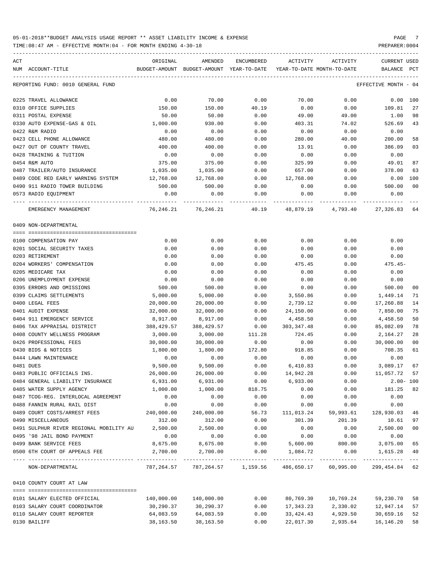TIME:08:47 AM - EFFECTIVE MONTH:04 - FOR MONTH ENDING 4-30-18 PREPARER:0004

ACT ORIGINAL AMENDED ENCUMBERED ACTIVITY ACTIVITY CURRENT USED NUM ACCOUNT-TITLE BUDGET-AMOUNT BUDGET-AMOUNT YEAR-TO-DATE YEAR-TO-DATE MONTH-TO-DATE BALANCE PCT ----------------------------------------------------------------------------------------------------------------------------------- REPORTING FUND: 0010 GENERAL FUND EFFECTIVE MONTH - 04 0225 TRAVEL ALLOWANCE 0.00 70.00 0.00 70.00 0.00 0.00 100 0310 OFFICE SUPPLIES 6 150.00 150.00 150.00 150.00 109.81 27 0311 POSTAL EXPENSE 50.00 50.00 0.00 49.00 49.00 1.00 98 0330 AUTO EXPENSE-GAS & OIL 1,000.00 930.00 0.00 403.31 74.02 526.69 43 0422 R&M RADIO 0.00 0.00 0.00 0.00 0.00 0.00 0423 CELL PHONE ALLOWANCE 480.00 480.00 0.00 280.00 40.00 200.00 58 0427 OUT OF COUNTY TRAVEL 400.00 400.00 0.00 13.91 0.00 386.09 03 0428 TRAINING & TUITION 0.00 0.00 0.00 0.00 0.00 0.00 0454 R&M AUTO 375.00 375.00 0.00 325.99 0.00 49.01 87 0487 TRAILER/AUTO INSURANCE 1,035.00 1,035.00 0.00 657.00 0.00 378.00 63 0489 CODE RED EARLY WARNING SYSTEM 12.768.00 12.768.00 0.00 12.768.00 0.00 0.00 0.00 100 0490 911 RADIO TOWER BUILDING 500.00 500.00 0.00 0.00 0.00 500.00 00 0573 RADIO EQUIPMENT 0.00 0.00 0.00 0.00 0.00 0.00 ---- ---------------------------------- ------------- ------------- ------------ ------------- ------------ ------------- --- EMERGENCY MANAGEMENT 76,246.21 76,246.21 40.19 48,879.19 4,793.40 27,326.83 64 0409 NON-DEPARTMENTAL ==== =================================== 0100 COMPENSATION PAY 0.00 0.00 0.00 0.00 0.00 0.00 0201 SOCIAL SECURITY TAXES 0.00 0.00 0.00 0.00 0.00 0.00 0203 RETIREMENT 0.00 0.00 0.00 0.00 0.00 0.00 0204 WORKERS' COMPENSATION 0.00 0.00 0.00 475.45 0.00 475.45- 0205 MEDICARE TAX 0.00 0.00 0.00 0.00 0.00 0.00 0206 UNEMPLOYMENT EXPENSE 0.00 0.00 0.00 0.00 0.00 0.00 0395 ERRORS AND OMISSIONS 500.00 500.00 0.00 0.00 0.00 500.00 00 0399 CLAIMS SETTLEMENTS 5,000.00 5,000.00 0.00 3,550.86 0.00 1,449.14 71 0400 LEGAL FEES 20,000.00 20,000.00 0.00 2,739.12 0.00 17,260.88 14 0401 AUDIT EXPENSE 32,000.00 32,000.00 0.00 24,150.00 0.00 7,850.00 75 0404 911 EMERGENCY SERVICE  $\begin{array}{cccccccc} 8,917.00 & 8,917.00 & 0.00 & 4,458.50 & 0.00 & 4,458.50 \end{array}$ 0406 TAX APPRAISAL DISTRICT 388,429.57 388,429.57 0.00 303,347.48 0.00 85,082.09 78 0408 COUNTY WELLNESS PROGRAM 3,000.00 3,000.00 111.28 724.45 0.00 2,164.27 28 0426 PROFESSIONAL FEES 30,000.00 30,000.00 0.00 0.00 0.00 30,000.00 00 0430 BIDS & NOTICES 1,800.00 1,800.00 172.80 918.85 0.00 708.35 61 0444 LAWN MAINTENANCE 0.00 0.00 0.00 0.00 0.00 0.00 0481 DUES 9,500.00 9,500.00 0.00 6,410.83 0.00 3,089.17 67 0483 PUBLIC OFFICIALS INS. 26,000.00 26,000.00 0.00 14,942.28 0.00 11,057.72 57 0484 GENERAL LIABILITY INSURANCE 6,931.00 6,931.00 0.00 6,933.00 0.00 2.00- 100 0485 WATER SUPPLY AGENCY 1,000.00 1,000.00 818.75 0.00 0.00 181.25 82 0487 TCOG-REG. INTERLOCAL AGREEMENT 0.00 0.00 0.00 0.00 0.00 0.00 0488 FANNIN RURAL RAIL DIST 0.00 0.00 0.00 0.00 0.00 0.00 0489 COURT COSTS/ARREST FEES 240,000.00 240,000.00 56.73 111,013.24 59,993.61 128,930.03 46 0490 MISCELLANEOUS 312.00 312.00 0.00 301.39 201.39 10.61 97 0491 SULPHUR RIVER REGIONAL MOBILITY AU 2,500.00 2,500.00 0.00 0.00 0.00 2,500.00 00 0495 '98 JAIL BOND PAYMENT 0.00 0.00 0.00 0.00 0.00 0.00 0499 BANK SERVICE FEES 8,675.00 8,675.00 0.00 5,600.00 800.00 3,075.00 65 0500 6TH COURT OF APPEALS FEE  $2,700.00$   $2,700.00$   $0.00$   $1,084.72$  0.00  $1,615.28$  40 ---- ---------------------------------- ------------- ------------- ------------ ------------- ------------ ------------- --- NON-DEPARTMENTAL 787,264.57 787,264.57 1,159.56 486,650.17 60,995.00 299,454.84 62 0410 COUNTY COURT AT LAW ==== =================================== 0101 SALARY ELECTED OFFICIAL 140,000.00 140,000.00 0.00 80,769.30 10,769.24 59,230.70 58 0103 SALARY COURT COORDINATOR 30,290.37 30,290.37 0.00 17,343.23 2,330.02 12,947.14 57 0110 SALARY COURT REPORTER 64,083.59 64,083.59 0.00 33,424.43 4,929.50 30,659.16 52

0130 BAILIFF 38,163.50 38,163.50 0.00 22,017.30 2,935.64 16,146.20 58

-----------------------------------------------------------------------------------------------------------------------------------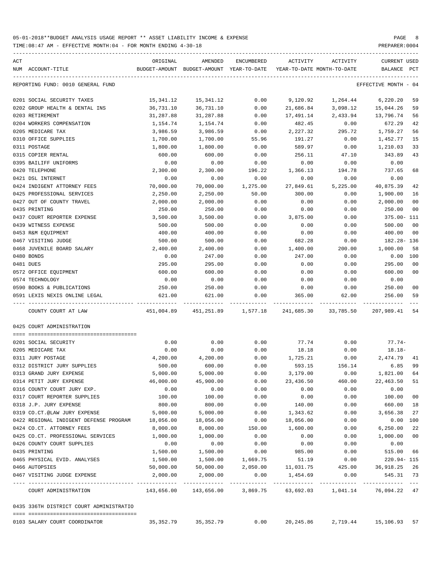| ACT |                                                        | ORIGINAL             | AMENDED                                  | ENCUMBERED       | ACTIVITY           | ACTIVITY                                            | CURRENT USED               |
|-----|--------------------------------------------------------|----------------------|------------------------------------------|------------------|--------------------|-----------------------------------------------------|----------------------------|
|     | NUM ACCOUNT-TITLE                                      |                      | BUDGET-AMOUNT BUDGET-AMOUNT YEAR-TO-DATE |                  |                    | YEAR-TO-DATE MONTH-TO-DATE                          | BALANCE<br>PCT             |
|     | REPORTING FUND: 0010 GENERAL FUND                      |                      |                                          |                  |                    |                                                     | EFFECTIVE MONTH - 04       |
|     | 0201 SOCIAL SECURITY TAXES                             | 15,341.12            | 15,341.12                                | 0.00             | 9,120.92           | 1,264.44                                            | 6,220.20<br>59             |
|     | 0202 GROUP HEALTH & DENTAL INS                         | 36,731.10            | 36,731.10                                | 0.00             | 21,686.84          | 3,098.12                                            | 15,044.26<br>59            |
|     | 0203 RETIREMENT                                        | 31,287.88            | 31,287.88                                | 0.00             | 17,491.14          | 2,433.94                                            | 13,796.74<br>56            |
|     | 0204 WORKERS COMPENSATION                              | 1,154.74             | 1,154.74                                 | 0.00             | 482.45             | 0.00                                                | 672.29<br>42               |
|     | 0205 MEDICARE TAX                                      | 3,986.59             | 3,986.59                                 | 0.00             | 2,227.32           | 295.72                                              | 1,759.27<br>56             |
|     | 0310 OFFICE SUPPLIES                                   | 1,700.00             | 1,700.00                                 | 55.96            | 191.27             | 0.00                                                | 15<br>1,452.77             |
|     | 0311 POSTAGE                                           | 1,800.00             | 1,800.00                                 | 0.00             | 589.97             | 0.00                                                | 33<br>1,210.03             |
|     | 0315 COPIER RENTAL                                     | 600.00               | 600.00                                   | 0.00             | 256.11             | 47.10                                               | 343.89<br>43               |
|     | 0395 BAILIFF UNIFORMS                                  | 0.00                 | 0.00                                     | 0.00             | 0.00               | 0.00                                                | 0.00                       |
|     | 0420 TELEPHONE                                         | 2,300.00             | 2,300.00                                 | 196.22           | 1,366.13           | 194.78                                              | 737.65<br>68               |
|     | 0421 DSL INTERNET                                      | 0.00                 | 0.00                                     | 0.00             | 0.00               | 0.00                                                | 0.00                       |
|     | 0424 INDIGENT ATTORNEY FEES                            | 70,000.00            | 70,000.00                                | 1,275.00         | 27,849.61          | 5,225.00                                            | 40,875.39<br>42            |
|     | 0425 PROFESSIONAL SERVICES                             | 2,250.00             | 2,250.00                                 | 50.00            | 300.00             | 0.00                                                | 1,900.00<br>16             |
|     | 0427 OUT OF COUNTY TRAVEL                              | 2,000.00             | 2,000.00                                 | 0.00             | 0.00               | 0.00                                                | 2,000.00<br>00             |
|     | 0435 PRINTING                                          | 250.00               | 250.00                                   | 0.00             | 0.00               | 0.00                                                | 250.00<br>00               |
|     | 0437 COURT REPORTER EXPENSE                            | 3,500.00             | 3,500.00                                 | 0.00             | 3,875.00           | 0.00                                                | 375.00- 111                |
|     | 0439 WITNESS EXPENSE                                   | 500.00               | 500.00                                   | 0.00             | 0.00               | 0.00                                                | 500.00<br>00               |
|     | 0453 R&M EQUIPMENT                                     | 400.00               | 400.00                                   | 0.00             | 0.00               | 0.00                                                | 400.00<br>00               |
|     | 0467 VISITING JUDGE                                    | 500.00               | 500.00                                   | 0.00             | 682.28             | 0.00                                                | 182.28-136                 |
|     | 0468 JUVENILE BOARD SALARY                             | 2,400.00             | 2,400.00                                 | 0.00             | 1,400.00           | 200.00                                              | 1,000.00<br>58             |
|     | 0480 BONDS                                             | 0.00                 | 247.00                                   | 0.00             | 247.00             | 0.00                                                | $0.00$ 100                 |
|     | 0481 DUES                                              | 295.00               | 295.00                                   | 0.00             | 0.00               | 0.00                                                | 295.00<br>00               |
|     | 0572 OFFICE EQUIPMENT                                  | 600.00               | 600.00                                   | 0.00             | 0.00               | 0.00                                                | 600.00<br>00               |
|     | 0574 TECHNOLOGY                                        | 0.00                 | 0.00                                     | 0.00             | 0.00               | 0.00                                                | 0.00                       |
|     | 0590 BOOKS & PUBLICATIONS                              | 250.00               | 250.00                                   | 0.00             | 0.00               | 0.00                                                | 250.00<br>00               |
|     | 0591 LEXIS NEXIS ONLINE LEGAL                          | 621.00               | 621.00                                   | 0.00             | 365.00             | 62.00                                               | 256.00<br>59               |
|     | COUNTY COURT AT LAW                                    |                      | 451,004.89  451,251.89  1,577.18         |                  |                    | 241,685.30 33,785.50                                | 207,989.41<br>54           |
|     | 0425 COURT ADMINISTRATION                              |                      |                                          |                  |                    |                                                     |                            |
|     |                                                        |                      |                                          |                  |                    |                                                     |                            |
|     | 0201 SOCIAL SECURITY                                   | 0.00                 | 0.00                                     | 0.00             | 77.74              | 0.00                                                | $77.74-$                   |
|     | 0205 MEDICARE TAX                                      | 0.00<br>4,200.00     | 0.00                                     | 0.00             | 18.18              | 0.00                                                | $18.18 -$                  |
|     | 0311 JURY POSTAGE<br>0312 DISTRICT JURY SUPPLIES       |                      | 4,200.00<br>600.00                       | 0.00             | 1,725.21           | 0.00                                                | 2,474.79 41<br>6.85<br>99  |
|     | 0313 GRAND JURY EXPENSE                                | 500.00<br>5,000.00   |                                          | 0.00             | 593.15             | 156.14<br>0.00                                      | 1,821.00 64                |
|     |                                                        |                      | 5,000.00<br>45,900.00                    | 0.00             | 3,179.00           |                                                     |                            |
|     | 0314 PETIT JURY EXPENSE<br>0316 COUNTY COURT JURY EXP. | 46,000.00<br>0.00    | 0.00                                     | 0.00<br>0.00     | 23,436.50<br>0.00  | 460.00<br>0.00                                      | 22,463.50<br>51<br>0.00    |
|     | 0317 COURT REPORTER SUPPLIES                           | 100.00               | 100.00                                   | 0.00             | 0.00               | 0.00                                                | 100.00<br>00               |
|     | 0318 J.P. JURY EXPENSE                                 | 800.00               | 800.00                                   | 0.00             | 140.00             | 0.00                                                | 660.00<br>18               |
|     | 0319 CO.CT.@LAW JURY EXPENSE                           | 5,000.00             | 5,000.00                                 | 0.00             | 1,343.62           | 0.00                                                | 3,656.38<br>27             |
|     | 0422 REGIONAL INDIGENT DEFENSE PROGRAM                 | 18,056.00            | 18,056.00                                | 0.00             | 18,056.00          | 0.00                                                | 0.00<br>100                |
|     | 0424 CO.CT. ATTORNEY FEES                              | 8,000.00             | 8,000.00                                 | 150.00           | 1,600.00           | 0.00                                                | 6, 250.00<br>22            |
|     | 0425 CO.CT. PROFESSIONAL SERVICES                      | 1,000.00             | 1,000.00                                 | 0.00             | 0.00               | 0.00                                                | 1,000.00<br>00             |
|     | 0426 COUNTY COURT SUPPLIES                             |                      | 0.00                                     | 0.00             |                    | 0.00                                                | 0.00                       |
|     |                                                        | 0.00                 |                                          |                  | 0.00               |                                                     |                            |
|     | 0435 PRINTING<br>0465 PHYSICAL EVID. ANALYSES          | 1,500.00<br>1,500.00 | 1,500.00<br>1,500.00                     | 0.00<br>1,669.75 | 985.00             | 0.00<br>0.00                                        | 515.00<br>66<br>220.94-115 |
|     | 0466 AUTOPSIES                                         | 50,000.00            | 50,000.00                                | 2,050.00         | 51.19<br>11,031.75 | 425.00                                              | 36,918.25 26               |
|     | 0467 VISITING JUDGE EXPENSE                            | 2,000.00             | 2,000.00                                 | 0.00             | 1,454.69           | 0.00                                                | 545.31 73                  |
|     | COURT ADMINISTRATION                                   | .                    | 143,656.00 143,656.00 3,869.75           |                  |                    | -----------------------------<br>63,692.03 1,041.14 | $---$<br>76,094.22 47      |
|     | 0435 336TH DISTRICT COURT ADMINISTRATIO                |                      |                                          |                  |                    |                                                     |                            |
|     |                                                        |                      |                                          |                  |                    |                                                     |                            |
|     | 0103 SALARY COURT COORDINATOR                          | 35, 352.79           | 35, 352.79                               | 0.00             | 20,245.86          |                                                     | 2,719.44 15,106.93 57      |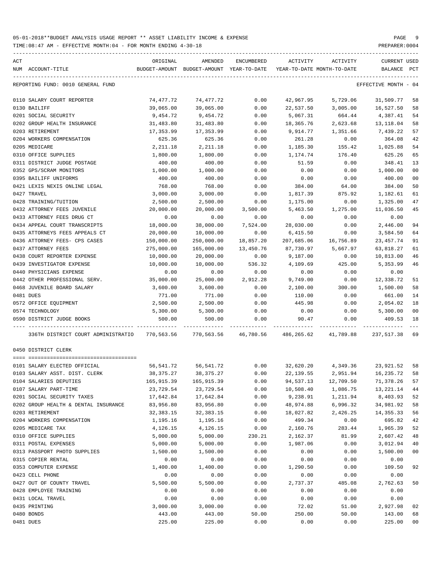TIME:08:47 AM - EFFECTIVE MONTH:04 - FOR MONTH ENDING 4-30-18

| ACT                                                 | ORIGINAL                | AMENDED                                              | ENCUMBERED   | ACTIVITY                                  | ACTIVITY             | <b>CURRENT USED</b>   |                |
|-----------------------------------------------------|-------------------------|------------------------------------------------------|--------------|-------------------------------------------|----------------------|-----------------------|----------------|
| NUM ACCOUNT-TITLE                                   |                         | BUDGET-AMOUNT BUDGET-AMOUNT YEAR-TO-DATE             |              | YEAR-TO-DATE MONTH-TO-DATE                |                      | BALANCE PCT           |                |
| REPORTING FUND: 0010 GENERAL FUND                   |                         |                                                      |              |                                           |                      | EFFECTIVE MONTH - 04  |                |
| 0110 SALARY COURT REPORTER                          | 74,477.72               | 74,477.72                                            | 0.00         | 42,967.95                                 | 5,729.06             | 31,509.77             | 58             |
| 0130 BAILIFF                                        | 39,065.00               | 39,065.00                                            | 0.00         | 22,537.50                                 | 3,005.00             | 16,527.50             | 58             |
| 0201 SOCIAL SECURITY                                | 9,454.72                | 9,454.72                                             | 0.00         | 5,067.31                                  | 664.44               | 4,387.41              | 54             |
| 0202 GROUP HEALTH INSURANCE                         | 31,483.80               | 31,483.80                                            | 0.00         | 18,365.76                                 | 2,623.68             | 13,118.04             | 58             |
| 0203 RETIREMENT                                     | 17,353.99               | 17,353.99                                            | 0.00         | 9,914.77                                  | 1,351.66             | 7,439.22              | 57             |
| 0204 WORKERS COMPENSATION                           | 625.36                  | 625.36                                               | 0.00         | 261.28                                    | 0.00                 | 364.08                | 42             |
| 0205 MEDICARE                                       | 2,211.18                | 2,211.18                                             | 0.00         | 1,185.30                                  | 155.42               | 1,025.88              | 54             |
| 0310 OFFICE SUPPLIES                                | 1,800.00                | 1,800.00                                             | 0.00         | 1,174.74                                  | 176.40               | 625.26                | 65             |
| 0311 DISTRICT JUDGE POSTAGE                         | 400.00                  | 400.00                                               | 0.00         | 51.59                                     | 0.00                 | 348.41                | 13             |
| 0352 GPS/SCRAM MONITORS                             | 1,000.00                | 1,000.00                                             | 0.00         | 0.00                                      | 0.00                 | 1,000.00              | 0 <sub>0</sub> |
| 0395 BAILIFF UNIFORMS                               | 400.00                  | 400.00                                               | 0.00         | 0.00                                      | 0.00                 | 400.00                | 0 <sub>0</sub> |
| 0421 LEXIS NEXIS ONLINE LEGAL                       | 768.00                  | 768.00                                               | 0.00         | 384.00                                    | 64.00                | 384.00                | 50             |
| 0427 TRAVEL                                         | 3,000.00                | 3,000.00                                             | 0.00         | 1,817.39                                  | 875.92               | 1,182.61              | 61             |
| 0428 TRAINING/TUITION                               | 2,500.00                | 2,500.00                                             | 0.00         | 1,175.00                                  | 0.00                 | 1,325.00              | 47             |
| 0432 ATTORNEY FEES JUVENILE                         | 20,000.00               | 20,000.00                                            | 3,500.00     | 5,463.50                                  | 1,275.00             | 11,036.50             | 45             |
| 0433 ATTORNEY FEES DRUG CT                          | 0.00                    | 0.00                                                 | 0.00         | 0.00                                      | 0.00                 | 0.00                  |                |
| 0434 APPEAL COURT TRANSCRIPTS                       | 18,000.00               | 38,000.00                                            | 7,524.00     | 28,030.00                                 | 0.00                 | 2,446.00              | 94             |
| 0435 ATTORNEYS FEES APPEALS CT                      | 20,000.00               | 10,000.00                                            | 0.00         | 6,415.50                                  | 0.00                 | 3,584.50              | 64             |
| 0436 ATTORNEY FEES- CPS CASES                       | 150,000.00              | 250,000.00                                           | 18,857.20    | 207,685.06                                | 16,756.89            | 23, 457. 74           | 91             |
| 0437 ATTORNEY FEES                                  | 275,000.00              | 165,000.00                                           | 13,450.76    | 87,730.97                                 | 5,667.97             | 63,818.27             | 61             |
| 0438 COURT REPORTER EXPENSE                         | 10,000.00               | 20,000.00                                            | 0.00         | 9,187.00                                  | 0.00                 | 10,813.00             | 46             |
| 0439 INVESTIGATOR EXPENSE                           | 10,000.00               | 10,000.00                                            | 536.32       | 4,109.69                                  | 425.00               | 5,353.99              | 46             |
| 0440 PHYSICIANS EXPENSE                             | 0.00                    | 0.00                                                 | 0.00         | 0.00                                      | 0.00                 | 0.00                  |                |
| 0442 OTHER PROFESSIONAL SERV.                       | 35,000.00               | 25,000.00                                            | 2,912.28     | 9,749.00                                  | 0.00                 | 12,338.72             | 51             |
| 0468 JUVENILE BOARD SALARY                          | 3,600.00                | 3,600.00                                             | 0.00         | 2,100.00                                  | 300.00               | 1,500.00              | 58             |
| 0481 DUES                                           | 771.00                  | 771.00                                               | 0.00         | 110.00                                    | 0.00                 | 661.00                | 14             |
| 0572 OFFICE EQUIPMENT                               | 2,500.00                | 2,500.00                                             | 0.00         | 445.98                                    | 0.00                 | 2,054.02              | 18             |
| 0574 TECHNOLOGY                                     | 5,300.00                | 5,300.00                                             | 0.00         | 0.00                                      | 0.00                 | 5,300.00              | 00             |
| 0590 DISTRICT JUDGE BOOKS                           | 500.00                  | 500.00                                               | 0.00         | 90.47                                     | 0.00                 | 409.53                | 18             |
| 336TH DISTRICT COURT ADMINISTRATIO                  |                         | 770,563.56 770,563.56 46,780.56 486,265.62 41,789.88 |              |                                           |                      | 237,517.38            | 69             |
| 0450 DISTRICT CLERK                                 |                         |                                                      |              |                                           |                      |                       |                |
|                                                     |                         |                                                      |              |                                           |                      |                       |                |
| 0101 SALARY ELECTED OFFICIAL                        | 56,541.72               | 56,541.72                                            |              | $0.00$ $32,620.20$ $4,349.36$ $23,921.52$ |                      |                       | 58             |
| 0103 SALARY ASST. DIST. CLERK                       | 38,375.27               | 38, 375. 27<br>165,915.39                            | 0.00         | 22, 139.55                                | 2,951.94             | 16,235.72             | 58<br>57       |
| 0104 SALARIES DEPUTIES                              | 165,915.39<br>23,729.54 | 23,729.54                                            | 0.00<br>0.00 | 94,537.13                                 | 12,709.50            | 71,378.26             | 44             |
| 0107 SALARY PART-TIME<br>0201 SOCIAL SECURITY TAXES | 17,642.84               | 17,642.84                                            | 0.00         | 10,508.40<br>9,238.91                     | 1,086.75<br>1,211.94 | 13,221.14<br>8,403.93 | 52             |
|                                                     | 83,956.80               |                                                      |              |                                           |                      |                       |                |
| 0202 GROUP HEALTH & DENTAL INSURANCE                |                         | 83,956.80                                            | 0.00<br>0.00 | 48,974.88                                 | 6,996.32             | 34,981.92             | 58<br>56       |
| 0203 RETIREMENT<br>0204 WORKERS COMPENSATION        | 32, 383. 15<br>1,195.16 | 32, 383. 15<br>1,195.16                              | 0.00         | 18,027.82<br>499.34                       | 2,426.25<br>0.00     | 14, 355. 33<br>695.82 | 42             |
|                                                     |                         |                                                      |              |                                           |                      |                       |                |
| 0205 MEDICARE TAX                                   | 4,126.15                | 4,126.15                                             | 0.00         | 2,160.76                                  | 283.44               | 1,965.39              | 52             |
| 0310 OFFICE SUPPLIES                                | 5,000.00                | 5,000.00                                             | 230.21       | 2,162.37                                  | 81.99                | 2,607.42              | 48             |
| 0311 POSTAL EXPENSES                                | 5,000.00                | 5,000.00                                             | 0.00         | 1,987.06                                  | 0.00                 | 3,012.94              | 40             |
| 0313 PASSPORT PHOTO SUPPLIES                        | 1,500.00                | 1,500.00                                             | 0.00         | 0.00                                      | 0.00                 | 1,500.00              | 0 <sub>0</sub> |
| 0315 COPIER RENTAL                                  | 0.00                    | 0.00                                                 | 0.00         | 0.00                                      | 0.00                 | 0.00                  |                |
| 0353 COMPUTER EXPENSE                               | 1,400.00                | 1,400.00                                             | 0.00         | 1,290.50                                  | 0.00                 | 109.50                | 92             |
| 0423 CELL PHONE                                     | 0.00                    | 0.00                                                 | 0.00         | 0.00                                      | 0.00                 | 0.00                  |                |
| 0427 OUT OF COUNTY TRAVEL                           | 5,500.00                | 5,500.00                                             | 0.00         | 2,737.37                                  | 485.08               | 2,762.63              | 50             |
| 0428 EMPLOYEE TRAINING                              | 0.00                    | 0.00                                                 | 0.00         | 0.00                                      | 0.00                 | 0.00                  |                |
| 0431 LOCAL TRAVEL                                   | 0.00                    | 0.00                                                 | 0.00         | 0.00                                      | 0.00                 | 0.00                  |                |
| 0435 PRINTING                                       | 3,000.00                | 3,000.00                                             | 0.00         | 72.02                                     | 51.00                | 2,927.98              | 02             |
| 0480 BONDS                                          | 443.00                  | 443.00                                               | 50.00        | 250.00                                    | 50.00                | 143.00                | 68             |

0481 DUES 225.00 225.00 0.00 0.00 0.00 225.00 00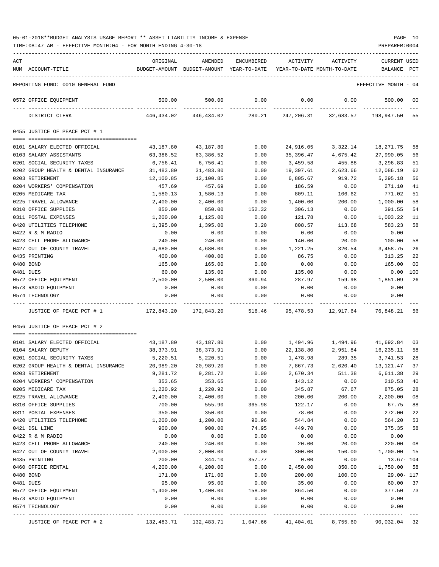| ACT |                                      | ORIGINAL   | AMENDED                                  | <b>ENCUMBERED</b> | ACTIVITY                   | ACTIVITY               | <b>CURRENT USED</b>  |     |
|-----|--------------------------------------|------------|------------------------------------------|-------------------|----------------------------|------------------------|----------------------|-----|
|     | NUM ACCOUNT-TITLE                    |            | BUDGET-AMOUNT BUDGET-AMOUNT YEAR-TO-DATE |                   | YEAR-TO-DATE MONTH-TO-DATE |                        | BALANCE              | PCT |
|     |                                      |            |                                          |                   |                            |                        |                      |     |
|     | REPORTING FUND: 0010 GENERAL FUND    |            |                                          |                   |                            |                        | EFFECTIVE MONTH - 04 |     |
|     | 0572 OFFICE EOUIPMENT                | 500.00     | 500.00                                   | 0.00              | 0.00                       | 0.00                   | 500.00               | 00  |
|     | DISTRICT CLERK                       | 446,434.02 | 446,434.02                               | 280.21            |                            | 247, 206.31 32, 683.57 | 198,947.50           | 55  |
|     | 0455 JUSTICE OF PEACE PCT # 1        |            |                                          |                   |                            |                        |                      |     |
|     |                                      |            |                                          |                   |                            |                        |                      |     |
|     | 0101 SALARY ELECTED OFFICIAL         | 43,187.80  | 43,187.80                                | 0.00              | 24,916.05                  | 3,322.14               | 18,271.75            | 58  |
|     | 0103 SALARY ASSISTANTS               | 63,386.52  | 63,386.52                                | 0.00              | 35,396.47                  | 4,675.42               | 27,990.05            | 56  |
|     | 0201 SOCIAL SECURITY TAXES           | 6,756.41   | 6,756.41                                 | 0.00              | 3,459.58                   | 455.88                 | 3,296.83             | 51  |
|     | 0202 GROUP HEALTH & DENTAL INSURANCE | 31,483.80  | 31,483.80                                | 0.00              | 19,397.61                  | 2,623.66               | 12,086.19            | 62  |
|     | 0203 RETIREMENT                      | 12,100.85  | 12,100.85                                | 0.00              | 6,805.67                   | 919.72                 | 5,295.18             | 56  |
|     | 0204 WORKERS' COMPENSATION           | 457.69     | 457.69                                   | 0.00              | 186.59                     | 0.00                   | 271.10               | 41  |
|     | 0205 MEDICARE TAX                    | 1,580.13   | 1,580.13                                 | 0.00              | 809.11                     | 106.62                 | 771.02               | 51  |
|     | 0225 TRAVEL ALLOWANCE                | 2,400.00   | 2,400.00                                 | 0.00              | 1,400.00                   | 200.00                 | 1,000.00             | 58  |
|     | 0310 OFFICE SUPPLIES                 | 850.00     | 850.00                                   | 152.32            | 306.13                     | 0.00                   | 391.55               | 54  |
|     | 0311 POSTAL EXPENSES                 | 1,200.00   | 1,125.00                                 | 0.00              | 121.78                     | 0.00                   | 1,003.22             | 11  |
|     | 0420 UTILITIES TELEPHONE             | 1,395.00   | 1,395.00                                 | 3.20              | 808.57                     | 113.68                 | 583.23               | 58  |
|     | 0422 R & M RADIO                     | 0.00       | 0.00                                     | 0.00              | 0.00                       | 0.00                   | 0.00                 |     |
|     | 0423 CELL PHONE ALLOWANCE            | 240.00     | 240.00                                   | 0.00              | 140.00                     | 20.00                  | 100.00               | 58  |
|     | 0427 OUT OF COUNTY TRAVEL            | 4,680.00   | 4,680.00                                 | 0.00              | 1,221.25                   | 320.54                 | 3,458.75             | 26  |
|     | 0435 PRINTING                        | 400.00     | 400.00                                   | 0.00              | 86.75                      | 0.00                   | 313.25               | 22  |
|     | 0480 BOND                            | 165.00     | 165.00                                   | 0.00              | 0.00                       | 0.00                   | 165.00               | 00  |
|     | 0481 DUES                            | 60.00      | 135.00                                   | 0.00              | 135.00                     | 0.00                   | 0.00                 | 100 |
|     | 0572 OFFICE EQUIPMENT                | 2,500.00   | 2,500.00                                 | 360.94            | 287.97                     | 159.98                 | 1,851.09             | 26  |
|     | 0573 RADIO EQUIPMENT                 | 0.00       | 0.00                                     | 0.00              | 0.00                       | 0.00                   | 0.00                 |     |
|     | 0574 TECHNOLOGY                      | 0.00       | 0.00                                     | 0.00              | 0.00                       | 0.00                   | 0.00                 |     |
|     | JUSTICE OF PEACE PCT # 1             | 172,843.20 | 172,843.20                               | 516.46            | 95,478.53                  | 12,917.64              | 76,848.21 56         |     |
|     | 0456 JUSTICE OF PEACE PCT # 2        |            |                                          |                   |                            |                        |                      |     |
|     | 0101 SALARY ELECTED OFFICIAL         | 43,187.80  | 43,187.80                                | 0.00              | 1,494.96                   | 1,494.96               | 41,692.84            | 03  |
|     | 0104 SALARY DEPUTY                   | 38,373.91  | 38,373.91                                | 0.00              | 22,138.80                  | 2,951.84               | 16,235.11            | 58  |
|     | 0201 SOCIAL SECURITY TAXES           | 5,220.51   | 5,220.51                                 | 0.00              | 1,478.98                   | 289.35                 | 3,741.53             | 28  |
|     | 0202 GROUP HEALTH & DENTAL INSURANCE | 20,989.20  | 20,989.20                                | 0.00              | 7,867.73                   | 2,620.40               | 13,121.47            | 37  |
|     | 0203 RETIREMENT                      | 9,281.72   | 9,281.72                                 | 0.00              | 2,670.34                   | 511.38                 | 6,611.38             | 29  |
|     | 0204 WORKERS' COMPENSATION           | 353.65     | 353.65                                   | 0.00              | 143.12                     | 0.00                   | 210.53               | 40  |
|     | 0205 MEDICARE TAX                    | 1,220.92   | 1,220.92                                 | 0.00              | 345.87                     | 67.67                  | 875.05               | 28  |
|     | 0225 TRAVEL ALLOWANCE                | 2,400.00   | 2,400.00                                 | 0.00              | 200.00                     | 200.00                 | 2,200.00             | 08  |
|     | 0310 OFFICE SUPPLIES                 | 700.00     | 555.90                                   | 365.98            | 122.17                     | 0.00                   | 67.75                | 88  |
|     | 0311 POSTAL EXPENSES                 | 350.00     | 350.00                                   | 0.00              | 78.00                      | 0.00                   | 272.00               | 22  |
|     | 0420 UTILITIES TELEPHONE             | 1,200.00   | 1,200.00                                 | 90.96             | 544.84                     | 0.00                   | 564.20               | 53  |
|     | 0421 DSL LINE                        | 900.00     | 900.00                                   | 74.95             | 449.70                     | 0.00                   | 375.35               | 58  |
|     | 0422 R & M RADIO                     | 0.00       | 0.00                                     | 0.00              | 0.00                       | 0.00                   | 0.00                 |     |
|     | 0423 CELL PHONE ALLOWANCE            | 240.00     | 240.00                                   | 0.00              | 20.00                      | 20.00                  | 220.00               | 08  |
|     | 0427 OUT OF COUNTY TRAVEL            | 2,000.00   | 2,000.00                                 | 0.00              | 300.00                     | 150.00                 | 1,700.00             | 15  |
|     | 0435 PRINTING                        | 200.00     | 344.10                                   | 357.77            | 0.00                       | 0.00                   | $13.67 - 104$        |     |
|     | 0460 OFFICE RENTAL                   | 4,200.00   | 4,200.00                                 | 0.00              | 2,450.00                   | 350.00                 | 1,750.00             | 58  |
|     | 0480 BOND                            | 171.00     | 171.00                                   | 0.00              | 200.00                     | 100.00                 | 29.00- 117           |     |
|     | 0481 DUES                            | 95.00      | 95.00                                    | 0.00              | 35.00                      | 0.00                   | 60.00                | 37  |
|     | 0572 OFFICE EQUIPMENT                | 1,400.00   | 1,400.00                                 | 158.00            | 864.50                     | 0.00                   | 377.50               | 73  |
|     | 0573 RADIO EQUIPMENT                 | 0.00       | 0.00                                     | 0.00              | 0.00                       | 0.00                   | 0.00                 |     |
|     | 0574 TECHNOLOGY                      | 0.00       | 0.00                                     | 0.00              | 0.00                       | 0.00                   | 0.00                 |     |
|     | JUSTICE OF PEACE PCT # 2             | 132,483.71 | 132,483.71                               | 1,047.66          | 41,404.01                  | 8,755.60               | 90,032.04            | 32  |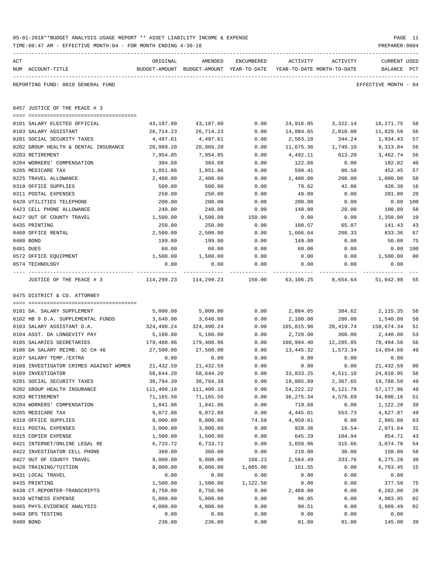|     | TIME: 08:47 AM - EFFECTIVE MONTH: 04 - FOR MONTH ENDING 4-30-18 |                       |                                                                       |            |                     |                    | PREPARER: 0004       |                |
|-----|-----------------------------------------------------------------|-----------------------|-----------------------------------------------------------------------|------------|---------------------|--------------------|----------------------|----------------|
| ACT |                                                                 | ORIGINAL              | AMENDED                                                               | ENCUMBERED | ACTIVITY            | ACTIVITY           | <b>CURRENT USED</b>  |                |
|     | NUM ACCOUNT-TITLE                                               |                       | BUDGET-AMOUNT BUDGET-AMOUNT YEAR-TO-DATE YEAR-TO-DATE MONTH-TO-DATE   |            |                     |                    | BALANCE PCT          |                |
|     | REPORTING FUND: 0010 GENERAL FUND                               |                       |                                                                       |            |                     |                    | EFFECTIVE MONTH - 04 |                |
|     | 0457 JUSTICE OF THE PEACE # 3                                   |                       |                                                                       |            |                     |                    |                      |                |
|     | 0101 SALARY ELECTED OFFICIAL                                    | 43,187.80             | 43,187.80                                                             | 0.00       |                     | 24,916.05 3,322.14 | 18,271.75            | 58             |
|     | 0103 SALARY ASSISTANT                                           | 26,714.23             | 26,714.23                                                             | 0.00       | 14,884.65           | 2,010.00           | 11,829.58            | 56             |
|     | 0201 SOCIAL SECURITY TAXES                                      | 4,497.61              | 4,497.61                                                              | 0.00       | 2,563.18            | 344.24             | 1,934.43             | 57             |
|     | 0202 GROUP HEALTH & DENTAL INSURANCE                            | 20,989.20             | 20,989.20                                                             | 0.00       | 11,675.36           | 1,749.10           | 9,313.84             | 56             |
|     | 0203 RETIREMENT                                                 | 7,954.85              | 7,954.85                                                              | 0.00       | 4,492.11            | 613.20             | 3,462.74             | 56             |
|     | 0204 WORKERS' COMPENSATION                                      | 304.68                | 304.68                                                                | 0.00       | 122.66              | 0.00               | 182.02               | 40             |
|     | 0205 MEDICARE TAX                                               | 1,051.86              | 1,051.86                                                              | 0.00       | 599.41              | 80.50              | 452.45               | 57             |
|     | 0225 TRAVEL ALLOWANCE                                           | 2,400.00              | 2,400.00                                                              | 0.00       | 1,400.00            | 200.00             | 1,000.00             | 58             |
|     | 0310 OFFICE SUPPLIES                                            | 500.00                | 500.00                                                                | 0.00       | 79.62               | 42.06              | 420.38               | 16             |
|     | 0311 POSTAL EXPENSES                                            | 250.00                | 250.00                                                                | 0.00       | 49.00               | 0.00               | 201.00               | 20             |
|     | 0420 UTILITIES TELEPHONE                                        | 200.00                | 200.00                                                                | 0.00       | 200.00              | 0.00               | 0.00                 | 100            |
|     | 0423 CELL PHONE ALLOWANCE                                       | 240.00                | 240.00                                                                | 0.00       | 140.00              | 20.00              | 100.00               | 58             |
|     | 0427 OUT OF COUNTY TRAVEL                                       | 1,500.00              | 1,500.00                                                              | 150.00     | 0.00                | 0.00               | 1,350.00             | 10             |
|     | 0435 PRINTING                                                   | 250.00                | 250.00                                                                | 0.00       | 108.57              | 65.07              | 141.43               | 43             |
|     | 0460 OFFICE RENTAL                                              | 2,500.00              | 2,500.00                                                              | 0.00       | 1,666.64            | 208.33             | 833.36               | 67             |
|     | 0480 BOND                                                       | 199.00                | 199.00                                                                | 0.00       | 149.00              | 0.00               | 50.00                | 75             |
|     | 0481 DUES                                                       | 60.00                 | 60.00                                                                 | 0.00       | 60.00               | 0.00               | 0.00                 | 100            |
|     | 0572 OFFICE EQUIPMENT                                           | 1,500.00              | 1,500.00                                                              | 0.00       | 0.00                | 0.00               | 1,500.00             | 0 <sup>0</sup> |
|     | 0574 TECHNOLOGY                                                 | 0.00<br>----------- - | 0.00<br>------------                                                  | 0.00       | 0.00<br>----------- | 0.00               | 0.00                 |                |
|     | JUSTICE OF THE PEACE # 3<br>0475 DISTRICT & CO. ATTORNEY        |                       | $114,299.23$ $114,299.23$ $150.00$ $63,106.25$ $8,654.64$ $51,042.98$ |            |                     |                    |                      | 55             |
|     |                                                                 |                       |                                                                       |            |                     |                    |                      |                |
|     | 0101 DA. SALARY SUPPLEMENT                                      | 5,000.00              | 5,000.00                                                              | 0.00       | 2,884.65            | 384.62             | 2,115.35             | 58             |
|     | 0102 HB 9 D.A. SUPPLEMENTAL FUNDS                               | 3,640.00              | 3,640.00                                                              | 0.00       | 2,100.00            | 280.00             | 1,540.00             | 58             |
|     | 0103 SALARY ASSISTANT D.A.                                      | 324,490.24            | 324,490.24                                                            | 0.00       | 165,815.90          | 20,419.74          | 158,674.34           | 51             |
|     | 0104 ASST. DA LONGEVITY PAY                                     | 5,160.00              | 5,160.00                                                              | 0.00       | 2,720.00            | 360.00             | 2,440.00             | 53             |
|     | 0105 SALARIES SECRETARIES                                       | 179,488.96            | 179,488.96                                                            | 0.00       | 100,994.40          | 12,285.85          | 78,494.56            | 56             |
|     | 0106 DA SALARY REIMB. GC CH 46                                  | 27,500.00             | 27,500.00                                                             | 0.00       | 13,445.32           | 1,573.34           | 14,054.68            | 49             |
|     | 0107 SALARY TEMP./EXTRA                                         | 0.00                  | 0.00                                                                  | 0.00       | 0.00                | 0.00               | 0.00                 |                |
|     | 0108 INVESTIGATOR CRIMES AGAINST WOMEN                          | 21,432.59             | 21,432.59                                                             | 0.00       | 0.00                | 0.00               | 21,432.59            | 00             |
|     | 0109 INVESTIGATOR                                               | 58,644.20             | 58,644.20                                                             | 0.00       | 33,833.25           | 4,511.10           | 24,810.95            | 58             |
|     | 0201 SOCIAL SECURITY TAXES                                      | 38,794.39             | 38,794.39                                                             | 0.00       | 19,005.89           | 2,367.65           | 19,788.50            | 49             |
|     | 0202 GROUP HEALTH INSURANCE                                     | 111,400.18            | 111,400.18                                                            | 0.00       | 54,222.22           | 6,121.78           | 57,177.96            | 49             |
|     | 0203 RETIREMENT                                                 | 71,165.50             | 71,165.50                                                             | 0.00       | 36, 275.34          | 4,578.69           | 34,890.16            | 51             |
|     | 0204 WORKERS' COMPENSATION                                      | 1,841.96              | 1,841.96                                                              | 0.00       | 719.68              | 0.00               | 1,122.28             | 39             |
|     | 0205 MEDICARE TAX                                               | 9,072.88              | 9,072.88                                                              | 0.00       | 4,445.01            | 553.73             | 4,627.87             | 49             |
|     | 0310 OFFICE SUPPLIES                                            | 8,000.00              | 8,000.00                                                              | 74.59      | 4,959.61            | 0.00               | 2,965.80             | 63             |
|     | 0311 POSTAL EXPENSES                                            | 3,000.00              | 3,000.00                                                              | 0.00       | 928.36              | $19.54-$           | 2,071.64             | 31             |
|     | 0315 COPIER EXPENSE                                             | 1,500.00              | 1,500.00                                                              | 0.00       | 645.29              | 104.94             | 854.71               | 43             |
|     | 0421 INTERNET/ONLINE LEGAL RE                                   | 6,733.72              | 6,733.72                                                              | 0.00       | 3,658.96            | 315.66             | 3,074.76             | 54             |
|     | 0422 INVESTIGATOR CELL PHONE                                    | 360.00                | 360.00                                                                | 0.00       | 210.00              | 30.00              | 150.00               | 58             |
|     | 0427 OUT OF COUNTY TRAVEL                                       | 9,000.00              | 9,000.00                                                              | 160.23     | 2,564.49            | 333.76             | 6,275.28             | 30             |
|     | 0428 TRAINING/TUITION                                           | 8,000.00              | 8,000.00                                                              | 1,085.00   | 151.55              | 0.00               | 6,763.45             | 15             |
|     | 0431 LOCAL TRAVEL                                               | 0.00                  | 0.00                                                                  | 0.00       | 0.00                | 0.00               | 0.00                 |                |
|     | 0435 PRINTING                                                   | 1,500.00              | 1,500.00                                                              | 1,122.50   | 0.00                | 0.00               | 377.50               | 75             |
|     | 0438 CT.REPORTER-TRANSCRIPTS                                    | 8,750.00              | 8,750.00                                                              | 0.00       | 2,468.00            | 0.00               | 6,282.00             | 28             |
|     | 0439 WITNESS EXPENSE                                            | 5,000.00              | 5,000.00                                                              | 0.00       | 96.05               | 0.00               | 4,903.95             | 02             |
|     | 0465 PHYS. EVIDENCE ANALYSIS                                    | 4,000.00              | 4,000.00                                                              | 0.00       | 90.51               | 0.00               | 3,909.49             | 02             |
|     | 0469 DPS TESTING                                                | 0.00                  | 0.00                                                                  | 0.00       | 0.00                | 0.00               | 0.00                 |                |
|     | 0480 BOND                                                       | 236.00                | 236.00                                                                | 0.00       | 91.00               | 91.00              | 145.00               | 39             |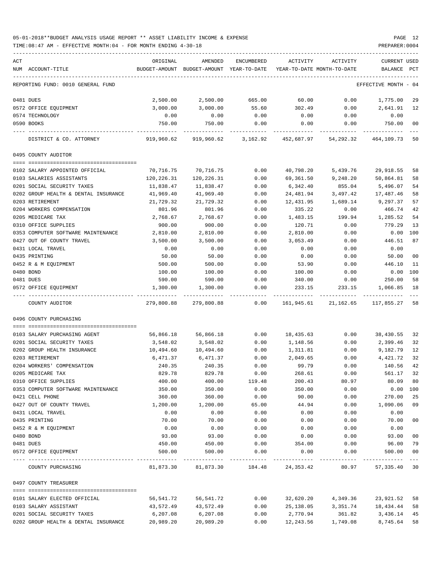| ACT |                                      | ORIGINAL   | AMENDED                                  | ENCUMBERED | ACTIVITY    | ACTIVITY                   | <b>CURRENT USED</b>  |               |
|-----|--------------------------------------|------------|------------------------------------------|------------|-------------|----------------------------|----------------------|---------------|
|     | NUM ACCOUNT-TITLE                    |            | BUDGET-AMOUNT BUDGET-AMOUNT YEAR-TO-DATE |            |             | YEAR-TO-DATE MONTH-TO-DATE | <b>BALANCE</b>       | PCT           |
|     |                                      |            |                                          |            |             |                            |                      |               |
|     | REPORTING FUND: 0010 GENERAL FUND    |            |                                          |            |             |                            | EFFECTIVE MONTH - 04 |               |
|     | 0481 DUES                            | 2,500.00   | 2,500.00                                 | 665.00     | 60.00       | 0.00                       | 1,775.00             | 29            |
|     | 0572 OFFICE EQUIPMENT                | 3,000.00   | 3,000.00                                 | 55.60      | 302.49      | 0.00                       | 2,641.91             | 12            |
|     | 0574 TECHNOLOGY                      | 0.00       | 0.00                                     | 0.00       | 0.00        | 0.00                       | 0.00                 |               |
|     | 0590 BOOKS                           | 750.00     | 750.00                                   | 0.00       | 0.00        | 0.00                       | 750.00               | 00            |
|     | DISTRICT & CO. ATTORNEY              | 919,960.62 | 919,960.62                               | 3,162.92   | 452,687.97  | 54,292.32                  | 464, 109, 73 50      |               |
|     |                                      |            |                                          |            |             |                            |                      |               |
|     | 0495 COUNTY AUDITOR                  |            |                                          |            |             |                            |                      |               |
|     |                                      |            |                                          |            |             |                            |                      |               |
|     | 0102 SALARY APPOINTED OFFICIAL       | 70,716.75  | 70,716.75                                | 0.00       | 40,798.20   | 5,439.76                   | 29,918.55            | 58            |
|     | 0103 SALARIES ASSISTANTS             | 120,226.31 | 120,226.31                               | 0.00       | 69,361.50   | 9,248.20                   | 50,864.81            | 58            |
|     | 0201 SOCIAL SECURITY TAXES           | 11,838.47  | 11,838.47                                | 0.00       | 6,342.40    | 855.04                     | 5,496.07             | 54            |
|     | 0202 GROUP HEALTH & DENTAL INSURANCE | 41,969.40  | 41,969.40                                | 0.00       | 24,481.94   | 3,497.42                   | 17,487.46            | 58            |
|     | 0203 RETIREMENT                      | 21,729.32  | 21,729.32                                | 0.00       | 12,431.95   | 1,689.14                   | 9,297.37             | 57            |
|     | 0204 WORKERS COMPENSATION            | 801.96     | 801.96                                   | 0.00       | 335.22      | 0.00                       | 466.74               | 42            |
|     | 0205 MEDICARE TAX                    | 2,768.67   | 2,768.67                                 | 0.00       | 1,483.15    | 199.94                     | 1,285.52             | 54            |
|     | 0310 OFFICE SUPPLIES                 | 900.00     | 900.00                                   | 0.00       | 120.71      | 0.00                       | 779.29               | 13            |
|     | 0353 COMPUTER SOFTWARE MAINTENANCE   | 2,810.00   | 2,810.00                                 | 0.00       | 2,810.00    | 0.00                       | 0.00                 | 100           |
|     | 0427 OUT OF COUNTY TRAVEL            | 3,500.00   | 3,500.00                                 | 0.00       | 3,053.49    | 0.00                       | 446.51               | 87            |
|     | 0431 LOCAL TRAVEL                    | 0.00       | 0.00                                     | 0.00       | 0.00        | 0.00                       | 0.00                 |               |
|     | 0435 PRINTING                        | 50.00      | 50.00                                    | 0.00       | 0.00        | 0.00                       | 50.00                | 00            |
|     | 0452 R & M EQUIPMENT                 | 500.00     | 500.00                                   | 0.00       | 53.90       | 0.00                       | 446.10               | 11            |
|     | 0480 BOND                            | 100.00     | 100.00                                   | 0.00       | 100.00      | 0.00                       | 0.00                 | 100           |
|     | 0481 DUES                            | 590.00     | 590.00                                   | 0.00       | 340.00      | 0.00                       | 250.00               | 58            |
|     | 0572 OFFICE EQUIPMENT                | 1,300.00   | 1,300.00                                 | 0.00       | 233.15      | 233.15                     | 1,066.85             | 18            |
|     | COUNTY AUDITOR                       | 279,800.88 | 279,800.88                               | 0.00       | 161,945.61  | 21,162.65                  | 117,855.27           | 58            |
|     | 0496 COUNTY PURCHASING               |            |                                          |            |             |                            |                      |               |
|     |                                      |            |                                          |            |             |                            |                      |               |
|     | 0103 SALARY PURCHASING AGENT         | 56,866.18  | 56,866.18                                | 0.00       | 18,435.63   | 0.00                       | 38,430.55            | 32            |
|     | 0201 SOCIAL SECURITY TAXES           | 3,548.02   | 3,548.02                                 | 0.00       | 1,148.56    | 0.00                       | 2,399.46             | 32            |
|     | 0202 GROUP HEALTH INSURANCE          | 10,494.60  | 10,494.60                                | 0.00       | 1,311.81    | 0.00                       | 9,182.79             | 12            |
|     | 0203 RETIREMENT                      | 6,471.37   | 6,471.37                                 | 0.00       | 2,049.65    | 0.00                       | 4,421.72             | 32            |
|     | 0204 WORKERS' COMPENSATION           | 240.35     | 240.35                                   | 0.00       | 99.79       | 0.00                       | 140.56               | 42            |
|     | 0205 MEDICARE TAX                    | 829.78     | 829.78                                   | 0.00       | 268.61      | 0.00                       | 561.17               | 32            |
|     | 0310 OFFICE SUPPLIES                 | 400.00     | 400.00                                   | 119.48     | 200.43      | 80.97                      | 80.09                | 80            |
|     | 0353 COMPUTER SOFTWARE MAINTENANCE   | 350.00     | 350.00                                   | 0.00       | 350.00      | 0.00                       | 0.00                 | 100           |
|     | 0421 CELL PHONE                      | 360.00     | 360.00                                   | 0.00       | 90.00       | 0.00                       | 270.00               | 25            |
|     | 0427 OUT OF COUNTY TRAVEL            | 1,200.00   | 1,200.00                                 | 65.00      | 44.94       | 0.00                       | 1,090.06             | 09            |
|     | 0431 LOCAL TRAVEL                    | 0.00       | 0.00                                     | 0.00       | 0.00        | 0.00                       | 0.00                 |               |
|     | 0435 PRINTING                        | 70.00      | 70.00                                    | 0.00       | 0.00        | 0.00                       | 70.00                | 00            |
|     | 0452 R & M EQUIPMENT                 | 0.00       | 0.00                                     | 0.00       | 0.00        | 0.00                       | 0.00                 |               |
|     | 0480 BOND                            | 93.00      | 93.00                                    | 0.00       | 0.00        | 0.00                       | 93.00                | 00            |
|     | 0481 DUES                            | 450.00     | 450.00                                   | 0.00       | 354.00      | 0.00                       | 96.00                | 79            |
|     | 0572 OFFICE EQUIPMENT                | 500.00     | 500.00                                   | 0.00       | 0.00        | 0.00                       | 500.00               | 00<br>$- - -$ |
|     | COUNTY PURCHASING                    | 81,873.30  | 81,873.30                                | 184.48     | 24, 353. 42 |                            | 80.97 57,335.40 30   |               |
|     | 0497 COUNTY TREASURER                |            |                                          |            |             |                            |                      |               |
|     |                                      |            |                                          |            |             |                            |                      |               |
|     | 0101 SALARY ELECTED OFFICIAL         | 56,541.72  | 56,541.72                                | 0.00       | 32,620.20   | 4,349.36                   | 23,921.52            | 58            |
|     | 0103 SALARY ASSISTANT                | 43,572.49  | 43,572.49                                | 0.00       | 25,138.05   | 3,351.74                   | 18,434.44            | 58            |
|     | 0201 SOCIAL SECURITY TAXES           | 6,207.08   | 6,207.08                                 | 0.00       | 2,770.94    | 361.82                     | 3,436.14             | 45            |
|     | 0202 GROUP HEALTH & DENTAL INSURANCE | 20,989.20  | 20,989.20                                | 0.00       | 12,243.56   | 1,749.08                   | 8,745.64             | 58            |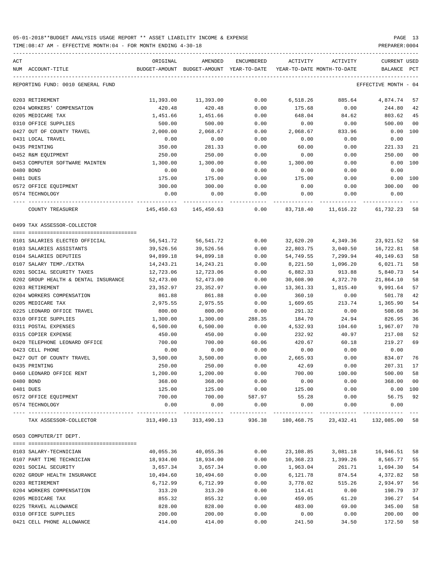TIME:08:47 AM - EFFECTIVE MONTH:04 - FOR MONTH ENDING 4-30-18 PREPARER:0004

| ACT<br>NUM ACCOUNT-TITLE             | ORIGINAL   | AMENDED<br>BUDGET-AMOUNT BUDGET-AMOUNT YEAR-TO-DATE | ENCUMBERED           | ACTIVITY<br>YEAR-TO-DATE MONTH-TO-DATE | ACTIVITY              | <b>CURRENT USED</b><br>BALANCE PCT |                |
|--------------------------------------|------------|-----------------------------------------------------|----------------------|----------------------------------------|-----------------------|------------------------------------|----------------|
| REPORTING FUND: 0010 GENERAL FUND    |            |                                                     |                      |                                        |                       | EFFECTIVE MONTH - 04               |                |
| 0203 RETIREMENT                      | 11,393.00  | 11,393.00                                           | 0.00                 | 6,518.26                               | 885.64                | 4,874.74                           | 57             |
| 0204 WORKERS' COMPENSATION           | 420.48     | 420.48                                              | 0.00                 | 175.68                                 | 0.00                  | 244.80                             | 42             |
| 0205 MEDICARE TAX                    | 1,451.66   | 1,451.66                                            | 0.00                 | 648.04                                 | 84.62                 | 803.62                             | 45             |
| 0310 OFFICE SUPPLIES                 | 500.00     | 500.00                                              | 0.00                 | 0.00                                   | 0.00                  | 500.00                             | 0 <sub>0</sub> |
| 0427 OUT OF COUNTY TRAVEL            | 2,000.00   | 2,068.67                                            | 0.00                 | 2,068.67                               | 833.96                | $0.00$ 100                         |                |
| 0431 LOCAL TRAVEL                    | 0.00       | 0.00                                                | 0.00                 | 0.00                                   | 0.00                  | 0.00                               |                |
| 0435 PRINTING                        | 350.00     | 281.33                                              | 0.00                 | 60.00                                  | 0.00                  | 221.33                             | 21             |
| 0452 R&M EQUIPMENT                   | 250.00     | 250.00                                              | 0.00                 | 0.00                                   | 0.00                  | 250.00                             | 0 <sub>0</sub> |
| 0453 COMPUTER SOFTWARE MAINTEN       | 1,300.00   | 1,300.00                                            | 0.00                 | 1,300.00                               | 0.00                  | 0.00                               | 100            |
| 0480 BOND                            | 0.00       | 0.00                                                | 0.00                 | 0.00                                   | 0.00                  | 0.00                               |                |
| 0481 DUES                            | 175.00     | 175.00                                              | 0.00                 | 175.00                                 | 0.00                  | 0.00                               | 100            |
| 0572 OFFICE EQUIPMENT                | 300.00     | 300.00                                              | 0.00                 | 0.00                                   | 0.00                  | 300.00                             | 00             |
| 0574 TECHNOLOGY                      | 0.00       | 0.00                                                | 0.00                 | 0.00                                   | 0.00                  | 0.00                               |                |
| ---- -------                         |            |                                                     |                      |                                        |                       |                                    |                |
| COUNTY TREASURER                     |            | 145,450.63 145,450.63                               | 0.00                 | 83,718.40                              | 11,616.22             | 61,732.23                          | 58             |
| 0499 TAX ASSESSOR-COLLECTOR          |            |                                                     |                      |                                        |                       |                                    |                |
|                                      |            |                                                     |                      |                                        |                       |                                    |                |
| 0101 SALARIES ELECTED OFFICIAL       | 56,541.72  | 56,541.72                                           | 0.00                 | 32,620.20                              | 4,349.36              | 23,921.52                          | 58             |
| 0103 SALARIES ASSISTANTS             | 39,526.56  | 39,526.56                                           | 0.00                 | 22,803.75                              | 3,040.50              | 16,722.81                          | 58             |
| 0104 SALARIES DEPUTIES               | 94,899.18  | 94,899.18                                           | 0.00                 | 54,749.55                              | 7,299.94              | 40,149.63                          | 58             |
| 0107 SALARY TEMP./EXTRA              | 14,243.21  | 14,243.21                                           | 0.00                 | 8,221.50                               | 1,096.20              | 6,021.71                           | 58             |
| 0201 SOCIAL SECURITY TAXES           | 12,723.06  | 12,723.06                                           | 0.00                 | 6,882.33                               | 913.88                | 5,840.73                           | 54             |
| 0202 GROUP HEALTH & DENTAL INSURANCE | 52,473.00  | 52,473.00                                           | 0.00                 | 30,608.90                              | 4,372.70              | 21,864.10                          | 58             |
| 0203 RETIREMENT                      | 23,352.97  | 23,352.97                                           | 0.00                 | 13,361.33                              | 1,815.40              | 9,991.64                           | 57             |
| 0204 WORKERS COMPENSATION            | 861.88     | 861.88                                              | 0.00                 | 360.10                                 | 0.00                  | 501.78                             | 42             |
| 0205 MEDICARE TAX                    | 2,975.55   | 2,975.55                                            | 0.00                 | 1,609.65                               | 213.74                | 1,365.90                           | 54             |
| 0225 LEONARD OFFICE TRAVEL           | 800.00     | 800.00                                              | 0.00                 | 291.32                                 | 0.00                  | 508.68                             | 36             |
| 0310 OFFICE SUPPLIES                 | 1,300.00   | 1,300.00                                            | 288.35               | 184.70                                 | 24.94                 | 826.95                             | 36             |
| 0311 POSTAL EXPENSES                 | 6,500.00   | 6,500.00                                            | 0.00                 | 4,532.93                               | 104.60                | 1,967.07                           | 70             |
| 0315 COPIER EXPENSE                  | 450.00     | 450.00                                              | 0.00                 | 232.92                                 | 40.97                 | 217.08                             | 52             |
| 0420 TELEPHONE LEONARD OFFICE        | 700.00     | 700.00                                              | 60.06                | 420.67                                 | 60.18                 | 219.27                             | 69             |
| 0423 CELL PHONE                      | 0.00       | 0.00                                                | 0.00                 | 0.00                                   | 0.00                  | 0.00                               |                |
| 0427 OUT OF COUNTY TRAVEL            | 3,500.00   | 3,500.00                                            | 0.00                 | 2,665.93                               | 0.00                  | 834.07                             | 76             |
| 0435 PRINTING                        | 250.00     | 250.00                                              | 0.00                 | 42.69                                  | 0.00                  | 207.31                             | 17             |
| 0460 LEONARD OFFICE RENT             | 1,200.00   | 1,200.00                                            | 0.00                 | 700.00                                 | 100.00                | 500.00                             | 58             |
| 0480 BOND                            | 368.00     | 368.00                                              | 0.00                 | 0.00                                   | 0.00                  | 368.00                             | 0 <sub>0</sub> |
| 0481 DUES                            | 125.00     | 125.00                                              | 0.00                 | 125.00                                 | 0.00                  | $0.00$ 100                         |                |
| 0572 OFFICE EQUIPMENT                | 700.00     | 700.00                                              | 587.97               | 55.28                                  | 0.00                  | 56.75                              | 92             |
| 0574 TECHNOLOGY                      | 0.00       | 0.00                                                | 0.00<br>------------ | 0.00                                   | 0.00<br>------------- | 0.00                               |                |
| TAX ASSESSOR-COLLECTOR               | 313,490.13 | 313,490.13                                          | 936.38               |                                        | 180,468.75 23,432.41  | 132,085.00                         | 58             |
| 0503 COMPUTER/IT DEPT.               |            |                                                     |                      |                                        |                       |                                    |                |
|                                      |            |                                                     |                      |                                        |                       |                                    |                |
| 0103 SALARY-TECHNICIAN               | 40,055.36  | 40,055.36                                           | 0.00                 | 23,108.85                              | 3,081.18              | 16,946.51                          | 58             |
| 0107 PART TIME TECHNICIAN            | 18,934.00  | 18,934.00                                           | 0.00                 | 10,368.23                              | 1,399.26              | 8,565.77                           | 55             |
| 0201 SOCIAL SECURITY                 | 3,657.34   | 3,657.34                                            | 0.00                 | 1,963.04                               | 261.71                | 1,694.30                           | 54             |
| 0202 GROUP HEALTH INSURANCE          | 10,494.60  | 10,494.60                                           | 0.00                 | 6,121.78                               | 874.54                | 4,372.82                           | 58             |
| 0203 RETIREMENT                      | 6,712.99   | 6,712.99                                            | 0.00                 | 3,778.02                               | 515.26                | 2,934.97                           | 56             |
| 0204 WORKERS COMPENSATION            | 313.20     | 313.20                                              | 0.00                 | 114.41                                 | 0.00                  | 198.79                             | 37             |
| 0205 MEDICARE TAX                    | 855.32     | 855.32                                              | 0.00                 | 459.05                                 | 61.20                 | 396.27                             | 54             |
| 0225 TRAVEL ALLOWANCE                | 828.00     | 828.00                                              | 0.00                 | 483.00                                 | 69.00                 | 345.00                             | 58             |
| 0310 OFFICE SUPPLIES                 | 200.00     | 200.00                                              | 0.00                 | 0.00                                   | 0.00                  | 200.00                             | 0 <sub>0</sub> |

0421 CELL PHONE ALLOWANCE 414.00 414.00 0.00 241.50 34.50 172.50 58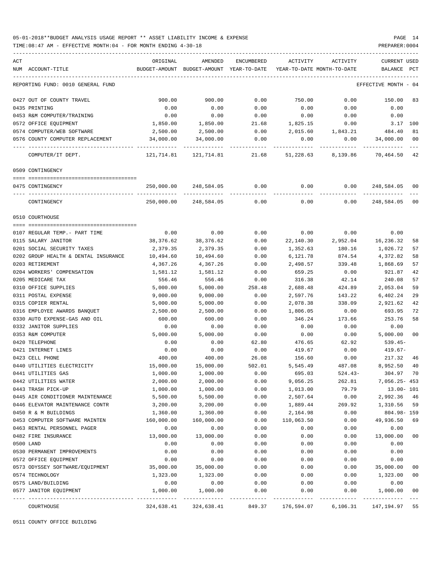TIME:08:47 AM - EFFECTIVE MONTH:04 - FOR MONTH ENDING 4-30-18 PREPARER:0004

| ACT                                               | ORIGINAL      | AMENDED                   | <b>ENCUMBERED</b> | ACTIVITY   | ACTIVITY                   | <b>CURRENT USED</b> |      |
|---------------------------------------------------|---------------|---------------------------|-------------------|------------|----------------------------|---------------------|------|
| NUM ACCOUNT-TITLE                                 | BUDGET-AMOUNT | BUDGET-AMOUNT             | YEAR-TO-DATE      |            | YEAR-TO-DATE MONTH-TO-DATE | <b>BALANCE</b>      | PCT  |
| REPORTING FUND: 0010 GENERAL FUND                 |               |                           |                   |            |                            | EFFECTIVE MONTH     | - 04 |
| 0427 OUT OF COUNTY TRAVEL                         | 900.00        | 900.00                    | 0.00              | 750.00     | 0.00                       | 150.00              | 83   |
| 0435 PRINTING                                     | 0.00          | 0.00                      | 0.00              | 0.00       | 0.00                       | 0.00                |      |
| 0453 R&M COMPUTER/TRAINING                        | 0.00          | 0.00                      | 0.00              | 0.00       | 0.00                       | 0.00                |      |
| 0572 OFFICE EQUIPMENT                             | 1,850.00      | 1,850.00                  | 21.68             | 1,825.15   | 0.00                       | 3.17                | 100  |
| 0574 COMPUTER/WEB SOFTWARE                        | 2,500.00      | 2,500.00                  | 0.00              | 2,015.60   | 1,843.21                   | 484.40              | 81   |
| 0576 COUNTY COMPUTER REPLACEMENT                  | 34,000.00     | 34,000.00                 | 0.00              | 0.00       | 0.00                       | 34,000.00           | 00   |
| COMPUTER/IT DEPT.                                 | 121,714.81    | 121,714.81                | 21.68             | 51,228.63  | 8,139.86                   | 70,464.50           | 42   |
| 0509 CONTINGENCY                                  |               |                           |                   |            |                            |                     |      |
|                                                   |               |                           |                   |            |                            |                     |      |
| 0475 CONTINGENCY                                  | 250,000.00    | 248,584.05                | 0.00              | 0.00       | 0.00                       | 248,584.05 00       |      |
| CONTINGENCY                                       | 250,000.00    | 248,584.05                | 0.00              | 0.00       | 0.00                       | 248,584.05          | 00   |
| 0510 COURTHOUSE                                   |               |                           |                   |            |                            |                     |      |
|                                                   |               |                           |                   |            |                            |                     |      |
| 0107 REGULAR TEMP. - PART TIME                    | 0.00          | 0.00                      | 0.00              | 0.00       | 0.00                       | 0.00                |      |
| 0115 SALARY JANITOR                               | 38,376.62     | 38,376.62                 | 0.00              | 22,140.30  | 2,952.04                   | 16,236.32           | 58   |
| 0201 SOCIAL SECURITY TAXES                        | 2,379.35      | 2,379.35                  | 0.00              | 1,352.63   | 180.16                     | 1,026.72            | 57   |
| 0202 GROUP HEALTH & DENTAL INSURANCE              | 10,494.60     | 10,494.60                 | 0.00              | 6,121.78   | 874.54                     | 4,372.82            | 58   |
| 0203 RETIREMENT                                   | 4,367.26      | 4,367.26                  | 0.00              | 2,498.57   | 339.48                     | 1,868.69            | 57   |
| 0204 WORKERS' COMPENSATION                        | 1,581.12      | 1,581.12                  | 0.00              | 659.25     | 0.00                       | 921.87              | 42   |
| 0205 MEDICARE TAX                                 | 556.46        | 556.46                    | 0.00              | 316.38     | 42.14                      | 240.08              | 57   |
| 0310 OFFICE SUPPLIES                              | 5,000.00      | 5,000.00                  | 258.48            | 2,688.48   | 424.89                     | 2,053.04            | 59   |
| 0311 POSTAL EXPENSE                               | 9,000.00      | 9,000.00                  | 0.00              | 2,597.76   | 143.22                     | 6,402.24            | 29   |
| 0315 COPIER RENTAL                                | 5,000.00      | 5,000.00                  | 0.00              | 2,078.38   | 338.09                     | 2,921.62            | 42   |
| 0316 EMPLOYEE AWARDS BANQUET                      | 2,500.00      | 2,500.00                  | 0.00              | 1,806.05   | 0.00                       | 693.95              | 72   |
| 0330 AUTO EXPENSE-GAS AND OIL                     | 600.00        | 600.00                    | 0.00              | 346.24     | 173.66                     | 253.76              | 58   |
| 0332 JANITOR SUPPLIES                             | 0.00          | 0.00                      | 0.00              | 0.00       | 0.00                       | 0.00                |      |
| 0353 R&M COMPUTER                                 | 5,000.00      | 5,000.00                  | 0.00              | 0.00       | 0.00                       | 5,000.00            | 00   |
| 0420 TELEPHONE                                    | 0.00          | 0.00                      | 62.80             | 476.65     | 62.92                      | 539.45-             |      |
| 0421 INTERNET LINES                               | 0.00          | 0.00                      | 0.00              | 419.67     | 0.00                       | 419.67-             |      |
| 0423 CELL PHONE                                   | 400.00        | 400.00                    | 26.08             | 156.60     | 0.00                       | 217.32              | 46   |
| 0440 UTILITIES ELECTRICITY                        | 15,000.00     | 15,000.00                 | 502.01            | 5,545.49   | 487.08                     | 8,952.50            | 40   |
| 0441 UTILITIES GAS                                | 1,000.00      | 1,000.00                  | 0.00              | 695.03     | $524.43-$                  | 304.97 70           |      |
| 0442 UTILITIES WATER                              | 2,000.00      | 2,000.00                  | 0.00              | 9,056.25   | 262.81                     | 7,056.25- 453       |      |
| 0443 TRASH PICK-UP                                | 1,000.00      | 1,000.00                  | 0.00              | 1,013.00   | 79.79                      | $13.00 - 101$       |      |
| 0445 AIR CONDITIONER MAINTENANCE                  | 5,500.00      | 5,500.00                  | 0.00              | 2,507.64   | 0.00                       | 2,992.36            | 46   |
| 0446 ELEVATOR MAINTENANCE CONTR                   | 3,200.00      | 3,200.00                  | 0.00              | 1,889.44   | 269.92                     | 1,310.56            | 59   |
| 0450 R & M BUILDINGS                              | 1,360.00      | 1,360.00                  | 0.00              | 2,164.98   | 0.00                       | 804.98-159          |      |
| 0453 COMPUTER SOFTWARE MAINTEN                    | 160,000.00    | 160,000.00                | 0.00              | 110,063.50 | 0.00                       | 49,936.50           | 69   |
| 0463 RENTAL PERSONNEL PAGER                       | 0.00          | 0.00                      | 0.00              | 0.00       | 0.00                       | 0.00                |      |
| 0482 FIRE INSURANCE                               | 13,000.00     | 13,000.00                 | 0.00              | 0.00       | 0.00                       | 13,000.00           | 00   |
| 0500 LAND                                         | 0.00          | 0.00                      | 0.00              | 0.00       | 0.00                       | 0.00                |      |
| 0530 PERMANENT IMPROVEMENTS                       | 0.00          | 0.00                      | 0.00              | 0.00       | 0.00                       | 0.00                |      |
| 0572 OFFICE EQUIPMENT                             | 0.00          | 0.00                      | 0.00              | 0.00       | 0.00                       | 0.00                |      |
| 0573 ODYSSEY SOFTWARE/EQUIPMENT                   | 35,000.00     | 35,000.00                 | 0.00              | 0.00       | 0.00                       | 35,000.00           | 00   |
| 0574 TECHNOLOGY                                   | 1,323.00      | 1,323.00                  | 0.00              | 0.00       | 0.00                       | 1,323.00            | 00   |
| 0575 LAND/BUILDING                                | 0.00          | 0.00                      | 0.00              | 0.00       | 0.00                       | 0.00                |      |
| 0577 JANITOR EQUIPMENT<br>---- ------------------ | 1,000.00      | 1,000.00<br>------------- | 0.00              | 0.00       | 0.00                       | 1,000.00            | 00   |
| COURTHOUSE                                        | 324,638.41    | 324,638.41                | 849.37            | 176,594.07 | 6,106.31                   | 147,194.97          | 55   |

0511 COUNTY OFFICE BUILDING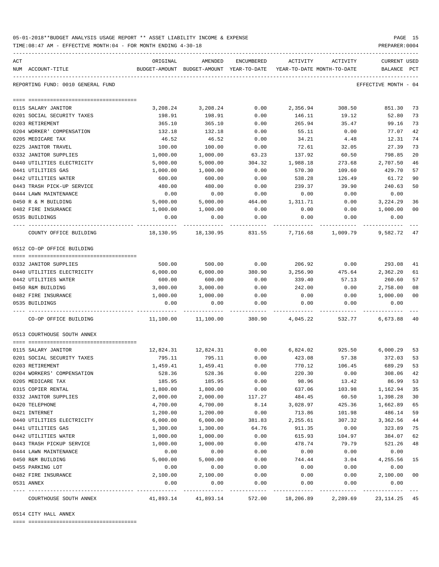| 05-01-2018**BUDGET ANALYSIS USAGE REPORT ** ASSET LIABILITY INCOME & EXPENSE |  |  |  | PAGE |  |
|------------------------------------------------------------------------------|--|--|--|------|--|
|                                                                              |  |  |  |      |  |

TIME:08:47 AM - EFFECTIVE MONTH:04 - FOR MONTH ENDING 4-30-18 PREPARER:0004

| ACT |                                          | ORIGINAL             | AMENDED                                                             | ENCUMBERED   | ACTIVITY     | ACTIVITY     | CURRENT USED         |          |
|-----|------------------------------------------|----------------------|---------------------------------------------------------------------|--------------|--------------|--------------|----------------------|----------|
|     | NUM ACCOUNT-TITLE                        |                      | BUDGET-AMOUNT BUDGET-AMOUNT YEAR-TO-DATE YEAR-TO-DATE MONTH-TO-DATE |              |              |              | BALANCE PCT          |          |
|     | REPORTING FUND: 0010 GENERAL FUND        |                      |                                                                     |              |              |              | EFFECTIVE MONTH - 04 |          |
|     |                                          |                      |                                                                     |              |              |              |                      |          |
|     | 0115 SALARY JANITOR                      | 3,208.24             | 3,208.24                                                            | 0.00         | 2,356.94     | 308.50       | 851.30               | 73       |
|     | 0201 SOCIAL SECURITY TAXES               | 198.91               | 198.91                                                              | 0.00         | 146.11       | 19.12        | 52.80                | 73       |
|     | 0203 RETIREMENT                          | 365.10               | 365.10                                                              | 0.00         | 265.94       | 35.47        | 99.16                | 73       |
|     | 0204 WORKER' COMPENSATION                | 132.18               | 132.18                                                              | 0.00         | 55.11        | 0.00         | 77.07                | 42       |
|     | 0205 MEDICARE TAX                        | 46.52                | 46.52                                                               | 0.00         | 34.21        | 4.48         | 12.31                | 74       |
|     | 0225 JANITOR TRAVEL                      | 100.00               | 100.00                                                              | 0.00         | 72.61        | 32.05        | 27.39                | 73       |
|     | 0332 JANITOR SUPPLIES                    | 1,000.00             | 1,000.00                                                            | 63.23        | 137.92       | 60.50        | 798.85               | 20       |
|     | 0440 UTILITIES ELECTRICITY               | 5,000.00             | 5,000.00                                                            | 304.32       | 1,988.18     | 273.68       | 2,707.50             | 46       |
|     | 0441 UTILITIES GAS                       | 1,000.00             | 1,000.00                                                            | 0.00         | 570.30       | 109.60       | 429.70               | 57       |
|     | 0442 UTILITIES WATER                     | 600.00               | 600.00                                                              | 0.00         | 538.28       | 126.49       | 61.72                | 90       |
|     | 0443 TRASH PICK-UP SERVICE               | 480.00               | 480.00                                                              | 0.00         | 239.37       | 39.90        | 240.63               | 50       |
|     | 0444 LAWN MAINTENANCE                    | 0.00                 | 0.00                                                                | 0.00         | 0.00         | 0.00         | 0.00                 |          |
|     | 0450 R & M BUILDING                      | 5,000.00             | 5,000.00                                                            | 464.00       | 1,311.71     | 0.00         | 3,224.29             | 36       |
|     | 0482 FIRE INSURANCE                      | 1,000.00             | 1,000.00                                                            | 0.00         | 0.00         | 0.00         | 1,000.00             | 00       |
|     | 0535 BUILDINGS                           | 0.00                 | 0.00                                                                | 0.00         | 0.00         | 0.00         | 0.00                 |          |
|     | COUNTY OFFICE BUILDING                   | 18,130.95            | 18,130.95                                                           | 831.55       | 7,716.68     | 1,009.79     | 9,582.72 47          |          |
|     | 0512 CO-OP OFFICE BUILDING               |                      |                                                                     |              |              |              |                      |          |
|     |                                          |                      |                                                                     |              |              |              |                      |          |
|     | 0332 JANITOR SUPPLIES                    | 500.00               | 500.00                                                              | 0.00         | 206.92       | 0.00         | 293.08               | 41       |
|     | 0440 UTILITIES ELECTRICITY               | 6,000.00             | 6,000.00                                                            | 380.90       | 3,256.90     | 475.64       | 2,362.20<br>260.60   | 61<br>57 |
|     | 0442 UTILITIES WATER                     | 600.00               | 600.00<br>3,000.00                                                  | 0.00         | 339.40       | 57.13        |                      |          |
|     | 0450 R&M BUILDING<br>0482 FIRE INSURANCE | 3,000.00<br>1,000.00 |                                                                     | 0.00         | 242.00       | 0.00         | 2,758.00<br>1,000.00 | 08<br>00 |
|     | 0535 BUILDINGS                           | 0.00                 | 1,000.00<br>0.00                                                    | 0.00<br>0.00 | 0.00<br>0.00 | 0.00<br>0.00 | 0.00                 |          |
|     | CO-OP OFFICE BUILDING                    | 11,100.00            | 11,100.00                                                           | 380.90       | 4,045.22     | 532.77       | 6,673.88 40          |          |
|     |                                          |                      |                                                                     |              |              |              |                      |          |
|     | 0513 COURTHOUSE SOUTH ANNEX              |                      |                                                                     |              |              |              |                      |          |
|     | 0115 SALARY JANITOR                      |                      | 12,824.31   12,824.31                                               | 0.00         | 6,824.02     | 925.50       | 6,000.29             | 53       |
|     | 0201 SOCIAL SECURITY TAXES               | 795.11               | 795.11                                                              | 0.00         | 423.08       | 57.38        | 372.03               | 53       |
|     | 0203 RETIREMENT                          | 1,459.41             | 1,459.41                                                            | 0.00         | 770.12       | 106.45       | 689.29               | 53       |
|     | 0204 WORKERS' COMPENSATION               | 528.36               | 528.36                                                              | 0.00         | 220.30       | 0.00         | 308.06               | 42       |
|     | 0205 MEDICARE TAX                        | 185.95               | 185.95                                                              | 0.00         | 98.96        | 13.42        | 86.99                | 53       |
|     | 0315 COPIER RENTAL                       | 1,800.00             | 1,800.00                                                            | 0.00         | 637.06       | 103.98       | 1,162.94             | 35       |
|     | 0332 JANITOR SUPPLIES                    | 2,000.00             | 2,000.00                                                            | 117.27       | 484.45       | 60.50        | 1,398.28             | 30       |
|     | 0420 TELEPHONE                           | 4,700.00             | 4,700.00                                                            | 8.14         | 3,028.97     | 425.36       | 1,662.89             | 65       |
|     | 0421 INTERNET                            | 1,200.00             | 1,200.00                                                            | 0.00         | 713.86       | 101.98       | 486.14               | 59       |
|     | 0440 UTILITIES ELECTRICITY               | 6,000.00             | 6,000.00                                                            | 381.83       | 2,255.61     | 307.32       | 3,362.56             | 44       |
|     | 0441 UTILITIES GAS                       | 1,300.00             | 1,300.00                                                            | 64.76        | 911.35       | 0.00         | 323.89               | 75       |
|     | 0442 UTILITIES WATER                     | 1,000.00             | 1,000.00                                                            | 0.00         | 615.93       | 104.97       | 384.07               | 62       |
|     | 0443 TRASH PICKUP SERVICE                | 1,000.00             | 1,000.00                                                            | 0.00         | 478.74       | 79.79        | 521.26               | 48       |
|     | 0444 LAWN MAINTENANCE                    | 0.00                 | 0.00                                                                | 0.00         | 0.00         | 0.00         | 0.00                 |          |
|     | 0450 R&M BUILDING                        | 5,000.00             | 5,000.00                                                            | 0.00         | 744.44       | 3.04         | 4,255.56             | 15       |
|     | 0455 PARKING LOT                         | 0.00                 | 0.00                                                                | 0.00         | 0.00         | 0.00         | 0.00                 |          |
|     | 0482 FIRE INSURANCE                      | 2,100.00             | 2,100.00                                                            | 0.00         | 0.00         | 0.00         | 2,100.00             | 00       |
|     | 0531 ANNEX                               | 0.00                 | 0.00                                                                | 0.00         | 0.00         | 0.00         | 0.00                 |          |
|     | COURTHOUSE SOUTH ANNEX                   | 41,893.14            | 41,893.14                                                           | 572.00       | 18,206.89    | 2,289.69     | 23, 114. 25 45       |          |

0514 CITY HALL ANNEX

==== ===================================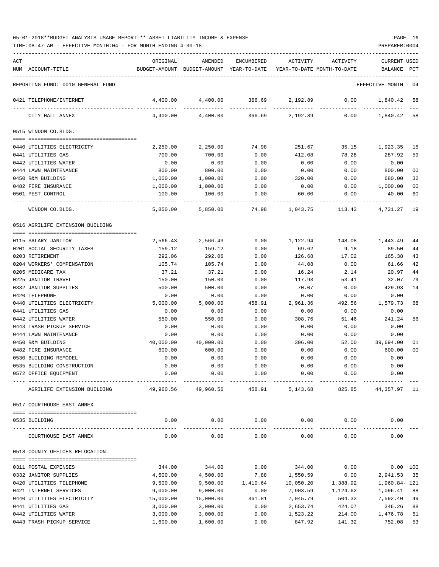TIME:08:47 AM - EFFECTIVE MONTH:04 - FOR MONTH ENDING 4-30-18 PREPARER:0004

| ACT | NUM ACCOUNT-TITLE                            | ORIGINAL       | AMENDED<br>BUDGET-AMOUNT BUDGET-AMOUNT YEAR-TO-DATE YEAR-TO-DATE MONTH-TO-DATE | ENCUMBERED         | ACTIVITY            | ACTIVITY            | <b>CURRENT USED</b><br>BALANCE PCT |                      |
|-----|----------------------------------------------|----------------|--------------------------------------------------------------------------------|--------------------|---------------------|---------------------|------------------------------------|----------------------|
|     | REPORTING FUND: 0010 GENERAL FUND            |                |                                                                                |                    |                     |                     | EFFECTIVE MONTH - 04               |                      |
|     |                                              |                |                                                                                |                    |                     |                     |                                    |                      |
|     | 0421 TELEPHONE/INTERNET                      | 4,400.00       | 4,400.00                                                                       | 366.69             |                     | 2,192.89 0.00       | 1,840.42                           | -58                  |
|     | CITY HALL ANNEX                              | 4,400.00       | 4,400.00                                                                       | 366.69             | 2,192.89            | 0.00                | 1,840.42 58                        |                      |
|     | 0515 WINDOM CO.BLDG.                         |                |                                                                                |                    |                     |                     |                                    |                      |
|     | 0440 UTILITIES ELECTRICITY                   | 2,250.00       | 2,250.00                                                                       | 74.98              | 251.67              | 35.15               | 1,923.35 15                        |                      |
|     | 0441 UTILITIES GAS                           | 700.00         | 700.00                                                                         | 0.00               | 412.08              | 78.28               | 287.92                             | 59                   |
|     | 0442 UTILITIES WATER                         | 0.00           | 0.00                                                                           | 0.00               | 0.00                | 0.00                | 0.00                               |                      |
|     | 0444 LAWN MAINTENANCE                        | 800.00         | 800.00                                                                         | 0.00               | 0.00                | 0.00                | 800.00                             | 00                   |
|     | 0450 R&M BUILDING                            | 1,000.00       | 1,000.00                                                                       | 0.00               | 320.00              | 0.00                | 680.00                             | 32                   |
|     | 0482 FIRE INSURANCE                          | 1,000.00       | 1,000.00                                                                       | 0.00               | 0.00                | 0.00                | 1,000.00                           | 00                   |
|     | 0501 PEST CONTROL                            | 100.00         | 100.00                                                                         | 0.00               | 60.00               | 0.00                | 40.00                              | 60                   |
|     | WINDOM CO.BLDG.                              | 5,850.00       | 5,850.00                                                                       | 74.98              | 1,043.75            | 113.43              | 4,731.27                           | 19                   |
|     | 0516 AGRILIFE EXTENSION BUILDING             |                |                                                                                |                    |                     |                     |                                    |                      |
|     | 0115 SALARY JANITOR                          | 2,566.43       | 2,566.43                                                                       | 0.00               | 1,122.94            | 148.08              | 1,443.49                           | 44                   |
|     | 0201 SOCIAL SECURITY TAXES                   | 159.12         | 159.12                                                                         | 0.00               | 69.62               | 9.18                | 89.50                              | 44                   |
|     | 0203 RETIREMENT                              | 292.06         | 292.06                                                                         | 0.00               | 126.68              | 17.02               | 165.38                             | 43                   |
|     | 0204 WORKERS' COMPENSATION                   | 105.74         | 105.74                                                                         | 0.00               | 44.08               | 0.00                | 61.66                              | 42                   |
|     | 0205 MEDICARE TAX                            | 37.21          | 37.21                                                                          | 0.00               | 16.24               | 2.14                | 20.97                              | 44                   |
|     | 0225 JANITOR TRAVEL                          | 150.00         | 150.00                                                                         | 0.00               | 117.93              | 53.41               | 32.07                              | 79                   |
|     | 0332 JANITOR SUPPLIES                        | 500.00         | 500.00                                                                         | 0.00               | 70.07               | 0.00                | 429.93                             | 14                   |
|     | 0420 TELEPHONE                               | 0.00           | 0.00                                                                           | 0.00               | 0.00                | 0.00                | 0.00                               |                      |
|     | 0440 UTILITIES ELECTRICITY                   | 5,000.00       | 5,000.00                                                                       | 458.91             | 2,961.36            | 492.56              | 1,579.73                           | 68                   |
|     | 0441 UTILITIES GAS                           | 0.00           | 0.00                                                                           | 0.00               | 0.00                | 0.00                | 0.00                               |                      |
|     | 0442 UTILITIES WATER                         | 550.00         | 550.00                                                                         | 0.00               | 308.76              | 51.46               | 241.24                             | 56                   |
|     | 0443 TRASH PICKUP SERVICE                    | 0.00           | 0.00                                                                           | 0.00               | 0.00                | 0.00                | 0.00                               |                      |
|     | 0444 LAWN MAINTENANCE                        | 0.00           | 0.00                                                                           | 0.00               | 0.00                | 0.00                | 0.00                               |                      |
|     | 0450 R&M BUILDING                            | 40,000.00      | 40,000.00                                                                      | 0.00               | 306.00              | 52.00               | 39,694.00                          | 01<br>0 <sub>0</sub> |
|     | 0482 FIRE INSURANCE<br>0530 BUILDING REMODEL | 600.00<br>0.00 | 600.00<br>0.00                                                                 | 0.00<br>0.00       | 0.00<br>0.00        | 0.00<br>0.00        | 600.00<br>0.00                     |                      |
|     | 0535 BUILDING CONSTRUCTION                   | 0.00           | 0.00                                                                           | 0.00               | 0.00                | 0.00                | 0.00                               |                      |
|     | 0572 OFFICE EQUIPMENT                        | 0.00           | 0.00                                                                           | 0.00               | 0.00                | 0.00                | 0.00                               |                      |
|     | AGRILIFE EXTENSION BUILDING                  |                | 49,960.56 49,960.56                                                            | 458.91             | 5,143.68            | 825.85              | 44,357.97 11                       |                      |
|     | 0517 COURTHOUSE EAST ANNEX                   |                |                                                                                |                    |                     |                     |                                    |                      |
|     |                                              |                |                                                                                |                    |                     |                     |                                    |                      |
|     | 0535 BUILDING                                | 0.00           | 0.00                                                                           | 0.00<br>---------- | 0.00<br>----------- | 0.00<br>----------- | 0.00                               |                      |
|     | COURTHOUSE EAST ANNEX                        | 0.00           | 0.00                                                                           | 0.00               | 0.00                | 0.00                | 0.00                               |                      |
|     | 0518 COUNTY OFFICES RELOCATION               |                |                                                                                |                    |                     |                     |                                    |                      |
|     | 0311 POSTAL EXPENSES                         | 344.00         | 344.00                                                                         | 0.00               | 344.00              | 0.00                |                                    | $0.00$ 100           |
|     | 0332 JANITOR SUPPLIES                        | 4,500.00       | 4,500.00                                                                       | 7.88               | 1,550.59            | 0.00                | 2,941.53                           | 35                   |
|     | 0420 UTILITIES TELEPHONE                     | 9,500.00       | 9,500.00                                                                       | 1,410.64           | 10,050.20           | 1,388.92            | 1,960.84- 121                      |                      |
|     | 0421 INTERNET SERVICES                       | 9,000.00       | 9,000.00                                                                       | 0.00               | 7,903.59            | 1,124.62            | 1,096.41                           | 88                   |
|     | 0440 UTILITIES ELECTRICITY                   | 15,000.00      | 15,000.00                                                                      | 361.81             | 7,045.79            | 504.33              | 7,592.40                           | 49                   |
|     | 0441 UTILITIES GAS                           | 3,000.00       | 3,000.00                                                                       | 0.00               | 2,653.74            | 424.07              | 346.26                             | 88                   |
|     | 0442 UTILITIES WATER                         | 3,000.00       | 3,000.00                                                                       | 0.00               | 1,523.22            | 214.00              | 1,476.78                           | 51                   |

0443 TRASH PICKUP SERVICE 1,600.00 1,600.00 0.00 847.92 141.32 752.08 53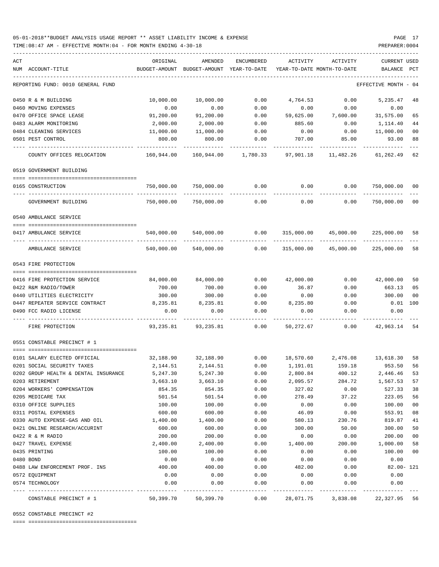### 05-01-2018\*\*BUDGET ANALYSIS USAGE REPORT \*\* ASSET LIABILITY INCOME & EXPENSE PAGE 17 TIME:08:47 AM - EFFECTIVE MONTH:04 - FOR MONTH ENDING 4-30-18 PREPARER:0004

| ACT |                                          | ORIGINAL        | AMENDED                                  | ENCUMBERED            | ACTIVITY  | ACTIVITY                                                          | CURRENT USED             |     |
|-----|------------------------------------------|-----------------|------------------------------------------|-----------------------|-----------|-------------------------------------------------------------------|--------------------------|-----|
|     | NUM ACCOUNT-TITLE                        |                 | BUDGET-AMOUNT BUDGET-AMOUNT YEAR-TO-DATE |                       |           | YEAR-TO-DATE MONTH-TO-DATE                                        | BALANCE                  | PCT |
|     | REPORTING FUND: 0010 GENERAL FUND        |                 |                                          |                       |           |                                                                   | EFFECTIVE MONTH - 04     |     |
|     | 0450 R & M BUILDING                      | 10,000.00       | 10,000.00                                | 0.00                  | 4,764.53  | 0.00                                                              | 5,235.47                 | 48  |
|     | 0460 MOVING EXPENSES                     | 0.00            | 0.00                                     | 0.00                  | 0.00      | 0.00                                                              | 0.00                     |     |
|     | 0470 OFFICE SPACE LEASE                  | 91,200.00       | 91,200.00                                | 0.00                  | 59,625.00 | 7,600.00                                                          | 31,575.00                | 65  |
|     | 0483 ALARM MONITORING                    | 2,000.00        | 2,000.00                                 | 0.00                  | 885.60    | 0.00                                                              | 1,114.40                 | 44  |
|     | 0484 CLEANING SERVICES                   | 11,000.00       | 11,000.00                                | 0.00                  | 0.00      | 0.00                                                              | 11,000.00                | 00  |
|     | 0501 PEST CONTROL                        | 800.00          | 800.00                                   | 0.00                  | 707.00    | 85.00                                                             | 93.00                    | 88  |
|     | COUNTY OFFICES RELOCATION                | 160,944.00      |                                          | 160,944.00 1,780.33   | 97,901.18 | 11,482.26                                                         | 61,262.49                | 62  |
|     | 0519 GOVERNMENT BUILDING                 |                 |                                          |                       |           |                                                                   |                          |     |
|     |                                          |                 |                                          |                       |           |                                                                   |                          |     |
|     | 0165 CONSTRUCTION<br>--- --------------- | 750,000.00<br>. | 750,000.00                               | 0.00                  | 0.00      | 0.00                                                              | 750,000.00<br>---------- | 00  |
|     | GOVERNMENT BUILDING                      | 750,000.00      | 750,000.00                               | 0.00                  | 0.00      | 0.00                                                              | 750,000.00 00            |     |
|     | 0540 AMBULANCE SERVICE                   |                 |                                          |                       |           |                                                                   |                          |     |
|     |                                          |                 |                                          |                       |           |                                                                   |                          |     |
|     | 0417 AMBULANCE SERVICE                   | 540,000.00      | 540,000.00                               | 0.00                  |           | 315,000.00 45,000.00                                              | 225,000.00               | 58  |
|     | AMBULANCE SERVICE                        | 540,000.00      | 540,000.00                               | 0.00                  |           | 315,000.00 45,000.00                                              | 225,000.00               | 58  |
|     | 0543 FIRE PROTECTION                     |                 |                                          |                       |           |                                                                   |                          |     |
|     |                                          |                 |                                          |                       |           |                                                                   |                          |     |
|     | 0416 FIRE PROTECTION SERVICE             | 84,000.00       | 84,000.00                                | 0.00                  | 42,000.00 |                                                                   | 0.00 42,000.00           | 50  |
|     | 0422 R&M RADIO/TOWER                     | 700.00          | 700.00                                   | 0.00                  | 36.87     | 0.00                                                              | 663.13                   | 05  |
|     | 0440 UTILITIES ELECTRICITY               | 300.00          | 300.00                                   | 0.00                  | 0.00      | 0.00                                                              | 300.00                   | 00  |
|     | 0447 REPEATER SERVICE CONTRACT           | 8,235.81        | 8,235.81                                 | 0.00                  | 8,235.80  | 0.00                                                              | $0.01$ 100               |     |
|     | 0490 FCC RADIO LICENSE                   | 0.00            | 0.00                                     | 0.00                  | 0.00      | 0.00                                                              | 0.00                     |     |
|     | FIRE PROTECTION                          |                 | 93,235.81 93,235.81                      | 0.00                  | 50,272.67 | 0.00                                                              | 42,963.14 54             |     |
|     | 0551 CONSTABLE PRECINCT # 1              |                 |                                          |                       |           |                                                                   |                          |     |
|     | 0101 SALARY ELECTED OFFICIAL             |                 |                                          |                       |           | $32,188.90$ $32,188.90$ $0.00$ $18,570.60$ $2,476.08$ $13,618.30$ |                          | 58  |
|     | 0201 SOCIAL SECURITY TAXES               | 2,144.51        | 2,144.51                                 | 0.00                  | 1,191.01  | 159.18                                                            | 953.50                   | 56  |
|     | 0202 GROUP HEALTH & DENTAL INSURANCE     | 5,247.30        | 5,247.30                                 | 0.00                  | 2,800.84  | 400.12                                                            | 2,446.46 53              |     |
|     | 0203 RETIREMENT                          | 3,663.10        | 3,663.10                                 | 0.00                  | 2,095.57  | 284.72                                                            | 1,567.53                 | 57  |
|     | 0204 WORKERS' COMPENSATION               | 854.35          | 854.35                                   | 0.00                  | 327.02    | 0.00                                                              | 527.33                   | 38  |
|     | 0205 MEDICARE TAX                        | 501.54          | 501.54                                   | 0.00                  | 278.49    | 37.22                                                             | 223.05                   | 56  |
|     | 0310 OFFICE SUPPLIES                     | 100.00          | 100.00                                   | 0.00                  | 0.00      | 0.00                                                              | 100.00                   | 00  |
|     | 0311 POSTAL EXPENSES                     | 600.00          | 600.00                                   | 0.00                  | 46.09     | 0.00                                                              | 553.91                   | 08  |
|     | 0330 AUTO EXPENSE-GAS AND OIL            | 1,400.00        | 1,400.00                                 | 0.00                  | 580.13    | 230.76                                                            | 819.87                   | 41  |
|     | 0421 ONLINE RESEARCH/ACCURINT            | 600.00          | 600.00                                   | 0.00                  | 300.00    | 50.00                                                             | 300.00                   | 50  |
|     | 0422 R & M RADIO                         | 200.00          | 200.00                                   | 0.00                  | 0.00      | 0.00                                                              | 200.00                   | 00  |
|     | 0427 TRAVEL EXPENSE                      | 2,400.00        | 2,400.00                                 | 0.00                  | 1,400.00  | 200.00                                                            | 1,000.00                 | 58  |
|     | 0435 PRINTING                            | 100.00          | 100.00                                   | 0.00                  | 0.00      | 0.00                                                              | 100.00                   | 00  |
|     | 0480 BOND                                | 0.00            | 0.00                                     | 0.00                  | 0.00      | 0.00                                                              | 0.00                     |     |
|     | 0488 LAW ENFORCEMENT PROF. INS           | 400.00          | 400.00                                   | 0.00                  | 482.00    | 0.00                                                              | $82.00 - 121$            |     |
|     | 0572 EQUIPMENT                           | 0.00            | 0.00                                     | 0.00                  | 0.00      | 0.00                                                              | 0.00                     |     |
|     | 0574 TECHNOLOGY                          | 0.00            | 0.00                                     | 0.00<br>$- - - - - -$ | 0.00      | 0.00                                                              | 0.00                     |     |
|     | CONSTABLE PRECINCT # 1                   | 50,399.70       | 50,399.70                                | 0.00                  | 28,071.75 | 3,838.08                                                          | 22,327.95 56             |     |

0552 CONSTABLE PRECINCT #2

==== ===================================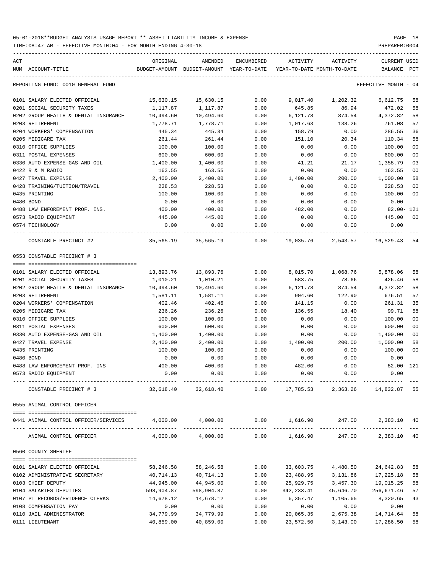| ACT<br>NUM ACCOUNT-TITLE                                           | ORIGINAL                                     | AMENDED<br>BUDGET-AMOUNT BUDGET-AMOUNT YEAR-TO-DATE | ENCUMBERED   | ACTIVITY           | ACTIVITY<br>YEAR-TO-DATE MONTH-TO-DATE                                     | CURRENT USED<br>BALANCE | PCT      |
|--------------------------------------------------------------------|----------------------------------------------|-----------------------------------------------------|--------------|--------------------|----------------------------------------------------------------------------|-------------------------|----------|
| REPORTING FUND: 0010 GENERAL FUND                                  |                                              |                                                     |              |                    |                                                                            | EFFECTIVE MONTH - 04    |          |
| 0101 SALARY ELECTED OFFICIAL                                       | 15,630.15                                    | 15,630.15                                           | 0.00         |                    | 9,017.40 1,202.32                                                          | 6,612.75                | 58       |
| 0201 SOCIAL SECURITY TAXES                                         | 1,117.87                                     | 1,117.87                                            | 0.00         | 645.85             | 86.94                                                                      | 472.02                  | 58       |
| 0202 GROUP HEALTH & DENTAL INSURANCE                               | 10,494.60                                    | 10,494.60                                           | 0.00         | 6,121.78           | 874.54                                                                     | 4,372.82                | 58       |
| 0203 RETIREMENT                                                    | 1,778.71                                     | 1,778.71                                            | 0.00         | 1,017.63           | 138.26                                                                     | 761.08                  | 57       |
| 0204 WORKERS' COMPENSATION                                         | 445.34                                       | 445.34                                              | 0.00         | 158.79             | 0.00                                                                       | 286.55                  | 36       |
| 0205 MEDICARE TAX                                                  | 261.44                                       | 261.44                                              | 0.00         | 151.10             | 20.34                                                                      | 110.34                  | 58       |
| 0310 OFFICE SUPPLIES                                               | 100.00                                       | 100.00                                              | 0.00         | 0.00               | 0.00                                                                       | 100.00                  | 00       |
| 0311 POSTAL EXPENSES                                               | 600.00                                       | 600.00                                              | 0.00         | 0.00               | 0.00                                                                       | 600.00                  | 00       |
| 0330 AUTO EXPENSE-GAS AND OIL                                      | 1,400.00                                     | 1,400.00                                            | 0.00         | 41.21              | 21.17                                                                      | 1,358.79                | 03       |
| 0422 R & M RADIO                                                   | 163.55                                       | 163.55                                              | 0.00         | 0.00               | 0.00                                                                       | 163.55                  | 00       |
| 0427 TRAVEL EXPENSE                                                | 2,400.00                                     | 2,400.00                                            | 0.00         | 1,400.00           | 200.00                                                                     | 1,000.00                | 58       |
| 0428 TRAINING/TUITION/TRAVEL                                       | 228.53                                       | 228.53                                              | 0.00         | 0.00               | 0.00                                                                       | 228.53                  | 00       |
| 0435 PRINTING                                                      | 100.00                                       | 100.00                                              | 0.00         | 0.00               | 0.00                                                                       | 100.00                  | 00       |
| 0480 BOND                                                          | 0.00                                         | 0.00                                                | 0.00         | 0.00               | 0.00                                                                       | 0.00                    |          |
| 0488 LAW ENFOREMENT PROF. INS.                                     | 400.00                                       | 400.00                                              | 0.00         | 482.00             | 0.00                                                                       | 82.00- 121              |          |
| 0573 RADIO EQUIPMENT                                               | 445.00                                       | 445.00                                              | 0.00         | 0.00               | 0.00                                                                       | 445.00                  | 00       |
| 0574 TECHNOLOGY                                                    | 0.00                                         | 0.00                                                | 0.00         | 0.00               | 0.00                                                                       | 0.00                    |          |
| CONSTABLE PRECINCT #2                                              |                                              |                                                     |              |                    | 35,565.19   35,565.19      0.00    19,035.76    2,543.57    16,529.43   54 |                         |          |
| 0553 CONSTABLE PRECINCT # 3                                        |                                              |                                                     |              |                    |                                                                            |                         |          |
|                                                                    |                                              |                                                     |              |                    |                                                                            |                         |          |
| 0101 SALARY ELECTED OFFICIAL                                       | 13,893.76                                    | 13,893.76                                           | 0.00<br>0.00 |                    | 8,015.70 1,068.76                                                          | 5,878.06                | 58<br>58 |
| 0201 SOCIAL SECURITY TAXES<br>0202 GROUP HEALTH & DENTAL INSURANCE | 1,010.21<br>10,494.60                        | 1,010.21<br>10,494.60                               | 0.00         | 583.75<br>6,121.78 | 78.66<br>874.54                                                            | 426.46<br>4,372.82      | 58       |
| 0203 RETIREMENT                                                    | 1,581.11                                     | 1,581.11                                            | 0.00         | 904.60             | 122.90                                                                     | 676.51                  | 57       |
| 0204 WORKERS' COMPENSATION                                         | 402.46                                       | 402.46                                              | 0.00         | 141.15             | 0.00                                                                       | 261.31                  | 35       |
| 0205 MEDICARE TAX                                                  | 236.26                                       | 236.26                                              | 0.00         | 136.55             | 18.40                                                                      | 99.71                   | 58       |
| 0310 OFFICE SUPPLIES                                               | 100.00                                       | 100.00                                              | 0.00         | 0.00               | 0.00                                                                       | 100.00                  | 00       |
| 0311 POSTAL EXPENSES                                               | 600.00                                       | 600.00                                              | 0.00         | 0.00               | 0.00                                                                       | 600.00                  | 00       |
| 0330 AUTO EXPENSE-GAS AND OIL                                      | 1,400.00                                     | 1,400.00                                            | 0.00         | 0.00               | 0.00                                                                       | 1,400.00                | 00       |
| 0427 TRAVEL EXPENSE                                                | 2,400.00                                     | 2,400.00                                            | 0.00         | 1,400.00           | 200.00                                                                     | 1,000.00                | 58       |
| 0435 PRINTING                                                      | 100.00                                       | 100.00                                              | 0.00         | 0.00               | 0.00                                                                       | 100.00                  | 00       |
| 0480 BOND                                                          | 0.00                                         | 0.00                                                | 0.00         | 0.00               | 0.00                                                                       | 0.00                    |          |
| 0488 LAW ENFORCEMENT PROF. INS                                     | 400.00                                       | 400.00                                              | 0.00         | 482.00             | 0.00                                                                       | $82.00 - 121$           |          |
| 0573 RADIO EQUIPMENT                                               | 0.00                                         | 0.00                                                | 0.00         | 0.00               | 0.00                                                                       | 0.00                    |          |
| CONSTABLE PRECINCT # 3                                             | -------------- ----------------<br>32,618.40 | 32,618.40                                           | 0.00         |                    | 17,785.53 2,363.26 14,832.87 55                                            |                         |          |
| 0555 ANIMAL CONTROL OFFICER                                        |                                              |                                                     |              |                    |                                                                            |                         |          |
| 0441 ANIMAL CONTROL OFFICER/SERVICES                               |                                              |                                                     |              |                    | $4,000.00$ $4,000.00$ $0.00$ $1,616.90$ $247.00$ $2,383.10$ $40$           |                         |          |
| ANIMAL CONTROL OFFICER                                             |                                              | 4,000.00 4,000.00                                   |              | 0.00 1,616.90      | 247.00                                                                     | 2,383.10 40             |          |
| 0560 COUNTY SHERIFF                                                |                                              |                                                     |              |                    |                                                                            |                         |          |
|                                                                    | 58,246.58                                    | 58,246.58                                           | 0.00         | 33,603.75          | 4,480.50                                                                   | 24,642.83               | 58       |
| 0101 SALARY ELECTED OFFICIAL<br>0102 ADMINISTRATIVE SECRETARY      | 40,714.13                                    | 40,714.13                                           | 0.00         | 23,488.95          | 3,131.86                                                                   | 17,225.18               | 58       |
| 0103 CHIEF DEPUTY                                                  | 44,945.00                                    | 44,945.00                                           | 0.00         | 25,929.75          | 3,457.30                                                                   | 19,015.25               | 58       |
| 0104 SALARIES DEPUTIES                                             | 598,904.87                                   | 598,904.87                                          | 0.00         | 342,233.41         | 45,646.70                                                                  | 256,671.46              | 57       |
| 0107 PT RECORDS/EVIDENCE CLERKS                                    | 14,678.12                                    | 14,678.12                                           | 0.00         | 6,357.47           | 1,105.65                                                                   | 8,320.65                | 43       |
| 0108 COMPENSATION PAY                                              | 0.00                                         | 0.00                                                | 0.00         | 0.00               | 0.00                                                                       | 0.00                    |          |
| 0110 JAIL ADMINISTRATOR                                            | 34,779.99                                    | 34,779.99                                           | 0.00         | 20,065.35          | 2,675.38                                                                   | 14,714.64               | 58       |
| 0111 LIEUTENANT                                                    | 40,859.00                                    | 40,859.00                                           | 0.00         | 23,572.50          | 3,143.00                                                                   | 17,286.50               | 58       |
|                                                                    |                                              |                                                     |              |                    |                                                                            |                         |          |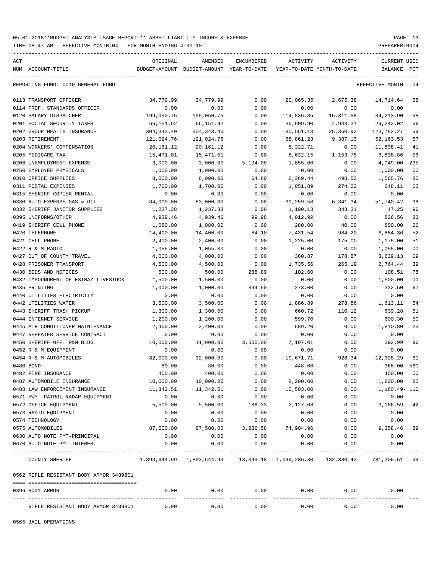| ACT |                                         | ORIGINAL    | AMENDED                                  | ENCUMBERED     | ACTIVITY   | ACTIVITY                   | CURRENT USED         |                |
|-----|-----------------------------------------|-------------|------------------------------------------|----------------|------------|----------------------------|----------------------|----------------|
|     | NUM ACCOUNT-TITLE                       |             | BUDGET-AMOUNT BUDGET-AMOUNT YEAR-TO-DATE |                |            | YEAR-TO-DATE MONTH-TO-DATE | BALANCE              | PCT            |
|     | REPORTING FUND: 0010 GENERAL FUND       |             |                                          |                |            |                            | EFFECTIVE MONTH - 04 |                |
|     | 0113 TRANSPORT OFFICER                  | 34,779.99   | 34,779.99                                | 0.00           | 20,065.35  | 2,675.38                   | 14,714.64            | 58             |
|     | 0114 PROF. STANDARDS OFFICER            | 0.00        | 0.00                                     | 0.00           | 0.00       | 0.00                       | 0.00                 |                |
|     | 0120 SALARY DISPATCHER                  | 199,050.75  | 199,050.75                               | 0.00           | 114,836.85 | 15, 311.58                 | 84, 213.90           | 58             |
|     | 0201 SOCIAL SECURITY TAXES              | 66,151.92   | 66,151.92                                | 0.00           | 36,909.90  | 4,933.31                   | 29,242.02            | 56             |
|     | 0202 GROUP HEALTH INSURANCE             | 304, 343.40 | 304, 343.40                              | 0.00           | 180,561.13 | 25,360.92                  | 123,782.27           | 59             |
|     | 0203 RETIREMENT                         | 121,024.76  | 121,024.76                               | 0.00           | 68,861.23  | 9,387.13                   | 52, 163.53           | 57             |
|     | 0204 WORKERS' COMPENSATION              | 20,161.12   | 20,161.12                                | 0.00           | 8,322.71   | 0.00                       | 11,838.41            | 41             |
|     | 0205 MEDICARE TAX                       | 15,471.01   | 15,471.01                                | 0.00           | 8,632.15   | 1,153.75                   | 6,838.86             | 56             |
|     | 0206 UNEMPLOYMENT EXPENSE               | 3,000.00    | 3,000.00                                 | 5,194.00       | 1,855.00   | 0.00                       | $4,049.00 - 235$     |                |
|     | 0250 EMPLOYEE PHYSICALS                 | 1,000.00    | 1,000.00                                 | 0.00           | 0.00       | 0.00                       | 1,000.00             | 00             |
|     | 0310 OFFICE SUPPLIES                    | 8,000.00    | 8,000.00                                 | 64.80          | 6,369.44   | 498.52                     | 1,565.76             | 80             |
|     | 0311 POSTAL EXPENSES                    | 1,700.00    | 1,700.00                                 | 0.00           | 1,051.89   | 274.22                     | 648.11               | 62             |
|     | 0315 SHERIFF COPIER RENTAL              | 0.00        | 0.00                                     | 0.00           | 0.00       | 0.00                       | 0.00                 |                |
|     | 0330 AUTO EXPENSE GAS & OIL             | 84,000.00   | 83,000.00                                | 0.00           | 31,259.58  | 6,341.34                   | 51,740.42            | 38             |
|     | 0332 SHERIFF JANITOR SUPPLIES           | 1,237.38    | 1,237.38                                 | 0.00           | 1,190.13   | 343.31                     | 47.25                | 96             |
|     | 0395 UNIFORMS/OTHER                     | 4,939.46    | 4,939.46                                 | 99.98          | 4,012.92   | 0.00                       | 826.56               | 83             |
|     | 0419 SHERIFF CELL PHONE                 | 1,080.00    | 1,080.00                                 | 0.00           | 280.00     | 40.00                      | 800.00               | 26             |
|     | 0420 TELEPHONE                          | 14,400.00   | 14,400.00                                | 84.10          | 7,431.54   | 984.20                     | 6,884.36             | 52             |
|     | 0421 CELL PHONE                         | 2,400.00    | 2,400.00                                 | 0.00           | 1,225.00   | 175.00                     | 1,175.00             | 51             |
|     | 0422 R & M RADIO                        | 1,055.00    | 1,055.00                                 | 0.00           | 0.00       | 0.00                       | 1,055.00             | 0 <sub>0</sub> |
|     | 0427 OUT OF COUNTY TRAVEL               | 4,000.00    | 4,000.00                                 | 0.00           | 360.87     | 178.87                     | 3,639.13             | 09             |
|     | 0428 PRISONER TRANSPORT                 | 4,500.00    | 4,500.00                                 | 0.00           | 1,735.56   | 265.19                     | 2,764.44             | 39             |
|     | 0430 BIDS AND NOTICES                   | 500.00      | 500.00                                   |                |            |                            | 108.51               | 78             |
|     | 0432 IMPOUNDMENT OF ESTRAY LIVESTOCK    | 1,500.00    | 1,500.00                                 | 288.89<br>0.00 | 102.60     | 0.00                       | 1,500.00             | 00             |
|     |                                         |             |                                          |                | 0.00       | 0.00                       |                      | 67             |
|     | 0435 PRINTING                           | 1,000.00    | 1,000.00                                 | 394.50         | 273.00     | 0.00                       | 332.50               |                |
|     | 0440 UTILITIES ELECTRICITY              | 0.00        | 0.00                                     | 0.00           | 0.00       | 0.00                       | 0.00                 |                |
|     | 0442 UTILITIES WATER                    | 3,500.00    | 3,500.00                                 | 0.00           | 1,886.89   | 278.86                     | 1,613.11             | 54             |
|     | 0443 SHERIFF TRASH PICKUP               | 1,300.00    | 1,300.00                                 | 0.00           | 660.72     | 110.12                     | 639.28               | 51             |
|     | 0444 INTERNET SERVICE                   | 1,200.00    | 1,200.00                                 | 0.00           | 599.70     | 0.00                       | 600.30               | 50             |
|     | 0445 AIR CONDITIONER MAINTENANCE        | 2,400.00    | 2,400.00                                 | 0.00           | 589.20     | 0.00                       | 1,810.80             | 25             |
|     | 0447 REPEATER SERVICE CONTRACT          | 0.00        | 0.00                                     | 0.00           | 0.00       | 0.00                       | 0.00                 |                |
|     | 0450 SHERIFF OFF. R&M BLDG.             | 10,000.00   | 11,000.00                                | 3,500.00       | 7,107.01   | 0.00                       | 392.99               | 96             |
|     | 0452 R & M EQUIPMENT                    | 0.00        | 0.00                                     | 0.00           | 0.00       | 0.00                       | 0.00                 |                |
|     | 0454 R & M AUTOMOBILES                  | 32,000.00   | 32,000.00                                | 0.00           | 19,671.71  | 928.34                     | 12,328.29            | 61             |
|     | 0480 BOND                               | 80.00       | 80.00                                    | 0.00           | 448.00     | 0.00                       | $368.00 - 560$       |                |
|     | 0482 FIRE INSURANCE                     | 400.00      | 400.00                                   | 0.00           | 0.00       | 0.00                       | 400.00               | - 00           |
|     | 0487 AUTOMOBILE INSURANCE               | 10,000.00   | 10,000.00                                | 0.00           | 8,200.00   | 0.00                       | 1,800.00             | 82             |
|     | 0488 LAW ENFORCEMENT INSURANCE          | 11,342.51   | 11,342.51                                | 0.00           | 12,503.00  | 0.00                       | 1,160.49- 110        |                |
|     | 0571 HWY. PATROL RADAR EQUIPMENT        | 0.00        | 0.00                                     | 0.00           | 0.00       | 0.00                       | 0.00                 |                |
|     | 0572 OFFICE EQUIPMENT                   | 5,500.00    | 5,500.00                                 | 186.33         | 2,127.08   | 0.00                       | 3,186.59 42          |                |
|     | 0573 RADIO EQUIPMENT                    | 0.00        | 0.00                                     | 0.00           | 0.00       | 0.00                       | 0.00                 |                |
|     | 0574 TECHNOLOGY                         | 0.00        | 0.00                                     | 0.00           | 0.00       | 0.00                       | 0.00                 |                |
|     | 0575 AUTOMOBILES                        | 87,500.00   | 87,500.00                                | 3,236.58       | 74,904.96  | 0.00                       | 9,358.46             | 89             |
|     | 0630 AUTO NOTE PMT-PRINCIPAL            | 0.00        | 0.00                                     | 0.00           | 0.00       | 0.00                       | 0.00                 |                |
|     | 0670 AUTO NOTE PMT-INTEREST             | 0.00        | 0.00                                     | 0.00           | 0.00       | 0.00                       | 0.00                 |                |
|     | COUNTY SHERIFF                          |             |                                          |                |            | 132,880.43                 | 781,309.51 59        |                |
|     | 0562 RIFLE RESISTANT BODY ARMOR 3439801 |             |                                          |                |            |                            |                      |                |
|     |                                         |             |                                          |                |            |                            |                      |                |
|     | 0396 BODY ARMOR                         | 0.00        | 0.00                                     | 0.00           | 0.00       | 0.00                       | 0.00                 |                |
|     | RIFLE RESISTANT BODY ARMOR 3439801      | 0.00        | 0.00                                     | 0.00           | 0.00       | 0.00                       | 0.00                 |                |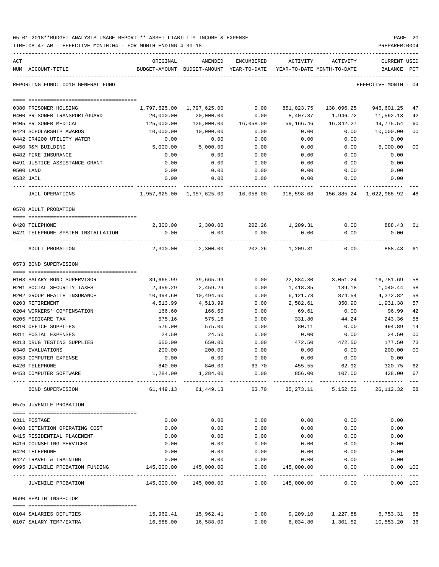| 05-01-2018**BUDGET ANALYSIS USAGE REPORT ** ASSET LIABILITY INCOME & EXPENSE | PAGE 20        |  |
|------------------------------------------------------------------------------|----------------|--|
| TIME:08:47 AM - EFFECTIVE MONTH:04 - FOR MONTH ENDING 4-30-18                | PREPARER: 0004 |  |

| ACT<br>NUM ACCOUNT-TITLE           | ORIGINAL     | AMENDED<br>BUDGET-AMOUNT BUDGET-AMOUNT YEAR-TO-DATE | ENCUMBERED | ACTIVITY<br>YEAR-TO-DATE MONTH-TO-DATE       | ACTIVITY           | CURRENT USED<br>BALANCE    | PCT            |
|------------------------------------|--------------|-----------------------------------------------------|------------|----------------------------------------------|--------------------|----------------------------|----------------|
| REPORTING FUND: 0010 GENERAL FUND  |              |                                                     |            |                                              |                    | EFFECTIVE MONTH - 04       |                |
| 0380 PRISONER HOUSING              | 1,797,625.00 | 1,797,625.00                                        |            | $0.00$ $851,023.75$ $138,096.25$             |                    | 946,601.25                 | 47             |
| 0400 PRISONER TRANSPORT/GUARD      | 20,000.00    | 20,000.00                                           | 0.00       | 8,407.87                                     | 1,946.72           | 11,592.13                  | 42             |
| 0405 PRISONER MEDICAL              | 125,000.00   | 125,000.00                                          | 16,058.00  | 59,166.46                                    | 16,842.27          | 49,775.54                  | 60             |
| 0429 SCHOLARSHIP AWARDS            | 10,000.00    | 10,000.00                                           | 0.00       | 0.00                                         | 0.00               | 10,000.00                  | 00             |
| 0442 CR4200 UTILITY WATER          | 0.00         | 0.00                                                | 0.00       | 0.00                                         | 0.00               | 0.00                       |                |
| 0450 R&M BUILDING                  | 5,000.00     | 5,000.00                                            | 0.00       | 0.00                                         | 0.00               | 5,000.00                   | 0 <sub>0</sub> |
| 0482 FIRE INSURANCE                | 0.00         | 0.00                                                | 0.00       | 0.00                                         | 0.00               | 0.00                       |                |
| 0491 JUSTICE ASSISTANCE GRANT      | 0.00         | 0.00                                                | 0.00       | 0.00                                         | 0.00               | 0.00                       |                |
| 0500 LAND                          | 0.00         | 0.00                                                | 0.00       | 0.00                                         | 0.00               | 0.00                       |                |
| 0532 JAIL                          | 0.00         | 0.00                                                | 0.00       | 0.00                                         | 0.00               | 0.00                       |                |
| <b>JAIL OPERATIONS</b>             |              | 1,957,625.00 1,957,625.00 16,058.00                 |            | 918,598.08                                   |                    | 156,885.24 1,022,968.92 48 |                |
| 0570 ADULT PROBATION               |              |                                                     |            |                                              |                    |                            |                |
|                                    |              |                                                     |            |                                              |                    |                            |                |
| 0420 TELEPHONE                     |              | 2,300.00 2,300.00 202.26 1,209.31                   |            |                                              |                    | $0.00$ 888.43              | 61             |
| 0421 TELEPHONE SYSTEM INSTALLATION | 0.00         | 0.00                                                | 0.00       | 0.00                                         | 0.00               | 0.00                       |                |
| ADULT PROBATION                    | 2,300.00     | 2,300.00                                            | 202.26     | 1,209.31                                     | 0.00               | 888.43                     | 61             |
| 0573 BOND SUPERVISION              |              |                                                     |            |                                              |                    |                            |                |
| 0103 SALARY-BOND SUPERVISOR        | 39,665.99    | 39,665.99                                           | 0.00       |                                              | 22,884.30 3,051.24 | 16,781.69                  | 58             |
| 0201 SOCIAL SECURITY TAXES         | 2,459.29     | 2,459.29                                            | 0.00       | 1,418.85                                     | 189.18             | 1,040.44                   | 58             |
| 0202 GROUP HEALTH INSURANCE        | 10,494.60    | 10,494.60                                           | 0.00       | 6,121.78                                     | 874.54             | 4,372.82                   | 58             |
| 0203 RETIREMENT                    | 4,513.99     | 4,513.99                                            | 0.00       | 2,582.61                                     | 350.90             | 1,931.38                   | 57             |
| 0204 WORKERS' COMPENSATION         | 166.60       | 166.60                                              | 0.00       | 69.61                                        | 0.00               | 96.99                      | 42             |
| 0205 MEDICARE TAX                  | 575.16       | 575.16                                              | 0.00       | 331.80                                       | 44.24              | 243.36                     | 58             |
| 0310 OFFICE SUPPLIES               | 575.00       | 575.00                                              | 0.00       | 80.11                                        | 0.00               | 494.89                     | 14             |
| 0311 POSTAL EXPENSES               | 24.50        | 24.50                                               | 0.00       | 0.00                                         | 0.00               | 24.50                      | 00             |
| 0313 DRUG TESTING SUPPLIES         | 650.00       | 650.00                                              | 0.00       | 472.50                                       | 472.50             | 177.50                     | 73             |
| 0340 EVALUATIONS                   | 200.00       | 200.00                                              | 0.00       | 0.00                                         | 0.00               | 200.00                     | 00             |
| 0353 COMPUTER EXPENSE              | 0.00         | 0.00                                                | 0.00       | 0.00                                         | 0.00               | 0.00                       |                |
| 0420 TELEPHONE                     | 840.00       | 840.00                                              | 63.70      | 455.55                                       | 62.92              | 320.75                     | 62             |
| 0453 COMPUTER SOFTWARE             | 1,284.00     | 1,284.00                                            | 0.00       | 856.00                                       | 107.00             | 428.00 67                  |                |
| BOND SUPERVISION                   | 61,449.13    | 61,449.13                                           |            |                                              |                    |                            |                |
| 0575 JUVENILE PROBATION            |              |                                                     |            |                                              |                    |                            |                |
| 0311 POSTAGE                       | 0.00         | 0.00                                                | 0.00       | 0.00                                         | 0.00               | 0.00                       |                |
| 0408 DETENTION OPERATING COST      | 0.00         | 0.00                                                | 0.00       | 0.00                                         | 0.00               | 0.00                       |                |
| 0415 RESIDENTIAL PLACEMENT         | 0.00         | 0.00                                                | 0.00       | 0.00                                         | 0.00               | 0.00                       |                |
| 0416 COUNSELING SERVICES           | 0.00         | 0.00                                                | 0.00       | 0.00                                         | 0.00               | 0.00                       |                |
| 0420 TELEPHONE                     | 0.00         | 0.00                                                | 0.00       | 0.00                                         | 0.00               | 0.00                       |                |
| 0427 TRAVEL & TRAINING             | 0.00         | 0.00                                                | 0.00       | 0.00                                         | 0.00               | 0.00                       |                |
| 0995 JUVENILE PROBATION FUNDING    | 145,000.00   | 145,000.00                                          | 0.00       | 145,000.00<br>------------------------------ | 0.00               | 0.00 100<br>----------     |                |
| JUVENILE PROBATION                 |              |                                                     | 0.00       | 145,000.00                                   | 0.00               | $0.00$ 100                 |                |
| 0590 HEALTH INSPECTOR              |              |                                                     |            |                                              |                    |                            |                |
| 0104 SALARIES DEPUTIES             | 15,962.41    | 15,962.41                                           | 0.00       |                                              | 9,209.10 1,227.88  | 6,753.31 58                |                |

0107 SALARY TEMP/EXTRA 16,588.00 16,588.00 0.00 6,034.80 1,301.52 10,553.20 36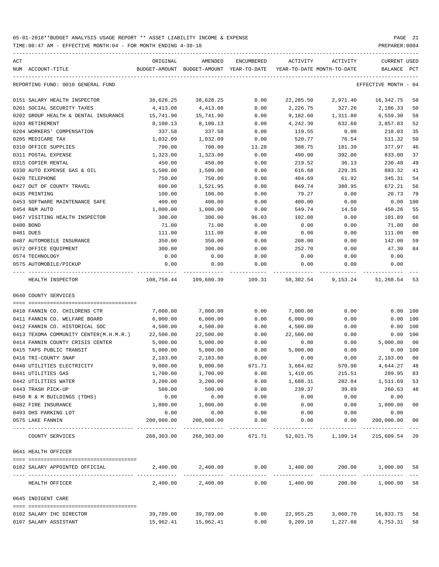| ACT       | NUM ACCOUNT-TITLE                                  | ORIGINAL             | AMENDED<br>BUDGET-AMOUNT BUDGET-AMOUNT YEAR-TO-DATE | ENCUMBERED   |                                   | ACTIVITY ACTIVITY<br>YEAR-TO-DATE MONTH-TO-DATE                | CURRENT USED<br>BALANCE PCT |                |
|-----------|----------------------------------------------------|----------------------|-----------------------------------------------------|--------------|-----------------------------------|----------------------------------------------------------------|-----------------------------|----------------|
|           | REPORTING FUND: 0010 GENERAL FUND                  |                      |                                                     |              |                                   |                                                                | EFFECTIVE MONTH - 04        |                |
|           | 0151 SALARY HEALTH INSPECTOR                       | 38,628.25            | 38,628.25                                           | 0.00         | 22,285.50                         | 2,971.40                                                       | 16,342.75                   | 58             |
|           | 0201 SOCIAL SECURITY TAXES                         | 4,413.08             | 4,413.08                                            | 0.00         | 2,226.75                          | 327.26                                                         | 2,186.33                    | 50             |
|           | 0202 GROUP HEALTH & DENTAL INSURANCE               | 15,741.90            | 15,741.90                                           | 0.00         | 9,182.60                          | 1,311.80                                                       | 6,559.30                    | 58             |
|           | 0203 RETIREMENT                                    | 8,100.13             | 8,100.13                                            | 0.00         | 4,242.30                          | 632.60                                                         | 3,857.83                    | 52             |
|           | 0204 WORKERS' COMPENSATION                         | 337.58               | 337.58                                              | 0.00         | 119.55                            | 0.00                                                           | 218.03                      | 35             |
|           | 0205 MEDICARE TAX                                  | 1,032.09             | 1,032.09                                            | 0.00         | 520.77                            | 76.54                                                          | 511.32                      | 50             |
|           | 0310 OFFICE SUPPLIES                               | 700.00               | 700.00                                              | 13.28        | 308.75                            | 181.39                                                         | 377.97                      | 46             |
|           | 0311 POSTAL EXPENSE                                | 1,323.00             | 1,323.00                                            | 0.00         | 490.00                            | 392.00                                                         | 833.00                      | 37             |
|           | 0315 COPIER RENTAL                                 | 450.00               | 450.00                                              | 0.00         | 219.52                            | 36.13                                                          | 230.48                      | 49             |
|           | 0330 AUTO EXPENSE GAS & OIL                        | 1,500.00             | 1,500.00                                            | 0.00         | 616.68                            | 229.35                                                         | 883.32                      | 41             |
|           | 0420 TELEPHONE                                     | 750.00               | 750.00                                              | 0.00         | 404.69                            | 61.92                                                          | 345.31                      | 54             |
|           | 0427 OUT OF COUNTY TRAVEL                          | 600.00               | 1,521.95                                            | 0.00         | 849.74                            | 388.95                                                         | 672.21                      | 56             |
|           | 0435 PRINTING                                      | 100.00               | 100.00                                              | 0.00         | 79.27                             | 0.00                                                           | 20.73                       | 79             |
|           | 0453 SOFTWARE MAINTENANCE SAFE                     | 400.00               | 400.00                                              | 0.00         | 400.00                            | 0.00                                                           | 0.00 100                    |                |
|           | 0454 R&M AUTO                                      | 1,000.00             | 1,000.00                                            | 0.00         | 549.74                            | 14.50                                                          | 450.26                      | 55             |
|           | 0467 VISITING HEALTH INSPECTOR                     | 300.00               | 300.00                                              | 96.03        | 102.08                            | 0.00                                                           | 101.89                      | 66             |
| 0480 BOND |                                                    | 71.00                | 71.00                                               | 0.00         | 0.00                              | 0.00                                                           | 71.00                       | 0 <sub>0</sub> |
| 0481 DUES |                                                    | 111.00               | 111.00                                              | 0.00         | 0.00                              | 0.00                                                           | 111.00                      | 0 <sub>0</sub> |
|           | 0487 AUTOMOBILE INSURANCE                          | 350.00               | 350.00                                              | 0.00         | 208.00                            | 0.00                                                           | 142.00                      | 59             |
|           | 0572 OFFICE EQUIPMENT                              | 300.00               | 300.00                                              | 0.00         | 252.70                            | 0.00                                                           | 47.30                       | 84             |
|           | 0574 TECHNOLOGY                                    | 0.00                 | 0.00                                                | 0.00         | 0.00                              | 0.00                                                           | 0.00                        |                |
|           | 0575 AUTOMOBILE/PICKUP                             | 0.00                 | 0.00                                                | 0.00         | 0.00                              | 0.00                                                           | 0.00                        |                |
|           | HEALTH INSPECTOR                                   |                      | 108,758.44 109,680.39 109.31                        |              |                                   | 58,302.54 9,153.24                                             | 51,268.54                   | 53             |
|           | 0640 COUNTY SERVICES                               |                      |                                                     |              |                                   |                                                                |                             |                |
|           |                                                    |                      |                                                     |              |                                   |                                                                |                             |                |
|           | 0410 FANNIN CO. CHILDRENS CTR                      | 7,000.00             | 7,000.00                                            | 0.00         | 7,000.00                          | 0.00                                                           | 0.00 100                    |                |
|           | 0411 FANNIN CO. WELFARE BOARD                      | 6,000.00             | 6,000.00                                            | 0.00         | 6,000.00                          | 0.00                                                           | 0.00 100                    |                |
|           | 0412 FANNIN CO. HISTORICAL SOC                     | 4,500.00             | 4,500.00                                            | 0.00         | 4,500.00                          | 0.00                                                           | 0.00 100                    |                |
|           | 0413 TEXOMA COMMUNITY CENTER(M.H.M.R.)             | 22,500.00            | 22,500.00                                           | 0.00         | 22,500.00                         | 0.00                                                           | 0.00 100                    |                |
|           | 0414 FANNIN COUNTY CRISIS CENTER                   | 5,000.00             | 5,000.00                                            | 0.00         | 0.00                              | 0.00                                                           | 5,000.00                    | 0 <sub>0</sub> |
|           | 0415 TAPS PUBLIC TRANSIT                           | 5,000.00             | 5,000.00                                            | 0.00         | 5,000.00                          | 0.00                                                           | 0.00 100                    |                |
|           | 0416 TRI-COUNTY SNAP                               | 2,103.00             | 2,103.00                                            | 0.00         | 0.00                              | 0.00                                                           | 2,103.00                    | 0 <sub>0</sub> |
|           | 0440 UTILITIES ELECTRICITY                         | 9,000.00<br>1,700.00 | 9,000.00                                            | 671.71       | 3,684.02                          | 570.90                                                         | 4,644.27                    | 48             |
|           | 0441 UTILITIES GAS                                 |                      | 1,700.00                                            | 0.00         | 1,410.05                          | 215.51                                                         | 289.95 83                   |                |
|           | 0442 UTILITIES WATER<br>0443 TRASH PICK-UP         | 3,200.00<br>500.00   | 3,200.00                                            | 0.00         | 1,688.31<br>239.37                | 282.84<br>39.89                                                | 1,511.69<br>260.63          | 53<br>48       |
|           |                                                    | 0.00                 | 500.00<br>0.00                                      | 0.00<br>0.00 |                                   |                                                                |                             |                |
|           | 0450 R & M BUILDINGS (TDHS)<br>0482 FIRE INSURANCE | 1,800.00             | 1,800.00                                            | 0.00         | 0.00<br>0.00                      | 0.00<br>0.00                                                   | 0.00<br>1,800.00            | 0 <sub>0</sub> |
|           | 0493 DHS PARKING LOT                               | 0.00                 | 0.00                                                | 0.00         | 0.00                              | 0.00                                                           | 0.00                        |                |
|           | 0575 LAKE FANNIN                                   | 200,000.00           | 200,000.00                                          | 0.00         | 0.00                              | 0.00                                                           | 200,000.00                  | 0 <sub>0</sub> |
|           | COUNTY SERVICES                                    |                      | 268,303.00 268,303.00                               |              |                                   | 671.71 52,021.75 1,109.14 215,609.54                           |                             | 20             |
|           | 0641 HEALTH OFFICER                                |                      |                                                     |              |                                   |                                                                |                             |                |
|           | 0102 SALARY APPOINTED OFFICIAL                     |                      |                                                     |              |                                   | $2,400.00$ $2,400.00$ $0.00$ $1,400.00$ $200.00$ $1,000.00$ 58 |                             |                |
|           | HEALTH OFFICER                                     |                      | 2,400.00 2,400.00                                   |              | --------------<br>$0.00$ 1,400.00 |                                                                | 200.00 1,000.00             | 58             |
|           | 0645 INDIGENT CARE                                 |                      |                                                     |              |                                   |                                                                |                             |                |
|           |                                                    |                      |                                                     |              |                                   |                                                                |                             |                |
|           | 0102 SALARY IHC DIRECTOR                           |                      | 39,789.00 39,789.00                                 |              | $0.00$ 22,955.25                  |                                                                | 3,060.70 16,833.75          | 58             |
|           | 0107 SALARY ASSISTANT                              |                      | 15,962.41 15,962.41                                 |              |                                   | $0.00$ 9,209.10 1,227.88 6,753.31                              |                             | 58             |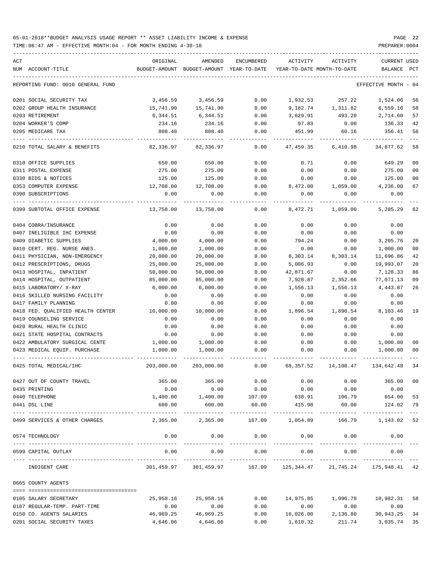| ACT<br>NUM ACCOUNT-TITLE          | ORIGINAL   | AMENDED<br>BUDGET-AMOUNT BUDGET-AMOUNT YEAR-TO-DATE | ENCUMBERED            | ACTIVITY                | ACTIVITY<br>YEAR-TO-DATE MONTH-TO-DATE                               | <b>CURRENT USED</b><br>BALANCE | PCT  |
|-----------------------------------|------------|-----------------------------------------------------|-----------------------|-------------------------|----------------------------------------------------------------------|--------------------------------|------|
|                                   |            |                                                     |                       |                         |                                                                      |                                |      |
| REPORTING FUND: 0010 GENERAL FUND |            |                                                     |                       |                         |                                                                      | EFFECTIVE MONTH                | - 04 |
| 0201 SOCIAL SECURITY TAX          | 3,456.59   | 3,456.59                                            | 0.00                  | 1,932.53                | 257.22                                                               | 1,524.06                       | 56   |
| 0202 GROUP HEALTH INSURANCE       | 15,741.90  | 15,741.90                                           | 0.00                  |                         | 9,182.74 1,311.82                                                    | 6,559.16                       | 58   |
| 0203 RETIREMENT                   | 6,344.51   | 6,344.51                                            | 0.00                  | 3,629.91                | 493.20                                                               | 2,714.60                       | 57   |
| 0204 WORKER'S COMP                | 234.16     | 234.16                                              | 0.00                  | 97.83                   | 0.00                                                                 | 136.33                         | 42   |
| 0205 MEDICARE TAX                 | 808.40     | 808.40                                              | 0.00                  | 451.99                  | 60.16                                                                | 356.41                         | 56   |
| 0210 TOTAL SALARY & BENEFITS      | 82,336.97  | 82,336.97                                           | 0.00                  | 47,459.35               | 6,410.98                                                             | 34,877.62                      | 58   |
| 0310 OFFICE SUPPLIES              | 650.00     | 650.00                                              | 0.00                  | 0.71                    | 0.00                                                                 | 649.29                         | 00   |
| 0311 POSTAL EXPENSE               | 275.00     | 275.00                                              | 0.00                  | 0.00                    | 0.00                                                                 | 275.00                         | 00   |
| 0330 BIDS & NOTICES               | 125.00     | 125.00                                              | 0.00                  | 0.00                    | 0.00                                                                 | 125.00                         | 00   |
| 0353 COMPUTER EXPENSE             | 12,708.00  | 12,708.00                                           | 0.00                  | 8,472.00                | 1,059.00                                                             | 4,236.00                       | 67   |
| 0390 SUBSCRIPTIONS                | 0.00       | 0.00                                                | 0.00                  | 0.00                    | 0.00                                                                 | 0.00                           |      |
| 0399 SUBTOTAL OFFICE EXPENSE      | 13,758.00  | 13,758.00                                           | 0.00                  | 8,472.71                | 1,059.00                                                             | 5,285.29                       | 62   |
| 0404 COBRA/INSURANCE              | 0.00       | 0.00                                                | 0.00                  | 0.00                    | 0.00                                                                 | 0.00                           |      |
| 0407 INELIGIBLE IHC EXPENSE       | 0.00       | 0.00                                                | 0.00                  | 0.00                    | 0.00                                                                 | 0.00                           |      |
| 0409 DIABETIC SUPPLIES            | 4,000.00   | 4,000.00                                            | 0.00                  | 794.24                  | 0.00                                                                 | 3,205.76                       | 20   |
| 0410 CERT. REG. NURSE ANES.       | 1,000.00   | 1,000.00                                            | 0.00                  | 0.00                    | 0.00                                                                 | 1,000.00                       | 00   |
| 0411 PHYSICIAN, NON-EMERGENCY     | 20,000.00  | 20,000.00                                           | 0.00                  | 8,303.14                | 8,303.14                                                             | 11,696.86                      | 42   |
| 0412 PRESCRIPTIONS, DRUGS         | 25,000.00  | 25,000.00                                           | 0.00                  | 5,006.93                | 0.00                                                                 | 19,993.07                      | 20   |
| 0413 HOSPITAL, INPATIENT          | 50,000.00  | 50,000.00                                           | 0.00                  | 42,871.67               | 0.00                                                                 | 7,128.33                       | 86   |
| 0414 HOSPITAL, OUTPATIENT         | 85,000.00  | 85,000.00                                           | 0.00                  | 7,928.87                | 2,352.66                                                             | 77,071.13                      | 09   |
| 0415 LABORATORY/ X-RAY            | 6,000.00   | 6,000.00                                            | 0.00                  | 1,556.13                | 1,556.13                                                             | 4,443.87                       | 26   |
| 0416 SKILLED NURSING FACILITY     | 0.00       | 0.00                                                | 0.00                  | 0.00                    | 0.00                                                                 | 0.00                           |      |
| 0417 FAMILY PLANNING              | 0.00       | 0.00                                                | 0.00                  | 0.00                    | 0.00                                                                 | 0.00                           |      |
| 0418 FED. QUALIFIED HEALTH CENTER | 10,000.00  | 10,000.00                                           | 0.00                  | 1,896.54                | 1,896.54                                                             | 8,103.46                       | 19   |
| 0419 COUNSELING SERVICE           | 0.00       |                                                     | 0.00                  |                         |                                                                      | 0.00                           |      |
|                                   |            | 0.00                                                |                       | 0.00                    | 0.00                                                                 |                                |      |
| 0420 RURAL HEALTH CLINIC          | 0.00       | 0.00                                                | 0.00                  | 0.00                    | 0.00                                                                 | 0.00                           |      |
| 0421 STATE HOSPITAL CONTRACTS     | 0.00       | 0.00                                                | 0.00                  | 0.00                    | 0.00                                                                 | 0.00                           |      |
| 0422 AMBULATORY SURGICAL CENTE    | 1,000.00   | 1,000.00                                            | 0.00                  | 0.00                    | 0.00                                                                 | 1,000.00                       | 00   |
| 0423 MEDICAL EOUIP. PURCHASE      | 1,000.00   | 1,000.00                                            | 0.00                  | 0.00                    | 0.00                                                                 | 1,000.00                       | 00   |
| 0425 TOTAL MEDICAL/IHC            | 203,000.00 | 203,000.00                                          | 0.00                  | 68,357.52               | 14,108.47                                                            | 134,642.48                     | 34   |
| 0427 OUT OF COUNTY TRAVEL         | 365.00     | 365.00                                              | 0.00                  | 0.00                    | 0.00                                                                 | 365.00                         | 00   |
| 0435 PRINTING                     | 0.00       | 0.00                                                | 0.00                  | 0.00                    | 0.00                                                                 | 0.00                           |      |
| 0440 TELEPHONE                    | 1,400.00   |                                                     |                       |                         | $1,400.00$ $107.09$ $638.91$ $106.79$ $654.00$                       |                                | 53   |
| 0441 DSL LINE                     | 600.00     | 600.00<br>-------------                             | 60.00<br>------------ | 415.98<br>------------- | 60.00                                                                | 124.02<br>-----------------    | 79   |
| 0499 SERVICES & OTHER CHARGES     |            | 2,365.00 2,365.00 167.09 1,054.89                   |                       |                         |                                                                      | 166.79 1,143.02 52             |      |
| 0574 TECHNOLOGY                   | 0.00       | 0.00                                                | 0.00                  | 0.00                    | 0.00                                                                 | 0.00                           |      |
| 0599 CAPITAL OUTLAY               | 0.00       | 0.00                                                | 0.00                  | 0.00                    | 0.00                                                                 | 0.00                           |      |
| INDIGENT CARE                     |            | -------------                                       |                       | ------------            | .<br>301,459.97 301,459.97 167.09 125,344.47 21,745.24 175,948.41 42 |                                |      |
| 0665 COUNTY AGENTS                |            |                                                     |                       |                         |                                                                      |                                |      |
|                                   |            |                                                     |                       |                         |                                                                      |                                |      |
| 0105 SALARY SECRETARY             | 25,958.16  | 25,958.16                                           | 0.00                  | 14,975.85               | 1,996.78                                                             | 10,982.31                      | 58   |
| 0107 REGULAR-TEMP. PART-TIME      | 0.00       | 0.00                                                | 0.00                  | 0.00                    | 0.00                                                                 | 0.00                           |      |
| 0150 CO. AGENTS SALARIES          | 46,969.25  | 46,969.25                                           | 0.00                  | 16,026.00               | 2,136.80                                                             | 30,943.25                      | 34   |
| 0201 SOCIAL SECURITY TAXES        | 4,646.06   | 4,646.06                                            | 0.00                  | 1,610.32                | 211.74                                                               | 3,035.74                       | 35   |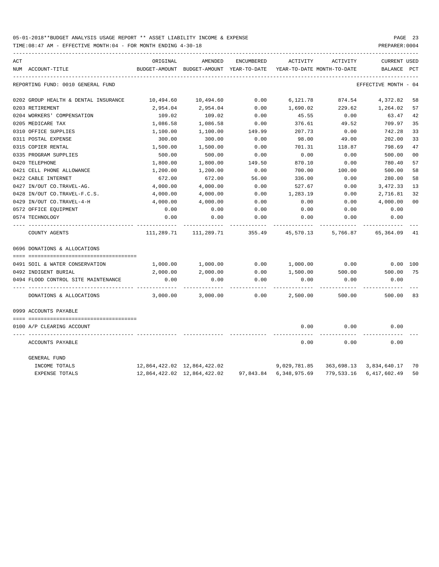| ACT |                                      | ORIGINAL                    | AMENDED                                                   | ENCUMBERED | ACTIVITY               | ACTIVITY                   | <b>CURRENT USED</b>     |                |
|-----|--------------------------------------|-----------------------------|-----------------------------------------------------------|------------|------------------------|----------------------------|-------------------------|----------------|
|     | NUM ACCOUNT-TITLE                    |                             | BUDGET-AMOUNT BUDGET-AMOUNT YEAR-TO-DATE                  |            |                        | YEAR-TO-DATE MONTH-TO-DATE | BALANCE                 | PCT            |
|     | REPORTING FUND: 0010 GENERAL FUND    |                             |                                                           |            |                        |                            | EFFECTIVE MONTH - 04    |                |
|     | 0202 GROUP HEALTH & DENTAL INSURANCE | 10,494.60                   | 10,494.60                                                 | 0.00       | 6,121.78               | 874.54                     | 4,372.82                | 58             |
|     | 0203 RETIREMENT                      | 2,954.04                    | 2,954.04                                                  | 0.00       | 1,690.02               | 229.62                     | 1,264.02                | 57             |
|     | 0204 WORKERS' COMPENSATION           | 109.02                      | 109.02                                                    | 0.00       | 45.55                  | 0.00                       | 63.47                   | 42             |
|     | 0205 MEDICARE TAX                    | 1,086.58                    | 1,086.58                                                  | 0.00       | 376.61                 | 49.52                      | 709.97                  | 35             |
|     | 0310 OFFICE SUPPLIES                 | 1,100.00                    | 1,100.00                                                  | 149.99     | 207.73                 | 0.00                       | 742.28                  | 33             |
|     | 0311 POSTAL EXPENSE                  | 300.00                      | 300.00                                                    | 0.00       | 98.00                  | 49.00                      | 202.00                  | 33             |
|     | 0315 COPIER RENTAL                   | 1,500.00                    | 1,500.00                                                  | 0.00       | 701.31                 | 118.87                     | 798.69                  | 47             |
|     | 0335 PROGRAM SUPPLIES                | 500.00                      | 500.00                                                    | 0.00       | 0.00                   | 0.00                       | 500.00                  | 0 <sub>0</sub> |
|     | 0420 TELEPHONE                       | 1,800.00                    | 1,800.00                                                  | 149.50     | 870.10                 | 0.00                       | 780.40                  | 57             |
|     | 0421 CELL PHONE ALLOWANCE            | 1,200.00                    | 1,200.00                                                  | 0.00       | 700.00                 | 100.00                     | 500.00                  | 58             |
|     | 0422 CABLE INTERNET                  | 672.00                      | 672.00                                                    | 56.00      | 336.00                 | 0.00                       | 280.00                  | 58             |
|     | 0427 IN/OUT CO.TRAVEL-AG.            | 4,000.00                    | 4,000.00                                                  | 0.00       | 527.67                 | 0.00                       | 3,472.33                | 13             |
|     | 0428 IN/OUT CO.TRAVEL-F.C.S.         | 4,000.00                    | 4,000.00                                                  | 0.00       | 1,283.19               | 0.00                       | 2,716.81                | 32             |
|     | 0429 IN/OUT CO.TRAVEL-4-H            | 4,000.00                    | 4,000.00                                                  | 0.00       | 0.00                   | 0.00                       | 4,000.00                | 0 <sub>0</sub> |
|     | 0572 OFFICE EQUIPMENT                | 0.00                        | 0.00                                                      | 0.00       | 0.00                   | 0.00                       | 0.00                    |                |
|     | 0574 TECHNOLOGY                      | 0.00                        | 0.00                                                      | 0.00       | 0.00                   | 0.00                       | 0.00                    |                |
|     | COUNTY AGENTS                        |                             | $111,289.71$ $111,289.71$ $355.49$ $45,570.13$ $5,766.87$ |            |                        |                            | 65,364.09               | 41             |
|     | 0696 DONATIONS & ALLOCATIONS         |                             |                                                           |            |                        |                            |                         |                |
|     |                                      |                             |                                                           |            |                        |                            |                         |                |
|     | 0491 SOIL & WATER CONSERVATION       | 1,000.00                    | 1,000.00                                                  | 0.00       | 1,000.00               | 0.00                       | $0.00$ 100              |                |
|     | 0492 INDIGENT BURIAL                 | 2,000.00                    | 2,000.00                                                  | 0.00       | 1,500.00               | 500.00                     | 500.00                  | 75             |
|     | 0494 FLOOD CONTROL SITE MAINTENANCE  | 0.00                        | 0.00                                                      | 0.00       | 0.00                   | 0.00                       | 0.00                    |                |
|     | DONATIONS & ALLOCATIONS              | 3,000.00                    | 3,000.00                                                  | 0.00       | 2,500.00               | 500.00                     | 500.00                  | 83             |
|     | 0999 ACCOUNTS PAYABLE                |                             |                                                           |            |                        |                            |                         |                |
|     |                                      |                             |                                                           |            |                        |                            |                         |                |
|     | 0100 A/P CLEARING ACCOUNT            |                             |                                                           |            | 0.00                   | 0.00                       | 0.00                    |                |
|     | ACCOUNTS PAYABLE                     |                             |                                                           |            | 0.00                   | 0.00                       | 0.00                    |                |
|     | GENERAL FUND                         |                             |                                                           |            |                        |                            |                         |                |
|     | INCOME TOTALS                        | 12,864,422.02 12,864,422.02 |                                                           |            | 9,029,781.85           |                            | 363,698.13 3,834,640.17 | 70             |
|     | <b>EXPENSE TOTALS</b>                |                             | 12,864,422.02 12,864,422.02                               |            | 97,843.84 6,348,975.69 |                            | 779,533.16 6,417,602.49 | 50             |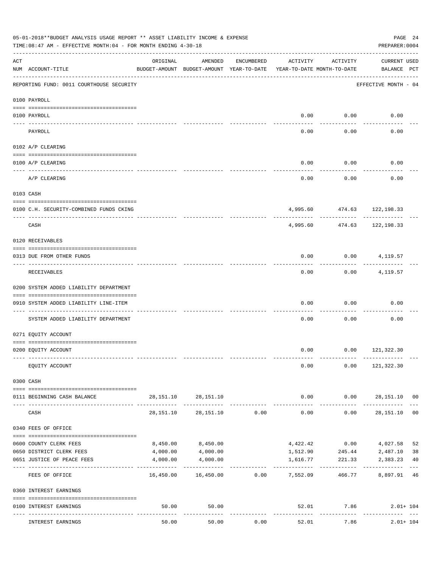|     | 05-01-2018**BUDGET ANALYSIS USAGE REPORT ** ASSET LIABILITY INCOME & EXPENSE<br>TIME: 08:47 AM - EFFECTIVE MONTH: 04 - FOR MONTH ENDING 4-30-18 |           |                                                     |            |                                        |                      | PAGE 24<br>PREPARER: 0004          |                |
|-----|-------------------------------------------------------------------------------------------------------------------------------------------------|-----------|-----------------------------------------------------|------------|----------------------------------------|----------------------|------------------------------------|----------------|
| ACT | NUM ACCOUNT-TITLE                                                                                                                               | ORIGINAL  | AMENDED<br>BUDGET-AMOUNT BUDGET-AMOUNT YEAR-TO-DATE | ENCUMBERED | ACTIVITY<br>YEAR-TO-DATE MONTH-TO-DATE | ACTIVITY             | <b>CURRENT USED</b><br>BALANCE PCT |                |
|     | REPORTING FUND: 0011 COURTHOUSE SECURITY                                                                                                        |           |                                                     |            |                                        |                      | EFFECTIVE MONTH - 04               |                |
|     | 0100 PAYROLL                                                                                                                                    |           |                                                     |            |                                        |                      |                                    |                |
|     |                                                                                                                                                 |           |                                                     |            |                                        |                      |                                    |                |
|     | 0100 PAYROLL<br>---- ----                                                                                                                       |           |                                                     |            | 0.00                                   | 0.00<br>-------      | 0.00                               |                |
|     | PAYROLL                                                                                                                                         |           |                                                     |            | 0.00                                   | 0.00                 | 0.00                               |                |
|     | 0102 A/P CLEARING                                                                                                                               |           |                                                     |            |                                        |                      |                                    |                |
|     | 0100 A/P CLEARING                                                                                                                               |           |                                                     |            | 0.00                                   | 0.00                 | 0.00                               |                |
|     | A/P CLEARING                                                                                                                                    |           |                                                     |            | 0.00                                   | 0.00                 | 0.00                               |                |
|     | 0103 CASH                                                                                                                                       |           |                                                     |            |                                        |                      |                                    |                |
|     | 0100 C.H. SECURITY-COMBINED FUNDS CKING                                                                                                         |           |                                                     |            |                                        |                      | 4,995.60 474.63 122,198.33         |                |
|     | CASH                                                                                                                                            |           |                                                     |            | 4,995.60                               | ----------<br>474.63 | ----------<br>122,198.33           |                |
|     | 0120 RECEIVABLES                                                                                                                                |           |                                                     |            |                                        |                      |                                    |                |
|     | 0313 DUE FROM OTHER FUNDS                                                                                                                       |           |                                                     |            | 0.00                                   |                      | $0.00$ 4, 119.57                   |                |
|     | RECEIVABLES                                                                                                                                     |           |                                                     |            | 0.00                                   | ---------<br>0.00    | 4,119.57                           |                |
|     | 0200 SYSTEM ADDED LIABILITY DEPARTMENT                                                                                                          |           |                                                     |            |                                        |                      |                                    |                |
|     | 0910 SYSTEM ADDED LIABILITY LINE-ITEM                                                                                                           |           |                                                     |            | 0.00                                   | 0.00                 | 0.00                               |                |
|     | SYSTEM ADDED LIABILITY DEPARTMENT                                                                                                               |           |                                                     |            | 0.00                                   | 0.00                 | 0.00                               |                |
|     | 0271 EQUITY ACCOUNT                                                                                                                             |           |                                                     |            |                                        |                      |                                    |                |
|     | 0200 EQUITY ACCOUNT                                                                                                                             |           |                                                     |            |                                        |                      | $0.00$ $0.00$ $121,322.30$         |                |
|     | EQUITY ACCOUNT                                                                                                                                  |           |                                                     |            | 0.00                                   |                      | $0.00$ 121,322.30                  |                |
|     | 0300 CASH                                                                                                                                       |           |                                                     |            |                                        |                      |                                    |                |
|     | 0111 BEGINNING CASH BALANCE                                                                                                                     |           | 28, 151. 10 28, 151. 10                             |            | 0.00                                   |                      | $0.00$ 28,151.10 00                |                |
|     | CASH                                                                                                                                            | 28,151.10 | 28,151.10                                           | 0.00       | -------------<br>0.00                  | ------------<br>0.00 | -------------<br>28,151.10         | 0 <sub>0</sub> |
|     | 0340 FEES OF OFFICE                                                                                                                             |           |                                                     |            |                                        |                      |                                    |                |
|     | 0600 COUNTY CLERK FEES                                                                                                                          | 8,450.00  | 8,450.00                                            |            | 4,422.42                               | 0.00                 | 4,027.58                           | 52             |
|     | 0650 DISTRICT CLERK FEES                                                                                                                        | 4,000.00  | 4,000.00                                            |            | 1,512.90                               | 245.44               | 2,487.10                           | 38             |
|     | 0651 JUSTICE OF PEACE FEES<br>------------------- -------------                                                                                 | 4,000.00  | 4,000.00<br>-------------                           |            | 1,616.77<br>-------------              | 221.33               | 2,383.23                           | 40             |
|     | FEES OF OFFICE                                                                                                                                  |           |                                                     |            |                                        | 466.77               | 8,897.91 46                        |                |
|     | 0360 INTEREST EARNINGS                                                                                                                          |           |                                                     |            |                                        |                      |                                    |                |
|     | 0100 INTEREST EARNINGS                                                                                                                          | 50.00     | 50.00                                               |            |                                        | 52.01 7.86           | $2.01 + 104$                       |                |
|     | INTEREST EARNINGS                                                                                                                               | 50.00     | 50.00                                               | 0.00       | 52.01                                  | -----------<br>7.86  | $2.01 + 104$                       |                |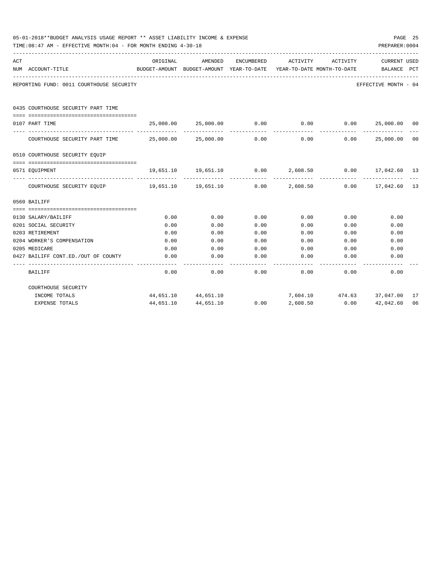|     | 05-01-2018**BUDGET ANALYSIS USAGE REPORT ** ASSET LIABILITY INCOME & EXPENSE<br>TIME:08:47 AM - EFFECTIVE MONTH:04 - FOR MONTH ENDING 4-30-18 |                                                      |                                                                   |            |                                        |                                 | PREPARER: 0004              | PAGE 25 |
|-----|-----------------------------------------------------------------------------------------------------------------------------------------------|------------------------------------------------------|-------------------------------------------------------------------|------------|----------------------------------------|---------------------------------|-----------------------------|---------|
| ACT | NUM ACCOUNT-TITLE<br>--------------------------------------                                                                                   | ORIGINAL<br>BUDGET-AMOUNT BUDGET-AMOUNT YEAR-TO-DATE | AMENDED                                                           | ENCUMBERED | ACTIVITY<br>YEAR-TO-DATE MONTH-TO-DATE | ACTIVITY                        | CURRENT USED<br>BALANCE PCT |         |
|     | REPORTING FUND: 0011 COURTHOUSE SECURITY                                                                                                      |                                                      |                                                                   |            |                                        |                                 | EFFECTIVE MONTH - 04        |         |
|     | 0435 COURTHOUSE SECURITY PART TIME                                                                                                            |                                                      |                                                                   |            |                                        |                                 |                             |         |
|     | 0107 PART TIME                                                                                                                                |                                                      | $25,000.00$ $25,000.00$ $0.00$ $0.00$ $0.00$ $25,000.00$ $00$     |            |                                        |                                 |                             |         |
|     | COURTHOUSE SECURITY PART TIME $25,000.00$ $25,000.00$ $0.00$ $0.00$ $0.00$ $25,000.00$ $00$                                                   |                                                      |                                                                   |            |                                        |                                 | _____________               |         |
|     | 0510 COURTHOUSE SECURITY EOUIP                                                                                                                |                                                      |                                                                   |            |                                        |                                 |                             |         |
|     | --------------------------------------<br>0571 EOUIPMENT                                                                                      |                                                      | $19,651.10$ $19,651.10$ $0.00$ $2,608.50$ $0.00$ $17,042.60$ $13$ |            |                                        |                                 |                             |         |
|     | COURTHOUSE SECURITY EQUIP 19,651.10 19,651.10 0.00 2,608.50 0.00 17,042.60 13                                                                 |                                                      |                                                                   |            |                                        | ------------                    |                             |         |
|     | 0560 BAILIFF                                                                                                                                  |                                                      |                                                                   |            |                                        |                                 |                             |         |
|     |                                                                                                                                               |                                                      |                                                                   |            |                                        |                                 |                             |         |
|     | 0130 SALARY/BAILIFF                                                                                                                           | 0.00                                                 | 0.00                                                              | 0.00       | 0.00                                   | 0.00                            | 0.00                        |         |
|     | 0201 SOCIAL SECURITY                                                                                                                          | 0.00                                                 | 0.00                                                              | 0.00       | 0.00                                   | 0.00                            | 0.00                        |         |
|     | 0203 RETIREMENT                                                                                                                               | 0.00                                                 | 0.00                                                              | 0.00       | 0.00                                   | 0.00                            | 0.00                        |         |
|     | 0204 WORKER'S COMPENSATION                                                                                                                    | 0.00                                                 | 0.00                                                              | 0.00       | 0.00                                   | 0.00                            | 0.00                        |         |
|     | 0205 MEDICARE                                                                                                                                 | 0.00                                                 | 0.00                                                              | 0.00       | 0.00                                   | 0.00                            | 0.00                        |         |
|     | 0427 BAILIFF CONT.ED./OUT OF COUNTY                                                                                                           | 0.00                                                 | 0.00                                                              | 0.00       | 0.00                                   | 0.00                            | 0.00                        |         |
|     | BAILIFF                                                                                                                                       | 0.00                                                 | 0.00                                                              | 0.00       |                                        | $0.00$ 0.00                     | 0.00                        |         |
|     | COURTHOUSE SECURITY                                                                                                                           |                                                      |                                                                   |            |                                        |                                 |                             |         |
|     | INCOME TOTALS                                                                                                                                 |                                                      | 44,651.10 44,651.10                                               |            |                                        | 7,604.10  474.63  37,047.00  17 |                             |         |
|     | <b>EXPENSE TOTALS</b>                                                                                                                         | 44,651.10                                            | 44,651.10                                                         | 0.00       | 2,608.50                               | 0.00                            | 42,042.60                   | 06      |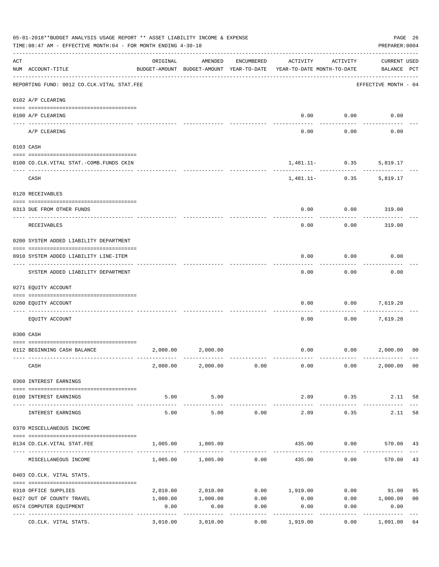|     | 05-01-2018**BUDGET ANALYSIS USAGE REPORT ** ASSET LIABILITY INCOME & EXPENSE<br>TIME:08:47 AM - EFFECTIVE MONTH:04 - FOR MONTH ENDING 4-30-18 |                                                      |                            |                      |                                        |                                | PAGE 26<br>PREPARER: 0004          |                |
|-----|-----------------------------------------------------------------------------------------------------------------------------------------------|------------------------------------------------------|----------------------------|----------------------|----------------------------------------|--------------------------------|------------------------------------|----------------|
| ACT | NUM ACCOUNT-TITLE                                                                                                                             | ORIGINAL<br>BUDGET-AMOUNT BUDGET-AMOUNT YEAR-TO-DATE | AMENDED                    | ENCUMBERED           | ACTIVITY<br>YEAR-TO-DATE MONTH-TO-DATE | ACTIVITY                       | <b>CURRENT USED</b><br>BALANCE PCT |                |
|     | --------------------------------------<br>REPORTING FUND: 0012 CO.CLK.VITAL STAT.FEE                                                          |                                                      |                            |                      |                                        |                                | EFFECTIVE MONTH - 04               |                |
|     | 0102 A/P CLEARING                                                                                                                             |                                                      |                            |                      |                                        |                                |                                    |                |
|     | 0100 A/P CLEARING                                                                                                                             |                                                      |                            |                      | 0.00                                   | 0.00                           | 0.00                               |                |
|     | A/P CLEARING                                                                                                                                  |                                                      |                            |                      | 0.00                                   | 0.00                           | 0.00                               |                |
|     | 0103 CASH                                                                                                                                     |                                                      |                            |                      |                                        |                                |                                    |                |
|     | 0100 CO.CLK.VITAL STAT.-COMB.FUNDS CKIN                                                                                                       |                                                      |                            |                      |                                        | $1,481.11-$ 0.35               | 5,819.17                           |                |
|     | CASH                                                                                                                                          |                                                      |                            |                      |                                        | ----------<br>$1,481.11-$ 0.35 | 5,819.17                           |                |
|     | 0120 RECEIVABLES                                                                                                                              |                                                      |                            |                      |                                        |                                |                                    |                |
|     | 0313 DUE FROM OTHER FUNDS                                                                                                                     |                                                      |                            |                      | 0.00                                   | 0.00                           | 319.00                             |                |
|     | <b>RECEIVABLES</b>                                                                                                                            |                                                      |                            |                      | 0.00                                   | 0.00                           | 319.00                             |                |
|     | 0200 SYSTEM ADDED LIABILITY DEPARTMENT                                                                                                        |                                                      |                            |                      |                                        |                                |                                    |                |
|     | 0910 SYSTEM ADDED LIABILITY LINE-ITEM                                                                                                         |                                                      |                            |                      | 0.00                                   | 0.00                           | 0.00                               |                |
|     | SYSTEM ADDED LIABILITY DEPARTMENT                                                                                                             |                                                      |                            |                      | 0.00                                   | 0.00                           | 0.00                               |                |
|     | 0271 EQUITY ACCOUNT                                                                                                                           |                                                      |                            |                      |                                        |                                |                                    |                |
|     | 0200 EQUITY ACCOUNT                                                                                                                           |                                                      |                            |                      | 0.00                                   | 0.00                           | 7,619.28                           |                |
|     | EQUITY ACCOUNT                                                                                                                                |                                                      |                            |                      | 0.00                                   | 0.00                           | 7,619.28                           |                |
|     | 0300 CASH                                                                                                                                     |                                                      |                            |                      |                                        |                                |                                    |                |
|     | 0112 BEGINNING CASH BALANCE                                                                                                                   | 2,000.00                                             | 2,000.00                   |                      | 0.00                                   |                                | 0.00 2,000.00                      | 0 <sup>0</sup> |
|     |                                                                                                                                               |                                                      |                            |                      |                                        |                                |                                    |                |
|     | CASH                                                                                                                                          |                                                      | 2,000.00 2,000.00 0.00     |                      | 0.00                                   | 0.00                           | 2,000.00 00                        |                |
|     | 0360 INTEREST EARNINGS                                                                                                                        |                                                      |                            |                      |                                        |                                |                                    |                |
|     | 0100 INTEREST EARNINGS                                                                                                                        | 5.00                                                 | 5.00                       |                      | 2.89                                   | 0.35                           | 2.11                               | 58             |
|     | INTEREST EARNINGS                                                                                                                             | -----------<br>5.00                                  | . <u>.</u><br>5.00         | 0.00                 | 2.89                                   | 0.35                           | 2.11                               | 58             |
|     | 0370 MISCELLANEOUS INCOME                                                                                                                     |                                                      |                            |                      |                                        |                                |                                    |                |
|     | 0134 CO. CLK. VITAL STAT. FEE                                                                                                                 | 1,005.00                                             | 1,005.00                   |                      | 435.00                                 |                                | $0.00$ 570.00 43                   |                |
|     | MISCELLANEOUS INCOME                                                                                                                          |                                                      | $1,005.00$ $1,005.00$ 0.00 |                      | 435.00                                 | 0.00                           | 570.00                             | 43             |
|     | 0403 CO.CLK. VITAL STATS.                                                                                                                     |                                                      |                            |                      |                                        |                                |                                    |                |
|     | 0310 OFFICE SUPPLIES                                                                                                                          |                                                      | 2,010.00 2,010.00          |                      | $0.00$ 1,919.00                        |                                | $0.00$ 91.00                       | 95             |
|     | 0427 OUT OF COUNTY TRAVEL                                                                                                                     | 1,000.00                                             | 1,000.00                   | 0.00                 | 0.00                                   |                                | $0.00$ 1,000.00                    | 0 <sub>0</sub> |
|     | 0574 COMPUTER EQUIPMENT                                                                                                                       | 0.00                                                 | 0.00                       | 0.00                 | 0.00                                   | 0.00                           | 0.00                               |                |
|     | ---- -----------------<br>CO.CLK. VITAL STATS.                                                                                                | --------------- --------------<br>3,010.00           | 3,010.00                   | . <u>.</u> .<br>0.00 | 1,919.00                               | 0.00                           | ----------<br>1,091.00             | 64             |
|     |                                                                                                                                               |                                                      |                            |                      |                                        |                                |                                    |                |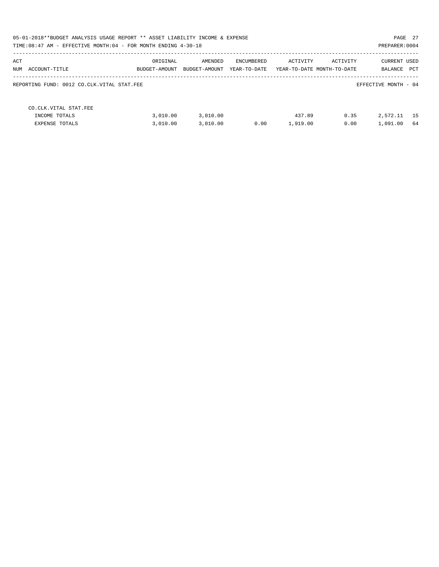|                                            | 05-01-2018**BUDGET ANALYSIS USAGE REPORT ** ASSET LIABILITY INCOME & EXPENSE<br>PAGE 27<br>TIME: 08:47 AM - EFFECTIVE MONTH: 04 - FOR MONTH ENDING 4-30-18<br>PREPARER: 0004 |               |              |          |                            |                      |  |  |  |  |
|--------------------------------------------|------------------------------------------------------------------------------------------------------------------------------------------------------------------------------|---------------|--------------|----------|----------------------------|----------------------|--|--|--|--|
|                                            |                                                                                                                                                                              |               |              |          |                            |                      |  |  |  |  |
| ACT                                        | ORIGINAL                                                                                                                                                                     | AMENDED       | ENCUMBERED   | ACTIVITY | ACTIVITY                   | <b>CURRENT USED</b>  |  |  |  |  |
| NUM ACCOUNT-TITLE                          | BUDGET-AMOUNT                                                                                                                                                                | BUDGET-AMOUNT | YEAR-TO-DATE |          | YEAR-TO-DATE MONTH-TO-DATE | PCT<br>BALANCE       |  |  |  |  |
| REPORTING FUND: 0012 CO.CLK.VITAL STAT.FEE |                                                                                                                                                                              |               |              |          |                            | EFFECTIVE MONTH - 04 |  |  |  |  |
| CO. CLK. VITAL STAT. FEE                   |                                                                                                                                                                              |               |              |          |                            |                      |  |  |  |  |
| INCOME TOTALS                              | 3,010.00                                                                                                                                                                     | 3,010.00      |              | 437.89   | 0.35                       | 2,572.11<br>15       |  |  |  |  |
| EXPENSE TOTALS                             | 3,010.00                                                                                                                                                                     | 3,010.00      | 0.00         | 1,919.00 | 0.00                       | 1,091.00<br>-64      |  |  |  |  |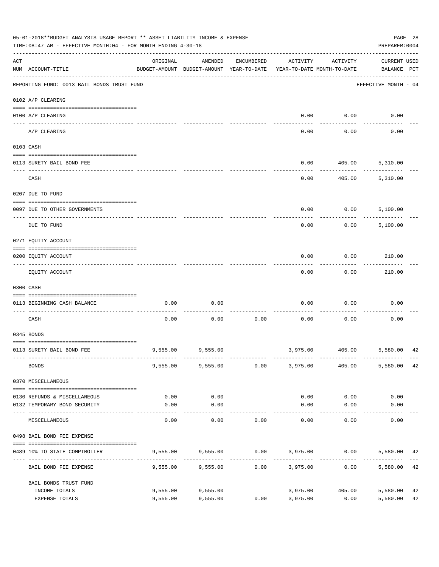|     | 05-01-2018**BUDGET ANALYSIS USAGE REPORT ** ASSET LIABILITY INCOME & EXPENSE<br>TIME: 08:47 AM - EFFECTIVE MONTH: 04 - FOR MONTH ENDING 4-30-18 |                      |                                                     |            |                      |                                        | PREPARER: 0004                                | PAGE 28  |
|-----|-------------------------------------------------------------------------------------------------------------------------------------------------|----------------------|-----------------------------------------------------|------------|----------------------|----------------------------------------|-----------------------------------------------|----------|
| ACT | NUM ACCOUNT-TITLE                                                                                                                               | ORIGINAL             | AMENDED<br>BUDGET-AMOUNT BUDGET-AMOUNT YEAR-TO-DATE | ENCUMBERED | ACTIVITY             | ACTIVITY<br>YEAR-TO-DATE MONTH-TO-DATE | <b>CURRENT USED</b><br>BALANCE PCT            |          |
|     | REPORTING FUND: 0013 BAIL BONDS TRUST FUND                                                                                                      |                      |                                                     |            |                      |                                        | EFFECTIVE MONTH - 04                          |          |
|     | 0102 A/P CLEARING                                                                                                                               |                      |                                                     |            |                      |                                        |                                               |          |
|     | 0100 A/P CLEARING<br>---- ---------                                                                                                             |                      |                                                     |            | 0.00                 | 0.00                                   | 0.00                                          |          |
|     | A/P CLEARING                                                                                                                                    |                      |                                                     |            | 0.00                 | 0.00                                   | 0.00                                          |          |
|     | 0103 CASH                                                                                                                                       |                      |                                                     |            |                      |                                        |                                               |          |
|     | 0113 SURETY BAIL BOND FEE                                                                                                                       |                      |                                                     |            | 0.00                 | 405.00                                 | 5,310.00                                      |          |
|     |                                                                                                                                                 |                      |                                                     |            |                      |                                        |                                               |          |
|     | CASH                                                                                                                                            |                      |                                                     |            | 0.00                 | 405.00                                 | 5,310.00                                      |          |
|     | 0207 DUE TO FUND                                                                                                                                |                      |                                                     |            |                      |                                        |                                               |          |
|     | 0097 DUE TO OTHER GOVERNMENTS                                                                                                                   |                      |                                                     |            | 0.00                 | 0.00                                   | 5,100.00                                      |          |
|     | DUE TO FUND                                                                                                                                     |                      |                                                     |            | 0.00                 | 0.00                                   | 5,100.00                                      |          |
|     | 0271 EQUITY ACCOUNT                                                                                                                             |                      |                                                     |            |                      |                                        |                                               |          |
|     | 0200 EQUITY ACCOUNT                                                                                                                             |                      |                                                     |            | 0.00                 | 0.00                                   | 210.00                                        |          |
|     | EQUITY ACCOUNT                                                                                                                                  |                      |                                                     |            | 0.00                 | 0.00                                   | 210.00                                        |          |
|     | 0300 CASH                                                                                                                                       |                      |                                                     |            |                      |                                        |                                               |          |
|     | 0113 BEGINNING CASH BALANCE                                                                                                                     | 0.00                 | 0.00                                                |            | 0.00                 | 0.00                                   | 0.00                                          |          |
|     | CASH                                                                                                                                            | 0.00                 | 0.00                                                | 0.00       | 0.00                 | 0.00                                   | 0.00                                          |          |
|     | 0345 BONDS                                                                                                                                      |                      |                                                     |            |                      |                                        |                                               |          |
|     | 0113 SURETY BAIL BOND FEE                                                                                                                       |                      | 9,555.00 9,555.00                                   |            |                      |                                        | 3,975.00 405.00 5,580.00                      | 42       |
|     | <b>BONDS</b>                                                                                                                                    |                      | 9,555.00 9,555.00                                   | 0.00       | 3,975.00             | 405.00                                 | 5,580.00                                      | 42       |
|     | 0370 MISCELLANEOUS                                                                                                                              |                      |                                                     |            |                      |                                        |                                               |          |
|     | 0130 REFUNDS & MISCELLANEOUS                                                                                                                    | 0.00                 | 0.00                                                |            | 0.00                 | 0.00                                   | 0.00                                          |          |
|     | 0132 TEMPORARY BOND SECURITY                                                                                                                    | 0.00                 | 0.00<br>----------                                  |            | 0.00                 | 0.00<br>---------                      | 0.00                                          |          |
|     | MISCELLANEOUS                                                                                                                                   | 0.00                 | 0.00                                                | 0.00       | 0.00                 | 0.00                                   | 0.00                                          |          |
|     | 0498 BAIL BOND FEE EXPENSE                                                                                                                      |                      |                                                     |            |                      |                                        |                                               |          |
|     | 0489 10% TO STATE COMPTROLLER                                                                                                                   |                      |                                                     |            |                      |                                        | 9,555.00 9,555.00 0.00 3,975.00 0.00 5,580.00 | 42       |
|     | BAIL BOND FEE EXPENSE                                                                                                                           | 9,555.00             | 9,555.00                                            | 0.00       | 3,975.00             |                                        | 0.00<br>5,580.00                              | 42       |
|     | BAIL BONDS TRUST FUND                                                                                                                           |                      |                                                     |            |                      |                                        |                                               |          |
|     | INCOME TOTALS<br>EXPENSE TOTALS                                                                                                                 | 9,555.00<br>9,555.00 | 9,555.00<br>9,555.00                                | 0.00       | 3,975.00<br>3,975.00 | 405.00<br>0.00                         | 5,580.00<br>5,580.00                          | 42<br>42 |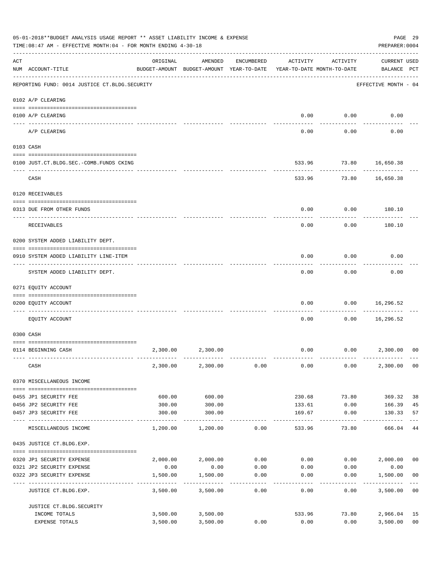|     | 05-01-2018**BUDGET ANALYSIS USAGE REPORT ** ASSET LIABILITY INCOME & EXPENSE<br>TIME: 08:47 AM - EFFECTIVE MONTH: 04 - FOR MONTH ENDING 4-30-18 |                           |                                                                                |                  |                   |                   | PREPARER: 0004                     | PAGE 29              |
|-----|-------------------------------------------------------------------------------------------------------------------------------------------------|---------------------------|--------------------------------------------------------------------------------|------------------|-------------------|-------------------|------------------------------------|----------------------|
| ACT | NUM ACCOUNT-TITLE                                                                                                                               | ORIGINAL                  | AMENDED<br>BUDGET-AMOUNT BUDGET-AMOUNT YEAR-TO-DATE YEAR-TO-DATE MONTH-TO-DATE | ENCUMBERED       | ACTIVITY          | ACTIVITY          | <b>CURRENT USED</b><br>BALANCE PCT |                      |
|     | REPORTING FUND: 0014 JUSTICE CT. BLDG. SECURITY                                                                                                 |                           |                                                                                |                  |                   |                   | EFFECTIVE MONTH - 04               |                      |
|     | 0102 A/P CLEARING                                                                                                                               |                           |                                                                                |                  |                   |                   |                                    |                      |
|     | 0100 A/P CLEARING                                                                                                                               |                           |                                                                                |                  | 0.00              | 0.00              | 0.00                               |                      |
|     | A/P CLEARING                                                                                                                                    |                           |                                                                                |                  | 0.00              | 0.00              | 0.00                               |                      |
|     | 0103 CASH                                                                                                                                       |                           |                                                                                |                  |                   |                   |                                    |                      |
|     | 0100 JUST.CT.BLDG.SEC.-COMB.FUNDS CKING                                                                                                         |                           |                                                                                |                  |                   |                   | 533.96 73.80 16,650.38             |                      |
|     | ---------------------------------<br>CASH                                                                                                       |                           |                                                                                |                  |                   | .<br>533.96 73.80 | 16,650.38                          |                      |
|     | 0120 RECEIVABLES                                                                                                                                |                           |                                                                                |                  |                   |                   |                                    |                      |
|     | 0313 DUE FROM OTHER FUNDS                                                                                                                       |                           |                                                                                |                  | 0.00              | 0.00              | 180.10                             |                      |
|     |                                                                                                                                                 |                           |                                                                                |                  |                   |                   |                                    |                      |
|     | RECEIVABLES                                                                                                                                     |                           |                                                                                |                  | 0.00              | 0.00              | 180.10                             |                      |
|     | 0200 SYSTEM ADDED LIABILITY DEPT.                                                                                                               |                           |                                                                                |                  |                   |                   |                                    |                      |
|     | 0910 SYSTEM ADDED LIABILITY LINE-ITEM                                                                                                           |                           |                                                                                |                  | 0.00              | 0.00              | 0.00                               |                      |
|     | SYSTEM ADDED LIABILITY DEPT.                                                                                                                    |                           |                                                                                |                  | 0.00              | 0.00              | 0.00                               |                      |
|     | 0271 EQUITY ACCOUNT                                                                                                                             |                           |                                                                                |                  |                   |                   |                                    |                      |
|     | 0200 EQUITY ACCOUNT                                                                                                                             |                           |                                                                                |                  | 0.00              | 0.00              | 16,296.52                          |                      |
|     | EOUITY ACCOUNT                                                                                                                                  |                           |                                                                                |                  | 0.00              | 0.00              | .<br>16,296.52                     |                      |
|     |                                                                                                                                                 |                           |                                                                                |                  |                   |                   |                                    |                      |
|     | 0300 CASH                                                                                                                                       |                           |                                                                                |                  |                   |                   |                                    |                      |
|     | 0114 BEGINNING CASH                                                                                                                             | 2,300.00                  | 2,300.00                                                                       |                  | 0.00              |                   | $0.00$ 2,300.00                    | 00                   |
|     | CASH                                                                                                                                            | 2,300.00                  | 2,300.00                                                                       | 0.00             | 0.00              | 0.00              | 2,300.00                           | 0 <sub>0</sub>       |
|     | 0370 MISCELLANEOUS INCOME                                                                                                                       |                           |                                                                                |                  |                   |                   |                                    |                      |
|     | 0455 JP1 SECURITY FEE                                                                                                                           | 600.00                    | 600.00                                                                         |                  | 230.68            | 73.80             | 369.32                             | 38                   |
|     | 0456 JP2 SECURITY FEE                                                                                                                           | 300.00                    | 300.00                                                                         |                  | 133.61            | 0.00              | 166.39                             | 45                   |
|     | 0457 JP3 SECURITY FEE<br>---- --------------                                                                                                    | 300.00                    | 300.00                                                                         |                  | 169.67<br>------- | 0.00              | 130.33<br>-------                  | 57                   |
|     | MISCELLANEOUS INCOME                                                                                                                            | 1,200.00                  | 1,200.00                                                                       | 0.00             | 533.96            | 73.80             | 666.04                             | 44                   |
|     | 0435 JUSTICE CT.BLDG.EXP.                                                                                                                       |                           |                                                                                |                  |                   |                   |                                    |                      |
|     | 0320 JP1 SECURITY EXPENSE                                                                                                                       |                           | 2,000.00 2,000.00                                                              |                  | $0.00$ 0.00       |                   | $0.00$ 2,000.00                    | 0 <sub>0</sub>       |
|     | 0321 JP2 SECURITY EXPENSE                                                                                                                       | 0.00                      | 0.00                                                                           | 0.00             | 0.00              | 0.00              | 0.00                               |                      |
|     | 0322 JP3 SECURITY EXPENSE                                                                                                                       | 1,500.00<br>------------- | 1,500.00<br>----------                                                         | 0.00<br>-------- | 0.00              | 0.00              | 1,500.00                           | 0 <sub>0</sub>       |
|     | JUSTICE CT.BLDG.EXP.                                                                                                                            | 3,500.00                  | 3,500.00                                                                       | 0.00             | 0.00              | 0.00              | 3,500.00                           | 0 <sub>0</sub>       |
|     | JUSTICE CT.BLDG.SECURITY                                                                                                                        |                           |                                                                                |                  |                   |                   |                                    |                      |
|     | INCOME TOTALS<br>EXPENSE TOTALS                                                                                                                 | 3,500.00                  | 3,500.00 3,500.00<br>3,500.00                                                  | 0.00             | 533.96<br>0.00    | 73.80<br>0.00     | 2,966.04<br>3,500.00               | 15<br>0 <sub>0</sub> |
|     |                                                                                                                                                 |                           |                                                                                |                  |                   |                   |                                    |                      |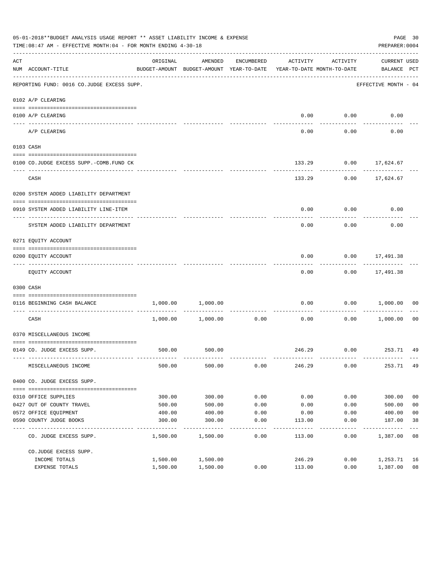|     | 05-01-2018**BUDGET ANALYSIS USAGE REPORT ** ASSET LIABILITY INCOME & EXPENSE<br>TIME:08:47 AM - EFFECTIVE MONTH:04 - FOR MONTH ENDING 4-30-18 |          |                                                     |               |                                        |                    | PREPARER: 0004                  | PAGE 30        |
|-----|-----------------------------------------------------------------------------------------------------------------------------------------------|----------|-----------------------------------------------------|---------------|----------------------------------------|--------------------|---------------------------------|----------------|
| ACT | NUM ACCOUNT-TITLE                                                                                                                             | ORIGINAL | AMENDED<br>BUDGET-AMOUNT BUDGET-AMOUNT YEAR-TO-DATE | ENCUMBERED    | ACTIVITY<br>YEAR-TO-DATE MONTH-TO-DATE | ACTIVITY           | CURRENT USED<br>BALANCE PCT     |                |
|     | --------------------------------------<br>REPORTING FUND: 0016 CO.JUDGE EXCESS SUPP.                                                          |          |                                                     |               |                                        |                    | EFFECTIVE MONTH - 04            |                |
|     | 0102 A/P CLEARING                                                                                                                             |          |                                                     |               |                                        |                    |                                 |                |
|     | 0100 A/P CLEARING                                                                                                                             |          |                                                     |               | 0.00                                   | 0.00               | 0.00                            |                |
|     | ---- -------<br>A/P CLEARING                                                                                                                  |          |                                                     |               | 0.00                                   | 0.00               | 0.00                            |                |
|     | 0103 CASH                                                                                                                                     |          |                                                     |               |                                        |                    |                                 |                |
|     | 0100 CO.JUDGE EXCESS SUPP.-COMB.FUND CK                                                                                                       |          |                                                     |               | 133.29                                 |                    | $0.00$ 17,624.67                |                |
|     | CASH                                                                                                                                          |          |                                                     |               | 133.29                                 |                    | -----------<br>$0.00$ 17,624.67 |                |
|     | 0200 SYSTEM ADDED LIABILITY DEPARTMENT                                                                                                        |          |                                                     |               |                                        |                    |                                 |                |
|     | 0910 SYSTEM ADDED LIABILITY LINE-ITEM                                                                                                         |          |                                                     |               | 0.00                                   | 0.00               | 0.00                            |                |
|     | SYSTEM ADDED LIABILITY DEPARTMENT                                                                                                             |          |                                                     |               | 0.00                                   | 0.00               | 0.00                            |                |
|     | 0271 EQUITY ACCOUNT                                                                                                                           |          |                                                     |               |                                        |                    |                                 |                |
|     | 0200 EQUITY ACCOUNT                                                                                                                           |          |                                                     |               | 0.00                                   |                    | $0.00$ 17,491.38                |                |
|     | EQUITY ACCOUNT                                                                                                                                |          |                                                     |               | 0.00                                   |                    | -----------<br>$0.00$ 17,491.38 |                |
|     | 0300 CASH                                                                                                                                     |          |                                                     |               |                                        |                    |                                 |                |
|     | 0116 BEGINNING CASH BALANCE                                                                                                                   | 1,000.00 | 1,000.00                                            |               | 0.00                                   | 0.00               | 1,000.00                        | 00             |
|     | CASH                                                                                                                                          | 1,000.00 | 1,000.00                                            | 0.00          | ------------- -------------<br>0.00    | ----------<br>0.00 | 1,000.00                        | 00             |
|     | 0370 MISCELLANEOUS INCOME                                                                                                                     |          |                                                     |               |                                        |                    |                                 |                |
|     | 0149 CO. JUDGE EXCESS SUPP.                                                                                                                   |          | 500.00 500.00                                       |               |                                        |                    | 246.29 0.00 253.71 49           |                |
|     | MISCELLANEOUS INCOME                                                                                                                          | 500.00   | 500.00                                              | 0.00          | 246.29                                 | 0.00               | 253.71 49                       |                |
|     | 0400 CO. JUDGE EXCESS SUPP.                                                                                                                   |          |                                                     |               |                                        |                    |                                 |                |
|     | 0310 OFFICE SUPPLIES                                                                                                                          | 300.00   | 300.00                                              | 0.00          | 0.00                                   | 0.00               | 300.00                          | 0 <sub>0</sub> |
|     | 0427 OUT OF COUNTY TRAVEL                                                                                                                     | 500.00   | 500.00                                              | 0.00          | 0.00                                   | 0.00               | 500.00                          | 0 <sub>0</sub> |
|     | 0572 OFFICE EQUIPMENT                                                                                                                         | 400.00   | 400.00                                              | 0.00          | 0.00                                   | 0.00               | 400.00                          | 0 <sub>0</sub> |
|     | 0590 COUNTY JUDGE BOOKS                                                                                                                       | 300.00   | 300.00                                              | 0.00          | 113.00                                 | 0.00               | 187.00                          | 38             |
|     | CO. JUDGE EXCESS SUPP.                                                                                                                        | 1,500.00 | 1,500.00                                            | $---$<br>0.00 | 113.00                                 | 0.00               | 1,387.00                        | 08             |
|     | CO.JUDGE EXCESS SUPP.                                                                                                                         |          |                                                     |               |                                        |                    |                                 |                |
|     | INCOME TOTALS                                                                                                                                 | 1,500.00 | 1,500.00                                            |               | 246.29                                 | 0.00               | 1,253.71                        | 16             |
|     | EXPENSE TOTALS                                                                                                                                | 1,500.00 | 1,500.00                                            | 0.00          | 113.00                                 | 0.00               | 1,387.00                        | 08             |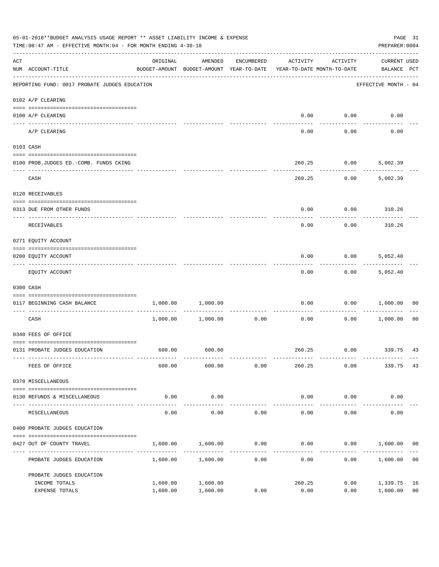|     | 05-01-2018**BUDGET ANALYSIS USAGE REPORT ** ASSET LIABILITY INCOME & EXPENSE<br>TIME:08:47 AM - EFFECTIVE MONTH:04 - FOR MONTH ENDING 4-30-18 |                                                                                 |                     |                      |                       |                     | PREPARER: 0004                     | PAGE 31              |
|-----|-----------------------------------------------------------------------------------------------------------------------------------------------|---------------------------------------------------------------------------------|---------------------|----------------------|-----------------------|---------------------|------------------------------------|----------------------|
| ACT | NUM ACCOUNT-TITLE                                                                                                                             | ORIGINAL<br>BUDGET-AMOUNT BUDGET-AMOUNT YEAR-TO-DATE YEAR-TO-DATE MONTH-TO-DATE | AMENDED             | ENCUMBERED           | ACTIVITY              | ACTIVITY            | <b>CURRENT USED</b><br>BALANCE PCT |                      |
|     | REPORTING FUND: 0017 PROBATE JUDGES EDUCATION                                                                                                 |                                                                                 |                     |                      |                       |                     | EFFECTIVE MONTH - 04               |                      |
|     | 0102 A/P CLEARING                                                                                                                             |                                                                                 |                     |                      |                       |                     |                                    |                      |
|     | 0100 A/P CLEARING                                                                                                                             |                                                                                 |                     |                      | 0.00                  | 0.00                | 0.00                               |                      |
|     | ---- --------<br>A/P CLEARING                                                                                                                 |                                                                                 |                     |                      | 0.00                  | 0.00                | 0.00                               |                      |
|     | 0103 CASH                                                                                                                                     |                                                                                 |                     |                      |                       |                     |                                    |                      |
|     | 0100 PROB.JUDGES ED.-COMB. FUNDS CKING                                                                                                        |                                                                                 |                     |                      | 260.25                | 0.00                | 5,002.39                           |                      |
|     | CASH                                                                                                                                          |                                                                                 |                     |                      | 260.25                | 0.00                | 5,002.39                           |                      |
|     | 0120 RECEIVABLES                                                                                                                              |                                                                                 |                     |                      |                       |                     |                                    |                      |
|     | 0313 DUE FROM OTHER FUNDS                                                                                                                     |                                                                                 |                     |                      | 0.00                  |                     | $0.00$ 310.26                      |                      |
|     | RECEIVABLES                                                                                                                                   |                                                                                 |                     |                      | 0.00                  | 0.00                | 310.26                             |                      |
|     | 0271 EQUITY ACCOUNT                                                                                                                           |                                                                                 |                     |                      |                       |                     |                                    |                      |
|     | 0200 EQUITY ACCOUNT                                                                                                                           |                                                                                 |                     |                      | 0.00                  | 0.00                | 5,052.40                           |                      |
|     | EQUITY ACCOUNT                                                                                                                                |                                                                                 |                     |                      | 0.00                  | 0.00                | 5,052.40                           |                      |
|     | 0300 CASH                                                                                                                                     |                                                                                 |                     |                      |                       |                     |                                    |                      |
|     | 0117 BEGINNING CASH BALANCE                                                                                                                   | 1,000.00                                                                        | 1,000.00            |                      | 0.00                  | 0.00                | 1,000.00                           | 00                   |
|     | CASH                                                                                                                                          |                                                                                 | 1,000.00 1,000.00   | ------------<br>0.00 | 0.00                  | ----------<br>0.00  | 1,000.00                           | 00                   |
|     | 0340 FEES OF OFFICE                                                                                                                           |                                                                                 |                     |                      |                       |                     |                                    |                      |
|     | 0131 PROBATE JUDGES EDUCATION                                                                                                                 |                                                                                 | 600.00 600.00       |                      |                       |                     | 260.25 0.00 339.75 43              |                      |
|     | FEES OF OFFICE                                                                                                                                | 600.00                                                                          | 600.00              | 0.00                 | 260.25                | 0.00                | 339.75                             | 43                   |
|     | 0370 MISCELLANEOUS                                                                                                                            |                                                                                 |                     |                      |                       |                     |                                    |                      |
|     | 0130 REFUNDS & MISCELLANEOUS                                                                                                                  | 0.00                                                                            | 0.00                |                      | 0.00                  | 0.00                | 0.00                               |                      |
|     | MISCELLANEOUS                                                                                                                                 | 0.00                                                                            | -----------<br>0.00 | 0.00                 | -------------<br>0.00 | -----------<br>0.00 | 0.00                               |                      |
|     | 0400 PROBATE JUDGES EDUCATION                                                                                                                 |                                                                                 |                     |                      |                       |                     |                                    |                      |
|     | 0427 OUT OF COUNTY TRAVEL                                                                                                                     | 1,600.00                                                                        | 1,600.00            | 0.00                 | 0.00                  |                     | 0.00 1,600.00                      | 0 <sub>0</sub>       |
|     | PROBATE JUDGES EDUCATION                                                                                                                      |                                                                                 | 1,600.00 1,600.00   | 0.00                 | 0.00                  |                     | 0.00<br>1,600.00                   | 0 <sub>0</sub>       |
|     | PROBATE JUDGES EDUCATION                                                                                                                      |                                                                                 |                     |                      |                       |                     |                                    |                      |
|     | INCOME TOTALS                                                                                                                                 | 1,600.00                                                                        | 1,600.00            |                      | 260.25                | 0.00                | 1,339.75<br>1,600.00               | 16<br>0 <sub>0</sub> |
|     | EXPENSE TOTALS                                                                                                                                | 1,600.00                                                                        | 1,600.00            | 0.00                 | 0.00                  | 0.00                |                                    |                      |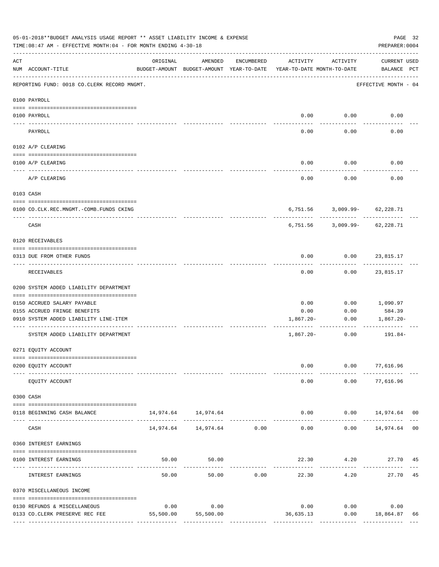|     | 05-01-2018**BUDGET ANALYSIS USAGE REPORT ** ASSET LIABILITY INCOME & EXPENSE<br>TIME: 08:47 AM - EFFECTIVE MONTH: 04 - FOR MONTH ENDING 4-30-18 |           |                                                     |            |                                        |                              | PAGE 32<br>PREPARER: 0004        |                |
|-----|-------------------------------------------------------------------------------------------------------------------------------------------------|-----------|-----------------------------------------------------|------------|----------------------------------------|------------------------------|----------------------------------|----------------|
| ACT | NUM ACCOUNT-TITLE                                                                                                                               | ORIGINAL  | AMENDED<br>BUDGET-AMOUNT BUDGET-AMOUNT YEAR-TO-DATE | ENCUMBERED | ACTIVITY<br>YEAR-TO-DATE MONTH-TO-DATE | ACTIVITY                     | CURRENT USED<br>BALANCE PCT      |                |
|     | REPORTING FUND: 0018 CO.CLERK RECORD MNGMT.                                                                                                     |           |                                                     |            |                                        |                              | EFFECTIVE MONTH - 04             |                |
|     | 0100 PAYROLL                                                                                                                                    |           |                                                     |            |                                        |                              |                                  |                |
|     | 0100 PAYROLL                                                                                                                                    |           |                                                     |            | 0.00                                   | 0.00                         | 0.00                             |                |
|     | ----- ----<br>PAYROLL                                                                                                                           |           |                                                     |            | ----<br>0.00                           | 0.00                         | 0.00                             |                |
|     | 0102 A/P CLEARING                                                                                                                               |           |                                                     |            |                                        |                              |                                  |                |
|     | 0100 A/P CLEARING                                                                                                                               |           |                                                     |            | 0.00                                   | 0.00                         | 0.00                             |                |
|     | A/P CLEARING                                                                                                                                    |           |                                                     |            | 0.00                                   | 0.00                         | 0.00                             |                |
|     | 0103 CASH                                                                                                                                       |           |                                                     |            |                                        |                              |                                  |                |
|     | 0100 CO.CLK.REC.MNGMT.-COMB.FUNDS CKING                                                                                                         |           |                                                     |            |                                        | 6,751.56 3,009.99- 62,228.71 |                                  |                |
|     | CASH                                                                                                                                            |           |                                                     |            | 6,751.56                               | ----------                   | ---------<br>3,009.99- 62,228.71 |                |
|     | 0120 RECEIVABLES                                                                                                                                |           |                                                     |            |                                        |                              |                                  |                |
|     | 0313 DUE FROM OTHER FUNDS                                                                                                                       |           |                                                     |            | 0.00                                   | $0.00$ 23,815.17             |                                  |                |
|     | RECEIVABLES                                                                                                                                     |           |                                                     |            | 0.00                                   | 0.00                         | 23,815.17                        |                |
|     | 0200 SYSTEM ADDED LIABILITY DEPARTMENT                                                                                                          |           |                                                     |            |                                        |                              |                                  |                |
|     | 0150 ACCRUED SALARY PAYABLE                                                                                                                     |           |                                                     |            | 0.00                                   |                              | $0.00$ 1,090.97                  |                |
|     | 0155 ACCRUED FRINGE BENEFITS<br>0910 SYSTEM ADDED LIABILITY LINE-ITEM                                                                           |           |                                                     |            | 0.00<br>1,867.20-                      | 0.00<br>0.00                 | 584.39<br>1,867.20-              |                |
|     | SYSTEM ADDED LIABILITY DEPARTMENT                                                                                                               |           |                                                     |            | 1,867.20-                              | ------------<br>0.00         | 191.84-                          |                |
|     | 0271 EQUITY ACCOUNT                                                                                                                             |           |                                                     |            |                                        |                              |                                  |                |
|     |                                                                                                                                                 |           |                                                     |            |                                        |                              |                                  |                |
|     | 0200 EQUITY ACCOUNT                                                                                                                             |           |                                                     |            | 0.00                                   |                              | $0.00$ 77,616.96                 |                |
|     | EQUITY ACCOUNT                                                                                                                                  |           |                                                     |            | 0.00                                   | 0.00                         | 77,616.96                        |                |
|     | 0300 CASH                                                                                                                                       |           |                                                     |            |                                        |                              |                                  |                |
|     | 0118 BEGINNING CASH BALANCE                                                                                                                     |           | 14,974.64   14,974.64                               |            |                                        | 0.00                         | $0.00$ 14,974.64 00              |                |
|     | CASH                                                                                                                                            |           | 14,974.64    14,974.64    0.00                      |            | 0.00                                   |                              | $0.00$ 14,974.64                 | 0 <sub>0</sub> |
|     | 0360 INTEREST EARNINGS                                                                                                                          |           |                                                     |            |                                        |                              |                                  |                |
|     | 0100 INTEREST EARNINGS                                                                                                                          | 50.00     | 50.00                                               |            |                                        | 22.30 4.20                   | 27.70 45                         |                |
|     | INTEREST EARNINGS                                                                                                                               | 50.00     | 50.00                                               | 0.00       | 22.30                                  | 4.20                         | 27.70                            | 45             |
|     | 0370 MISCELLANEOUS INCOME                                                                                                                       |           |                                                     |            |                                        |                              |                                  |                |
|     | 0130 REFUNDS & MISCELLANEOUS                                                                                                                    | 0.00      | 0.00                                                |            | 0.00                                   | 0.00                         | 0.00                             |                |
|     | 0133 CO.CLERK PRESERVE REC FEE                                                                                                                  | 55,500.00 | 55,500.00                                           |            | 36,635.13                              |                              | $0.00$ 18,864.87                 | 66             |
|     |                                                                                                                                                 |           |                                                     |            |                                        |                              |                                  |                |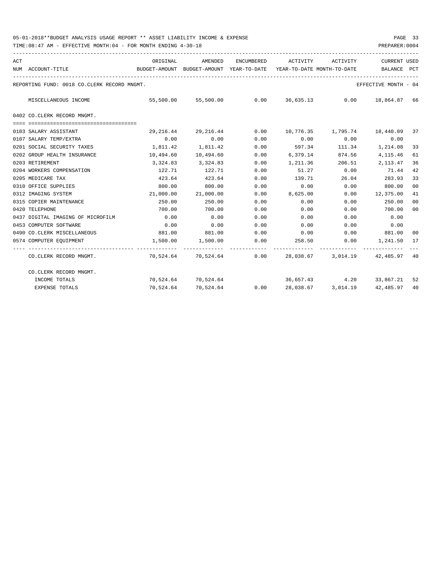| ACT |                                             | ORIGINAL                                 | AMENDED                                                           |      | ENCUMBERED ACTIVITY ACTIVITY |               | <b>CURRENT USED</b>                       |                |
|-----|---------------------------------------------|------------------------------------------|-------------------------------------------------------------------|------|------------------------------|---------------|-------------------------------------------|----------------|
|     | NUM ACCOUNT-TITLE                           | BUDGET-AMOUNT BUDGET-AMOUNT YEAR-TO-DATE |                                                                   |      | YEAR-TO-DATE MONTH-TO-DATE   |               | BALANCE                                   | PCT            |
|     | REPORTING FUND: 0018 CO.CLERK RECORD MNGMT. |                                          |                                                                   |      |                              |               | EFFECTIVE MONTH - 04                      |                |
|     | MISCELLANEOUS INCOME                        |                                          | $55,500.00$ $55,500.00$ $0.00$ $36,635.13$ $0.00$ $18,864.87$     |      |                              |               |                                           | 66             |
|     | 0402 CO.CLERK RECORD MNGMT.                 |                                          |                                                                   |      |                              |               |                                           |                |
|     |                                             |                                          |                                                                   |      |                              |               |                                           |                |
|     | 0103 SALARY ASSISTANT                       | 29,216.44                                | 29,216.44                                                         |      |                              |               | $0.00$ $10,776.35$ $1,795.74$ $18,440.09$ | 37             |
|     | 0107 SALARY TEMP/EXTRA                      | 0.00                                     | 0.00                                                              | 0.00 | 0.00                         | 0.00          | 0.00                                      |                |
|     | 0201 SOCIAL SECURITY TAXES                  | 1,811.42                                 | 1,811.42                                                          | 0.00 |                              |               | 597.34 111.34 1,214.08                    | 33             |
|     | 0202 GROUP HEALTH INSURANCE                 | 10,494.60                                | 10,494.60                                                         | 0.00 | 6,379.14                     | 874.56        | 4,115.46                                  | 61             |
|     | 0203 RETIREMENT                             | 3,324.83                                 | 3,324.83                                                          | 0.00 | 1,211.36                     |               | 206.51 2,113.47                           | 36             |
|     | 0204 WORKERS COMPENSATION                   | 122.71                                   | 122.71                                                            | 0.00 | 51.27 0.00                   |               | 71.44                                     | 42             |
|     | 0205 MEDICARE TAX                           | 423.64                                   | 423.64                                                            | 0.00 | 139.71                       | 26.04         | 283.93                                    | 33             |
|     | 0310 OFFICE SUPPLIES                        | 800.00                                   | 800.00                                                            | 0.00 | 0.00                         | 0.00          | 800.00                                    | 0 <sup>0</sup> |
|     | 0312 IMAGING SYSTEM                         | 21,000.00                                | 21,000.00                                                         | 0.00 |                              | 8,625.00 0.00 | 12,375.00                                 | 41             |
|     | 0315 COPIER MAINTENANCE                     | 250.00                                   | 250.00                                                            | 0.00 | 0.00                         | 0.00          | 250.00                                    | 0 <sup>0</sup> |
|     | 0420 TELEPHONE                              | 700.00                                   | 700.00                                                            | 0.00 | 0.00                         | 0.00          | 700.00                                    | 00             |
|     | 0437 DIGITAL IMAGING OF MICROFILM           | 0.00                                     | 0.00                                                              | 0.00 | 0.00                         | 0.00          | 0.00                                      |                |
|     | 0453 COMPUTER SOFTWARE                      | 0.00                                     | 0.00                                                              | 0.00 | 0.00                         |               | $0.00$ 0.00                               |                |
|     | 0490 CO. CLERK MISCELLANEOUS                | 881.00                                   | 881.00 0.00                                                       |      |                              |               | $0.00$ $0.00$ $881.00$                    | 00             |
|     | 0574 COMPUTER EOUIPMENT                     | 1,500.00                                 | 1,500.00                                                          | 0.00 |                              |               | 258.50 0.00 1,241.50                      | 17             |
|     | CO.CLERK RECORD MNGMT.                      |                                          | 70,524.64 70,524.64 0.00 28,038.67 3,014.19 42,485.97             |      |                              |               |                                           | 40             |
|     | CO.CLERK RECORD MNGMT.                      |                                          |                                                                   |      |                              |               |                                           |                |
|     | INCOME TOTALS                               |                                          | 70,524.64 70,524.64                                               |      |                              |               | 36,657.43 4.20 33,867.21                  | 52             |
|     | <b>EXPENSE TOTALS</b>                       |                                          | $70,524.64$ $70,524.64$ $0.00$ $28,038.67$ $3,014.19$ $42,485.97$ |      |                              |               |                                           | 40             |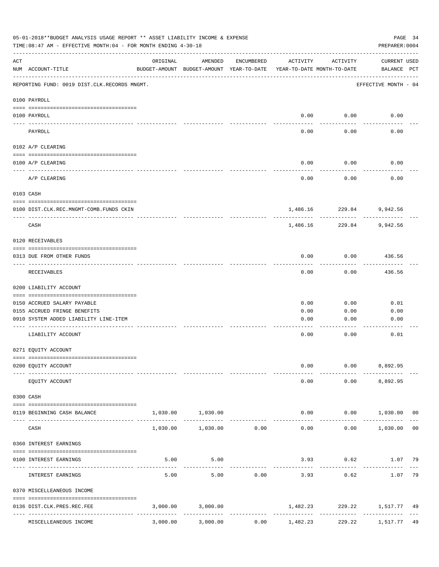|     | 05-01-2018**BUDGET ANALYSIS USAGE REPORT ** ASSET LIABILITY INCOME & EXPENSE<br>TIME: 08:47 AM - EFFECTIVE MONTH: 04 - FOR MONTH ENDING 4-30-18 |          |                                                     |            |                                          |                         | PAGE 34<br>PREPARER: 0004         |
|-----|-------------------------------------------------------------------------------------------------------------------------------------------------|----------|-----------------------------------------------------|------------|------------------------------------------|-------------------------|-----------------------------------|
| ACT | NUM ACCOUNT-TITLE                                                                                                                               | ORIGINAL | AMENDED<br>BUDGET-AMOUNT BUDGET-AMOUNT YEAR-TO-DATE | ENCUMBERED | ACTIVITY<br>YEAR-TO-DATE MONTH-TO-DATE   | ACTIVITY                | CURRENT USED<br>BALANCE PCT       |
|     | REPORTING FUND: 0019 DIST.CLK.RECORDS MNGMT.                                                                                                    |          |                                                     |            |                                          |                         | EFFECTIVE MONTH - 04              |
|     | 0100 PAYROLL                                                                                                                                    |          |                                                     |            |                                          |                         |                                   |
|     | 0100 PAYROLL                                                                                                                                    |          |                                                     |            | 0.00                                     | 0.00                    | 0.00                              |
|     | ---- -------<br>PAYROLL                                                                                                                         |          |                                                     |            | 0.00                                     | 0.00                    | 0.00                              |
|     | 0102 A/P CLEARING                                                                                                                               |          |                                                     |            |                                          |                         |                                   |
|     | 0100 A/P CLEARING                                                                                                                               |          |                                                     |            | 0.00                                     | 0.00                    | 0.00                              |
|     | A/P CLEARING                                                                                                                                    |          |                                                     |            | 0.00                                     | 0.00                    | 0.00                              |
|     | 0103 CASH                                                                                                                                       |          |                                                     |            |                                          |                         |                                   |
|     | 0100 DIST.CLK.REC.MNGMT-COMB.FUNDS CKIN                                                                                                         |          |                                                     |            |                                          | 1,486.16 229.84         | 9,942.56                          |
|     | CASH                                                                                                                                            |          |                                                     |            | 1,486.16                                 | ----------<br>229.84    | 9,942.56                          |
|     | 0120 RECEIVABLES                                                                                                                                |          |                                                     |            |                                          |                         |                                   |
|     | 0313 DUE FROM OTHER FUNDS                                                                                                                       |          |                                                     |            | 0.00                                     | 0.00                    | 436.56                            |
|     | RECEIVABLES                                                                                                                                     |          |                                                     |            | 0.00                                     | 0.00                    | ---------<br>436.56               |
|     | 0200 LIABILITY ACCOUNT                                                                                                                          |          |                                                     |            |                                          |                         |                                   |
|     | 0150 ACCRUED SALARY PAYABLE                                                                                                                     |          |                                                     |            | 0.00                                     | 0.00                    | 0.01                              |
|     | 0155 ACCRUED FRINGE BENEFITS                                                                                                                    |          |                                                     |            | 0.00                                     | 0.00                    | 0.00                              |
|     | 0910 SYSTEM ADDED LIABILITY LINE-ITEM                                                                                                           |          |                                                     |            | 0.00                                     | 0.00                    | 0.00                              |
|     | LIABILITY ACCOUNT                                                                                                                               |          |                                                     |            | 0.00                                     | 0.00                    | 0.01                              |
|     | 0271 EQUITY ACCOUNT                                                                                                                             |          |                                                     |            |                                          |                         |                                   |
|     |                                                                                                                                                 |          |                                                     |            |                                          |                         |                                   |
|     | 0200 EQUITY ACCOUNT                                                                                                                             |          |                                                     |            | 0.00                                     |                         | $0.00$ 8,892.95                   |
|     | EQUITY ACCOUNT                                                                                                                                  |          |                                                     |            | 0.00                                     |                         | $0.00$ $8,892.95$                 |
|     | 0300 CASH                                                                                                                                       |          |                                                     |            |                                          |                         |                                   |
|     | 0119 BEGINNING CASH BALANCE                                                                                                                     |          | 1,030.00 1,030.00                                   |            |                                          |                         | $0.00$ $0.00$ $1,030.00$ 00       |
|     | CASH                                                                                                                                            | 1,030.00 | -------------<br>$1,030.00$ 0.00                    |            | 0.00                                     |                         | $0.00$ 1,030.00<br>0 <sub>0</sub> |
|     | 0360 INTEREST EARNINGS                                                                                                                          |          |                                                     |            |                                          |                         |                                   |
|     | 0100 INTEREST EARNINGS                                                                                                                          | 5.00     | 5.00                                                |            |                                          | $3.93$ 0.62             | 1.07 79                           |
|     | INTEREST EARNINGS                                                                                                                               | 5.00     | 5.00                                                | 0.00       | 3.93                                     | 0.62                    | 79<br>1.07                        |
|     | 0370 MISCELLEANEOUS INCOME                                                                                                                      |          |                                                     |            |                                          |                         |                                   |
|     | 0136 DIST.CLK.PRES.REC.FEE                                                                                                                      |          | 3,000.00 3,000.00                                   |            | 1,482.23                                 |                         | 229.22 1,517.77 49                |
|     | ---------------- --------------<br>------------------<br>MISCELLEANEOUS INCOME                                                                  | 3,000.00 | 3,000.00                                            | 0.00       | ----------------------------<br>1,482.23 | -------------<br>229.22 | --------------<br>1,517.77<br>49  |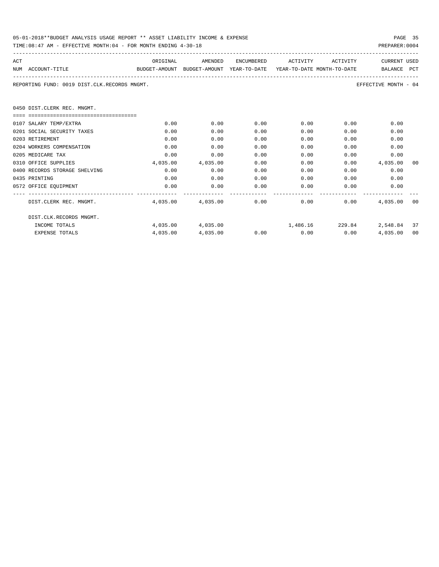| 05-01-2018**BUDGET ANALYSIS USAGE REPORT ** ASSET LIABILITY INCOME & EXPENSE | PAGE 35        |
|------------------------------------------------------------------------------|----------------|
| TIME:08:47 AM - EFFECTIVE MONTH:04 - FOR MONTH ENDING 4-30-18                | PREPARER: 0004 |

| ACT |                                                                                          | ORIGINAL | AMENDED           | ENCUMBERED | ACTIVITY                                                                                                                                                                                                                    | ACTIVITY | <b>CURRENT USED</b>                                                                                                                                                                                                                 |      |  |  |
|-----|------------------------------------------------------------------------------------------|----------|-------------------|------------|-----------------------------------------------------------------------------------------------------------------------------------------------------------------------------------------------------------------------------|----------|-------------------------------------------------------------------------------------------------------------------------------------------------------------------------------------------------------------------------------------|------|--|--|
|     | NUM ACCOUNT-TITLE<br>BUDGET-AMOUNT BUDGET-AMOUNT YEAR-TO-DATE YEAR-TO-DATE_MONTH-TO-DATE |          |                   |            |                                                                                                                                                                                                                             |          | BALANCE PCT                                                                                                                                                                                                                         |      |  |  |
|     | REPORTING FUND: 0019 DIST.CLK.RECORDS MNGMT.<br>EFFECTIVE MONTH - 04                     |          |                   |            |                                                                                                                                                                                                                             |          |                                                                                                                                                                                                                                     |      |  |  |
|     | 0450 DIST. CLERK REC. MNGMT.                                                             |          |                   |            |                                                                                                                                                                                                                             |          |                                                                                                                                                                                                                                     |      |  |  |
|     | ================================                                                         |          |                   |            |                                                                                                                                                                                                                             |          |                                                                                                                                                                                                                                     |      |  |  |
|     | 0107 SALARY TEMP/EXTRA                                                                   | 0.00     | 0.00              | 0.00       | $0.00$ and $0.00$ and $0.00$ and $0.00$ and $0.00$ and $0.00$ and $0.00$ and $0.00$ and $0.00$ and $0.00$ and $0.00$ and $0.00$ and $0.00$ and $0.00$ and $0.00$ and $0.00$ and $0.00$ and $0.00$ and $0.00$ and $0.00$ and | 0.00     | 0.00                                                                                                                                                                                                                                |      |  |  |
|     | 0201 SOCIAL SECURITY TAXES                                                               | 0.00     | 0.00              | 0.00       | 0.00                                                                                                                                                                                                                        | 0.00     | 0.00                                                                                                                                                                                                                                |      |  |  |
|     | 0203 RETIREMENT                                                                          | 0.00     | 0.00              | 0.00       | 0.00                                                                                                                                                                                                                        | 0.00     | 0.00                                                                                                                                                                                                                                |      |  |  |
|     | 0204 WORKERS COMPENSATION                                                                | 0.00     | 0.00              | 0.00       | 0.00                                                                                                                                                                                                                        | 0.00     | 0.00                                                                                                                                                                                                                                |      |  |  |
|     | 0205 MEDICARE TAX                                                                        | 0.00     | 0.00              | 0.00       | 0.00                                                                                                                                                                                                                        | 0.00     | 0.00                                                                                                                                                                                                                                |      |  |  |
|     | 0310 OFFICE SUPPLIES                                                                     | 4,035.00 | 4,035.00          | 0.00       | 0.00                                                                                                                                                                                                                        |          | $0.00$ 4,035,00                                                                                                                                                                                                                     | - 00 |  |  |
|     | 0400 RECORDS STORAGE SHELVING                                                            | 0.00     | 0.00              | 0.00       | 0.00                                                                                                                                                                                                                        |          | 0.00<br>$0.00$ and $0.00$                                                                                                                                                                                                           |      |  |  |
|     | 0435 PRINTING                                                                            | 0.00     | 0.00              | 0.00       | 0.00                                                                                                                                                                                                                        |          | 0.00<br>0.00                                                                                                                                                                                                                        |      |  |  |
|     | 0572 OFFICE EQUIPMENT                                                                    | 0.00     | 0.00              | 0.00       | 0.00                                                                                                                                                                                                                        |          | 0.00<br>$0.00$ and $0.00$ and $0.00$ and $0.00$ and $0.00$ and $0.00$ and $0.00$ and $0.00$ and $0.00$ and $0.00$ and $0.00$ and $0.00$ and $0.00$ and $0.00$ and $0.00$ and $0.00$ and $0.00$ and $0.00$ and $0.00$ and $0.00$ and |      |  |  |
|     | DIST.CLERK REC. MNGMT.                                                                   |          |                   |            | $4,035.00$ $4,035.00$ $0.00$ $0.00$ $0.00$                                                                                                                                                                                  |          | 4,035,00 00                                                                                                                                                                                                                         |      |  |  |
|     | DIST.CLK.RECORDS MNGMT.                                                                  |          |                   |            |                                                                                                                                                                                                                             |          |                                                                                                                                                                                                                                     |      |  |  |
|     | INCOME TOTALS                                                                            |          | 4,035.00 4,035.00 |            | $1,486.16$ $229.84$ $2,548.84$ $37$                                                                                                                                                                                         |          |                                                                                                                                                                                                                                     |      |  |  |
|     | <b>EXPENSE TOTALS</b>                                                                    |          | 4,035.00 4,035.00 |            | $0.00$ $0.00$ $0.00$                                                                                                                                                                                                        |          | 4,035.00                                                                                                                                                                                                                            | 00   |  |  |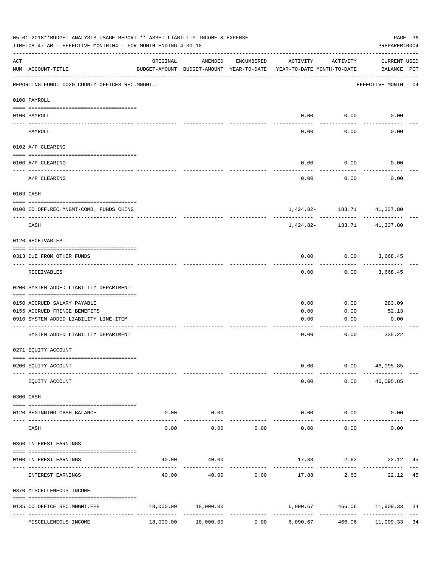|                    | 05-01-2018**BUDGET ANALYSIS USAGE REPORT ** ASSET LIABILITY INCOME & EXPENSE<br>TIME:08:47 AM - EFFECTIVE MONTH:04 - FOR MONTH ENDING 4-30-18 |                                           |                                                                                |            |               |                             | PREPARER: 0004                                               | PAGE 36 |
|--------------------|-----------------------------------------------------------------------------------------------------------------------------------------------|-------------------------------------------|--------------------------------------------------------------------------------|------------|---------------|-----------------------------|--------------------------------------------------------------|---------|
| $\mathop{\rm ACT}$ | NUM ACCOUNT-TITLE                                                                                                                             | ORIGINAL                                  | AMENDED<br>BUDGET-AMOUNT BUDGET-AMOUNT YEAR-TO-DATE YEAR-TO-DATE MONTH-TO-DATE | ENCUMBERED | ACTIVITY      | ACTIVITY                    | CURRENT USED<br>BALANCE PCT                                  |         |
|                    | REPORTING FUND: 0020 COUNTY OFFICES REC.MNGMT.                                                                                                |                                           |                                                                                |            |               |                             | EFFECTIVE MONTH - 04                                         |         |
|                    | 0100 PAYROLL                                                                                                                                  |                                           |                                                                                |            |               |                             |                                                              |         |
|                    | 0100 PAYROLL                                                                                                                                  |                                           |                                                                                |            |               | $0.00$ $0.00$               | 0.00                                                         |         |
|                    | PAYROLL                                                                                                                                       |                                           |                                                                                |            | 0.00          | 0.00                        | 0.00                                                         |         |
|                    | 0102 A/P CLEARING                                                                                                                             |                                           |                                                                                |            |               |                             |                                                              |         |
|                    | 0100 A/P CLEARING                                                                                                                             |                                           |                                                                                |            | 0.00          | 0.00                        | 0.00                                                         |         |
|                    | A/P CLEARING                                                                                                                                  |                                           |                                                                                |            | 0.00          | 0.00                        | 0.00                                                         |         |
|                    | 0103 CASH                                                                                                                                     |                                           |                                                                                |            |               |                             |                                                              |         |
|                    | 0100 CO.OFF.REC.MNGMT-COMB. FUNDS CKING                                                                                                       |                                           |                                                                                |            |               |                             | 1,424.82- 183.71 41,337.80                                   |         |
|                    | -----------------------------<br>CASH                                                                                                         |                                           |                                                                                |            |               | -----------                 | 1,424.82 - 183.71 41,337.80                                  |         |
|                    | 0120 RECEIVABLES                                                                                                                              |                                           |                                                                                |            |               |                             |                                                              |         |
|                    | 0313 DUE FROM OTHER FUNDS                                                                                                                     |                                           |                                                                                |            | 0.00          |                             | $0.00$ 3,668.45                                              |         |
|                    | RECEIVABLES                                                                                                                                   |                                           |                                                                                |            | 0.00          |                             | $0.00$ 3,668.45                                              |         |
|                    | 0200 SYSTEM ADDED LIABILITY DEPARTMENT                                                                                                        |                                           |                                                                                |            |               |                             |                                                              |         |
|                    | 0150 ACCRUED SALARY PAYABLE                                                                                                                   |                                           |                                                                                |            | 0.00          | 0.00                        | 283.09                                                       |         |
|                    | 0155 ACCRUED FRINGE BENEFITS                                                                                                                  |                                           |                                                                                |            | 0.00          | 0.00                        | 52.13                                                        |         |
|                    | 0910 SYSTEM ADDED LIABILITY LINE-ITEM                                                                                                         |                                           |                                                                                |            | 0.00          | 0.00                        | 0.00                                                         |         |
|                    | SYSTEM ADDED LIABILITY DEPARTMENT                                                                                                             |                                           |                                                                                |            | 0.00          | 0.00                        | 335.22                                                       |         |
|                    | 0271 EQUITY ACCOUNT                                                                                                                           |                                           |                                                                                |            |               |                             |                                                              |         |
|                    | 0200 EQUITY ACCOUNT                                                                                                                           |                                           |                                                                                |            | 0.00          |                             | 0.00 46,095.85                                               |         |
|                    | EQUITY ACCOUNT                                                                                                                                |                                           |                                                                                |            | 0.00          |                             | $0.00$ 46,095.85                                             |         |
|                    | 0300 CASH                                                                                                                                     |                                           |                                                                                |            |               |                             |                                                              |         |
|                    | 0120 BEGINNING CASH BALANCE                                                                                                                   | 0.00                                      | 0.00<br>. <u>.</u> .                                                           |            | $- - - - - -$ | $0.00$ $0.00$<br>---------- | 0.00                                                         |         |
|                    | CASH                                                                                                                                          | 0.00                                      | 0.00                                                                           | 0.00       | 0.00          | 0.00                        | 0.00                                                         |         |
|                    | 0360 INTEREST EARNINGS                                                                                                                        |                                           |                                                                                |            |               |                             |                                                              |         |
|                    | 0100 INTEREST EARNINGS                                                                                                                        | 40.00                                     | 40.00                                                                          |            |               | 17.88 2.63                  | 22.12 45                                                     |         |
|                    | INTEREST EARNINGS                                                                                                                             | 40.00                                     | 40.00                                                                          | 0.00       | 17.88         | 2.63                        | 22.12 45                                                     |         |
|                    | 0370 MISCELLENEOUS INCOME                                                                                                                     |                                           |                                                                                |            |               |                             |                                                              |         |
|                    | 0135 CO.OFFICE REC.MNGMT.FEE<br>---- --------------------                                                                                     | 18,000.00<br>-------------- ------------- | 18,000.00<br>-------------                                                     |            |               |                             | 6,090.67 466.06 11,909.33<br>------------- ------------- --- | 34      |
|                    | MISCELLENEOUS INCOME                                                                                                                          | 18,000.00                                 | 18,000.00                                                                      | 0.00       | 6,090.67      | 466.06                      | 11,909.33 34                                                 |         |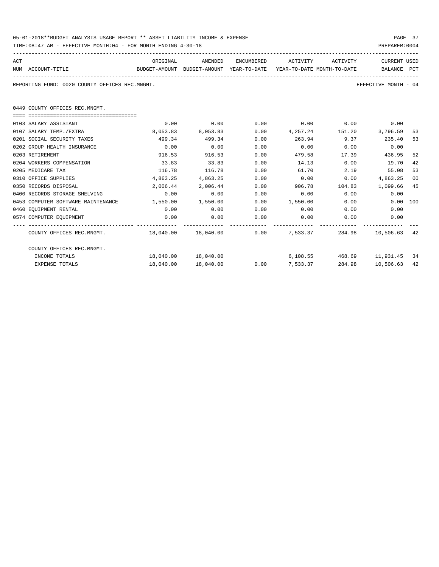| 05-01-2018**BUDGET ANALYSIS USAGE REPORT ** ASSET LIABILITY INCOME & EXPENSE | PAGE 37        |
|------------------------------------------------------------------------------|----------------|
| TIME:08:47 AM - EFFECTIVE MONTH:04 - FOR MONTH ENDING 4-30-18                | PREPARER: 0004 |

| ACT | NUM ACCOUNT-TITLE<br>BUDGET-AMOUNT BUDGET-AMOUNT YEAR-TO-DATE YEAR-TO-DATE_MONTH-TO-DATE | ORIGINAL              |                      |      | AMENDED ENCUMBERED ACTIVITY ACTIVITY |             | CURRENT USED<br>BALANCE PCT |    |
|-----|------------------------------------------------------------------------------------------|-----------------------|----------------------|------|--------------------------------------|-------------|-----------------------------|----|
|     | REPORTING FUND: 0020 COUNTY OFFICES REC.MNGMT.                                           |                       |                      |      |                                      |             | EFFECTIVE MONTH - 04        |    |
|     | 0449 COUNTY OFFICES REC.MNGMT.                                                           |                       |                      |      |                                      |             |                             |    |
|     |                                                                                          |                       |                      |      |                                      |             |                             |    |
|     | 0103 SALARY ASSISTANT                                                                    | 0.00                  | 0.00                 |      | $0.00$ $0.00$ $0.00$ $0.00$ $0.00$   |             |                             |    |
|     | 0107 SALARY TEMP./EXTRA                                                                  |                       | 8,053.83 8,053.83    | 0.00 | 4, 257. 24 151. 20 3, 796. 59        |             |                             | 53 |
|     | 0201 SOCIAL SECURITY TAXES                                                               | 499.34                | 499.34               | 0.00 | 263.94 9.37 235.40                   |             |                             | 53 |
|     | 0202 GROUP HEALTH INSURANCE                                                              | 0.00                  | 0.00                 | 0.00 | 0.00                                 | $0.00$ 0.00 |                             |    |
|     | 0203 RETIREMENT                                                                          | 916.53                | 916.53               | 0.00 | 479.58                               | 17.39       | 436.95                      | 52 |
|     | 0204 WORKERS COMPENSATION                                                                | 33.83                 | 33.83                | 0.00 | 14.13                                | 0.00        | 19.70                       | 42 |
|     | 0205 MEDICARE TAX                                                                        | 116.78                | 116.78               | 0.00 | 61.70                                | 2.19        | 55.08                       | 53 |
|     | 0310 OFFICE SUPPLIES                                                                     | 4,863.25              | 4,863.25             | 0.00 | 0.00                                 | 0.00        | 4,863.25                    | 00 |
|     | 0350 RECORDS DISPOSAL                                                                    |                       | 2,006.44 2,006.44    | 0.00 | 906.78 104.83 1,099.66               |             |                             | 45 |
|     | 0400 RECORDS STORAGE SHELVING                                                            | 0.00                  | 0.00                 | 0.00 | $0.00$ 0.00                          |             | 0.00                        |    |
|     | 0453 COMPUTER SOFTWARE MAINTENANCE                                                       | $1,550.00$ $1,550.00$ |                      |      | $0.00$ 1,550.00 0.00                 |             | $0.00$ 100                  |    |
|     | 0460 EOUIPMENT RENTAL                                                                    | 0.00                  | 0.00                 | 0.00 | $0.00$ 0.00                          |             | 0.00                        |    |
|     | 0574 COMPUTER EQUIPMENT                                                                  | 0.00                  | 0.00                 | 0.00 | 0.00                                 | 0.00        | 0.00                        |    |
|     | COUNTY OFFICES REC.MNGMT. 48,040.00 18,040.00 0.00 7,533.37                              |                       |                      |      |                                      |             | 284.98 10,506.63 42         |    |
|     | COUNTY OFFICES REC.MNGMT.                                                                |                       |                      |      |                                      |             |                             |    |
|     | INCOME TOTALS                                                                            |                       | 18,040.00  18,040.00 |      | $6,108.55$ $468.69$ $11,931.45$ 34   |             |                             |    |
|     | <b>EXPENSE TOTALS</b>                                                                    | 18,040.00             | 18,040.00            |      | 0.007,533.37                         | 284.98      | 10,506.63                   | 42 |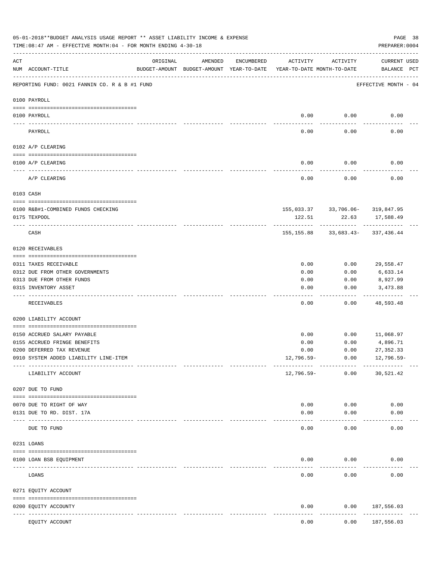|     | 05-01-2018**BUDGET ANALYSIS USAGE REPORT ** ASSET LIABILITY INCOME & EXPENSE<br>TIME:08:47 AM - EFFECTIVE MONTH:04 - FOR MONTH ENDING 4-30-18 |                            |         |            |                                                                                 |                                                         | PAGE 38<br>PREPARER: 0004          |  |
|-----|-----------------------------------------------------------------------------------------------------------------------------------------------|----------------------------|---------|------------|---------------------------------------------------------------------------------|---------------------------------------------------------|------------------------------------|--|
| ACT | NUM ACCOUNT-TITLE                                                                                                                             | ORIGINAL                   | AMENDED | ENCUMBERED | ACTIVITY<br>BUDGET-AMOUNT BUDGET-AMOUNT YEAR-TO-DATE YEAR-TO-DATE MONTH-TO-DATE | ACTIVITY                                                | <b>CURRENT USED</b><br>BALANCE PCT |  |
|     | REPORTING FUND: 0021 FANNIN CO. R & B #1 FUND                                                                                                 |                            |         |            |                                                                                 |                                                         | EFFECTIVE MONTH - 04               |  |
|     | 0100 PAYROLL                                                                                                                                  |                            |         |            |                                                                                 |                                                         |                                    |  |
|     | 0100 PAYROLL                                                                                                                                  |                            |         |            | 0.00                                                                            | 0.00                                                    | 0.00                               |  |
|     | ----- ----<br>PAYROLL                                                                                                                         |                            |         |            | 0.00                                                                            | 0.00                                                    | 0.00                               |  |
|     | 0102 A/P CLEARING                                                                                                                             |                            |         |            |                                                                                 |                                                         |                                    |  |
|     | 0100 A/P CLEARING                                                                                                                             |                            |         |            | 0.00                                                                            | 0.00                                                    | 0.00                               |  |
|     | A/P CLEARING                                                                                                                                  |                            |         |            | 0.00                                                                            | 0.00                                                    | 0.00                               |  |
|     | 0103 CASH                                                                                                                                     |                            |         |            |                                                                                 |                                                         |                                    |  |
|     |                                                                                                                                               |                            |         |            |                                                                                 |                                                         |                                    |  |
|     | 0100 R&B#1-COMBINED FUNDS CHECKING<br>0175 TEXPOOL                                                                                            |                            |         |            | 122.51                                                                          | 155,033.37 33,706.06- 319,847.95<br>22.63<br>---------- | 17,588.49                          |  |
|     | CASH                                                                                                                                          |                            |         |            |                                                                                 | 155, 155.88 33, 683.43- 337, 436.44                     | . _ _ _ _ _ _ _ _ _ _              |  |
|     | 0120 RECEIVABLES                                                                                                                              |                            |         |            |                                                                                 |                                                         |                                    |  |
|     | 0311 TAXES RECEIVABLE                                                                                                                         |                            |         |            | 0.00                                                                            | 0.00                                                    | 29,558.47                          |  |
|     | 0312 DUE FROM OTHER GOVERNMENTS                                                                                                               |                            |         |            | 0.00                                                                            | 0.00                                                    | 6,633.14                           |  |
|     | 0313 DUE FROM OTHER FUNDS                                                                                                                     |                            |         |            | 0.00                                                                            | 0.00                                                    | 8,927.99                           |  |
|     | 0315 INVENTORY ASSET                                                                                                                          |                            |         |            | 0.00                                                                            | 0.00                                                    | 3,473.88<br>----------             |  |
|     | RECEIVABLES                                                                                                                                   |                            |         |            | 0.00                                                                            | 0.00                                                    | 48,593.48                          |  |
|     | 0200 LIABILITY ACCOUNT                                                                                                                        |                            |         |            |                                                                                 |                                                         |                                    |  |
|     | 0150 ACCRUED SALARY PAYABLE                                                                                                                   |                            |         |            | 0.00                                                                            | 0.00                                                    | 11,068.97                          |  |
|     | 0155 ACCRUED FRINGE BENEFITS                                                                                                                  |                            |         |            | 0.00                                                                            | 0.00                                                    | 4,896.71                           |  |
|     | 0200 DEFERRED TAX REVENUE                                                                                                                     |                            |         |            | 0.00                                                                            | 0.00                                                    | 27, 352.33                         |  |
|     | 0910 SYSTEM ADDED LIABILITY LINE-ITEM                                                                                                         |                            |         |            | 12,796.59-                                                                      | 0.00                                                    | 12,796.59-                         |  |
|     | LIABILITY ACCOUNT                                                                                                                             |                            |         |            | 12,796.59-                                                                      | 0.00                                                    | 30,521.42                          |  |
|     | 0207 DUE TO FUND                                                                                                                              |                            |         |            |                                                                                 |                                                         |                                    |  |
|     | 0070 DUE TO RIGHT OF WAY                                                                                                                      |                            |         |            | 0.00                                                                            | 0.00                                                    | 0.00                               |  |
|     | 0131 DUE TO RD. DIST. 17A                                                                                                                     |                            |         |            | 0.00                                                                            | 0.00                                                    | 0.00                               |  |
|     | DUE TO FUND                                                                                                                                   | ------------ ------------- |         |            | 0.00                                                                            | 0.00                                                    | 0.00                               |  |
|     | 0231 LOANS                                                                                                                                    |                            |         |            |                                                                                 |                                                         |                                    |  |
|     | 0100 LOAN BSB EQUIPMENT                                                                                                                       |                            |         |            | 0.00                                                                            | 0.00                                                    | 0.00                               |  |
|     | LOANS                                                                                                                                         |                            |         |            | 0.00                                                                            | 0.00                                                    | 0.00                               |  |
|     | 0271 EQUITY ACCOUNT                                                                                                                           |                            |         |            |                                                                                 |                                                         |                                    |  |
|     | 0200 EQUITY ACCOUNTY                                                                                                                          |                            |         |            | 0.00                                                                            | 0.00                                                    | 187,556.03                         |  |
|     | EQUITY ACCOUNT                                                                                                                                | ----- -------------        |         |            | 0.00                                                                            | 0.00                                                    | ---------<br>187,556.03            |  |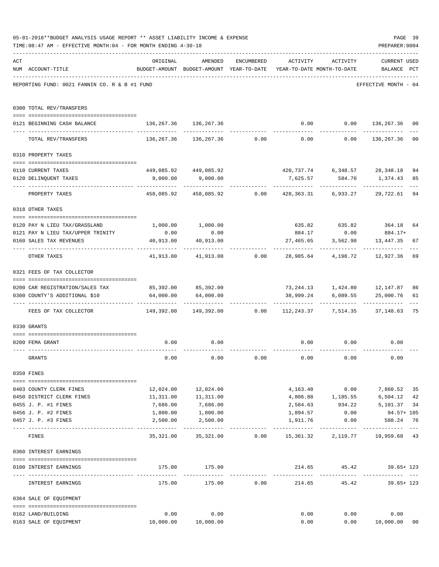|     | 05-01-2018**BUDGET ANALYSIS USAGE REPORT ** ASSET LIABILITY INCOME & EXPENSE      |                                   |                                                                     |               |           |                                     | PAGE 39                 |                     |
|-----|-----------------------------------------------------------------------------------|-----------------------------------|---------------------------------------------------------------------|---------------|-----------|-------------------------------------|-------------------------|---------------------|
|     | TIME:08:47 AM - EFFECTIVE MONTH:04 - FOR MONTH ENDING 4-30-18                     |                                   |                                                                     |               |           |                                     | PREPARER: 0004          |                     |
| ACT |                                                                                   | ORIGINAL                          | AMENDED                                                             | ENCUMBERED    |           | ACTIVITY ACTIVITY                   | <b>CURRENT USED</b>     |                     |
|     | NUM ACCOUNT-TITLE                                                                 |                                   | BUDGET-AMOUNT BUDGET-AMOUNT YEAR-TO-DATE YEAR-TO-DATE MONTH-TO-DATE |               |           |                                     | BALANCE PCT             |                     |
|     | REPORTING FUND: 0021 FANNIN CO. R & B #1 FUND                                     |                                   |                                                                     |               |           |                                     | EFFECTIVE MONTH - 04    |                     |
|     | 0300 TOTAL REV/TRANSFERS                                                          |                                   |                                                                     |               |           |                                     |                         |                     |
|     | 0121 BEGINNING CASH BALANCE                                                       | 136, 267.36 136, 267.36           |                                                                     |               |           | $0.00$ $0.00$ $136,267.36$          |                         | 00                  |
|     | TOTAL REV/TRANSFERS                                                               |                                   | $136,267.36$ $136,267.36$ $0.00$ $0.00$ $0.00$ $136,267.36$         |               |           |                                     |                         | 0 <sub>0</sub>      |
|     | 0310 PROPERTY TAXES                                                               |                                   |                                                                     |               |           |                                     |                         |                     |
|     | 0110 CURRENT TAXES                                                                |                                   | 449,085.92 449,085.92                                               |               |           | 420,737.74 6,348.57 28,348.18       |                         | 94                  |
|     | 0120 DELINQUENT TAXES                                                             |                                   | 9,000.00 9,000.00                                                   |               |           | 7,625.57 584.70 1,374.43            |                         | 85                  |
|     | PROPERTY TAXES                                                                    | ------------------- ------------- | 458,085.92 458,085.92 0.00 428,363.31 6,933.27                      |               | .         | . <u>.</u>                          | ----------<br>29,722.61 | 94                  |
|     | 0318 OTHER TAXES                                                                  |                                   |                                                                     |               |           |                                     |                         |                     |
|     | 0120 PAY N LIEU TAX/GRASSLAND                                                     |                                   | 1,000.00 1,000.00                                                   |               |           | 635.82 635.82 364.18                |                         | 64                  |
|     | 0121 PAY N LIEU TAX/UPPER TRINITY                                                 | 0.00                              | 0.00                                                                |               | 884.17    | 0.00                                | 884.17+                 |                     |
|     | 0160 SALES TAX REVENUES                                                           | 40,913.00<br>. <u>.</u>           | 40,913.00                                                           |               | 27,465.65 | 3,562.90                            | 13,447.35               | 67                  |
|     | OTHER TAXES                                                                       |                                   | $41,913.00$ $41,913.00$ $0.00$ $28,985.64$ $4,198.72$ $12,927.36$   |               |           |                                     |                         | 69                  |
|     | 0321 FEES OF TAX COLLECTOR                                                        |                                   |                                                                     |               |           |                                     |                         |                     |
|     | 0200 CAR REGISTRATION/SALES TAX                                                   |                                   | 85,392.00 85,392.00                                                 |               |           | 73, 244.13   1, 424.80   12, 147.87 |                         | 86                  |
|     | 0300 COUNTY'S ADDITIONAL \$10                                                     |                                   | 64,000.00 64,000.00                                                 |               |           | 38,999.24 6,089.55 25,000.76        |                         | 61                  |
|     | FEES OF TAX COLLECTOR 63 (19,392.00 149,392.00 0.00 112,243.37 7,514.35 37,148.63 |                                   |                                                                     |               |           |                                     |                         | 75                  |
|     | 0330 GRANTS                                                                       |                                   |                                                                     |               |           |                                     |                         |                     |
|     | 0200 FEMA GRANT                                                                   | 0.00                              | 0.00                                                                |               |           | $0.00$ $0.00$<br>------------       | 0.00                    |                     |
|     | GRANTS                                                                            | 0.00                              | 0.00                                                                | 0.00          | 0.00      | 0.00                                | 0.00                    |                     |
|     | 0350 FINES                                                                        |                                   |                                                                     |               |           |                                     |                         |                     |
|     | 0403 COUNTY CLERK FINES                                                           |                                   | 12,024.00   12,024.00                                               |               |           | 4, 163. 48 0.00 7, 860. 52          |                         | 35                  |
|     | 0450 DISTRICT CLERK FINES                                                         |                                   | 11,311.00   11,311.00                                               |               |           | 4,806.88 1,185.55                   | 6,504.12                | 42                  |
|     | 0455 J. P. #1 FINES                                                               | 7,686.00                          | 7,686.00                                                            |               | 2,584.63  | 934.22                              | 5,101.37                | 34                  |
|     | 0456 J. P. #2 FINES                                                               | 1,800.00                          | 1,800.00                                                            |               | 1,894.57  | 0.00                                | 94.57+ 105              |                     |
|     | 0457 J. P. #3 FINES                                                               | 2,500.00<br>-----------           | 2,500.00<br>-------------                                           | ------------- | 1,911.76  | 0.00                                | 588.24<br>------------- | 76<br>$\frac{1}{2}$ |
|     | FINES                                                                             | 35,321.00                         |                                                                     |               |           |                                     |                         |                     |
|     | 0360 INTEREST EARNINGS                                                            |                                   |                                                                     |               |           |                                     |                         |                     |
|     | 0100 INTEREST EARNINGS                                                            |                                   | 175.00 175.00                                                       |               |           | 214.65 45.42 39.65+ 123             |                         |                     |
|     | INTEREST EARNINGS                                                                 | 175.00                            |                                                                     | 175.00 0.00   |           | 214.65 45.42                        | 39.65+ 123              |                     |
|     | 0364 SALE OF EQUIPMENT                                                            |                                   |                                                                     |               |           |                                     |                         |                     |
|     | 0162 LAND/BUILDING                                                                | 0.00                              | 0.00                                                                |               | 0.00      |                                     | 0.00<br>0.00            |                     |
|     | 0163 SALE OF EQUIPMENT                                                            | 10,000.00  10,000.00              |                                                                     |               | 0.00      |                                     | 0.00 10,000.00          | 0 <sub>0</sub>      |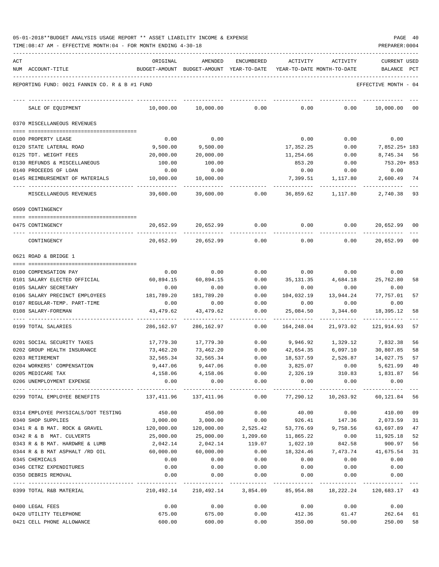| 05-01-2018**BUDGET ANALYSIS USAGE REPORT ** ASSET LIABILITY INCOME & EXPENSE |  |  |  | PAGE | -40 |
|------------------------------------------------------------------------------|--|--|--|------|-----|
|                                                                              |  |  |  |      |     |

TIME:08:47 AM - EFFECTIVE MONTH:04 - FOR MONTH ENDING 4-30-18 PREPARER:0004

| ACT | NUM ACCOUNT-TITLE                             | ORIGINAL<br>BUDGET-AMOUNT BUDGET-AMOUNT YEAR-TO-DATE YEAR-TO-DATE MONTH-TO-DATE | AMENDED                                  | <b>ENCUMBERED</b>     | ACTIVITY                      | ACTIVITY    | <b>CURRENT USED</b><br>BALANCE       | PCT |
|-----|-----------------------------------------------|---------------------------------------------------------------------------------|------------------------------------------|-----------------------|-------------------------------|-------------|--------------------------------------|-----|
|     |                                               |                                                                                 |                                          |                       |                               |             |                                      |     |
|     | REPORTING FUND: 0021 FANNIN CO. R & B #1 FUND |                                                                                 |                                          |                       |                               |             | EFFECTIVE MONTH - 04                 |     |
|     | SALE OF EQUIPMENT                             | 10,000.00                                                                       | 10,000.00                                | 0.00                  | 0.00                          | 0.00        | 10,000.00                            | 00  |
|     | 0370 MISCELLANEOUS REVENUES                   |                                                                                 |                                          |                       |                               |             |                                      |     |
|     | 0100 PROPERTY LEASE                           | 0.00                                                                            | 0.00                                     |                       | 0.00                          | 0.00        | 0.00                                 |     |
|     | 0120 STATE LATERAL ROAD                       | 9,500.00                                                                        | 9,500.00                                 |                       | 17,352.25                     | 0.00        | 7,852.25+ 183                        |     |
|     | 0125 TDT. WEIGHT FEES                         | 20,000.00                                                                       | 20,000.00                                |                       | 11,254.66                     | 0.00        | 8,745.34 56                          |     |
|     | 0130 REFUNDS & MISCELLANEOUS                  | 100.00                                                                          | 100.00                                   |                       | 853.20                        | 0.00        | 753.20+ 853                          |     |
|     | 0140 PROCEEDS OF LOAN                         | 0.00                                                                            | 0.00                                     |                       | 0.00                          | 0.00        | 0.00                                 |     |
|     | 0145 REIMBURSEMENT OF MATERIALS               | 10,000.00                                                                       | 10,000.00                                |                       | 7,399.51                      | 1,117.80    | 2,600.49                             | 74  |
|     | MISCELLANEOUS REVENUES                        | 39,600.00                                                                       | 39,600.00                                | 0.00                  | 36,859.62                     | 1,117.80    | 2,740.38                             | 93  |
|     | 0509 CONTINGENCY                              |                                                                                 |                                          |                       |                               |             |                                      |     |
|     | 0475 CONTINGENCY                              | 20,652.99                                                                       | 20,652.99                                | 0.00                  | 0.00                          | 0.00        | 20,652.99 00                         |     |
|     | CONTINGENCY                                   | 20,652.99                                                                       | 20,652.99                                | 0.00                  | 0.00                          | 0.00        | 20,652.99 00                         |     |
|     | 0621 ROAD & BRIDGE 1                          |                                                                                 |                                          |                       |                               |             |                                      |     |
|     | 0100 COMPENSATION PAY                         | 0.00                                                                            | 0.00                                     | 0.00                  | 0.00                          | 0.00        | 0.00                                 |     |
|     | 0101 SALARY ELECTED OFFICIAL                  | 60,894.15                                                                       | 60,894.15                                | 0.00                  | 35,131.35                     | 4,684.18    | 25,762.80                            | 58  |
|     | 0105 SALARY SECRETARY                         | 0.00                                                                            | 0.00                                     | 0.00                  | 0.00                          | 0.00        | 0.00                                 |     |
|     | 0106 SALARY PRECINCT EMPLOYEES                | 181,789.20                                                                      | 181,789.20                               | 0.00                  | 104,032.19                    | 13,944.24   | 77,757.01                            | 57  |
|     | 0107 REGULAR-TEMP. PART-TIME                  | 0.00                                                                            | 0.00                                     | 0.00                  | 0.00                          | 0.00        | 0.00                                 |     |
|     | 0108 SALARY-FOREMAN                           | 43,479.62                                                                       | 43,479.62                                | 0.00                  | 25,084.50                     | 3,344.60    | 18,395.12                            | 58  |
|     | 0199 TOTAL SALARIES                           | 286,162.97                                                                      | 286, 162.97                              | 0.00                  | 164,248.04                    | 21,973.02   | 121, 914, 93                         | 57  |
|     | 0201 SOCIAL SECURITY TAXES                    | 17,779.30                                                                       | 17,779.30                                | 0.00                  | 9,946.92                      | 1,329.12    | 7,832.38                             | 56  |
|     | 0202 GROUP HEALTH INSURANCE                   | 73,462.20                                                                       | 73,462.20                                | 0.00                  | 42,654.35                     | 6,097.10    | 30,807.85                            | 58  |
|     | 0203 RETIREMENT                               | 32,565.34                                                                       | 32,565.34                                | 0.00                  | 18,537.59                     | 2,526.87    | 14,027.75                            | 57  |
|     | 0204 WORKERS' COMPENSATION                    | 9,447.06                                                                        | 9,447.06                                 | 0.00                  | 3,825.07                      | 0.00        | 5,621.99                             | 40  |
|     | 0205 MEDICARE TAX                             |                                                                                 | 4, 158.06 4, 158.06                      |                       |                               |             | 0.00  2,326.19  310.83  1,831.87  56 |     |
|     | 0206 UNEMPLOYMENT EXPENSE                     | 0.00                                                                            | 0.00                                     | 0.00                  | 0.00                          | 0.00        | 0.00                                 |     |
|     | 0299 TOTAL EMPLOYEE BENEFITS                  |                                                                                 | 137,411.96 137,411.96                    | -------------<br>0.00 |                               |             | 77,290.12  10,263.92  60,121.84  56  |     |
|     | 0314 EMPLOYEE PHYSICALS/DOT TESTING           | 450.00                                                                          | 450.00                                   | 0.00                  | 40.00                         |             | $0.00$ 410.00 09                     |     |
|     | 0340 SHOP SUPPLIES                            | 3,000.00                                                                        | 3,000.00                                 | 0.00                  |                               |             | 926.41 147.36 2,073.59               | 31  |
|     | 0341 R & B MAT. ROCK & GRAVEL                 | 120,000.00                                                                      |                                          |                       | 120,000.00 2,525.42 53,776.69 | 9,758.56    | 63,697.89                            | 47  |
|     | 0342 R & B MAT. CULVERTS                      | 25,000.00                                                                       | 25,000.00                                | 1,209.60              | 11,865.22                     | 0.00        | 11,925.18                            | 52  |
|     | 0343 R & B MAT. HARDWRE & LUMB                | 2,042.14                                                                        | 2,042.14                                 | 119.07                | 1,022.10                      | 842.58      | 900.97                               | 56  |
|     | 0344 R & B MAT ASPHALT /RD OIL                | 60,000.00                                                                       | 60,000.00                                | 0.00                  | 18,324.46                     | 7,473.74    | 41,675.54                            | 31  |
|     | 0345 CHEMICALS                                | 0.00                                                                            | 0.00                                     | 0.00                  | 0.00                          | 0.00        | 0.00                                 |     |
|     | 0346 CETRZ EXPENDITURES                       | 0.00                                                                            | 0.00                                     | 0.00                  | 0.00                          | 0.00        | 0.00                                 |     |
|     | 0350 DEBRIS REMOVAL                           | 0.00                                                                            | 0.00                                     | 0.00                  | 0.00                          | 0.00        | 0.00<br>. <u>.</u>                   |     |
|     | 0399 TOTAL R&B MATERIAL                       |                                                                                 | 210,492.14 210,492.14 3,854.09 85,954.88 |                       |                               |             | 18,222.24 120,683.17 43              |     |
|     | 0400 LEGAL FEES                               | 0.00                                                                            | 0.00                                     | 0.00                  |                               | $0.00$ 0.00 | 0.00                                 |     |
|     | 0420 UTILITY TELEPHONE                        | 675.00                                                                          | 675.00                                   | 0.00                  |                               |             | 412.36 61.47 262.64                  | 61  |
|     | 0421 CELL PHONE ALLOWANCE                     | 600.00                                                                          | 600.00                                   | 0.00                  |                               |             | 350.00 50.00 250.00                  | 58  |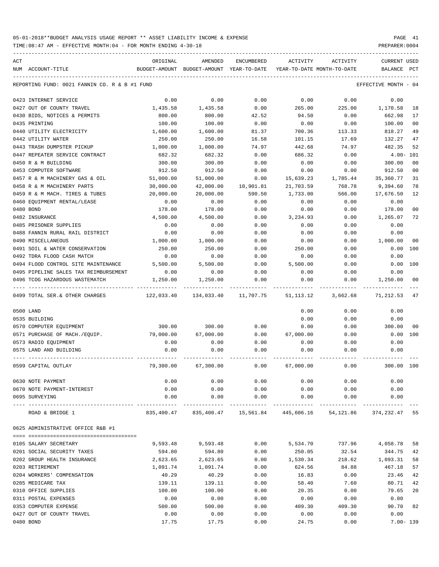TIME:08:47 AM - EFFECTIVE MONTH:04 - FOR MONTH ENDING 4-30-18 PREPARER:0004

| ACT |                                               | ORIGINAL   | AMENDED                                                            | ENCUMBERED | ACTIVITY  | ACTIVITY                   | CURRENT USED         |                |
|-----|-----------------------------------------------|------------|--------------------------------------------------------------------|------------|-----------|----------------------------|----------------------|----------------|
|     | NUM ACCOUNT-TITLE                             |            | BUDGET-AMOUNT BUDGET-AMOUNT YEAR-TO-DATE                           |            |           | YEAR-TO-DATE MONTH-TO-DATE | BALANCE PCT          |                |
|     |                                               |            |                                                                    |            |           |                            |                      |                |
|     | REPORTING FUND: 0021 FANNIN CO. R & B #1 FUND |            |                                                                    |            |           |                            | EFFECTIVE MONTH - 04 |                |
|     | 0423 INTERNET SERVICE                         | 0.00       | 0.00                                                               | 0.00       | 0.00      | 0.00                       | 0.00                 |                |
|     | 0427 OUT OF COUNTY TRAVEL                     | 1,435.58   | 1,435.58                                                           | 0.00       | 265.00    | 225.00                     | 1,170.58             | 18             |
|     | 0430 BIDS, NOTICES & PERMITS                  | 800.00     | 800.00                                                             | 42.52      | 94.50     | 0.00                       | 662.98               | 17             |
|     | 0435 PRINTING                                 | 100.00     | 100.00                                                             | 0.00       | 0.00      | 0.00                       | 100.00               | 00             |
|     | 0440 UTILITY ELECTRICITY                      | 1,600.00   | 1,600.00                                                           | 81.37      | 700.36    | 113.33                     | 818.27               | 49             |
|     | 0442 UTILITY WATER                            | 250.00     | 250.00                                                             | 16.58      | 101.15    | 17.69                      | 132.27               | 47             |
|     | 0443 TRASH DUMPSTER PICKUP                    | 1,000.00   | 1,000.00                                                           | 74.97      | 442.68    | 74.97                      | 482.35               | 52             |
|     | 0447 REPEATER SERVICE CONTRACT                | 682.32     | 682.32                                                             | 0.00       | 686.32    | 0.00                       | $4.00 - 101$         |                |
|     | 0450 R & M BUILDING                           | 300.00     | 300.00                                                             | 0.00       | 0.00      | 0.00                       | 300.00               | 0 <sub>0</sub> |
|     | 0453 COMPUTER SOFTWARE                        | 912.50     | 912.50                                                             | 0.00       | 0.00      | 0.00                       | 912.50               | 0 <sub>0</sub> |
|     | 0457 R & M MACHINERY GAS & OIL                | 51,000.00  | 51,000.00                                                          | 0.00       | 15,639.23 | 1,785.44                   | 35,360.77            | 31             |
|     | 0458 R & M MACHINERY PARTS                    | 30,000.00  | 42,000.00                                                          | 10,901.81  | 21,703.59 | 768.78                     | 9,394.60             | 78             |
|     | 0459 R & M MACH. TIRES & TUBES                | 20,000.00  | 20,000.00                                                          | 590.50     | 1,733.00  | 566.00                     | 17,676.50            | 12             |
|     | 0460 EQUIPMENT RENTAL/LEASE                   | 0.00       | 0.00                                                               | 0.00       | 0.00      | 0.00                       | 0.00                 |                |
|     | 0480 BOND                                     | 178.00     | 178.00                                                             | 0.00       | 0.00      | 0.00                       | 178.00               | 00             |
|     | 0482 INSURANCE                                | 4,500.00   | 4,500.00                                                           | 0.00       | 3,234.93  | 0.00                       | 1,265.07             | 72             |
|     | 0485 PRISONER SUPPLIES                        | 0.00       | 0.00                                                               | 0.00       | 0.00      | 0.00                       | 0.00                 |                |
|     | 0488 FANNIN RURAL RAIL DISTRICT               | 0.00       | 0.00                                                               | 0.00       | 0.00      | 0.00                       | 0.00                 |                |
|     | 0490 MISCELLANEOUS                            | 1,000.00   | 1,000.00                                                           | 0.00       | 0.00      | 0.00                       | 1,000.00             | 00             |
|     | 0491 SOIL & WATER CONSERVATION                | 250.00     | 250.00                                                             | 0.00       | 250.00    | 0.00                       | 0.00                 | 100            |
|     | 0492 TDRA FLOOD CASH MATCH                    | 0.00       | 0.00                                                               | 0.00       | 0.00      | 0.00                       | 0.00                 |                |
|     | 0494 FLOOD CONTROL SITE MAINTENANCE 5,500.00  |            | 5,500.00                                                           | 0.00       | 5,500.00  | 0.00                       | 0.00                 | 100            |
|     | 0495 PIPELINE SALES TAX REIMBURSEMENT         | 0.00       | 0.00                                                               | 0.00       | 0.00      | 0.00                       | 0.00                 |                |
|     | 0496 TCOG HAZARDOUS WASTEMATCH                | 1,250.00   | 1,250.00                                                           | 0.00       | 0.00      | 0.00                       | 1,250.00             | 00             |
|     |                                               |            |                                                                    |            |           |                            |                      |                |
|     | 0499 TOTAL SER.& OTHER CHARGES                | 122,033.40 |                                                                    |            |           | 3,662.68                   | 71,212.53            | 47             |
|     | 0500 LAND                                     |            |                                                                    |            | 0.00      | 0.00                       | 0.00                 |                |
|     | 0535 BUILDING                                 |            |                                                                    |            | 0.00      | 0.00                       | 0.00                 |                |
|     | 0570 COMPUTER EQUIPMENT                       | 300.00     | 300.00                                                             | 0.00       | 0.00      | 0.00                       | 300.00               | 00             |
|     | 0571 PURCHASE OF MACH./EQUIP.                 | 79,000.00  | 67,000.00                                                          | 0.00       | 67,000.00 | 0.00                       | $0.00$ 100           |                |
|     | 0573 RADIO EQUIPMENT                          | 0.00       | 0.00                                                               | 0.00       | 0.00      | 0.00                       | 0.00                 |                |
|     | 0575 LAND AND BUILDING                        | 0.00       | 0.00                                                               | 0.00       | 0.00      | 0.00                       | 0.00                 |                |
|     | 0599 CAPITAL OUTLAY                           | 79,300.00  | 67,300.00                                                          | 0.00       | 67,000.00 | 0.00                       | 300.00 100           |                |
|     | 0630 NOTE PAYMENT                             | 0.00       | 0.00                                                               | 0.00       | 0.00      | 0.00                       | 0.00                 |                |
|     | 0670 NOTE PAYMENT-INTEREST                    | 0.00       | 0.00                                                               | 0.00       |           | $0.00$ 0.00                | 0.00                 |                |
|     | 0695 SURVEYING                                | 0.00       | 0.00                                                               | 0.00       | 0.00      | 0.00                       | 0.00                 |                |
|     | ROAD & BRIDGE 1                               |            | 835,400.47 835,400.47 15,561.84 445,606.16 54,121.86 374,232.47 55 |            |           |                            |                      |                |
|     | 0625 ADMINISTRATIVE OFFICE R&B #1             |            |                                                                    |            |           |                            |                      |                |
|     | 0105 SALARY SECRETARY                         | 9,593.48   | 9,593.48                                                           | 0.00       | 5,534.70  | 737.96                     | 4,058.78             | 58             |
|     | 0201 SOCIAL SECURITY TAXES                    | 594.80     | 594.80                                                             | 0.00       | 250.05    | 32.54                      | 344.75               | 42             |
|     | 0202 GROUP HEALTH INSURANCE                   | 2,623.65   | 2,623.65                                                           | 0.00       | 1,530.34  | 218.62                     | 1,093.31             | 58             |
|     | 0203 RETIREMENT                               | 1,091.74   | 1,091.74                                                           | 0.00       | 624.56    | 84.88                      | 467.18               | 57             |
|     | 0204 WORKERS' COMPENSATION                    | 40.29      | 40.29                                                              | 0.00       | 16.83     | 0.00                       | 23.46                | 42             |
|     | 0205 MEDICARE TAX                             | 139.11     | 139.11                                                             | 0.00       | 58.40     | 7.60                       | 80.71                | 42             |
|     | 0310 OFFICE SUPPLIES                          | 100.00     | 100.00                                                             | 0.00       | 20.35     | 0.00                       | 79.65                | 20             |
|     | 0311 POSTAL EXPENSES                          | 0.00       | 0.00                                                               | 0.00       | 0.00      | 0.00                       | 0.00                 |                |
|     | 0353 COMPUTER EXPENSE                         | 500.00     | 500.00                                                             | 0.00       | 409.30    | 409.30                     | 90.70                | 82             |
|     | 0427 OUT OF COUNTY TRAVEL                     | 0.00       | 0.00                                                               | 0.00       | 0.00      | 0.00                       | 0.00                 |                |
|     |                                               |            |                                                                    |            |           |                            |                      |                |

0480 BOND 17.75 17.75 0.00 24.75 0.00 7.00- 139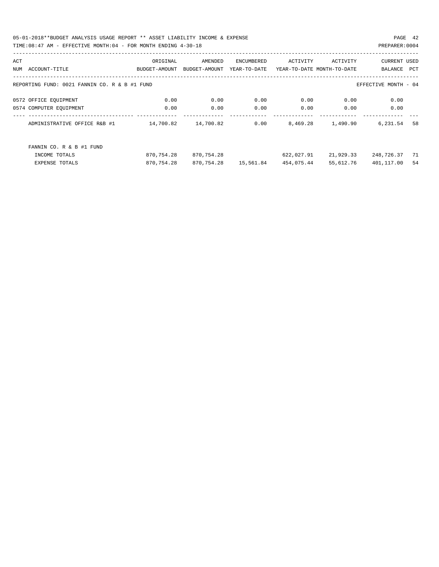05-01-2018\*\*BUDGET ANALYSIS USAGE REPORT \*\* ASSET LIABILITY INCOME & EXPENSE PAGE 42 TIME:08:47 AM - EFFECTIVE MONTH:04 - FOR MONTH ENDING 4-30-18 PREPARER:0004

| <b>CURRENT USED</b>  |
|----------------------|
| PCT<br>BALANCE       |
|                      |
| EFFECTIVE MONTH - 04 |
| 0.00                 |
| 0.00                 |
| 58<br>6,231.54       |
|                      |
| 248,726.37<br>71     |
| 401,117.00<br>54     |
|                      |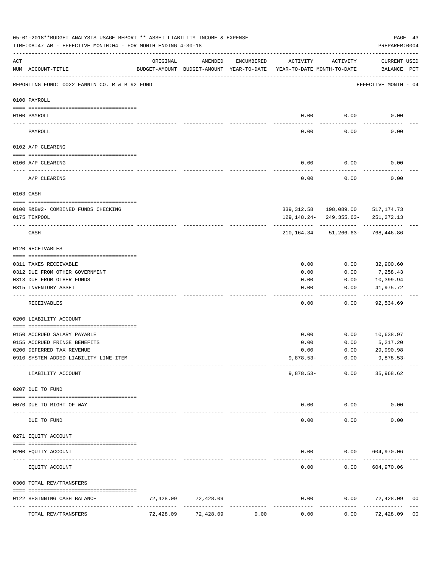|                                                                                                                                                                                                                                                                                                                                                                                              | 05-01-2018**BUDGET ANALYSIS USAGE REPORT ** ASSET LIABILITY INCOME & EXPENSE<br>TIME:08:47 AM - EFFECTIVE MONTH:04 - FOR MONTH ENDING 4-30-18 |           |           |            |                                                                                 |          | PREPARER: 0004                                           | PAGE 43        |
|----------------------------------------------------------------------------------------------------------------------------------------------------------------------------------------------------------------------------------------------------------------------------------------------------------------------------------------------------------------------------------------------|-----------------------------------------------------------------------------------------------------------------------------------------------|-----------|-----------|------------|---------------------------------------------------------------------------------|----------|----------------------------------------------------------|----------------|
| ACT                                                                                                                                                                                                                                                                                                                                                                                          | NUM ACCOUNT-TITLE                                                                                                                             | ORIGINAL  | AMENDED   | ENCUMBERED | ACTIVITY<br>BUDGET-AMOUNT BUDGET-AMOUNT YEAR-TO-DATE YEAR-TO-DATE MONTH-TO-DATE | ACTIVITY | CURRENT USED<br>BALANCE PCT                              |                |
|                                                                                                                                                                                                                                                                                                                                                                                              | REPORTING FUND: 0022 FANNIN CO. R & B #2 FUND                                                                                                 |           |           |            |                                                                                 |          | EFFECTIVE MONTH - 04                                     |                |
|                                                                                                                                                                                                                                                                                                                                                                                              | 0100 PAYROLL                                                                                                                                  |           |           |            |                                                                                 |          |                                                          |                |
|                                                                                                                                                                                                                                                                                                                                                                                              | 0100 PAYROLL                                                                                                                                  |           |           |            | 0.00                                                                            | 0.00     | 0.00                                                     |                |
| $\frac{1}{2} \frac{1}{2} \frac{1}{2} \frac{1}{2} \frac{1}{2} \frac{1}{2} \frac{1}{2} \frac{1}{2} \frac{1}{2} \frac{1}{2} \frac{1}{2} \frac{1}{2} \frac{1}{2} \frac{1}{2} \frac{1}{2} \frac{1}{2} \frac{1}{2} \frac{1}{2} \frac{1}{2} \frac{1}{2} \frac{1}{2} \frac{1}{2} \frac{1}{2} \frac{1}{2} \frac{1}{2} \frac{1}{2} \frac{1}{2} \frac{1}{2} \frac{1}{2} \frac{1}{2} \frac{1}{2} \frac{$ | PAYROLL                                                                                                                                       |           |           |            | 0.00                                                                            | 0.00     | 0.00                                                     |                |
|                                                                                                                                                                                                                                                                                                                                                                                              | 0102 A/P CLEARING                                                                                                                             |           |           |            |                                                                                 |          |                                                          |                |
|                                                                                                                                                                                                                                                                                                                                                                                              | 0100 A/P CLEARING                                                                                                                             |           |           |            | 0.00                                                                            | 0.00     | 0.00                                                     |                |
|                                                                                                                                                                                                                                                                                                                                                                                              | A/P CLEARING                                                                                                                                  |           |           |            | 0.00                                                                            | 0.00     | 0.00                                                     |                |
|                                                                                                                                                                                                                                                                                                                                                                                              | 0103 CASH                                                                                                                                     |           |           |            |                                                                                 |          |                                                          |                |
|                                                                                                                                                                                                                                                                                                                                                                                              | 0100 R&B#2- COMBINED FUNDS CHECKING                                                                                                           |           |           |            |                                                                                 |          | 339, 312.58 198, 089.00 517, 174.73                      |                |
|                                                                                                                                                                                                                                                                                                                                                                                              | 0175 TEXPOOL                                                                                                                                  |           |           |            |                                                                                 |          | 129, 148. 24- 249, 355. 63- 251, 272. 13                 |                |
|                                                                                                                                                                                                                                                                                                                                                                                              | CASH                                                                                                                                          |           |           |            |                                                                                 |          | -------------<br>210, 164. 34 51, 266. 63 - 768, 446. 86 |                |
|                                                                                                                                                                                                                                                                                                                                                                                              | 0120 RECEIVABLES                                                                                                                              |           |           |            |                                                                                 |          |                                                          |                |
|                                                                                                                                                                                                                                                                                                                                                                                              | 0311 TAXES RECEIVABLE                                                                                                                         |           |           |            | 0.00                                                                            | 0.00     | 32,900.60                                                |                |
|                                                                                                                                                                                                                                                                                                                                                                                              | 0312 DUE FROM OTHER GOVERNMENT                                                                                                                |           |           |            | 0.00                                                                            | 0.00     | 7,258.43                                                 |                |
|                                                                                                                                                                                                                                                                                                                                                                                              | 0313 DUE FROM OTHER FUNDS                                                                                                                     |           |           |            | 0.00                                                                            | 0.00     | 10,399.94                                                |                |
|                                                                                                                                                                                                                                                                                                                                                                                              | 0315 INVENTORY ASSET                                                                                                                          |           |           |            | 0.00                                                                            | 0.00     | 41,975.72<br>----------                                  |                |
|                                                                                                                                                                                                                                                                                                                                                                                              | RECEIVABLES                                                                                                                                   |           |           |            | 0.00                                                                            | 0.00     | 92,534.69                                                |                |
|                                                                                                                                                                                                                                                                                                                                                                                              | 0200 LIABILITY ACCOUNT                                                                                                                        |           |           |            |                                                                                 |          |                                                          |                |
|                                                                                                                                                                                                                                                                                                                                                                                              | 0150 ACCRUED SALARY PAYABLE                                                                                                                   |           |           |            | 0.00                                                                            | 0.00     | 10,638.97                                                |                |
|                                                                                                                                                                                                                                                                                                                                                                                              | 0155 ACCRUED FRINGE BENEFITS                                                                                                                  |           |           |            | 0.00                                                                            | 0.00     | 5,217.20                                                 |                |
|                                                                                                                                                                                                                                                                                                                                                                                              | 0200 DEFERRED TAX REVENUE                                                                                                                     |           |           |            | 0.00                                                                            | 0.00     | 29,990.98                                                |                |
|                                                                                                                                                                                                                                                                                                                                                                                              | 0910 SYSTEM ADDED LIABILITY LINE-ITEM                                                                                                         |           |           |            | $9,878.53-$                                                                     | 0.00     | $9,878.53-$                                              |                |
|                                                                                                                                                                                                                                                                                                                                                                                              | LIABILITY ACCOUNT                                                                                                                             |           |           |            | $9,878.53-$                                                                     | 0.00     | 35,968.62                                                |                |
|                                                                                                                                                                                                                                                                                                                                                                                              | 0207 DUE TO FUND                                                                                                                              |           |           |            |                                                                                 |          |                                                          |                |
|                                                                                                                                                                                                                                                                                                                                                                                              | 0070 DUE TO RIGHT OF WAY                                                                                                                      |           |           |            | 0.00                                                                            | 0.00     | 0.00                                                     |                |
| $---$                                                                                                                                                                                                                                                                                                                                                                                        | DUE TO FUND                                                                                                                                   |           |           |            | 0.00                                                                            | 0.00     | 0.00                                                     |                |
|                                                                                                                                                                                                                                                                                                                                                                                              | 0271 EQUITY ACCOUNT                                                                                                                           |           |           |            |                                                                                 |          |                                                          |                |
|                                                                                                                                                                                                                                                                                                                                                                                              | 0200 EQUITY ACCOUNT                                                                                                                           |           |           |            | 0.00                                                                            |          | 0.00 604,970.06                                          |                |
|                                                                                                                                                                                                                                                                                                                                                                                              | EQUITY ACCOUNT                                                                                                                                |           |           |            | 0.00                                                                            | 0.00     | 604,970.06                                               |                |
|                                                                                                                                                                                                                                                                                                                                                                                              | 0300 TOTAL REV/TRANSFERS                                                                                                                      |           |           |            |                                                                                 |          |                                                          |                |
|                                                                                                                                                                                                                                                                                                                                                                                              | 0122 BEGINNING CASH BALANCE                                                                                                                   | 72,428.09 | 72,428.09 |            | 0.00                                                                            | 0.00     | 72,428.09                                                | 00             |
|                                                                                                                                                                                                                                                                                                                                                                                              | TOTAL REV/TRANSFERS                                                                                                                           | 72,428.09 | 72,428.09 | 0.00       | 0.00                                                                            | 0.00     | 72,428.09                                                | 0 <sub>0</sub> |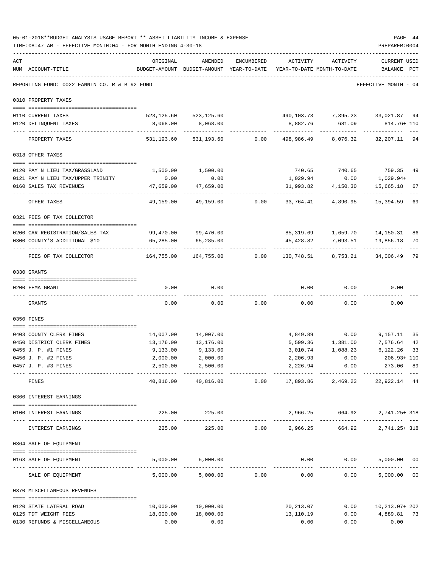|     | 05-01-2018**BUDGET ANALYSIS USAGE REPORT ** ASSET LIABILITY INCOME & EXPENSE<br>TIME: 08:47 AM - EFFECTIVE MONTH: 04 - FOR MONTH ENDING 4-30-18 |                                                      |                           |                |                                        |                                     | PREPARER: 0004                 | PAGE 44 |
|-----|-------------------------------------------------------------------------------------------------------------------------------------------------|------------------------------------------------------|---------------------------|----------------|----------------------------------------|-------------------------------------|--------------------------------|---------|
| ACT | NUM ACCOUNT-TITLE                                                                                                                               | ORIGINAL<br>BUDGET-AMOUNT BUDGET-AMOUNT YEAR-TO-DATE | AMENDED                   | ENCUMBERED     | ACTIVITY<br>YEAR-TO-DATE MONTH-TO-DATE | ACTIVITY                            | <b>CURRENT USED</b><br>BALANCE | PCT     |
|     | REPORTING FUND: 0022 FANNIN CO. R & B #2 FUND                                                                                                   | -------------------------------                      |                           |                |                                        |                                     | EFFECTIVE MONTH - 04           |         |
|     | 0310 PROPERTY TAXES                                                                                                                             |                                                      |                           |                |                                        |                                     |                                |         |
|     | 0110 CURRENT TAXES                                                                                                                              |                                                      | 523, 125.60 523, 125.60   |                |                                        | 490,103.73 7,395.23 33,021.87 94    |                                |         |
|     | 0120 DELINQUENT TAXES<br>---------------------- -----------                                                                                     | 8,068.00                                             | 8,068.00<br>-----------   |                | 8,882.76<br>------------               | 681.09<br>----------                | 814.76+ 110<br>. <u>.</u> .    |         |
|     | PROPERTY TAXES                                                                                                                                  |                                                      | 531,193.60 531,193.60     |                | $0.00$ 498,986.49                      | 8,076.32                            | 32,207.11 94                   |         |
|     | 0318 OTHER TAXES                                                                                                                                |                                                      |                           |                |                                        |                                     |                                |         |
|     | 0120 PAY N LIEU TAX/GRASSLAND                                                                                                                   | 1,500.00                                             | 1,500.00                  |                |                                        |                                     |                                | 49      |
|     | 0121 PAY N LIEU TAX/UPPER TRINITY                                                                                                               | 0.00                                                 | 0.00                      |                | 1,029.94                               | 740.65 740.65 759.35<br>0.00        | 1,029.94+                      |         |
|     | 0160 SALES TAX REVENUES                                                                                                                         | 47,659.00                                            | 47,659.00                 |                | 31,993.82                              | 4,150.30                            | 15,665.18                      | 67      |
|     | OTHER TAXES                                                                                                                                     | .<br>49,159.00                                       |                           | 49,159.00 0.00 |                                        | ------------<br>33,764.41 4,890.95  | 15,394.59                      | 69      |
|     | 0321 FEES OF TAX COLLECTOR                                                                                                                      |                                                      |                           |                |                                        |                                     |                                |         |
|     | 0200 CAR REGISTRATION/SALES TAX                                                                                                                 |                                                      | 99,470.00 99,470.00       |                |                                        | 85,319.69   1,659.70   14,150.31    |                                | 86      |
|     | 0300 COUNTY'S ADDITIONAL \$10                                                                                                                   | 65,285.00                                            | 65,285.00                 |                |                                        | 45,428.82 7,093.51                  | 19,856.18                      | 70      |
|     | FEES OF TAX COLLECTOR                                                                                                                           | 164,755.00                                           | -------------             |                |                                        |                                     |                                | 79      |
|     | 0330 GRANTS                                                                                                                                     |                                                      |                           |                |                                        |                                     |                                |         |
|     | 0200 FEMA GRANT                                                                                                                                 | 0.00                                                 | 0.00                      |                | 0.00                                   | 0.00                                | 0.00                           |         |
|     | GRANTS                                                                                                                                          | 0.00                                                 | 0.00                      | 0.00           | 0.00                                   | 0.00                                | 0.00                           |         |
|     |                                                                                                                                                 |                                                      |                           |                |                                        |                                     |                                |         |
|     | 0350 FINES                                                                                                                                      |                                                      |                           |                |                                        |                                     |                                |         |
|     | 0403 COUNTY CLERK FINES                                                                                                                         | 14,007.00                                            | 14,007.00                 |                |                                        | 4,849.89 0.00                       | 9,157.11                       | 35      |
|     | 0450 DISTRICT CLERK FINES                                                                                                                       | 13,176.00                                            | 13,176.00                 |                |                                        | 5,599.36 1,381.00 7,576.64          |                                | 42      |
|     | 0455 J. P. #1 FINES                                                                                                                             | 9,133.00                                             | 9,133.00                  |                | 3,010.74                               | 1,088.23                            | 6,122.26                       | 33      |
|     | 0456 J. P. #2 FINES                                                                                                                             | 2,000.00                                             | 2,000.00                  |                |                                        | 2,206.93 0.00                       | 206.93+ 110                    |         |
|     | 0457 J. P. #3 FINES<br>----------------------------------                                                                                       | 2,500.00<br>-------------                            | 2,500.00<br>------------- |                | 2,226.94                               | 0.00                                | 273.06 89                      |         |
|     | FINES                                                                                                                                           | 40,816.00                                            |                           | 40,816.00 0.00 |                                        | 17,893.86 2,469.23 22,922.14 44     |                                |         |
|     | 0360 INTEREST EARNINGS                                                                                                                          |                                                      |                           |                |                                        |                                     |                                |         |
|     | 0100 INTEREST EARNINGS                                                                                                                          |                                                      | 225.00 225.00             |                |                                        | 2,966.25 664.92 2,741.25+318        |                                |         |
|     | INTEREST EARNINGS                                                                                                                               | 225.00                                               | 225.00                    |                |                                        | $0.00$ 2,966.25 664.92 2,741.25+318 |                                |         |
|     | 0364 SALE OF EQUIPMENT                                                                                                                          |                                                      |                           |                |                                        |                                     |                                |         |
|     | 0163 SALE OF EQUIPMENT                                                                                                                          |                                                      | 5,000.00 5,000.00         |                |                                        | $0.00$ $0.00$ $5,000.00$ $00$       |                                |         |
|     | SALE OF EQUIPMENT                                                                                                                               | 5,000.00                                             |                           | 5,000.00 0.00  | 0.00                                   | 0.00                                | -------------<br>5,000.00 00   |         |
|     | 0370 MISCELLANEOUS REVENUES                                                                                                                     |                                                      |                           |                |                                        |                                     |                                |         |
|     |                                                                                                                                                 | 10,000.00                                            | 10,000.00                 |                | 20,213.07                              |                                     | $0.00$ $10,213.07+202$         |         |
|     | 0120 STATE LATERAL ROAD<br>0125 TDT WEIGHT FEES                                                                                                 | 18,000.00                                            | 18,000.00                 |                | 13,110.19                              |                                     | $0.00$ $4,889.81$ 73           |         |
|     | 0130 REFUNDS & MISCELLANEOUS                                                                                                                    | 0.00                                                 | 0.00                      |                | 0.00                                   | 0.00                                | 0.00                           |         |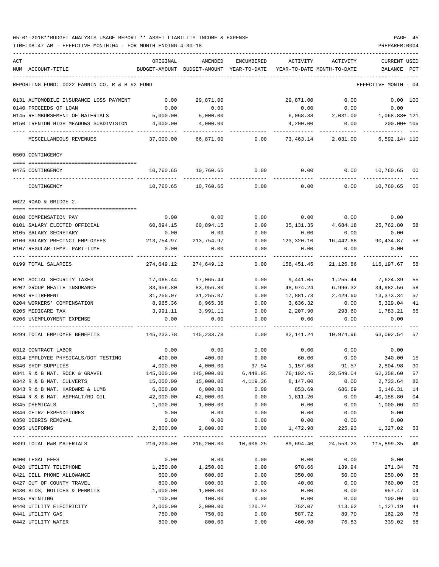## 05-01-2018\*\*BUDGET ANALYSIS USAGE REPORT \*\* ASSET LIABILITY INCOME & EXPENSE PAGE 45 TIME:08:47 AM - EFFECTIVE MONTH:04 - FOR MONTH ENDING 4-30-18 PREPARER:0004

| ACT | NUM ACCOUNT-TITLE                                     | ORIGINAL   | AMENDED<br>BUDGET-AMOUNT BUDGET-AMOUNT YEAR-TO-DATE               | ENCUMBERED | ACTIVITY<br>YEAR-TO-DATE MONTH-TO-DATE | ACTIVITY                        | <b>CURRENT USED</b>    | PCT     |
|-----|-------------------------------------------------------|------------|-------------------------------------------------------------------|------------|----------------------------------------|---------------------------------|------------------------|---------|
|     |                                                       |            |                                                                   |            |                                        |                                 | BALANCE                |         |
|     | REPORTING FUND: 0022 FANNIN CO. R & B #2 FUND         |            |                                                                   |            |                                        |                                 | EFFECTIVE MONTH - 04   |         |
|     | 0131 AUTOMOBILE INSURANCE LOSS PAYMENT                | 0.00       | 29,871.00                                                         |            | 29,871.00                              | 0.00                            | 0.00 100               |         |
|     | 0140 PROCEEDS OF LOAN                                 | 0.00       | 0.00                                                              |            | 0.00                                   | 0.00                            | 0.00                   |         |
|     | 0145 REIMBURSEMENT OF MATERIALS                       | 5,000.00   | 5,000.00                                                          |            | 6,068.88                               |                                 | 2,031.00 1,068.88+ 121 |         |
|     | 0150 TRENTON HIGH MEADOWS SUBDIVISION                 | 4,000.00   | 4,000.00                                                          |            | 4,200.00                               | 0.00                            | 200.00+ 105            |         |
|     | MISCELLANEOUS REVENUES                                | 37,000.00  | 66,871.00                                                         | 0.00       | 73,463.14                              | 2,031.00                        | $6,592.14+110$         |         |
|     | 0509 CONTINGENCY                                      |            |                                                                   |            |                                        |                                 |                        |         |
|     | 0475 CONTINGENCY                                      |            | 10,760.65 10,760.65                                               | 0.00       | 0.00                                   | 0.00                            | 10,760.65 00           |         |
|     |                                                       |            |                                                                   |            |                                        |                                 |                        |         |
|     | CONTINGENCY                                           | 10,760.65  | 10,760.65                                                         | 0.00       | 0.00                                   | 0.00                            | 10,760.65              | $_{00}$ |
|     | 0622 ROAD & BRIDGE 2                                  |            |                                                                   |            |                                        |                                 |                        |         |
|     | 0100 COMPENSATION PAY                                 | 0.00       | 0.00                                                              | 0.00       | 0.00                                   | 0.00                            | 0.00                   |         |
|     | 0101 SALARY ELECTED OFFICIAL                          | 60,894.15  | 60,894.15                                                         | 0.00       |                                        | 35, 131.35 4, 684.18 25, 762.80 |                        | 58      |
|     | 0105 SALARY SECRETARY                                 | 0.00       | 0.00                                                              | 0.00       | 0.00                                   | 0.00                            | 0.00                   |         |
|     | 0106 SALARY PRECINCT EMPLOYEES                        | 213,754.97 | 213,754.97                                                        | 0.00       | 123,320.10                             | 16,442.68                       | 90,434.87              | 58      |
|     | 0107 REGULAR-TEMP. PART-TIME                          | 0.00       | 0.00                                                              | 0.00       | 0.00                                   | 0.00                            | 0.00                   |         |
|     | 0199 TOTAL SALARIES                                   | 274,649.12 | 274,649.12                                                        | 0.00       | 158,451.45                             | 21,126.86                       | 116,197.67             | 58      |
|     | 0201 SOCIAL SECURITY TAXES                            | 17,065.44  | 17,065.44                                                         | 0.00       | 9,441.05                               | 1,255.44                        | 7,624.39               | 55      |
|     | 0202 GROUP HEALTH INSURANCE                           | 83,956.80  | 83,956.80                                                         | 0.00       | 48,974.24                              | 6,996.32                        | 34,982.56              | 58      |
|     | 0203 RETIREMENT                                       | 31,255.07  | 31,255.07                                                         | 0.00       | 17,881.73                              | 2,429.60                        | 13,373.34              | 57      |
|     | 0204 WORKERS' COMPENSATION                            | 8,965.36   | 8,965.36                                                          | 0.00       | 3,636.32                               | 0.00                            | 5,329.04               | 41      |
|     | 0205 MEDICARE TAX                                     | 3,991.11   | 3,991.11                                                          | 0.00       | 2,207.90                               | 293.60                          | 1,783.21               | 55      |
|     | 0206 UNEMPLOYMENT EXPENSE                             | 0.00       | 0.00                                                              | 0.00       | 0.00                                   | 0.00                            | 0.00                   |         |
|     | 0299 TOTAL EMPLOYEE BENEFITS                          | 145,233.78 | 145,233.78                                                        | 0.00       | 82,141.24                              | 10,974.96                       | 63,092.54 57           |         |
|     | 0312 CONTRACT LABOR                                   | 0.00       | 0.00                                                              | 0.00       | 0.00                                   | 0.00                            | 0.00                   |         |
|     | 0314 EMPLOYEE PHYSICALS/DOT TESTING                   | 400.00     | 400.00                                                            | 0.00       | 60.00                                  | 0.00                            | 340.00                 | 15      |
|     | 0340 SHOP SUPPLIES                                    | 4,000.00   | 4,000.00                                                          | 37.94      | 1,157.08                               | 91.57                           | 2,804.98               | 30      |
|     | 0341 R & B MAT. ROCK & GRAVEL                         | 145,000.00 | 145,000.00                                                        | 6,448.95   | 76,192.45                              | 23,549.04                       | 62,358.60              | 57      |
|     | 0342 R & B MAT. CULVERTS                              | 15,000.00  | 15,000.00                                                         | 4,119.36   | 8,147.00                               | 0.00                            | 2,733.64               | 82      |
|     | 0343 R & B MAT. HARDWRE & LUMB                        | 6,000.00   | 6,000.00                                                          | 0.00       | 853.69                                 | 686.69                          | 5,146.31               | 14      |
|     | 0344 R & B MAT. ASPHALT/RD OIL                        | 42,000.00  | 42,000.00                                                         | 0.00       | 1,811.20                               | 0.00                            | 40,188.80              | 04      |
|     | 0345 CHEMICALS                                        | 1,000.00   | 1,000.00                                                          | 0.00       | 0.00                                   | 0.00                            | 1,000.00               | $00\,$  |
|     | 0346 CETRZ EXPENDITURES                               | 0.00       | 0.00                                                              | 0.00       | 0.00                                   | 0.00                            | 0.00                   |         |
|     | 0350 DEBRIS REMOVAL                                   | 0.00       | 0.00                                                              | 0.00       | 0.00                                   | 0.00                            | 0.00                   |         |
|     | 0395 UNIFORMS<br>------------------------------------ | 2,800.00   | 2,800.00                                                          | 0.00       | 1,472.98                               | 225.93                          | 1,327.02               | 53      |
|     | 0399 TOTAL R&B MATERIALS                              |            | 216,200.00 216,200.00 10,606.25 89,694.40 24,553.23 115,899.35 46 |            |                                        |                                 |                        |         |
|     | 0400 LEGAL FEES                                       | 0.00       | 0.00                                                              | 0.00       | 0.00                                   | 0.00                            | 0.00                   |         |
|     | 0420 UTILITY TELEPHONE                                | 1,250.00   | 1,250.00                                                          | 0.00       | 978.66                                 | 139.94                          | 271.34                 | 78      |
|     | 0421 CELL PHONE ALLOWANCE                             | 600.00     | 600.00                                                            | 0.00       | 350.00                                 | 50.00                           | 250.00                 | 58      |
|     | 0427 OUT OF COUNTY TRAVEL                             | 800.00     | 800.00                                                            | 0.00       | 40.00                                  | 0.00                            | 760.00                 | 05      |
|     | 0430 BIDS, NOTICES & PERMITS                          | 1,000.00   | 1,000.00                                                          | 42.53      | 0.00                                   | 0.00                            | 957.47                 | 04      |
|     | 0435 PRINTING                                         | 100.00     | 100.00                                                            | 0.00       | 0.00                                   | 0.00                            | 100.00                 | 00      |
|     | 0440 UTILITY ELECTRICITY                              | 2,000.00   | 2,000.00                                                          | 120.74     | 752.07                                 | 113.62                          | 1,127.19               | 44      |
|     | 0441 UTILITY GAS                                      | 750.00     | 750.00                                                            | 0.00       | 587.72                                 | 89.70                           | 162.28                 | 78      |
|     | 0442 UTILITY WATER                                    | 800.00     | 800.00                                                            | 0.00       | 460.98                                 | 76.83                           | 339.02                 | 58      |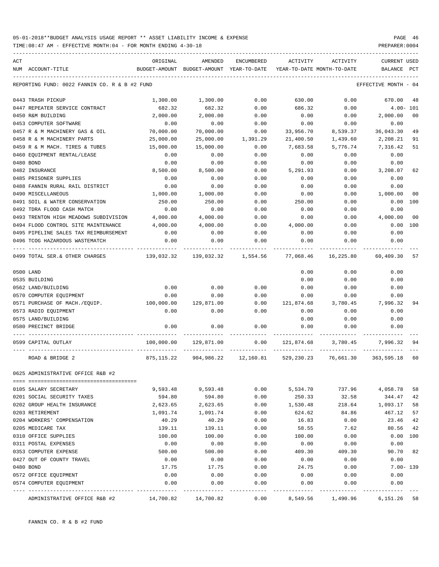TIME:08:47 AM - EFFECTIVE MONTH:04 - FOR MONTH ENDING 4-30-18 PREPARER:0004

| ACT | NUM ACCOUNT-TITLE                             | ORIGINAL<br>BUDGET-AMOUNT BUDGET-AMOUNT YEAR-TO-DATE | AMENDED                                                         | ENCUMBERED            | ACTIVITY   | ACTIVITY<br>YEAR-TO-DATE MONTH-TO-DATE | <b>CURRENT USED</b><br>BALANCE PCT |                |
|-----|-----------------------------------------------|------------------------------------------------------|-----------------------------------------------------------------|-----------------------|------------|----------------------------------------|------------------------------------|----------------|
|     |                                               |                                                      |                                                                 |                       |            |                                        |                                    |                |
|     | REPORTING FUND: 0022 FANNIN CO. R & B #2 FUND |                                                      |                                                                 |                       |            |                                        | EFFECTIVE MONTH - 04               |                |
|     | 0443 TRASH PICKUP                             | 1,300.00                                             | 1,300.00                                                        | 0.00                  | 630.00     | 0.00                                   | 670.00                             | 48             |
|     | 0447 REPEATER SERVICE CONTRACT                | 682.32                                               | 682.32                                                          | 0.00                  | 686.32     | 0.00                                   | $4.00 - 101$                       |                |
|     | 0450 R&M BUILDING                             | 2,000.00                                             | 2,000.00                                                        | 0.00                  | 0.00       | 0.00                                   | 2,000.00                           | 0 <sub>0</sub> |
|     | 0453 COMPUTER SOFTWARE                        | 0.00                                                 | 0.00                                                            | 0.00                  | 0.00       | 0.00                                   | 0.00                               |                |
|     | 0457 R & M MACHINERY GAS & OIL                | 70,000.00                                            | 70,000.00                                                       | 0.00                  | 33,956.70  | 8,539.37                               | 36,043.30                          | 49             |
|     | 0458 R & M MACHINERY PARTS                    | 25,000.00                                            | 25,000.00                                                       | 1,391.29              | 21,400.50  | 1,439.60                               | 2,208.21                           | 91             |
|     | 0459 R & M MACH. TIRES & TUBES                | 15,000.00                                            | 15,000.00                                                       | 0.00                  | 7,683.58   | 5,776.74                               | 7,316.42                           | 51             |
|     | 0460 EQUIPMENT RENTAL/LEASE                   | 0.00                                                 | 0.00                                                            | 0.00                  | 0.00       | 0.00                                   | 0.00                               |                |
|     | 0480 BOND                                     | 0.00                                                 | 0.00                                                            | 0.00                  | 0.00       | 0.00                                   | 0.00                               |                |
|     | 0482 INSURANCE                                | 8,500.00                                             | 8,500.00                                                        | 0.00                  | 5,291.93   | 0.00                                   | 3,208.07                           | 62             |
|     | 0485 PRISONER SUPPLIES                        | 0.00                                                 | 0.00                                                            | 0.00                  | 0.00       | 0.00                                   | 0.00                               |                |
|     | 0488 FANNIN RURAL RAIL DISTRICT               | 0.00                                                 | 0.00                                                            | 0.00                  | 0.00       | 0.00                                   | 0.00                               |                |
|     | 0490 MISCELLANEOUS                            | 1,000.00                                             | 1,000.00                                                        | 0.00                  | 0.00       | 0.00                                   | 1,000.00                           | 0 <sub>0</sub> |
|     | 0491 SOIL & WATER CONSERVATION                | 250.00                                               | 250.00                                                          | 0.00                  | 250.00     | 0.00                                   | 0.00                               | 100            |
|     | 0492 TDRA FLOOD CASH MATCH                    | 0.00                                                 | 0.00                                                            | 0.00                  | 0.00       | 0.00                                   | 0.00                               |                |
|     | 0493 TRENTON HIGH MEADOWS SUBDIVISION         | 4,000.00                                             | 4,000.00                                                        | 0.00                  | 0.00       | 0.00                                   | 4,000.00                           | 0 <sub>0</sub> |
|     | 0494 FLOOD CONTROL SITE MAINTENANCE           | 4,000.00                                             | 4,000.00                                                        | 0.00                  | 4,000.00   | 0.00                                   | 0.00 100                           |                |
|     | 0495 PIPELINE SALES TAX REIMBURSEMENT         | 0.00                                                 | 0.00                                                            | 0.00                  | 0.00       | 0.00                                   | 0.00                               |                |
|     | 0496 TCOG HAZARDOUS WASTEMATCH                | 0.00                                                 | 0.00                                                            | 0.00                  | 0.00       | 0.00                                   | 0.00                               |                |
|     | 0499 TOTAL SER.& OTHER CHARGES                | $139,032.32$ $139,032.32$ $1,554.56$ $77,068.46$     |                                                                 |                       |            | 16,225.80                              | 60,409.30                          | 57             |
|     | 0500 LAND                                     |                                                      |                                                                 |                       | 0.00       | 0.00                                   | 0.00                               |                |
|     | 0535 BUILDING                                 |                                                      |                                                                 |                       | 0.00       | 0.00                                   | 0.00                               |                |
|     | 0562 LAND/BUILDING                            | 0.00                                                 | 0.00                                                            | 0.00                  | 0.00       | 0.00                                   | 0.00                               |                |
|     | 0570 COMPUTER EQUIPMENT                       | 0.00                                                 | 0.00                                                            | 0.00                  | 0.00       | 0.00                                   | 0.00                               |                |
|     | 0571 PURCHASE OF MACH./EQUIP.                 | 100,000.00                                           | 129,871.00                                                      | 0.00                  | 121,874.68 | 3,780.45                               | 7,996.32                           | 94             |
|     | 0573 RADIO EQUIPMENT                          | 0.00                                                 | 0.00                                                            | 0.00                  | 0.00       | 0.00                                   | 0.00                               |                |
|     | 0575 LAND/BUILDING                            |                                                      |                                                                 |                       | 0.00       | 0.00                                   | 0.00                               |                |
|     | 0580 PRECINCT BRIDGE                          | 0.00                                                 | 0.00                                                            | 0.00                  | 0.00       | 0.00                                   | 0.00                               |                |
|     | 0599 CAPITAL OUTLAY                           | 100,000.00                                           | 129,871.00                                                      | 0.00                  |            | 121,874.68 3,780.45                    | 7,996.32                           | 94             |
|     | ROAD & BRIDGE 2                               |                                                      | 875,115.22 904,986.22 12,160.81 529,230.23 76,661.30 363,595.18 |                       |            |                                        |                                    | 60             |
|     | 0625 ADMINISTRATIVE OFFICE R&B #2             |                                                      |                                                                 |                       |            |                                        |                                    |                |
|     |                                               |                                                      |                                                                 |                       |            |                                        |                                    |                |
|     | 0105 SALARY SECRETARY                         | 9,593.48                                             | 9,593.48                                                        | 0.00                  | 5,534.70   | 737.96                                 | 4,058.78                           | 58             |
|     | 0201 SOCIAL SECURITY TAXES                    | 594.80                                               | 594.80                                                          | 0.00                  | 250.33     | 32.58                                  | 344.47                             | 42             |
|     | 0202 GROUP HEALTH INSURANCE                   | 2,623.65                                             | 2,623.65                                                        | 0.00                  | 1,530.48   | 218.64                                 | 1,093.17                           | 58             |
|     | 0203 RETIREMENT                               | 1,091.74                                             | 1,091.74                                                        | 0.00                  | 624.62     | 84.86                                  | 467.12                             | 57             |
|     | 0204 WORKERS' COMPENSATION                    | 40.29                                                | 40.29                                                           | 0.00                  | 16.83      | 0.00                                   | 23.46                              | 42             |
|     | 0205 MEDICARE TAX                             | 139.11                                               | 139.11                                                          | 0.00                  | 58.55      | 7.62                                   | 80.56                              | 42             |
|     | 0310 OFFICE SUPPLIES                          | 100.00                                               | 100.00                                                          | 0.00                  | 100.00     | 0.00                                   | 0.00                               | 100            |
|     | 0311 POSTAL EXPENSES                          | 0.00                                                 | 0.00                                                            | 0.00                  | 0.00       | 0.00                                   | 0.00                               |                |
|     | 0353 COMPUTER EXPENSE                         | 500.00                                               | 500.00                                                          | 0.00                  | 409.30     | 409.30                                 | 90.70                              | 82             |
|     | 0427 OUT OF COUNTY TRAVEL                     | 0.00                                                 | 0.00                                                            | 0.00                  | 0.00       | 0.00                                   | 0.00                               |                |
|     | 0480 BOND                                     | 17.75                                                | 17.75                                                           | 0.00                  | 24.75      | 0.00                                   | $7.00 - 139$                       |                |
|     | 0572 OFFICE EQUIPMENT                         | 0.00                                                 | 0.00                                                            | 0.00                  | 0.00       | 0.00                                   | 0.00                               |                |
|     | 0574 COMPUTER EQUIPMENT                       | 0.00                                                 | 0.00                                                            | 0.00<br>$- - - - - -$ | 0.00       | 0.00                                   | 0.00                               |                |
|     | ADMINISTRATIVE OFFICE R&B #2                  | 14,700.82                                            | 14,700.82                                                       | 0.00                  |            | 8,549.56 1,490.96                      | 6, 151. 26 58                      |                |

FANNIN CO. R & B #2 FUND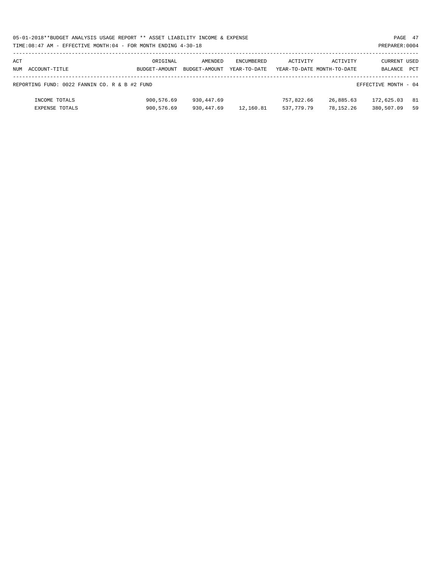|     | 05-01-2018**BUDGET ANALYSIS USAGE REPORT ** ASSET LIABILITY INCOME & EXPENSE |               |               |              |            |                            |                      | PAGE 47    |
|-----|------------------------------------------------------------------------------|---------------|---------------|--------------|------------|----------------------------|----------------------|------------|
|     | TIME: 08:47 AM - EFFECTIVE MONTH: 04 - FOR MONTH ENDING 4-30-18              |               |               |              |            |                            | PREPARER: 0004       |            |
|     |                                                                              |               |               |              |            |                            |                      |            |
| ACT |                                                                              | ORIGINAL      | AMENDED       | ENCUMBERED   | ACTIVITY   | ACTIVITY                   | CURRENT USED         |            |
|     | NUM ACCOUNT-TITLE                                                            | BUDGET-AMOUNT | BUDGET-AMOUNT | YEAR-TO-DATE |            | YEAR-TO-DATE MONTH-TO-DATE | BALANCE              | <b>PCT</b> |
|     |                                                                              |               |               |              |            |                            |                      |            |
|     | REPORTING FUND: 0022 FANNIN CO. R & B #2 FUND                                |               |               |              |            |                            | EFFECTIVE MONTH - 04 |            |
|     |                                                                              |               |               |              |            |                            |                      |            |
|     | INCOME TOTALS                                                                | 900,576.69    | 930,447.69    |              | 757,822.66 | 26,885.63                  | 172,625.03           | - 81       |
|     | <b>EXPENSE TOTALS</b>                                                        | 900,576.69    | 930,447.69    | 12,160.81    | 537,779.79 | 78,152.26                  | 380,507.09           | 59         |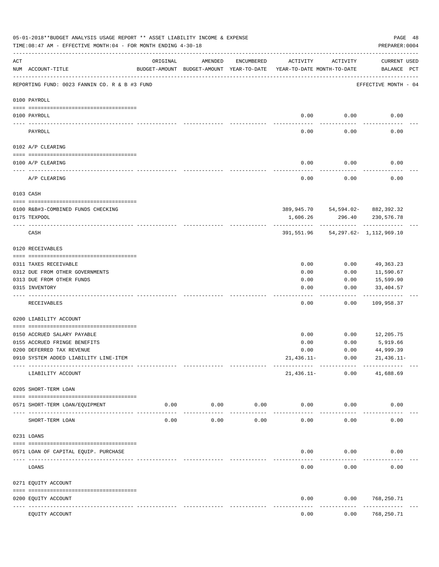|     | 05-01-2018**BUDGET ANALYSIS USAGE REPORT ** ASSET LIABILITY INCOME & EXPENSE<br>TIME:08:47 AM - EFFECTIVE MONTH:04 - FOR MONTH ENDING 4-30-18 |                              |                                                                                |            |              |                                    | PAGE 48<br>PREPARER: 0004          |  |
|-----|-----------------------------------------------------------------------------------------------------------------------------------------------|------------------------------|--------------------------------------------------------------------------------|------------|--------------|------------------------------------|------------------------------------|--|
| ACT | NUM ACCOUNT-TITLE                                                                                                                             | ORIGINAL                     | AMENDED<br>BUDGET-AMOUNT BUDGET-AMOUNT YEAR-TO-DATE YEAR-TO-DATE MONTH-TO-DATE | ENCUMBERED | ACTIVITY     | ACTIVITY                           | <b>CURRENT USED</b><br>BALANCE PCT |  |
|     | REPORTING FUND: 0023 FANNIN CO. R & B #3 FUND                                                                                                 |                              |                                                                                |            |              |                                    | EFFECTIVE MONTH - 04               |  |
|     | 0100 PAYROLL                                                                                                                                  |                              |                                                                                |            |              |                                    |                                    |  |
|     | 0100 PAYROLL                                                                                                                                  |                              |                                                                                |            | 0.00         | 0.00                               | 0.00                               |  |
|     | PAYROLL                                                                                                                                       |                              |                                                                                |            | 0.00         | 0.00                               | 0.00                               |  |
|     | 0102 A/P CLEARING                                                                                                                             |                              |                                                                                |            |              |                                    |                                    |  |
|     | 0100 A/P CLEARING                                                                                                                             |                              |                                                                                |            | 0.00         | 0.00                               | 0.00                               |  |
|     | A/P CLEARING                                                                                                                                  |                              |                                                                                |            | 0.00         | 0.00                               | 0.00                               |  |
|     | 0103 CASH                                                                                                                                     |                              |                                                                                |            |              |                                    |                                    |  |
|     | 0100 R&B#3-COMBINED FUNDS CHECKING<br>0175 TEXPOOL                                                                                            |                              |                                                                                |            | 1,606.26     | 389,945.70 54,594.02- 882,392.32   | 296.40 230,576.78                  |  |
|     | CASH                                                                                                                                          |                              |                                                                                |            |              | 391,551.96 54,297.62- 1,112,969.10 |                                    |  |
|     | 0120 RECEIVABLES                                                                                                                              |                              |                                                                                |            |              |                                    |                                    |  |
|     | 0311 TAXES RECEIVABLE                                                                                                                         |                              |                                                                                |            | 0.00         | 0.00                               | 49,363.23                          |  |
|     | 0312 DUE FROM OTHER GOVERNMENTS                                                                                                               |                              |                                                                                |            | 0.00         | 0.00                               | 11,590.67                          |  |
|     | 0313 DUE FROM OTHER FUNDS                                                                                                                     |                              |                                                                                |            | 0.00         | 0.00                               | 15,599.90                          |  |
|     | 0315 INVENTORY                                                                                                                                |                              |                                                                                |            | 0.00         | 0.00                               | 33,404.57<br>. <u>.</u>            |  |
|     | RECEIVABLES                                                                                                                                   |                              |                                                                                |            | 0.00         | 0.00                               | 109,958.37                         |  |
|     | 0200 LIABILITY ACCOUNT                                                                                                                        |                              |                                                                                |            |              |                                    |                                    |  |
|     | 0150 ACCRUED SALARY PAYABLE                                                                                                                   |                              |                                                                                |            | 0.00         | 0.00                               | 12,205.75                          |  |
|     | 0155 ACCRUED FRINGE BENEFITS                                                                                                                  |                              |                                                                                |            | 0.00         | 0.00                               | 5,919.66                           |  |
|     | 0200 DEFERRED TAX REVENUE                                                                                                                     |                              |                                                                                |            | 0.00         | 0.00                               | 44,999.39                          |  |
|     | 0910 SYSTEM ADDED LIABILITY LINE-ITEM                                                                                                         |                              |                                                                                |            | $21,436.11-$ | 0.00                               | $21,436.11-$                       |  |
|     | LIABILITY ACCOUNT                                                                                                                             |                              |                                                                                |            | 21,436.11-   | 0.00                               | 41,688.69                          |  |
|     | 0205 SHORT-TERM LOAN                                                                                                                          |                              |                                                                                |            |              |                                    |                                    |  |
|     | 0571 SHORT-TERM LOAN/EQUIPMENT                                                                                                                | 0.00                         | 0.00                                                                           | 0.00       | 0.00         | 0.00                               | 0.00                               |  |
|     | SHORT-TERM LOAN                                                                                                                               | 0.00                         | 0.00                                                                           | 0.00       | 0.00         | 0.00                               | 0.00                               |  |
|     | 0231 LOANS                                                                                                                                    |                              |                                                                                |            |              |                                    |                                    |  |
|     |                                                                                                                                               |                              |                                                                                |            |              |                                    |                                    |  |
|     | 0571 LOAN OF CAPITAL EQUIP. PURCHASE                                                                                                          |                              |                                                                                |            | 0.00         | 0.00                               | 0.00                               |  |
|     | LOANS                                                                                                                                         |                              |                                                                                |            | 0.00         | 0.00                               | 0.00                               |  |
|     | 0271 EQUITY ACCOUNT                                                                                                                           |                              |                                                                                |            |              |                                    |                                    |  |
|     | 0200 EQUITY ACCOUNT<br>---- ------------                                                                                                      | --------------- ------------ |                                                                                |            | 0.00         | 0.00                               | 768,250.71<br>----------           |  |
|     | EQUITY ACCOUNT                                                                                                                                |                              |                                                                                |            | 0.00         | 0.00                               | 768,250.71                         |  |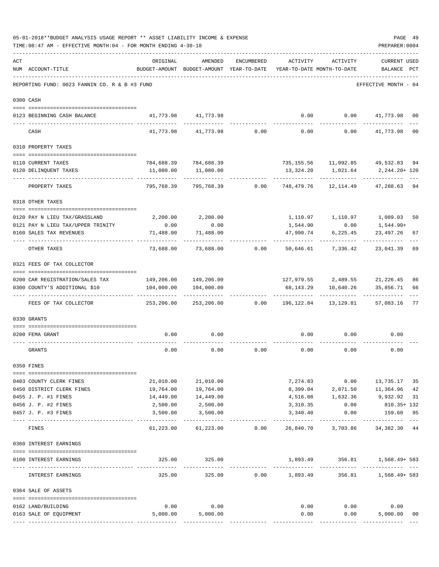|     | TIME: 08:47 AM - EFFECTIVE MONTH: 04 - FOR MONTH ENDING 4-30-18 |                                        |                                                                                |                 |                                  |                    | PREPARER: 0004                                           |                |
|-----|-----------------------------------------------------------------|----------------------------------------|--------------------------------------------------------------------------------|-----------------|----------------------------------|--------------------|----------------------------------------------------------|----------------|
| ACT | NUM ACCOUNT-TITLE                                               | ORIGINAL                               | AMENDED<br>BUDGET-AMOUNT BUDGET-AMOUNT YEAR-TO-DATE YEAR-TO-DATE MONTH-TO-DATE | ENCUMBERED      | ACTIVITY                         | ACTIVITY           | <b>CURRENT USED</b><br>BALANCE PCT                       |                |
|     | REPORTING FUND: 0023 FANNIN CO. R & B #3 FUND                   |                                        |                                                                                |                 |                                  |                    | EFFECTIVE MONTH - 04                                     |                |
|     | 0300 CASH                                                       |                                        |                                                                                |                 |                                  |                    |                                                          |                |
|     | 0123 BEGINNING CASH BALANCE                                     |                                        | 41,773.98 41,773.98                                                            |                 | 0.00                             |                    | $0.00$ $41,773.98$ 00                                    |                |
|     | CASH                                                            | 41,773.98                              | 41,773.98                                                                      | 0.00            | 0.00                             |                    | $0.00$ $41,773.98$                                       | 0 <sub>0</sub> |
|     | 0310 PROPERTY TAXES                                             |                                        |                                                                                |                 |                                  |                    |                                                          |                |
|     |                                                                 |                                        |                                                                                |                 |                                  |                    |                                                          |                |
|     | 0110 CURRENT TAXES                                              |                                        | 784,688.39 784,688.39                                                          |                 |                                  |                    | 735, 155.56 11, 092.85 49, 532.83 94                     |                |
|     | 0120 DELINQUENT TAXES                                           | 11,080.00                              | 11,080.00                                                                      |                 | -----------                      | . <u>.</u>         |                                                          |                |
|     | PROPERTY TAXES                                                  | 795,768.39                             | 795,768.39                                                                     | 0.00            | 748,479.76                       | 12,114.49          | 47,288.63 94                                             |                |
|     | 0318 OTHER TAXES                                                |                                        |                                                                                |                 |                                  |                    |                                                          |                |
|     | 0120 PAY N LIEU TAX/GRASSLAND                                   |                                        | 2,200.00 2,200.00                                                              |                 |                                  |                    | 1,110.97   1,110.97   1,089.03                           | 50             |
|     | 0121 PAY N LIEU TAX/UPPER TRINITY                               | 0.00                                   | 0.00                                                                           |                 | 1,544.90                         | 0.00               | 1,544.90+                                                |                |
|     | 0160 SALES TAX REVENUES                                         | 71,488.00                              | 71,488.00                                                                      |                 | 47,990.74                        | 6,225.45           | 23,497.26                                                | 67             |
|     | OTHER TAXES                                                     | 73,688.00                              |                                                                                | 73,688.00 0.00  | 50,646.61                        | 7,336.42           | 23,041.39                                                | 69             |
|     | 0321 FEES OF TAX COLLECTOR                                      |                                        |                                                                                |                 |                                  |                    |                                                          |                |
|     |                                                                 |                                        |                                                                                |                 |                                  |                    |                                                          |                |
|     | 0200 CAR REGISTRATION/SALES TAX                                 |                                        | 149,206.00 149,206.00                                                          |                 |                                  |                    | 127,979.55 2,489.55 21,226.45                            | 86             |
|     | 0300 COUNTY'S ADDITIONAL \$10                                   |                                        | 104,000.00   104,000.00                                                        |                 | -----------                      | -----------        | 68, 143. 29   10, 640. 26   35, 856. 71<br>------------- | 66             |
|     | FEES OF TAX COLLECTOR                                           | 253,206.00                             |                                                                                | 253,206.00 0.00 | 196,122.84                       | 13,129.81          | 57,083.16                                                | 77             |
|     | 0330 GRANTS                                                     |                                        |                                                                                |                 |                                  |                    |                                                          |                |
|     |                                                                 |                                        |                                                                                |                 |                                  |                    |                                                          |                |
|     | 0200 FEMA GRANT                                                 | 0.00                                   | 0.00                                                                           |                 | 0.00                             | 0.00               | 0.00                                                     |                |
|     | GRANTS                                                          | 0.00                                   | 0.00                                                                           | 0.00            | 0.00                             | 0.00               | 0.00                                                     |                |
|     | 0350 FINES                                                      |                                        |                                                                                |                 |                                  |                    |                                                          |                |
|     | 0403 COUNTY CLERK FINES                                         | 21,010.00                              | 21,010.00                                                                      |                 |                                  |                    | 7,274.83 0.00 13,735.17                                  | 35             |
|     | 0450 DISTRICT CLERK FINES                                       | 19,764.00                              | 19,764.00                                                                      |                 |                                  |                    | 8,399.04 2,071.50 11,364.96                              | 42             |
|     | 0455 J. P. #1 FINES                                             | 14,449.00                              | 14,449.00                                                                      |                 |                                  | 4,516.08 1,632.36  | 9,932.92                                                 | 31             |
|     | 0456 J. P. #2 FINES                                             | 2,500.00                               | 2,500.00                                                                       |                 | 3,310.35                         | 0.00               | 810.35+ 132                                              |                |
|     | 0457 J. P. #3 FINES                                             | 3,500.00                               | 3,500.00                                                                       |                 | 3,340.40                         | 0.00<br>---------- | 159.60<br>-----------                                    | 95             |
|     | FINES                                                           | 61,223.00                              | 61,223.00                                                                      | 0.00            |                                  | 26,840.70 3,703.86 | 34,382.30                                                | 44             |
|     | 0360 INTEREST EARNINGS                                          |                                        |                                                                                |                 |                                  |                    |                                                          |                |
|     | 0100 INTEREST EARNINGS                                          | 325.00<br>------------- -------------- | 325.00                                                                         |                 |                                  |                    | 1,893.49 356.81 1,568.49+583<br>--------------           |                |
|     | INTEREST EARNINGS                                               | 325.00                                 | 325.00                                                                         |                 | -------------<br>$0.00$ 1,893.49 | ------------       | 356.81 1,568.49+583                                      |                |
|     | 0364 SALE OF ASSETS                                             |                                        |                                                                                |                 |                                  |                    |                                                          |                |
|     | 0162 LAND/BUILDING                                              | 0.00                                   | 0.00                                                                           |                 |                                  | $0.00$ $0.00$      | 0.00                                                     |                |
|     | 0163 SALE OF EQUIPMENT                                          |                                        | 5,000.00 5,000.00                                                              |                 | 0.00                             | 0.00               | 5,000.00                                                 | 00             |
|     |                                                                 |                                        |                                                                                |                 |                                  |                    |                                                          |                |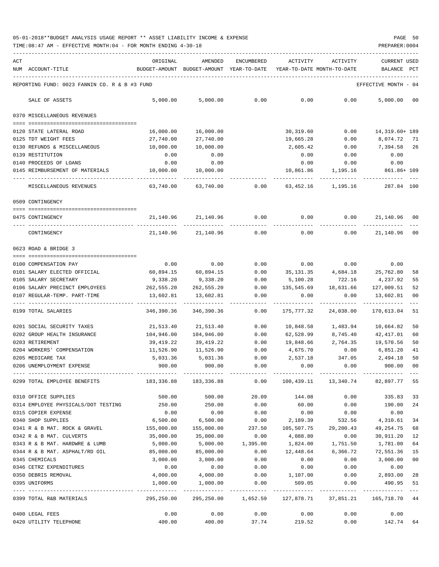TIME:08:47 AM - EFFECTIVE MONTH:04 - FOR MONTH ENDING 4-30-18 PREPARER:0004

| ACT |                                                                                              | ORIGINAL                                 | AMENDED               | ENCUMBERED        | ACTIVITY                                                              | ACTIVITY           | <b>CURRENT USED</b>          |        |
|-----|----------------------------------------------------------------------------------------------|------------------------------------------|-----------------------|-------------------|-----------------------------------------------------------------------|--------------------|------------------------------|--------|
|     | NUM ACCOUNT-TITLE                                                                            | BUDGET-AMOUNT BUDGET-AMOUNT YEAR-TO-DATE |                       |                   | YEAR-TO-DATE MONTH-TO-DATE                                            |                    | BALANCE                      | PCT    |
|     | REPORTING FUND: 0023 FANNIN CO. R & B #3 FUND                                                |                                          |                       |                   |                                                                       |                    | EFFECTIVE MONTH - 04         |        |
|     | SALE OF ASSETS                                                                               | 5,000.00                                 | 5,000.00              | 0.00              | 0.00                                                                  | 0.00               | 5,000.00                     | 00     |
|     | 0370 MISCELLANEOUS REVENUES                                                                  |                                          |                       |                   |                                                                       |                    |                              |        |
|     |                                                                                              |                                          |                       |                   |                                                                       |                    |                              |        |
|     | 0120 STATE LATERAL ROAD                                                                      | 16,000.00                                | 16,000.00             |                   | 30,319.60                                                             | 0.00               | 14,319.60+ 189               |        |
|     | 0125 TDT WEIGHT FEES                                                                         | 27,740.00                                | 27,740.00             |                   | 19,665.28                                                             | 0.00               | 8,074.72 71                  |        |
|     | 0130 REFUNDS & MISCELLANEOUS                                                                 | 10,000.00                                | 10,000.00             |                   | 2,605.42                                                              | 0.00               | 7,394.58 26                  |        |
|     | 0139 RESTITUTION                                                                             | 0.00                                     | 0.00                  |                   | 0.00                                                                  | 0.00               | 0.00                         |        |
|     | 0140 PROCEEDS OF LOANS                                                                       | 0.00                                     | 0.00                  |                   | 0.00                                                                  | 0.00               | 0.00                         |        |
|     | 0145 REIMBURSEMENT OF MATERIALS                                                              | 10,000.00                                | 10,000.00             |                   | 10,861.86                                                             | 1,195.16           | 861.86+ 109                  |        |
|     | MISCELLANEOUS REVENUES                                                                       | 63,740.00                                | 63,740.00             | 0.00              | 63,452.16                                                             | 1,195.16           | 287.84 100                   |        |
|     | 0509 CONTINGENCY                                                                             |                                          |                       |                   |                                                                       |                    |                              |        |
|     |                                                                                              |                                          |                       |                   |                                                                       |                    |                              |        |
|     | 0475 CONTINGENCY                                                                             |                                          | 21, 140.96 21, 140.96 | 0.00              | 0.00                                                                  | 0.00               | 21,140.96                    | 00     |
|     | CONTINGENCY                                                                                  | 21,140.96                                | 21,140.96             | 0.00              | 0.00                                                                  | 0.00               | 21,140.96 00                 |        |
|     | 0623 ROAD & BRIDGE 3                                                                         |                                          |                       |                   |                                                                       |                    |                              |        |
|     | 0100 COMPENSATION PAY                                                                        | 0.00                                     | 0.00                  | 0.00              |                                                                       | $0.00$ 0.00        | 0.00                         |        |
|     | 0101 SALARY ELECTED OFFICIAL                                                                 | 60,894.15                                | 60,894.15             | 0.00              |                                                                       | 35,131.35 4,684.18 | 25,762.80                    | 58     |
|     | 0105 SALARY SECRETARY                                                                        | 9,338.20                                 | 9,338.20              | 0.00              | 5,100.28                                                              | 722.16             | 4,237.92                     | 55     |
|     | 0106 SALARY PRECINCT EMPLOYEES                                                               | 262,555.20                               | 262,555.20            | 0.00              | 135,545.69                                                            | 18,631.66          | 127,009.51                   | 52     |
|     | 0107 REGULAR-TEMP. PART-TIME                                                                 | 13,602.81                                | 13,602.81             | 0.00              | 0.00                                                                  | 0.00               | 13,602.81                    | 00     |
|     | 0199 TOTAL SALARIES                                                                          | 346,390.36                               | 346,390.36            | 0.00              | 175,777.32                                                            | 24,038.00          | 170,613.04                   | 51     |
|     | 0201 SOCIAL SECURITY TAXES                                                                   | 21,513.40                                | 21,513.40             | 0.00              | 10,848.58                                                             | 1,483.94           | 10,664.82                    | 50     |
|     | 0202 GROUP HEALTH INSURANCE                                                                  | 104,946.00                               | 104,946.00            | 0.00              | 62,528.99                                                             | 8,745.40           | 42,417.01                    | 60     |
|     | 0203 RETIREMENT                                                                              | 39,419.22                                | 39,419.22             | 0.00              | 19,848.66                                                             | 2,764.35 19,570.56 |                              | 50     |
|     | 0204 WORKERS' COMPENSATION                                                                   | 11,526.90                                | 11,526.90             | 0.00              | 4,675.70                                                              | 0.00               | 6,851.20                     | 41     |
|     | 0205 MEDICARE TAX                                                                            | 5,031.36                                 | 5,031.36              | 0.00              | 2,537.18                                                              | 347.05             | 2,494.18                     | 50     |
|     | 0206 UNEMPLOYMENT EXPENSE                                                                    | 900.00                                   | 900.00                | 0.00              | 0.00                                                                  | 0.00               | 900.00                       | 00     |
|     | 0299 TOTAL EMPLOYEE BENEFITS 48,336.88 183,336.88 680 0.00 100,439.11 13,340.74 82,897.77 55 |                                          |                       |                   |                                                                       |                    |                              |        |
|     | 0310 OFFICE SUPPLIES                                                                         | 500.00                                   | 500.00                | 20.09             | 144.08                                                                | 0.00               | 335.83                       | 33     |
|     | 0314 EMPLOYEE PHYSICALS/DOT TESTING                                                          | 250.00                                   | 250.00                | 0.00              | 60.00                                                                 | 0.00               | 190.00                       | 24     |
|     | 0315 COPIER EXPENSE                                                                          | 0.00                                     | 0.00                  | 0.00              | 0.00                                                                  | 0.00               | 0.00                         |        |
|     | 0340 SHOP SUPPLIES                                                                           | 6,500.00                                 |                       | 6,500.00 0.00     |                                                                       | 2,189.39 532.56    | 4,310.61                     | 34     |
|     | 0341 R & B MAT. ROCK & GRAVEL                                                                | 155,000.00                               |                       | 155,000.00 237.50 | 105,507.75                                                            | 29,200.43          | 49,254.75                    | 68     |
|     | 0342 R & B MAT. CULVERTS                                                                     | 35,000.00                                | 35,000.00             | 0.00              | 4,088.80                                                              | 0.00               | 30,911.20                    | 12     |
|     | 0343 R & B MAT. HARDWRE & LUMB                                                               | 5,000.00                                 |                       | 5,000.00 1,395.00 | 1,824.00                                                              | 1,751.50           | 1,781.00                     | 64     |
|     | 0344 R & B MAT. ASPHALT/RD OIL                                                               | 85,000.00                                | 85,000.00             | 0.00              | 12,448.64                                                             | 6,366.72           | 72,551.36                    | 15     |
|     | 0345 CHEMICALS                                                                               | 3,000.00                                 | 3,000.00              | 0.00              | 0.00                                                                  | 0.00               | 3,000.00                     | $00\,$ |
|     | 0346 CETRZ EXPENDITURES                                                                      | 0.00                                     | 0.00                  | 0.00              | 0.00                                                                  | 0.00               | 0.00                         |        |
|     | 0350 DEBRIS REMOVAL                                                                          | 4,000.00                                 | 4,000.00              | 0.00              | 1,107.00                                                              | 0.00               | 2,893.00                     | 28     |
|     | 0395 UNIFORMS                                                                                | 1,000.00                                 | 1,000.00              | 0.00              | 509.05                                                                | 0.00               | 490.95 51<br>--------------- |        |
|     | 0399 TOTAL R&B MATERIALS                                                                     | 295,250.00                               |                       |                   | 295,250.00    1,652.59    127,878.71    37,851.21    165,718.70    44 |                    |                              |        |
|     | 0400 LEGAL FEES                                                                              | 0.00                                     | 0.00                  | 0.00              | 0.00                                                                  | 0.00               | 0.00                         |        |
|     | 0420 UTILITY TELEPHONE                                                                       | 400.00                                   | 400.00                | 37.74             | 219.52                                                                | 0.00               | 142.74                       | 64     |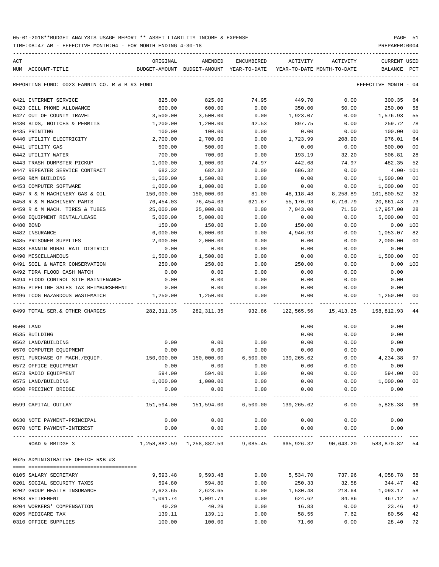TIME:08:47 AM - EFFECTIVE MONTH:04 - FOR MONTH ENDING 4-30-18 PREPARER:0004

| ACT |                                               | ORIGINAL                                                           | AMENDED                                  | ENCUMBERED | ACTIVITY                   | ACTIVITY           | <b>CURRENT USED</b>  |                |
|-----|-----------------------------------------------|--------------------------------------------------------------------|------------------------------------------|------------|----------------------------|--------------------|----------------------|----------------|
|     | NUM ACCOUNT-TITLE                             |                                                                    | BUDGET-AMOUNT BUDGET-AMOUNT YEAR-TO-DATE |            | YEAR-TO-DATE MONTH-TO-DATE |                    | BALANCE PCT          |                |
|     | REPORTING FUND: 0023 FANNIN CO. R & B #3 FUND |                                                                    |                                          |            |                            |                    | EFFECTIVE MONTH - 04 |                |
|     | 0421 INTERNET SERVICE                         | 825.00                                                             | 825.00                                   | 74.95      | 449.70                     | 0.00               | 300.35               | 64             |
|     | 0423 CELL PHONE ALLOWANCE                     | 600.00                                                             | 600.00                                   | 0.00       | 350.00                     | 50.00              | 250.00               | 58             |
|     | 0427 OUT OF COUNTY TRAVEL                     | 3,500.00                                                           | 3,500.00                                 | 0.00       | 1,923.07                   | 0.00               | 1,576.93             | 55             |
|     | 0430 BIDS, NOTICES & PERMITS                  | 1,200.00                                                           | 1,200.00                                 | 42.53      | 897.75                     | 0.00               | 259.72               | 78             |
|     | 0435 PRINTING                                 | 100.00                                                             | 100.00                                   | 0.00       | 0.00                       | 0.00               | 100.00               | 0 <sub>0</sub> |
|     | 0440 UTILITY ELECTRICITY                      | 2,700.00                                                           | 2,700.00                                 | 0.00       | 1,723.99                   | 208.90             | 976.01               | 64             |
|     | 0441 UTILITY GAS                              | 500.00                                                             | 500.00                                   | 0.00       | 0.00                       | 0.00               | 500.00               | 00             |
|     | 0442 UTILITY WATER                            | 700.00                                                             | 700.00                                   | 0.00       | 193.19                     | 32.20              | 506.81               | 28             |
|     | 0443 TRASH DUMPSTER PICKUP                    | 1,000.00                                                           | 1,000.00                                 | 74.97      | 442.68                     | 74.97              | 482.35               | 52             |
|     | 0447 REPEATER SERVICE CONTRACT                | 682.32                                                             | 682.32                                   | 0.00       | 686.32                     | 0.00               | $4.00 - 101$         |                |
|     | 0450 R&M BUILDING                             | 1,500.00                                                           | 1,500.00                                 | 0.00       | 0.00                       | 0.00               | 1,500.00             | 0 <sub>0</sub> |
|     | 0453 COMPUTER SOFTWARE                        | 1,000.00                                                           | 1,000.00                                 | 0.00       | 0.00                       | 0.00               | 1,000.00             | 0 <sub>0</sub> |
|     | 0457 R & M MACHINERY GAS & OIL                | 150,000.00                                                         | 150,000.00                               | 81.00      | 48, 118. 48                | 8,258.89           | 101,800.52           | 32             |
|     | 0458 R & M MACHINERY PARTS                    | 76,454.03                                                          | 76,454.03                                | 621.67     | 55,170.93                  | 6,716.79           | 20,661.43            | 73             |
|     | 0459 R & M MACH. TIRES & TUBES                | 25,000.00                                                          | 25,000.00                                | 0.00       | 7,043.00                   | 71.50              | 17,957.00            | 28             |
|     | 0460 EQUIPMENT RENTAL/LEASE                   | 5,000.00                                                           | 5,000.00                                 | 0.00       | 0.00                       | 0.00               | 5,000.00             | 0 <sub>0</sub> |
|     | 0480 BOND                                     | 150.00                                                             | 150.00                                   | 0.00       | 150.00                     | 0.00               | 0.00                 | 100            |
|     | 0482 INSURANCE                                | 6,000.00                                                           | 6,000.00                                 | 0.00       | 4,946.93                   | 0.00               | 1,053.07             | 82             |
|     | 0485 PRISONER SUPPLIES                        | 2,000.00                                                           | 2,000.00                                 | 0.00       | 0.00                       | 0.00               | 2,000.00             | 0 <sub>0</sub> |
|     | 0488 FANNIN RURAL RAIL DISTRICT               | 0.00                                                               | 0.00                                     | 0.00       | 0.00                       | 0.00               | 0.00                 |                |
|     | 0490 MISCELLANEOUS                            | 1,500.00                                                           | 1,500.00                                 | 0.00       | 0.00                       | 0.00               | 1,500.00             | 0 <sub>0</sub> |
|     | 0491 SOIL & WATER CONSERVATION                | 250.00                                                             | 250.00                                   | 0.00       | 250.00                     | 0.00               | 0.00                 | 100            |
|     | 0492 TDRA FLOOD CASH MATCH                    | 0.00                                                               | 0.00                                     | 0.00       | 0.00                       | 0.00               | 0.00                 |                |
|     | 0494 FLOOD CONTROL SITE MAINTENANCE           | 0.00                                                               | 0.00                                     | 0.00       | 0.00                       | 0.00               | 0.00                 |                |
|     | 0495 PIPELINE SALES TAX REIMBURSEMENT         | 0.00                                                               | 0.00                                     | 0.00       | 0.00                       | 0.00               | 0.00                 |                |
|     | 0496 TCOG HAZARDOUS WASTEMATCH                | 1,250.00                                                           | 1,250.00                                 | 0.00       | 0.00                       | 0.00               | 1,250.00             | 00             |
|     | 0499 TOTAL SER. & OTHER CHARGES               | 282,311.35                                                         | 282,311.35                               |            | 932.86 122,565.56          | 15,413.25          | 158,812.93           | 44             |
|     | 0500 LAND                                     |                                                                    |                                          |            | 0.00                       | 0.00               | 0.00                 |                |
|     | 0535 BUILDING                                 |                                                                    |                                          |            | 0.00                       | 0.00               | 0.00                 |                |
|     | 0562 LAND/BUILDING                            | 0.00                                                               | 0.00                                     | 0.00       | 0.00                       | 0.00               | 0.00                 |                |
|     | 0570 COMPUTER EQUIPMENT                       | 0.00                                                               | 0.00                                     | 0.00       | 0.00                       | 0.00               | 0.00                 |                |
|     | 0571 PURCHASE OF MACH./EQUIP.                 | 150,000.00                                                         | 150,000.00                               | 6,500.00   | 139,265.62                 | 0.00               | 4,234.38             | 97             |
|     | 0572 OFFICE EQUIPMENT                         | 0.00                                                               | 0.00                                     | 0.00       | 0.00                       | 0.00               | 0.00                 |                |
|     | 0573 RADIO EQUIPMENT                          | 594.00                                                             | 594.00                                   | 0.00       | 0.00                       | 0.00               | 594.00               | 0 <sub>0</sub> |
|     | 0575 LAND/BUILDING                            | 1,000.00                                                           | 1,000.00                                 | 0.00       | 0.00                       |                    | 0.00 1,000.00        | 0 <sub>0</sub> |
|     | 0580 PRECINCT BRIDGE                          | 0.00<br>___________                                                | 0.00<br>___________                      | 0.00       | 0.00                       | 0.00<br>---------- | 0.00<br>-----------  |                |
|     | 0599 CAPITAL OUTLAY                           | 151,594.00                                                         | 151,594.00                               | 6,500.00   | 139,265.62                 | 0.00               | 5,828.38 96          |                |
|     | 0630 NOTE PAYMENT-PRINCIPAL                   | 0.00                                                               | 0.00                                     | 0.00       | 0.00                       | 0.00               | 0.00                 |                |
|     | 0670 NOTE PAYMENT-INTEREST                    | 0.00                                                               | 0.00                                     | 0.00       | 0.00                       | 0.00               | 0.00                 |                |
|     | ROAD & BRIDGE 3                               | 1,258,882.59 1,258,882.59 9,085.45 665,926.32 90,643.20 583,870.82 |                                          |            |                            |                    |                      | 54             |
|     | 0625 ADMINISTRATIVE OFFICE R&B #3             |                                                                    |                                          |            |                            |                    |                      |                |
|     | 0105 SALARY SECRETARY                         | 9,593.48                                                           | 9,593.48                                 | 0.00       | 5,534.70                   | 737.96             | 4,058.78             | 58             |
|     | 0201 SOCIAL SECURITY TAXES                    | 594.80                                                             | 594.80                                   | 0.00       | 250.33                     | 32.58              | 344.47               | 42             |
|     | 0202 GROUP HEALTH INSURANCE                   | 2,623.65                                                           | 2,623.65                                 | 0.00       | 1,530.48                   | 218.64             | 1,093.17             | 58             |
|     | 0203 RETIREMENT                               | 1,091.74                                                           | 1,091.74                                 | 0.00       | 624.62                     | 84.86              | 467.12               | 57             |
|     | 0204 WORKERS' COMPENSATION                    | 40.29                                                              | 40.29                                    | 0.00       | 16.83                      | 0.00               | 23.46                | 42             |
|     | 0205 MEDICARE TAX                             | 139.11                                                             | 139.11                                   | 0.00       | 58.55                      | 7.62               | 80.56                | 42             |

0310 OFFICE SUPPLIES 100.00 100.00 0.00 71.60 0.00 28.40 72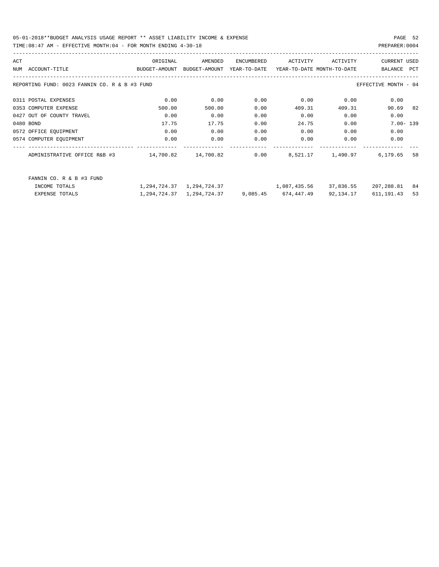05-01-2018\*\*BUDGET ANALYSIS USAGE REPORT \*\* ASSET LIABILITY INCOME & EXPENSE PAGE 52 TIME:08:47 AM - EFFECTIVE MONTH:04 - FOR MONTH ENDING 4-30-18 PREPARER:0004

| ACT |                                               | ORIGINAL      | AMENDED       | ENCUMBERED   | ACTIVITY                   | ACTIVITY  | <b>CURRENT USED</b>  |            |
|-----|-----------------------------------------------|---------------|---------------|--------------|----------------------------|-----------|----------------------|------------|
|     | NUM ACCOUNT-TITLE                             | BUDGET-AMOUNT | BUDGET-AMOUNT | YEAR-TO-DATE | YEAR-TO-DATE MONTH-TO-DATE |           | BALANCE              | <b>PCT</b> |
|     | REPORTING FUND: 0023 FANNIN CO. R & B #3 FUND |               |               |              |                            |           | EFFECTIVE MONTH - 04 |            |
|     | 0311 POSTAL EXPENSES                          | 0.00          | 0.00          | 0.00         | 0.00                       | 0.00      | 0.00                 |            |
|     | 0353 COMPUTER EXPENSE                         | 500.00        | 500.00        | 0.00         | 409.31                     | 409.31    | 90.69                | 82         |
|     | 0427 OUT OF COUNTY TRAVEL                     | 0.00          | 0.00          | 0.00         | 0.00                       | 0.00      | 0.00                 |            |
|     | 0480 BOND                                     | 17.75         | 17.75         | 0.00         | 24.75                      | 0.00      | $7.00 - 139$         |            |
|     | 0572 OFFICE EQUIPMENT                         | 0.00          | 0.00          | 0.00         | 0.00                       | 0.00      | 0.00                 |            |
|     | 0574 COMPUTER EQUIPMENT                       | 0.00          | 0.00          | 0.00         | 0.00                       | 0.00      | 0.00                 |            |
|     | ADMINISTRATIVE OFFICE R&B #3                  | 14,700.82     | 14,700.82     | 0.00         | 8,521.17                   | 1,490.97  | 6,179.65             | 58         |
|     | FANNIN CO. R & B #3 FUND                      |               |               |              |                            |           |                      |            |
|     | INCOME TOTALS                                 | 1,294,724.37  | 1,294,724.37  |              | 1,087,435.56               | 37,836.55 | 207,288.81           | 84         |
|     | <b>EXPENSE TOTALS</b>                         | 1,294,724.37  | 1,294,724.37  |              | 9,085.45 674,447.49        | 92,134.17 | 611, 191.43          | 53         |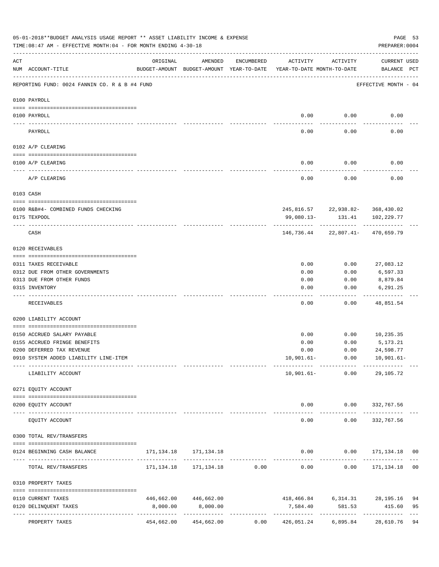|     | 05-01-2018**BUDGET ANALYSIS USAGE REPORT ** ASSET LIABILITY INCOME & EXPENSE<br>TIME: 08:47 AM - EFFECTIVE MONTH: 04 - FOR MONTH ENDING 4-30-18 |                                                      |                                                |              |                                        |                      | PREPARER: 0004                                 | PAGE 53  |
|-----|-------------------------------------------------------------------------------------------------------------------------------------------------|------------------------------------------------------|------------------------------------------------|--------------|----------------------------------------|----------------------|------------------------------------------------|----------|
| ACT | NUM ACCOUNT-TITLE                                                                                                                               | ORIGINAL<br>BUDGET-AMOUNT BUDGET-AMOUNT YEAR-TO-DATE | AMENDED                                        | ENCUMBERED   | ACTIVITY<br>YEAR-TO-DATE MONTH-TO-DATE | ACTIVITY             | CURRENT USED<br>BALANCE PCT                    |          |
|     | REPORTING FUND: 0024 FANNIN CO. R & B #4 FUND                                                                                                   |                                                      |                                                |              |                                        |                      | EFFECTIVE MONTH - 04                           |          |
|     | 0100 PAYROLL                                                                                                                                    |                                                      |                                                |              |                                        |                      |                                                |          |
|     |                                                                                                                                                 |                                                      |                                                |              | 0.00                                   | 0.00                 |                                                |          |
|     | 0100 PAYROLL                                                                                                                                    |                                                      |                                                |              |                                        |                      | 0.00                                           |          |
|     | PAYROLL                                                                                                                                         |                                                      |                                                |              | 0.00                                   | 0.00                 | 0.00                                           |          |
|     | 0102 A/P CLEARING                                                                                                                               |                                                      |                                                |              |                                        |                      |                                                |          |
|     | 0100 A/P CLEARING                                                                                                                               |                                                      |                                                |              | 0.00                                   | 0.00                 | 0.00                                           |          |
|     | A/P CLEARING                                                                                                                                    |                                                      |                                                |              | 0.00                                   | 0.00                 | 0.00                                           |          |
|     | 0103 CASH                                                                                                                                       |                                                      |                                                |              |                                        |                      |                                                |          |
|     |                                                                                                                                                 |                                                      |                                                |              |                                        |                      |                                                |          |
|     | 0100 R&B#4- COMBINED FUNDS CHECKING<br>0175 TEXPOOL                                                                                             |                                                      |                                                |              | 99,080.13-                             | 131.41               | 245,816.57 22,938.82- 368,430.02<br>102,229.77 |          |
|     |                                                                                                                                                 |                                                      |                                                |              |                                        |                      |                                                |          |
|     | CASH                                                                                                                                            |                                                      |                                                |              |                                        |                      | 146,736.44 22,807.41- 470,659.79               |          |
|     | 0120 RECEIVABLES                                                                                                                                |                                                      |                                                |              |                                        |                      |                                                |          |
|     | 0311 TAXES RECEIVABLE                                                                                                                           |                                                      |                                                |              | 0.00                                   | 0.00                 | 27,083.12                                      |          |
|     | 0312 DUE FROM OTHER GOVERNMENTS                                                                                                                 |                                                      |                                                |              | 0.00                                   | 0.00                 | 6,597.33                                       |          |
|     | 0313 DUE FROM OTHER FUNDS                                                                                                                       |                                                      |                                                |              | 0.00                                   | 0.00                 | 8,879.84                                       |          |
|     | 0315 INVENTORY                                                                                                                                  |                                                      |                                                |              | 0.00                                   | 0.00                 | 6,291.25                                       |          |
|     | RECEIVABLES                                                                                                                                     |                                                      |                                                |              | 0.00                                   | 0.00                 | 48,851.54                                      |          |
|     | 0200 LIABILITY ACCOUNT                                                                                                                          |                                                      |                                                |              |                                        |                      |                                                |          |
|     | 0150 ACCRUED SALARY PAYABLE                                                                                                                     |                                                      |                                                |              |                                        |                      |                                                |          |
|     | 0155 ACCRUED FRINGE BENEFITS                                                                                                                    |                                                      |                                                |              | 0.00<br>0.00                           | 0.00<br>0.00         | 10,235.35<br>5,173.21                          |          |
|     | 0200 DEFERRED TAX REVENUE                                                                                                                       |                                                      |                                                |              | 0.00                                   | 0.00                 | 24,598.77                                      |          |
|     | 0910 SYSTEM ADDED LIABILITY LINE-ITEM                                                                                                           |                                                      |                                                |              |                                        |                      | $10,901.61 - 0.00$ $10,901.61 -$               |          |
|     |                                                                                                                                                 | --- -------------                                    |                                                |              |                                        |                      | .                                              |          |
|     | LIABILITY ACCOUNT                                                                                                                               |                                                      |                                                |              | $10,901.61-$                           | 0.00                 | 29,105.72                                      |          |
|     | 0271 EQUITY ACCOUNT                                                                                                                             |                                                      |                                                |              |                                        |                      |                                                |          |
|     | 0200 EQUITY ACCOUNT                                                                                                                             |                                                      |                                                |              |                                        | 0.00                 | $0.00$ 332, 767.56                             |          |
|     | EQUITY ACCOUNT                                                                                                                                  |                                                      | -------------                                  |              | $- - - - -$<br>0.00                    | ------------<br>0.00 | -------------<br>332,767.56                    |          |
|     | 0300 TOTAL REV/TRANSFERS                                                                                                                        |                                                      |                                                |              |                                        |                      |                                                |          |
|     | 0124 BEGINNING CASH BALANCE                                                                                                                     |                                                      | 171, 134. 18 171, 134. 18                      |              |                                        |                      | $0.00$ $0.00$ $171,134.18$ 00                  |          |
|     | TOTAL REV/TRANSFERS                                                                                                                             |                                                      | 171,134.18  171,134.18  0.00                   |              | $0.00$ $0.00$ $171,134.18$             | . <u>.</u>           | --------------                                 | 00       |
|     | 0310 PROPERTY TAXES                                                                                                                             |                                                      |                                                |              |                                        |                      |                                                |          |
|     |                                                                                                                                                 |                                                      |                                                |              |                                        |                      |                                                |          |
|     | 0110 CURRENT TAXES<br>0120 DELINQUENT TAXES                                                                                                     | 8,000.00                                             | 446,662.00 446,662.00<br>8,000.00              |              | 7,584.40                               | 581.53               | 418,466.84 6,314.31 28,195.16<br>415.60        | 94<br>95 |
|     |                                                                                                                                                 |                                                      |                                                | ------------ |                                        |                      | -------------                                  | $- - -$  |
|     | PROPERTY TAXES                                                                                                                                  |                                                      | 454,662.00 454,662.00 0.00 426,051.24 6,895.84 |              |                                        |                      | 28,610.76 94                                   |          |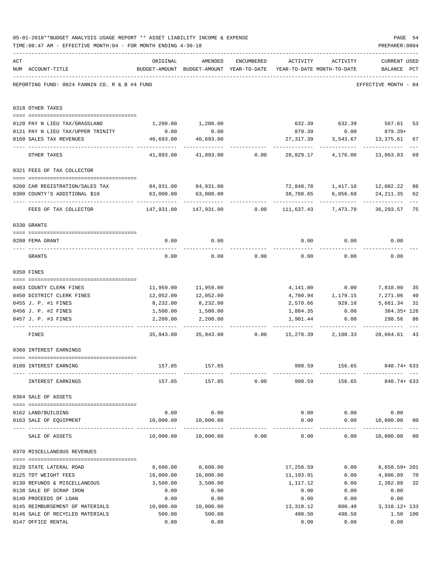|     | 05-01-2018**BUDGET ANALYSIS USAGE REPORT ** ASSET LIABILITY INCOME & EXPENSE<br>TIME: 08:47 AM - EFFECTIVE MONTH: 04 - FOR MONTH ENDING 4-30-18                                                                                                                                                                                                                                                                                                  |                                                          |                                                                                |            |                 |                   | PAGE 54<br>PREPARER: 0004                                   |                |
|-----|--------------------------------------------------------------------------------------------------------------------------------------------------------------------------------------------------------------------------------------------------------------------------------------------------------------------------------------------------------------------------------------------------------------------------------------------------|----------------------------------------------------------|--------------------------------------------------------------------------------|------------|-----------------|-------------------|-------------------------------------------------------------|----------------|
| ACT | NUM ACCOUNT-TITLE                                                                                                                                                                                                                                                                                                                                                                                                                                | ORIGINAL                                                 | AMENDED<br>BUDGET-AMOUNT BUDGET-AMOUNT YEAR-TO-DATE YEAR-TO-DATE MONTH-TO-DATE | ENCUMBERED | ACTIVITY        | ACTIVITY          | <b>CURRENT USED</b><br>BALANCE PCT                          |                |
|     | REPORTING FUND: 0024 FANNIN CO. R & B #4 FUND                                                                                                                                                                                                                                                                                                                                                                                                    |                                                          |                                                                                |            |                 |                   | EFFECTIVE MONTH - 04                                        |                |
|     | 0318 OTHER TAXES                                                                                                                                                                                                                                                                                                                                                                                                                                 |                                                          |                                                                                |            |                 |                   |                                                             |                |
|     | 0120 PAY N LIEU TAX/GRASSLAND                                                                                                                                                                                                                                                                                                                                                                                                                    |                                                          | 1,200.00 1,200.00                                                              |            |                 |                   | 632.39 632.39 567.61                                        | 53             |
|     | 0121 PAY N LIEU TAX/UPPER TRINITY                                                                                                                                                                                                                                                                                                                                                                                                                | 0.00                                                     | 0.00                                                                           |            |                 |                   | 879.39 0.00 879.39+                                         |                |
|     | 0160 SALES TAX REVENUES                                                                                                                                                                                                                                                                                                                                                                                                                          | 40,693.00                                                | 40,693.00                                                                      |            | 27,317.39       | 3,543.67          | 13,375.61                                                   | 67             |
|     | OTHER TAXES                                                                                                                                                                                                                                                                                                                                                                                                                                      | ------------<br>41,893.00                                | 41,893.00                                                                      | 0.00       | 28,829.17       | 4,176.06          | 13,063.83                                                   | 69             |
|     | 0321 FEES OF TAX COLLECTOR                                                                                                                                                                                                                                                                                                                                                                                                                       |                                                          |                                                                                |            |                 |                   |                                                             |                |
|     |                                                                                                                                                                                                                                                                                                                                                                                                                                                  |                                                          |                                                                                |            |                 |                   |                                                             |                |
|     | 0200 CAR REGISTRATION/SALES TAX                                                                                                                                                                                                                                                                                                                                                                                                                  |                                                          | 84,931.00 84,931.00                                                            |            |                 |                   |                                                             | 86             |
|     | 0300 COUNTY'S ADDITIONAL \$10                                                                                                                                                                                                                                                                                                                                                                                                                    | 63,000.00                                                | 63,000.00                                                                      |            | 38,788.65       | 6,056.68          | 24, 211.35                                                  | 62             |
|     | FEES OF TAX COLLECTOR                                                                                                                                                                                                                                                                                                                                                                                                                            | 147,931.00  147,931.00     0.00  111,637.43     7,473.78 |                                                                                |            |                 |                   | 36,293.57                                                   | 75             |
|     | 0330 GRANTS                                                                                                                                                                                                                                                                                                                                                                                                                                      |                                                          |                                                                                |            |                 |                   |                                                             |                |
|     |                                                                                                                                                                                                                                                                                                                                                                                                                                                  |                                                          |                                                                                |            |                 |                   |                                                             |                |
|     | 0200 FEMA GRANT                                                                                                                                                                                                                                                                                                                                                                                                                                  | 0.00                                                     | 0.00                                                                           |            | 0.00            | 0.00              | 0.00                                                        |                |
|     | GRANTS                                                                                                                                                                                                                                                                                                                                                                                                                                           | 0.00                                                     | 0.00                                                                           | 0.00       | 0.00            | 0.00              | 0.00                                                        |                |
|     | 0350 FINES                                                                                                                                                                                                                                                                                                                                                                                                                                       |                                                          |                                                                                |            |                 |                   |                                                             |                |
|     | 0403 COUNTY CLERK FINES                                                                                                                                                                                                                                                                                                                                                                                                                          |                                                          | 11,959.00 11,959.00                                                            |            |                 | 4,141.00 0.00     | 7,818.00                                                    | 35             |
|     | 0450 DISTRICT CLERK FINES                                                                                                                                                                                                                                                                                                                                                                                                                        | 12,052.00                                                | 12,052.00                                                                      |            |                 | 4,780.94 1,179.15 | 7,271.06                                                    | 40             |
|     | 0455 J. P. #1 FINES                                                                                                                                                                                                                                                                                                                                                                                                                              | 8,232.00                                                 | 8,232.00                                                                       |            |                 | 2,570.66 929.18   | 5,661.34                                                    | 31             |
|     | 0456 J. P. #2 FINES                                                                                                                                                                                                                                                                                                                                                                                                                              | 1,500.00                                                 | 1,500.00                                                                       |            | 1,884.35        | 0.00              | 384.35+ 126                                                 |                |
|     | 0457 J. P. #3 FINES                                                                                                                                                                                                                                                                                                                                                                                                                              | 2,200.00                                                 | 2,200.00                                                                       |            | 1,901.44        | 0.00              | 298.56                                                      | 86             |
|     | FINES                                                                                                                                                                                                                                                                                                                                                                                                                                            |                                                          | 35,943.00 35,943.00 0.00 15,278.39 2,108.33                                    |            |                 |                   | 20,664.61                                                   | 43             |
|     | 0360 INTEREST EARNINGS                                                                                                                                                                                                                                                                                                                                                                                                                           |                                                          |                                                                                |            |                 |                   |                                                             |                |
|     |                                                                                                                                                                                                                                                                                                                                                                                                                                                  |                                                          |                                                                                |            |                 |                   |                                                             |                |
|     | 0100 INTEREST EARNING                                                                                                                                                                                                                                                                                                                                                                                                                            |                                                          | 157.85 157.85                                                                  |            | --------------- |                   | 998.59 156.65 840.74+633<br>------------- ------------- --- |                |
|     | INTEREST EARNINGS                                                                                                                                                                                                                                                                                                                                                                                                                                |                                                          | 157.85 157.85 0.00                                                             |            | 998.59          |                   | 156.65 840.74+ 633                                          |                |
|     | 0364 SALE OF ASSETS                                                                                                                                                                                                                                                                                                                                                                                                                              |                                                          |                                                                                |            |                 |                   |                                                             |                |
|     | 0162 LAND/BUILDING                                                                                                                                                                                                                                                                                                                                                                                                                               |                                                          | $0.00$ 0.00                                                                    |            |                 |                   | $0.00$ $0.00$ $0.00$                                        |                |
|     | 0163 SALE OF EQUIPMENT                                                                                                                                                                                                                                                                                                                                                                                                                           |                                                          | 10,000.00  10,000.00                                                           |            |                 |                   | $0.00$ $0.00$ $10,000.00$                                   | 0 <sub>0</sub> |
|     | SALE OF ASSETS                                                                                                                                                                                                                                                                                                                                                                                                                                   |                                                          | 10,000.00    10,000.00    0.00                                                 |            | 0.00            | ------------      | -------------<br>$0.00$ 10,000.00 00                        |                |
|     | 0370 MISCELLANEOUS REVENUES                                                                                                                                                                                                                                                                                                                                                                                                                      |                                                          |                                                                                |            |                 |                   |                                                             |                |
|     | $\verb c  = \verb c  = \verb c  = \verb c  = \verb c  = \verb c  = \verb c  = \verb c  = \verb c  = \verb c  = \verb c  = \verb c  = \verb c  = \verb c  = \verb c  = \verb c  = \verb c  = \verb c  = \verb c  = \verb c  = \verb c  = \verb c  = \verb c  = \verb c  = \verb c  = \verb c  = \verb c  = \verb c  = \verb c  = \verb c  = \verb c  = \verb c  = \verb c  = \verb c  = \verb c  = \verb c  = \verb c$<br>0120 STATE LATERAL ROAD | 8,600.00                                                 | 8,600.00                                                                       |            |                 | 17,258.59 0.00    | 8,658.59+ 201                                               |                |
|     | 0125 TDT WEIGHT FEES                                                                                                                                                                                                                                                                                                                                                                                                                             | 16,000.00                                                | 16,000.00                                                                      |            | 11,193.91       | 0.00              | 4,806.09                                                    | 70             |
|     | 0130 REFUNDS & MISCELLANEOUS                                                                                                                                                                                                                                                                                                                                                                                                                     | 3,500.00                                                 | 3,500.00                                                                       |            | 1,117.12        | 0.00              | 2,382.88 32                                                 |                |
|     | 0138 SALE OF SCRAP IRON                                                                                                                                                                                                                                                                                                                                                                                                                          | 0.00                                                     | 0.00                                                                           |            | 0.00            | 0.00              | 0.00                                                        |                |
|     | 0140 PROCEEDS OF LOAN                                                                                                                                                                                                                                                                                                                                                                                                                            | 0.00                                                     | 0.00                                                                           |            | 0.00            | 0.00              | 0.00                                                        |                |
|     | 0145 REIMBURSEMENT OF MATERIALS 10,000.00                                                                                                                                                                                                                                                                                                                                                                                                        |                                                          | 10,000.00                                                                      |            | 13,318.12       | 800.40            | 3, 318. 12+ 133                                             |                |
|     | 0146 SALE OF RECYCLED MATERIALS                                                                                                                                                                                                                                                                                                                                                                                                                  | 500.00                                                   | 500.00                                                                         |            | 498.50          | 498.50            | 1.50 100                                                    |                |
|     | 0147 OFFICE RENTAL                                                                                                                                                                                                                                                                                                                                                                                                                               | 0.00                                                     | 0.00                                                                           |            | 0.00            | 0.00              | 0.00                                                        |                |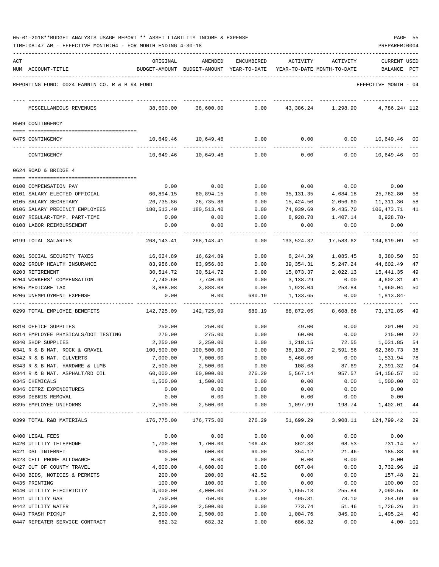| 05-01-2018**BUDGET ANALYSIS USAGE REPORT ** ASSET LIABILITY INCOME & EXPENSE |  |  |  |  |  |  | PAGE |  |
|------------------------------------------------------------------------------|--|--|--|--|--|--|------|--|
|                                                                              |  |  |  |  |  |  |      |  |

TIME:08:47 AM - EFFECTIVE MONTH:04 - FOR MONTH ENDING 4-30-18 PREPARER:0004

| ACT |                                               | ORIGINAL   | AMENDED                                  | <b>ENCUMBERED</b> | ACTIVITY   | ACTIVITY                         | CURRENT USED         |              |
|-----|-----------------------------------------------|------------|------------------------------------------|-------------------|------------|----------------------------------|----------------------|--------------|
|     | NUM ACCOUNT-TITLE                             |            | BUDGET-AMOUNT BUDGET-AMOUNT YEAR-TO-DATE |                   |            | YEAR-TO-DATE MONTH-TO-DATE       | BALANCE              | $_{\rm PCT}$ |
|     | REPORTING FUND: 0024 FANNIN CO. R & B #4 FUND |            |                                          |                   |            |                                  | EFFECTIVE MONTH - 04 |              |
|     | MISCELLANEOUS REVENUES                        | 38,600.00  | 38,600.00                                | 0.00              |            | 43,386.24 1,298.90               | $4,786.24+112$       |              |
|     | 0509 CONTINGENCY                              |            |                                          |                   |            |                                  |                      |              |
|     |                                               |            |                                          |                   |            |                                  |                      |              |
|     | 0475 CONTINGENCY                              | 10,649.46  | 10,649.46                                | 0.00              | 0.00       | 0.00                             | 10,649.46 00         |              |
|     | CONTINGENCY                                   | 10,649.46  | 10,649.46                                | 0.00              | 0.00       | 0.00                             | 10,649.46 00         |              |
|     | 0624 ROAD & BRIDGE 4                          |            |                                          |                   |            |                                  |                      |              |
|     |                                               |            |                                          |                   |            |                                  |                      |              |
|     | 0100 COMPENSATION PAY                         | 0.00       | 0.00                                     | 0.00              | 0.00       | 0.00                             | 0.00                 |              |
|     | 0101 SALARY ELECTED OFFICIAL                  | 60,894.15  | 60,894.15                                | 0.00              | 35,131.35  | 4,684.18                         | 25,762.80            | 58           |
|     | 0105 SALARY SECRETARY                         | 26,735.86  | 26,735.86                                | 0.00              | 15,424.50  | 2,056.60                         | 11,311.36            | 58           |
|     | 0106 SALARY PRECINCT EMPLOYEES                | 180,513.40 | 180,513.40                               | 0.00              | 74,039.69  | 9,435.70                         | 106,473.71           | 41           |
|     | 0107 REGULAR-TEMP. PART-TIME                  | 0.00       | 0.00                                     | 0.00              | 8,928.78   | 1,407.14                         | 8,928.78-            |              |
|     | 0108 LABOR REIMBURSEMENT                      | 0.00       | 0.00                                     | 0.00              | 0.00       | 0.00                             | 0.00                 |              |
|     | 0199 TOTAL SALARIES                           | 268,143.41 | 268,143.41                               | 0.00              | 133,524.32 | 17,583.62                        | 134,619.09           | 50           |
|     | 0201 SOCIAL SECURITY TAXES                    | 16,624.89  | 16,624.89                                | 0.00              | 8,244.39   | 1,085.45                         | 8,380.50             | 50           |
|     | 0202 GROUP HEALTH INSURANCE                   | 83,956.80  | 83,956.80                                | 0.00              | 39,354.31  | 5,247.24                         | 44,602.49            | 47           |
|     | 0203 RETIREMENT                               | 30,514.72  | 30,514.72                                | 0.00              | 15,073.37  | 2,022.13                         | 15,441.35            | 49           |
|     | 0204 WORKERS' COMPENSATION                    | 7,740.60   | 7,740.60                                 | 0.00              | 3,138.29   | 0.00                             | 4,602.31             | 41           |
|     | 0205 MEDICARE TAX                             | 3,888.08   | 3,888.08                                 | 0.00              | 1,928.04   | 253.84                           | 1,960.04             | 50           |
|     | 0206 UNEMPLOYMENT EXPENSE                     | 0.00       | 0.00                                     | 680.19            | 1,133.65   | 0.00                             | 1,813.84-            |              |
|     | 0299 TOTAL EMPLOYEE BENEFITS                  | 142,725.09 | 142,725.09                               | 680.19            | 68,872.05  | 8,608.66                         | 73,172.85            | 49           |
|     | 0310 OFFICE SUPPLIES                          | 250.00     | 250.00                                   | 0.00              | 49.00      | 0.00                             | 201.00               | 20           |
|     | 0314 EMPLOYEE PHYSICALS/DOT TESTING           | 275.00     | 275.00                                   | 0.00              | 60.00      | 0.00                             | 215.00               | 22           |
|     | 0340 SHOP SUPPLIES                            | 2,250.00   | 2,250.00                                 | 0.00              | 1,218.15   | 72.55                            | 1,031.85             | 54           |
|     | 0341 R & B MAT. ROCK & GRAVEL                 | 100,500.00 | 100,500.00                               | 0.00              | 38,130.27  | 2,591.56                         | 62,369.73            | 38           |
|     | 0342 R & B MAT. CULVERTS                      | 7,000.00   | 7,000.00                                 | 0.00              | 5,468.06   | 0.00                             | 1,531.94             | 78           |
|     | 0343 R & B MAT. HARDWRE & LUMB                | 2,500.00   | 2,500.00                                 | 0.00              | 108.68     | 87.69                            | 2,391.32             | 04           |
|     | 0344 R & B MAT. ASPHALT/RD OIL                | 60,000.00  | 60,000.00                                | 276.29            | 5,567.14   | 957.57                           | 54, 156. 57 10       |              |
|     | 0345 CHEMICALS                                | 1,500.00   | 1,500.00                                 | 0.00              | 0.00       | 0.00                             | 1,500.00 00          |              |
|     | 0346 CETRZ EXPENDITURES                       | 0.00       | 0.00                                     | 0.00              | 0.00       | 0.00                             | 0.00                 |              |
|     | 0350 DEBRIS REMOVAL                           | 0.00       | 0.00                                     | 0.00              | 0.00       | 0.00                             | 0.00                 |              |
|     | 0395 EMPLOYEE UNIFORMS                        | 2,500.00   | 2,500.00                                 | 0.00              | 1,097.99   | 198.74                           | 1,402.01             | 44           |
|     | 0399 TOTAL R&B MATERIALS                      | 176,775.00 | 176,775.00                               | 276.29            |            | 51,699.29 3,908.11 124,799.42 29 |                      |              |
|     | 0400 LEGAL FEES                               | 0.00       | 0.00                                     | 0.00              | 0.00       | 0.00                             | 0.00                 |              |
|     | 0420 UTILITY TELEPHONE                        | 1,700.00   | 1,700.00                                 | 106.48            | 862.38     | $68.53-$                         | 731.14               | 57           |
|     | 0421 DSL INTERNET                             | 600.00     | 600.00                                   | 60.00             | 354.12     | $21.46-$                         | 185.88               | 69           |
|     | 0423 CELL PHONE ALLOWANCE                     | 0.00       | 0.00                                     | 0.00              | 0.00       | 0.00                             | 0.00                 |              |
|     | 0427 OUT OF COUNTY TRAVEL                     | 4,600.00   | 4,600.00                                 | 0.00              | 867.04     | 0.00                             | 3,732.96             | 19           |
|     | 0430 BIDS, NOTICES & PERMITS                  | 200.00     | 200.00                                   | 42.52             | 0.00       | 0.00                             | 157.48               | 21           |
|     | 0435 PRINTING                                 | 100.00     | 100.00                                   | 0.00              | 0.00       | 0.00                             | 100.00               | 00           |
|     | 0440 UTILITY ELECTRICITY                      | 4,000.00   | 4,000.00                                 | 254.32            | 1,655.13   | 255.84                           | 2,090.55             | 48           |
|     | 0441 UTILITY GAS                              | 750.00     | 750.00                                   | 0.00              | 495.31     | 78.10                            | 254.69               | 66           |
|     | 0442 UTILITY WATER                            | 2,500.00   | 2,500.00                                 | 0.00              | 773.74     | 51.46                            | 1,726.26             | 31           |
|     | 0443 TRASH PICKUP                             | 2,500.00   | 2,500.00                                 | 0.00              | 1,004.76   | 345.90                           | 1,495.24             | 40           |

0447 REPEATER SERVICE CONTRACT 682.32 682.32 0.00 686.32 0.00 4.00- 101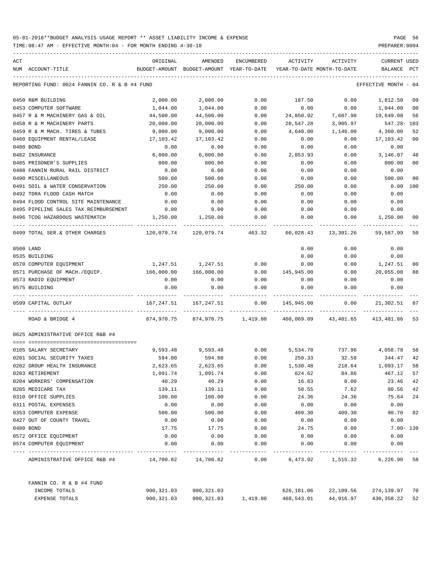TIME:08:47 AM - EFFECTIVE MONTH:04 - FOR MONTH ENDING 4-30-18 PREPARER:0004

| ACT |                                               | ORIGINAL   | AMENDED                                  | <b>ENCUMBERED</b>   | ACTIVITY                   | ACTIVITY          | CURRENT USED    |                |
|-----|-----------------------------------------------|------------|------------------------------------------|---------------------|----------------------------|-------------------|-----------------|----------------|
|     | NUM ACCOUNT-TITLE                             |            | BUDGET-AMOUNT BUDGET-AMOUNT YEAR-TO-DATE |                     | YEAR-TO-DATE MONTH-TO-DATE |                   | <b>BALANCE</b>  | PCT            |
|     | REPORTING FUND: 0024 FANNIN CO. R & B #4 FUND |            |                                          |                     |                            |                   | EFFECTIVE MONTH | - 04           |
|     | 0450 R&M BUILDING                             | 2,000.00   | 2,000.00                                 | 0.00                | 187.50                     | 0.00              | 1,812.50        | 09             |
|     | 0453 COMPUTER SOFTWARE                        | 1,044.00   | 1,044.00                                 | 0.00                | 0.00                       | 0.00              | 1,044.00        | 0 <sub>0</sub> |
|     | 0457 R & M MACHINERY GAS & OIL                | 44,500.00  | 44,500.00                                | 0.00                | 24,850.92                  | 7,607.98          | 19,649.08       | 56             |
|     | 0458 R & M MACHINERY PARTS                    | 20,000.00  | 20,000.00                                | 0.00                | 20,547.28                  | 3,905.97          | 547.28- 103     |                |
|     | 0459 R & M MACH. TIRES & TUBES                | 9,000.00   | 9,000.00                                 | 0.00                | 4,640.00                   | 1,146.00          | 4,360.00        | 52             |
|     | 0460 EQUIPMENT RENTAL/LEASE                   | 17,103.42  | 17,103.42                                | 0.00                | 0.00                       | 0.00              | 17,103.42       | 0 <sub>0</sub> |
|     | 0480 BOND                                     | 0.00       | 0.00                                     | 0.00                | 0.00                       | 0.00              | 0.00            |                |
|     | 0482 INSURANCE                                | 6,000.00   | 6,000.00                                 | 0.00                | 2,853.93                   | 0.00              | 3,146.07        | 48             |
|     | 0485 PRISONER'S SUPPLIES                      | 800.00     | 800.00                                   | 0.00                | 0.00                       | 0.00              | 800.00          | 0 <sub>0</sub> |
|     | 0488 FANNIN RURAL RAIL DISTRICT               | 0.00       | 0.00                                     | 0.00                | 0.00                       | 0.00              | 0.00            |                |
|     | 0490 MISCELLANEOUS                            | 500.00     | 500.00                                   | 0.00                | 0.00                       | 0.00              | 500.00          | 0 <sub>0</sub> |
|     | 0491 SOIL & WATER CONSERVATION                | 250.00     | 250.00                                   | 0.00                | 250.00                     | 0.00              | 0.00            | 100            |
|     | 0492 TDRA FLOOD CASH MATCH                    | 0.00       | 0.00                                     | 0.00                | 0.00                       | 0.00              | 0.00            |                |
|     | 0494 FLOOD CONTROL SITE MAINTENANCE           | 0.00       | 0.00                                     | 0.00                | 0.00                       | 0.00              | 0.00            |                |
|     | 0495 PIPELINE SALES TAX REIMBURSEMENT         | 0.00       | 0.00                                     | 0.00                | 0.00                       | 0.00              | 0.00            |                |
|     | 0496 TCOG HAZARDOUS WASTEMATCH                | 1,250.00   | 1,250.00                                 | 0.00                | 0.00                       | 0.00              | 1,250.00        | 00             |
|     | 0499 TOTAL SER. & OTHER CHARGES               | 120,079.74 | 120,079.74                               | 463.32              | 60,028.43                  | 13,301.26         | 59,587.99       | 50             |
|     | 0500 LAND                                     |            |                                          |                     | 0.00                       | 0.00              | 0.00            |                |
|     | 0535 BUILDING                                 |            |                                          |                     | 0.00                       | 0.00              | 0.00            |                |
|     | 0570 COMPUTER EQUIPMENT                       | 1,247.51   | 1,247.51                                 | 0.00                | 0.00                       | 0.00              | 1,247.51        | 0 <sub>0</sub> |
|     | 0571 PURCHASE OF MACH./EQUIP.                 | 166,000.00 | 166,000.00                               | 0.00                | 145,945.00                 | 0.00              | 20,055.00       | 88             |
|     | 0573 RADIO EQUIPMENT                          | 0.00       | 0.00                                     | 0.00                | 0.00                       | 0.00              | 0.00            |                |
|     | 0575 BUILDING                                 | 0.00       | 0.00                                     | 0.00                | 0.00                       | 0.00              | 0.00            |                |
|     | 0599 CAPITAL OUTLAY                           | 167,247.51 | 167,247.51                               | 0.00                | 145,945.00                 | 0.00              | 21,302.51       | 87             |
|     | ROAD & BRIDGE 4                               | 874,970.75 |                                          | 874,970.75 1,419.80 | 460,069.09                 | 43,401.65         | 413,481.86      | 53             |
|     | 0625 ADMINISTRATIVE OFFICE R&B #4             |            |                                          |                     |                            |                   |                 |                |
|     | 0105 SALARY SECRETARY                         | 9,593.48   | 9,593.48                                 | 0.00                | 5,534.70                   | 737.96            | 4,058.78        | 58             |
|     | 0201 SOCIAL SECURITY TAXES                    | 594.80     | 594.80                                   | 0.00                | 250.33                     | 32.58             | 344.47          | 42             |
|     | 0202 GROUP HEALTH INSURANCE                   | 2,623.65   | 2,623.65                                 | 0.00                | 1,530.48                   | 218.64            | 1,093.17        | 58             |
|     | 0203 RETIREMENT                               | 1,091.74   | 1,091.74                                 | 0.00                | 624.62                     | 84.86             | 467.12          | 57             |
|     | 0204 WORKERS' COMPENSATION                    | 40.29      | 40.29                                    | 0.00                | 16.83                      | 0.00              | 23.46           | 42             |
|     | 0205 MEDICARE TAX                             | 139.11     | 139.11                                   | 0.00                | 58.55                      | 7.62              | 80.56           | 42             |
|     | 0310 OFFICE SUPPLIES                          | 100.00     | 100.00                                   | 0.00                | 24.36                      | 24.36             | 75.64           | 24             |
|     | 0311 POSTAL EXPENSES                          | 0.00       | 0.00                                     | 0.00                | 0.00                       | 0.00              | 0.00            |                |
|     | 0353 COMPUTER EXPENSE                         | 500.00     | 500.00                                   | 0.00                | 409.30                     | 409.30            | 90.70           | 82             |
|     | 0427 OUT OF COUNTY TRAVEL                     | 0.00       | 0.00                                     | 0.00                | 0.00                       | 0.00              | 0.00            |                |
|     | 0480 BOND                                     | 17.75      | 17.75                                    | 0.00                | 24.75                      | 0.00              | $7.00 - 139$    |                |
|     | 0572 OFFICE EQUIPMENT                         | 0.00       | 0.00                                     | 0.00                | 0.00                       | 0.00              | 0.00            |                |
|     | 0574 COMPUTER EQUIPMENT                       | 0.00       | 0.00                                     | 0.00                | 0.00                       | 0.00              | 0.00            |                |
|     | ADMINISTRATIVE OFFICE R&B #4 14,700.82        |            | 14,700.82                                | 0.00                |                            | 8,473.92 1,515.32 | 6,226.90 58     |                |
|     | FANNIN CO. R & B #4 FUND                      |            |                                          |                     |                            |                   |                 |                |
|     | INCOME TOTALS                                 | 900,321.03 | 900,321.03                               |                     | 626,181.06                 | 22,109.56         | 274,139.97 70   |                |
|     | EXPENSE TOTALS                                | 900,321.03 | 900,321.03                               | 1,419.80            | 468,543.01                 | 44,916.97         | 430,358.22      | 52             |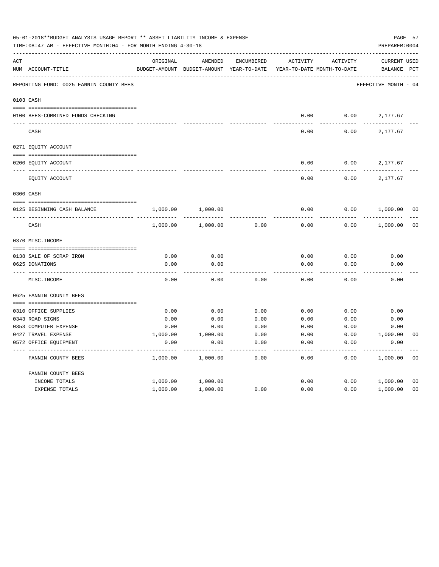|     | 05-01-2018**BUDGET ANALYSIS USAGE REPORT ** ASSET LIABILITY INCOME & EXPENSE<br>TIME:08:47 AM - EFFECTIVE MONTH:04 - FOR MONTH ENDING 4-30-18 |               |               |              |                            |          | PREPARER: 0004       | PAGE 57        |
|-----|-----------------------------------------------------------------------------------------------------------------------------------------------|---------------|---------------|--------------|----------------------------|----------|----------------------|----------------|
| ACT |                                                                                                                                               | ORIGINAL      | AMENDED       | ENCUMBERED   | <b>ACTIVITY</b>            | ACTIVITY | <b>CURRENT USED</b>  |                |
|     | NUM ACCOUNT-TITLE                                                                                                                             | BUDGET-AMOUNT | BUDGET-AMOUNT | YEAR-TO-DATE | YEAR-TO-DATE MONTH-TO-DATE |          | BALANCE              | $_{\rm PCT}$   |
|     | REPORTING FUND: 0025 FANNIN COUNTY BEES                                                                                                       |               |               |              |                            |          | EFFECTIVE MONTH - 04 |                |
|     | 0103 CASH                                                                                                                                     |               |               |              |                            |          |                      |                |
|     |                                                                                                                                               |               |               |              |                            |          |                      |                |
|     | 0100 BEES-COMBINED FUNDS CHECKING                                                                                                             |               |               |              | 0.00                       | 0.00     | 2,177.67             |                |
|     | CASH                                                                                                                                          |               |               |              | 0.00                       | 0.00     | 2,177.67             |                |
|     | 0271 EQUITY ACCOUNT                                                                                                                           |               |               |              |                            |          |                      |                |
|     |                                                                                                                                               |               |               |              |                            |          |                      |                |
|     | 0200 EQUITY ACCOUNT                                                                                                                           |               |               |              | 0.00                       | 0.00     | 2,177.67             |                |
|     | EQUITY ACCOUNT                                                                                                                                |               |               |              | 0.00                       | 0.00     | 2,177.67             |                |
|     | 0300 CASH                                                                                                                                     |               |               |              |                            |          |                      |                |
|     | 0125 BEGINNING CASH BALANCE                                                                                                                   | 1,000.00      | 1,000.00      |              | 0.00                       | 0.00     | 1,000.00             | 00             |
|     | CASH                                                                                                                                          | 1,000.00      | 1,000.00      | 0.00         | 0.00                       | 0.00     | 1,000.00             | 0 <sub>0</sub> |
|     | 0370 MISC. INCOME                                                                                                                             |               |               |              |                            |          |                      |                |
|     |                                                                                                                                               |               |               |              |                            |          |                      |                |
|     | 0138 SALE OF SCRAP IRON                                                                                                                       | 0.00          | 0.00          |              | 0.00                       | 0.00     | 0.00                 |                |
|     | 0625 DONATIONS                                                                                                                                | 0.00          | 0.00          |              | 0.00                       | 0.00     | 0.00                 |                |
|     | MISC. INCOME                                                                                                                                  | 0.00          | 0.00          | 0.00         | 0.00                       | 0.00     | 0.00                 |                |
|     | 0625 FANNIN COUNTY BEES                                                                                                                       |               |               |              |                            |          |                      |                |
|     |                                                                                                                                               |               |               |              |                            |          |                      |                |
|     | 0310 OFFICE SUPPLIES                                                                                                                          | 0.00          | 0.00          | 0.00         | 0.00                       | 0.00     | 0.00                 |                |
|     | 0343 ROAD SIGNS                                                                                                                               | 0.00          | 0.00          | 0.00         | 0.00                       | 0.00     | 0.00                 |                |
|     | 0353 COMPUTER EXPENSE                                                                                                                         | 0.00          | 0.00          | 0.00         | 0.00                       | 0.00     | 0.00                 |                |
|     | 0427 TRAVEL EXPENSE                                                                                                                           | 1,000.00      | 1,000.00      | 0.00         | 0.00                       | 0.00     | 1,000.00             | 0 <sub>0</sub> |
|     | 0572 OFFICE EQUIPMENT                                                                                                                         | 0.00          | 0.00          | 0.00         | 0.00                       | 0.00     | 0.00                 |                |
|     | FANNIN COUNTY BEES                                                                                                                            | 1,000.00      | 1,000.00      | 0.00         | 0.00                       | 0.00     | 1,000.00             | 0 <sub>0</sub> |
|     | FANNIN COUNTY BEES                                                                                                                            |               |               |              |                            |          |                      |                |
|     | INCOME TOTALS                                                                                                                                 | 1,000.00      | 1,000.00      |              | 0.00                       | 0.00     | 1,000.00             | 0 <sub>0</sub> |
|     | <b>EXPENSE TOTALS</b>                                                                                                                         | 1,000.00      | 1,000.00      | 0.00         | 0.00                       | 0.00     | 1,000.00             | 0 <sub>0</sub> |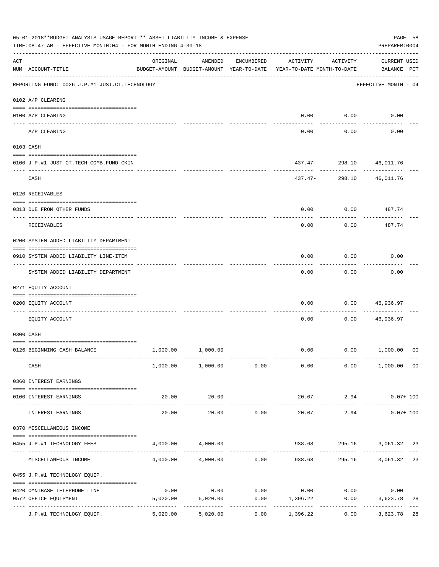|     | 05-01-2018**BUDGET ANALYSIS USAGE REPORT ** ASSET LIABILITY INCOME & EXPENSE<br>TIME: 08:47 AM - EFFECTIVE MONTH: 04 - FOR MONTH ENDING 4-30-18 |          |                                                     |              |                                           |                        | PAGE 58<br>PREPARER: 0004          |                     |
|-----|-------------------------------------------------------------------------------------------------------------------------------------------------|----------|-----------------------------------------------------|--------------|-------------------------------------------|------------------------|------------------------------------|---------------------|
| ACT | NUM ACCOUNT-TITLE                                                                                                                               | ORIGINAL | AMENDED<br>BUDGET-AMOUNT BUDGET-AMOUNT YEAR-TO-DATE | ENCUMBERED   | ACTIVITY<br>YEAR-TO-DATE MONTH-TO-DATE    | ACTIVITY               | <b>CURRENT USED</b><br>BALANCE PCT |                     |
|     | REPORTING FUND: 0026 J.P.#1 JUST.CT.TECHNOLOGY                                                                                                  |          |                                                     |              |                                           |                        | EFFECTIVE MONTH - 04               |                     |
|     | 0102 A/P CLEARING                                                                                                                               |          |                                                     |              |                                           |                        |                                    |                     |
|     | 0100 A/P CLEARING                                                                                                                               |          |                                                     |              | 0.00                                      | 0.00                   | 0.00                               |                     |
|     | ---- ---------<br>A/P CLEARING                                                                                                                  |          |                                                     |              | 0.00                                      | 0.00                   | 0.00                               |                     |
|     | 0103 CASH                                                                                                                                       |          |                                                     |              |                                           |                        |                                    |                     |
|     | 0100 J.P.#1 JUST.CT.TECH-COMB.FUND CKIN                                                                                                         |          |                                                     |              |                                           | ---------              | 437.47- 298.10 46,011.76           |                     |
|     | CASH                                                                                                                                            |          |                                                     |              | $437.47-$                                 | 298.10                 | 46,011.76                          |                     |
|     | 0120 RECEIVABLES                                                                                                                                |          |                                                     |              |                                           |                        |                                    |                     |
|     | 0313 DUE FROM OTHER FUNDS                                                                                                                       |          |                                                     |              | 0.00                                      | 0.00                   | 487.74                             |                     |
|     | RECEIVABLES                                                                                                                                     |          |                                                     |              | 0.00                                      | 0.00                   | 487.74                             |                     |
|     | 0200 SYSTEM ADDED LIABILITY DEPARTMENT                                                                                                          |          |                                                     |              |                                           |                        |                                    |                     |
|     | 0910 SYSTEM ADDED LIABILITY LINE-ITEM                                                                                                           |          |                                                     |              | 0.00                                      | 0.00                   | 0.00                               |                     |
|     | SYSTEM ADDED LIABILITY DEPARTMENT                                                                                                               |          |                                                     |              | 0.00                                      | 0.00                   | 0.00                               |                     |
|     | 0271 EQUITY ACCOUNT                                                                                                                             |          |                                                     |              |                                           |                        |                                    |                     |
|     | 0200 EQUITY ACCOUNT                                                                                                                             |          |                                                     |              | 0.00                                      | 0.00                   | 46,936.97                          |                     |
|     | EQUITY ACCOUNT                                                                                                                                  |          |                                                     |              | 0.00                                      | 0.00                   | 46,936.97                          |                     |
|     | 0300 CASH                                                                                                                                       |          |                                                     |              |                                           |                        |                                    |                     |
|     | 0126 BEGINNING CASH BALANCE                                                                                                                     | 1,000.00 | 1,000.00                                            |              | 0.00                                      |                        | 0.00 1,000.00                      | 0 <sup>0</sup>      |
|     | CASH                                                                                                                                            |          | $1,000.00$ $1,000.00$ $0.00$                        |              |                                           |                        | $0.00$ $0.00$ $1,000.00$ $00$      |                     |
|     | 0360 INTEREST EARNINGS                                                                                                                          |          |                                                     |              |                                           |                        |                                    |                     |
|     | 0100 INTEREST EARNINGS                                                                                                                          | 20.00    | 20.00                                               |              |                                           | 20.07 2.94             | $0.07 + 100$                       |                     |
|     | INTEREST EARNINGS                                                                                                                               | 20.00    | 20.00                                               | 0.00         | --------------<br>20.07                   | 2.94                   | $0.07 + 100$                       |                     |
|     | 0370 MISCELLANEOUS INCOME                                                                                                                       |          |                                                     |              |                                           |                        |                                    |                     |
|     | 0455 J.P.#1 TECHNOLOGY FEES                                                                                                                     |          | 4,000.00 4,000.00                                   |              |                                           |                        | 938.68 295.16 3,061.32 23          |                     |
|     | MISCELLANEOUS INCOME                                                                                                                            |          |                                                     | ------------ | $4,000.00$ $4,000.00$ $0.00$ $938.68$     | . <u>.</u> .<br>295.16 | 3,061.32                           | $\frac{1}{2}$<br>23 |
|     | 0455 J.P.#1 TECHNOLOGY EQUIP.                                                                                                                   |          |                                                     |              |                                           |                        |                                    |                     |
|     | 0420 OMNIBASE TELEPHONE LINE                                                                                                                    |          |                                                     |              | $0.00$ $0.00$ $0.00$ $0.00$ $0.00$ $0.00$ |                        | 0.00                               |                     |
|     | 0572 OFFICE EQUIPMENT                                                                                                                           |          | 5,020.00 5,020.00<br>-------------                  | -----------  | $0.00$ 1,396.22<br>-------------          | ------------           | $0.00$ 3,623.78<br>-------------   | 28                  |
|     | J.P.#1 TECHNOLOGY EQUIP.                                                                                                                        | 5,020.00 | 5,020.00                                            | 0.00         | 1,396.22                                  | 0.00                   | 3,623.78                           | 28                  |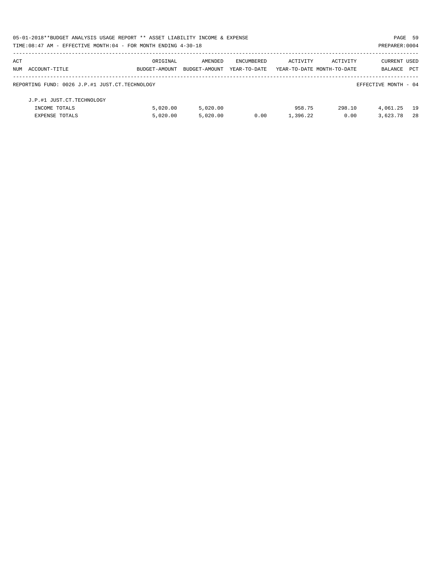| 05-01-2018**BUDGET ANALYSIS USAGE REPORT ** ASSET LIABILITY INCOME & EXPENSE |               |               |              |                            |          | PAGE 59              |            |
|------------------------------------------------------------------------------|---------------|---------------|--------------|----------------------------|----------|----------------------|------------|
| TIME: 08:47 AM - EFFECTIVE MONTH: 04 - FOR MONTH ENDING 4-30-18              |               |               |              |                            |          | PREPARER: 0004       |            |
| ACT                                                                          | ORIGINAL      | AMENDED       | ENCUMBERED   | ACTIVITY                   | ACTIVITY | CURRENT USED         |            |
| NUM ACCOUNT-TITLE                                                            | BUDGET-AMOUNT | BUDGET-AMOUNT | YEAR-TO-DATE | YEAR-TO-DATE MONTH-TO-DATE |          | BALANCE              | <b>PCT</b> |
| REPORTING FUND: 0026 J.P.#1 JUST.CT.TECHNOLOGY                               |               |               |              |                            |          | EFFECTIVE MONTH - 04 |            |
| J.P.#1 JUST.CT.TECHNOLOGY                                                    |               |               |              |                            |          |                      |            |
| INCOME TOTALS                                                                | 5.020.00      | 5.020.00      |              | 958.75                     | 298.10   | 4,061.25             | 19         |
| <b>EXPENSE TOTALS</b>                                                        | 5,020.00      | 5.020.00      | 0.00         | 1,396.22                   | 0.00     | 3,623.78             | 28         |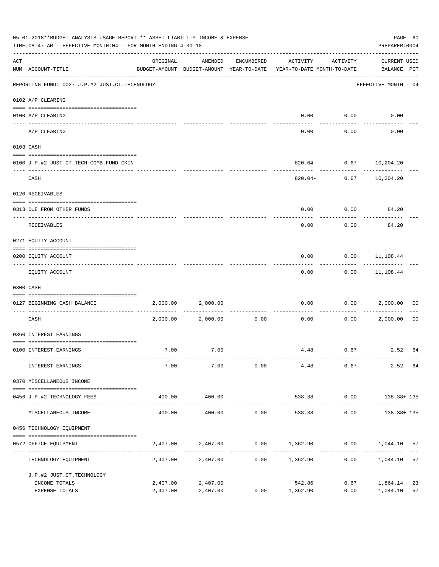|     | 05-01-2018**BUDGET ANALYSIS USAGE REPORT ** ASSET LIABILITY INCOME & EXPENSE<br>TIME: 08:47 AM - EFFECTIVE MONTH: 04 - FOR MONTH ENDING 4-30-18 |                      |                                                     |               |                                        |              | PAGE 60<br>PREPARER: 0004          |                |
|-----|-------------------------------------------------------------------------------------------------------------------------------------------------|----------------------|-----------------------------------------------------|---------------|----------------------------------------|--------------|------------------------------------|----------------|
| ACT | NUM ACCOUNT-TITLE                                                                                                                               | ORIGINAL             | AMENDED<br>BUDGET-AMOUNT BUDGET-AMOUNT YEAR-TO-DATE | ENCUMBERED    | ACTIVITY<br>YEAR-TO-DATE MONTH-TO-DATE | ACTIVITY     | <b>CURRENT USED</b><br>BALANCE PCT |                |
|     | REPORTING FUND: 0027 J.P.#2 JUST.CT.TECHNOLOGY                                                                                                  |                      |                                                     |               |                                        |              | EFFECTIVE MONTH - 04               |                |
|     | 0102 A/P CLEARING                                                                                                                               |                      |                                                     |               |                                        |              |                                    |                |
|     | 0100 A/P CLEARING<br>---- ---------                                                                                                             |                      |                                                     |               | 0.00                                   | 0.00         | 0.00                               |                |
|     | A/P CLEARING                                                                                                                                    |                      |                                                     |               | 0.00                                   | 0.00         | 0.00                               |                |
|     | 0103 CASH                                                                                                                                       |                      |                                                     |               |                                        |              |                                    |                |
|     | 0100 J.P.#2 JUST.CT.TECH-COMB.FUND CKIN                                                                                                         |                      |                                                     |               |                                        | .            | $820.04 - 0.67$ 10,204.20          |                |
|     | CASH                                                                                                                                            |                      |                                                     |               |                                        |              | $820.04 - 0.67$ 10,204.20          |                |
|     | 0120 RECEIVABLES                                                                                                                                |                      |                                                     |               |                                        |              |                                    |                |
|     | 0313 DUE FROM OTHER FUNDS                                                                                                                       |                      |                                                     |               | 0.00                                   | 0.00         | 84.20                              |                |
|     | RECEIVABLES                                                                                                                                     |                      |                                                     |               | 0.00                                   | 0.00         | 84.20                              |                |
|     | 0271 EQUITY ACCOUNT                                                                                                                             |                      |                                                     |               |                                        |              |                                    |                |
|     | 0200 EQUITY ACCOUNT                                                                                                                             |                      |                                                     |               | 0.00                                   |              | $0.00$ 11,108.44                   |                |
|     | EQUITY ACCOUNT                                                                                                                                  |                      |                                                     |               | 0.00                                   |              | $0.00$ 11,108.44                   |                |
|     | 0300 CASH                                                                                                                                       |                      |                                                     |               |                                        |              |                                    |                |
|     | 0127 BEGINNING CASH BALANCE                                                                                                                     | 2,000.00             | 2,000.00                                            |               | 0.00                                   | 0.00         | 2,000.00                           | 00             |
|     | CASH                                                                                                                                            | 2,000.00             | 2,000.00                                            | 0.00          | 0.00                                   | 0.00         | 2,000.00                           | 0 <sub>0</sub> |
|     | 0360 INTEREST EARNINGS                                                                                                                          |                      |                                                     |               |                                        |              |                                    |                |
|     | 0100 INTEREST EARNINGS                                                                                                                          | 7.00                 | 7.00                                                |               |                                        | 4.48 0.67    | 2.52 64                            |                |
|     | INTEREST EARNINGS                                                                                                                               | 7.00                 | 7.00                                                | 0.00          | 4.48                                   | 0.67         | 2.52 64                            |                |
|     | 0370 MISCELLANEOUS INCOME                                                                                                                       |                      |                                                     |               |                                        |              |                                    |                |
|     | 0456 J.P.#2 TECHNOLOGY FEES                                                                                                                     | 400.00               | 400.00                                              |               |                                        |              | 538.38 0.00 138.38+ 135            |                |
|     | MISCELLANEOUS INCOME                                                                                                                            | 400.00               | 400.00                                              | 0.00          | 538.38                                 | 0.00         | 138.38+ 135                        |                |
|     | 0456 TECHNOLOGY EQUIPMENT                                                                                                                       |                      |                                                     |               |                                        |              |                                    |                |
|     | 0572 OFFICE EQUIPMENT                                                                                                                           | 2,407.00             | 2,407.00                                            |               | $0.00$ 1,362.90 0.00 1,044.10          |              |                                    | 57             |
|     | --------------------- ----<br>TECHNOLOGY EQUIPMENT                                                                                              |                      | . <u>.</u> .<br>2,407.00 2,407.00                   | ------------- | $0.00$ 1,362.90                        | 0.00         | 1,044.10                           | 57             |
|     | J.P.#2 JUST.CT.TECHNOLOGY                                                                                                                       |                      |                                                     |               |                                        |              |                                    |                |
|     | INCOME TOTALS<br>EXPENSE TOTALS                                                                                                                 | 2,407.00<br>2,407.00 | 2,407.00<br>2,407.00                                |               | 542.86<br>$0.00$ 1,362.90              | 0.67<br>0.00 | 1,864.14<br>1,044.10               | 23<br>57       |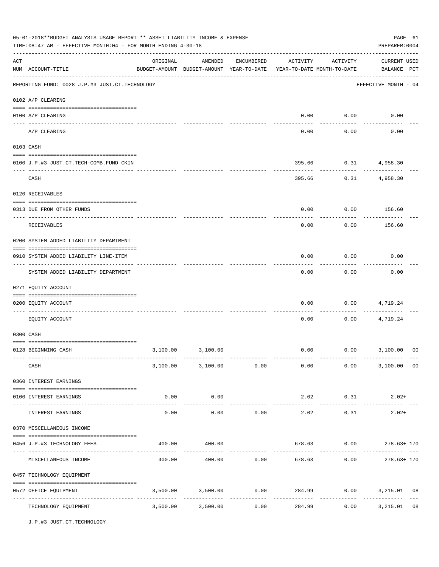|     | 05-01-2018**BUDGET ANALYSIS USAGE REPORT ** ASSET LIABILITY INCOME & EXPENSE<br>TIME:08:47 AM - EFFECTIVE MONTH:04 - FOR MONTH ENDING 4-30-18 |          |                                                                                |             |               |                             | PAGE 61<br>PREPARER: 0004                                   |    |
|-----|-----------------------------------------------------------------------------------------------------------------------------------------------|----------|--------------------------------------------------------------------------------|-------------|---------------|-----------------------------|-------------------------------------------------------------|----|
| ACT | NUM ACCOUNT-TITLE                                                                                                                             | ORIGINAL | AMENDED<br>BUDGET-AMOUNT BUDGET-AMOUNT YEAR-TO-DATE YEAR-TO-DATE MONTH-TO-DATE | ENCUMBERED  | ACTIVITY      | ACTIVITY                    | <b>CURRENT USED</b><br>BALANCE PCT                          |    |
|     | REPORTING FUND: 0028 J.P.#3 JUST.CT.TECHNOLOGY                                                                                                |          |                                                                                |             |               |                             | EFFECTIVE MONTH - 04                                        |    |
|     | 0102 A/P CLEARING                                                                                                                             |          |                                                                                |             |               |                             |                                                             |    |
|     | 0100 A/P CLEARING                                                                                                                             |          |                                                                                |             | 0.00          | 0.00                        | 0.00                                                        |    |
|     | A/P CLEARING                                                                                                                                  |          |                                                                                |             | 0.00          | 0.00                        | 0.00                                                        |    |
|     | 0103 CASH                                                                                                                                     |          |                                                                                |             |               |                             |                                                             |    |
|     | 0100 J.P.#3 JUST.CT.TECH-COMB.FUND CKIN                                                                                                       |          |                                                                                |             | 395.66        |                             | $0.31$ 4,958.30                                             |    |
|     | CASH                                                                                                                                          |          |                                                                                |             | 395.66        | ----------<br>0.31          | 4,958.30                                                    |    |
|     | 0120 RECEIVABLES                                                                                                                              |          |                                                                                |             |               |                             |                                                             |    |
|     | 0313 DUE FROM OTHER FUNDS                                                                                                                     |          |                                                                                |             | 0.00          |                             | $0.00$ 156.60                                               |    |
|     | RECEIVABLES                                                                                                                                   |          |                                                                                |             | 0.00          | 0.00                        | 156.60                                                      |    |
|     | 0200 SYSTEM ADDED LIABILITY DEPARTMENT                                                                                                        |          |                                                                                |             |               |                             |                                                             |    |
|     | 0910 SYSTEM ADDED LIABILITY LINE-ITEM                                                                                                         |          |                                                                                |             | 0.00          | 0.00                        | 0.00                                                        |    |
|     | SYSTEM ADDED LIABILITY DEPARTMENT                                                                                                             |          |                                                                                |             | 0.00          | 0.00                        | 0.00                                                        |    |
|     | 0271 EQUITY ACCOUNT                                                                                                                           |          |                                                                                |             |               |                             |                                                             |    |
|     | 0200 EQUITY ACCOUNT                                                                                                                           |          |                                                                                |             | 0.00          | 0.00                        | 4,719.24                                                    |    |
|     | EQUITY ACCOUNT                                                                                                                                |          |                                                                                |             | 0.00          | 0.00                        | 4,719.24                                                    |    |
|     | 0300 CASH                                                                                                                                     |          |                                                                                |             |               |                             |                                                             |    |
|     | 0128 BEGINNING CASH                                                                                                                           |          | 3,100.00 3,100.00                                                              |             | 0.00          |                             | $0.00$ 3,100.00                                             | 00 |
|     | CASH                                                                                                                                          |          |                                                                                |             |               |                             | $3,100.00$ $3,100.00$ $0.00$ $0.00$ $0.00$ $3,100.00$ $0.0$ |    |
|     | 0360 INTEREST EARNINGS                                                                                                                        |          |                                                                                |             |               |                             |                                                             |    |
|     | 0100 INTEREST EARNINGS                                                                                                                        | 0.00     | 0.00                                                                           |             |               | $2.02$ 0.31                 | $2.02+$                                                     |    |
|     | INTEREST EARNINGS                                                                                                                             | 0.00     | 0.00                                                                           | 0.00        | 2.02          | 0.31                        | ------------ -------------<br>$2.02+$                       |    |
|     | 0370 MISCELLANEOUS INCOME                                                                                                                     |          |                                                                                |             |               |                             |                                                             |    |
|     | 0456 J.P.#3 TECHNOLOGY FEES                                                                                                                   | 400.00   | 400.00                                                                         |             |               |                             | 678.63 0.00 278.63+170                                      |    |
|     | MISCELLANEOUS INCOME                                                                                                                          |          |                                                                                | ----------- |               | ---------                   | $400.00$ $400.00$ $0.00$ $678.63$ $0.00$ $278.63 + 170$     |    |
|     | 0457 TECHNOLOGY EQUIPMENT                                                                                                                     |          |                                                                                |             |               |                             |                                                             |    |
|     | 0572 OFFICE EQUIPMENT                                                                                                                         |          | 3,500.00 3,500.00                                                              | 0.00        | ------------- | 284.99 0.00<br>------------ | 3,215.01 08<br>-------------                                |    |
|     | TECHNOLOGY EQUIPMENT                                                                                                                          |          | $3,500.00$ $3,500.00$                                                          |             | 0.00          | 284.99                      | 3,215.01<br>0.00                                            | 08 |

J.P.#3 JUST.CT.TECHNOLOGY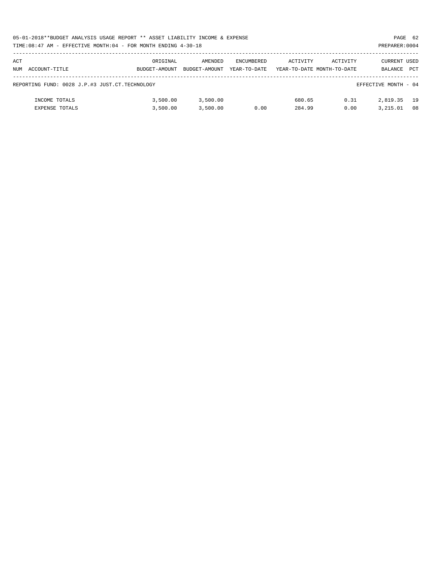|     | 05-01-2018**BUDGET ANALYSIS USAGE REPORT ** ASSET LIABILITY INCOME & EXPENSE<br>PAGE 62 |               |               |                   |          |                            |                      |            |  |  |  |
|-----|-----------------------------------------------------------------------------------------|---------------|---------------|-------------------|----------|----------------------------|----------------------|------------|--|--|--|
|     | TIME:08:47 AM - EFFECTIVE MONTH:04 - FOR MONTH ENDING 4-30-18                           |               |               |                   |          |                            | PREPARER: 0004       |            |  |  |  |
|     |                                                                                         |               |               |                   |          |                            |                      |            |  |  |  |
| ACT |                                                                                         | ORIGINAL      | AMENDED       | <b>ENCUMBERED</b> | ACTIVITY | ACTIVITY                   | CURRENT USED         |            |  |  |  |
|     | NUM ACCOUNT-TITLE                                                                       | BUDGET-AMOUNT | BUDGET-AMOUNT | YEAR-TO-DATE      |          | YEAR-TO-DATE MONTH-TO-DATE | BALANCE              | <b>PCT</b> |  |  |  |
|     |                                                                                         |               |               |                   |          |                            |                      |            |  |  |  |
|     | REPORTING FUND: 0028 J.P.#3 JUST.CT.TECHNOLOGY                                          |               |               |                   |          |                            | EFFECTIVE MONTH - 04 |            |  |  |  |
|     |                                                                                         |               |               |                   |          |                            |                      |            |  |  |  |
|     | INCOME TOTALS                                                                           | 3,500.00      | 3,500.00      |                   | 680.65   | 0.31                       | 2,819.35             | 19         |  |  |  |
|     | <b>EXPENSE TOTALS</b>                                                                   | 3,500.00      | 3.500.00      | 0.00              | 284.99   | 0.00                       | 3,215.01             | 08         |  |  |  |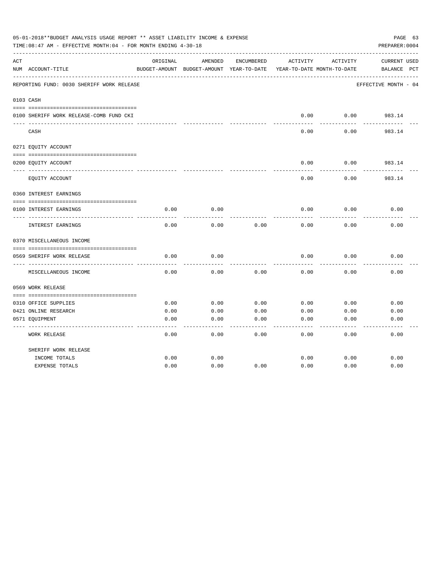|     | 05-01-2018**BUDGET ANALYSIS USAGE REPORT ** ASSET LIABILITY INCOME & EXPENSE<br>TIME:08:47 AM - EFFECTIVE MONTH:04 - FOR MONTH ENDING 4-30-18 |          |                                                     |            |          |                                        | PAGE 63<br>PREPARER: 0004          |
|-----|-----------------------------------------------------------------------------------------------------------------------------------------------|----------|-----------------------------------------------------|------------|----------|----------------------------------------|------------------------------------|
| ACT | NUM ACCOUNT-TITLE                                                                                                                             | ORIGINAL | AMENDED<br>BUDGET-AMOUNT BUDGET-AMOUNT YEAR-TO-DATE | ENCUMBERED | ACTIVITY | ACTIVITY<br>YEAR-TO-DATE MONTH-TO-DATE | <b>CURRENT USED</b><br>BALANCE PCT |
|     | REPORTING FUND: 0030 SHERIFF WORK RELEASE                                                                                                     |          |                                                     |            |          |                                        | EFFECTIVE MONTH - 04               |
|     | 0103 CASH                                                                                                                                     |          |                                                     |            |          |                                        |                                    |
|     | 0100 SHERIFF WORK RELEASE-COMB FUND CKI                                                                                                       |          |                                                     |            | 0.00     | 0.00                                   | 983.14                             |
|     | CASH                                                                                                                                          |          |                                                     |            | 0.00     | 0.00                                   | 983.14                             |
|     | 0271 EQUITY ACCOUNT                                                                                                                           |          |                                                     |            |          |                                        |                                    |
|     | 0200 EQUITY ACCOUNT                                                                                                                           |          |                                                     |            | 0.00     | 0.00                                   | 983.14                             |
|     | EQUITY ACCOUNT                                                                                                                                |          |                                                     |            | 0.00     | 0.00                                   | 983.14                             |
|     | 0360 INTEREST EARNINGS                                                                                                                        |          |                                                     |            |          |                                        |                                    |
|     | 0100 INTEREST EARNINGS                                                                                                                        | 0.00     | 0.00                                                |            | 0.00     | 0.00                                   | 0.00                               |
|     | INTEREST EARNINGS                                                                                                                             | 0.00     | 0.00                                                | 0.00       | 0.00     | 0.00                                   | 0.00                               |
|     | 0370 MISCELLANEOUS INCOME                                                                                                                     |          |                                                     |            |          |                                        |                                    |
|     | 0569 SHERIFF WORK RELEASE                                                                                                                     | 0.00     | 0.00                                                |            | 0.00     | 0.00                                   | 0.00                               |
|     | MISCELLANEOUS INCOME                                                                                                                          | 0.00     | 0.00                                                | 0.00       | 0.00     | 0.00                                   | 0.00                               |
|     | 0569 WORK RELEASE                                                                                                                             |          |                                                     |            |          |                                        |                                    |
|     |                                                                                                                                               |          |                                                     |            |          |                                        |                                    |
|     | 0310 OFFICE SUPPLIES                                                                                                                          | 0.00     | 0.00                                                | 0.00       | 0.00     | 0.00                                   | 0.00                               |
|     | 0421 ONLINE RESEARCH                                                                                                                          | 0.00     | 0.00                                                | 0.00       | 0.00     | 0.00                                   | 0.00                               |
|     | 0571 EQUIPMENT                                                                                                                                | 0.00     | 0.00                                                | 0.00       | 0.00     | 0.00                                   | 0.00                               |
|     | <b>WORK RELEASE</b>                                                                                                                           | 0.00     | 0.00                                                | 0.00       | 0.00     | 0.00                                   | 0.00                               |
|     | SHERIFF WORK RELEASE                                                                                                                          |          |                                                     |            |          |                                        |                                    |
|     | INCOME TOTALS                                                                                                                                 | 0.00     | 0.00                                                |            | 0.00     | 0.00                                   | 0.00                               |
|     | <b>EXPENSE TOTALS</b>                                                                                                                         | 0.00     | 0.00                                                | 0.00       | 0.00     | 0.00                                   | 0.00                               |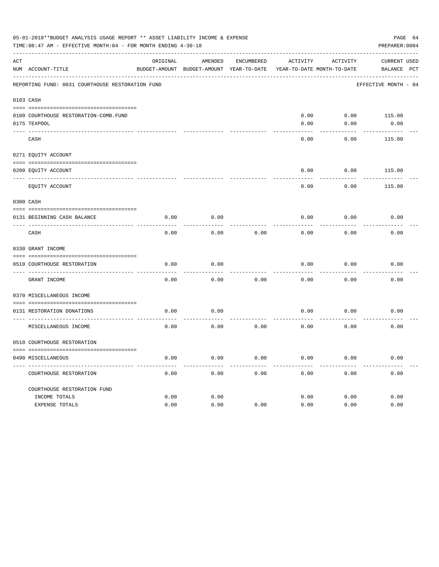|     | 05-01-2018**BUDGET ANALYSIS USAGE REPORT ** ASSET LIABILITY INCOME & EXPENSE<br>TIME: 08:47 AM - EFFECTIVE MONTH: 04 - FOR MONTH ENDING 4-30-18 |          |                                                     |                   |                 |                                               | PAGE 64<br>PREPARER: 0004                    |
|-----|-------------------------------------------------------------------------------------------------------------------------------------------------|----------|-----------------------------------------------------|-------------------|-----------------|-----------------------------------------------|----------------------------------------------|
| ACT | NUM ACCOUNT-TITLE                                                                                                                               | ORIGINAL | AMENDED<br>BUDGET-AMOUNT BUDGET-AMOUNT YEAR-TO-DATE | <b>ENCUMBERED</b> | <b>ACTIVITY</b> | <b>ACTIVITY</b><br>YEAR-TO-DATE MONTH-TO-DATE | <b>CURRENT USED</b><br>BALANCE<br><b>PCT</b> |
|     | REPORTING FUND: 0031 COURTHOUSE RESTORATION FUND                                                                                                |          |                                                     |                   |                 |                                               | EFFECTIVE MONTH - 04                         |
|     | 0103 CASH                                                                                                                                       |          |                                                     |                   |                 |                                               |                                              |
|     | 0100 COURTHOUSE RESTORATION-COMB.FUND                                                                                                           |          |                                                     |                   | 0.00            | 0.00                                          | 115.00                                       |
|     | 0175 TEXPOOL                                                                                                                                    |          |                                                     |                   | 0.00            | 0.00                                          | 0.00                                         |
|     | CASH                                                                                                                                            |          |                                                     |                   | 0.00            | 0.00                                          | 115.00                                       |
|     | 0271 EQUITY ACCOUNT                                                                                                                             |          |                                                     |                   |                 |                                               |                                              |
|     | 0200 EQUITY ACCOUNT                                                                                                                             |          |                                                     |                   | 0.00            | 0.00                                          | 115.00                                       |
|     | EQUITY ACCOUNT                                                                                                                                  |          |                                                     |                   | 0.00            | 0.00                                          | 115.00                                       |
|     | 0300 CASH                                                                                                                                       |          |                                                     |                   |                 |                                               |                                              |
|     | 0131 BEGINNING CASH BALANCE                                                                                                                     | 0.00     | 0.00                                                |                   | 0.00            | 0.00                                          | 0.00                                         |
|     | CASH                                                                                                                                            | 0.00     | 0.00                                                | 0.00              | 0.00            | 0.00                                          | 0.00                                         |
|     | 0330 GRANT INCOME                                                                                                                               |          |                                                     |                   |                 |                                               |                                              |
|     | 0510 COURTHOUSE RESTORATION                                                                                                                     | 0.00     | 0.00                                                |                   | 0.00            | 0.00                                          | 0.00                                         |
|     | GRANT INCOME                                                                                                                                    | 0.00     | 0.00                                                | 0.00              | 0.00            | 0.00                                          | 0.00                                         |
|     | 0370 MISCELLANEOUS INCOME                                                                                                                       |          |                                                     |                   |                 |                                               |                                              |
|     | 0131 RESTORATION DONATIONS                                                                                                                      | 0.00     | 0.00                                                |                   | 0.00            | 0.00                                          | 0.00                                         |
|     | MISCELLANEOUS INCOME                                                                                                                            | 0.00     | 0.00                                                | 0.00              | 0.00            | 0.00                                          | 0.00                                         |
|     | 0510 COURTHOUSE RESTORATION                                                                                                                     |          |                                                     |                   |                 |                                               |                                              |
|     | 0490 MISCELLANEOUS                                                                                                                              | 0.00     | 0.00                                                | 0.00              | 0.00            | 0.00                                          | 0.00                                         |
|     | COURTHOUSE RESTORATION                                                                                                                          | 0.00     | 0.00                                                | 0.00              | 0.00            | 0.00                                          | 0.00                                         |
|     | COURTHOUSE RESTORATION FUND                                                                                                                     |          |                                                     |                   |                 |                                               |                                              |
|     | INCOME TOTALS                                                                                                                                   | 0.00     | 0.00                                                |                   | 0.00            | 0.00                                          | 0.00                                         |
|     | <b>EXPENSE TOTALS</b>                                                                                                                           | 0.00     | 0.00                                                | 0.00              | 0.00            | 0.00                                          | 0.00                                         |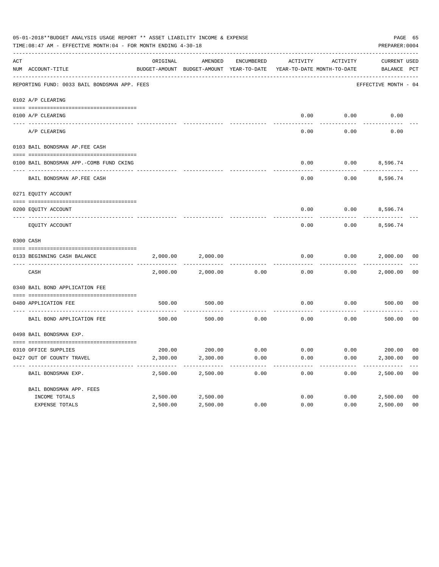|     | 05-01-2018**BUDGET ANALYSIS USAGE REPORT ** ASSET LIABILITY INCOME & EXPENSE<br>TIME: 08:47 AM - EFFECTIVE MONTH: 04 - FOR MONTH ENDING 4-30-18 |          |                                                                                |            |                             |          | PREPARER: 0004              | PAGE 65        |
|-----|-------------------------------------------------------------------------------------------------------------------------------------------------|----------|--------------------------------------------------------------------------------|------------|-----------------------------|----------|-----------------------------|----------------|
| ACT | NUM ACCOUNT-TITLE                                                                                                                               | ORIGINAL | AMENDED<br>BUDGET-AMOUNT BUDGET-AMOUNT YEAR-TO-DATE YEAR-TO-DATE MONTH-TO-DATE | ENCUMBERED | ACTIVITY                    | ACTIVITY | CURRENT USED<br>BALANCE PCT |                |
|     | REPORTING FUND: 0033 BAIL BONDSMAN APP. FEES                                                                                                    |          |                                                                                |            |                             |          | EFFECTIVE MONTH - 04        |                |
|     | 0102 A/P CLEARING                                                                                                                               |          |                                                                                |            |                             |          |                             |                |
|     | 0100 A/P CLEARING                                                                                                                               |          |                                                                                |            | 0.00                        | 0.00     | 0.00                        |                |
|     | ---- --------<br>A/P CLEARING                                                                                                                   |          |                                                                                |            | 0.00                        | 0.00     | 0.00                        |                |
|     | 0103 BAIL BONDSMAN AP.FEE CASH                                                                                                                  |          |                                                                                |            |                             |          |                             |                |
|     | 0100 BAIL BONDSMAN APP.-COMB FUND CKING                                                                                                         |          |                                                                                |            | 0.00                        |          | $0.00$ 8,596.74             |                |
|     | BAIL BONDSMAN AP.FEE CASH                                                                                                                       |          |                                                                                |            | 0.00                        | 0.00     | 8,596.74                    |                |
|     | 0271 EQUITY ACCOUNT                                                                                                                             |          |                                                                                |            |                             |          |                             |                |
|     | 0200 EQUITY ACCOUNT                                                                                                                             |          |                                                                                |            | 0.00                        |          | $0.00$ 8,596.74             |                |
|     | EQUITY ACCOUNT                                                                                                                                  |          |                                                                                |            | 0.00                        | 0.00     | 8,596.74                    |                |
|     | 0300 CASH                                                                                                                                       |          |                                                                                |            |                             |          |                             |                |
|     | 0133 BEGINNING CASH BALANCE                                                                                                                     | 2,000.00 | 2,000.00                                                                       |            | 0.00                        | 0.00     | 2,000.00 00                 |                |
|     | CASH                                                                                                                                            | 2,000.00 | 2,000.00                                                                       | 0.00       | 0.00                        | 0.00     | 2,000.00                    | 00             |
|     | 0340 BAIL BOND APPLICATION FEE                                                                                                                  |          |                                                                                |            |                             |          |                             |                |
|     | 0480 APPLICATION FEE                                                                                                                            | 500.00   | 500.00                                                                         |            | 0.00                        | 0.00     | 500.00                      | 00             |
|     | BAIL BOND APPLICATION FEE                                                                                                                       | 500.00   | 500.00                                                                         | 0.00       | 0.00                        | 0.00     | 500.00                      | 0 <sub>0</sub> |
|     | 0498 BAIL BONDSMAN EXP.                                                                                                                         |          |                                                                                |            |                             |          |                             |                |
|     | 0310 OFFICE SUPPLIES                                                                                                                            |          | 200.00 200.00 0.00                                                             |            | $0.00$ $0.00$ $200.00$ $00$ |          |                             |                |
|     | 0427 OUT OF COUNTY TRAVEL                                                                                                                       | 2,300.00 | 2,300.00                                                                       | 0.00       | 0.00                        | 0.00     | 2,300.00                    | 00             |
|     | BAIL BONDSMAN EXP.                                                                                                                              | 2,500.00 | 2,500.00                                                                       | 0.00       | 0.00                        | 0.00     | 2,500.00                    | 0 <sub>0</sub> |
|     | BAIL BONDSMAN APP. FEES                                                                                                                         |          |                                                                                |            |                             |          |                             |                |
|     | INCOME TOTALS                                                                                                                                   | 2,500.00 | 2,500.00                                                                       |            | 0.00                        | 0.00     | 2,500.00                    | 0 <sub>0</sub> |
|     | EXPENSE TOTALS                                                                                                                                  | 2,500.00 | 2,500.00                                                                       | 0.00       | 0.00                        | 0.00     | 2,500.00                    | 0 <sub>0</sub> |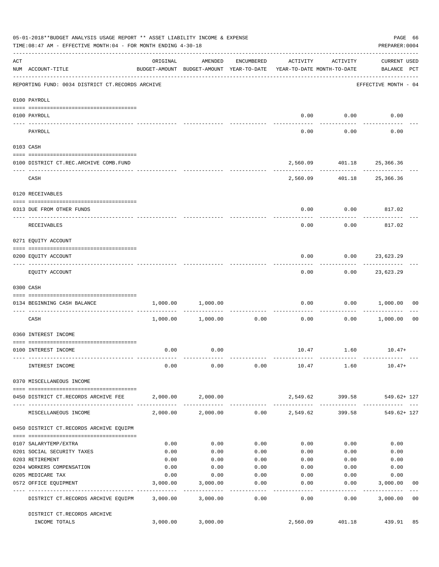|           | 05-01-2018**BUDGET ANALYSIS USAGE REPORT ** ASSET LIABILITY INCOME & EXPENSE<br>TIME: 08:47 AM - EFFECTIVE MONTH: 04 - FOR MONTH ENDING 4-30-18 |              |                                                     |                    |                                        |                    | PREPARER: 0004                     | PAGE 66        |
|-----------|-------------------------------------------------------------------------------------------------------------------------------------------------|--------------|-----------------------------------------------------|--------------------|----------------------------------------|--------------------|------------------------------------|----------------|
| ACT       | NUM ACCOUNT-TITLE                                                                                                                               | ORIGINAL     | AMENDED<br>BUDGET-AMOUNT BUDGET-AMOUNT YEAR-TO-DATE | ENCUMBERED         | ACTIVITY<br>YEAR-TO-DATE MONTH-TO-DATE | ACTIVITY           | <b>CURRENT USED</b><br>BALANCE PCT |                |
|           | -------------------------------------<br>REPORTING FUND: 0034 DISTRICT CT.RECORDS ARCHIVE                                                       |              |                                                     |                    |                                        |                    | EFFECTIVE MONTH - 04               |                |
|           | 0100 PAYROLL                                                                                                                                    |              |                                                     |                    |                                        |                    |                                    |                |
|           |                                                                                                                                                 |              |                                                     |                    |                                        |                    |                                    |                |
| ---- ---- | 0100 PAYROLL                                                                                                                                    |              |                                                     |                    | 0.00                                   | 0.00               | 0.00                               |                |
|           | PAYROLL                                                                                                                                         |              |                                                     |                    | 0.00                                   | 0.00               | 0.00                               |                |
|           | 0103 CASH                                                                                                                                       |              |                                                     |                    |                                        |                    |                                    |                |
|           | 0100 DISTRICT CT.REC.ARCHIVE COMB.FUND                                                                                                          |              |                                                     |                    |                                        |                    | 2,560.09 401.18 25,366.36          |                |
|           | CASH                                                                                                                                            |              |                                                     |                    |                                        |                    | 2,560.09 401.18 25,366.36          |                |
|           | 0120 RECEIVABLES                                                                                                                                |              |                                                     |                    |                                        |                    |                                    |                |
|           | 0313 DUE FROM OTHER FUNDS                                                                                                                       |              |                                                     |                    | 0.00                                   | 0.00               | 817.02                             |                |
|           |                                                                                                                                                 |              |                                                     |                    |                                        |                    |                                    |                |
|           | <b>RECEIVABLES</b>                                                                                                                              |              |                                                     |                    | 0.00                                   | 0.00               | 817.02                             |                |
|           | 0271 EQUITY ACCOUNT                                                                                                                             |              |                                                     |                    |                                        |                    |                                    |                |
|           | 0200 EQUITY ACCOUNT                                                                                                                             |              |                                                     |                    | 0.00                                   |                    | $0.00$ 23,623.29                   |                |
|           | EQUITY ACCOUNT                                                                                                                                  |              |                                                     |                    | 0.00                                   | 0.00               | -----------<br>23,623.29           |                |
|           | 0300 CASH                                                                                                                                       |              |                                                     |                    |                                        |                    |                                    |                |
|           | 0134 BEGINNING CASH BALANCE                                                                                                                     | 1,000.00     | 1,000.00                                            |                    | 0.00                                   |                    | $0.00$ 1,000.00                    | 00             |
|           | ----------------------------<br>CASH                                                                                                            |              | 1,000.00 1,000.00                                   | 0.00               | 0.00                                   | 0.00               | 1,000.00                           | 0 <sub>0</sub> |
|           | 0360 INTEREST INCOME                                                                                                                            |              |                                                     |                    |                                        |                    |                                    |                |
|           | 0100 INTEREST INCOME                                                                                                                            | 0.00         | 0.00                                                |                    |                                        | 10.47 1.60         | $10.47+$                           |                |
|           |                                                                                                                                                 |              |                                                     |                    |                                        |                    |                                    |                |
|           | INTEREST INCOME                                                                                                                                 | 0.00         | 0.00                                                | 0.00               |                                        | 10.47 1.60         | $10.47+$                           |                |
|           | 0370 MISCELLANEOUS INCOME                                                                                                                       |              |                                                     |                    |                                        |                    |                                    |                |
|           | 0450 DISTRICT CT.RECORDS ARCHIVE FEE                                                                                                            |              | 2,000.00 2,000.00                                   |                    |                                        | 2,549.62 399.58    | 549.62+ 127                        |                |
|           | MISCELLANEOUS INCOME                                                                                                                            |              | 2,000.00 2,000.00                                   |                    | $0.00$ 2,549.62                        | 399.58             | <br>$549.62 + 127$                 |                |
|           | 0450 DISTRICT CT.RECORDS ARCHIVE EQUIPM                                                                                                         |              |                                                     |                    |                                        |                    |                                    |                |
|           |                                                                                                                                                 |              |                                                     |                    |                                        |                    |                                    |                |
|           | 0107 SALARYTEMP/EXTRA                                                                                                                           | 0.00         | 0.00                                                | 0.00               | 0.00                                   | 0.00               | 0.00                               |                |
|           | 0201 SOCIAL SECURITY TAXES<br>0203 RETIREMENT                                                                                                   | 0.00<br>0.00 | 0.00<br>0.00                                        | 0.00<br>0.00       | 0.00<br>0.00                           | 0.00<br>0.00       | 0.00<br>0.00                       |                |
|           | 0204 WORKERS COMPENSATION                                                                                                                       | 0.00         | 0.00                                                | 0.00               | 0.00                                   | 0.00               | 0.00                               |                |
|           | 0205 MEDICARE TAX                                                                                                                               | 0.00         | 0.00                                                | 0.00               | 0.00                                   | 0.00               | 0.00                               |                |
|           | 0572 OFFICE EQUIPMENT                                                                                                                           | 3,000.00     | 3,000.00                                            | 0.00               | 0.00                                   | 0.00               | 3,000.00                           | 00             |
|           | --------------------- --------------<br>DISTRICT CT.RECORDS ARCHIVE EQUIPM                                                                      |              | -----------<br>3,000.00 3,000.00                    | ----------<br>0.00 | $- - - - - -$<br>0.00                  | ----------<br>0.00 | --------------<br>3,000.00         | 0 <sub>0</sub> |
|           | DISTRICT CT.RECORDS ARCHIVE                                                                                                                     |              |                                                     |                    |                                        |                    |                                    |                |
|           | INCOME TOTALS                                                                                                                                   | 3,000.00     | 3,000.00                                            |                    | 2,560.09                               | 401.18             | 439.91                             | 85             |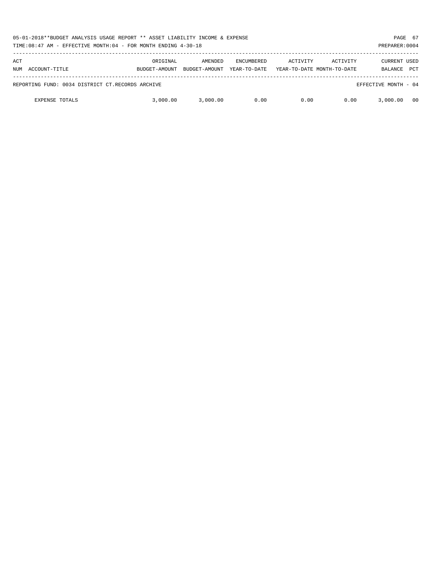|            | 05-01-2018**BUDGET ANALYSIS USAGE REPORT ** ASSET LIABILITY INCOME & EXPENSE<br>TIME:08:47 AM - EFFECTIVE MONTH:04 - FOR MONTH ENDING 4-30-18<br>PREPARER: 0004 |                           |                          |                                   |          |                                        |                                       |            |
|------------|-----------------------------------------------------------------------------------------------------------------------------------------------------------------|---------------------------|--------------------------|-----------------------------------|----------|----------------------------------------|---------------------------------------|------------|
| ACT<br>NUM | ACCOUNT-TITLE                                                                                                                                                   | ORIGINAL<br>BUDGET-AMOUNT | AMENDED<br>BUDGET-AMOUNT | <b>ENCUMBERED</b><br>YEAR-TO-DATE | ACTIVITY | ACTIVITY<br>YEAR-TO-DATE MONTH-TO-DATE | <b>CURRENT USED</b><br><b>BALANCE</b> | <b>PCT</b> |
|            | REPORTING FUND: 0034 DISTRICT CT.RECORDS ARCHIVE                                                                                                                |                           |                          |                                   |          |                                        | EFFECTIVE MONTH - 04                  |            |
|            | <b>EXPENSE TOTALS</b>                                                                                                                                           | 3,000,00                  | 3,000.00                 | 0.00                              | 0.00     | 0.00                                   | 3,000.00                              | 00         |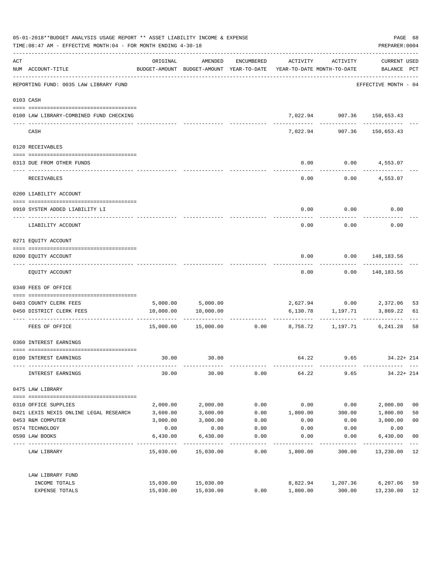|     | 05-01-2018**BUDGET ANALYSIS USAGE REPORT ** ASSET LIABILITY INCOME & EXPENSE<br>TIME: 08:47 AM - EFFECTIVE MONTH: 04 - FOR MONTH ENDING 4-30-18 |           |                                                                                |                 |                 |                                             | PREPARER: 0004              | PAGE 68        |
|-----|-------------------------------------------------------------------------------------------------------------------------------------------------|-----------|--------------------------------------------------------------------------------|-----------------|-----------------|---------------------------------------------|-----------------------------|----------------|
| ACT | NUM ACCOUNT-TITLE                                                                                                                               | ORIGINAL  | AMENDED<br>BUDGET-AMOUNT BUDGET-AMOUNT YEAR-TO-DATE YEAR-TO-DATE MONTH-TO-DATE | ENCUMBERED      | ACTIVITY        | ACTIVITY                                    | CURRENT USED<br>BALANCE PCT |                |
|     | -----------------------------------<br>REPORTING FUND: 0035 LAW LIBRARY FUND                                                                    |           |                                                                                |                 |                 |                                             | EFFECTIVE MONTH - 04        |                |
|     | 0103 CASH                                                                                                                                       |           |                                                                                |                 |                 |                                             |                             |                |
|     | 0100 LAW LIBRARY-COMBINED FUND CHECKING                                                                                                         |           |                                                                                |                 |                 | 7,022.94 907.36 150,653.43                  |                             |                |
|     | CASH                                                                                                                                            |           |                                                                                |                 | 7,022.94        | 907.36                                      | 150,653.43                  |                |
|     | 0120 RECEIVABLES                                                                                                                                |           |                                                                                |                 |                 |                                             |                             |                |
|     | 0313 DUE FROM OTHER FUNDS                                                                                                                       |           |                                                                                |                 | 0.00            |                                             | $0.00$ 4,553.07             |                |
|     | RECEIVABLES                                                                                                                                     |           |                                                                                |                 | 0.00            |                                             | $0.00$ 4,553.07             |                |
|     | 0200 LIABILITY ACCOUNT                                                                                                                          |           |                                                                                |                 |                 |                                             |                             |                |
|     | 0910 SYSTEM ADDED LIABILITY LI                                                                                                                  |           |                                                                                |                 | 0.00            | 0.00                                        | 0.00                        |                |
|     | LIABILITY ACCOUNT                                                                                                                               |           |                                                                                |                 | 0.00            | 0.00                                        | 0.00                        |                |
|     | 0271 EQUITY ACCOUNT                                                                                                                             |           |                                                                                |                 |                 |                                             |                             |                |
|     | 0200 EQUITY ACCOUNT                                                                                                                             |           |                                                                                |                 | 0.00            |                                             | $0.00$ 148,183.56           |                |
|     | EQUITY ACCOUNT                                                                                                                                  |           |                                                                                |                 | 0.00            |                                             | $0.00$ 148,183.56           |                |
|     | 0340 FEES OF OFFICE                                                                                                                             |           |                                                                                |                 |                 |                                             |                             |                |
|     | 0403 COUNTY CLERK FEES                                                                                                                          |           |                                                                                |                 |                 |                                             |                             | 53             |
|     | 0450 DISTRICT CLERK FEES                                                                                                                        |           | 5,000.00 5,000.00<br>10,000.00 10,000.00                                       |                 |                 | 2,627.94 0.00 2,372.06<br>6,130.78 1,197.71 | 3,869.22                    | 61             |
|     | FEES OF OFFICE                                                                                                                                  |           | $15,000.00$ $15,000.00$ $0.00$ $8,758.72$ $1,197.71$                           |                 |                 |                                             | 6,241.28                    | 58             |
|     | 0360 INTEREST EARNINGS                                                                                                                          |           |                                                                                |                 |                 |                                             |                             |                |
|     | 0100 INTEREST EARNINGS                                                                                                                          | 30.00     | 30.00                                                                          |                 | 64.22           | 9.65                                        | $34.22 + 214$               |                |
|     | INTEREST EARNINGS                                                                                                                               | 30.00     | 30.00                                                                          | 0.00            | 64.22           | 9.65                                        | $34.22 + 214$               |                |
|     | 0475 LAW LIBRARY                                                                                                                                |           |                                                                                |                 |                 |                                             |                             |                |
|     | 0310 OFFICE SUPPLIES                                                                                                                            | 2,000.00  | 2,000.00                                                                       | 0.00            | 0.00            | 0.00                                        | 2,000.00                    | 0 <sub>0</sub> |
|     | 0421 LEXIS NEXIS ONLINE LEGAL RESEARCH 3,600.00                                                                                                 |           | 3,600.00                                                                       |                 | $0.00$ 1,800.00 | 300.00                                      | 1,800.00                    | 50             |
|     | 0453 R&M COMPUTER                                                                                                                               | 3,000.00  | 3,000.00                                                                       | 0.00            | 0.00            | 0.00                                        | 3,000.00                    | 0 <sub>0</sub> |
|     | 0574 TECHNOLOGY                                                                                                                                 | 0.00      | 0.00                                                                           | 0.00            | 0.00            | 0.00                                        | 0.00                        |                |
|     | 0590 LAW BOOKS                                                                                                                                  | 6,430.00  | 6,430.00                                                                       | 0.00<br>------- | 0.00            | 0.00                                        | 6,430.00                    | 0 <sub>0</sub> |
|     | LAW LIBRARY                                                                                                                                     |           | 15,030.00 15,030.00                                                            | 0.00            | 1,800.00        | 300.00                                      | 13,230.00 12                |                |
|     | LAW LIBRARY FUND                                                                                                                                |           |                                                                                |                 |                 |                                             |                             |                |
|     | INCOME TOTALS                                                                                                                                   |           | 15,030.00 15,030.00                                                            |                 | 8,822.94        | 1,207.36                                    | 6,207.06                    | 59             |
|     | EXPENSE TOTALS                                                                                                                                  | 15,030.00 | 15,030.00                                                                      | 0.00            | 1,800.00        | 300.00                                      | 13,230.00                   | 12             |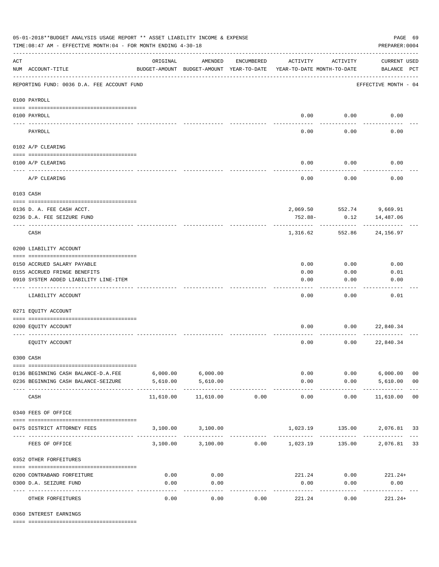| 05-01-2018**BUDGET ANALYSIS USAGE REPORT ** ASSET LIABILITY INCOME & EXPENSE<br>TIME: 08:47 AM - EFFECTIVE MONTH: 04 - FOR MONTH ENDING 4-30-18 |                                                       |                                                      |                                                    |            |                                        |                     | PREPARER: 0004                     | PAGE 69        |
|-------------------------------------------------------------------------------------------------------------------------------------------------|-------------------------------------------------------|------------------------------------------------------|----------------------------------------------------|------------|----------------------------------------|---------------------|------------------------------------|----------------|
| $\mathop{\rm ACT}$                                                                                                                              | NUM ACCOUNT-TITLE                                     | ORIGINAL<br>BUDGET-AMOUNT BUDGET-AMOUNT YEAR-TO-DATE | AMENDED                                            | ENCUMBERED | ACTIVITY<br>YEAR-TO-DATE MONTH-TO-DATE | ACTIVITY            | <b>CURRENT USED</b><br>BALANCE PCT |                |
|                                                                                                                                                 | REPORTING FUND: 0036 D.A. FEE ACCOUNT FUND            |                                                      |                                                    |            |                                        |                     | EFFECTIVE MONTH - 04               |                |
|                                                                                                                                                 | 0100 PAYROLL                                          |                                                      |                                                    |            |                                        |                     |                                    |                |
|                                                                                                                                                 | 0100 PAYROLL                                          |                                                      |                                                    |            |                                        | $0.00$ 0.00         | 0.00                               |                |
| ---- ---                                                                                                                                        | PAYROLL                                               |                                                      |                                                    |            | 0.00                                   | 0.00                | 0.00                               |                |
|                                                                                                                                                 | 0102 A/P CLEARING                                     |                                                      |                                                    |            |                                        |                     |                                    |                |
|                                                                                                                                                 |                                                       |                                                      |                                                    |            |                                        |                     |                                    |                |
|                                                                                                                                                 | 0100 A/P CLEARING                                     |                                                      |                                                    |            | 0.00                                   | 0.00                | 0.00                               |                |
|                                                                                                                                                 | A/P CLEARING                                          |                                                      |                                                    |            | 0.00                                   | 0.00                | 0.00                               |                |
|                                                                                                                                                 | 0103 CASH                                             |                                                      |                                                    |            |                                        |                     |                                    |                |
|                                                                                                                                                 |                                                       |                                                      |                                                    |            |                                        |                     |                                    |                |
|                                                                                                                                                 | 0136 D. A. FEE CASH ACCT.                             |                                                      |                                                    |            |                                        | 0.12                | 2,069.50 552.74 9,669.91           |                |
|                                                                                                                                                 | 0236 D.A. FEE SEIZURE FUND                            |                                                      |                                                    |            | 752.88-                                |                     | 14,487.06                          |                |
|                                                                                                                                                 | CASH                                                  |                                                      |                                                    |            | 1,316.62                               | 552.86              | 24,156.97                          |                |
|                                                                                                                                                 | 0200 LIABILITY ACCOUNT                                |                                                      |                                                    |            |                                        |                     |                                    |                |
|                                                                                                                                                 | 0150 ACCRUED SALARY PAYABLE                           |                                                      |                                                    |            | 0.00                                   | 0.00                | 0.00                               |                |
|                                                                                                                                                 | 0155 ACCRUED FRINGE BENEFITS                          |                                                      |                                                    |            | 0.00                                   | 0.00                | 0.01                               |                |
|                                                                                                                                                 | 0910 SYSTEM ADDED LIABILITY LINE-ITEM                 |                                                      |                                                    |            | 0.00                                   | 0.00                | 0.00                               |                |
|                                                                                                                                                 | LIABILITY ACCOUNT                                     |                                                      |                                                    |            | 0.00                                   | 0.00                | 0.01                               |                |
|                                                                                                                                                 | 0271 EQUITY ACCOUNT                                   |                                                      |                                                    |            |                                        |                     |                                    |                |
|                                                                                                                                                 | 0200 EQUITY ACCOUNT                                   |                                                      |                                                    |            | 0.00                                   |                     | $0.00$ 22,840.34                   |                |
|                                                                                                                                                 | EQUITY ACCOUNT                                        |                                                      |                                                    |            | 0.00                                   | 0.00                | 22,840.34                          |                |
|                                                                                                                                                 | 0300 CASH                                             |                                                      |                                                    |            |                                        |                     |                                    |                |
|                                                                                                                                                 | 0136 BEGINNING CASH BALANCE-D.A.FEE 6,000.00 6,000.00 |                                                      |                                                    |            |                                        | 0.00                | $0.00$ 6,000.00                    | 0 <sub>0</sub> |
|                                                                                                                                                 | 0236 BEGINNING CASH BALANCE-SEIZURE                   | 5,610.00                                             | 5,610.00                                           |            | 0.00                                   |                     | $0.00$ 5,610.00                    | 0 <sub>0</sub> |
|                                                                                                                                                 | CASH                                                  | 11,610.00                                            | 11,610.00                                          | 0.00       | -------------<br>0.00                  | -----------<br>0.00 | -------------<br>11,610.00 00      |                |
|                                                                                                                                                 | 0340 FEES OF OFFICE                                   |                                                      |                                                    |            |                                        |                     |                                    |                |
|                                                                                                                                                 |                                                       |                                                      |                                                    |            |                                        |                     |                                    |                |
|                                                                                                                                                 | 0475 DISTRICT ATTORNEY FEES                           |                                                      | 3,100.00 3,100.00                                  |            |                                        |                     |                                    |                |
|                                                                                                                                                 | FEES OF OFFICE                                        |                                                      | 3,100.00 3,100.00 0.00 1,023.19 135.00 2,076.81 33 |            |                                        |                     |                                    |                |
|                                                                                                                                                 | 0352 OTHER FORFEITURES                                |                                                      |                                                    |            |                                        |                     |                                    |                |
|                                                                                                                                                 | 0200 CONTRABAND FORFEITURE                            | 0.00                                                 | 0.00                                               |            | 221.24                                 |                     | $0.00$ 221.24+                     |                |
|                                                                                                                                                 | 0300 D.A. SEIZURE FUND                                | 0.00                                                 | 0.00                                               |            | 0.00                                   | 0.00                | 0.00                               |                |
|                                                                                                                                                 | OTHER FORFEITURES                                     | 0.00                                                 | ----------<br>0.00                                 | 0.00       | 221.24                                 | 0.00                | -----------<br>$221.24+$           |                |

0360 INTEREST EARNINGS

==== ===================================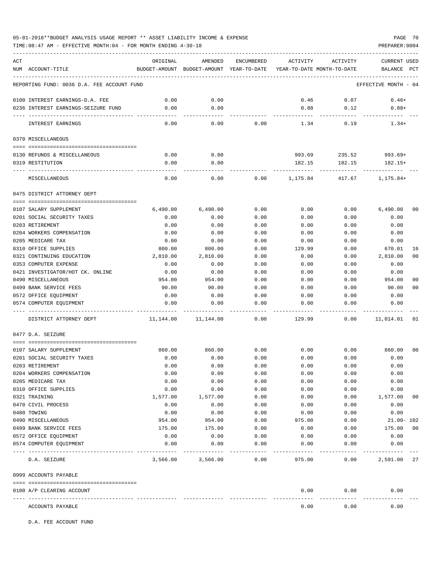TIME:08:47 AM - EFFECTIVE MONTH:04 - FOR MONTH ENDING 4-30-18 PREPARER:0004

| ACT                                              | ORIGINAL     | AMENDED                                  | ENCUMBERED | ACTIVITY                   | ACTIVITY         | <b>CURRENT USED</b>        |
|--------------------------------------------------|--------------|------------------------------------------|------------|----------------------------|------------------|----------------------------|
| NUM ACCOUNT-TITLE                                |              | BUDGET-AMOUNT BUDGET-AMOUNT YEAR-TO-DATE |            | YEAR-TO-DATE MONTH-TO-DATE |                  | <b>BALANCE</b><br>PCT      |
| REPORTING FUND: 0036 D.A. FEE ACCOUNT FUND       |              |                                          |            |                            |                  | EFFECTIVE MONTH - 04       |
| 0100 INTEREST EARNINGS-D.A. FEE                  | 0.00         | 0.00                                     |            | 0.46                       | 0.07             | $0.46+$                    |
| 0236 INTEREST EARNINGS-SEIZURE FUND              | 0.00         | 0.00                                     |            | 0.88                       | 0.12             | $0.88+$                    |
| INTEREST EARNINGS                                | 0.00         | 0.00                                     | 0.00       | 1.34                       | 0.19             | $1.34+$                    |
| 0370 MISCELLANEOUS                               |              |                                          |            |                            |                  |                            |
|                                                  |              |                                          |            |                            |                  |                            |
| 0130 REFUNDS & MISCELLANEOUS<br>0319 RESTITUTION | 0.00<br>0.00 | 0.00<br>0.00                             |            | 993.69<br>182.15           | 235.52<br>182.15 | $993.69+$<br>182.15+       |
|                                                  |              |                                          |            |                            |                  |                            |
| MISCELLANEOUS                                    | 0.00         | 0.00                                     | 0.00       | 1,175.84                   | 417.67           | $1, 175.84+$               |
| 0475 DISTRICT ATTORNEY DEPT                      |              |                                          |            |                            |                  |                            |
| 0107 SALARY SUPPLEMENT                           | 6,490.00     | 6,490.00                                 | 0.00       | 0.00                       | 0.00             | 6,490.00<br>0 <sub>0</sub> |
| 0201 SOCIAL SECURITY TAXES                       | 0.00         | 0.00                                     | 0.00       | 0.00                       | 0.00             | 0.00                       |
| 0203 RETIREMENT                                  | 0.00         | 0.00                                     | 0.00       | 0.00                       | 0.00             | 0.00                       |
| 0204 WORKERS COMPENSATION                        | 0.00         | 0.00                                     | 0.00       | 0.00                       | 0.00             | 0.00                       |
| 0205 MEDICARE TAX                                | 0.00         | 0.00                                     | 0.00       | 0.00                       | 0.00             | 0.00                       |
| 0310 OFFICE SUPPLIES                             | 800.00       | 800.00                                   | 0.00       | 129.99                     | 0.00             | 670.01<br>16               |
| 0321 CONTINUING EDUCATION                        | 2,810.00     | 2,810.00                                 | 0.00       | 0.00                       | 0.00             | 2,810.00<br>0 <sup>0</sup> |
| 0353 COMPUTER EXPENSE                            | 0.00         | 0.00                                     | 0.00       | 0.00                       | 0.00             | 0.00                       |
| 0421 INVESTIGATOR/HOT CK. ONLINE                 | 0.00         | 0.00                                     | 0.00       | 0.00                       | 0.00             | 0.00                       |
| 0490 MISCELLANEOUS                               | 954.00       | 954.00                                   | 0.00       | 0.00                       | 0.00             | 954.00<br>00               |
| 0499 BANK SERVICE FEES                           | 90.00        | 90.00                                    | 0.00       | 0.00                       | 0.00             | 90.00<br>0 <sub>0</sub>    |
| 0572 OFFICE EQUIPMENT                            | 0.00         | 0.00                                     | 0.00       | 0.00                       | 0.00             | 0.00                       |
| 0574 COMPUTER EQUIPMENT                          | 0.00         | 0.00                                     | 0.00       | 0.00                       | 0.00             | 0.00                       |
| DISTRICT ATTORNEY DEPT                           | 11,144.00    | 11,144.00                                | 0.00       | 129.99                     | 0.00             | 11,014.01<br>01            |
| 0477 D.A. SEIZURE                                |              |                                          |            |                            |                  |                            |
| 0107 SALARY SUPPLEMENT                           | 860.00       | 860.00                                   | 0.00       | 0.00                       | 0.00             | 0 <sub>0</sub><br>860.00   |
| 0201 SOCIAL SECURITY TAXES                       | 0.00         | 0.00                                     | 0.00       | 0.00                       | 0.00             | 0.00                       |
| 0203 RETIREMENT                                  | 0.00         | 0.00                                     | 0.00       | 0.00                       | 0.00             | 0.00                       |
| 0204 WORKERS COMPENSATION                        | 0.00         | 0.00                                     | 0.00       | 0.00                       | 0.00             | 0.00                       |
| 0205 MEDICARE TAX                                | 0.00         | 0.00                                     | 0.00       | 0.00                       | 0.00             | 0.00                       |
| 0310 OFFICE SUPPLIES                             | 0.00         | 0.00                                     | 0.00       | 0.00                       | 0.00             | 0.00                       |
| 0321 TRAINING                                    | 1,577.00     | 1,577.00                                 | 0.00       | 0.00                       | 0.00             | 1,577.00<br>00             |
| 0470 CIVIL PROCESS                               | 0.00         | 0.00                                     | 0.00       | 0.00                       | 0.00             | 0.00                       |
| 0480 TOWING                                      | 0.00         | 0.00                                     | 0.00       | 0.00                       | 0.00             | 0.00                       |
| 0490 MISCELLANEOUS                               | 954.00       | 954.00                                   | 0.00       | 975.00                     | 0.00             | $21.00 - 102$              |
| 0499 BANK SERVICE FEES                           | 175.00       | 175.00                                   | 0.00       | 0.00                       | 0.00             | 175.00<br>00               |
| 0572 OFFICE EQUIPMENT                            | 0.00         | 0.00                                     | 0.00       | 0.00                       | 0.00             | 0.00                       |
| 0574 COMPUTER EQUIPMENT                          | 0.00         | 0.00                                     | 0.00       | 0.00                       | 0.00             | 0.00                       |
| D.A. SEIZURE                                     | 3,566.00     | 3,566.00                                 | 0.00       | 975.00                     | 0.00             | 2,591.00 27                |
| 0999 ACCOUNTS PAYABLE                            |              |                                          |            |                            |                  |                            |
| 0100 A/P CLEARING ACCOUNT                        |              |                                          |            | 0.00                       | 0.00             | 0.00                       |
| ACCOUNTS PAYABLE                                 |              |                                          |            | 0.00                       | 0.00             | 0.00                       |

D.A. FEE ACCOUNT FUND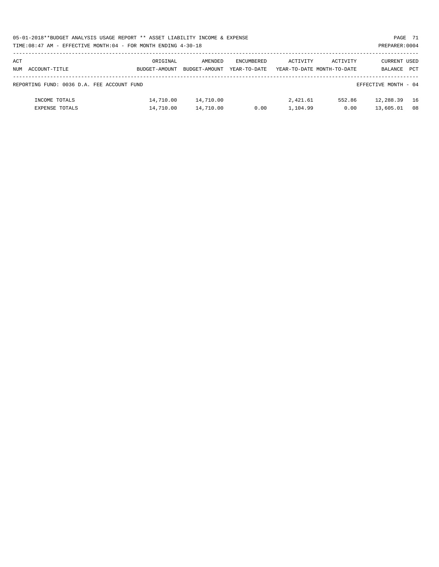| 05-01-2018**BUDGET ANALYSIS USAGE REPORT ** ASSET LIABILITY INCOME & EXPENSE | PAGE 71        |
|------------------------------------------------------------------------------|----------------|
| TIME:08:47 AM - EFFECTIVE MONTH:04 - FOR MONTH ENDING 4-30-18                | PREPARER: 0004 |

| ACT<br>NUM                                                         | ACCOUNT-TITLE         | ORIGINAL<br>BUDGET-AMOUNT | AMENDED<br>BUDGET-AMOUNT | ENCUMBERED<br>YEAR-TO-DATE | ACTIVITY | ACTIVITY<br>YEAR-TO-DATE MONTH-TO-DATE | CURRENT USED<br>BALANCE | <b>PCT</b> |
|--------------------------------------------------------------------|-----------------------|---------------------------|--------------------------|----------------------------|----------|----------------------------------------|-------------------------|------------|
|                                                                    |                       |                           |                          |                            |          |                                        |                         |            |
|                                                                    |                       |                           |                          |                            |          |                                        |                         |            |
| EFFECTIVE MONTH - 04<br>REPORTING FUND: 0036 D.A. FEE ACCOUNT FUND |                       |                           |                          |                            |          |                                        |                         |            |
|                                                                    | INCOME TOTALS         | 14,710.00                 | 14,710.00                |                            | 2,421.61 | 552.86                                 | 12,288.39               | 16         |
|                                                                    | <b>EXPENSE TOTALS</b> | 14,710.00                 | 14,710.00                | 0.00                       | 1,104.99 | 0.00                                   | 13,605.01               | 08         |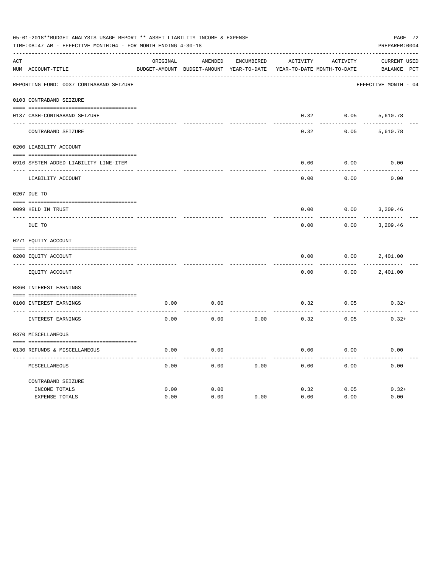| 05-01-2018**BUDGET ANALYSIS USAGE REPORT ** ASSET LIABILITY INCOME & EXPENSE<br>TIME: 08:47 AM - EFFECTIVE MONTH: 04 - FOR MONTH ENDING 4-30-18<br>PREPARER: 0004 |                                         |          |                                          |                   |          |                            |                      |  |  |  |
|-------------------------------------------------------------------------------------------------------------------------------------------------------------------|-----------------------------------------|----------|------------------------------------------|-------------------|----------|----------------------------|----------------------|--|--|--|
| ACT                                                                                                                                                               |                                         | ORIGINAL | AMENDED                                  | <b>ENCUMBERED</b> | ACTIVITY | ACTIVITY                   | CURRENT USED         |  |  |  |
|                                                                                                                                                                   | NUM ACCOUNT-TITLE                       |          | BUDGET-AMOUNT BUDGET-AMOUNT YEAR-TO-DATE |                   |          | YEAR-TO-DATE MONTH-TO-DATE | BALANCE PCT          |  |  |  |
|                                                                                                                                                                   | REPORTING FUND: 0037 CONTRABAND SEIZURE |          |                                          |                   |          |                            | EFFECTIVE MONTH - 04 |  |  |  |
|                                                                                                                                                                   | 0103 CONTRABAND SEIZURE                 |          |                                          |                   |          |                            |                      |  |  |  |
|                                                                                                                                                                   | 0137 CASH-CONTRABAND SEIZURE            |          |                                          |                   | 0.32     | 0.05                       | 5,610.78             |  |  |  |
|                                                                                                                                                                   | CONTRABAND SEIZURE                      |          |                                          |                   | 0.32     | 0.05                       | 5,610.78             |  |  |  |
|                                                                                                                                                                   | 0200 LIABILITY ACCOUNT                  |          |                                          |                   |          |                            |                      |  |  |  |
|                                                                                                                                                                   | 0910 SYSTEM ADDED LIABILITY LINE-ITEM   |          |                                          |                   | 0.00     | 0.00                       | 0.00                 |  |  |  |
|                                                                                                                                                                   |                                         |          |                                          |                   |          |                            |                      |  |  |  |
|                                                                                                                                                                   | LIABILITY ACCOUNT                       |          |                                          |                   | 0.00     | 0.00                       | 0.00                 |  |  |  |
|                                                                                                                                                                   | 0207 DUE TO                             |          |                                          |                   |          |                            |                      |  |  |  |
|                                                                                                                                                                   | 0099 HELD IN TRUST                      |          |                                          |                   | 0.00     | 0.00                       | 3,209.46             |  |  |  |
| $- - - - - - -$                                                                                                                                                   | DUE TO                                  |          |                                          |                   | 0.00     | 0.00                       | 3,209.46             |  |  |  |
|                                                                                                                                                                   | 0271 EQUITY ACCOUNT                     |          |                                          |                   |          |                            |                      |  |  |  |
|                                                                                                                                                                   | 0200 EQUITY ACCOUNT                     |          |                                          |                   | 0.00     | 0.00                       | 2,401.00             |  |  |  |
|                                                                                                                                                                   | EQUITY ACCOUNT                          |          |                                          |                   | 0.00     | 0.00                       | 2,401.00             |  |  |  |
|                                                                                                                                                                   | 0360 INTEREST EARNINGS                  |          |                                          |                   |          |                            |                      |  |  |  |
|                                                                                                                                                                   | 0100 INTEREST EARNINGS                  | 0.00     | 0.00                                     |                   | 0.32     | 0.05                       | $0.32+$              |  |  |  |
|                                                                                                                                                                   | INTEREST EARNINGS                       | 0.00     | 0.00                                     | 0.00              | 0.32     | 0.05                       | $0.32+$              |  |  |  |
|                                                                                                                                                                   | 0370 MISCELLANEOUS                      |          |                                          |                   |          |                            |                      |  |  |  |
|                                                                                                                                                                   | 0130 REFUNDS & MISCELLANEOUS            | 0.00     | 0.00                                     |                   | 0.00     | 0.00                       | 0.00                 |  |  |  |
|                                                                                                                                                                   | MISCELLANEOUS                           | 0.00     | 0.00                                     | 0.00              | 0.00     | 0.00                       | 0.00                 |  |  |  |
|                                                                                                                                                                   | CONTRABAND SEIZURE                      |          |                                          |                   |          |                            |                      |  |  |  |
|                                                                                                                                                                   | INCOME TOTALS                           | 0.00     | 0.00                                     |                   | 0.32     | 0.05                       | $0.32+$              |  |  |  |
|                                                                                                                                                                   | EXPENSE TOTALS                          | 0.00     | 0.00                                     | 0.00              | 0.00     | 0.00                       | 0.00                 |  |  |  |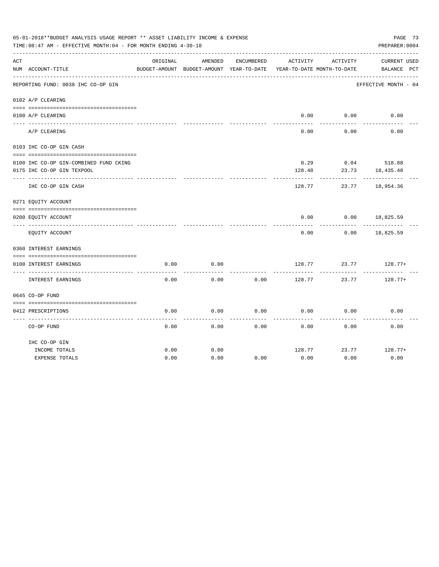| 05-01-2018**BUDGET ANALYSIS USAGE REPORT ** ASSET LIABILITY INCOME & EXPENSE<br>PREPARER: 0004<br>TIME: 08:47 AM - EFFECTIVE MONTH: 04 - FOR MONTH ENDING 4-30-18 |                                        |          |                                          |            |                            |          |                      |  |  |  |
|-------------------------------------------------------------------------------------------------------------------------------------------------------------------|----------------------------------------|----------|------------------------------------------|------------|----------------------------|----------|----------------------|--|--|--|
| ACT                                                                                                                                                               |                                        | ORIGINAL | AMENDED                                  | ENCUMBERED | ACTIVITY                   | ACTIVITY | <b>CURRENT USED</b>  |  |  |  |
|                                                                                                                                                                   | NUM ACCOUNT-TITLE                      |          | BUDGET-AMOUNT BUDGET-AMOUNT YEAR-TO-DATE |            | YEAR-TO-DATE MONTH-TO-DATE |          | BALANCE PCT          |  |  |  |
|                                                                                                                                                                   | REPORTING FUND: 0038 IHC CO-OP GIN     |          |                                          |            |                            |          | EFFECTIVE MONTH - 04 |  |  |  |
|                                                                                                                                                                   | 0102 A/P CLEARING                      |          |                                          |            |                            |          |                      |  |  |  |
|                                                                                                                                                                   | 0100 A/P CLEARING                      |          |                                          |            | 0.00                       | 0.00     | 0.00                 |  |  |  |
|                                                                                                                                                                   |                                        |          |                                          |            |                            |          |                      |  |  |  |
|                                                                                                                                                                   | A/P CLEARING                           |          |                                          |            | 0.00                       | 0.00     | 0.00                 |  |  |  |
|                                                                                                                                                                   | 0103 IHC CO-OP GIN CASH                |          |                                          |            |                            |          |                      |  |  |  |
|                                                                                                                                                                   |                                        |          |                                          |            |                            |          |                      |  |  |  |
|                                                                                                                                                                   | 0100 IHC CO-OP GIN-COMBINED FUND CKING |          |                                          |            | 0.29                       |          | $0.04$ 518.88        |  |  |  |
|                                                                                                                                                                   | 0175 IHC CO-OP GIN TEXPOOL             |          |                                          |            | 128.48                     | 23.73    | 18,435.48            |  |  |  |
|                                                                                                                                                                   | IHC CO-OP GIN CASH                     |          |                                          |            | 128.77                     | 23.77    | 18,954.36            |  |  |  |
|                                                                                                                                                                   | 0271 EQUITY ACCOUNT                    |          |                                          |            |                            |          |                      |  |  |  |
|                                                                                                                                                                   | 0200 EQUITY ACCOUNT                    |          |                                          |            | 0.00                       | 0.00     | 18,825.59            |  |  |  |
|                                                                                                                                                                   | EQUITY ACCOUNT                         |          |                                          |            | 0.00                       | 0.00     | 18,825.59            |  |  |  |
|                                                                                                                                                                   | 0360 INTEREST EARNINGS                 |          |                                          |            |                            |          |                      |  |  |  |
|                                                                                                                                                                   |                                        |          |                                          |            |                            |          |                      |  |  |  |
|                                                                                                                                                                   | 0100 INTEREST EARNINGS                 | 0.00     | 0.00                                     |            | 128.77                     | 23.77    | $128.77+$            |  |  |  |
|                                                                                                                                                                   | INTEREST EARNINGS                      | 0.00     | 0.00                                     | 0.00       | 128.77                     | 23.77    | $128.77+$            |  |  |  |
|                                                                                                                                                                   | 0645 CO-OP FUND                        |          |                                          |            |                            |          |                      |  |  |  |
|                                                                                                                                                                   |                                        |          |                                          |            |                            |          |                      |  |  |  |
|                                                                                                                                                                   | 0412 PRESCRIPTIONS                     | 0.00     | 0.00                                     | 0.00       | 0.00                       | 0.00     | 0.00                 |  |  |  |
|                                                                                                                                                                   | CO-OP FUND                             | 0.00     | 0.00                                     | 0.00       | 0.00                       | 0.00     | 0.00                 |  |  |  |
|                                                                                                                                                                   | IHC CO-OP GIN                          |          |                                          |            |                            |          |                      |  |  |  |
|                                                                                                                                                                   | INCOME TOTALS                          | 0.00     | 0.00                                     |            | 128.77                     | 23.77    | $128.77+$            |  |  |  |
|                                                                                                                                                                   | <b>EXPENSE TOTALS</b>                  | 0.00     | 0.00                                     | 0.00       | 0.00                       | 0.00     | 0.00                 |  |  |  |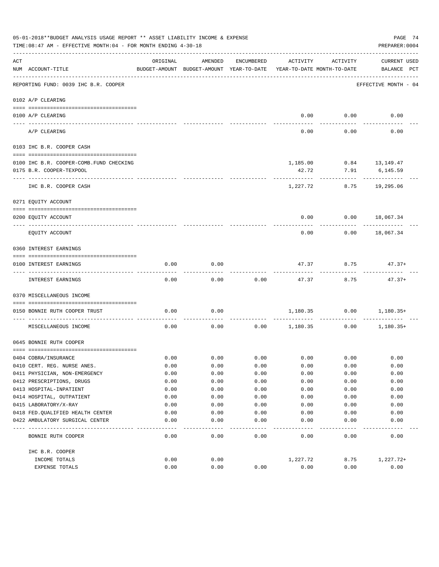|     | 05-01-2018**BUDGET ANALYSIS USAGE REPORT ** ASSET LIABILITY INCOME & EXPENSE<br>PAGE 74<br>TIME: 08:47 AM - EFFECTIVE MONTH: 04 - FOR MONTH ENDING 4-30-18<br>PREPARER: 0004 |          |                                                     |              |                 |                                        |                                    |  |  |  |  |
|-----|------------------------------------------------------------------------------------------------------------------------------------------------------------------------------|----------|-----------------------------------------------------|--------------|-----------------|----------------------------------------|------------------------------------|--|--|--|--|
| ACT | NUM ACCOUNT-TITLE                                                                                                                                                            | ORIGINAL | AMENDED<br>BUDGET-AMOUNT BUDGET-AMOUNT YEAR-TO-DATE | ENCUMBERED   | ACTIVITY        | ACTIVITY<br>YEAR-TO-DATE MONTH-TO-DATE | <b>CURRENT USED</b><br>BALANCE PCT |  |  |  |  |
|     | REPORTING FUND: 0039 IHC B.R. COOPER                                                                                                                                         |          |                                                     |              |                 |                                        | EFFECTIVE MONTH - 04               |  |  |  |  |
|     | 0102 A/P CLEARING                                                                                                                                                            |          |                                                     |              |                 |                                        |                                    |  |  |  |  |
|     |                                                                                                                                                                              |          |                                                     |              |                 |                                        |                                    |  |  |  |  |
|     | 0100 A/P CLEARING<br>---- ---------                                                                                                                                          |          |                                                     |              | 0.00            | 0.00                                   | 0.00                               |  |  |  |  |
|     | A/P CLEARING                                                                                                                                                                 |          |                                                     |              | 0.00            | 0.00                                   | 0.00                               |  |  |  |  |
|     | 0103 IHC B.R. COOPER CASH                                                                                                                                                    |          |                                                     |              |                 |                                        |                                    |  |  |  |  |
|     | 0100 IHC B.R. COOPER-COMB.FUND CHECKING                                                                                                                                      |          |                                                     |              |                 | 1,185.00 0.84 13,149.47                |                                    |  |  |  |  |
|     | 0175 B.R. COOPER-TEXPOOL                                                                                                                                                     |          |                                                     |              | 42.72           | 7.91                                   | 6,145.59                           |  |  |  |  |
|     |                                                                                                                                                                              |          |                                                     |              |                 |                                        |                                    |  |  |  |  |
|     | IHC B.R. COOPER CASH                                                                                                                                                         |          |                                                     |              | 1,227.72        | 8.75                                   | 19,295.06                          |  |  |  |  |
|     | 0271 EQUITY ACCOUNT                                                                                                                                                          |          |                                                     |              |                 |                                        |                                    |  |  |  |  |
|     | 0200 EQUITY ACCOUNT                                                                                                                                                          |          |                                                     |              | 0.00            |                                        | $0.00$ 18,067.34                   |  |  |  |  |
|     | EQUITY ACCOUNT                                                                                                                                                               |          |                                                     |              | 0.00            | 0.00                                   | 18,067.34                          |  |  |  |  |
|     | 0360 INTEREST EARNINGS                                                                                                                                                       |          |                                                     |              |                 |                                        |                                    |  |  |  |  |
|     | 0100 INTEREST EARNINGS                                                                                                                                                       | 0.00     | 0.00                                                |              | 47.37           | 8.75                                   | $47.37+$                           |  |  |  |  |
|     | INTEREST EARNINGS                                                                                                                                                            | 0.00     | 0.00                                                | 0.00         | 47.37           | 8.75                                   | $47.37+$                           |  |  |  |  |
|     | 0370 MISCELLANEOUS INCOME                                                                                                                                                    |          |                                                     |              |                 |                                        |                                    |  |  |  |  |
|     | 0150 BONNIE RUTH COOPER TRUST                                                                                                                                                | 0.00     | 0.00                                                |              |                 | 1,180.35 0.00                          | 1,180.35+                          |  |  |  |  |
|     | MISCELLANEOUS INCOME                                                                                                                                                         | 0.00     | 0.00                                                |              | $0.00$ 1,180.35 | -----------<br>0.00                    | $1,180.35+$                        |  |  |  |  |
|     | 0645 BONNIE RUTH COOPER                                                                                                                                                      |          |                                                     |              |                 |                                        |                                    |  |  |  |  |
|     | 0404 COBRA/INSURANCE                                                                                                                                                         | 0.00     | 0.00                                                | 0.00         | 0.00            | 0.00                                   | 0.00                               |  |  |  |  |
|     | 0410 CERT. REG. NURSE ANES.                                                                                                                                                  | 0.00     | 0.00                                                | 0.00         | 0.00            | 0.00                                   | 0.00                               |  |  |  |  |
|     | 0411 PHYSICIAN, NON-EMERGENCY                                                                                                                                                | 0.00     | 0.00                                                | 0.00         | 0.00            | 0.00                                   | 0.00                               |  |  |  |  |
|     | 0412 PRESCRIPTIONS, DRUGS                                                                                                                                                    | 0.00     | 0.00                                                | 0.00         | 0.00            | 0.00                                   | 0.00                               |  |  |  |  |
|     | 0413 HOSPITAL-INPATIENT                                                                                                                                                      | 0.00     | 0.00                                                | 0.00         | 0.00            | 0.00                                   | 0.00                               |  |  |  |  |
|     | 0414 HOSPITAL, OUTPATIENT                                                                                                                                                    | 0.00     | 0.00                                                | 0.00         | 0.00            | 0.00                                   | 0.00                               |  |  |  |  |
|     | 0415 LABORATORY/X-RAY                                                                                                                                                        | 0.00     | 0.00                                                | 0.00         | 0.00            | 0.00                                   | 0.00                               |  |  |  |  |
|     | 0418 FED. QUALIFIED HEALTH CENTER                                                                                                                                            | 0.00     | 0.00                                                | 0.00         | 0.00            | 0.00                                   | 0.00                               |  |  |  |  |
|     | 0422 AMBULATORY SURGICAL CENTER                                                                                                                                              | 0.00     | 0.00                                                | 0.00         | 0.00            | 0.00                                   | 0.00                               |  |  |  |  |
|     | BONNIE RUTH COOPER                                                                                                                                                           | 0.00     | 0.00                                                | ----<br>0.00 | 0.00            | 0.00                                   | 0.00                               |  |  |  |  |
|     | IHC B.R. COOPER                                                                                                                                                              |          |                                                     |              |                 |                                        |                                    |  |  |  |  |
|     | INCOME TOTALS                                                                                                                                                                | 0.00     | 0.00                                                |              | 1,227.72        | 8.75                                   | 1,227.72+                          |  |  |  |  |
|     | EXPENSE TOTALS                                                                                                                                                               | 0.00     | 0.00                                                | 0.00         | 0.00            | 0.00                                   | 0.00                               |  |  |  |  |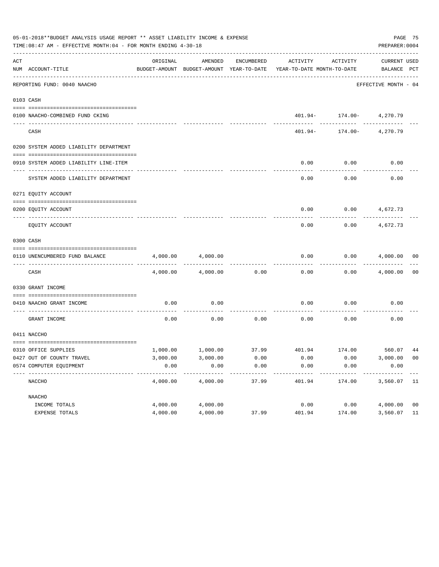|     | 05-01-2018**BUDGET ANALYSIS USAGE REPORT ** ASSET LIABILITY INCOME & EXPENSE<br>TIME: 08:47 AM - EFFECTIVE MONTH: 04 - FOR MONTH ENDING 4-30-18 |          |          |       |                                                                                                     |                                            |                             |                |  |  |  |
|-----|-------------------------------------------------------------------------------------------------------------------------------------------------|----------|----------|-------|-----------------------------------------------------------------------------------------------------|--------------------------------------------|-----------------------------|----------------|--|--|--|
| ACT | NUM ACCOUNT-TITLE                                                                                                                               | ORIGINAL | AMENDED  |       | ENCUMBERED ACTIVITY ACTIVITY<br>BUDGET-AMOUNT BUDGET-AMOUNT YEAR-TO-DATE YEAR-TO-DATE MONTH-TO-DATE |                                            | CURRENT USED<br>BALANCE PCT |                |  |  |  |
|     | REPORTING FUND: 0040 NAACHO                                                                                                                     |          |          |       |                                                                                                     |                                            | EFFECTIVE MONTH - 04        |                |  |  |  |
|     | 0103 CASH                                                                                                                                       |          |          |       |                                                                                                     |                                            |                             |                |  |  |  |
|     | 0100 NAACHO-COMBINED FUND CKING                                                                                                                 |          |          |       |                                                                                                     | $401.94 - 174.00 - 4,270.79$               |                             |                |  |  |  |
|     | CASH                                                                                                                                            |          |          |       |                                                                                                     | ----------<br>$401.94 - 174.00 - 4,270.79$ | ------------                |                |  |  |  |
|     | 0200 SYSTEM ADDED LIABILITY DEPARTMENT                                                                                                          |          |          |       |                                                                                                     |                                            |                             |                |  |  |  |
|     | 0910 SYSTEM ADDED LIABILITY LINE-ITEM                                                                                                           |          |          |       | 0.00                                                                                                | 0.00                                       | 0.00                        |                |  |  |  |
|     | SYSTEM ADDED LIABILITY DEPARTMENT                                                                                                               |          |          |       | 0.00                                                                                                | 0.00                                       | 0.00                        |                |  |  |  |
|     | 0271 EOUITY ACCOUNT                                                                                                                             |          |          |       |                                                                                                     |                                            |                             |                |  |  |  |
|     | 0200 EQUITY ACCOUNT                                                                                                                             |          |          |       |                                                                                                     | $0.00$ $0.00$ $4,672.73$                   |                             |                |  |  |  |
|     | EQUITY ACCOUNT                                                                                                                                  |          |          |       | 0.00                                                                                                | 0.00                                       | 4,672.73                    |                |  |  |  |
|     | 0300 CASH                                                                                                                                       |          |          |       |                                                                                                     |                                            |                             |                |  |  |  |
|     | 0110 UNENCUMBERED FUND BALANCE                                                                                                                  | 4,000.00 | 4,000.00 |       | 0.00                                                                                                |                                            | $0.00$ $4,000.00$ 00        |                |  |  |  |
|     | CASH                                                                                                                                            | 4,000.00 | 4,000.00 | 0.00  | 0.00                                                                                                |                                            | $0.00$ 4,000.00             | 0 <sub>0</sub> |  |  |  |
|     | 0330 GRANT INCOME                                                                                                                               |          |          |       |                                                                                                     |                                            |                             |                |  |  |  |
|     | 0410 NAACHO GRANT INCOME                                                                                                                        | 0.00     | 0.00     |       | 0.00                                                                                                | 0.00                                       | 0.00                        |                |  |  |  |
|     | GRANT INCOME                                                                                                                                    | 0.00     | 0.00     |       | $0.00$ 0.00                                                                                         | 0.00                                       | 0.00                        |                |  |  |  |
|     | 0411 NACCHO                                                                                                                                     |          |          |       |                                                                                                     |                                            |                             |                |  |  |  |
|     | 0310 OFFICE SUPPLIES                                                                                                                            |          |          |       | $1,000.00$ $1,000.00$ $37.99$ $401.94$ $174.00$ $560.07$ $44$                                       |                                            |                             |                |  |  |  |
|     | 0427 OUT OF COUNTY TRAVEL                                                                                                                       | 3,000.00 | 3,000.00 | 0.00  | 0.00                                                                                                | 0.00                                       | 3,000.00 00                 |                |  |  |  |
|     | 0574 COMPUTER EQUIPMENT                                                                                                                         | 0.00     | 0.00     | 0.00  | 0.00                                                                                                | 0.00                                       | 0.00                        |                |  |  |  |
|     | NACCHO                                                                                                                                          | 4,000.00 | 4,000.00 | 37.99 | 401.94                                                                                              | 174.00                                     | 3,560.07 11                 |                |  |  |  |
|     | NAACHO                                                                                                                                          |          |          |       |                                                                                                     |                                            |                             |                |  |  |  |
|     | INCOME TOTALS                                                                                                                                   | 4,000.00 | 4,000.00 |       | 0.00                                                                                                | 0.00                                       | 4,000.00                    | 0 <sub>0</sub> |  |  |  |
|     | EXPENSE TOTALS                                                                                                                                  | 4,000.00 | 4,000.00 | 37.99 | 401.94                                                                                              | 174.00                                     | 3,560.07                    | 11             |  |  |  |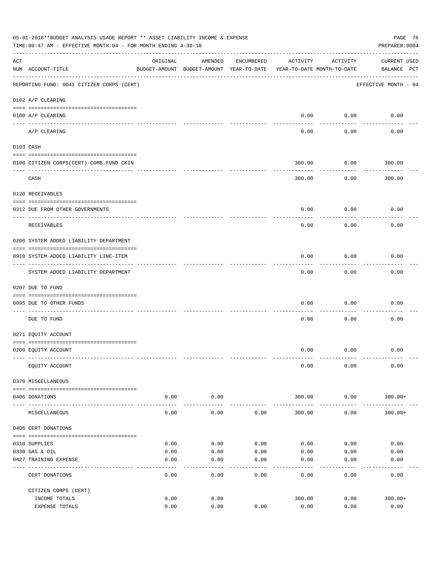| 05-01-2018**BUDGET ANALYSIS USAGE REPORT ** ASSET LIABILITY INCOME & EXPENSE<br>PAGE 76<br>PREPARER: 0004<br>TIME:08:47 AM - EFFECTIVE MONTH:04 - FOR MONTH ENDING 4-30-18 |                                           |              |                                                     |              |                                        |               |                                    |  |  |  |  |
|----------------------------------------------------------------------------------------------------------------------------------------------------------------------------|-------------------------------------------|--------------|-----------------------------------------------------|--------------|----------------------------------------|---------------|------------------------------------|--|--|--|--|
| $\mathop{\rm ACT}$                                                                                                                                                         | NUM ACCOUNT-TITLE                         | ORIGINAL     | AMENDED<br>BUDGET-AMOUNT BUDGET-AMOUNT YEAR-TO-DATE | ENCUMBERED   | ACTIVITY<br>YEAR-TO-DATE MONTH-TO-DATE | ACTIVITY      | <b>CURRENT USED</b><br>BALANCE PCT |  |  |  |  |
|                                                                                                                                                                            | REPORTING FUND: 0041 CITIZEN CORPS (CERT) |              |                                                     |              |                                        |               | EFFECTIVE MONTH - 04               |  |  |  |  |
|                                                                                                                                                                            | 0102 A/P CLEARING                         |              |                                                     |              |                                        |               |                                    |  |  |  |  |
|                                                                                                                                                                            | 0100 A/P CLEARING                         |              |                                                     |              |                                        | $0.00$ 0.00   | 0.00                               |  |  |  |  |
|                                                                                                                                                                            | ---- ----------<br>A/P CLEARING           |              |                                                     |              | 0.00                                   | 0.00          | 0.00                               |  |  |  |  |
|                                                                                                                                                                            | 0103 CASH                                 |              |                                                     |              |                                        |               |                                    |  |  |  |  |
|                                                                                                                                                                            | 0100 CITIZEN CORPS (CERT)-COMB. FUND CKIN |              |                                                     |              | 300.00                                 | 0.00          | 300.00                             |  |  |  |  |
|                                                                                                                                                                            |                                           |              |                                                     |              |                                        |               |                                    |  |  |  |  |
|                                                                                                                                                                            | CASH                                      |              |                                                     |              | 300.00                                 | 0.00          | 300.00                             |  |  |  |  |
|                                                                                                                                                                            | 0120 RECEIVABLES                          |              |                                                     |              |                                        |               |                                    |  |  |  |  |
|                                                                                                                                                                            | 0312 DUE FROM OTHER GOVERNMENTS           |              |                                                     |              | 0.00                                   | 0.00          | 0.00                               |  |  |  |  |
|                                                                                                                                                                            | RECEIVABLES                               |              |                                                     |              | 0.00                                   | 0.00          | 0.00                               |  |  |  |  |
|                                                                                                                                                                            | 0200 SYSTEM ADDED LIABILITY DEPARTMENT    |              |                                                     |              |                                        |               |                                    |  |  |  |  |
|                                                                                                                                                                            | 0910 SYSTEM ADDED LIABILITY LINE-ITEM     |              |                                                     |              | 0.00                                   | 0.00          | 0.00                               |  |  |  |  |
|                                                                                                                                                                            | SYSTEM ADDED LIABILITY DEPARTMENT         |              |                                                     |              | 0.00                                   | 0.00          | 0.00                               |  |  |  |  |
|                                                                                                                                                                            | 0207 DUE TO FUND                          |              |                                                     |              |                                        |               |                                    |  |  |  |  |
|                                                                                                                                                                            | 0095 DUE TO OTHER FUNDS                   |              |                                                     |              | 0.00                                   | 0.00          | 0.00                               |  |  |  |  |
|                                                                                                                                                                            | DUE TO FUND                               |              |                                                     |              | 0.00                                   | 0.00          | 0.00                               |  |  |  |  |
|                                                                                                                                                                            | 0271 EQUITY ACCOUNT                       |              |                                                     |              |                                        |               |                                    |  |  |  |  |
|                                                                                                                                                                            | 0200 EQUITY ACCOUNT                       |              |                                                     |              |                                        | $0.00$ $0.00$ | 0.00                               |  |  |  |  |
|                                                                                                                                                                            | EQUITY ACCOUNT                            |              |                                                     |              | 0.00                                   | 0.00          | 0.00                               |  |  |  |  |
|                                                                                                                                                                            | 0370 MISCELLANEOUS                        |              |                                                     |              |                                        |               |                                    |  |  |  |  |
|                                                                                                                                                                            | 0406 DONATIONS                            | 0.00         | 0.00                                                |              | 300.00                                 | 0.00          | $300.00+$                          |  |  |  |  |
|                                                                                                                                                                            | MISCELLANEOUS                             | 0.00         | 0.00                                                | 0.00         | 300.00                                 | .<br>0.00     | $300.00+$                          |  |  |  |  |
|                                                                                                                                                                            | 0406 CERT DONATIONS                       |              |                                                     |              |                                        |               |                                    |  |  |  |  |
|                                                                                                                                                                            |                                           |              |                                                     |              |                                        |               |                                    |  |  |  |  |
|                                                                                                                                                                            | 0310 SUPPLIES                             | 0.00         | 0.00                                                | 0.00         | 0.00                                   | 0.00          | 0.00                               |  |  |  |  |
|                                                                                                                                                                            | 0330 GAS & OIL<br>0427 TRAINING EXPENSE   | 0.00<br>0.00 | 0.00<br>0.00                                        | 0.00<br>0.00 | 0.00<br>0.00                           | 0.00<br>0.00  | 0.00<br>0.00                       |  |  |  |  |
|                                                                                                                                                                            | CERT DONATIONS                            | 0.00         | 0.00                                                | 0.00         | 0.00                                   | 0.00          | 0.00                               |  |  |  |  |
|                                                                                                                                                                            | CITIZEN CORPS (CERT)                      |              |                                                     |              |                                        |               |                                    |  |  |  |  |
|                                                                                                                                                                            | INCOME TOTALS                             | 0.00         | 0.00                                                |              | 300.00                                 | 0.00          | $300.00+$                          |  |  |  |  |
|                                                                                                                                                                            | EXPENSE TOTALS                            | 0.00         | 0.00                                                | 0.00         | 0.00                                   | 0.00          | 0.00                               |  |  |  |  |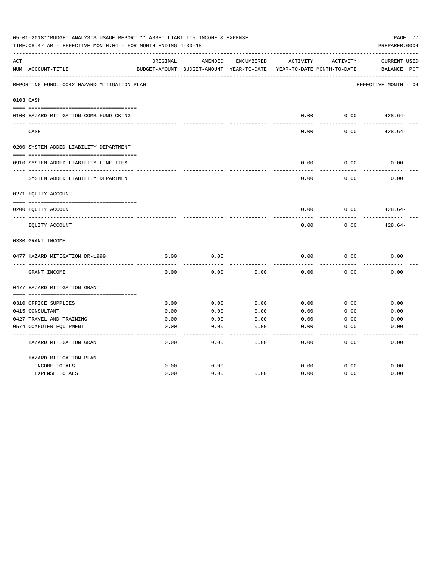|     | 05-01-2018**BUDGET ANALYSIS USAGE REPORT ** ASSET LIABILITY INCOME & EXPENSE<br>PAGE 77<br>TIME: 08:47 AM - EFFECTIVE MONTH: 04 - FOR MONTH ENDING 4-30-18<br>PREPARER: 0004 |          |                                                     |            |          |                                        |                                       |  |  |  |  |
|-----|------------------------------------------------------------------------------------------------------------------------------------------------------------------------------|----------|-----------------------------------------------------|------------|----------|----------------------------------------|---------------------------------------|--|--|--|--|
| ACT | NUM ACCOUNT-TITLE                                                                                                                                                            | ORIGINAL | AMENDED<br>BUDGET-AMOUNT BUDGET-AMOUNT YEAR-TO-DATE | ENCUMBERED | ACTIVITY | ACTIVITY<br>YEAR-TO-DATE MONTH-TO-DATE | <b>CURRENT USED</b><br>BALANCE<br>PCT |  |  |  |  |
|     | REPORTING FUND: 0042 HAZARD MITIGATION PLAN                                                                                                                                  |          |                                                     |            |          |                                        | EFFECTIVE MONTH - 04                  |  |  |  |  |
|     | 0103 CASH                                                                                                                                                                    |          |                                                     |            |          |                                        |                                       |  |  |  |  |
|     | 0100 HAZARD MITIGATION-COMB.FUND CKING.                                                                                                                                      |          |                                                     |            | 0.00     | 0.00                                   | $428.64-$                             |  |  |  |  |
|     | CASH                                                                                                                                                                         |          |                                                     |            | 0.00     | 0.00                                   | $428.64-$                             |  |  |  |  |
|     | 0200 SYSTEM ADDED LIABILITY DEPARTMENT                                                                                                                                       |          |                                                     |            |          |                                        |                                       |  |  |  |  |
|     | 0910 SYSTEM ADDED LIABILITY LINE-ITEM                                                                                                                                        |          |                                                     |            | 0.00     | 0.00                                   | 0.00                                  |  |  |  |  |
|     | SYSTEM ADDED LIABILITY DEPARTMENT                                                                                                                                            |          |                                                     |            | 0.00     | 0.00                                   | 0.00                                  |  |  |  |  |
|     | 0271 EQUITY ACCOUNT                                                                                                                                                          |          |                                                     |            |          |                                        |                                       |  |  |  |  |
|     | 0200 EQUITY ACCOUNT                                                                                                                                                          |          |                                                     |            | 0.00     | 0.00                                   | $428.64-$                             |  |  |  |  |
|     | EQUITY ACCOUNT                                                                                                                                                               |          |                                                     |            | 0.00     | 0.00                                   | $428.64-$                             |  |  |  |  |
|     | 0330 GRANT INCOME                                                                                                                                                            |          |                                                     |            |          |                                        |                                       |  |  |  |  |
|     | 0477 HAZARD MITIGATION DR-1999                                                                                                                                               | 0.00     | 0.00                                                |            | 0.00     | 0.00                                   | 0.00                                  |  |  |  |  |
|     | GRANT INCOME                                                                                                                                                                 | 0.00     | 0.00                                                | 0.00       | 0.00     | 0.00                                   | 0.00                                  |  |  |  |  |
|     | 0477 HAZARD MITIGATION GRANT                                                                                                                                                 |          |                                                     |            |          |                                        |                                       |  |  |  |  |
|     |                                                                                                                                                                              |          |                                                     |            |          |                                        |                                       |  |  |  |  |
|     | 0310 OFFICE SUPPLIES                                                                                                                                                         | 0.00     | 0.00                                                | 0.00       | 0.00     | 0.00                                   | 0.00                                  |  |  |  |  |
|     | 0415 CONSULTANT                                                                                                                                                              | 0.00     | 0.00                                                | 0.00       | 0.00     | 0.00                                   | 0.00                                  |  |  |  |  |
|     | 0427 TRAVEL AND TRAINING                                                                                                                                                     | 0.00     | 0.00                                                | 0.00       | 0.00     | 0.00                                   | 0.00                                  |  |  |  |  |
|     | 0574 COMPUTER EQUIPMENT                                                                                                                                                      | 0.00     | 0.00                                                | 0.00       | 0.00     | 0.00                                   | 0.00                                  |  |  |  |  |
|     | HAZARD MITIGATION GRANT                                                                                                                                                      | 0.00     | 0.00                                                | 0.00       | 0.00     | 0.00                                   | 0.00                                  |  |  |  |  |
|     | HAZARD MITIGATION PLAN                                                                                                                                                       |          |                                                     |            |          |                                        |                                       |  |  |  |  |
|     | INCOME TOTALS                                                                                                                                                                | 0.00     | 0.00                                                |            | 0.00     | 0.00                                   | 0.00                                  |  |  |  |  |
|     | <b>EXPENSE TOTALS</b>                                                                                                                                                        | 0.00     | 0.00                                                | 0.00       | 0.00     | 0.00                                   | 0.00                                  |  |  |  |  |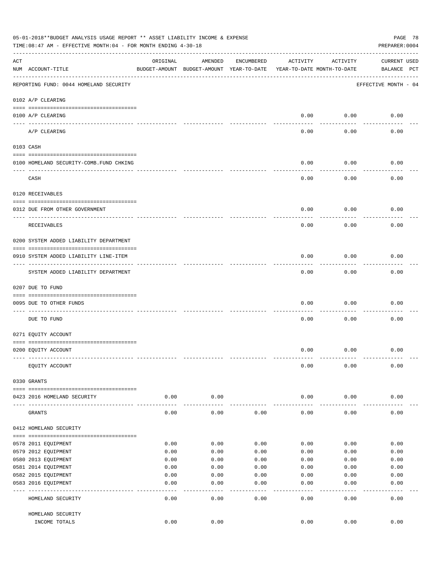|     | 05-01-2018**BUDGET ANALYSIS USAGE REPORT ** ASSET LIABILITY INCOME & EXPENSE<br>PAGE 78<br>TIME:08:47 AM - EFFECTIVE MONTH:04 - FOR MONTH ENDING 4-30-18<br>PREPARER: 0004 |               |                                                     |              |                                        |               |                                    |  |  |  |  |  |
|-----|----------------------------------------------------------------------------------------------------------------------------------------------------------------------------|---------------|-----------------------------------------------------|--------------|----------------------------------------|---------------|------------------------------------|--|--|--|--|--|
| ACT | NUM ACCOUNT-TITLE                                                                                                                                                          | ORIGINAL      | AMENDED<br>BUDGET-AMOUNT BUDGET-AMOUNT YEAR-TO-DATE | ENCUMBERED   | ACTIVITY<br>YEAR-TO-DATE MONTH-TO-DATE | ACTIVITY      | <b>CURRENT USED</b><br>BALANCE PCT |  |  |  |  |  |
|     | REPORTING FUND: 0044 HOMELAND SECURITY                                                                                                                                     |               |                                                     |              |                                        |               | EFFECTIVE MONTH - 04               |  |  |  |  |  |
|     | 0102 A/P CLEARING                                                                                                                                                          |               |                                                     |              |                                        |               |                                    |  |  |  |  |  |
|     | 0100 A/P CLEARING                                                                                                                                                          |               |                                                     |              | 0.00                                   | 0.00          | 0.00                               |  |  |  |  |  |
|     | ---- ----------<br>A/P CLEARING                                                                                                                                            |               |                                                     |              | 0.00                                   | 0.00          | 0.00                               |  |  |  |  |  |
|     | 0103 CASH                                                                                                                                                                  |               |                                                     |              |                                        |               |                                    |  |  |  |  |  |
|     | 0100 HOMELAND SECURITY-COMB.FUND CHKING                                                                                                                                    |               |                                                     |              | 0.00                                   | 0.00          | 0.00                               |  |  |  |  |  |
|     | CASH                                                                                                                                                                       |               |                                                     |              | 0.00                                   | 0.00          | 0.00                               |  |  |  |  |  |
|     | 0120 RECEIVABLES                                                                                                                                                           |               |                                                     |              |                                        |               |                                    |  |  |  |  |  |
|     | 0312 DUE FROM OTHER GOVERNMENT                                                                                                                                             |               |                                                     |              | 0.00                                   | 0.00          | 0.00                               |  |  |  |  |  |
|     | RECEIVABLES                                                                                                                                                                |               |                                                     |              | 0.00                                   | 0.00          | 0.00                               |  |  |  |  |  |
|     | 0200 SYSTEM ADDED LIABILITY DEPARTMENT                                                                                                                                     |               |                                                     |              |                                        |               |                                    |  |  |  |  |  |
|     | 0910 SYSTEM ADDED LIABILITY LINE-ITEM                                                                                                                                      |               |                                                     |              | 0.00                                   | 0.00          | 0.00                               |  |  |  |  |  |
|     | SYSTEM ADDED LIABILITY DEPARTMENT                                                                                                                                          |               |                                                     |              | 0.00                                   | 0.00          | 0.00                               |  |  |  |  |  |
|     | 0207 DUE TO FUND                                                                                                                                                           |               |                                                     |              |                                        |               |                                    |  |  |  |  |  |
|     | 0095 DUE TO OTHER FUNDS                                                                                                                                                    |               |                                                     |              | 0.00                                   | 0.00          | 0.00                               |  |  |  |  |  |
|     | DUE TO FUND                                                                                                                                                                |               |                                                     |              | 0.00                                   | 0.00          | 0.00                               |  |  |  |  |  |
|     | 0271 EQUITY ACCOUNT                                                                                                                                                        |               |                                                     |              |                                        |               |                                    |  |  |  |  |  |
|     | 0200 EQUITY ACCOUNT                                                                                                                                                        |               |                                                     |              | 0.00                                   | 0.00          | 0.00                               |  |  |  |  |  |
|     | EQUITY ACCOUNT                                                                                                                                                             |               |                                                     |              | 0.00                                   | 0.00          | 0.00                               |  |  |  |  |  |
|     | 0330 GRANTS                                                                                                                                                                |               |                                                     |              |                                        |               |                                    |  |  |  |  |  |
|     | 0423 2016 HOMELAND SECURITY                                                                                                                                                | 0.00          | 0.00                                                |              | 0.00                                   | 0.00          | 0.00                               |  |  |  |  |  |
|     | GRANTS                                                                                                                                                                     | 0.00          | 0.00                                                | 0.00         | 0.00                                   | 0.00          | 0.00                               |  |  |  |  |  |
|     | 0412 HOMELAND SECURITY                                                                                                                                                     |               |                                                     |              |                                        |               |                                    |  |  |  |  |  |
|     |                                                                                                                                                                            |               |                                                     |              |                                        |               |                                    |  |  |  |  |  |
|     | 0578 2011 EQUIPMENT                                                                                                                                                        | 0.00          | 0.00                                                | 0.00         | 0.00                                   | 0.00          | 0.00                               |  |  |  |  |  |
|     | 0579 2012 EQUIPMENT                                                                                                                                                        | 0.00          | 0.00                                                | 0.00         | 0.00                                   | 0.00          | 0.00                               |  |  |  |  |  |
|     | 0580 2013 EQUIPMENT                                                                                                                                                        | 0.00          | 0.00                                                | 0.00         | 0.00                                   | 0.00          | 0.00                               |  |  |  |  |  |
|     | 0581 2014 EQUIPMENT                                                                                                                                                        | 0.00          | 0.00                                                | 0.00         | 0.00                                   | 0.00          | 0.00                               |  |  |  |  |  |
|     | 0582 2015 EQUIPMENT                                                                                                                                                        | 0.00          | 0.00                                                | 0.00         | 0.00                                   | 0.00          | 0.00                               |  |  |  |  |  |
|     | 0583 2016 EQUIPMENT                                                                                                                                                        | 0.00<br>$---$ | 0.00                                                | 0.00         | 0.00                                   | 0.00          | 0.00                               |  |  |  |  |  |
|     | HOMELAND SECURITY                                                                                                                                                          | 0.00          | ----<br>0.00                                        | ----<br>0.00 | $---$<br>0.00                          | $---$<br>0.00 | -----<br>0.00                      |  |  |  |  |  |
|     | HOMELAND SECURITY                                                                                                                                                          |               |                                                     |              |                                        |               |                                    |  |  |  |  |  |
|     | INCOME TOTALS                                                                                                                                                              | 0.00          | 0.00                                                |              | 0.00                                   | 0.00          | 0.00                               |  |  |  |  |  |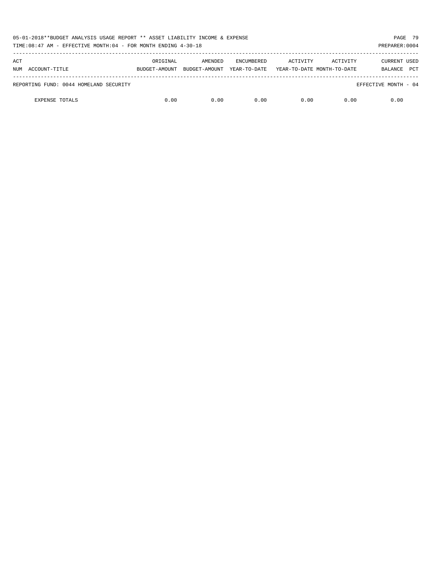| 05-01-2018**BUDGET ANALYSIS USAGE REPORT ** ASSET LIABILITY INCOME & EXPENSE<br>TIME:08:47 AM - EFFECTIVE MONTH:04 - FOR MONTH ENDING 4-30-18 |               |               |                   |                            |          |                       |  |  |  |
|-----------------------------------------------------------------------------------------------------------------------------------------------|---------------|---------------|-------------------|----------------------------|----------|-----------------------|--|--|--|
| ACT                                                                                                                                           | ORIGINAL      | AMENDED       | <b>ENCUMBERED</b> | ACTIVITY                   | ACTIVITY | CURRENT USED          |  |  |  |
| NUM ACCOUNT-TITLE                                                                                                                             | BUDGET-AMOUNT | BUDGET-AMOUNT | YEAR-TO-DATE      | YEAR-TO-DATE MONTH-TO-DATE |          | <b>PCT</b><br>BALANCE |  |  |  |
| REPORTING FUND: 0044 HOMELAND SECURITY                                                                                                        |               |               |                   |                            |          | EFFECTIVE MONTH - 04  |  |  |  |
| <b>EXPENSE TOTALS</b>                                                                                                                         | 0.00          | 0.00          | 0.00              | 0.00                       | 0.00     | 0.00                  |  |  |  |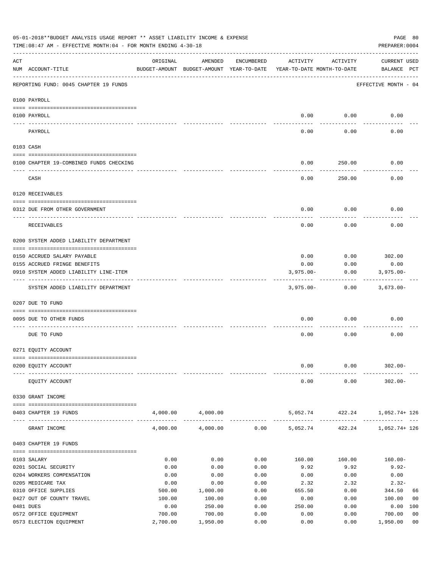| 05-01-2018**BUDGET ANALYSIS USAGE REPORT ** ASSET LIABILITY INCOME & EXPENSE<br>PAGE 80<br>TIME: 08:47 AM - EFFECTIVE MONTH: 04 - FOR MONTH ENDING 4-30-18<br>PREPARER: 0004 |                                         |          |                                                     |            |                                        |          |                                    |  |  |  |  |
|------------------------------------------------------------------------------------------------------------------------------------------------------------------------------|-----------------------------------------|----------|-----------------------------------------------------|------------|----------------------------------------|----------|------------------------------------|--|--|--|--|
| ACT                                                                                                                                                                          | NUM ACCOUNT-TITLE                       | ORIGINAL | AMENDED<br>BUDGET-AMOUNT BUDGET-AMOUNT YEAR-TO-DATE | ENCUMBERED | ACTIVITY<br>YEAR-TO-DATE MONTH-TO-DATE | ACTIVITY | <b>CURRENT USED</b><br>BALANCE PCT |  |  |  |  |
|                                                                                                                                                                              | REPORTING FUND: 0045 CHAPTER 19 FUNDS   |          |                                                     |            |                                        |          | EFFECTIVE MONTH - 04               |  |  |  |  |
|                                                                                                                                                                              | 0100 PAYROLL                            |          |                                                     |            |                                        |          |                                    |  |  |  |  |
|                                                                                                                                                                              | 0100 PAYROLL                            |          |                                                     |            | 0.00                                   | 0.00     | 0.00                               |  |  |  |  |
|                                                                                                                                                                              | PAYROLL                                 |          |                                                     |            | 0.00                                   | 0.00     | 0.00                               |  |  |  |  |
|                                                                                                                                                                              | 0103 CASH                               |          |                                                     |            |                                        |          |                                    |  |  |  |  |
|                                                                                                                                                                              | 0100 CHAPTER 19-COMBINED FUNDS CHECKING |          |                                                     |            | 0.00                                   | 250.00   | 0.00                               |  |  |  |  |
|                                                                                                                                                                              | CASH                                    |          |                                                     |            | 0.00                                   | 250.00   | 0.00                               |  |  |  |  |
|                                                                                                                                                                              | 0120 RECEIVABLES                        |          |                                                     |            |                                        |          |                                    |  |  |  |  |
|                                                                                                                                                                              | 0312 DUE FROM OTHER GOVERNMENT          |          |                                                     |            | 0.00                                   | 0.00     | 0.00                               |  |  |  |  |
|                                                                                                                                                                              | RECEIVABLES                             |          |                                                     |            | 0.00                                   | 0.00     | 0.00                               |  |  |  |  |
|                                                                                                                                                                              | 0200 SYSTEM ADDED LIABILITY DEPARTMENT  |          |                                                     |            |                                        |          |                                    |  |  |  |  |
|                                                                                                                                                                              | 0150 ACCRUED SALARY PAYABLE             |          |                                                     |            | 0.00                                   | 0.00     | 302.00                             |  |  |  |  |
|                                                                                                                                                                              | 0155 ACCRUED FRINGE BENEFITS            |          |                                                     |            | 0.00                                   | 0.00     | 0.00                               |  |  |  |  |
|                                                                                                                                                                              | 0910 SYSTEM ADDED LIABILITY LINE-ITEM   |          |                                                     |            | $3,975.00 -$                           | 0.00     | $3,975.00 -$                       |  |  |  |  |
|                                                                                                                                                                              | SYSTEM ADDED LIABILITY DEPARTMENT       |          |                                                     |            | $3,975.00-$                            | 0.00     | $3,673.00 -$                       |  |  |  |  |
|                                                                                                                                                                              | 0207 DUE TO FUND                        |          |                                                     |            |                                        |          |                                    |  |  |  |  |
|                                                                                                                                                                              | 0095 DUE TO OTHER FUNDS                 |          |                                                     |            | 0.00                                   | 0.00     | 0.00                               |  |  |  |  |
|                                                                                                                                                                              |                                         |          |                                                     |            |                                        |          |                                    |  |  |  |  |
|                                                                                                                                                                              | DUE TO FUND                             |          |                                                     |            | 0.00                                   | 0.00     | 0.00                               |  |  |  |  |
|                                                                                                                                                                              | 0271 EQUITY ACCOUNT                     |          |                                                     |            |                                        |          |                                    |  |  |  |  |
|                                                                                                                                                                              | 0200 EQUITY ACCOUNT                     |          |                                                     |            | 0.00                                   | 0.00     | $302.00 -$                         |  |  |  |  |
|                                                                                                                                                                              |                                         |          |                                                     |            |                                        |          |                                    |  |  |  |  |
|                                                                                                                                                                              | EQUITY ACCOUNT                          |          |                                                     |            | 0.00                                   | 0.00     | $302.00 -$                         |  |  |  |  |
|                                                                                                                                                                              | 0330 GRANT INCOME                       |          |                                                     |            |                                        |          |                                    |  |  |  |  |
|                                                                                                                                                                              | 0403 CHAPTER 19 FUNDS                   |          | 4,000.00 4,000.00                                   |            | 5,052.74                               |          | 422.24 1,052.74+126                |  |  |  |  |
|                                                                                                                                                                              | GRANT INCOME                            | 4,000.00 | 4,000.00                                            | 0.00       | 5,052.74                               | 422.24   | 1,052.74+ 126                      |  |  |  |  |
|                                                                                                                                                                              | 0403 CHAPTER 19 FUNDS                   |          |                                                     |            |                                        |          |                                    |  |  |  |  |
|                                                                                                                                                                              | 0103 SALARY                             | 0.00     | 0.00                                                | 0.00       | 160.00                                 | 160.00   | $160.00-$                          |  |  |  |  |
|                                                                                                                                                                              | 0201 SOCIAL SECURITY                    | 0.00     | 0.00                                                | 0.00       | 9.92                                   | 9.92     | $9.92 -$                           |  |  |  |  |
|                                                                                                                                                                              | 0204 WORKERS COMPENSATION               | 0.00     | 0.00                                                | 0.00       | 0.00                                   | 0.00     | 0.00                               |  |  |  |  |
|                                                                                                                                                                              | 0205 MEDICARE TAX                       | 0.00     | 0.00                                                | 0.00       | 2.32                                   | 2.32     | $2.32-$                            |  |  |  |  |
|                                                                                                                                                                              | 0310 OFFICE SUPPLIES                    | 500.00   | 1,000.00                                            | 0.00       | 655.50                                 | 0.00     | 344.50<br>66                       |  |  |  |  |
|                                                                                                                                                                              | 0427 OUT OF COUNTY TRAVEL               | 100.00   | 100.00                                              | 0.00       | 0.00                                   | 0.00     | 100.00<br>00                       |  |  |  |  |
|                                                                                                                                                                              | 0481 DUES                               | 0.00     | 250.00                                              | 0.00       | 250.00                                 | 0.00     | 0.00 100                           |  |  |  |  |
|                                                                                                                                                                              | 0572 OFFICE EQUIPMENT                   | 700.00   | 700.00                                              | 0.00       | 0.00                                   | 0.00     | 0 <sub>0</sub><br>700.00           |  |  |  |  |
|                                                                                                                                                                              | 0573 ELECTION EQUIPMENT                 | 2,700.00 | 1,950.00                                            | 0.00       | 0.00                                   | 0.00     | 1,950.00<br>0 <sub>0</sub>         |  |  |  |  |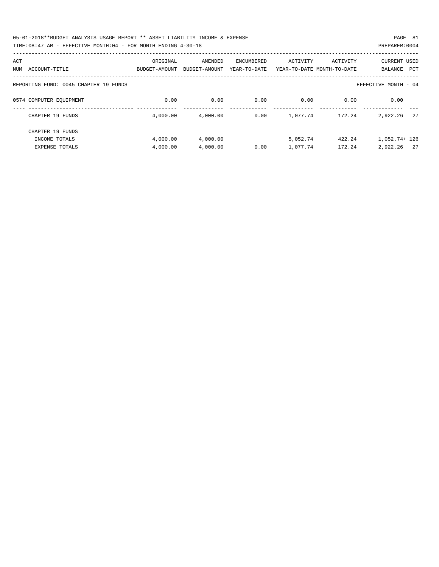| 05-01-2018**BUDGET ANALYSIS USAGE REPORT ** ASSET LIABILITY INCOME & EXPENSE | PAGE 81        |  |
|------------------------------------------------------------------------------|----------------|--|
| TIME:08:47 AM - EFFECTIVE MONTH:04 - FOR MONTH ENDING 4-30-18                | PREPARER: 0004 |  |

| ACT |                                       | ORIGINAL      | AMENDED       | ENCUMBERED   | ACTIVITY | ACTIVITY                   | CURRENT USED          |
|-----|---------------------------------------|---------------|---------------|--------------|----------|----------------------------|-----------------------|
| NUM | ACCOUNT-TITLE                         | BUDGET-AMOUNT | BUDGET-AMOUNT | YEAR-TO-DATE |          | YEAR-TO-DATE MONTH-TO-DATE | BALANCE<br><b>PCT</b> |
|     | REPORTING FUND: 0045 CHAPTER 19 FUNDS |               |               |              |          |                            | EFFECTIVE MONTH - 04  |
|     | 0574 COMPUTER EQUIPMENT               | 0.00          | 0.00          | 0.00         | 0.00     | 0.00                       | 0.00                  |
|     | CHAPTER 19 FUNDS                      | 4,000.00      | 4,000.00      | 0.00         | 1,077.74 | 172.24                     | 2.7<br>2,922.26       |
|     | CHAPTER 19 FUNDS                      |               |               |              |          |                            |                       |
|     | INCOME TOTALS                         | 4,000.00      | 4,000.00      |              | 5,052.74 | 422.24                     | $1.052.74 + 126$      |
|     | <b>EXPENSE TOTALS</b>                 | 4,000.00      | 4,000.00      | 0.00         | 1,077.74 | 172.24                     | 2,922.26<br>2.7       |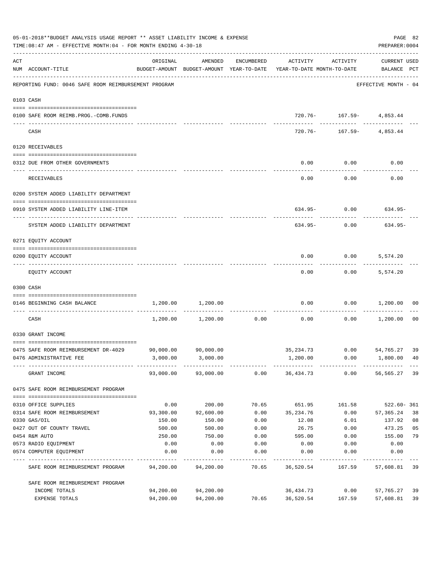|     | 05-01-2018**BUDGET ANALYSIS USAGE REPORT ** ASSET LIABILITY INCOME & EXPENSE<br>TIME:08:47 AM - EFFECTIVE MONTH:04 - FOR MONTH ENDING 4-30-18 |                   |                     |               |                                                                                 |                               |                                    |      |  |  |  |
|-----|-----------------------------------------------------------------------------------------------------------------------------------------------|-------------------|---------------------|---------------|---------------------------------------------------------------------------------|-------------------------------|------------------------------------|------|--|--|--|
| ACT | NUM ACCOUNT-TITLE                                                                                                                             | ORIGINAL          | AMENDED             | ENCUMBERED    | ACTIVITY<br>BUDGET-AMOUNT BUDGET-AMOUNT YEAR-TO-DATE YEAR-TO-DATE MONTH-TO-DATE | ACTIVITY                      | <b>CURRENT USED</b><br>BALANCE PCT |      |  |  |  |
|     | REPORTING FUND: 0046 SAFE ROOM REIMBURSEMENT PROGRAM                                                                                          |                   |                     |               |                                                                                 |                               | EFFECTIVE MONTH - 04               |      |  |  |  |
|     | 0103 CASH                                                                                                                                     |                   |                     |               |                                                                                 |                               |                                    |      |  |  |  |
|     | 0100 SAFE ROOM REIMB.PROG.-COMB.FUNDS                                                                                                         |                   |                     |               |                                                                                 | 720.76- 167.59- 4,853.44      |                                    |      |  |  |  |
|     | CASH                                                                                                                                          |                   |                     |               | 720.76-                                                                         |                               | 167.59- 4,853.44                   |      |  |  |  |
|     | 0120 RECEIVABLES                                                                                                                              |                   |                     |               |                                                                                 |                               |                                    |      |  |  |  |
|     | 0312 DUE FROM OTHER GOVERNMENTS                                                                                                               |                   |                     |               | 0.00                                                                            | 0.00                          | 0.00                               |      |  |  |  |
|     | <b>RECEIVABLES</b>                                                                                                                            |                   |                     |               | 0.00                                                                            | 0.00                          | 0.00                               |      |  |  |  |
|     | 0200 SYSTEM ADDED LIABILITY DEPARTMENT                                                                                                        |                   |                     |               |                                                                                 |                               |                                    |      |  |  |  |
|     | 0910 SYSTEM ADDED LIABILITY LINE-ITEM                                                                                                         |                   |                     |               |                                                                                 |                               | $634.95 - 0.00$ 634.95-            |      |  |  |  |
|     | SYSTEM ADDED LIABILITY DEPARTMENT                                                                                                             |                   |                     |               | 634.95-                                                                         | 0.00                          | 634.95-                            |      |  |  |  |
|     | 0271 EQUITY ACCOUNT                                                                                                                           |                   |                     |               |                                                                                 |                               |                                    |      |  |  |  |
|     | 0200 EQUITY ACCOUNT                                                                                                                           |                   |                     |               | 0.00                                                                            | $0.00$ 5,574.20               |                                    |      |  |  |  |
|     | EQUITY ACCOUNT                                                                                                                                |                   |                     |               | 0.00                                                                            |                               | $0.00$ 5,574.20                    |      |  |  |  |
|     | 0300 CASH                                                                                                                                     |                   |                     |               |                                                                                 |                               |                                    |      |  |  |  |
|     | 0146 BEGINNING CASH BALANCE                                                                                                                   | 1,200.00          | 1,200.00            | ------------- | 0.00                                                                            | 0.00<br>.                     | 1,200.00                           | 00   |  |  |  |
|     | CASH                                                                                                                                          | 1,200.00          | 1,200.00            | 0.00          | 0.00                                                                            | 0.00                          | 1,200.00                           | - 00 |  |  |  |
|     | 0330 GRANT INCOME                                                                                                                             |                   |                     |               |                                                                                 |                               |                                    |      |  |  |  |
|     | 0475 SAFE ROOM REIMBURSEMENT DR-4029                                                                                                          |                   | 90,000.00 90,000.00 |               | 35, 234.73 0.00 54, 765.27 39                                                   |                               |                                    |      |  |  |  |
|     | 0476 ADMINISTRATIVE FEE                                                                                                                       |                   | 3,000.00 3,000.00   |               | 1,200.00                                                                        |                               | $0.00$ 1,800.00 40                 |      |  |  |  |
|     | GRANT INCOME                                                                                                                                  |                   |                     |               | 93,000.00  93,000.00  0.00  36,434.73  0.00  56,565.27  39                      |                               |                                    |      |  |  |  |
|     | 0475 SAFE ROOM REIMBURSEMENT PROGRAM                                                                                                          |                   |                     |               |                                                                                 |                               |                                    |      |  |  |  |
|     |                                                                                                                                               |                   |                     |               |                                                                                 |                               |                                    |      |  |  |  |
|     | 0310 OFFICE SUPPLIES<br>0314 SAFE ROOM REIMBURSEMENT                                                                                          | 0.00<br>93,300.00 | 200.00<br>92,600.00 | 70.65         | 651.95 161.58<br>$0.00$ 35,234.76                                               | 0.00                          | 522.60-361<br>57,365.24            | 38   |  |  |  |
|     | 0330 GAS/OIL                                                                                                                                  | 150.00            | 150.00              | 0.00          | 12.08                                                                           | 6.01                          | 137.92                             | 08   |  |  |  |
|     | 0427 OUT OF COUNTY TRAVEL                                                                                                                     | 500.00            | 500.00              | 0.00          | 26.75                                                                           | 0.00                          | 473.25                             | 05   |  |  |  |
|     | 0454 R&M AUTO                                                                                                                                 | 250.00            | 750.00              | 0.00          | 595.00                                                                          | 0.00                          | 155.00                             | 79   |  |  |  |
|     | 0573 RADIO EQUIPMENT                                                                                                                          | 0.00              | 0.00                | 0.00          | 0.00                                                                            | 0.00                          | 0.00                               |      |  |  |  |
|     | 0574 COMPUTER EQUIPMENT                                                                                                                       | 0.00              | 0.00<br>----------- | 0.00          | 0.00                                                                            | 0.00                          | 0.00<br>----------                 |      |  |  |  |
|     | SAFE ROOM REIMBURSEMENT PROGRAM                                                                                                               | 94,200.00         | 94,200.00           |               | -----------<br>70.65 36,520.54                                                  | . _ _ _ _ _ _ _ _ _<br>167.59 | 57,608.81 39                       |      |  |  |  |
|     | SAFE ROOM REIMBURSEMENT PROGRAM                                                                                                               |                   |                     |               |                                                                                 |                               |                                    |      |  |  |  |
|     | INCOME TOTALS                                                                                                                                 | 94,200.00         | 94,200.00           |               | 36,434.73                                                                       | 0.00                          | 57,765.27                          | 39   |  |  |  |
|     | EXPENSE TOTALS                                                                                                                                | 94,200.00         | 94,200.00           | 70.65         | 36,520.54                                                                       | 167.59                        | 57,608.81                          | 39   |  |  |  |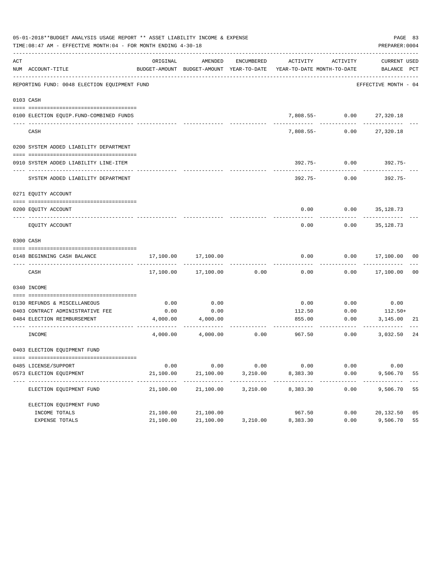| 05-01-2018**BUDGET ANALYSIS USAGE REPORT ** ASSET LIABILITY INCOME & EXPENSE<br>PAGE 83<br>TIME: 08:47 AM - EFFECTIVE MONTH: 04 - FOR MONTH ENDING 4-30-18<br>PREPARER: 0004 |                                              |                         |                          |            |                                                                                 |                  |                             |    |  |  |
|------------------------------------------------------------------------------------------------------------------------------------------------------------------------------|----------------------------------------------|-------------------------|--------------------------|------------|---------------------------------------------------------------------------------|------------------|-----------------------------|----|--|--|
| ACT                                                                                                                                                                          | NUM ACCOUNT-TITLE                            | ORIGINAL                | AMENDED                  | ENCUMBERED | ACTIVITY<br>BUDGET-AMOUNT BUDGET-AMOUNT YEAR-TO-DATE YEAR-TO-DATE MONTH-TO-DATE | ACTIVITY         | CURRENT USED<br>BALANCE PCT |    |  |  |
|                                                                                                                                                                              | REPORTING FUND: 0048 ELECTION EQUIPMENT FUND |                         |                          |            |                                                                                 |                  | EFFECTIVE MONTH - 04        |    |  |  |
|                                                                                                                                                                              | 0103 CASH                                    |                         |                          |            |                                                                                 |                  |                             |    |  |  |
|                                                                                                                                                                              | 0100 ELECTION EQUIP.FUND-COMBINED FUNDS      |                         |                          |            |                                                                                 | 7,808.55- 0.00   | 27,320.18                   |    |  |  |
|                                                                                                                                                                              | ----------------------<br>CASH               |                         |                          |            | ------<br>$7.808.55 -$                                                          | 0.00             | 27,320.18                   |    |  |  |
|                                                                                                                                                                              | 0200 SYSTEM ADDED LIABILITY DEPARTMENT       |                         |                          |            |                                                                                 |                  |                             |    |  |  |
|                                                                                                                                                                              | 0910 SYSTEM ADDED LIABILITY LINE-ITEM        |                         |                          |            |                                                                                 | $392.75 - 0.00$  | 392.75-                     |    |  |  |
|                                                                                                                                                                              | SYSTEM ADDED LIABILITY DEPARTMENT            |                         |                          |            | 392.75-                                                                         | 0.00             | 392.75-                     |    |  |  |
|                                                                                                                                                                              | 0271 EQUITY ACCOUNT                          |                         |                          |            |                                                                                 |                  |                             |    |  |  |
|                                                                                                                                                                              | 0200 EOUITY ACCOUNT                          |                         |                          |            | 0.00                                                                            | $0.00$ 35,128.73 |                             |    |  |  |
|                                                                                                                                                                              | EQUITY ACCOUNT                               |                         |                          |            | 0.00                                                                            | 0.00             | 35,128.73                   |    |  |  |
|                                                                                                                                                                              | 0300 CASH                                    |                         |                          |            |                                                                                 |                  |                             |    |  |  |
|                                                                                                                                                                              | 0148 BEGINNING CASH BALANCE                  | 17,100.00               | 17,100.00                |            | 0.00                                                                            |                  | $0.00$ 17,100.00 00         |    |  |  |
|                                                                                                                                                                              | CASH                                         |                         | 17,100.00 17,100.00      | 0.00       | 0.00                                                                            |                  | $0.00$ 17,100.00            | 00 |  |  |
|                                                                                                                                                                              | 0340 INCOME                                  |                         |                          |            |                                                                                 |                  |                             |    |  |  |
|                                                                                                                                                                              | 0130 REFUNDS & MISCELLANEOUS                 | 0.00                    | 0.00                     |            | 0.00                                                                            | 0.00             | 0.00                        |    |  |  |
|                                                                                                                                                                              | 0403 CONTRACT ADMINISTRATIVE FEE             | 0.00                    | 0.00                     |            | 112.50                                                                          | 0.00             | $112.50+$                   |    |  |  |
|                                                                                                                                                                              | 0484 ELECTION REIMBURSEMENT                  |                         | 4,000.00 4,000.00        |            | 855.00                                                                          | 0.00             | 3,145.00                    | 21 |  |  |
|                                                                                                                                                                              | INCOME                                       | 4,000.00                | 4,000.00                 | 0.00       | 967.50                                                                          | 0.00             | 3,032.50                    | 24 |  |  |
|                                                                                                                                                                              | 0403 ELECTION EQUIPMENT FUND                 |                         |                          |            |                                                                                 |                  |                             |    |  |  |
|                                                                                                                                                                              | 0485 LICENSE/SUPPORT                         | 0.00                    | 0.00                     | 0.00       | 0.00                                                                            | 0.00             | 0.00                        |    |  |  |
|                                                                                                                                                                              | 0573 ELECTION EQUIPMENT                      | 21,100.00               | 21,100.00                | 3,210.00   | 8,383.30                                                                        | 0.00             | 9,506.70                    | 55 |  |  |
|                                                                                                                                                                              | ELECTION EQUIPMENT FUND                      | ----------<br>21,100.00 | -----------<br>21,100.00 | 3,210.00   | ----------<br>8,383.30                                                          | 0.00             | 9,506.70                    | 55 |  |  |
|                                                                                                                                                                              | ELECTION EQUIPMENT FUND                      |                         |                          |            |                                                                                 |                  |                             |    |  |  |
|                                                                                                                                                                              | INCOME TOTALS                                | 21,100.00               | 21,100.00                |            | 967.50                                                                          | 0.00             | 20,132.50                   | 05 |  |  |
|                                                                                                                                                                              | EXPENSE TOTALS                               | 21,100.00               | 21,100.00                | 3,210.00   | 8,383.30                                                                        | 0.00             | 9,506.70                    | 55 |  |  |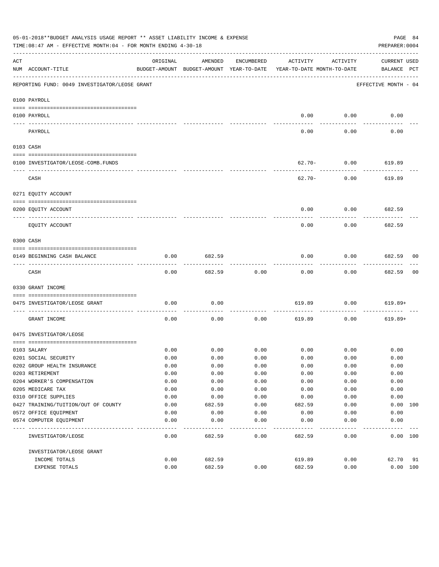|                                                                                                                                                                                                                                                                                                                                                                                                                                                                            | 05-01-2018**BUDGET ANALYSIS USAGE REPORT ** ASSET LIABILITY INCOME & EXPENSE<br>TIME:08:47 AM - EFFECTIVE MONTH:04 - FOR MONTH ENDING 4-30-18 |              |                                                     |              |                                        |             | PAGE 84<br>PREPARER: 0004   |    |
|----------------------------------------------------------------------------------------------------------------------------------------------------------------------------------------------------------------------------------------------------------------------------------------------------------------------------------------------------------------------------------------------------------------------------------------------------------------------------|-----------------------------------------------------------------------------------------------------------------------------------------------|--------------|-----------------------------------------------------|--------------|----------------------------------------|-------------|-----------------------------|----|
| ACT                                                                                                                                                                                                                                                                                                                                                                                                                                                                        | NUM ACCOUNT-TITLE                                                                                                                             | ORIGINAL     | AMENDED<br>BUDGET-AMOUNT BUDGET-AMOUNT YEAR-TO-DATE | ENCUMBERED   | ACTIVITY<br>YEAR-TO-DATE MONTH-TO-DATE | ACTIVITY    | CURRENT USED<br>BALANCE PCT |    |
|                                                                                                                                                                                                                                                                                                                                                                                                                                                                            | REPORTING FUND: 0049 INVESTIGATOR/LEOSE GRANT                                                                                                 |              |                                                     |              |                                        |             | EFFECTIVE MONTH - 04        |    |
|                                                                                                                                                                                                                                                                                                                                                                                                                                                                            | 0100 PAYROLL                                                                                                                                  |              |                                                     |              |                                        |             |                             |    |
|                                                                                                                                                                                                                                                                                                                                                                                                                                                                            | 0100 PAYROLL                                                                                                                                  |              |                                                     |              | 0.00                                   | 0.00        | 0.00                        |    |
| $\frac{1}{2} \left( \frac{1}{2} \right) \left( \frac{1}{2} \right) \left( \frac{1}{2} \right) \left( \frac{1}{2} \right) \left( \frac{1}{2} \right) \left( \frac{1}{2} \right) \left( \frac{1}{2} \right) \left( \frac{1}{2} \right) \left( \frac{1}{2} \right) \left( \frac{1}{2} \right) \left( \frac{1}{2} \right) \left( \frac{1}{2} \right) \left( \frac{1}{2} \right) \left( \frac{1}{2} \right) \left( \frac{1}{2} \right) \left( \frac{1}{2} \right) \left( \frac$ | PAYROLL                                                                                                                                       |              |                                                     |              | 0.00                                   | 0.00        | 0.00                        |    |
|                                                                                                                                                                                                                                                                                                                                                                                                                                                                            | 0103 CASH                                                                                                                                     |              |                                                     |              |                                        |             |                             |    |
|                                                                                                                                                                                                                                                                                                                                                                                                                                                                            | 0100 INVESTIGATOR/LEOSE-COMB.FUNDS                                                                                                            |              |                                                     |              | $62.70 -$                              | 0.00        | 619.89                      |    |
|                                                                                                                                                                                                                                                                                                                                                                                                                                                                            | CASH                                                                                                                                          |              |                                                     |              | 62.70-                                 | 0.00        | 619.89                      |    |
|                                                                                                                                                                                                                                                                                                                                                                                                                                                                            | 0271 EQUITY ACCOUNT                                                                                                                           |              |                                                     |              |                                        |             |                             |    |
|                                                                                                                                                                                                                                                                                                                                                                                                                                                                            | 0200 EQUITY ACCOUNT                                                                                                                           |              |                                                     |              | 0.00                                   | 0.00        | 682.59                      |    |
|                                                                                                                                                                                                                                                                                                                                                                                                                                                                            | EQUITY ACCOUNT                                                                                                                                |              |                                                     |              | 0.00                                   | 0.00        | 682.59                      |    |
|                                                                                                                                                                                                                                                                                                                                                                                                                                                                            | 0300 CASH                                                                                                                                     |              |                                                     |              |                                        |             |                             |    |
|                                                                                                                                                                                                                                                                                                                                                                                                                                                                            | 0149 BEGINNING CASH BALANCE                                                                                                                   | 0.00         | 682.59                                              |              | 0.00                                   | 0.00        | 682.59 00                   |    |
|                                                                                                                                                                                                                                                                                                                                                                                                                                                                            | CASH                                                                                                                                          | 0.00         | 682.59                                              | 0.00         | 0.00                                   | 0.00        | 682.59                      | 00 |
|                                                                                                                                                                                                                                                                                                                                                                                                                                                                            | 0330 GRANT INCOME                                                                                                                             |              |                                                     |              |                                        |             |                             |    |
|                                                                                                                                                                                                                                                                                                                                                                                                                                                                            | 0475 INVESTIGATOR/LEOSE GRANT                                                                                                                 | 0.00         | 0.00                                                |              | 619.89                                 | 0.00        | $619.89+$                   |    |
|                                                                                                                                                                                                                                                                                                                                                                                                                                                                            | GRANT INCOME                                                                                                                                  | 0.00         | 0.00                                                | 0.00         | 619.89                                 | 0.00        | $619.89+$                   |    |
|                                                                                                                                                                                                                                                                                                                                                                                                                                                                            | 0475 INVESTIGATOR/LEOSE                                                                                                                       |              |                                                     |              |                                        |             |                             |    |
|                                                                                                                                                                                                                                                                                                                                                                                                                                                                            |                                                                                                                                               |              |                                                     |              |                                        |             |                             |    |
|                                                                                                                                                                                                                                                                                                                                                                                                                                                                            | 0103 SALARY                                                                                                                                   | 0.00         | 0.00                                                | 0.00         |                                        | $0.00$ 0.00 | 0.00                        |    |
|                                                                                                                                                                                                                                                                                                                                                                                                                                                                            | 0201 SOCIAL SECURITY                                                                                                                          | 0.00         | 0.00                                                | 0.00         | 0.00                                   | 0.00        | 0.00                        |    |
|                                                                                                                                                                                                                                                                                                                                                                                                                                                                            | 0202 GROUP HEALTH INSURANCE                                                                                                                   | 0.00         | 0.00                                                | 0.00         | 0.00                                   | 0.00        | 0.00                        |    |
|                                                                                                                                                                                                                                                                                                                                                                                                                                                                            | 0203 RETIREMENT                                                                                                                               | 0.00         | 0.00                                                | 0.00         | 0.00                                   | 0.00        | 0.00                        |    |
|                                                                                                                                                                                                                                                                                                                                                                                                                                                                            | 0204 WORKER'S COMPENSATION                                                                                                                    | 0.00         | 0.00                                                | 0.00         | 0.00                                   | 0.00        | 0.00                        |    |
|                                                                                                                                                                                                                                                                                                                                                                                                                                                                            | 0205 MEDICARE TAX                                                                                                                             | 0.00         | 0.00                                                | 0.00         | 0.00                                   | 0.00        | 0.00                        |    |
|                                                                                                                                                                                                                                                                                                                                                                                                                                                                            | 0310 OFFICE SUPPLIES                                                                                                                          | 0.00         | 0.00                                                | 0.00         | 0.00                                   | 0.00        | 0.00                        |    |
|                                                                                                                                                                                                                                                                                                                                                                                                                                                                            | 0427 TRAINING/TUITION/OUT OF COUNTY                                                                                                           | 0.00<br>0.00 | 682.59<br>0.00                                      | 0.00<br>0.00 | 682.59<br>0.00                         | 0.00        | 0.00<br>100                 |    |
|                                                                                                                                                                                                                                                                                                                                                                                                                                                                            | 0572 OFFICE EQUIPMENT<br>0574 COMPUTER EQUIPMENT                                                                                              |              |                                                     |              |                                        | 0.00        | 0.00                        |    |
|                                                                                                                                                                                                                                                                                                                                                                                                                                                                            |                                                                                                                                               | 0.00         | 0.00                                                | 0.00         | 0.00                                   | 0.00        | 0.00                        |    |
|                                                                                                                                                                                                                                                                                                                                                                                                                                                                            | INVESTIGATOR/LEOSE                                                                                                                            | 0.00         | 682.59                                              | 0.00         | 682.59                                 | 0.00        | 0.00 100                    |    |
|                                                                                                                                                                                                                                                                                                                                                                                                                                                                            | INVESTIGATOR/LEOSE GRANT                                                                                                                      |              |                                                     |              |                                        |             |                             |    |
|                                                                                                                                                                                                                                                                                                                                                                                                                                                                            | INCOME TOTALS                                                                                                                                 | 0.00         | 682.59                                              |              | 619.89                                 | 0.00        | 62.70                       | 91 |
|                                                                                                                                                                                                                                                                                                                                                                                                                                                                            | EXPENSE TOTALS                                                                                                                                | 0.00         | 682.59                                              | 0.00         | 682.59                                 | 0.00        | 0.00 100                    |    |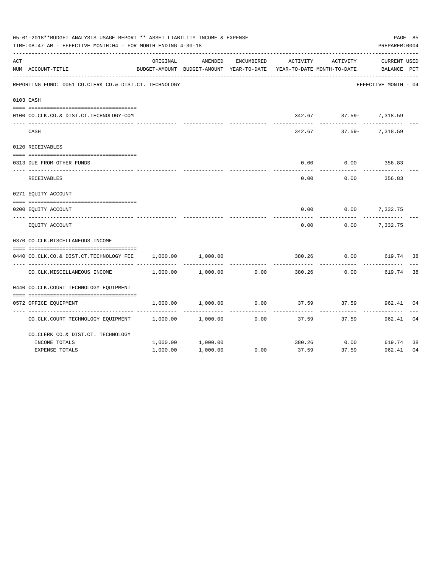|     | 05-01-2018**BUDGET ANALYSIS USAGE REPORT ** ASSET LIABILITY INCOME & EXPENSE<br>TIME: 08:47 AM - EFFECTIVE MONTH: 04 - FOR MONTH ENDING 4-30-18 |          |                                                     |            |                                        |                        |                                    |     |  |  |  |
|-----|-------------------------------------------------------------------------------------------------------------------------------------------------|----------|-----------------------------------------------------|------------|----------------------------------------|------------------------|------------------------------------|-----|--|--|--|
| ACT | NUM ACCOUNT-TITLE                                                                                                                               | ORIGINAL | AMENDED<br>BUDGET-AMOUNT BUDGET-AMOUNT YEAR-TO-DATE | ENCUMBERED | ACTIVITY<br>YEAR-TO-DATE MONTH-TO-DATE | ACTIVITY               | <b>CURRENT USED</b><br>BALANCE PCT |     |  |  |  |
|     | REPORTING FUND: 0051 CO.CLERK CO.& DIST.CT. TECHNOLOGY                                                                                          |          |                                                     |            |                                        |                        | EFFECTIVE MONTH - 04               |     |  |  |  |
|     | 0103 CASH                                                                                                                                       |          |                                                     |            |                                        |                        |                                    |     |  |  |  |
|     | 0100 CO.CLK.CO.& DIST.CT.TECHNOLOGY-COM                                                                                                         |          |                                                     |            |                                        | 342.67 37.59- 7,318.59 |                                    |     |  |  |  |
|     | CASH                                                                                                                                            |          |                                                     |            | 342.67                                 |                        | 37.59- 7,318.59                    |     |  |  |  |
|     | 0120 RECEIVABLES                                                                                                                                |          |                                                     |            |                                        |                        |                                    |     |  |  |  |
|     | 0313 DUE FROM OTHER FUNDS                                                                                                                       |          |                                                     |            | 0.00                                   | 0.00                   | 356.83                             |     |  |  |  |
|     | RECEIVABLES                                                                                                                                     |          |                                                     |            | 0.00                                   | 0.00                   | 356.83                             |     |  |  |  |
|     | 0271 EQUITY ACCOUNT                                                                                                                             |          |                                                     |            |                                        |                        |                                    |     |  |  |  |
|     | 0200 EQUITY ACCOUNT                                                                                                                             |          |                                                     |            | 0.00                                   |                        | $0.00$ 7,332.75                    |     |  |  |  |
|     | EQUITY ACCOUNT                                                                                                                                  |          |                                                     |            | 0.00                                   | 0.00                   | 7,332.75                           |     |  |  |  |
|     | 0370 CO.CLK.MISCELLANEOUS INCOME                                                                                                                |          |                                                     |            |                                        |                        |                                    |     |  |  |  |
|     | 0440 CO.CLK.CO.& DIST.CT.TECHNOLOGY FEE                                                                                                         | 1,000.00 | 1,000.00                                            |            | 380.26                                 | 0.00                   | 619.74                             | -38 |  |  |  |
|     | CO. CLK. MISCELLANEOUS INCOME                                                                                                                   | 1,000.00 | 1,000.00                                            | 0.00       | 380.26                                 | 0.00                   | 619.74                             | 38  |  |  |  |
|     | 0440 CO.CLK.COURT TECHNOLOGY EQUIPMENT                                                                                                          |          |                                                     |            |                                        |                        |                                    |     |  |  |  |
|     | 0572 OFFICE EQUIPMENT                                                                                                                           | 1,000.00 | 1,000.00                                            | 0.00       | 37.59                                  |                        | 37.59 962.41                       | 04  |  |  |  |
|     | CO.CLK.COURT TECHNOLOGY EQUIPMENT                                                                                                               | 1,000.00 | 1,000.00                                            | 0.00       | 37.59                                  | 37.59                  | 962.41                             | 04  |  |  |  |
|     | CO. CLERK CO. & DIST. CT. TECHNOLOGY                                                                                                            |          |                                                     |            |                                        |                        |                                    |     |  |  |  |
|     | INCOME TOTALS                                                                                                                                   | 1,000.00 | 1,000.00                                            |            |                                        | 380.26 0.00            | 619.74                             | 38  |  |  |  |
|     | <b>EXPENSE TOTALS</b>                                                                                                                           | 1,000.00 | 1,000.00                                            | 0.00       | 37.59                                  | 37.59                  | 962.41                             | 04  |  |  |  |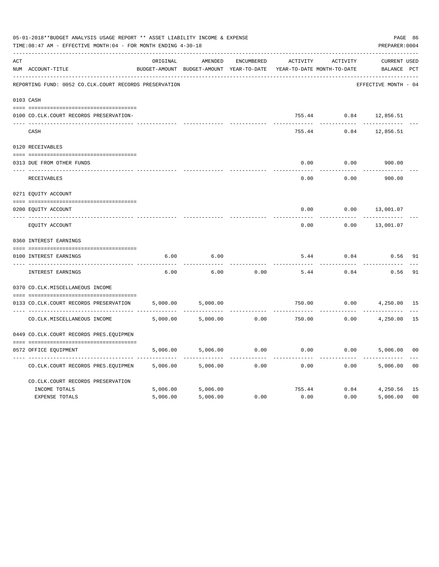|     | 05-01-2018**BUDGET ANALYSIS USAGE REPORT ** ASSET LIABILITY INCOME & EXPENSE<br>TIME: 08:47 AM - EFFECTIVE MONTH: 04 - FOR MONTH ENDING 4-30-18<br>PREPARER: 0004 |          |                                                     |                     |          |                                        |                                    |                |  |  |
|-----|-------------------------------------------------------------------------------------------------------------------------------------------------------------------|----------|-----------------------------------------------------|---------------------|----------|----------------------------------------|------------------------------------|----------------|--|--|
| ACT | NUM ACCOUNT-TITLE                                                                                                                                                 | ORIGINAL | AMENDED<br>BUDGET-AMOUNT BUDGET-AMOUNT YEAR-TO-DATE | ENCUMBERED          | ACTIVITY | ACTIVITY<br>YEAR-TO-DATE MONTH-TO-DATE | <b>CURRENT USED</b><br>BALANCE PCT |                |  |  |
|     | REPORTING FUND: 0052 CO.CLK.COURT RECORDS PRESERVATION                                                                                                            |          |                                                     |                     |          |                                        | EFFECTIVE MONTH - 04               |                |  |  |
|     | 0103 CASH                                                                                                                                                         |          |                                                     |                     |          |                                        |                                    |                |  |  |
|     | 0100 CO.CLK.COURT RECORDS PRESERVATION-                                                                                                                           |          |                                                     |                     |          |                                        | 755.44 0.84 12,856.51              |                |  |  |
|     | CASH                                                                                                                                                              |          |                                                     |                     | 755.44   | 0.84                                   | 12,856.51                          |                |  |  |
|     | 0120 RECEIVABLES                                                                                                                                                  |          |                                                     |                     |          |                                        |                                    |                |  |  |
|     | 0313 DUE FROM OTHER FUNDS                                                                                                                                         |          |                                                     |                     | 0.00     | 0.00                                   | 900.00                             |                |  |  |
|     | RECEIVABLES                                                                                                                                                       |          |                                                     |                     | 0.00     | 0.00                                   | 900.00                             |                |  |  |
|     | 0271 EQUITY ACCOUNT                                                                                                                                               |          |                                                     |                     |          |                                        |                                    |                |  |  |
|     | 0200 EQUITY ACCOUNT                                                                                                                                               |          |                                                     |                     | 0.00     | 0.00                                   | 13,001.07                          |                |  |  |
|     | ---- -------------<br>EQUITY ACCOUNT                                                                                                                              |          |                                                     |                     | 0.00     | 0.00                                   | 13,001.07                          |                |  |  |
|     | 0360 INTEREST EARNINGS                                                                                                                                            |          |                                                     |                     |          |                                        |                                    |                |  |  |
|     | 0100 INTEREST EARNINGS                                                                                                                                            | 6.00     | 6.00                                                |                     | 5.44     | 0.84                                   | 0.56                               | 91             |  |  |
|     | ---- -----------------<br>INTEREST EARNINGS                                                                                                                       | 6.00     | 6.00                                                | 0.00                | 5.44     | 0.84                                   | 0.56                               | 91             |  |  |
|     | 0370 CO.CLK.MISCELLANEOUS INCOME                                                                                                                                  |          |                                                     |                     |          |                                        |                                    |                |  |  |
|     | 0133 CO.CLK.COURT RECORDS PRESERVATION                                                                                                                            | 5,000.00 | 5,000.00                                            |                     | 750.00   | 0.00                                   | 4,250.00 15                        |                |  |  |
|     | CO. CLK. MISCELLANEOUS INCOME                                                                                                                                     | 5,000.00 | 5,000.00                                            | -----------<br>0.00 | 750.00   | ----------<br>0.00                     | 4,250.00                           | 15             |  |  |
|     | 0449 CO.CLK.COURT RECORDS PRES.EQUIPMEN                                                                                                                           |          |                                                     |                     |          |                                        |                                    |                |  |  |
|     | 0572 OFFICE EOUIPMENT                                                                                                                                             | 5,006.00 | 5,006.00                                            | 0.00                | 0.00     |                                        | 0.00<br>5,006.00                   | 00             |  |  |
|     | CO.CLK.COURT RECORDS PRES.EQUIPMEN                                                                                                                                | 5,006.00 | 5,006.00                                            | 0.00                | 0.00     | 0.00                                   | 5,006.00                           | 0 <sub>0</sub> |  |  |
|     | CO. CLK. COURT RECORDS PRESERVATION                                                                                                                               |          |                                                     |                     |          |                                        |                                    |                |  |  |
|     | INCOME TOTALS                                                                                                                                                     | 5,006.00 | 5,006.00                                            |                     | 755.44   |                                        | 0.84<br>4,250.56                   | 15             |  |  |
|     | <b>EXPENSE TOTALS</b>                                                                                                                                             | 5,006.00 | 5,006.00                                            | 0.00                | 0.00     | 0.00                                   | 5,006.00                           | 0 <sub>0</sub> |  |  |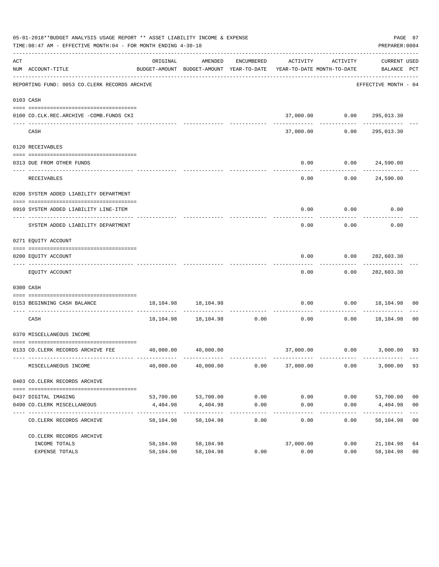|     | 05-01-2018**BUDGET ANALYSIS USAGE REPORT ** ASSET LIABILITY INCOME & EXPENSE<br>TIME: 08:47 AM - EFFECTIVE MONTH: 04 - FOR MONTH ENDING 4-30-18 |                       |                                                                                |                    |                   |                                               | PREPARER: 0004                   | PAGE 87                          |
|-----|-------------------------------------------------------------------------------------------------------------------------------------------------|-----------------------|--------------------------------------------------------------------------------|--------------------|-------------------|-----------------------------------------------|----------------------------------|----------------------------------|
| ACT | NUM ACCOUNT-TITLE                                                                                                                               | ORIGINAL              | AMENDED<br>BUDGET-AMOUNT BUDGET-AMOUNT YEAR-TO-DATE YEAR-TO-DATE MONTH-TO-DATE |                    |                   | ENCUMBERED ACTIVITY ACTIVITY                  | CURRENT USED<br>BALANCE PCT      |                                  |
|     | REPORTING FUND: 0053 CO.CLERK RECORDS ARCHIVE                                                                                                   |                       |                                                                                |                    |                   |                                               | EFFECTIVE MONTH - 04             |                                  |
|     | 0103 CASH                                                                                                                                       |                       |                                                                                |                    |                   |                                               |                                  |                                  |
|     | 0100 CO.CLK.REC.ARCHIVE -COMB.FUNDS CKI                                                                                                         |                       |                                                                                |                    |                   | 37,000.00   0.00   295,013.30<br>------------ | -------------                    |                                  |
|     | CASH                                                                                                                                            |                       |                                                                                |                    | 37,000.00         | 0.00                                          | 295,013.30                       |                                  |
|     | 0120 RECEIVABLES                                                                                                                                |                       |                                                                                |                    |                   |                                               |                                  |                                  |
|     | 0313 DUE FROM OTHER FUNDS                                                                                                                       |                       |                                                                                |                    | 0.00<br>--------- |                                               | 0.00 24,590.00                   |                                  |
|     | RECEIVABLES                                                                                                                                     |                       |                                                                                |                    | 0.00              |                                               | 0.00 24,590.00                   |                                  |
|     | 0200 SYSTEM ADDED LIABILITY DEPARTMENT                                                                                                          |                       |                                                                                |                    |                   |                                               |                                  |                                  |
|     | 0910 SYSTEM ADDED LIABILITY LINE-ITEM                                                                                                           |                       |                                                                                |                    | 0.00              | $0.00$ 0.00                                   |                                  |                                  |
|     | SYSTEM ADDED LIABILITY DEPARTMENT                                                                                                               |                       |                                                                                |                    | 0.00              | 0.00                                          | 0.00                             |                                  |
|     | 0271 EQUITY ACCOUNT                                                                                                                             |                       |                                                                                |                    |                   |                                               |                                  |                                  |
|     | 0200 EQUITY ACCOUNT                                                                                                                             |                       |                                                                                |                    | 0.00              | 0.00                                          | 282,603.30                       |                                  |
|     | EQUITY ACCOUNT                                                                                                                                  |                       |                                                                                |                    | 0.00              |                                               | 0.00 282,603.30                  |                                  |
|     | 0300 CASH                                                                                                                                       |                       |                                                                                |                    |                   |                                               |                                  |                                  |
|     | 0153 BEGINNING CASH BALANCE                                                                                                                     |                       | 18, 104. 98   18, 104. 98                                                      |                    | 0.00              |                                               | $0.00$ 18,104.98 00              |                                  |
|     | CASH                                                                                                                                            |                       | $18,104.98$ $18,104.98$ $0.00$ $0.00$                                          |                    |                   |                                               | $0.00$ 18,104.98                 | 0 <sub>0</sub>                   |
|     | 0370 MISCELLANEOUS INCOME                                                                                                                       |                       |                                                                                |                    |                   |                                               |                                  |                                  |
|     | 0133 CO. CLERK RECORDS ARCHIVE FEE                                                                                                              |                       | 40,000.00 40,000.00                                                            |                    |                   |                                               | 37,000.00   0.00   3,000.00   93 |                                  |
|     | MISCELLANEOUS INCOME                                                                                                                            | 40,000.00             | 40,000.00                                                                      | 0.00               | 37,000.00         | 0.00                                          | 3,000.00                         | 93                               |
|     | 0403 CO.CLERK RECORDS ARCHIVE                                                                                                                   |                       |                                                                                |                    |                   |                                               |                                  |                                  |
|     |                                                                                                                                                 |                       |                                                                                |                    |                   |                                               |                                  |                                  |
|     | 0437 DIGITAL IMAGING<br>0490 CO. CLERK MISCELLANEOUS                                                                                            | 53,700.00<br>4,404.98 | 53,700.00<br>4,404.98                                                          | 0.00<br>0.00       | 0.00<br>0.00      | 0.00<br>0.00                                  | 53,700.00<br>4,404.98            | 0 <sub>0</sub><br>0 <sub>0</sub> |
|     | CO. CLERK RECORDS ARCHIVE                                                                                                                       | 58,104.98             | -------------<br>58,104.98                                                     | ----------<br>0.00 | 0.00              | $- - - - -$<br>0.00                           | 58,104.98                        | 0 <sub>0</sub>                   |
|     | CO. CLERK RECORDS ARCHIVE                                                                                                                       |                       |                                                                                |                    |                   |                                               |                                  |                                  |
|     | INCOME TOTALS                                                                                                                                   | 58,104.98             | 58,104.98                                                                      |                    | 37,000.00         | 0.00                                          | 21,104.98                        | 64                               |
|     | EXPENSE TOTALS                                                                                                                                  | 58,104.98             | 58,104.98                                                                      | 0.00               | 0.00              | 0.00                                          | 58,104.98                        | 0 <sub>0</sub>                   |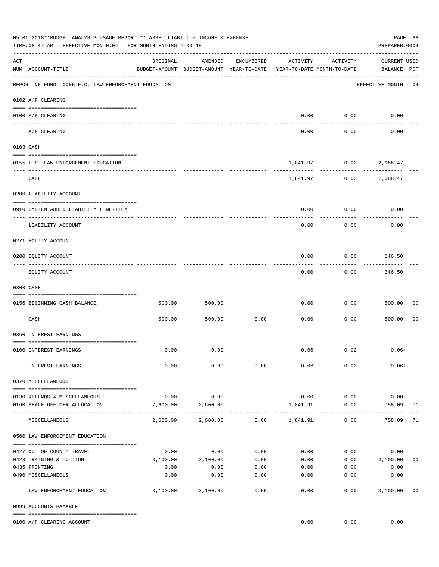|     | 05-01-2018**BUDGET ANALYSIS USAGE REPORT ** ASSET LIABILITY INCOME & EXPENSE<br>TIME:08:47 AM - EFFECTIVE MONTH:04 - FOR MONTH ENDING 4-30-18 |                    |                                                     |                       |                                        |                      | PAGE 88<br>PREPARER: 0004          |                |
|-----|-----------------------------------------------------------------------------------------------------------------------------------------------|--------------------|-----------------------------------------------------|-----------------------|----------------------------------------|----------------------|------------------------------------|----------------|
| ACT | NUM ACCOUNT-TITLE                                                                                                                             | ORIGINAL           | AMENDED<br>BUDGET-AMOUNT BUDGET-AMOUNT YEAR-TO-DATE | ENCUMBERED            | ACTIVITY<br>YEAR-TO-DATE MONTH-TO-DATE | ACTIVITY             | <b>CURRENT USED</b><br>BALANCE PCT |                |
|     | REPORTING FUND: 0055 F.C. LAW ENFORCEMENT EDUCATION                                                                                           |                    |                                                     |                       |                                        |                      | EFFECTIVE MONTH - 04               |                |
|     | 0102 A/P CLEARING                                                                                                                             |                    |                                                     |                       |                                        |                      |                                    |                |
|     | 0100 A/P CLEARING<br>---- ---------                                                                                                           |                    |                                                     |                       | 0.00                                   | 0.00                 | 0.00                               |                |
|     | A/P CLEARING                                                                                                                                  |                    |                                                     |                       | 0.00                                   | 0.00                 | 0.00                               |                |
|     | 0103 CASH                                                                                                                                     |                    |                                                     |                       |                                        |                      |                                    |                |
|     | 0155 F.C. LAW ENFORCEMENT EDUCATION                                                                                                           |                    |                                                     |                       | 1,841.97                               | 0.02                 | 2,088.47                           |                |
|     | CASH                                                                                                                                          |                    |                                                     |                       | 1,841.97                               | 0.02                 | 2,088.47                           |                |
|     | 0200 LIABILITY ACCOUNT                                                                                                                        |                    |                                                     |                       |                                        |                      |                                    |                |
|     | 0910 SYSTEM ADDED LIABILITY LINE-ITEM                                                                                                         |                    |                                                     |                       | 0.00                                   | 0.00                 | 0.00                               |                |
|     | ---- --------------                                                                                                                           |                    |                                                     |                       |                                        | 0.00                 | 0.00                               |                |
|     | LIABILITY ACCOUNT                                                                                                                             |                    |                                                     |                       | 0.00                                   |                      |                                    |                |
|     | 0271 EQUITY ACCOUNT                                                                                                                           |                    |                                                     |                       |                                        |                      |                                    |                |
|     | 0200 EQUITY ACCOUNT                                                                                                                           |                    |                                                     |                       | 0.00                                   | 0.00                 | 246.50                             |                |
|     | EQUITY ACCOUNT                                                                                                                                |                    |                                                     |                       | 0.00                                   | 0.00                 | ---------<br>246.50                |                |
|     | 0300 CASH                                                                                                                                     |                    |                                                     |                       |                                        |                      |                                    |                |
|     | 0156 BEGINNING CASH BALANCE                                                                                                                   | 500.00             | 500.00                                              |                       | 0.00                                   | 0.00                 | 500.00                             | 00             |
|     |                                                                                                                                               |                    |                                                     |                       |                                        |                      |                                    |                |
|     | CASH                                                                                                                                          | 500.00             | 500.00                                              | 0.00                  | 0.00                                   | 0.00                 | 500.00                             | 0 <sub>0</sub> |
|     | 0360 INTEREST EARNINGS                                                                                                                        |                    |                                                     |                       |                                        |                      |                                    |                |
|     | 0100 INTEREST EARNINGS                                                                                                                        | 0.00               | 0.00                                                |                       |                                        | $0.06$ 0.02          | $0.06+$                            |                |
|     |                                                                                                                                               |                    |                                                     |                       |                                        |                      |                                    |                |
|     | INTEREST EARNINGS                                                                                                                             | 0.00               | 0.00                                                | 0.00                  | 0.06                                   | 0.02                 | $0.06+$                            |                |
|     | 0370 MISCELLANEOUS                                                                                                                            |                    |                                                     |                       |                                        |                      |                                    |                |
|     | 0130 REFUNDS & MISCELLANEOUS                                                                                                                  | 0.00               | 0.00                                                |                       | 0.00                                   | 0.00                 | 0.00                               |                |
|     | 0160 PEACE OFFICER ALLOCATION                                                                                                                 | 2,600.00           | 2,600.00                                            |                       | 1,841.91                               | 0.00<br>------------ | 758.09<br>. <u>.</u> .             | 71             |
|     | MISCELLANEOUS                                                                                                                                 | 2,600.00           | 2,600.00                                            |                       | $0.00$ 1,841.91                        | 0.00                 | 758.09                             | 71             |
|     | 0560 LAW ENFORCEMENT EDUCATION                                                                                                                |                    |                                                     |                       |                                        |                      |                                    |                |
|     | 0427 OUT OF COUNTY TRAVEL                                                                                                                     | 0.00               | 0.00                                                | 0.00                  |                                        | 0.00                 | 0.00<br>0.00                       |                |
|     | 0428 TRAINING & TUITION                                                                                                                       |                    | 3,100.00 3,100.00                                   | 0.00                  | 0.00                                   |                      | $0.00$ 3,100.00                    | 0 <sub>0</sub> |
|     | 0435 PRINTING                                                                                                                                 | 0.00               | 0.00                                                | 0.00                  | 0.00                                   | 0.00                 | 0.00                               |                |
|     | 0490 MISCELLANEOUS                                                                                                                            | 0.00<br>---------- | 0.00                                                | 0.00<br>$- - - - - -$ | 0.00<br>$- - - - - -$                  | 0.00<br>-------      | 0.00<br>----------                 |                |
|     | LAW ENFORCEMENT EDUCATION                                                                                                                     | 3,100.00           | 3,100.00                                            | 0.00                  | 0.00                                   | 0.00                 | 3,100.00                           | 0 <sub>0</sub> |
|     | 0999 ACCOUNTS PAYABLE                                                                                                                         |                    |                                                     |                       |                                        |                      |                                    |                |
|     | 0100 A/P CLEARING ACCOUNT                                                                                                                     |                    |                                                     |                       | 0.00                                   | 0.00                 | 0.00                               |                |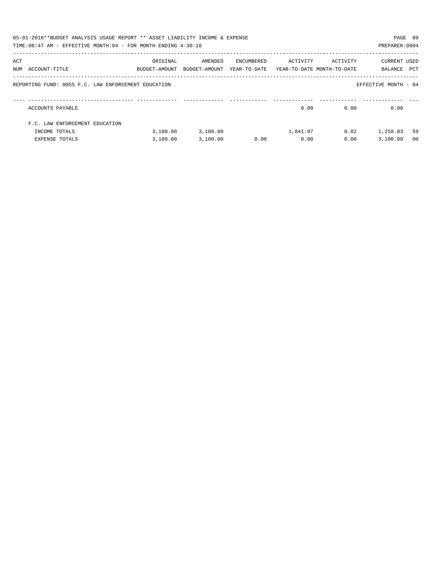|     | 05-01-2018**BUDGET ANALYSIS USAGE REPORT ** ASSET LIABILITY INCOME & EXPENSE<br>PAGE 89<br>TIME: 08:47 AM - EFFECTIVE MONTH: 04 - FOR MONTH ENDING 4-30-18<br>PREPARER: 0004 |                                                                                 |          |            |          |          |                             |                |  |
|-----|------------------------------------------------------------------------------------------------------------------------------------------------------------------------------|---------------------------------------------------------------------------------|----------|------------|----------|----------|-----------------------------|----------------|--|
| ACT | NUM ACCOUNT-TITLE                                                                                                                                                            | ORIGINAL<br>BUDGET-AMOUNT BUDGET-AMOUNT YEAR-TO-DATE YEAR-TO-DATE_MONTH-TO-DATE | AMENDED  | ENCUMBERED | ACTIVITY | ACTIVITY | CURRENT USED<br>BALANCE PCT |                |  |
|     | REPORTING FUND: 0055 F.C. LAW ENFORCEMENT EDUCATION                                                                                                                          |                                                                                 |          |            |          |          | EFFECTIVE MONTH - 04        |                |  |
|     | ACCOUNTS PAYABLE                                                                                                                                                             |                                                                                 |          |            | 0.00     | 0.00     | 0.00                        |                |  |
|     | F.C. LAW ENFORCEMENT EDUCATION                                                                                                                                               |                                                                                 |          |            |          |          |                             |                |  |
|     | INCOME TOTALS                                                                                                                                                                | 3.100.00                                                                        | 3,100.00 |            | 1,841.97 | 0.02     | 1,258.03                    | 59             |  |
|     | EXPENSE TOTALS                                                                                                                                                               | 3,100.00                                                                        | 3,100.00 | 0.00       | 0.00     | 0.00     | 3.100.00                    | 0 <sub>0</sub> |  |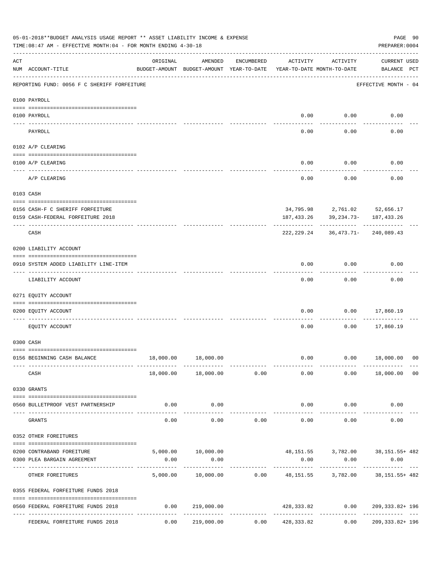|     | 05-01-2018**BUDGET ANALYSIS USAGE REPORT ** ASSET LIABILITY INCOME & EXPENSE<br>TIME:08:47 AM - EFFECTIVE MONTH:04 - FOR MONTH ENDING 4-30-18 |                                             |                                                                            |            |                                        |                      | PREPARER: 0004                                                                  | PAGE 90 |
|-----|-----------------------------------------------------------------------------------------------------------------------------------------------|---------------------------------------------|----------------------------------------------------------------------------|------------|----------------------------------------|----------------------|---------------------------------------------------------------------------------|---------|
| ACT | NUM ACCOUNT-TITLE                                                                                                                             | ORIGINAL                                    | AMENDED<br>BUDGET-AMOUNT BUDGET-AMOUNT YEAR-TO-DATE                        | ENCUMBERED | ACTIVITY<br>YEAR-TO-DATE MONTH-TO-DATE | ACTIVITY             | <b>CURRENT USED</b><br>BALANCE PCT                                              |         |
|     | REPORTING FUND: 0056 F C SHERIFF FORFEITURE                                                                                                   |                                             |                                                                            |            |                                        |                      | EFFECTIVE MONTH - 04                                                            |         |
|     | 0100 PAYROLL                                                                                                                                  |                                             |                                                                            |            |                                        |                      |                                                                                 |         |
|     | 0100 PAYROLL                                                                                                                                  |                                             |                                                                            |            |                                        | $0.00$ 0.00          | 0.00                                                                            |         |
|     | PAYROLL                                                                                                                                       |                                             |                                                                            |            | 0.00                                   | 0.00                 | 0.00                                                                            |         |
|     | 0102 A/P CLEARING                                                                                                                             |                                             |                                                                            |            |                                        |                      |                                                                                 |         |
|     | 0100 A/P CLEARING                                                                                                                             |                                             |                                                                            |            | 0.00                                   | 0.00                 | 0.00                                                                            |         |
|     | A/P CLEARING                                                                                                                                  |                                             |                                                                            |            | 0.00                                   | 0.00                 | 0.00                                                                            |         |
|     | 0103 CASH                                                                                                                                     |                                             |                                                                            |            |                                        |                      |                                                                                 |         |
|     | 0156 CASH-F C SHERIFF FORFEITURE                                                                                                              |                                             |                                                                            |            |                                        |                      | 34,795.98 2,761.02 52,656.17                                                    |         |
|     | 0159 CASH-FEDERAL FORFEITURE 2018                                                                                                             |                                             |                                                                            |            | 187,433.26                             |                      | 39,234.73- 187,433.26                                                           |         |
|     | CASH                                                                                                                                          |                                             |                                                                            |            | 222,229.24                             |                      | 36,473.71-240,089.43                                                            |         |
|     | 0200 LIABILITY ACCOUNT                                                                                                                        |                                             |                                                                            |            |                                        |                      |                                                                                 |         |
|     | 0910 SYSTEM ADDED LIABILITY LINE-ITEM                                                                                                         |                                             |                                                                            |            | 0.00                                   | 0.00                 | 0.00                                                                            |         |
|     | LIABILITY ACCOUNT                                                                                                                             |                                             |                                                                            |            | 0.00                                   | 0.00                 | 0.00                                                                            |         |
|     | 0271 EQUITY ACCOUNT                                                                                                                           |                                             |                                                                            |            |                                        |                      |                                                                                 |         |
|     | 0200 EQUITY ACCOUNT                                                                                                                           |                                             |                                                                            |            | 0.00                                   | 0.00                 | 17,860.19                                                                       |         |
|     | EQUITY ACCOUNT                                                                                                                                |                                             |                                                                            |            | 0.00                                   | 0.00                 | 17,860.19                                                                       |         |
|     | 0300 CASH                                                                                                                                     |                                             |                                                                            |            |                                        |                      |                                                                                 |         |
|     | 0156 BEGINNING CASH BALANCE                                                                                                                   |                                             | 18,000.00   18,000.00                                                      |            | 0.00                                   |                      | $0.00$ 18,000.00 00                                                             |         |
|     | CASH                                                                                                                                          |                                             | -------------<br>18,000.00 18,000.00                                       | 0.00       | 0.00                                   |                      | -------------<br>$0.00$ 18,000.00 00                                            |         |
|     | 0330 GRANTS                                                                                                                                   |                                             |                                                                            |            |                                        |                      |                                                                                 |         |
|     | 0560 BULLETPROOF VEST PARTNERSHIP                                                                                                             | 0.00                                        | 0.00                                                                       |            |                                        | $0.00$ 0.00          | 0.00                                                                            |         |
|     | GRANTS                                                                                                                                        | 0.00                                        | -----------<br>0.00                                                        | 0.00       | -------------<br>0.00                  | ------------<br>0.00 | 0.00                                                                            |         |
|     | 0352 OTHER FOREITURES                                                                                                                         |                                             |                                                                            |            |                                        |                      |                                                                                 |         |
|     |                                                                                                                                               |                                             |                                                                            |            |                                        |                      |                                                                                 |         |
|     | 0200 CONTRABAND FOREITURE<br>0300 PLEA BARGAIN AGREEMENT                                                                                      | 0.00                                        | 5,000.00   10,000.00   48,151.55   3,782.00   38,151.55   5,000.00<br>0.00 |            | 0.00                                   | 0.00                 | 0.00                                                                            |         |
|     | OTHER FOREITURES                                                                                                                              | 5,000.00                                    |                                                                            |            |                                        |                      | ------------------<br>$10,000.00$ $0.00$ $48,151.55$ $3,782.00$ $38,151.55+482$ |         |
|     | 0355 FEDERAL FORFEITURE FUNDS 2018                                                                                                            |                                             |                                                                            |            |                                        |                      |                                                                                 |         |
|     | --------------------------------------<br>0560 FEDERAL FORFEITURE FUNDS 2018                                                                  | 0.00                                        | 219,000.00                                                                 |            |                                        |                      | 428, 333.82 0.00 209, 333.82+ 196                                               |         |
|     | FEDERAL FORFEITURE FUNDS 2018                                                                                                                 | ------- ------------- -------------<br>0.00 | 219,000.00                                                                 |            | $0.00$ $428,333.82$                    | 0.00                 | 209, 333.82+ 196                                                                |         |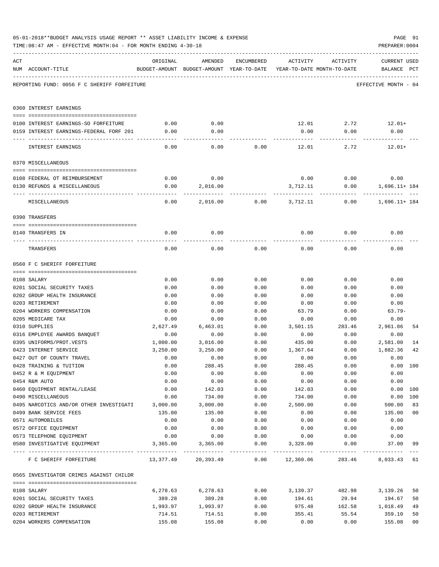|     | TIME:08:47 AM - EFFECTIVE MONTH:04 - FOR MONTH ENDING 4-30-18 |                  |                                                                                |              |                  |                | PREPARER: 0004                     |                |
|-----|---------------------------------------------------------------|------------------|--------------------------------------------------------------------------------|--------------|------------------|----------------|------------------------------------|----------------|
| ACT | NUM ACCOUNT-TITLE                                             | ORIGINAL         | AMENDED<br>BUDGET-AMOUNT BUDGET-AMOUNT YEAR-TO-DATE YEAR-TO-DATE MONTH-TO-DATE | ENCUMBERED   | ACTIVITY         | ACTIVITY       | <b>CURRENT USED</b><br>BALANCE PCT |                |
|     | REPORTING FUND: 0056 F C SHERIFF FORFEITURE                   |                  |                                                                                |              |                  |                | EFFECTIVE MONTH - 04               |                |
|     | 0360 INTEREST EARNINGS                                        |                  |                                                                                |              |                  |                |                                    |                |
|     | 0100 INTEREST EARNINGS-SO FORFEITURE                          | 0.00             | 0.00                                                                           |              |                  |                | $12.01$ $2.72$ $12.01+$            |                |
|     | 0159 INTEREST EARNINGS-FEDERAL FORF 201                       | 0.00             | 0.00                                                                           |              | 0.00             | 0.00           | 0.00                               |                |
|     |                                                               |                  |                                                                                |              |                  |                |                                    |                |
|     | INTEREST EARNINGS                                             | 0.00             | 0.00                                                                           | 0.00         | 12.01            | 2.72           | $12.01+$                           |                |
|     | 0370 MISCELLANEOUS                                            |                  |                                                                                |              |                  |                |                                    |                |
|     |                                                               |                  |                                                                                |              |                  |                |                                    |                |
|     | 0108 FEDERAL OT REIMBURSEMENT                                 | 0.00             | 0.00                                                                           |              |                  | $0.00$ $0.00$  | 0.00                               |                |
|     | 0130 REFUNDS & MISCELLANEOUS                                  | 0.00             | 2,016.00                                                                       |              | 3,712.11         | 0.00           | 1,696.11+ 184                      |                |
|     | MISCELLANEOUS                                                 | 0.00             | 2,016.00                                                                       |              | $0.00$ 3,712.11  | 0.00           | 1,696.11+ 184                      |                |
|     | 0390 TRANSFERS                                                |                  |                                                                                |              |                  |                |                                    |                |
|     |                                                               |                  |                                                                                |              |                  |                |                                    |                |
|     | 0140 TRANSFERS IN                                             | 0.00             | 0.00                                                                           |              | 0.00             | 0.00           | 0.00                               |                |
|     | TRANSFERS                                                     | 0.00             | 0.00                                                                           | 0.00         | 0.00             | 0.00           | 0.00                               |                |
|     | 0560 F C SHERIFF FORFEITURE                                   |                  |                                                                                |              |                  |                |                                    |                |
|     |                                                               |                  |                                                                                |              |                  |                |                                    |                |
|     | 0108 SALARY                                                   | 0.00             | 0.00                                                                           | 0.00         | 0.00             | 0.00           | 0.00                               |                |
|     | 0201 SOCIAL SECURITY TAXES                                    | 0.00             | 0.00                                                                           | 0.00         | 0.00             | 0.00           | 0.00                               |                |
|     | 0202 GROUP HEALTH INSURANCE                                   | 0.00             | 0.00                                                                           | 0.00         | 0.00             | 0.00           | 0.00                               |                |
|     | 0203 RETIREMENT                                               | 0.00             | 0.00                                                                           | 0.00         | 0.00             | 0.00           | 0.00                               |                |
|     | 0204 WORKERS COMPENSATION<br>0205 MEDICARE TAX                | 0.00             | 0.00                                                                           | 0.00         | 63.79            | 0.00           | $63.79-$                           |                |
|     | 0310 SUPPLIES                                                 | 0.00<br>2,627.49 | 0.00<br>6,463.01                                                               | 0.00<br>0.00 | 0.00<br>3,501.15 | 0.00<br>283.46 | 0.00<br>2,961.86                   | 54             |
|     | 0316 EMPLOYEE AWARDS BANQUET                                  | 0.00             | 0.00                                                                           | 0.00         | 0.00             | 0.00           | 0.00                               |                |
|     | 0395 UNIFORMS/PROT.VESTS                                      | 1,000.00         | 3,016.00                                                                       | 0.00         | 435.00           | 0.00           | 2,581.00                           | 14             |
|     | 0423 INTERNET SERVICE                                         | 3,250.00         | 3,250.00                                                                       | 0.00         | 1,367.64         | 0.00           | 1,882.36                           | 42             |
|     | 0427 OUT OF COUNTY TRAVEL                                     | 0.00             | 0.00                                                                           | 0.00         | 0.00             | 0.00           | 0.00                               |                |
|     | 0428 TRAINING & TUITION                                       | 0.00             | 288.45                                                                         | 0.00         | 288.45           | 0.00           |                                    | 0.00 100       |
|     | 0452 R & M EQUIPMENT                                          | 0.00             | 0.00                                                                           | 0.00         | 0.00             | 0.00           | 0.00                               |                |
|     | 0454 R&M AUTO                                                 | 0.00             | 0.00                                                                           | 0.00         | 0.00             | 0.00           | 0.00                               |                |
|     | 0460 EQUIPMENT RENTAL/LEASE                                   | 0.00             | 142.03                                                                         | 0.00         | 142.03           | 0.00           |                                    | 0.00 100       |
|     | 0490 MISCELLANEOUS                                            | 0.00             | 734.00                                                                         | 0.00         | 734.00           | 0.00           |                                    | 0.00 100       |
|     | 0495 NARCOTICS AND/OR OTHER INVESTIGATI                       | 3,000.00         | 3,000.00                                                                       | 0.00         | 2,500.00         | 0.00           | 500.00                             | 83             |
|     | 0499 BANK SERVICE FEES                                        | 135.00           | 135.00                                                                         | 0.00         | 0.00             | 0.00           | 135.00                             | 0 <sub>0</sub> |
|     | 0571 AUTOMOBILES                                              | 0.00             | 0.00                                                                           | 0.00         | 0.00             | 0.00           | 0.00                               |                |
|     | 0572 OFFICE EQUIPMENT                                         | 0.00             | 0.00                                                                           | 0.00         | 0.00             | 0.00           | 0.00                               |                |
|     | 0573 TELEPHONE EQUIPMENT                                      | 0.00             | 0.00                                                                           | 0.00         | 0.00             | 0.00           | 0.00                               |                |
|     | 0580 INVESTIGATIVE EQUIPMENT                                  | 3,365.00         | 3,365.00                                                                       | 0.00         | 3,328.00         | 0.00           | 37.00 99                           |                |
|     | F C SHERIFF FORFEITURE                                        |                  | 13,377.49 20,393.49                                                            |              | 0.00 12,360.06   | 283.46         | 8,033.43 61                        |                |
|     | 0565 INVESTIGATOR CRIMES AGAINST CHILDR                       |                  |                                                                                |              |                  |                |                                    |                |
|     | 0108 SALARY                                                   | 6,278.63         | 6,278.63                                                                       | 0.00         | 3,139.37         | 482.98         | 3,139.26                           | 50             |
|     | 0201 SOCIAL SECURITY TAXES                                    | 389.28           | 389.28                                                                         | 0.00         | 194.61           | 29.94          | 194.67                             | 50             |
|     | 0202 GROUP HEALTH INSURANCE                                   | 1,993.97         | 1,993.97                                                                       | 0.00         | 975.48           | 162.58         | 1,018.49                           | 49             |
|     | 0203 RETIREMENT                                               | 714.51           | 714.51                                                                         | 0.00         | 355.41           | 55.54          | 359.10                             | 50             |
|     | 0204 WORKERS COMPENSATION                                     | 155.08           | 155.08                                                                         | 0.00         | 0.00             | 0.00           | 155.08                             | 0 <sub>0</sub> |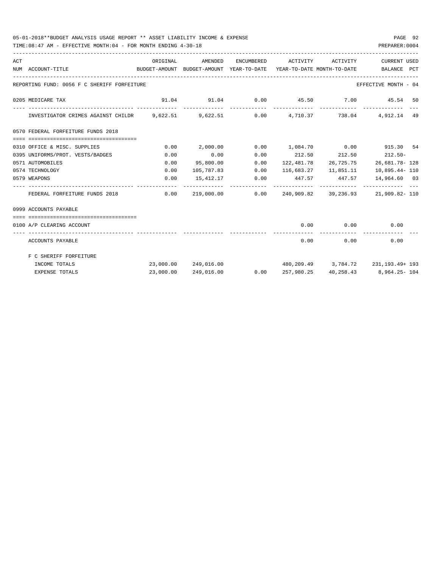## 05-01-2018\*\*BUDGET ANALYSIS USAGE REPORT \*\* ASSET LIABILITY INCOME & EXPENSE PAGE 92

TIME:08:47 AM - EFFECTIVE MONTH:04 - FOR MONTH ENDING 4-30-18 PREPARER:0004

| ACT | NUM ACCOUNT-TITLE                                                                     | ORIGINAL  | AMENDED<br>BUDGET-AMOUNT BUDGET-AMOUNT YEAR-TO-DATE YEAR-TO-DATE MONTH-TO-DATE |                 | ENCUMBERED ACTIVITY ACTIVITY |                         | CURRENT USED<br>BALANCE PCT                        |
|-----|---------------------------------------------------------------------------------------|-----------|--------------------------------------------------------------------------------|-----------------|------------------------------|-------------------------|----------------------------------------------------|
|     | REPORTING FUND: 0056 F C SHERIFF FORFEITURE                                           |           |                                                                                |                 |                              |                         | EFFECTIVE MONTH - 04                               |
|     | 0205 MEDICARE TAX                                                                     |           |                                                                                |                 |                              |                         | $91.04$ $91.04$ $0.00$ $45.50$ $7.00$ $45.54$ $50$ |
|     | INVESTIGATOR CRIMES AGAINST CHILDR 9,622.51 9,622.51 0.00 4,710.37 738.04 4,912.14 49 |           |                                                                                |                 |                              |                         |                                                    |
|     | 0570 FEDERAL FORFEITURE FUNDS 2018                                                    |           |                                                                                |                 |                              |                         |                                                    |
|     | 0310 OFFICE & MISC. SUPPLIES                                                          | 0.00      | 2,000.00                                                                       |                 | $0.00$ 1,084.70 0.00         |                         | 915.30 54                                          |
|     | 0395 UNIFORMS/PROT. VESTS/BADGES                                                      | 0.00      | 0.00                                                                           | 0.00            |                              | 212.50 212.50           | $212.50 -$                                         |
|     | 0571 AUTOMOBILES                                                                      | 0.00      | 95,800.00                                                                      | 0.00            |                              |                         | 122, 481.78 26, 725.75 26, 681.78 - 128            |
|     | 0574 TECHNOLOGY                                                                       | 0.00      | 105,787.83                                                                     | 0.00            |                              | 116,683.27    11,851.11 | 10,895.44- 110                                     |
|     | 0579 WEAPONS                                                                          | 0.00      |                                                                                | 15,412.17 0.00  | 447.57 447.57                |                         | 14,964.60 03                                       |
|     | FEDERAL FORFEITURE FUNDS 2018                                                         | 0.00      |                                                                                | 219,000.00 0.00 |                              |                         | 240,909.82 39,236.93 21,909.82-110                 |
|     | 0999 ACCOUNTS PAYABLE                                                                 |           |                                                                                |                 |                              |                         |                                                    |
|     |                                                                                       |           |                                                                                |                 |                              |                         |                                                    |
|     | 0100 A/P CLEARING ACCOUNT                                                             |           |                                                                                |                 | 0.00                         |                         | $0.00$ 0.00                                        |
|     | ACCOUNTS PAYABLE                                                                      |           |                                                                                |                 |                              | 0.00                    | 0.00<br>0.00                                       |
|     | F C SHERIFF FORFEITURE                                                                |           |                                                                                |                 |                              |                         |                                                    |
|     | INCOME TOTALS                                                                         |           | 23,000.00 249,016.00                                                           |                 |                              |                         | $480, 209, 49$ 3, 784, 72 231, 193, 49+ 193        |
|     | <b>EXPENSE TOTALS</b>                                                                 | 23,000.00 | 249,016.00                                                                     | 0.00            | 257,980.25                   |                         | 40,258.43 8,964.25-104                             |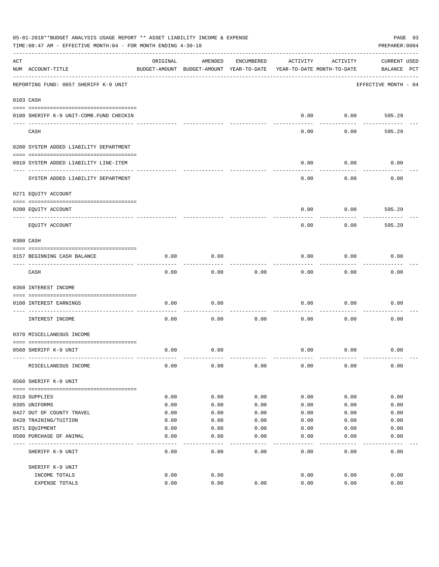|     | 05-01-2018**BUDGET ANALYSIS USAGE REPORT ** ASSET LIABILITY INCOME & EXPENSE<br>PAGE 93<br>TIME: 08:47 AM - EFFECTIVE MONTH: 04 - FOR MONTH ENDING 4-30-18<br>PREPARER: 0004 |          |                                                     |            |          |                                        |                                    |  |  |
|-----|------------------------------------------------------------------------------------------------------------------------------------------------------------------------------|----------|-----------------------------------------------------|------------|----------|----------------------------------------|------------------------------------|--|--|
| ACT | NUM ACCOUNT-TITLE                                                                                                                                                            | ORIGINAL | AMENDED<br>BUDGET-AMOUNT BUDGET-AMOUNT YEAR-TO-DATE | ENCUMBERED | ACTIVITY | ACTIVITY<br>YEAR-TO-DATE MONTH-TO-DATE | <b>CURRENT USED</b><br>BALANCE PCT |  |  |
|     | REPORTING FUND: 0057 SHERIFF K-9 UNIT                                                                                                                                        |          |                                                     |            |          |                                        | EFFECTIVE MONTH - 04               |  |  |
|     | 0103 CASH                                                                                                                                                                    |          |                                                     |            |          |                                        |                                    |  |  |
|     | 0100 SHERIFF K-9 UNIT-COMB.FUND CHECKIN                                                                                                                                      |          |                                                     |            | 0.00     | 0.00                                   | 595.29                             |  |  |
|     | CASH                                                                                                                                                                         |          |                                                     |            | 0.00     | 0.00                                   | 595.29                             |  |  |
|     | 0200 SYSTEM ADDED LIABILITY DEPARTMENT                                                                                                                                       |          |                                                     |            |          |                                        |                                    |  |  |
|     | 0910 SYSTEM ADDED LIABILITY LINE-ITEM                                                                                                                                        |          |                                                     |            | 0.00     | 0.00                                   | 0.00                               |  |  |
|     | SYSTEM ADDED LIABILITY DEPARTMENT                                                                                                                                            |          |                                                     |            | 0.00     | 0.00                                   | 0.00                               |  |  |
|     | 0271 EQUITY ACCOUNT                                                                                                                                                          |          |                                                     |            |          |                                        |                                    |  |  |
|     | 0200 EQUITY ACCOUNT                                                                                                                                                          |          |                                                     |            | 0.00     | 0.00                                   | 595.29                             |  |  |
|     | ---- ----------<br>EQUITY ACCOUNT                                                                                                                                            |          |                                                     |            | 0.00     | 0.00                                   | 595.29                             |  |  |
|     | 0300 CASH                                                                                                                                                                    |          |                                                     |            |          |                                        |                                    |  |  |
|     | 0157 BEGINNING CASH BALANCE                                                                                                                                                  | 0.00     | 0.00                                                |            | 0.00     | 0.00                                   | 0.00                               |  |  |
|     | CASH                                                                                                                                                                         | 0.00     | 0.00                                                | 0.00       | 0.00     | 0.00                                   | 0.00                               |  |  |
|     | 0360 INTEREST INCOME                                                                                                                                                         |          |                                                     |            |          |                                        |                                    |  |  |
|     | 0100 INTEREST EARNINGS                                                                                                                                                       | 0.00     | 0.00                                                |            | 0.00     | 0.00                                   | 0.00                               |  |  |
|     | INTEREST INCOME                                                                                                                                                              | 0.00     | 0.00                                                | 0.00       | 0.00     | 0.00                                   | 0.00                               |  |  |
|     | 0370 MISCELLANEOUS INCOME                                                                                                                                                    |          |                                                     |            |          |                                        |                                    |  |  |
|     | 0560 SHERIFF K-9 UNIT                                                                                                                                                        | 0.00     | 0.00                                                |            | 0.00     | 0.00                                   | 0.00                               |  |  |
|     | MISCELLANEOUS INCOME                                                                                                                                                         | 0.00     | 0.00                                                | 0.00       | 0.00     | 0.00                                   | 0.00                               |  |  |
|     | 0560 SHERIFF K-9 UNIT                                                                                                                                                        |          |                                                     |            |          |                                        |                                    |  |  |
|     | 0310 SUPPLIES                                                                                                                                                                | 0.00     | 0.00                                                | 0.00       | 0.00     | 0.00                                   | 0.00                               |  |  |
|     | 0395 UNIFORMS                                                                                                                                                                | 0.00     | 0.00                                                | 0.00       | 0.00     | 0.00                                   | 0.00                               |  |  |
|     | 0427 OUT OF COUNTY TRAVEL                                                                                                                                                    | 0.00     | 0.00                                                | 0.00       | 0.00     | 0.00                                   | 0.00                               |  |  |
|     | 0428 TRAINING/TUITION                                                                                                                                                        | 0.00     | 0.00                                                | 0.00       | 0.00     | 0.00                                   | 0.00                               |  |  |
|     | 0571 EQUIPMENT                                                                                                                                                               | 0.00     | 0.00                                                | 0.00       | 0.00     | 0.00                                   | 0.00                               |  |  |
|     | 0580 PURCHASE OF ANIMAL                                                                                                                                                      | 0.00     | 0.00                                                | 0.00       | 0.00     | 0.00                                   | 0.00                               |  |  |
|     | SHERIFF K-9 UNIT                                                                                                                                                             | 0.00     | 0.00                                                | 0.00       | 0.00     | 0.00                                   | 0.00                               |  |  |
|     | SHERIFF K-9 UNIT                                                                                                                                                             |          |                                                     |            |          |                                        |                                    |  |  |
|     | INCOME TOTALS                                                                                                                                                                | 0.00     | 0.00                                                |            | 0.00     | 0.00                                   | 0.00                               |  |  |
|     | EXPENSE TOTALS                                                                                                                                                               | 0.00     | 0.00                                                | 0.00       | 0.00     | 0.00                                   | 0.00                               |  |  |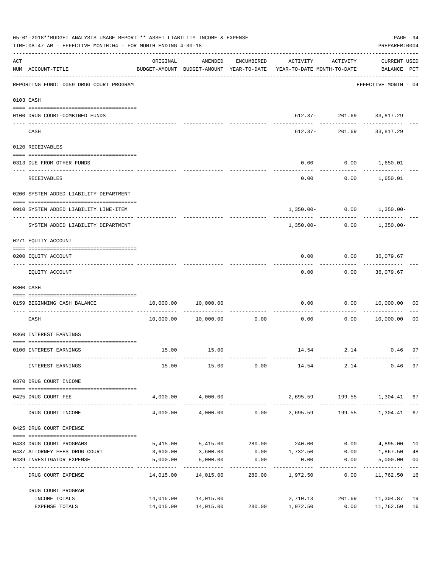|     | 05-01-2018**BUDGET ANALYSIS USAGE REPORT ** ASSET LIABILITY INCOME & EXPENSE<br>TIME: 08:47 AM - EFFECTIVE MONTH: 04 - FOR MONTH ENDING 4-30-18 |          |                        |                                        |                                                                                 |                          |                                    |                      |  |
|-----|-------------------------------------------------------------------------------------------------------------------------------------------------|----------|------------------------|----------------------------------------|---------------------------------------------------------------------------------|--------------------------|------------------------------------|----------------------|--|
| ACT | NUM ACCOUNT-TITLE<br>____________________________________                                                                                       | ORIGINAL | AMENDED                | ENCUMBERED                             | ACTIVITY<br>BUDGET-AMOUNT BUDGET-AMOUNT YEAR-TO-DATE YEAR-TO-DATE MONTH-TO-DATE | ACTIVITY                 | <b>CURRENT USED</b><br>BALANCE PCT |                      |  |
|     | REPORTING FUND: 0059 DRUG COURT PROGRAM                                                                                                         |          |                        |                                        |                                                                                 |                          | EFFECTIVE MONTH - 04               |                      |  |
|     | 0103 CASH                                                                                                                                       |          |                        |                                        |                                                                                 |                          |                                    |                      |  |
|     | 0100 DRUG COURT-COMBINED FUNDS                                                                                                                  |          |                        |                                        |                                                                                 | 612.37- 201.69 33,817.29 |                                    |                      |  |
|     | CASH                                                                                                                                            |          |                        |                                        | 612.37-                                                                         | ------------             | -------<br>201.69 33,817.29        |                      |  |
|     | 0120 RECEIVABLES                                                                                                                                |          |                        |                                        |                                                                                 |                          |                                    |                      |  |
|     | 0313 DUE FROM OTHER FUNDS                                                                                                                       |          |                        |                                        | 0.00                                                                            | $0.00$ 1,650.01          |                                    |                      |  |
|     | RECEIVABLES                                                                                                                                     |          |                        |                                        | 0.00                                                                            |                          | $0.00$ 1,650.01                    |                      |  |
|     | 0200 SYSTEM ADDED LIABILITY DEPARTMENT                                                                                                          |          |                        |                                        |                                                                                 |                          |                                    |                      |  |
|     | 0910 SYSTEM ADDED LIABILITY LINE-ITEM                                                                                                           |          |                        |                                        |                                                                                 |                          | $1,350.00 - 0.00 - 1,350.00 -$     |                      |  |
|     | SYSTEM ADDED LIABILITY DEPARTMENT                                                                                                               |          |                        |                                        | 1,350.00-                                                                       | . <u>.</u> .             | $0.00$ 1,350.00-                   |                      |  |
|     | 0271 EQUITY ACCOUNT                                                                                                                             |          |                        |                                        |                                                                                 |                          |                                    |                      |  |
|     | 0200 EQUITY ACCOUNT                                                                                                                             |          |                        |                                        | 0.00                                                                            | $0.00$ 36,079.67         |                                    |                      |  |
|     | EQUITY ACCOUNT                                                                                                                                  |          |                        |                                        | 0.00                                                                            |                          | $0.00$ 36,079.67                   |                      |  |
|     | 0300 CASH                                                                                                                                       |          |                        |                                        |                                                                                 |                          |                                    |                      |  |
|     | 0159 BEGINNING CASH BALANCE                                                                                                                     |          | 10,000.00 10,000.00    |                                        | 0.00                                                                            | .                        | 0.00 10,000.00                     | 00                   |  |
|     | CASH                                                                                                                                            |          | 10,000.00    10,000.00 | ------------------------------<br>0.00 | 0.00                                                                            | 0.00                     | 10,000.00                          | 0 <sub>0</sub>       |  |
|     | 0360 INTEREST EARNINGS                                                                                                                          |          |                        |                                        |                                                                                 |                          |                                    |                      |  |
|     | 0100 INTEREST EARNINGS                                                                                                                          |          | 15.00 15.00            |                                        |                                                                                 |                          | 14.54 2.14 0.46                    | 97                   |  |
|     | INTEREST EARNINGS                                                                                                                               | 15.00    | 15.00                  | 0.00                                   | 14.54 2.14                                                                      |                          | 0.46                               | 97                   |  |
|     | 0370 DRUG COURT INCOME<br>--------------------------------------                                                                                |          |                        |                                        |                                                                                 |                          |                                    |                      |  |
|     | 0425 DRUG COURT FEE                                                                                                                             |          | 4,000.00 4,000.00      |                                        |                                                                                 |                          | 2,695.59 199.55 1,304.41 67        |                      |  |
|     | DRUG COURT INCOME                                                                                                                               | 4,000.00 |                        |                                        | $4,000.00$ $0.00$ $2,695.59$ $199.55$ $1,304.41$ 67                             |                          |                                    |                      |  |
|     | 0425 DRUG COURT EXPENSE                                                                                                                         |          |                        |                                        |                                                                                 |                          |                                    |                      |  |
|     | 0433 DRUG COURT PROGRAMS                                                                                                                        |          |                        |                                        | 5,415.00 5,415.00 280.00 240.00                                                 |                          | $0.00$ 4,895.00                    | 10                   |  |
|     | 0437 ATTORNEY FEES DRUG COURT<br>0439 INVESTIGATOR EXPENSE                                                                                      | 3,600.00 | 3,600.00<br>5,000.00   | 0.00                                   | $0.00$ 1,732.50                                                                 |                          | $0.00$ 1,867.50                    | 48<br>0 <sub>0</sub> |  |
|     |                                                                                                                                                 | 5,000.00 | -------------          |                                        | 0.00                                                                            | 0.00<br>------------     | 5,000.00<br>-------------          | $- - -$<br>16        |  |
|     | DRUG COURT EXPENSE                                                                                                                              |          | 14,015.00  14,015.00   | 280.00                                 | 1,972.50                                                                        | 0.00                     | 11,762.50                          |                      |  |
|     | DRUG COURT PROGRAM<br>INCOME TOTALS                                                                                                             |          | 14,015.00 14,015.00    |                                        | 2,710.13                                                                        | 201.69                   | 11,304.87                          | 19                   |  |
|     | EXPENSE TOTALS                                                                                                                                  |          | 14,015.00 14,015.00    | 280.00                                 | 1,972.50                                                                        | 0.00                     | 11,762.50                          | 16                   |  |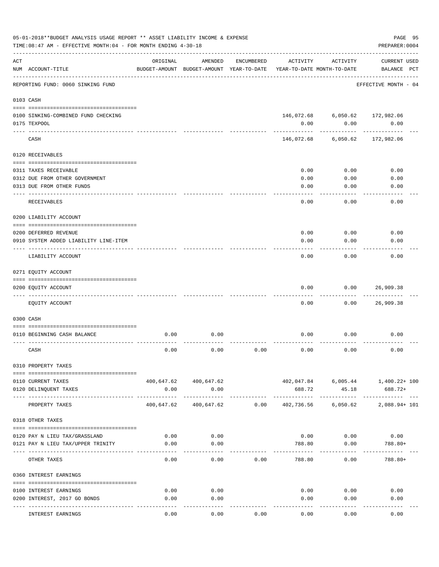|                | 05-01-2018**BUDGET ANALYSIS USAGE REPORT ** ASSET LIABILITY INCOME & EXPENSE<br>TIME: 08:47 AM - EFFECTIVE MONTH: 04 - FOR MONTH ENDING 4-30-18 |                     |                                                     |            |                                        |                                        | PAGE 95<br>PREPARER: 0004          |
|----------------|-------------------------------------------------------------------------------------------------------------------------------------------------|---------------------|-----------------------------------------------------|------------|----------------------------------------|----------------------------------------|------------------------------------|
| $\mathtt{ACT}$ | NUM ACCOUNT-TITLE                                                                                                                               | ORIGINAL            | AMENDED<br>BUDGET-AMOUNT BUDGET-AMOUNT YEAR-TO-DATE | ENCUMBERED | ACTIVITY<br>YEAR-TO-DATE MONTH-TO-DATE | ACTIVITY                               | <b>CURRENT USED</b><br>BALANCE PCT |
|                | REPORTING FUND: 0060 SINKING FUND                                                                                                               | ------------------- |                                                     |            |                                        |                                        | EFFECTIVE MONTH - 04               |
|                | 0103 CASH                                                                                                                                       |                     |                                                     |            |                                        |                                        |                                    |
|                | 0100 SINKING-COMBINED FUND CHECKING<br>0175 TEXPOOL                                                                                             |                     |                                                     |            | 0.00                                   | 146,072.68 6,050.62 172,982.06<br>0.00 | 0.00                               |
|                | CASH                                                                                                                                            |                     |                                                     |            | 146,072.68                             | 6,050.62                               | 172,982.06                         |
|                | 0120 RECEIVABLES                                                                                                                                |                     |                                                     |            |                                        |                                        |                                    |
|                | 0311 TAXES RECEIVABLE<br>0312 DUE FROM OTHER GOVERNMENT<br>0313 DUE FROM OTHER FUNDS                                                            |                     |                                                     |            | 0.00<br>0.00<br>0.00                   | 0.00<br>0.00<br>0.00                   | 0.00<br>0.00<br>0.00               |
|                | RECEIVABLES                                                                                                                                     |                     |                                                     |            | 0.00                                   | 0.00                                   | 0.00                               |
|                | 0200 LIABILITY ACCOUNT                                                                                                                          |                     |                                                     |            |                                        |                                        |                                    |
|                | 0200 DEFERRED REVENUE<br>0910 SYSTEM ADDED LIABILITY LINE-ITEM                                                                                  |                     |                                                     |            | 0.00<br>0.00                           | 0.00<br>0.00                           | 0.00<br>0.00                       |
|                | LIABILITY ACCOUNT                                                                                                                               |                     |                                                     |            | 0.00                                   | 0.00                                   | 0.00                               |
|                | 0271 EQUITY ACCOUNT                                                                                                                             |                     |                                                     |            |                                        |                                        |                                    |
|                |                                                                                                                                                 |                     |                                                     |            |                                        |                                        |                                    |
|                | 0200 EQUITY ACCOUNT                                                                                                                             |                     |                                                     |            | 0.00                                   | 0.00                                   | 26,909.38                          |
|                | EQUITY ACCOUNT                                                                                                                                  |                     |                                                     |            | 0.00                                   | 0.00                                   | 26,909.38                          |
|                | 0300 CASH                                                                                                                                       |                     |                                                     |            |                                        |                                        |                                    |
|                | 0110 BEGINNING CASH BALANCE                                                                                                                     | 0.00                | 0.00                                                |            | 0.00                                   | 0.00                                   | 0.00                               |
|                |                                                                                                                                                 |                     |                                                     |            |                                        |                                        |                                    |
|                | CASH                                                                                                                                            | 0.00                | 0.00                                                | 0.00       | 0.00                                   | 0.00                                   | 0.00                               |
|                | 0310 PROPERTY TAXES                                                                                                                             |                     |                                                     |            |                                        |                                        |                                    |
|                | 0110 CURRENT TAXES                                                                                                                              |                     | 400,647.62 400,647.62                               |            |                                        |                                        | 402,047.84 6,005.44 1,400.22+100   |
|                | 0120 DELINQUENT TAXES                                                                                                                           | 0.00                | 0.00                                                |            | 688.72                                 | 45.18                                  | 688.72+                            |
|                | PROPERTY TAXES                                                                                                                                  | -----------         | -------------<br>400,647.62 400,647.62 0.00         |            |                                        | 402,736.56 6,050.62                    | -------------<br>2,088.94+ 101     |
|                | 0318 OTHER TAXES                                                                                                                                |                     |                                                     |            |                                        |                                        |                                    |
|                | 0120 PAY N LIEU TAX/GRASSLAND                                                                                                                   | 0.00                | 0.00                                                |            |                                        | $0.00$ $0.00$ $0.00$                   |                                    |
|                | 0121 PAY N LIEU TAX/UPPER TRINITY                                                                                                               | 0.00                | 0.00                                                |            | 788.80                                 | 0.00                                   | $788.80+$                          |
|                | OTHER TAXES                                                                                                                                     | 0.00                | 0.00                                                | 0.00       | 788.80                                 | ---------<br>0.00                      | 788.80+                            |
|                | 0360 INTEREST EARNINGS                                                                                                                          |                     |                                                     |            |                                        |                                        |                                    |
|                |                                                                                                                                                 |                     |                                                     |            |                                        |                                        |                                    |
|                | 0100 INTEREST EARNINGS<br>0200 INTEREST, 2017 GO BONDS                                                                                          | 0.00<br>0.00        | 0.00<br>0.00                                        |            | 0.00                                   | 0.00<br>0.00<br>0.00                   | 0.00<br>0.00                       |
|                |                                                                                                                                                 |                     | ---------                                           |            | ----------                             |                                        |                                    |
|                | INTEREST EARNINGS                                                                                                                               | 0.00                | 0.00                                                | 0.00       | 0.00                                   | 0.00                                   | 0.00                               |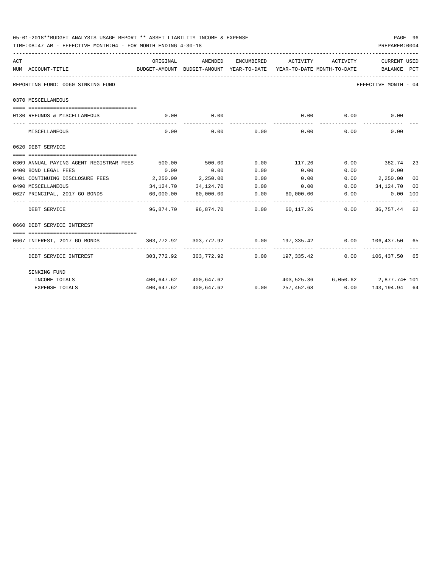| 05-01-2018**BUDGET ANALYSIS USAGE REPORT ** ASSET LIABILITY INCOME & EXPENSE<br>TIME:08:47 AM - EFFECTIVE MONTH:04 - FOR MONTH ENDING 4-30-18 |           |                       |               |                                                                        |          | PREPARER: 0004       | PAGE 96 |
|-----------------------------------------------------------------------------------------------------------------------------------------------|-----------|-----------------------|---------------|------------------------------------------------------------------------|----------|----------------------|---------|
| ACT                                                                                                                                           | ORIGINAL  | AMENDED               | ENCUMBERED    | ACTIVITY                                                               | ACTIVITY | <b>CURRENT USED</b>  |         |
| NUM ACCOUNT-TITLE<br>BUDGET-AMOUNT BUDGET-AMOUNT YEAR-TO-DATE YEAR-TO-DATE MONTH-TO-DATE BALANCE PCT                                          |           |                       |               |                                                                        |          |                      |         |
| REPORTING FUND: 0060 SINKING FUND                                                                                                             |           |                       |               |                                                                        |          | EFFECTIVE MONTH - 04 |         |
| 0370 MISCELLANEOUS                                                                                                                            |           |                       |               |                                                                        |          |                      |         |
| 0130 REFUNDS & MISCELLANEOUS                                                                                                                  |           | $0.00$ 0.00           |               | 0.00                                                                   | 0.00     | 0.00                 |         |
| MISCELLANEOUS                                                                                                                                 | 0.00      | -----------           | $0.00$ $0.00$ | 0.00                                                                   | 0.00     | 0.00                 |         |
| 0620 DEBT SERVICE                                                                                                                             |           |                       |               |                                                                        |          |                      |         |
| 0309 ANNUAL PAYING AGENT REGISTRAR FEES                                                                                                       | 500.00    | 500.00                |               | $0.00$ 117.26 $0.00$ 382.74 23                                         |          |                      |         |
| 0400 BOND LEGAL FEES                                                                                                                          | 0.00      | 0.00                  | 0.00          | 0.00                                                                   | 0.00     | 0.00                 |         |
| 0401 CONTINUING DISCLOSURE FEES 2,250.00                                                                                                      |           | 2,250.00              | 0.00          | 0.00                                                                   |          | $0.00$ 2,250.00      | 00      |
| 0490 MISCELLANEOUS                                                                                                                            | 34,124.70 | 34,124.70             |               | $0.00$ $0.00$ $0.00$ $34,124.70$                                       |          |                      | 00      |
| 0627 PRINCIPAL, 2017 GO BONDS 60,000.00                                                                                                       |           | 60,000.00             |               | $0.00$ $60,000.00$ $0.00$ $0.00$ $0.00$ $100$                          |          |                      |         |
| ----------------- -------------<br>DEBT SERVICE                                                                                               |           |                       |               | 96,874.70  96,874.70  0.00  60,117.26  0.00  36,757.44  62             |          |                      |         |
| 0660 DEBT SERVICE INTEREST                                                                                                                    |           |                       |               |                                                                        |          |                      |         |
|                                                                                                                                               |           |                       |               |                                                                        |          |                      |         |
| 0667 INTEREST, 2017 GO BONDS                                                                                                                  |           |                       |               | $303,772.92$ $303,772.92$ $0.00$ $197,335.42$ $0.00$ $106,437.50$ $65$ |          |                      |         |
| DEBT SERVICE INTEREST                                                                                                                         |           |                       |               | $303,772.92$ $303,772.92$ $0.00$ $197,335.42$ $0.00$ $106,437.50$ $65$ |          |                      |         |
| SINKING FUND                                                                                                                                  |           |                       |               |                                                                        |          |                      |         |
| INCOME TOTALS                                                                                                                                 |           | 400,647.62 400,647.62 |               | $403,525.36$ $6,050.62$ $2,877.74+101$                                 |          |                      |         |
| <b>EXPENSE TOTALS</b>                                                                                                                         |           | 400,647.62 400,647.62 |               | $0.00$ $257,452.68$ $0.00$ $143,194.94$ 64                             |          |                      |         |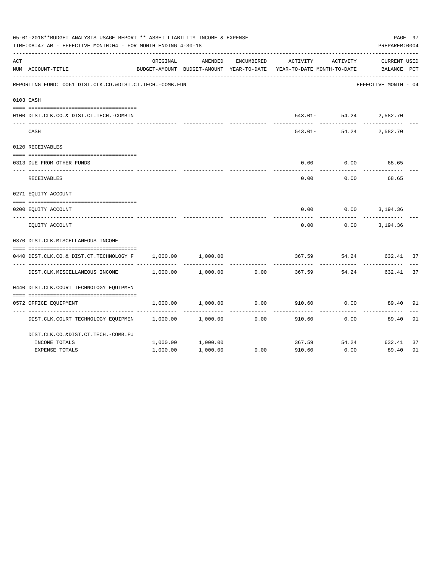|     | 05-01-2018**BUDGET ANALYSIS USAGE REPORT ** ASSET LIABILITY INCOME & EXPENSE<br>PAGE 97<br>PREPARER: 0004<br>TIME: 08:47 AM - EFFECTIVE MONTH: 04 - FOR MONTH ENDING 4-30-18<br>ORIGINAL<br>AMENDED<br>ENCUMBERED<br>ACTIVITY<br>ACTIVITY<br>BUDGET-AMOUNT BUDGET-AMOUNT YEAR-TO-DATE<br>YEAR-TO-DATE MONTH-TO-DATE<br>REPORTING FUND: 0061 DIST.CLK.CO.&DIST.CT.TECH.-COMB.FUN<br>543.01- 54.24 2,582.70<br>$543.01 -$<br>54.24<br>0.00<br>0.00<br>0.00<br>0.00 |          |          |      |        |              |                                    |    |  |
|-----|------------------------------------------------------------------------------------------------------------------------------------------------------------------------------------------------------------------------------------------------------------------------------------------------------------------------------------------------------------------------------------------------------------------------------------------------------------------|----------|----------|------|--------|--------------|------------------------------------|----|--|
| ACT | NUM ACCOUNT-TITLE                                                                                                                                                                                                                                                                                                                                                                                                                                                |          |          |      |        |              | <b>CURRENT USED</b><br>BALANCE PCT |    |  |
|     |                                                                                                                                                                                                                                                                                                                                                                                                                                                                  |          |          |      |        |              | EFFECTIVE MONTH - 04               |    |  |
|     | 0103 CASH                                                                                                                                                                                                                                                                                                                                                                                                                                                        |          |          |      |        |              |                                    |    |  |
|     | 0100 DIST.CLK.CO.& DIST.CT.TECH.-COMBIN                                                                                                                                                                                                                                                                                                                                                                                                                          |          |          |      |        |              |                                    |    |  |
|     | CASH                                                                                                                                                                                                                                                                                                                                                                                                                                                             |          |          |      |        |              | 2,582.70                           |    |  |
|     | 0120 RECEIVABLES                                                                                                                                                                                                                                                                                                                                                                                                                                                 |          |          |      |        |              |                                    |    |  |
|     | 0313 DUE FROM OTHER FUNDS                                                                                                                                                                                                                                                                                                                                                                                                                                        |          |          |      |        |              | 68.65                              |    |  |
|     | RECEIVABLES                                                                                                                                                                                                                                                                                                                                                                                                                                                      |          |          |      |        |              | 68.65                              |    |  |
|     | 0271 EQUITY ACCOUNT                                                                                                                                                                                                                                                                                                                                                                                                                                              |          |          |      |        |              |                                    |    |  |
|     | 0200 EQUITY ACCOUNT                                                                                                                                                                                                                                                                                                                                                                                                                                              |          |          |      | 0.00   |              | $0.00$ 3, 194.36                   |    |  |
|     | EOUITY ACCOUNT                                                                                                                                                                                                                                                                                                                                                                                                                                                   |          |          |      | 0.00   |              | $0.00$ 3, 194.36                   |    |  |
|     | 0370 DIST.CLK.MISCELLANEOUS INCOME                                                                                                                                                                                                                                                                                                                                                                                                                               |          |          |      |        |              |                                    |    |  |
|     | 0440 DIST.CLK.CO.& DIST.CT.TECHNOLOGY F                                                                                                                                                                                                                                                                                                                                                                                                                          | 1,000.00 | 1,000.00 |      | 367.59 | 54.24        | 632.41 37                          |    |  |
|     | DIST.CLK.MISCELLANEOUS INCOME                                                                                                                                                                                                                                                                                                                                                                                                                                    | 1,000.00 | 1,000.00 | 0.00 | 367.59 | 54.24        | 632.41                             | 37 |  |
|     | 0440 DIST.CLK.COURT TECHNOLOGY EOUIPMEN                                                                                                                                                                                                                                                                                                                                                                                                                          |          |          |      |        |              |                                    |    |  |
|     | 0572 OFFICE EQUIPMENT                                                                                                                                                                                                                                                                                                                                                                                                                                            | 1,000.00 | 1,000.00 | 0.00 | 910.60 | 0.00         | 89.40                              | 91 |  |
|     | DIST.CLK.COURT TECHNOLOGY EQUIPMEN 1,000.00                                                                                                                                                                                                                                                                                                                                                                                                                      |          | 1,000.00 | 0.00 | 910.60 | 0.00         | 89.40                              | 91 |  |
|     | DIST.CLK.CO.&DIST.CT.TECH.-COMB.FU                                                                                                                                                                                                                                                                                                                                                                                                                               |          |          |      |        |              |                                    |    |  |
|     | INCOME TOTALS                                                                                                                                                                                                                                                                                                                                                                                                                                                    | 1,000.00 | 1,000.00 |      | 367.59 | 54.24 632.41 |                                    | 37 |  |
|     | <b>EXPENSE TOTALS</b>                                                                                                                                                                                                                                                                                                                                                                                                                                            | 1,000.00 | 1,000.00 | 0.00 | 910.60 | 0.00         | 89.40                              | 91 |  |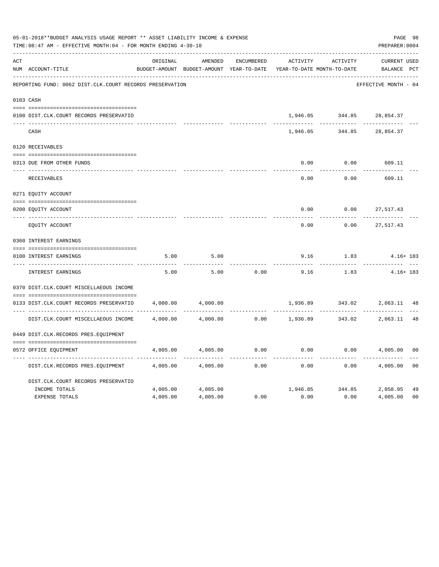|     | 05-01-2018**BUDGET ANALYSIS USAGE REPORT ** ASSET LIABILITY INCOME & EXPENSE<br>TIME: 08:47 AM - EFFECTIVE MONTH: 04 - FOR MONTH ENDING 4-30-18 |          |                                                     |                   |                                        |          | PREPARER: 0004                  | PAGE 98        |
|-----|-------------------------------------------------------------------------------------------------------------------------------------------------|----------|-----------------------------------------------------|-------------------|----------------------------------------|----------|---------------------------------|----------------|
| ACT | NUM ACCOUNT-TITLE                                                                                                                               | ORIGINAL | AMENDED<br>BUDGET-AMOUNT BUDGET-AMOUNT YEAR-TO-DATE | <b>ENCUMBERED</b> | ACTIVITY<br>YEAR-TO-DATE MONTH-TO-DATE | ACTIVITY | CURRENT USED<br>BALANCE PCT     |                |
|     | REPORTING FUND: 0062 DIST.CLK.COURT RECORDS PRESERVATION                                                                                        |          |                                                     |                   |                                        |          | EFFECTIVE MONTH - 04            |                |
|     | 0103 CASH                                                                                                                                       |          |                                                     |                   |                                        |          |                                 |                |
|     | 0100 DIST.CLK.COURT RECORDS PRESERVATIO                                                                                                         |          |                                                     |                   | 1,946.05                               | 344.85   | 28,854.37                       |                |
|     | CASH                                                                                                                                            |          |                                                     |                   | 1,946.05                               | 344.85   | 28,854.37                       |                |
|     | 0120 RECEIVABLES                                                                                                                                |          |                                                     |                   |                                        |          |                                 |                |
|     | 0313 DUE FROM OTHER FUNDS                                                                                                                       |          |                                                     |                   | 0.00                                   | 0.00     | 609.11                          |                |
|     | <b>RECEIVABLES</b>                                                                                                                              |          |                                                     |                   | 0.00                                   | 0.00     | 609.11                          |                |
|     | 0271 EQUITY ACCOUNT                                                                                                                             |          |                                                     |                   |                                        |          |                                 |                |
|     | 0200 EQUITY ACCOUNT                                                                                                                             |          |                                                     |                   | 0.00                                   | 0.00     | 27,517.43                       |                |
|     | ________________________<br>EQUITY ACCOUNT                                                                                                      |          |                                                     |                   | ------<br>0.00                         | 0.00     | 27,517.43                       |                |
|     | 0360 INTEREST EARNINGS                                                                                                                          |          |                                                     |                   |                                        |          |                                 |                |
|     | 0100 INTEREST EARNINGS                                                                                                                          | 5.00     | 5.00                                                |                   | 9.16                                   | 1.83     | $4.16 + 183$                    |                |
|     | INTEREST EARNINGS                                                                                                                               | 5.00     | 5.00                                                | 0.00              | 9.16                                   | 1.83     | $4.16 + 183$                    |                |
|     | 0370 DIST.CLK.COURT MISCELLAEOUS INCOME                                                                                                         |          |                                                     |                   |                                        |          |                                 |                |
|     | 0133 DIST.CLK.COURT RECORDS PRESERVATIO                                                                                                         | 4,000.00 | 4,000.00                                            |                   | 1,936.89                               | 343.02   | 2,063.11 48                     |                |
|     | DIST.CLK.COURT MISCELLAEOUS INCOME                                                                                                              | 4,000.00 | 4,000.00                                            |                   |                                        | .        | $0.00$ 1,936.89 343.02 2,063.11 | 48             |
|     | 0449 DIST.CLK.RECORDS PRES.EQUIPMENT                                                                                                            |          |                                                     |                   |                                        |          |                                 |                |
|     | 0572 OFFICE EQUIPMENT                                                                                                                           | 4,005.00 | 4,005.00                                            | 0.00              | 0.00                                   |          | $0.00$ 4,005.00                 | 0 <sub>0</sub> |
|     | DIST.CLK.RECORDS PRES.EQUIPMENT                                                                                                                 | 4,005.00 | 4,005.00                                            | 0.00              | 0.00                                   | 0.00     | 4,005.00                        | 0 <sub>0</sub> |
|     | DIST.CLK.COURT RECORDS PRESERVATIO                                                                                                              |          |                                                     |                   |                                        |          |                                 |                |
|     | INCOME TOTALS                                                                                                                                   |          | 4,005.00 4,005.00                                   |                   |                                        |          | 1,946.05 344.85 2,058.95        | 49             |
|     | <b>EXPENSE TOTALS</b>                                                                                                                           | 4,005.00 | 4,005.00                                            | 0.00              | 0.00                                   | 0.00     | 4,005.00                        | 0 <sub>0</sub> |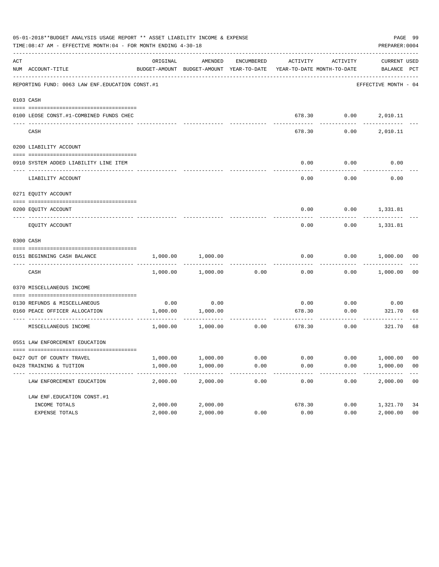|     | 05-01-2018**BUDGET ANALYSIS USAGE REPORT ** ASSET LIABILITY INCOME & EXPENSE<br>TIME:08:47 AM - EFFECTIVE MONTH:04 - FOR MONTH ENDING 4-30-18 |          |                                                     |            |                                       |                                                 | PREPARER: 0004              | PAGE 99        |
|-----|-----------------------------------------------------------------------------------------------------------------------------------------------|----------|-----------------------------------------------------|------------|---------------------------------------|-------------------------------------------------|-----------------------------|----------------|
| ACT | NUM ACCOUNT-TITLE                                                                                                                             | ORIGINAL | AMENDED<br>BUDGET-AMOUNT BUDGET-AMOUNT YEAR-TO-DATE | ENCUMBERED |                                       | ACTIVITY ACTIVITY<br>YEAR-TO-DATE MONTH-TO-DATE | CURRENT USED<br>BALANCE PCT |                |
|     | REPORTING FUND: 0063 LAW ENF. EDUCATION CONST.#1                                                                                              |          |                                                     |            |                                       |                                                 | EFFECTIVE MONTH - 04        |                |
|     | 0103 CASH                                                                                                                                     |          |                                                     |            |                                       |                                                 |                             |                |
|     | 0100 LEOSE CONST.#1-COMBINED FUNDS CHEC                                                                                                       |          |                                                     |            |                                       |                                                 | 678.30   0.00   2,010.11    |                |
|     | CASH                                                                                                                                          |          |                                                     |            | 678.30                                | 0.00                                            | 2,010.11                    |                |
|     | 0200 LIABILITY ACCOUNT                                                                                                                        |          |                                                     |            |                                       |                                                 |                             |                |
|     | 0910 SYSTEM ADDED LIABILITY LINE ITEM                                                                                                         |          |                                                     |            | 0.00                                  | 0.00                                            | 0.00                        |                |
|     | LIABILITY ACCOUNT                                                                                                                             |          |                                                     |            | 0.00                                  | 0.00                                            | 0.00                        |                |
|     | 0271 EQUITY ACCOUNT                                                                                                                           |          |                                                     |            |                                       |                                                 |                             |                |
|     | 0200 EQUITY ACCOUNT                                                                                                                           |          |                                                     |            |                                       |                                                 | $0.00$ $0.00$ $1,331.81$    |                |
|     | EQUITY ACCOUNT                                                                                                                                |          |                                                     |            | 0.00                                  |                                                 | $0.00$ 1,331.81             |                |
|     | 0300 CASH                                                                                                                                     |          |                                                     |            |                                       |                                                 |                             |                |
|     | 0151 BEGINNING CASH BALANCE                                                                                                                   | 1,000.00 | 1,000.00                                            |            | 0.00                                  |                                                 | $0.00$ $1,000.00$ 00        |                |
|     | CASH                                                                                                                                          |          | 1,000.00 1,000.00                                   | 0.00       | 0.00                                  |                                                 | $0.00$ 1,000.00             | 0 <sub>0</sub> |
|     | 0370 MISCELLANEOUS INCOME                                                                                                                     |          |                                                     |            |                                       |                                                 |                             |                |
|     | 0130 REFUNDS & MISCELLANEOUS                                                                                                                  |          | $0.00$ 0.00                                         |            | 0.00                                  | 0.00                                            | 0.00                        |                |
|     | 0160 PEACE OFFICER ALLOCATION                                                                                                                 |          | 1,000.00 1,000.00                                   |            | 678.30<br>------------- ------------- | 0.00<br>.                                       | 321.70                      | 68             |
|     | MISCELLANEOUS INCOME                                                                                                                          |          | 1,000.00 1,000.00                                   | 0.00       |                                       | 678.30<br>0.00                                  | 321.70                      | 68             |
|     | 0551 LAW ENFORCEMENT EDUCATION                                                                                                                |          |                                                     |            |                                       |                                                 |                             |                |
|     | 0427 OUT OF COUNTY TRAVEL                                                                                                                     | 1,000.00 | 1,000.00                                            | 0.00       | 0.00                                  | 0.00                                            | 1,000.00                    | 00             |
|     | 0428 TRAINING & TUITION                                                                                                                       | 1,000.00 | 1,000.00                                            | 0.00       | 0.00                                  | 0.00                                            | 1,000.00                    | 0 <sub>0</sub> |
|     | LAW ENFORCEMENT EDUCATION                                                                                                                     | 2,000.00 | 2,000.00                                            | 0.00       | 0.00                                  | 0.00                                            | 2,000.00                    | 0 <sub>0</sub> |
|     | LAW ENF. EDUCATION CONST. #1                                                                                                                  |          |                                                     |            |                                       |                                                 |                             |                |
|     | INCOME TOTALS                                                                                                                                 | 2,000.00 | 2,000.00                                            |            | 678.30                                | 0.00                                            | 1,321.70                    | 34             |
|     | EXPENSE TOTALS                                                                                                                                | 2,000.00 | 2,000.00                                            | 0.00       | 0.00                                  | 0.00                                            | 2,000.00                    | 0 <sub>0</sub> |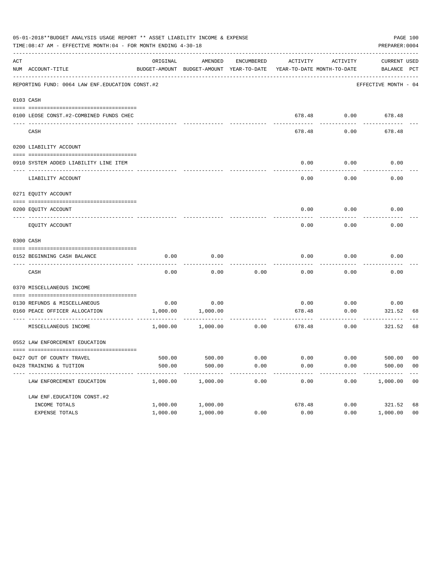|     | 05-01-2018**BUDGET ANALYSIS USAGE REPORT ** ASSET LIABILITY INCOME & EXPENSE<br>TIME:08:47 AM - EFFECTIVE MONTH:04 - FOR MONTH ENDING 4-30-18 |          |                                                     |            |                                       |                    | PREPARER: 0004                                         | PAGE 100       |
|-----|-----------------------------------------------------------------------------------------------------------------------------------------------|----------|-----------------------------------------------------|------------|---------------------------------------|--------------------|--------------------------------------------------------|----------------|
| ACT | NUM ACCOUNT-TITLE                                                                                                                             | ORIGINAL | AMENDED<br>BUDGET-AMOUNT BUDGET-AMOUNT YEAR-TO-DATE | ENCUMBERED | ACTIVITY                              | ACTIVITY           | CURRENT USED<br>YEAR-TO-DATE MONTH-TO-DATE BALANCE PCT |                |
|     | REPORTING FUND: 0064 LAW ENF. EDUCATION CONST. #2                                                                                             |          |                                                     |            |                                       |                    | EFFECTIVE MONTH - 04                                   |                |
|     | 0103 CASH                                                                                                                                     |          |                                                     |            |                                       |                    |                                                        |                |
|     | 0100 LEOSE CONST.#2-COMBINED FUNDS CHEC                                                                                                       |          |                                                     |            |                                       |                    | 678.48 0.00 678.48                                     |                |
|     | CASH                                                                                                                                          |          |                                                     |            | 678.48                                | 0.00               | 678.48                                                 |                |
|     | 0200 LIABILITY ACCOUNT                                                                                                                        |          |                                                     |            |                                       |                    |                                                        |                |
|     | 0910 SYSTEM ADDED LIABILITY LINE ITEM                                                                                                         |          |                                                     |            | 0.00                                  | 0.00               | 0.00                                                   |                |
|     | LIABILITY ACCOUNT                                                                                                                             |          |                                                     |            | 0.00                                  | 0.00               | 0.00                                                   |                |
|     | 0271 EQUITY ACCOUNT                                                                                                                           |          |                                                     |            |                                       |                    |                                                        |                |
|     | 0200 EQUITY ACCOUNT                                                                                                                           |          |                                                     |            |                                       |                    | $0.00$ $0.00$ $0.00$                                   |                |
|     | EQUITY ACCOUNT                                                                                                                                |          |                                                     |            | 0.00                                  | 0.00               | 0.00                                                   |                |
|     | 0300 CASH                                                                                                                                     |          |                                                     |            |                                       |                    |                                                        |                |
|     | 0152 BEGINNING CASH BALANCE                                                                                                                   | 0.00     | 0.00                                                |            | 0.00                                  | 0.00               | 0.00                                                   |                |
|     | CASH                                                                                                                                          | 0.00     | 0.00                                                | 0.00       | 0.00                                  | 0.00               | 0.00                                                   |                |
|     | 0370 MISCELLANEOUS INCOME                                                                                                                     |          |                                                     |            |                                       |                    |                                                        |                |
|     | 0130 REFUNDS & MISCELLANEOUS                                                                                                                  |          | $0.00$ 0.00                                         |            | 0.00                                  | 0.00               | 0.00                                                   |                |
|     | 0160 PEACE OFFICER ALLOCATION                                                                                                                 |          | 1,000.00 1,000.00                                   |            | 678.48<br>------------- ------------- | 0.00<br>---------- | 321.52<br>---------                                    | 68             |
|     | MISCELLANEOUS INCOME                                                                                                                          |          | 1,000.00 1,000.00                                   | 0.00       |                                       | 678.48<br>0.00     | 321.52                                                 | 68             |
|     | 0552 LAW ENFORCEMENT EDUCATION                                                                                                                |          |                                                     |            |                                       |                    |                                                        |                |
|     | 0427 OUT OF COUNTY TRAVEL                                                                                                                     | 500.00   | 500.00                                              | 0.00       | 0.00                                  | 0.00               | 500.00                                                 | 00             |
|     | 0428 TRAINING & TUITION                                                                                                                       | 500.00   | 500.00                                              | 0.00       | 0.00                                  | 0.00               | 500.00                                                 | 0 <sub>0</sub> |
|     | LAW ENFORCEMENT EDUCATION                                                                                                                     | 1,000.00 | 1,000.00                                            | 0.00       | 0.00                                  | 0.00               | 1,000.00                                               | 00             |
|     | LAW ENF. EDUCATION CONST. #2                                                                                                                  |          |                                                     |            |                                       |                    |                                                        |                |
|     | INCOME TOTALS                                                                                                                                 | 1,000.00 | 1,000.00                                            |            | 678.48                                | 0.00               | 321.52                                                 | 68             |
|     | EXPENSE TOTALS                                                                                                                                | 1,000.00 | 1,000.00                                            | 0.00       | 0.00                                  | 0.00               | 1,000.00                                               | 0 <sub>0</sub> |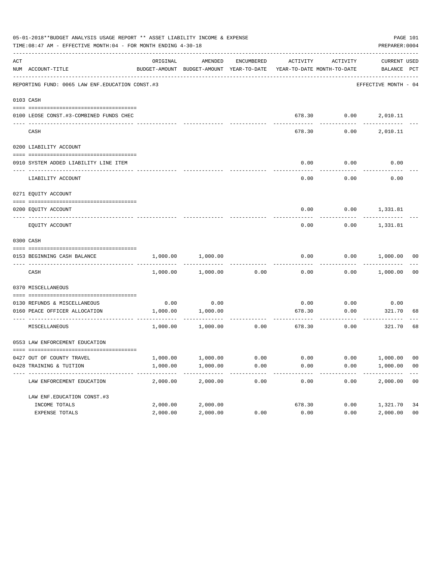|     | 05-01-2018**BUDGET ANALYSIS USAGE REPORT ** ASSET LIABILITY INCOME & EXPENSE<br>TIME:08:47 AM - EFFECTIVE MONTH:04 - FOR MONTH ENDING 4-30-18 |          |                                                     |            |        |                                                 | PREPARER: 0004              | PAGE 101       |
|-----|-----------------------------------------------------------------------------------------------------------------------------------------------|----------|-----------------------------------------------------|------------|--------|-------------------------------------------------|-----------------------------|----------------|
| ACT | NUM ACCOUNT-TITLE                                                                                                                             | ORIGINAL | AMENDED<br>BUDGET-AMOUNT BUDGET-AMOUNT YEAR-TO-DATE | ENCUMBERED |        | ACTIVITY ACTIVITY<br>YEAR-TO-DATE MONTH-TO-DATE | CURRENT USED<br>BALANCE PCT |                |
|     | REPORTING FUND: 0065 LAW ENF. EDUCATION CONST.#3                                                                                              |          |                                                     |            |        |                                                 | EFFECTIVE MONTH - 04        |                |
|     | 0103 CASH                                                                                                                                     |          |                                                     |            |        |                                                 |                             |                |
|     | 0100 LEOSE CONST.#3-COMBINED FUNDS CHEC                                                                                                       |          |                                                     |            |        | 678.30   0.00   2,010.11                        |                             |                |
|     | CASH                                                                                                                                          |          |                                                     |            | 678.30 | 0.00                                            | 2,010.11                    |                |
|     | 0200 LIABILITY ACCOUNT                                                                                                                        |          |                                                     |            |        |                                                 |                             |                |
|     | 0910 SYSTEM ADDED LIABILITY LINE ITEM                                                                                                         |          |                                                     |            | 0.00   | 0.00                                            | 0.00                        |                |
|     | LIABILITY ACCOUNT                                                                                                                             |          |                                                     |            | 0.00   | 0.00                                            | 0.00                        |                |
|     | 0271 EQUITY ACCOUNT                                                                                                                           |          |                                                     |            |        |                                                 |                             |                |
|     | 0200 EQUITY ACCOUNT                                                                                                                           |          |                                                     |            |        | $0.00$ $0.00$ $1,331.81$                        |                             |                |
|     | EQUITY ACCOUNT                                                                                                                                |          |                                                     |            | 0.00   |                                                 | $0.00$ 1,331.81             |                |
|     | 0300 CASH                                                                                                                                     |          |                                                     |            |        |                                                 |                             |                |
|     | 0153 BEGINNING CASH BALANCE                                                                                                                   | 1,000.00 | 1,000.00                                            |            | 0.00   |                                                 | $0.00$ $1,000.00$ 00        |                |
|     | CASH                                                                                                                                          |          | 1,000.00 1,000.00                                   | 0.00       | 0.00   |                                                 | $0.00$ 1,000.00             | 00             |
|     | 0370 MISCELLANEOUS                                                                                                                            |          |                                                     |            |        |                                                 |                             |                |
|     | 0130 REFUNDS & MISCELLANEOUS                                                                                                                  |          | $0.00$ 0.00                                         |            | 0.00   | 0.00                                            | 0.00                        |                |
|     | 0160 PEACE OFFICER ALLOCATION                                                                                                                 |          | 1,000.00 1,000.00<br>-----------                    |            | 678.30 | 0.00<br>-----------                             | 321.70<br>----------        | 68             |
|     | MISCELLANEOUS                                                                                                                                 |          | 1,000.00 1,000.00                                   | 0.00       |        | 678.30<br>0.00                                  | 321.70                      | 68             |
|     | 0553 LAW ENFORCEMENT EDUCATION                                                                                                                |          |                                                     |            |        |                                                 |                             |                |
|     | 0427 OUT OF COUNTY TRAVEL                                                                                                                     | 1,000.00 | 1,000.00                                            | 0.00       | 0.00   | 0.00                                            | 1,000.00                    | 00             |
|     | 0428 TRAINING & TUITION                                                                                                                       | 1,000.00 | 1,000.00                                            | 0.00       | 0.00   | 0.00                                            | 1,000.00                    | 0 <sub>0</sub> |
|     | LAW ENFORCEMENT EDUCATION                                                                                                                     | 2,000.00 | 2,000.00                                            | 0.00       | 0.00   | 0.00                                            | 2,000.00                    | 0 <sub>0</sub> |
|     | LAW ENF. EDUCATION CONST. #3                                                                                                                  |          |                                                     |            |        |                                                 |                             |                |
|     | INCOME TOTALS                                                                                                                                 | 2,000.00 | 2,000.00                                            |            | 678.30 | 0.00                                            | 1,321.70                    | 34             |
|     | EXPENSE TOTALS                                                                                                                                | 2,000.00 | 2,000.00                                            | 0.00       | 0.00   | 0.00                                            | 2,000.00                    | 0 <sub>0</sub> |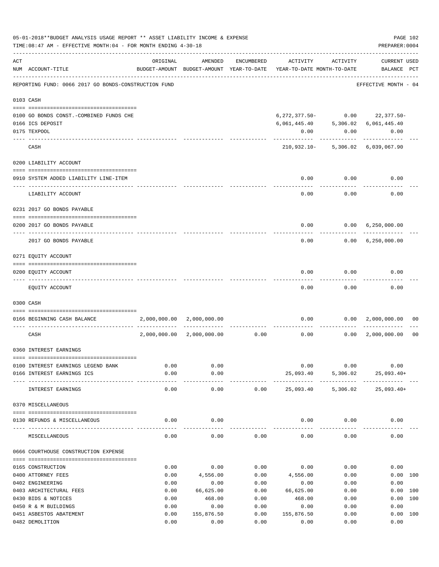|     | 05-01-2018**BUDGET ANALYSIS USAGE REPORT ** ASSET LIABILITY INCOME & EXPENSE<br>TIME: 08:47 AM - EFFECTIVE MONTH: 04 - FOR MONTH ENDING 4-30-18 |              |                                                                                |                   |                            |                             | PREPARER: 0004                                                                                                                            | PAGE 102       |
|-----|-------------------------------------------------------------------------------------------------------------------------------------------------|--------------|--------------------------------------------------------------------------------|-------------------|----------------------------|-----------------------------|-------------------------------------------------------------------------------------------------------------------------------------------|----------------|
| ACT | NUM ACCOUNT-TITLE                                                                                                                               | ORIGINAL     | AMENDED<br>BUDGET-AMOUNT BUDGET-AMOUNT YEAR-TO-DATE YEAR-TO-DATE MONTH-TO-DATE | ENCUMBERED        |                            | ACTIVITY ACTIVITY           | <b>CURRENT USED</b><br>BALANCE PCT                                                                                                        |                |
|     | --------------------------------------<br>REPORTING FUND: 0066 2017 GO BONDS-CONSTRUCTION FUND                                                  |              |                                                                                |                   |                            |                             | EFFECTIVE MONTH - 04                                                                                                                      |                |
|     | 0103 CASH                                                                                                                                       |              |                                                                                |                   |                            |                             |                                                                                                                                           |                |
|     | 0100 GO BONDS CONST. - COMBINED FUNDS CHE                                                                                                       |              |                                                                                |                   |                            |                             | $6, 272, 377.50 - 0.00$ 22,377.50-                                                                                                        |                |
|     | 0166 ICS DEPOSIT                                                                                                                                |              |                                                                                |                   |                            |                             | $\begin{array}{cccc} 6 \, , 061 \, , 445 \, . \, 40 & \qquad & 5 \, , 306 \, . \, 02 & \qquad 6 \, , 061 \, , 445 \, . \, 40 \end{array}$ |                |
|     | 0175 TEXPOOL                                                                                                                                    |              |                                                                                |                   | 0.00                       | 0.00                        | 0.00                                                                                                                                      |                |
|     | CASH                                                                                                                                            |              |                                                                                |                   |                            |                             | 210,932.10- 5,306.02 6,039,067.90                                                                                                         |                |
|     | 0200 LIABILITY ACCOUNT                                                                                                                          |              |                                                                                |                   |                            |                             |                                                                                                                                           |                |
|     | 0910 SYSTEM ADDED LIABILITY LINE-ITEM                                                                                                           |              |                                                                                |                   | 0.00                       | 0.00                        | 0.00                                                                                                                                      |                |
|     | LIABILITY ACCOUNT                                                                                                                               |              |                                                                                |                   | 0.00                       | ---------<br>0.00           | 0.00                                                                                                                                      |                |
|     | 0231 2017 GO BONDS PAYABLE                                                                                                                      |              |                                                                                |                   |                            |                             |                                                                                                                                           |                |
|     | 0200 2017 GO BONDS PAYABLE                                                                                                                      |              |                                                                                |                   |                            |                             | $0.00$ $0.00$ $6,250,000.00$                                                                                                              |                |
|     | 2017 GO BONDS PAYABLE                                                                                                                           |              |                                                                                |                   |                            |                             | $0.00$ $0.00$ $6,250,000.00$                                                                                                              |                |
|     | 0271 EQUITY ACCOUNT                                                                                                                             |              |                                                                                |                   |                            |                             |                                                                                                                                           |                |
|     | 0200 EQUITY ACCOUNT                                                                                                                             |              |                                                                                |                   | 0.00                       | 0.00                        | 0.00                                                                                                                                      |                |
|     | EQUITY ACCOUNT                                                                                                                                  |              |                                                                                |                   | 0.00                       | 0.00                        | 0.00                                                                                                                                      |                |
|     | 0300 CASH                                                                                                                                       |              |                                                                                |                   |                            |                             |                                                                                                                                           |                |
|     | 0166 BEGINNING CASH BALANCE                                                                                                                     |              | 2,000,000.00 2,000,000.00                                                      | ------------      |                            | $0.00$ $0.00$<br>. <u>.</u> | 2,000,000.00                                                                                                                              | 00             |
|     | CASH                                                                                                                                            | 2,000,000.00 |                                                                                | 2,000,000.00 0.00 | 0.00                       |                             | $0.00 \quad 2,000,000.00$                                                                                                                 | 0 <sub>0</sub> |
|     | 0360 INTEREST EARNINGS                                                                                                                          |              |                                                                                |                   |                            |                             |                                                                                                                                           |                |
|     | 0100 INTEREST EARNINGS LEGEND BANK                                                                                                              | 0.00         | 0.00                                                                           |                   | 0.00                       | 0.00                        | 0.00                                                                                                                                      |                |
|     | 0166 INTEREST EARNINGS ICS                                                                                                                      | 0.00         | 0.00                                                                           |                   | 25,093.40                  | 5,306.02                    | $25,093.40+$                                                                                                                              |                |
|     | INTEREST EARNINGS                                                                                                                               | 0.00         | ---------<br>0.00                                                              | 0.00              | -------------<br>25,093.40 | ------------<br>5,306.02    | $25,093.40+$                                                                                                                              |                |
|     | 0370 MISCELLANEOUS                                                                                                                              |              |                                                                                |                   |                            |                             |                                                                                                                                           |                |
|     | 0130 REFUNDS & MISCELLANEOUS                                                                                                                    | 0.00         | 0.00                                                                           |                   |                            | $0.00$ 0.00                 | 0.00                                                                                                                                      |                |
|     | MISCELLANEOUS                                                                                                                                   | 0.00         | 0.00                                                                           | 0.00              | 0.00                       | 0.00                        | 0.00                                                                                                                                      |                |
|     | 0666 COURTHOUSE CONSTRUCTION EXPENSE                                                                                                            |              |                                                                                |                   |                            |                             |                                                                                                                                           |                |
|     | 0165 CONSTRUCTION                                                                                                                               | 0.00         | 0.00                                                                           | 0.00              | 0.00                       | 0.00                        | 0.00                                                                                                                                      |                |
|     | 0400 ATTORNEY FEES                                                                                                                              | 0.00         | 4,556.00                                                                       | 0.00              | 4,556.00                   | 0.00                        |                                                                                                                                           | 0.00 100       |
|     | 0402 ENGINEERING                                                                                                                                | 0.00         | 0.00                                                                           | 0.00              | 0.00                       | 0.00                        | 0.00                                                                                                                                      |                |
|     | 0403 ARCHITECTURAL FEES                                                                                                                         | 0.00         | 66,625.00                                                                      | 0.00              | 66,625.00                  | 0.00                        |                                                                                                                                           | 0.00 100       |
|     | 0430 BIDS & NOTICES                                                                                                                             | 0.00         | 468.00                                                                         | 0.00              | 468.00                     | 0.00                        | 0.00                                                                                                                                      | 100            |
|     | 0450 R & M BUILDINGS                                                                                                                            | 0.00         | 0.00                                                                           | 0.00              | 0.00                       | 0.00                        | 0.00                                                                                                                                      |                |
|     | 0451 ASBESTOS ABATEMENT                                                                                                                         | 0.00         | 155,876.50                                                                     | 0.00              | 155,876.50                 | 0.00                        |                                                                                                                                           | 0.00 100       |
|     | 0482 DEMOLITION                                                                                                                                 | 0.00         | 0.00                                                                           | 0.00              | 0.00                       | 0.00                        | 0.00                                                                                                                                      |                |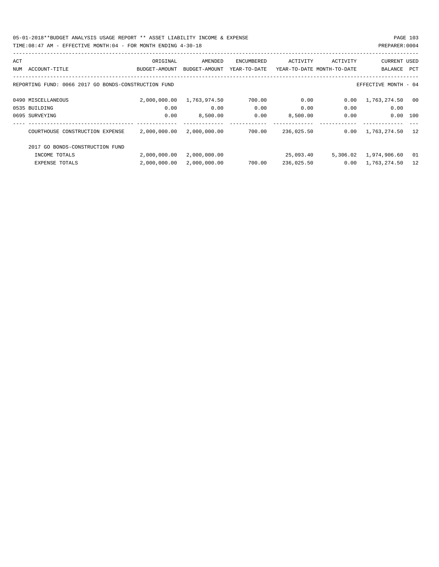05-01-2018\*\*BUDGET ANALYSIS USAGE REPORT \*\* ASSET LIABILITY INCOME & EXPENSE PAGE 103 TIME:08:47 AM - EFFECTIVE MONTH:04 - FOR MONTH ENDING 4-30-18 PREPARER:0004

| ACT |                                                      | ORIGINAL      | AMENDED       | <b>ENCUMBERED</b> | ACTIVITY   | ACTIVITY                   | <b>CURRENT USED</b>  |     |
|-----|------------------------------------------------------|---------------|---------------|-------------------|------------|----------------------------|----------------------|-----|
| NUM | ACCOUNT-TITLE                                        | BUDGET-AMOUNT | BUDGET-AMOUNT | YEAR-TO-DATE      |            | YEAR-TO-DATE MONTH-TO-DATE | BALANCE              | PCT |
|     | REPORTING FUND: 0066 2017 GO BONDS-CONSTRUCTION FUND |               |               |                   |            |                            | EFFECTIVE MONTH - 04 |     |
|     | 0490 MISCELLANEOUS                                   | 2,000,000.00  | 1,763,974.50  | 700.00            | 0.00       | 0.00                       | 1,763,274.50         | 00  |
|     | 0535 BUILDING                                        | 0.00          | 0.00          | 0.00              | 0.00       | 0.00                       | 0.00                 |     |
|     | 0695 SURVEYING                                       | 0.00          | 8,500.00      | 0.00              | 8,500.00   | 0.00                       | 0.00                 | 100 |
|     |                                                      |               |               |                   |            |                            |                      |     |
|     | COURTHOUSE CONSTRUCTION EXPENSE                      | 2,000,000.00  | 2,000,000.00  | 700.00            | 236,025.50 | 0.00                       | 1,763,274.50         | 12  |
|     | 2017 GO BONDS-CONSTRUCTION FUND                      |               |               |                   |            |                            |                      |     |
|     | INCOME TOTALS                                        | 2,000,000.00  | 2,000,000.00  |                   | 25,093.40  | 5,306.02                   | 1,974,906.60         | 01  |
|     | <b>EXPENSE TOTALS</b>                                | 2,000,000.00  | 2,000,000.00  | 700.00            | 236,025.50 | 0.00                       | 1,763,274.50         | 12  |
|     |                                                      |               |               |                   |            |                            |                      |     |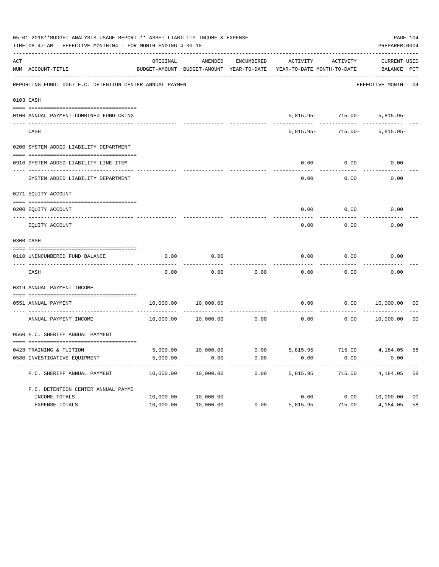|     | 05-01-2018**BUDGET ANALYSIS USAGE REPORT ** ASSET LIABILITY INCOME & EXPENSE<br>TIME: 08:47 AM - EFFECTIVE MONTH: 04 - FOR MONTH ENDING 4-30-18 |           |                                                     |            |                                                  |                                             | PAGE 104<br>PREPARER: 0004  |                |
|-----|-------------------------------------------------------------------------------------------------------------------------------------------------|-----------|-----------------------------------------------------|------------|--------------------------------------------------|---------------------------------------------|-----------------------------|----------------|
| ACT | NUM ACCOUNT-TITLE                                                                                                                               | ORIGINAL  | AMENDED<br>BUDGET-AMOUNT BUDGET-AMOUNT YEAR-TO-DATE | ENCUMBERED | ACTIVITY<br>YEAR-TO-DATE MONTH-TO-DATE           | ACTIVITY                                    | CURRENT USED<br>BALANCE PCT |                |
|     | REPORTING FUND: 0067 F.C. DETENTION CENTER ANNUAL PAYMEN                                                                                        |           |                                                     |            |                                                  |                                             | EFFECTIVE MONTH - 04        |                |
|     | 0103 CASH                                                                                                                                       |           |                                                     |            |                                                  |                                             |                             |                |
|     |                                                                                                                                                 |           |                                                     |            |                                                  |                                             |                             |                |
|     | 0100 ANNUAL PAYMENT-COMBINED FUND CKING                                                                                                         |           |                                                     |            |                                                  | 5,815.95 - 715.00 - 5,815.95 -<br>--------- |                             |                |
|     | CASH                                                                                                                                            |           |                                                     |            | $5.815.95 -$                                     |                                             | 715.00- 5,815.95-           |                |
|     | 0200 SYSTEM ADDED LIABILITY DEPARTMENT                                                                                                          |           |                                                     |            |                                                  |                                             |                             |                |
|     | 0910 SYSTEM ADDED LIABILITY LINE-ITEM                                                                                                           |           |                                                     |            | 0.00                                             | 0.00                                        | 0.00                        |                |
|     | SYSTEM ADDED LIABILITY DEPARTMENT                                                                                                               |           |                                                     |            | 0.00                                             | 0.00                                        | 0.00                        |                |
|     | 0271 EQUITY ACCOUNT                                                                                                                             |           |                                                     |            |                                                  |                                             |                             |                |
|     | 0200 EQUITY ACCOUNT                                                                                                                             |           |                                                     |            | 0.00                                             | 0.00                                        | 0.00                        |                |
|     | EQUITY ACCOUNT                                                                                                                                  |           |                                                     |            | 0.00                                             | 0.00                                        | 0.00                        |                |
|     | 0300 CASH                                                                                                                                       |           |                                                     |            |                                                  |                                             |                             |                |
|     | 0110 UNENCUMBERED FUND BALANCE                                                                                                                  | 0.00      | 0.00                                                |            | 0.00                                             | 0.00                                        | 0.00                        |                |
|     | CASH                                                                                                                                            | 0.00      | 0.00                                                | 0.00       | 0.00                                             | 0.00                                        | 0.00                        |                |
|     | 0319 ANNUAL PAYMENT INCOME                                                                                                                      |           |                                                     |            |                                                  |                                             |                             |                |
|     | 0551 ANNUAL PAYMENT                                                                                                                             | 10,000.00 | 10,000.00                                           |            | 0.00                                             |                                             | $0.00$ $10,000.00$          | 00             |
|     | ANNUAL PAYMENT INCOME                                                                                                                           |           | 10,000.00 10,000.00                                 | 0.00       | 0.00                                             | 0.00                                        | 10,000.00                   | 0 <sub>0</sub> |
|     | 0560 F.C. SHERIFF ANNUAL PAYMENT                                                                                                                |           |                                                     |            |                                                  |                                             |                             |                |
|     | 0428 TRAINING & TUITION                                                                                                                         |           |                                                     |            | 5,000.00 10,000.00 0.00 5,815.95 715.00 4,184.05 |                                             |                             | 58             |
|     | 0580 INVESTIGATIVE EQUIPMENT                                                                                                                    | 5,000.00  | 0.00                                                | 0.00       | 0.00                                             | 0.00                                        | 0.00                        |                |
|     | F.C. SHERIFF ANNUAL PAYMENT                                                                                                                     | 10,000.00 | 10,000.00                                           | 0.00       | 5,815.95                                         | 715.00                                      | 4,184.05                    | 58             |
|     | F.C. DETENTION CENTER ANNUAL PAYME                                                                                                              |           |                                                     |            |                                                  |                                             |                             |                |
|     | INCOME TOTALS                                                                                                                                   | 10,000.00 | 10,000.00                                           |            | 0.00                                             | 0.00                                        | 10,000.00                   | 0 <sub>0</sub> |
|     | EXPENSE TOTALS                                                                                                                                  | 10,000.00 | 10,000.00                                           | 0.00       | 5,815.95                                         | 715.00                                      | 4,184.05                    | 58             |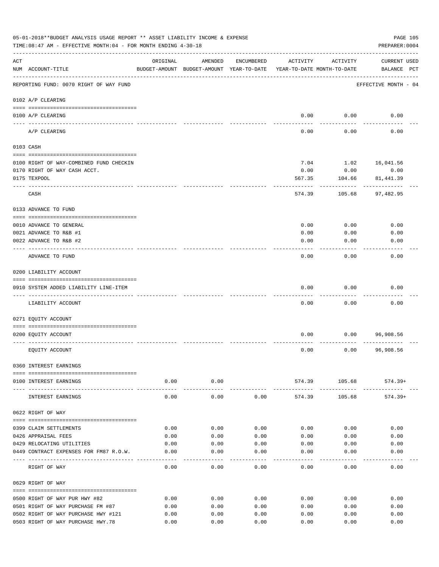|     | 05-01-2018**BUDGET ANALYSIS USAGE REPORT ** ASSET LIABILITY INCOME & EXPENSE<br>TIME: 08:47 AM - EFFECTIVE MONTH: 04 - FOR MONTH ENDING 4-30-18 |          |                                                     |            |                                        |                        | PAGE 105<br>PREPARER: 0004         |
|-----|-------------------------------------------------------------------------------------------------------------------------------------------------|----------|-----------------------------------------------------|------------|----------------------------------------|------------------------|------------------------------------|
| ACT | NUM ACCOUNT-TITLE                                                                                                                               | ORIGINAL | AMENDED<br>BUDGET-AMOUNT BUDGET-AMOUNT YEAR-TO-DATE | ENCUMBERED | ACTIVITY<br>YEAR-TO-DATE MONTH-TO-DATE | ACTIVITY               | <b>CURRENT USED</b><br>BALANCE PCT |
|     | REPORTING FUND: 0070 RIGHT OF WAY FUND                                                                                                          |          |                                                     |            |                                        |                        | EFFECTIVE MONTH - 04               |
|     | 0102 A/P CLEARING                                                                                                                               |          |                                                     |            |                                        |                        |                                    |
|     | 0100 A/P CLEARING                                                                                                                               |          |                                                     |            | 0.00                                   | 0.00                   | 0.00                               |
|     | ---- ---------<br>A/P CLEARING                                                                                                                  |          |                                                     |            | 0.00                                   | 0.00                   | 0.00                               |
|     | 0103 CASH                                                                                                                                       |          |                                                     |            |                                        |                        |                                    |
|     | 0100 RIGHT OF WAY-COMBINED FUND CHECKIN                                                                                                         |          |                                                     |            | 7.04                                   | 1.02                   | 16,041.56                          |
|     | 0170 RIGHT OF WAY CASH ACCT.                                                                                                                    |          |                                                     |            | 0.00                                   | 0.00                   | 0.00                               |
|     | 0175 TEXPOOL                                                                                                                                    |          |                                                     |            | 567.35                                 | 104.66                 | 81,441.39                          |
|     | CASH                                                                                                                                            |          |                                                     |            | 574.39                                 | 105.68                 | 97,482.95                          |
|     | 0133 ADVANCE TO FUND                                                                                                                            |          |                                                     |            |                                        |                        |                                    |
|     | 0010 ADVANCE TO GENERAL                                                                                                                         |          |                                                     |            | 0.00                                   | 0.00                   | 0.00                               |
|     | 0021 ADVANCE TO R&B #1                                                                                                                          |          |                                                     |            | 0.00                                   | 0.00                   | 0.00                               |
|     | 0022 ADVANCE TO R&B #2                                                                                                                          |          |                                                     |            | 0.00                                   | 0.00                   | 0.00                               |
|     | ADVANCE TO FUND                                                                                                                                 |          |                                                     |            | 0.00                                   | 0.00                   | 0.00                               |
|     | 0200 LIABILITY ACCOUNT                                                                                                                          |          |                                                     |            |                                        |                        |                                    |
|     |                                                                                                                                                 |          |                                                     |            |                                        |                        |                                    |
|     | 0910 SYSTEM ADDED LIABILITY LINE-ITEM                                                                                                           |          |                                                     |            | 0.00                                   | 0.00                   | 0.00                               |
|     | LIABILITY ACCOUNT                                                                                                                               |          |                                                     |            | 0.00                                   | 0.00                   | 0.00                               |
|     | 0271 EQUITY ACCOUNT                                                                                                                             |          |                                                     |            |                                        |                        |                                    |
|     |                                                                                                                                                 |          |                                                     |            |                                        |                        |                                    |
|     | 0200 EQUITY ACCOUNT                                                                                                                             |          |                                                     |            | 0.00                                   | 0.00                   | 96,908.56                          |
|     | EQUITY ACCOUNT                                                                                                                                  |          |                                                     |            | 0.00                                   | 0.00                   | 96,908.56                          |
|     | 0360 INTEREST EARNINGS                                                                                                                          |          |                                                     |            |                                        |                        |                                    |
|     | 0100 INTEREST EARNINGS                                                                                                                          |          | $0.00$ 0.00                                         |            |                                        |                        | 574.39 105.68 574.39+              |
|     |                                                                                                                                                 |          | ------------                                        |            | --------------                         | ------------<br>105.68 |                                    |
|     | INTEREST EARNINGS                                                                                                                               | 0.00     | 0.00                                                | 0.00       | 574.39                                 |                        | $574.39+$                          |
|     | 0622 RIGHT OF WAY                                                                                                                               |          |                                                     |            |                                        |                        |                                    |
|     | 0399 CLAIM SETTLEMENTS                                                                                                                          | 0.00     | 0.00                                                | 0.00       | 0.00                                   | 0.00                   | 0.00                               |
|     | 0426 APPRAISAL FEES                                                                                                                             | 0.00     | 0.00                                                | 0.00       | 0.00                                   | 0.00                   | 0.00                               |
|     | 0429 RELOCATING UTILITIES                                                                                                                       | 0.00     | 0.00                                                | 0.00       | 0.00                                   | 0.00                   | 0.00                               |
|     | 0449 CONTRACT EXPENSES FOR FM87 R.O.W.                                                                                                          | 0.00     | 0.00                                                | 0.00       | 0.00                                   | 0.00                   | 0.00                               |
|     | RIGHT OF WAY                                                                                                                                    | 0.00     | 0.00                                                | 0.00       | 0.00                                   | 0.00                   | 0.00                               |
|     | 0629 RIGHT OF WAY                                                                                                                               |          |                                                     |            |                                        |                        |                                    |
|     | 0500 RIGHT OF WAY PUR HWY #82                                                                                                                   | 0.00     | 0.00                                                | 0.00       | 0.00                                   | 0.00                   | 0.00                               |
|     | 0501 RIGHT OF WAY PURCHASE FM #87                                                                                                               | 0.00     | 0.00                                                | 0.00       | 0.00                                   | 0.00                   | 0.00                               |
|     | 0502 RIGHT OF WAY PURCHASE HWY #121                                                                                                             | 0.00     | 0.00                                                | 0.00       | 0.00                                   | 0.00                   | 0.00                               |
|     | 0503 RIGHT OF WAY PURCHASE HWY.78                                                                                                               | 0.00     | 0.00                                                | 0.00       | 0.00                                   | 0.00                   | 0.00                               |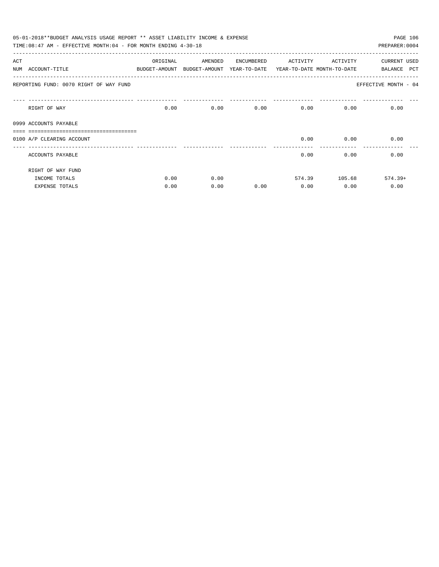|     | 05-01-2018**BUDGET ANALYSIS USAGE REPORT ** ASSET LIABILITY INCOME & EXPENSE<br>PAGE 106<br>TIME: 08:47 AM - EFFECTIVE MONTH: 04 - FOR MONTH ENDING 4-30-18<br>PREPARER: 0004 |          |                                                                     |      |                   |               |                       |  |  |  |  |
|-----|-------------------------------------------------------------------------------------------------------------------------------------------------------------------------------|----------|---------------------------------------------------------------------|------|-------------------|---------------|-----------------------|--|--|--|--|
|     |                                                                                                                                                                               |          |                                                                     |      |                   |               |                       |  |  |  |  |
| ACT |                                                                                                                                                                               | ORIGINAL | AMENDED ENCUMBERED                                                  |      | ACTIVITY ACTIVITY |               | CURRENT USED          |  |  |  |  |
|     | NUM ACCOUNT-TITLE                                                                                                                                                             |          | BUDGET-AMOUNT BUDGET-AMOUNT YEAR-TO-DATE YEAR-TO-DATE MONTH-TO-DATE |      |                   |               | <b>PCT</b><br>BALANCE |  |  |  |  |
|     | REPORTING FUND: 0070 RIGHT OF WAY FUND                                                                                                                                        |          |                                                                     |      |                   |               | EFFECTIVE MONTH - 04  |  |  |  |  |
|     | RIGHT OF WAY                                                                                                                                                                  | 0.00     |                                                                     | 0.00 | 0.00              | 0.00          | 0.00<br>0.00          |  |  |  |  |
|     | 0999 ACCOUNTS PAYABLE                                                                                                                                                         |          |                                                                     |      |                   |               |                       |  |  |  |  |
|     |                                                                                                                                                                               |          |                                                                     |      |                   |               |                       |  |  |  |  |
|     | 0100 A/P CLEARING ACCOUNT                                                                                                                                                     |          |                                                                     |      | 0.00              | 0.00          | 0.00                  |  |  |  |  |
|     | ACCOUNTS PAYABLE                                                                                                                                                              |          |                                                                     |      | 0.00              | 0.00          | 0.00                  |  |  |  |  |
|     | RIGHT OF WAY FUND                                                                                                                                                             |          |                                                                     |      |                   |               |                       |  |  |  |  |
|     | INCOME TOTALS                                                                                                                                                                 | 0.00     | 0.00                                                                |      |                   | 574.39 105.68 | $574.39+$             |  |  |  |  |
|     | <b>EXPENSE TOTALS</b>                                                                                                                                                         | 0.00     | 0.00                                                                | 0.00 | 0.00              | 0.00          | 0.00                  |  |  |  |  |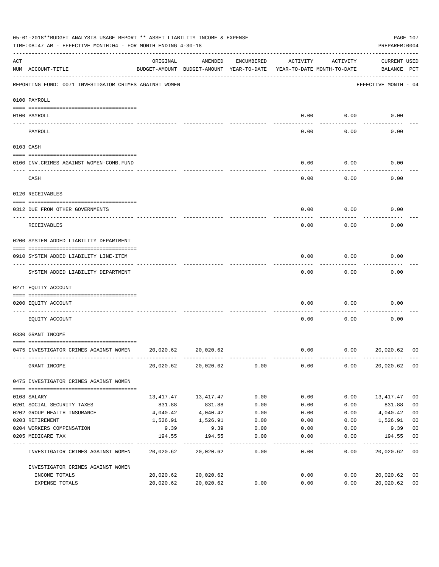| 05-01-2018**BUDGET ANALYSIS USAGE REPORT ** ASSET LIABILITY INCOME & EXPENSE<br>TIME: 08:47 AM - EFFECTIVE MONTH: 04 - FOR MONTH ENDING 4-30-18 |                                                        |           |                                                                                |            |          |          | PAGE 107<br>PREPARER: 0004  |                |
|-------------------------------------------------------------------------------------------------------------------------------------------------|--------------------------------------------------------|-----------|--------------------------------------------------------------------------------|------------|----------|----------|-----------------------------|----------------|
| ACT                                                                                                                                             | NUM ACCOUNT-TITLE                                      | ORIGINAL  | AMENDED<br>BUDGET-AMOUNT BUDGET-AMOUNT YEAR-TO-DATE YEAR-TO-DATE MONTH-TO-DATE | ENCUMBERED | ACTIVITY | ACTIVITY | CURRENT USED<br>BALANCE PCT |                |
|                                                                                                                                                 | REPORTING FUND: 0071 INVESTIGATOR CRIMES AGAINST WOMEN |           |                                                                                |            |          |          | EFFECTIVE MONTH - 04        |                |
|                                                                                                                                                 | 0100 PAYROLL                                           |           |                                                                                |            |          |          |                             |                |
|                                                                                                                                                 | 0100 PAYROLL                                           |           |                                                                                |            | 0.00     | 0.00     | 0.00                        |                |
|                                                                                                                                                 | PAYROLL                                                |           |                                                                                |            | 0.00     | 0.00     | 0.00                        |                |
| 0103 CASH                                                                                                                                       |                                                        |           |                                                                                |            |          |          |                             |                |
|                                                                                                                                                 | 0100 INV. CRIMES AGAINST WOMEN-COMB. FUND              |           |                                                                                |            | 0.00     | 0.00     | 0.00                        |                |
|                                                                                                                                                 | CASH                                                   |           |                                                                                |            | 0.00     | 0.00     | 0.00                        |                |
|                                                                                                                                                 | 0120 RECEIVABLES                                       |           |                                                                                |            |          |          |                             |                |
|                                                                                                                                                 | 0312 DUE FROM OTHER GOVERNMENTS                        |           |                                                                                |            | 0.00     | 0.00     | 0.00                        |                |
|                                                                                                                                                 | RECEIVABLES                                            |           |                                                                                |            | 0.00     | 0.00     | 0.00                        |                |
|                                                                                                                                                 | 0200 SYSTEM ADDED LIABILITY DEPARTMENT                 |           |                                                                                |            |          |          |                             |                |
|                                                                                                                                                 | 0910 SYSTEM ADDED LIABILITY LINE-ITEM                  |           |                                                                                |            | 0.00     | 0.00     | 0.00                        |                |
|                                                                                                                                                 | SYSTEM ADDED LIABILITY DEPARTMENT                      |           |                                                                                |            | 0.00     | 0.00     | 0.00                        |                |
|                                                                                                                                                 | 0271 EQUITY ACCOUNT                                    |           |                                                                                |            |          |          |                             |                |
|                                                                                                                                                 | 0200 EQUITY ACCOUNT                                    |           |                                                                                |            | 0.00     | 0.00     | 0.00                        |                |
|                                                                                                                                                 | EOUITY ACCOUNT                                         |           |                                                                                |            | 0.00     | 0.00     | 0.00                        |                |
|                                                                                                                                                 | 0330 GRANT INCOME                                      |           |                                                                                |            |          |          |                             |                |
|                                                                                                                                                 | 0475 INVESTIGATOR CRIMES AGAINST WOMEN 20,020.62       |           | 20,020.62                                                                      |            | 0.00     | 0.00     | 20,020.62                   | 00             |
|                                                                                                                                                 | GRANT INCOME                                           |           | 20,020.62 20,020.62                                                            | 0.00       | 0.00     | 0.00     | 20,020.62                   | 0 <sub>0</sub> |
|                                                                                                                                                 | 0475 INVESTIGATOR CRIMES AGAINST WOMEN                 |           |                                                                                |            |          |          |                             |                |
|                                                                                                                                                 | 0108 SALARY                                            |           | 13, 417. 47 13, 417. 47                                                        | 0.00       | 0.00     | 0.00     | 13,417.47                   | 0 <sub>0</sub> |
|                                                                                                                                                 | 0201 SOCIAL SECURITY TAXES                             | 831.88    | 831.88                                                                         | 0.00       | 0.00     | 0.00     | 831.88                      | 0 <sub>0</sub> |
|                                                                                                                                                 | 0202 GROUP HEALTH INSURANCE                            | 4,040.42  | 4,040.42                                                                       | 0.00       | 0.00     | 0.00     | 4,040.42                    | 0 <sub>0</sub> |
|                                                                                                                                                 | 0203 RETIREMENT                                        | 1,526.91  | 1,526.91                                                                       | 0.00       | 0.00     | 0.00     | 1,526.91                    | 0 <sub>0</sub> |
|                                                                                                                                                 | 0204 WORKERS COMPENSATION                              | 9.39      | 9.39                                                                           | 0.00       | 0.00     | 0.00     | 9.39                        | 0 <sub>0</sub> |
|                                                                                                                                                 | 0205 MEDICARE TAX                                      | 194.55    | 194.55                                                                         | 0.00       | 0.00     | 0.00     | 194.55                      | 0 <sub>0</sub> |
|                                                                                                                                                 | INVESTIGATOR CRIMES AGAINST WOMEN                      |           | 20,020.62 20,020.62                                                            | 0.00       | 0.00     | 0.00     | 20,020.62                   | 0 <sub>0</sub> |
|                                                                                                                                                 | INVESTIGATOR CRIMES AGAINST WOMEN                      |           |                                                                                |            |          |          |                             |                |
|                                                                                                                                                 | INCOME TOTALS                                          | 20,020.62 | 20,020.62                                                                      |            | 0.00     | 0.00     | 20,020.62                   | 0 <sub>0</sub> |
|                                                                                                                                                 | EXPENSE TOTALS                                         | 20,020.62 | 20,020.62                                                                      | 0.00       | 0.00     | 0.00     | 20,020.62                   | 0 <sub>0</sub> |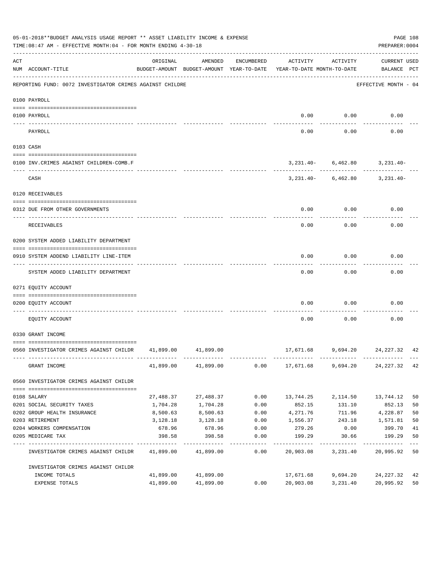|                                                                                                                                                                                                                                                                                                                                                                                              | 05-01-2018**BUDGET ANALYSIS USAGE REPORT ** ASSET LIABILITY INCOME & EXPENSE<br>TIME: 08:47 AM - EFFECTIVE MONTH: 04 - FOR MONTH ENDING 4-30-18 |           |                     |                  |                                                                                 |               | PREPARER: 0004                     | PAGE 108 |
|----------------------------------------------------------------------------------------------------------------------------------------------------------------------------------------------------------------------------------------------------------------------------------------------------------------------------------------------------------------------------------------------|-------------------------------------------------------------------------------------------------------------------------------------------------|-----------|---------------------|------------------|---------------------------------------------------------------------------------|---------------|------------------------------------|----------|
| ACT                                                                                                                                                                                                                                                                                                                                                                                          | NUM ACCOUNT-TITLE                                                                                                                               | ORIGINAL  | AMENDED             | ENCUMBERED       | ACTIVITY<br>BUDGET-AMOUNT BUDGET-AMOUNT YEAR-TO-DATE YEAR-TO-DATE MONTH-TO-DATE | ACTIVITY      | CURRENT USED<br>BALANCE PCT        |          |
|                                                                                                                                                                                                                                                                                                                                                                                              | REPORTING FUND: 0072 INVESTIGATOR CRIMES AGAINST CHILDRE                                                                                        |           |                     |                  |                                                                                 |               | EFFECTIVE MONTH - 04               |          |
|                                                                                                                                                                                                                                                                                                                                                                                              | 0100 PAYROLL                                                                                                                                    |           |                     |                  |                                                                                 |               |                                    |          |
| $\frac{1}{2} \frac{1}{2} \frac{1}{2} \frac{1}{2} \frac{1}{2} \frac{1}{2} \frac{1}{2} \frac{1}{2} \frac{1}{2} \frac{1}{2} \frac{1}{2} \frac{1}{2} \frac{1}{2} \frac{1}{2} \frac{1}{2} \frac{1}{2} \frac{1}{2} \frac{1}{2} \frac{1}{2} \frac{1}{2} \frac{1}{2} \frac{1}{2} \frac{1}{2} \frac{1}{2} \frac{1}{2} \frac{1}{2} \frac{1}{2} \frac{1}{2} \frac{1}{2} \frac{1}{2} \frac{1}{2} \frac{$ | 0100 PAYROLL                                                                                                                                    |           |                     |                  |                                                                                 | $0.00$ $0.00$ | 0.00                               |          |
|                                                                                                                                                                                                                                                                                                                                                                                              | PAYROLL                                                                                                                                         |           |                     |                  | 0.00                                                                            | 0.00          | 0.00                               |          |
|                                                                                                                                                                                                                                                                                                                                                                                              | 0103 CASH                                                                                                                                       |           |                     |                  |                                                                                 |               |                                    |          |
|                                                                                                                                                                                                                                                                                                                                                                                              | 0100 INV.CRIMES AGAINST CHILDREN-COMB.F                                                                                                         |           |                     |                  |                                                                                 |               | $3,231.40 - 6,462.80$ $3,231.40 -$ |          |
|                                                                                                                                                                                                                                                                                                                                                                                              | CASH                                                                                                                                            |           |                     |                  |                                                                                 |               | $3,231.40 - 6,462.80$ $3,231.40 -$ |          |
|                                                                                                                                                                                                                                                                                                                                                                                              | 0120 RECEIVABLES                                                                                                                                |           |                     |                  |                                                                                 |               |                                    |          |
|                                                                                                                                                                                                                                                                                                                                                                                              | 0312 DUE FROM OTHER GOVERNMENTS                                                                                                                 |           |                     |                  |                                                                                 | $0.00$ $0.00$ | 0.00                               |          |
|                                                                                                                                                                                                                                                                                                                                                                                              | RECEIVABLES                                                                                                                                     |           |                     |                  | 0.00                                                                            | 0.00          | 0.00                               |          |
|                                                                                                                                                                                                                                                                                                                                                                                              | 0200 SYSTEM ADDED LIABILITY DEPARTMENT                                                                                                          |           |                     |                  |                                                                                 |               |                                    |          |
|                                                                                                                                                                                                                                                                                                                                                                                              | 0910 SYSTEM ADDEND LIABILITY LINE-ITEM                                                                                                          |           |                     |                  | 0.00                                                                            | 0.00          | 0.00                               |          |
|                                                                                                                                                                                                                                                                                                                                                                                              | SYSTEM ADDED LIABILITY DEPARTMENT                                                                                                               |           |                     |                  | 0.00                                                                            | 0.00          | 0.00                               |          |
|                                                                                                                                                                                                                                                                                                                                                                                              | 0271 EQUITY ACCOUNT                                                                                                                             |           |                     |                  |                                                                                 |               |                                    |          |
|                                                                                                                                                                                                                                                                                                                                                                                              | 0200 EQUITY ACCOUNT                                                                                                                             |           |                     |                  | 0.00                                                                            | 0.00          | 0.00                               |          |
|                                                                                                                                                                                                                                                                                                                                                                                              | EQUITY ACCOUNT                                                                                                                                  |           |                     |                  | 0.00                                                                            | 0.00          | 0.00                               |          |
|                                                                                                                                                                                                                                                                                                                                                                                              | 0330 GRANT INCOME                                                                                                                               |           |                     |                  |                                                                                 |               |                                    |          |
|                                                                                                                                                                                                                                                                                                                                                                                              | 0560 INVESTIGATOR CRIMES AGAINST CHILDR 41,899.00 41,899.00                                                                                     |           |                     |                  |                                                                                 |               | 17,671.68 9,694.20 24,227.32 42    |          |
|                                                                                                                                                                                                                                                                                                                                                                                              | GRANT INCOME                                                                                                                                    |           | 41,899.00 41,899.00 |                  | $0.00$ 17,671.68 9,694.20 24,227.32 42                                          |               |                                    |          |
|                                                                                                                                                                                                                                                                                                                                                                                              | 0560 INVESTIGATOR CRIMES AGAINST CHILDR                                                                                                         |           |                     |                  |                                                                                 |               |                                    |          |
|                                                                                                                                                                                                                                                                                                                                                                                              | 0108 SALARY                                                                                                                                     | 27,488.37 | 27,488.37           | 0.00             | 13,744.25                                                                       | 2,114.50      | 13,744.12                          | 50       |
|                                                                                                                                                                                                                                                                                                                                                                                              | 0201 SOCIAL SECURITY TAXES                                                                                                                      | 1,704.28  | 1,704.28            | 0.00             | 852.15                                                                          | 131.10        | 852.13                             | 50       |
|                                                                                                                                                                                                                                                                                                                                                                                              | 0202 GROUP HEALTH INSURANCE                                                                                                                     | 8,500.63  | 8,500.63            | 0.00             | 4,271.76                                                                        | 711.96        | 4,228.87                           | 50       |
|                                                                                                                                                                                                                                                                                                                                                                                              | 0203 RETIREMENT                                                                                                                                 | 3,128.18  | 3,128.18            | 0.00             | 1,556.37                                                                        | 243.18        | 1,571.81                           | 50       |
|                                                                                                                                                                                                                                                                                                                                                                                              | 0204 WORKERS COMPENSATION                                                                                                                       | 678.96    | 678.96              | 0.00             | 279.26                                                                          | 0.00          | 399.70                             | 41       |
|                                                                                                                                                                                                                                                                                                                                                                                              | 0205 MEDICARE TAX                                                                                                                               | 398.58    | 398.58              | 0.00<br>-------- | 199.29                                                                          | 30.66         | 199.29                             | 50       |
|                                                                                                                                                                                                                                                                                                                                                                                              | INVESTIGATOR CRIMES AGAINST CHILDR                                                                                                              |           | 41,899.00 41,899.00 | 0.00             | 20,903.08                                                                       | 3,231.40      | 20,995.92                          | 50       |
|                                                                                                                                                                                                                                                                                                                                                                                              | INVESTIGATOR CRIMES AGAINST CHILDR                                                                                                              |           |                     |                  |                                                                                 |               |                                    |          |
|                                                                                                                                                                                                                                                                                                                                                                                              | INCOME TOTALS                                                                                                                                   |           | 41,899.00 41,899.00 |                  | 17,671.68                                                                       | 9,694.20      | 24,227.32                          | 42       |
|                                                                                                                                                                                                                                                                                                                                                                                              | EXPENSE TOTALS                                                                                                                                  | 41,899.00 | 41,899.00           | 0.00             | 20,903.08                                                                       | 3,231.40      | 20,995.92                          | 50       |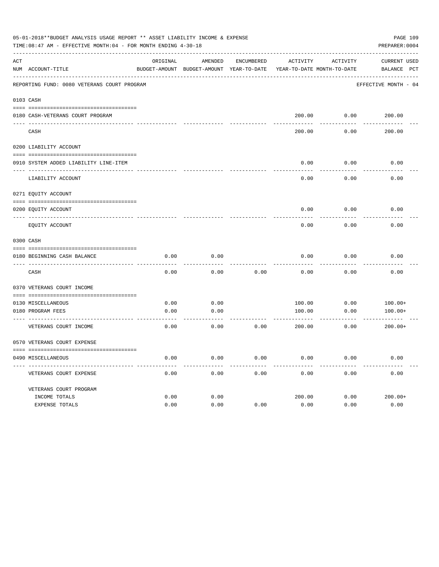|     | 05-01-2018**BUDGET ANALYSIS USAGE REPORT ** ASSET LIABILITY INCOME & EXPENSE<br>TIME:08:47 AM - EFFECTIVE MONTH:04 - FOR MONTH ENDING 4-30-18 |          |                                                     |            |          |                                        | PREPARER: 0004                     | PAGE 109 |
|-----|-----------------------------------------------------------------------------------------------------------------------------------------------|----------|-----------------------------------------------------|------------|----------|----------------------------------------|------------------------------------|----------|
| ACT | NUM ACCOUNT-TITLE                                                                                                                             | ORIGINAL | AMENDED<br>BUDGET-AMOUNT BUDGET-AMOUNT YEAR-TO-DATE | ENCUMBERED | ACTIVITY | ACTIVITY<br>YEAR-TO-DATE MONTH-TO-DATE | <b>CURRENT USED</b><br>BALANCE PCT |          |
|     | REPORTING FUND: 0080 VETERANS COURT PROGRAM                                                                                                   |          |                                                     |            |          |                                        | EFFECTIVE MONTH - 04               |          |
|     | 0103 CASH                                                                                                                                     |          |                                                     |            |          |                                        |                                    |          |
|     | 0180 CASH-VETERANS COURT PROGRAM                                                                                                              |          |                                                     |            |          | 200.00 0.00                            | 200.00                             |          |
|     | CASH                                                                                                                                          |          |                                                     |            | 200.00   | 0.00                                   | 200.00                             |          |
|     | 0200 LIABILITY ACCOUNT                                                                                                                        |          |                                                     |            |          |                                        |                                    |          |
|     | 0910 SYSTEM ADDED LIABILITY LINE-ITEM                                                                                                         |          |                                                     |            | 0.00     | 0.00                                   | 0.00                               |          |
|     | LIABILITY ACCOUNT                                                                                                                             |          |                                                     |            | 0.00     | 0.00                                   | 0.00                               |          |
|     | 0271 EQUITY ACCOUNT                                                                                                                           |          |                                                     |            |          |                                        |                                    |          |
|     | 0200 EQUITY ACCOUNT                                                                                                                           |          |                                                     |            | 0.00     | 0.00                                   | 0.00                               |          |
|     | EQUITY ACCOUNT                                                                                                                                |          |                                                     |            | 0.00     | 0.00                                   | 0.00                               |          |
|     | 0300 CASH                                                                                                                                     |          |                                                     |            |          |                                        |                                    |          |
|     | 0180 BEGINNING CASH BALANCE<br>_______________________________                                                                                | 0.00     | 0.00                                                |            | 0.00     | 0.00                                   | 0.00                               |          |
|     | CASH                                                                                                                                          | 0.00     | 0.00                                                | 0.00       | 0.00     | 0.00                                   | 0.00                               |          |
|     | 0370 VETERANS COURT INCOME                                                                                                                    |          |                                                     |            |          |                                        |                                    |          |
|     | 0130 MISCELLANEOUS                                                                                                                            | 0.00     | 0.00                                                |            | 100.00   | 0.00                                   | $100.00+$                          |          |
|     | 0180 PROGRAM FEES                                                                                                                             | 0.00     | 0.00                                                |            | 100.00   | 0.00                                   | $100.00+$                          |          |
|     | VETERANS COURT INCOME                                                                                                                         | 0.00     | 0.00                                                | 0.00       | 200.00   | 0.00                                   | $200.00+$                          |          |
|     | 0570 VETERANS COURT EXPENSE                                                                                                                   |          |                                                     |            |          |                                        |                                    |          |
|     | 0490 MISCELLANEOUS                                                                                                                            | 0.00     | 0.00                                                | 0.00       | 0.00     | 0.00                                   | 0.00                               |          |
|     | VETERANS COURT EXPENSE                                                                                                                        | 0.00     | 0.00                                                | 0.00       | 0.00     | 0.00                                   | 0.00                               |          |
|     | VETERANS COURT PROGRAM                                                                                                                        |          |                                                     |            |          |                                        |                                    |          |
|     | INCOME TOTALS                                                                                                                                 | 0.00     | 0.00                                                |            | 200.00   | 0.00                                   | $200.00+$                          |          |
|     | EXPENSE TOTALS                                                                                                                                | 0.00     | 0.00                                                | 0.00       | 0.00     | 0.00                                   | 0.00                               |          |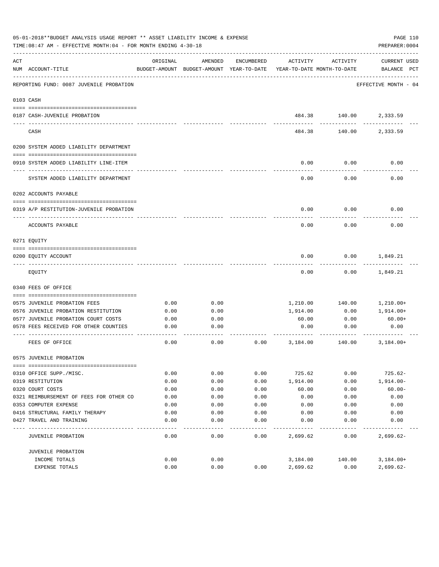|      | 05-01-2018**BUDGET ANALYSIS USAGE REPORT ** ASSET LIABILITY INCOME & EXPENSE<br>PAGE 110<br>TIME: 08:47 AM - EFFECTIVE MONTH: 04 - FOR MONTH ENDING 4-30-18<br>PREPARER: 0004 |              |                                                     |              |                                        |                        |                                    |  |  |
|------|-------------------------------------------------------------------------------------------------------------------------------------------------------------------------------|--------------|-----------------------------------------------------|--------------|----------------------------------------|------------------------|------------------------------------|--|--|
| ACT  | NUM ACCOUNT-TITLE                                                                                                                                                             | ORIGINAL     | AMENDED<br>BUDGET-AMOUNT BUDGET-AMOUNT YEAR-TO-DATE | ENCUMBERED   | ACTIVITY<br>YEAR-TO-DATE MONTH-TO-DATE | ACTIVITY               | <b>CURRENT USED</b><br>BALANCE PCT |  |  |
|      | REPORTING FUND: 0087 JUVENILE PROBATION                                                                                                                                       |              |                                                     |              |                                        |                        | EFFECTIVE MONTH - 04               |  |  |
|      | 0103 CASH                                                                                                                                                                     |              |                                                     |              |                                        |                        |                                    |  |  |
|      | 0187 CASH-JUVENILE PROBATION                                                                                                                                                  |              |                                                     |              |                                        | 484.38 140.00 2,333.59 |                                    |  |  |
|      | CASH                                                                                                                                                                          |              |                                                     |              | 484.38                                 | 140.00                 | 2,333.59                           |  |  |
|      | 0200 SYSTEM ADDED LIABILITY DEPARTMENT                                                                                                                                        |              |                                                     |              |                                        |                        |                                    |  |  |
|      | 0910 SYSTEM ADDED LIABILITY LINE-ITEM                                                                                                                                         |              |                                                     |              | 0.00                                   | 0.00                   | 0.00                               |  |  |
|      | SYSTEM ADDED LIABILITY DEPARTMENT                                                                                                                                             |              |                                                     |              | 0.00                                   | 0.00                   | 0.00                               |  |  |
|      | 0202 ACCOUNTS PAYABLE                                                                                                                                                         |              |                                                     |              |                                        |                        |                                    |  |  |
|      | 0319 A/P RESTITUTION-JUVENILE PROBATION                                                                                                                                       |              |                                                     |              | 0.00                                   | 0.00                   | 0.00                               |  |  |
|      | ACCOUNTS PAYABLE                                                                                                                                                              |              |                                                     |              | 0.00                                   | 0.00                   | 0.00                               |  |  |
|      | 0271 EQUITY                                                                                                                                                                   |              |                                                     |              |                                        |                        |                                    |  |  |
|      | 0200 EQUITY ACCOUNT                                                                                                                                                           |              |                                                     |              | 0.00                                   | 0.00                   | 1,849.21                           |  |  |
|      | EQUITY                                                                                                                                                                        |              |                                                     |              | 0.00                                   | 0.00                   | 1,849.21                           |  |  |
|      | 0340 FEES OF OFFICE                                                                                                                                                           |              |                                                     |              |                                        |                        |                                    |  |  |
|      | 0575 JUVENILE PROBATION FEES                                                                                                                                                  | 0.00         | 0.00                                                |              | 1,210.00                               | 140.00                 | 1,210.00+                          |  |  |
|      | 0576 JUVENILE PROBATION RESTITUTION                                                                                                                                           | 0.00         | 0.00                                                |              | 1,914.00                               | 0.00                   | 1,914.00+                          |  |  |
|      | 0577 JUVENILE PROBATION COURT COSTS                                                                                                                                           | 0.00         | 0.00                                                |              | 60.00                                  | 0.00                   | $60.00+$                           |  |  |
|      | 0578 FEES RECEIVED FOR OTHER COUNTIES                                                                                                                                         | 0.00         | 0.00                                                |              | 0.00                                   | 0.00                   | 0.00                               |  |  |
|      | FEES OF OFFICE                                                                                                                                                                | 0.00         | 0.00                                                | 0.00         | 3,184.00                               | 140.00                 | $3,184.00+$                        |  |  |
|      | 0575 JUVENILE PROBATION                                                                                                                                                       |              |                                                     |              |                                        |                        |                                    |  |  |
|      |                                                                                                                                                                               |              |                                                     |              |                                        |                        |                                    |  |  |
|      | 0310 OFFICE SUPP./MISC.<br>0319 RESTITUTION                                                                                                                                   | 0.00<br>0.00 | 0.00<br>0.00                                        | 0.00<br>0.00 | 725.62<br>1,914.00                     | 0.00<br>0.00           | $725.62-$<br>$1,914.00 -$          |  |  |
|      | 0320 COURT COSTS                                                                                                                                                              | 0.00         | 0.00                                                | 0.00         | 60.00                                  | 0.00                   | $60.00 -$                          |  |  |
|      | 0321 REIMBURSEMENT OF FEES FOR OTHER CO                                                                                                                                       | 0.00         | 0.00                                                | 0.00         | 0.00                                   | 0.00                   | 0.00                               |  |  |
|      | 0353 COMPUTER EXPENSE                                                                                                                                                         | 0.00         | 0.00                                                | 0.00         | 0.00                                   | 0.00                   | 0.00                               |  |  |
|      | 0416 STRUCTURAL FAMILY THERAPY                                                                                                                                                | 0.00         | 0.00                                                | 0.00         | 0.00                                   | 0.00                   | 0.00                               |  |  |
|      | 0427 TRAVEL AND TRAINING                                                                                                                                                      | 0.00         | 0.00                                                | 0.00         | 0.00                                   | 0.00                   | 0.00                               |  |  |
| ---- | JUVENILE PROBATION                                                                                                                                                            | 0.00         | 0.00                                                | 0.00         | 2,699.62                               | 0.00                   | $2,699.62-$                        |  |  |
|      | JUVENILE PROBATION                                                                                                                                                            |              |                                                     |              |                                        |                        |                                    |  |  |
|      | INCOME TOTALS                                                                                                                                                                 | 0.00         | 0.00                                                |              | 3,184.00                               | 140.00                 | $3,184.00+$                        |  |  |
|      | EXPENSE TOTALS                                                                                                                                                                | 0.00         | 0.00                                                | 0.00         | 2,699.62                               | 0.00                   | $2,699.62-$                        |  |  |
|      |                                                                                                                                                                               |              |                                                     |              |                                        |                        |                                    |  |  |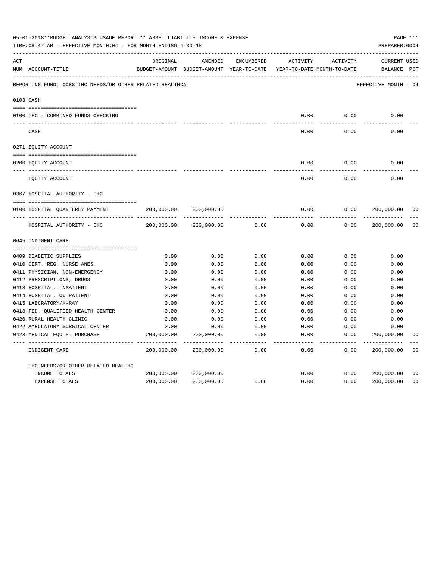|     | 05-01-2018**BUDGET ANALYSIS USAGE REPORT ** ASSET LIABILITY INCOME & EXPENSE<br>TIME: 08:47 AM - EFFECTIVE MONTH: 04 - FOR MONTH ENDING 4-30-18 |                           |                                          |                   |                     |                            | PAGE 111<br>PREPARER: 0004 |                |
|-----|-------------------------------------------------------------------------------------------------------------------------------------------------|---------------------------|------------------------------------------|-------------------|---------------------|----------------------------|----------------------------|----------------|
| ACT |                                                                                                                                                 | ORIGINAL                  | AMENDED                                  | ENCUMBERED        | ACTIVITY            | ACTIVITY                   | CURRENT USED               |                |
|     | NUM ACCOUNT-TITLE                                                                                                                               |                           | BUDGET-AMOUNT BUDGET-AMOUNT YEAR-TO-DATE |                   |                     | YEAR-TO-DATE MONTH-TO-DATE | BALANCE PCT                |                |
|     | REPORTING FUND: 0088 IHC NEEDS/OR OTHER RELATED HEALTHCA                                                                                        |                           |                                          |                   |                     |                            | EFFECTIVE MONTH - 04       |                |
|     | 0103 CASH                                                                                                                                       |                           |                                          |                   |                     |                            |                            |                |
|     | 0100 IHC - COMBINED FUNDS CHECKING                                                                                                              |                           |                                          |                   | 0.00                | 0.00                       | 0.00                       |                |
|     | CASH                                                                                                                                            |                           |                                          |                   | 0.00                | 0.00                       | 0.00                       |                |
|     | 0271 EQUITY ACCOUNT                                                                                                                             |                           |                                          |                   |                     |                            |                            |                |
|     | 0200 EQUITY ACCOUNT                                                                                                                             |                           |                                          |                   | 0.00                | 0.00                       | 0.00                       |                |
|     | ---- ---------------<br>EQUITY ACCOUNT                                                                                                          |                           |                                          |                   | 0.00                | 0.00                       | 0.00                       |                |
|     | 0367 HOSPITAL AUTHORITY - IHC                                                                                                                   |                           |                                          |                   |                     |                            |                            |                |
|     | 0100 HOSPITAL QUARTERLY PAYMENT                                                                                                                 | 200,000.00                | 200,000.00                               |                   | 0.00                | 0.00                       | 200,000.00                 | 00             |
|     | HOSPITAL AUTHORITY - IHC                                                                                                                        | -----------<br>200,000.00 | 200,000.00                               | 0.00              | $- - - - -$<br>0.00 | -----<br>0.00              | 200,000.00                 | 0 <sub>0</sub> |
|     | 0645 INDIGENT CARE                                                                                                                              |                           |                                          |                   |                     |                            |                            |                |
|     |                                                                                                                                                 |                           |                                          |                   |                     |                            |                            |                |
|     | 0409 DIABETIC SUPPLIES                                                                                                                          | 0.00                      | 0.00                                     | 0.00              | 0.00                | 0.00                       | 0.00                       |                |
|     | 0410 CERT. REG. NURSE ANES.                                                                                                                     | 0.00                      | 0.00                                     | 0.00              | 0.00                | 0.00                       | 0.00                       |                |
|     | 0411 PHYSICIAN, NON-EMERGENCY                                                                                                                   | 0.00                      | 0.00                                     | 0.00              | 0.00                | 0.00                       | 0.00                       |                |
|     | 0412 PRESCRIPTIONS, DRUGS                                                                                                                       | 0.00                      | 0.00                                     | 0.00              | 0.00                | 0.00                       | 0.00                       |                |
|     | 0413 HOSPITAL, INPATIENT                                                                                                                        | 0.00                      | 0.00                                     | 0.00              | 0.00                | 0.00                       | 0.00                       |                |
|     | 0414 HOSPITAL, OUTPATIENT                                                                                                                       | 0.00                      | 0.00                                     | 0.00              | 0.00                | 0.00                       | 0.00                       |                |
|     | 0415 LABORATORY/X-RAY                                                                                                                           | 0.00                      | 0.00                                     | 0.00              | 0.00                | 0.00                       | 0.00                       |                |
|     | 0418 FED. QUALIFIED HEALTH CENTER                                                                                                               | 0.00                      | 0.00                                     | 0.00              | 0.00                | 0.00                       | 0.00                       |                |
|     | 0420 RURAL HEALTH CLINIC                                                                                                                        | 0.00                      | 0.00                                     | 0.00              | 0.00                | 0.00                       | 0.00                       |                |
|     | 0422 AMBULATORY SURGICAL CENTER                                                                                                                 | 0.00                      | 0.00                                     | 0.00              | 0.00                | 0.00                       | 0.00                       |                |
|     | 0423 MEDICAL EQUIP. PURCHASE                                                                                                                    | 200,000.00                | 200,000.00<br>---------- -------------   | 0.00<br>$--- - -$ | 0.00<br>$- - - - -$ | 0.00<br>-----              | 200,000.00<br>----------   | 0 <sub>0</sub> |
|     | INDIGENT CARE                                                                                                                                   | 200,000.00                | 200,000.00                               | 0.00              | 0.00                | 0.00                       | 200,000.00                 | 0 <sub>0</sub> |
|     | IHC NEEDS/OR OTHER RELATED HEALTHC                                                                                                              |                           |                                          |                   |                     |                            |                            |                |
|     | INCOME TOTALS                                                                                                                                   | 200,000.00                | 200,000.00                               |                   | 0.00                | 0.00                       | 200,000.00                 | 0 <sub>0</sub> |
|     | EXPENSE TOTALS                                                                                                                                  | 200,000.00                | 200,000.00                               | 0.00              | 0.00                | 0.00                       | 200,000.00                 | 0 <sub>0</sub> |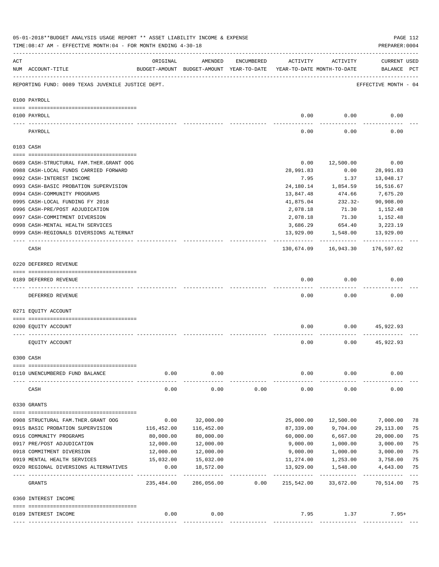|                | 05-01-2018**BUDGET ANALYSIS USAGE REPORT ** ASSET LIABILITY INCOME & EXPENSE<br>TIME: 08:47 AM - EFFECTIVE MONTH: 04 - FOR MONTH ENDING 4-30-18 |                          |                                                     |            |                                        |                          | PREPARER: 0004                     | PAGE 112    |
|----------------|-------------------------------------------------------------------------------------------------------------------------------------------------|--------------------------|-----------------------------------------------------|------------|----------------------------------------|--------------------------|------------------------------------|-------------|
| $\mathtt{ACT}$ | NUM ACCOUNT-TITLE                                                                                                                               | ORIGINAL                 | AMENDED<br>BUDGET-AMOUNT BUDGET-AMOUNT YEAR-TO-DATE | ENCUMBERED | ACTIVITY<br>YEAR-TO-DATE MONTH-TO-DATE | ACTIVITY                 | <b>CURRENT USED</b><br>BALANCE PCT |             |
|                | REPORTING FUND: 0089 TEXAS JUVENILE JUSTICE DEPT.                                                                                               |                          |                                                     |            |                                        |                          | EFFECTIVE MONTH - 04               |             |
|                | 0100 PAYROLL                                                                                                                                    |                          |                                                     |            |                                        |                          |                                    |             |
|                |                                                                                                                                                 |                          |                                                     |            |                                        |                          |                                    |             |
|                | 0100 PAYROLL                                                                                                                                    |                          |                                                     |            | 0.00                                   | 0.00                     | 0.00                               |             |
|                | PAYROLL                                                                                                                                         |                          |                                                     |            | 0.00                                   | 0.00                     | 0.00                               |             |
|                | 0103 CASH                                                                                                                                       |                          |                                                     |            |                                        |                          |                                    |             |
|                | 0689 CASH-STRUCTURAL FAM.THER.GRANT OOG                                                                                                         |                          |                                                     |            | 0.00                                   | 12,500.00                | 0.00                               |             |
|                | 0988 CASH-LOCAL FUNDS CARRIED FORWARD                                                                                                           |                          |                                                     |            | 28,991.83                              | 0.00                     | 28,991.83                          |             |
|                | 0992 CASH-INTEREST INCOME                                                                                                                       |                          |                                                     |            | 7.95                                   | 1.37                     | 13,048.17                          |             |
|                | 0993 CASH-BASIC PROBATION SUPERVISION                                                                                                           |                          |                                                     |            | 24,180.14                              | 1,854.59                 | 16,516.67                          |             |
|                | 0994 CASH-COMMUNITY PROGRAMS                                                                                                                    |                          |                                                     |            |                                        |                          |                                    |             |
|                |                                                                                                                                                 |                          |                                                     |            | 13,847.48                              | 474.66                   | 7,675.20                           |             |
|                | 0995 CASH-LOCAL FUNDING FY 2018                                                                                                                 |                          |                                                     |            | 41,875.04                              | 232.32-                  | 90,908.00                          |             |
|                | 0996 CASH-PRE/POST ADJUDICATION                                                                                                                 |                          |                                                     |            | 2,078.18                               | 71.30                    | 1,152.48                           |             |
|                | 0997 CASH-COMMITMENT DIVERSION                                                                                                                  |                          |                                                     |            | 2,078.18                               | 71.30                    | 1,152.48                           |             |
|                | 0998 CASH-MENTAL HEALTH SERVICES                                                                                                                |                          |                                                     |            | 3,686.29                               | 654.40                   | 3,223.19                           |             |
|                | 0999 CASH-REGIONALS DIVERSIONS ALTERNAT                                                                                                         |                          |                                                     |            | 13,929.00<br>----------                | 1,548.00<br>------------ | 13,929.00                          |             |
|                | CASH                                                                                                                                            |                          |                                                     |            | 130,674.09                             | 16,943.30                | 176,597.02                         |             |
|                | 0220 DEFERRED REVENUE                                                                                                                           |                          |                                                     |            |                                        |                          |                                    |             |
|                |                                                                                                                                                 |                          |                                                     |            |                                        |                          |                                    |             |
|                | 0189 DEFERRED REVENUE<br>---- ------------                                                                                                      |                          |                                                     |            | 0.00                                   | 0.00                     | 0.00                               |             |
|                | DEFERRED REVENUE                                                                                                                                |                          |                                                     |            | 0.00                                   | 0.00                     | 0.00                               |             |
|                | 0271 EQUITY ACCOUNT                                                                                                                             |                          |                                                     |            |                                        |                          |                                    |             |
|                | 0200 EQUITY ACCOUNT                                                                                                                             |                          |                                                     |            | 0.00                                   | 0.00                     | 45,922.93                          |             |
|                |                                                                                                                                                 |                          |                                                     |            |                                        |                          |                                    |             |
|                | EQUITY ACCOUNT                                                                                                                                  |                          |                                                     |            | 0.00                                   | 0.00                     | 45,922.93                          |             |
|                | 0300 CASH                                                                                                                                       |                          |                                                     |            |                                        |                          |                                    |             |
|                | 0110 UNENCUMBERED FUND BALANCE                                                                                                                  | 0.00                     | 0.00                                                |            | 0.00                                   | 0.00                     | 0.00                               |             |
|                | CASH                                                                                                                                            | 0.00                     | 0.00                                                | 0.00       | 0.00                                   | 0.00                     | 0.00                               |             |
|                | 0330 GRANTS                                                                                                                                     |                          |                                                     |            |                                        |                          |                                    |             |
|                |                                                                                                                                                 |                          |                                                     |            |                                        |                          |                                    |             |
|                | 0908 STRUCTURAL FAM. THER. GRANT OOG                                                                                                            | 0.00                     | 32,000.00                                           |            | 25,000.00                              | 12,500.00                | 7,000.00                           | 78          |
|                | 0915 BASIC PROBATION SUPERVISION                                                                                                                | 116,452.00               | 116,452.00                                          |            | 87,339.00                              | 9,704.00                 | 29,113.00                          | 75          |
|                | 0916 COMMUNITY PROGRAMS                                                                                                                         | 80,000.00                | 80,000.00                                           |            | 60,000.00                              | 6,667.00                 | 20,000.00                          | 75          |
|                | 0917 PRE/POST ADJUDICATION                                                                                                                      | 12,000.00                | 12,000.00                                           |            | 9,000.00                               | 1,000.00                 | 3,000.00                           | 75          |
|                | 0918 COMMITMENT DIVERSION                                                                                                                       | 12,000.00                | 12,000.00                                           |            | 9,000.00                               | 1,000.00                 | 3,000.00                           | 75          |
|                | 0919 MENTAL HEALTH SERVICES                                                                                                                     | 15,032.00                | 15,032.00                                           |            | 11,274.00                              | 1,253.00                 | 3,758.00                           | 75          |
|                | 0920 REGIONAL DIVERSIONS ALTERNATIVES                                                                                                           | 0.00                     | 18,572.00                                           |            | 13,929.00                              | 1,548.00                 | 4,643.00                           | 75          |
|                | GRANTS                                                                                                                                          | . <u>.</u><br>235,484.00 | -----------<br>286,056.00                           | 0.00       | -----------<br>215,542.00              | ----------<br>33,672.00  | -----------<br>70,514.00           | $---$<br>75 |
|                | 0360 INTEREST INCOME                                                                                                                            |                          |                                                     |            |                                        |                          |                                    |             |
|                |                                                                                                                                                 |                          |                                                     |            |                                        |                          |                                    |             |
|                | 0189 INTEREST INCOME                                                                                                                            | 0.00                     | 0.00                                                |            | 7.95                                   | 1.37                     | $7.95+$                            |             |
|                |                                                                                                                                                 |                          |                                                     |            |                                        |                          |                                    |             |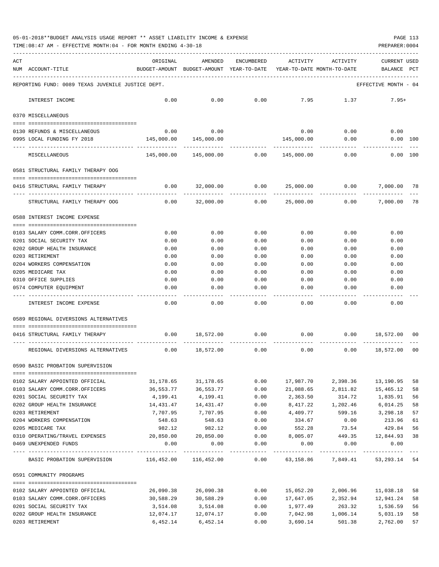TIME:08:47 AM - EFFECTIVE MONTH:04 - FOR MONTH ENDING 4-30-18 PREPARER:0004

| ACT | NUM ACCOUNT-TITLE                                                                                                                                                                                                                                                                                                                                                                                                                                               | ORIGINAL<br>BUDGET-AMOUNT BUDGET-AMOUNT YEAR-TO-DATE YEAR-TO-DATE MONTH-TO-DATE | AMENDED                      | ENCUMBERED   | ACTIVITY             | ACTIVITY                     | CURRENT USED<br>BALANCE PCT |          |
|-----|-----------------------------------------------------------------------------------------------------------------------------------------------------------------------------------------------------------------------------------------------------------------------------------------------------------------------------------------------------------------------------------------------------------------------------------------------------------------|---------------------------------------------------------------------------------|------------------------------|--------------|----------------------|------------------------------|-----------------------------|----------|
|     | REPORTING FUND: 0089 TEXAS JUVENILE JUSTICE DEPT.                                                                                                                                                                                                                                                                                                                                                                                                               |                                                                                 |                              |              |                      |                              | EFFECTIVE MONTH - 04        |          |
|     | INTEREST INCOME                                                                                                                                                                                                                                                                                                                                                                                                                                                 | 0.00                                                                            | 0.00                         | 0.00         | 7.95                 | 1.37                         | $7.95+$                     |          |
|     | 0370 MISCELLANEOUS                                                                                                                                                                                                                                                                                                                                                                                                                                              |                                                                                 |                              |              |                      |                              |                             |          |
|     |                                                                                                                                                                                                                                                                                                                                                                                                                                                                 |                                                                                 | 0.00                         |              |                      |                              |                             |          |
|     | 0130 REFUNDS & MISCELLANEOUS<br>0995 LOCAL FUNDING FY 2018                                                                                                                                                                                                                                                                                                                                                                                                      | 0.00<br>145,000.00                                                              | 145,000.00                   |              | 0.00<br>145,000.00   | 0.00<br>0.00                 | 0.00<br>0.00 100            |          |
|     | MISCELLANEOUS                                                                                                                                                                                                                                                                                                                                                                                                                                                   |                                                                                 | 145,000.00  145,000.00  0.00 |              | 145,000.00           | 0.00                         | $0.00$ 100                  |          |
|     | 0581 STRUCTURAL FAMILY THERAPY OOG                                                                                                                                                                                                                                                                                                                                                                                                                              |                                                                                 |                              |              |                      |                              |                             |          |
|     | 0416 STRUCTURAL FAMILY THERAPY                                                                                                                                                                                                                                                                                                                                                                                                                                  |                                                                                 | $0.00$ 32,000.00             | 0.00         |                      | 25,000.00 0.00               | 7,000.00                    | 78       |
|     | STRUCTURAL FAMILY THERAPY OOG                                                                                                                                                                                                                                                                                                                                                                                                                                   | 0.00                                                                            | 32,000.00                    |              | 0.00 25,000.00       | 0.00                         | 7,000.00                    | 78       |
|     | 0588 INTEREST INCOME EXPENSE                                                                                                                                                                                                                                                                                                                                                                                                                                    |                                                                                 |                              |              |                      |                              |                             |          |
|     | 0103 SALARY COMM.CORR.OFFICERS                                                                                                                                                                                                                                                                                                                                                                                                                                  | 0.00                                                                            | 0.00                         | 0.00         | 0.00                 | 0.00                         | 0.00                        |          |
|     | 0201 SOCIAL SECURITY TAX                                                                                                                                                                                                                                                                                                                                                                                                                                        | 0.00                                                                            | 0.00                         | 0.00         | 0.00                 | 0.00                         | 0.00                        |          |
|     | 0202 GROUP HEALTH INSURANCE                                                                                                                                                                                                                                                                                                                                                                                                                                     | 0.00                                                                            | 0.00                         | 0.00         | 0.00                 | 0.00                         | 0.00                        |          |
|     | 0203 RETIREMENT                                                                                                                                                                                                                                                                                                                                                                                                                                                 | 0.00                                                                            | 0.00                         | 0.00         | 0.00                 | 0.00                         | 0.00                        |          |
|     | 0204 WORKERS COMPENSATION                                                                                                                                                                                                                                                                                                                                                                                                                                       | 0.00                                                                            | 0.00                         | 0.00         | 0.00                 | 0.00                         | 0.00                        |          |
|     | 0205 MEDICARE TAX                                                                                                                                                                                                                                                                                                                                                                                                                                               | 0.00                                                                            | 0.00                         | 0.00         | 0.00                 | 0.00                         | 0.00                        |          |
|     | 0310 OFFICE SUPPLIES                                                                                                                                                                                                                                                                                                                                                                                                                                            | 0.00                                                                            | 0.00                         | 0.00         | 0.00                 | 0.00                         | 0.00                        |          |
|     | 0574 COMPUTER EQUIPMENT                                                                                                                                                                                                                                                                                                                                                                                                                                         | 0.00                                                                            | 0.00                         | 0.00         | 0.00                 | 0.00                         | 0.00                        |          |
|     | INTEREST INCOME EXPENSE                                                                                                                                                                                                                                                                                                                                                                                                                                         | 0.00                                                                            | 0.00                         | 0.00         | 0.00                 | 0.00                         | 0.00                        |          |
|     | 0589 REGIONAL DIVERSIONS ALTERNATIVES                                                                                                                                                                                                                                                                                                                                                                                                                           |                                                                                 |                              |              |                      |                              |                             |          |
|     | 0416 STRUCTURAL FAMILY THERAPY                                                                                                                                                                                                                                                                                                                                                                                                                                  |                                                                                 | 0.00 18,572.00               | 0.00         |                      | 0.00<br>0.00                 | 18,572.00                   | 00       |
|     |                                                                                                                                                                                                                                                                                                                                                                                                                                                                 |                                                                                 |                              |              |                      |                              |                             |          |
|     | REGIONAL DIVERSIONS ALTERNATIVES                                                                                                                                                                                                                                                                                                                                                                                                                                |                                                                                 | $0.00$ 18,572.00             | 0.00         | 0.00                 | 0.00                         | 18,572.00                   | 00       |
|     | 0590 BASIC PROBATION SUPERVISION                                                                                                                                                                                                                                                                                                                                                                                                                                |                                                                                 |                              |              |                      |                              |                             |          |
|     | $\begin{minipage}{0.03\textwidth} \begin{tabular}{l} \textbf{0.04\textwidth} \textbf{0.05\textwidth} \textbf{0.06\textwidth} \textbf{0.07\textwidth} \textbf{0.07\textwidth} \textbf{0.07\textwidth} \textbf{0.07\textwidth} \textbf{0.07\textwidth} \textbf{0.07\textwidth} \textbf{0.07\textwidth} \textbf{0.07\textwidth} \textbf{0.07\textwidth} \textbf{0.07\textwidth} \textbf{0.07\textwidth} \textbf{0.07\textwidth} \textbf{0.07\textwidth} \textbf{0$ |                                                                                 |                              |              |                      |                              |                             |          |
|     | 0102 SALARY APPOINTED OFFICIAL                                                                                                                                                                                                                                                                                                                                                                                                                                  | 31,178.65                                                                       | 31,178.65                    | 0.00         | 17,987.70            |                              | 2,398.36 13,190.95          | 58       |
|     | 0103 SALARY COMM.CORR.OFFICERS                                                                                                                                                                                                                                                                                                                                                                                                                                  | 36,553.77                                                                       | 36,553.77                    | 0.00         | 21,088.65            | 2,811.82                     | 15,465.12                   | 58       |
|     | 0201 SOCIAL SECURITY TAX<br>0202 GROUP HEALTH INSURANCE                                                                                                                                                                                                                                                                                                                                                                                                         | 4,199.41<br>14,431.47                                                           | 4,199.41<br>14, 431. 47      | 0.00<br>0.00 | 2,363.50<br>8,417.22 | 314.72<br>1,202.46           | 1,835.91<br>6,014.25        | 56<br>58 |
|     | 0203 RETIREMENT                                                                                                                                                                                                                                                                                                                                                                                                                                                 | 7,707.95                                                                        | 7,707.95                     | 0.00         | 4,409.77             |                              | 599.16 3,298.18             | 57       |
|     | 0204 WORKERS COMPENSATION                                                                                                                                                                                                                                                                                                                                                                                                                                       | 548.63                                                                          | 548.63                       | 0.00         | 334.67               | 0.00                         | 213.96                      | 61       |
|     | 0205 MEDICARE TAX                                                                                                                                                                                                                                                                                                                                                                                                                                               | 982.12                                                                          | 982.12                       | 0.00         | 552.28               | 73.54                        | 429.84                      | 56       |
|     | 0310 OPERATING/TRAVEL EXPENSES                                                                                                                                                                                                                                                                                                                                                                                                                                  |                                                                                 | 20,850.00 20,850.00          | 0.00         | 8,005.07             |                              | 449.35 12,844.93            | 38       |
|     | 0469 UNEXPENDED FUNDS                                                                                                                                                                                                                                                                                                                                                                                                                                           | 0.00                                                                            | 0.00                         | 0.00         | 0.00                 | 0.00                         | 0.00                        |          |
|     | BASIC PROBATION SUPERVISION 116,452.00 116,452.00 0.00 63,158.86 7,849.41 53,293.14 54                                                                                                                                                                                                                                                                                                                                                                          |                                                                                 | --------------               | ------------ | -------------        | ------------                 |                             |          |
|     | 0591 COMMUNITY PROGRAMS                                                                                                                                                                                                                                                                                                                                                                                                                                         |                                                                                 |                              |              |                      |                              |                             |          |
|     |                                                                                                                                                                                                                                                                                                                                                                                                                                                                 |                                                                                 |                              |              |                      |                              |                             |          |
|     | 0102 SALARY APPOINTED OFFICIAL                                                                                                                                                                                                                                                                                                                                                                                                                                  | 26,090.38                                                                       | 26,090.38                    | 0.00         | 15,052.20            | 2,006.96                     | 11,038.18                   | 58       |
|     | 0103 SALARY COMM.CORR.OFFICERS                                                                                                                                                                                                                                                                                                                                                                                                                                  | 30,588.29                                                                       | 30,588.29                    | 0.00         |                      | 17,647.05 2,352.94 12,941.24 |                             | 58       |
|     | 0201 SOCIAL SECURITY TAX                                                                                                                                                                                                                                                                                                                                                                                                                                        | 3,514.08                                                                        | 3,514.08                     | 0.00         |                      | 1,977.49 263.32              | 1,536.59                    | 56       |
|     | 0202 GROUP HEALTH INSURANCE                                                                                                                                                                                                                                                                                                                                                                                                                                     | 12,074.17                                                                       | 12,074.17                    | 0.00         |                      | 7,042.98 1,006.14            | 5,031.19                    | 58       |

0203 RETIREMENT 6,452.14 6,452.14 0.00 3,690.14 501.38 2,762.00 57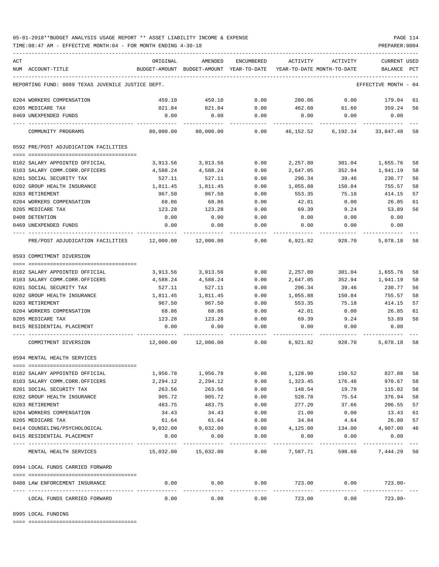TIME:08:47 AM - EFFECTIVE MONTH:04 - FOR MONTH ENDING 4-30-18 PREPARER:0004

| ACT |                                                              | ORIGINAL                        | AMENDED           | ENCUMBERED         | ACTIVITY                                                            | ACTIVITY                        | CURRENT USED         |    |
|-----|--------------------------------------------------------------|---------------------------------|-------------------|--------------------|---------------------------------------------------------------------|---------------------------------|----------------------|----|
|     | NUM ACCOUNT-TITLE                                            |                                 |                   |                    | BUDGET-AMOUNT BUDGET-AMOUNT YEAR-TO-DATE YEAR-TO-DATE MONTH-TO-DATE |                                 | BALANCE PCT          |    |
|     | REPORTING FUND: 0089 TEXAS JUVENILE JUSTICE DEPT.            |                                 |                   |                    |                                                                     |                                 | EFFECTIVE MONTH - 04 |    |
|     | 0204 WORKERS COMPENSATION                                    | 459.10                          | 459.10            | 0.00               |                                                                     | 280.06 0.00 179.04              |                      | 61 |
|     | 0205 MEDICARE TAX                                            | 821.84                          | 821.84            | 0.00               | 462.60                                                              | 61.60 359.24                    |                      | 56 |
|     | 0469 UNEXPENDED FUNDS                                        | 0.00                            | 0.00              | 0.00               | 0.00                                                                | 0.00                            | 0.00                 |    |
|     | COMMUNITY PROGRAMS                                           | 80,000.00                       | 80,000.00         | 0.00               |                                                                     | 46,152.52 6,192.34 33,847.48 58 |                      |    |
|     | 0592 PRE/POST ADJUDICATION FACILITIES                        |                                 |                   |                    |                                                                     |                                 |                      |    |
|     |                                                              |                                 |                   |                    |                                                                     |                                 |                      |    |
|     | 0102 SALARY APPOINTED OFFICIAL                               | 3,913.56                        | 3,913.56          | 0.00               | 2,257.80                                                            | 301.04                          | 1,655.76             | 58 |
|     | 0103 SALARY COMM.CORR.OFFICERS                               | 4,588.24                        | 4,588.24          | 0.00               | 2,647.05                                                            | 352.94                          | 1,941.19             | 58 |
|     | 0201 SOCIAL SECURITY TAX                                     | 527.11                          | 527.11            | 0.00               | 296.34                                                              | 39.46                           | 230.77               | 56 |
|     | 0202 GROUP HEALTH INSURANCE                                  | 1,811.45                        | 1,811.45          | 0.00               | 1,055.88                                                            | 150.84                          | 755.57               | 58 |
|     | 0203 RETIREMENT                                              | 967.50                          | 967.50            | 0.00               | 553.35                                                              | 75.18                           | 414.15               | 57 |
|     | 0204 WORKERS COMPENSATION                                    | 68.86                           | 68.86             | 0.00               | 42.01                                                               | 0.00                            | 26.85                | 61 |
|     | 0205 MEDICARE TAX                                            | 123.28                          | 123.28            | 0.00               | 69.39                                                               | 9.24                            | 53.89                | 56 |
|     | 0408 DETENTION                                               | 0.00                            | 0.00              | 0.00               | 0.00                                                                | 0.00                            | 0.00                 |    |
|     | 0469 UNEXPENDED FUNDS                                        | 0.00                            | 0.00              | 0.00               | 0.00                                                                | 0.00                            | 0.00                 |    |
|     | PRE/POST ADJUDICATION FACILITIES 12,000.00 12,000.00 0.00    |                                 |                   |                    | 6,921.82                                                            |                                 | 928.70 5,078.18      | 58 |
|     | 0593 COMMITMENT DIVERSION                                    |                                 |                   |                    |                                                                     |                                 |                      |    |
|     |                                                              |                                 |                   |                    |                                                                     |                                 |                      |    |
|     | 0102 SALARY APPOINTED OFFICIAL                               |                                 | 3,913.56 3,913.56 | 0.00               | 2,257.80                                                            |                                 | 301.04 1,655.76      | 58 |
|     |                                                              |                                 |                   |                    |                                                                     | 352.94                          |                      |    |
|     | 0103 SALARY COMM.CORR.OFFICERS                               | 4,588.24                        | 4,588.24          | 0.00               | 2,647.05                                                            |                                 | 1,941.19             | 58 |
|     | 0201 SOCIAL SECURITY TAX                                     | 527.11                          | 527.11            | 0.00               | 296.34                                                              | 39.46                           | 230.77               | 56 |
|     | 0202 GROUP HEALTH INSURANCE                                  | 1,811.45                        | 1,811.45          | 0.00               | 1,055.88                                                            | 150.84                          | 755.57               | 58 |
|     | 0203 RETIREMENT                                              | 967.50                          | 967.50            | 0.00               | 553.35                                                              | 75.18                           | 414.15               | 57 |
|     | 0204 WORKERS COMPENSATION                                    | 68.86                           | 68.86             | 0.00               | 42.01                                                               | 0.00                            | 26.85                | 61 |
|     | 0205 MEDICARE TAX                                            | 123.28                          | 123.28            | 0.00               | 69.39                                                               | 9.24                            | 53.89                | 56 |
|     | 0415 RESIDENTIAL PLACEMENT                                   | 0.00                            | 0.00              | 0.00               | 0.00                                                                | 0.00                            | 0.00                 |    |
|     | COMMITMENT DIVERSION                                         |                                 |                   |                    | 12,000.00 12,000.00 0.00 6,921.82 928.70 5,078.18 58                |                                 |                      |    |
|     | 0594 MENTAL HEALTH SERVICES                                  |                                 |                   |                    |                                                                     |                                 |                      |    |
|     |                                                              |                                 |                   |                    |                                                                     |                                 |                      |    |
|     | 0102 SALARY APPOINTED OFFICIAL                               | 1,956.78                        | 1,956.78          | 0.00               | 1,128.90                                                            | 150.52                          | 827.88               | 58 |
|     | 0103 SALARY COMM.CORR.OFFICERS                               | 2,294.12                        | 2,294.12          | 0.00               | 1,323.45                                                            | 176.46                          | 970.67               | 58 |
|     | 0201 SOCIAL SECURITY TAX                                     | 263.56                          | 263.56            | 0.00               | 148.54                                                              | 19.78                           | 115.02               | 56 |
|     | 0202 GROUP HEALTH INSURANCE                                  | 905.72                          | 905.72            | 0.00               | 528.78                                                              | 75.54                           | 376.94               | 58 |
|     | 0203 RETIREMENT                                              | 483.75                          | 483.75            | 0.00               | 277.20                                                              | 37.66                           | 206.55               | 57 |
|     | 0204 WORKERS COMPENSATION                                    | 34.43                           | 34.43             | 0.00               | 21.00                                                               | 0.00                            | 13.43                | 61 |
|     | 0205 MEDICARE TAX                                            | 61.64                           | 61.64             | 0.00               | 34.84                                                               | 4.64                            | 26.80                | 57 |
|     | 0414 COUNSELING/PSYCHOLOGICAL                                | 9,032.00                        | 9,032.00          | 0.00               | 4,125.00                                                            | 134.00                          | 4,907.00             | 46 |
|     | 0415 RESIDENTIAL PLACEMENT                                   | 0.00                            | 0.00              | 0.00               | 0.00                                                                | 0.00                            | 0.00                 |    |
|     | ----------------------------------<br>MENTAL HEALTH SERVICES | $15,032.00$ $15,032.00$         |                   | . <u>.</u><br>0.00 | 7,587.71                                                            | 598.60                          | 7,444.29 50          |    |
|     | 0994 LOCAL FUNDS CARRIED FORWARD                             |                                 |                   |                    |                                                                     |                                 |                      |    |
|     | 0488 LAW ENFORCEMENT INSURANCE                               | 0.00                            | 0.00              | 0.00               | 723.00                                                              | 0.00                            | $723.00 -$           |    |
|     | LOCAL FUNDS CARRIED FORWARD                                  | -------- --------------<br>0.00 | 0.00              | 0.00               | . <u>.</u> .<br>723.00                                              | 0.00                            | $723.00 -$           |    |
|     |                                                              |                                 |                   |                    |                                                                     |                                 |                      |    |

0995 LOCAL FUNDING

==== ===================================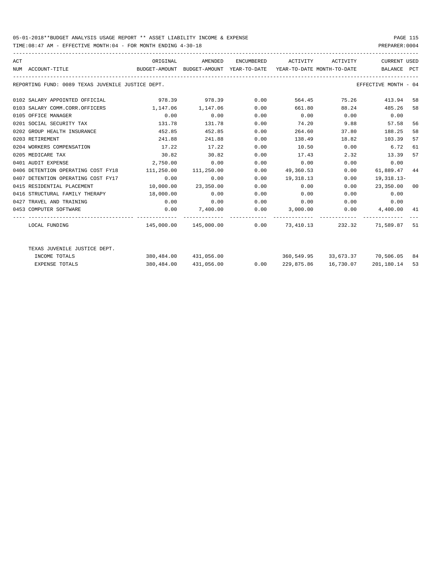TIME:08:47 AM - EFFECTIVE MONTH:04 - FOR MONTH ENDING 4-30-18 PREPARER:0004

| ACT | NUM ACCOUNT-TITLE                                 | ORIGINAL<br>BUDGET-AMOUNT BUDGET-AMOUNT YEAR-TO-DATE YEAR-TO-DATE MONTH-TO-DATE BALANCE PCT |                       |      | AMENDED ENCUMBERED ACTIVITY ACTIVITY                                                                   |              | CURRENT USED              |    |
|-----|---------------------------------------------------|---------------------------------------------------------------------------------------------|-----------------------|------|--------------------------------------------------------------------------------------------------------|--------------|---------------------------|----|
|     | REPORTING FUND: 0089 TEXAS JUVENILE JUSTICE DEPT. |                                                                                             |                       |      |                                                                                                        |              | EFFECTIVE MONTH - 04      |    |
|     | 0102 SALARY APPOINTED OFFICIAL                    |                                                                                             | 978.39 978.39 0.00    |      |                                                                                                        | 564.45 75.26 | 413.94 58                 |    |
|     | 0103 SALARY COMM.CORR.OFFICERS                    | 1, 147.06 1, 147.06                                                                         |                       | 0.00 | 661.80                                                                                                 | 88.24        | 485.26                    | 58 |
|     | 0105 OFFICE MANAGER                               | 0.00                                                                                        | 0.00                  | 0.00 | $0.00$ $0.00$ $0.00$ $0.00$                                                                            |              |                           |    |
|     | 0201 SOCIAL SECURITY TAX                          | 131.78                                                                                      | 131.78                | 0.00 |                                                                                                        | 74.20 9.88   | 57.58                     | 56 |
|     | 0202 GROUP HEALTH INSURANCE                       | 452.85                                                                                      | 452.85                | 0.00 | 264.60                                                                                                 | 37.80        | 188.25                    | 58 |
|     | 0203 RETIREMENT                                   | 241.88                                                                                      | 241.88                | 0.00 | 138.49                                                                                                 | 18.82        | 103.39                    | 57 |
|     | 0204 WORKERS COMPENSATION                         | 17.22                                                                                       | 17.22                 | 0.00 | 10.50                                                                                                  | $0.00$ 6.72  |                           | 61 |
|     | 0205 MEDICARE TAX                                 | 30.82                                                                                       | 30.82                 | 0.00 | 17.43                                                                                                  | 2.32         | 13.39                     | 57 |
|     | 0401 AUDIT EXPENSE                                | 2,750.00                                                                                    | 0.00                  | 0.00 | 0.00                                                                                                   |              | 0.00<br>0.00              |    |
|     | 0406 DETENTION OPERATING COST FY18                | 111,250.00 111,250.00                                                                       |                       |      | $0.00$ 49,360.53                                                                                       | 0.00         | 61,889.47 44              |    |
|     | 0407 DETENTION OPERATING COST FY17                | 0.00                                                                                        | 0.00                  | 0.00 | 19, 318, 13                                                                                            | 0.00         | 19,318.13-                |    |
|     | 0415 RESIDENTIAL PLACEMENT                        |                                                                                             | 10,000.00 23,350.00   | 0.00 | 0.00                                                                                                   |              | $0.00$ 23,350.00 00       |    |
|     | 0416 STRUCTURAL FAMILY THERAPY 18,000.00          |                                                                                             | 0.00                  | 0.00 | 0.00                                                                                                   |              | 0.00<br>$0.00$ and $0.00$ |    |
|     | 0427 TRAVEL AND TRAINING                          | 0.00                                                                                        | 0.00                  | 0.00 | $0.00$ $0.00$ $0.00$ $0.00$                                                                            |              |                           |    |
|     | 0453 COMPUTER SOFTWARE                            |                                                                                             |                       |      | $0.00$ $7,400.00$ $0.00$ $3,000.00$ $0.00$ $4,400.00$ $41$                                             |              |                           |    |
|     | LOCAL FUNDING                                     |                                                                                             |                       |      | -------------- ------------ ----------<br>$145,000.00$ $145,000.00$ 0.00 73,410.13 232.32 71,589.87 51 |              |                           |    |
|     |                                                   |                                                                                             |                       |      |                                                                                                        |              |                           |    |
|     | TEXAS JUVENILE JUSTICE DEPT.                      |                                                                                             |                       |      |                                                                                                        |              |                           |    |
|     | INCOME TOTALS                                     |                                                                                             | 380,484.00 431,056.00 |      | 360,549.95 33,673.37 70,506.05 84                                                                      |              |                           |    |
|     | <b>EXPENSE TOTALS</b>                             |                                                                                             | 380,484.00 431,056.00 | 0.00 | 229,875.86                                                                                             | 16,730.07    | 201,180.14                | 53 |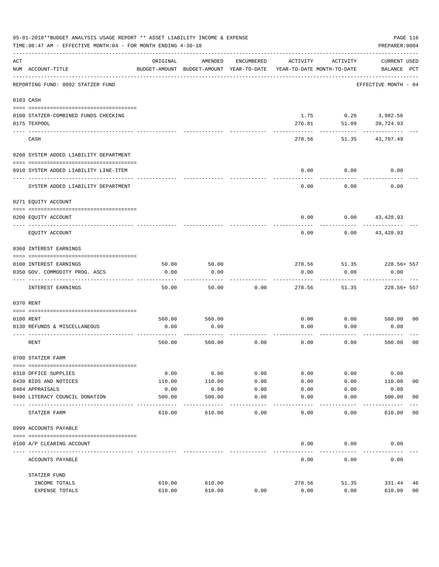|                | 05-01-2018**BUDGET ANALYSIS USAGE REPORT ** ASSET LIABILITY INCOME & EXPENSE<br>TIME: 08:47 AM - EFFECTIVE MONTH: 04 - FOR MONTH ENDING 4-30-18 |          |                                                     |            |          |                                        | PAGE 116<br>PREPARER: 0004         |
|----------------|-------------------------------------------------------------------------------------------------------------------------------------------------|----------|-----------------------------------------------------|------------|----------|----------------------------------------|------------------------------------|
| $\mathtt{ACT}$ | NUM ACCOUNT-TITLE                                                                                                                               | ORIGINAL | AMENDED<br>BUDGET-AMOUNT BUDGET-AMOUNT YEAR-TO-DATE | ENCUMBERED | ACTIVITY | ACTIVITY<br>YEAR-TO-DATE MONTH-TO-DATE | <b>CURRENT USED</b><br>BALANCE PCT |
|                | REPORTING FUND: 0092 STATZER FUND                                                                                                               |          |                                                     |            |          |                                        | EFFECTIVE MONTH - 04               |
|                | 0103 CASH                                                                                                                                       |          |                                                     |            |          |                                        |                                    |
|                | 0100 STATZER-COMBINED FUNDS CHECKING                                                                                                            |          |                                                     |            | 1.75     |                                        | $0.26$ 3,982.56                    |
|                | 0175 TEXPOOL                                                                                                                                    |          |                                                     |            | 276.81   | 51.09                                  | 39,724.93                          |
|                | CASH                                                                                                                                            |          |                                                     |            | 278.56   | 51.35                                  | 43,707.49                          |
|                | 0200 SYSTEM ADDED LIABILITY DEPARTMENT                                                                                                          |          |                                                     |            |          |                                        |                                    |
|                |                                                                                                                                                 |          |                                                     |            |          |                                        |                                    |
|                | 0910 SYSTEM ADDED LIABILITY LINE-ITEM                                                                                                           |          |                                                     |            | 0.00     | 0.00                                   | 0.00                               |
|                | SYSTEM ADDED LIABILITY DEPARTMENT                                                                                                               |          |                                                     |            | 0.00     | 0.00                                   | 0.00                               |
|                | 0271 EQUITY ACCOUNT                                                                                                                             |          |                                                     |            |          |                                        |                                    |
|                | 0200 EQUITY ACCOUNT                                                                                                                             |          |                                                     |            | 0.00     |                                        | $0.00$ $43,428.93$                 |
|                | EQUITY ACCOUNT                                                                                                                                  |          |                                                     |            | 0.00     | 0.00                                   | 43,428.93                          |
|                | 0360 INTEREST EARNINGS                                                                                                                          |          |                                                     |            |          |                                        |                                    |
|                | 0100 INTEREST EARNINGS                                                                                                                          | 50.00    | 50.00                                               |            | 278.56   | 51.35                                  | 228.56+ 557                        |
|                | 0350 GOV. COMMODITY PROG. ASCS                                                                                                                  | 0.00     | 0.00                                                |            | 0.00     | 0.00                                   | 0.00                               |
|                | INTEREST EARNINGS                                                                                                                               | 50.00    | 50.00                                               | 0.00       | 278.56   | 51.35                                  | $228.56 + 557$                     |
|                | 0370 RENT                                                                                                                                       |          |                                                     |            |          |                                        |                                    |
|                | 0100 RENT                                                                                                                                       | 560.00   | 560.00                                              |            | 0.00     |                                        | $0.00$ 560.00<br>00                |
|                | 0130 REFUNDS & MISCELLANEOUS                                                                                                                    | 0.00     | 0.00                                                |            | 0.00     | 0.00                                   | 0.00                               |
|                | RENT                                                                                                                                            | 560.00   | 560.00                                              | 0.00       | 0.00     | 0.00                                   | 0 <sub>0</sub><br>560.00           |
|                | 0700 STATZER FARM                                                                                                                               |          |                                                     |            |          |                                        |                                    |
|                | 0310 OFFICE SUPPLIES                                                                                                                            | 0.00     | 0.00                                                | 0.00       | 0.00     | 0.00                                   | 0.00                               |
|                | 0430 BIDS AND NOTICES                                                                                                                           | 110.00   | 110.00                                              | 0.00       | 0.00     | 0.00                                   | 0 <sub>0</sub><br>110.00           |
|                | 0484 APPRAISALS                                                                                                                                 | 0.00     | 0.00                                                | 0.00       | 0.00     | 0.00                                   | 0.00                               |
|                | 0490 LITERACY COUNCIL DONATION                                                                                                                  | 500.00   | 500.00                                              | 0.00       | 0.00     | 0.00                                   | 0 <sub>0</sub><br>500.00           |
|                | STATZER FARM                                                                                                                                    | 610.00   | 610.00                                              | 0.00       | 0.00     | 0.00                                   | 0 <sub>0</sub><br>610.00           |
|                | 0999 ACCOUNTS PAYABLE                                                                                                                           |          |                                                     |            |          |                                        |                                    |
|                | 0100 A/P CLEARING ACCOUNT                                                                                                                       |          |                                                     |            | 0.00     | 0.00                                   | 0.00                               |
|                | ACCOUNTS PAYABLE                                                                                                                                |          |                                                     |            | 0.00     | 0.00                                   | 0.00                               |
|                | STATZER FUND                                                                                                                                    |          |                                                     |            |          |                                        |                                    |
|                | INCOME TOTALS                                                                                                                                   | 610.00   | 610.00                                              |            | 278.56   | 51.35                                  | 331.44<br>46                       |
|                | EXPENSE TOTALS                                                                                                                                  | 610.00   | 610.00                                              | 0.00       | 0.00     | 0.00                                   | 610.00<br>00                       |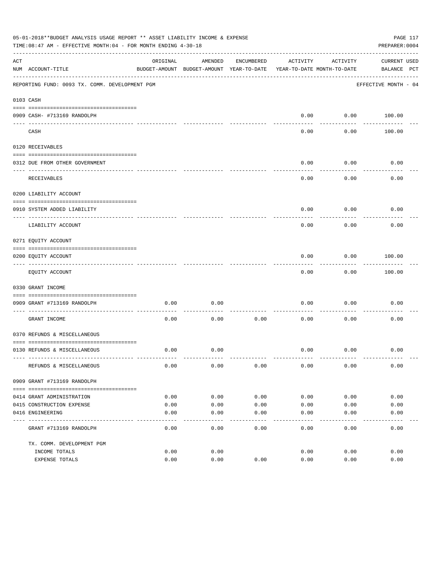|     | 05-01-2018**BUDGET ANALYSIS USAGE REPORT ** ASSET LIABILITY INCOME & EXPENSE<br>PAGE 117<br>PREPARER: 0004<br>TIME:08:47 AM - EFFECTIVE MONTH:04 - FOR MONTH ENDING 4-30-18<br>ORIGINAL<br>AMENDED<br>ACTIVITY<br>ACTIVITY<br><b>CURRENT USED</b><br>ENCUMBERED |                     |                                          |               |                            |                  |                      |  |
|-----|-----------------------------------------------------------------------------------------------------------------------------------------------------------------------------------------------------------------------------------------------------------------|---------------------|------------------------------------------|---------------|----------------------------|------------------|----------------------|--|
| ACT | NUM ACCOUNT-TITLE                                                                                                                                                                                                                                               |                     | BUDGET-AMOUNT BUDGET-AMOUNT YEAR-TO-DATE |               | YEAR-TO-DATE MONTH-TO-DATE |                  | BALANCE PCT          |  |
|     | REPORTING FUND: 0093 TX. COMM. DEVELOPMENT PGM                                                                                                                                                                                                                  |                     |                                          |               |                            |                  | EFFECTIVE MONTH - 04 |  |
|     | 0103 CASH                                                                                                                                                                                                                                                       |                     |                                          |               |                            |                  |                      |  |
|     |                                                                                                                                                                                                                                                                 |                     |                                          |               |                            |                  |                      |  |
|     | 0909 CASH- #713169 RANDOLPH                                                                                                                                                                                                                                     |                     |                                          |               | 0.00                       |                  | $0.00$ 100.00        |  |
|     | CASH                                                                                                                                                                                                                                                            |                     |                                          |               | 0.00                       | 0.00             | 100.00               |  |
|     | 0120 RECEIVABLES                                                                                                                                                                                                                                                |                     |                                          |               |                            |                  |                      |  |
|     | 0312 DUE FROM OTHER GOVERNMENT                                                                                                                                                                                                                                  |                     |                                          |               | 0.00                       | 0.00             | 0.00                 |  |
|     | RECEIVABLES                                                                                                                                                                                                                                                     |                     |                                          |               | 0.00                       | 0.00             | 0.00                 |  |
|     | 0200 LIABILITY ACCOUNT                                                                                                                                                                                                                                          |                     |                                          |               |                            |                  |                      |  |
|     | 0910 SYSTEM ADDED LIABILITY                                                                                                                                                                                                                                     |                     |                                          |               | 0.00                       | 0.00             | 0.00                 |  |
|     | LIABILITY ACCOUNT                                                                                                                                                                                                                                               |                     |                                          |               | 0.00                       | 0.00             | 0.00                 |  |
|     | 0271 EQUITY ACCOUNT                                                                                                                                                                                                                                             |                     |                                          |               |                            |                  |                      |  |
|     | 0200 EQUITY ACCOUNT                                                                                                                                                                                                                                             |                     |                                          |               | 0.00                       | 0.00             | 100.00               |  |
|     | EQUITY ACCOUNT                                                                                                                                                                                                                                                  |                     |                                          |               | 0.00                       | --------<br>0.00 | ---------<br>100.00  |  |
|     | 0330 GRANT INCOME                                                                                                                                                                                                                                               |                     |                                          |               |                            |                  |                      |  |
|     |                                                                                                                                                                                                                                                                 |                     |                                          |               |                            |                  |                      |  |
|     | 0909 GRANT #713169 RANDOLPH<br>_____________________________                                                                                                                                                                                                    | 0.00                | 0.00                                     |               | 0.00                       | 0.00             | 0.00                 |  |
|     | GRANT INCOME                                                                                                                                                                                                                                                    | 0.00                | 0.00                                     | 0.00          | 0.00                       | 0.00             | 0.00                 |  |
|     | 0370 REFUNDS & MISCELLANEOUS                                                                                                                                                                                                                                    |                     |                                          |               |                            |                  |                      |  |
|     | 0130 REFUNDS & MISCELLANEOUS                                                                                                                                                                                                                                    | 0.00                | 0.00                                     |               | 0.00                       | 0.00             | 0.00                 |  |
|     | REFUNDS & MISCELLANEOUS                                                                                                                                                                                                                                         | 0.00                | 0.00                                     | 0.00          | 0.00                       | 0.00             | 0.00                 |  |
|     | 0909 GRANT #713169 RANDOLPH                                                                                                                                                                                                                                     |                     |                                          |               |                            |                  |                      |  |
|     |                                                                                                                                                                                                                                                                 |                     |                                          |               |                            |                  |                      |  |
|     | 0414 GRANT ADMINISTRATION                                                                                                                                                                                                                                       | 0.00                | 0.00                                     | 0.00          | 0.00                       | 0.00             | 0.00                 |  |
|     | 0415 CONSTRUCTION EXPENSE                                                                                                                                                                                                                                       | 0.00                | 0.00                                     | 0.00          | 0.00                       | 0.00             | 0.00                 |  |
|     | 0416 ENGINEERING                                                                                                                                                                                                                                                | 0.00<br>$- - - - -$ | 0.00<br>$- - - - -$                      | 0.00<br>----- | 0.00<br>$- - - - -$        | 0.00<br>-----    | 0.00                 |  |
|     | GRANT #713169 RANDOLPH                                                                                                                                                                                                                                          | 0.00                | 0.00                                     | 0.00          | 0.00                       | 0.00             | 0.00                 |  |
|     | TX. COMM. DEVELOPMENT PGM                                                                                                                                                                                                                                       |                     |                                          |               |                            |                  |                      |  |
|     | INCOME TOTALS                                                                                                                                                                                                                                                   | 0.00                | 0.00                                     |               | 0.00                       | 0.00             | 0.00                 |  |
|     | EXPENSE TOTALS                                                                                                                                                                                                                                                  | 0.00                | 0.00                                     | 0.00          | 0.00                       | 0.00             | 0.00                 |  |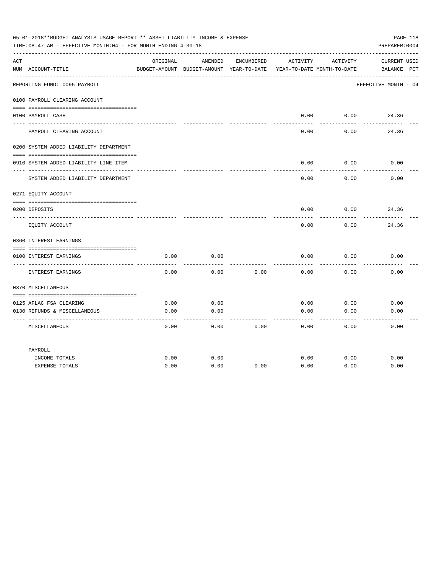|     | 05-01-2018**BUDGET ANALYSIS USAGE REPORT ** ASSET LIABILITY INCOME & EXPENSE<br>TIME:08:47 AM - EFFECTIVE MONTH:04 - FOR MONTH ENDING 4-30-18 |          |                                                     |            |          |                                        | PAGE 118<br>PREPARER: 0004         |
|-----|-----------------------------------------------------------------------------------------------------------------------------------------------|----------|-----------------------------------------------------|------------|----------|----------------------------------------|------------------------------------|
| ACT | NUM ACCOUNT-TITLE                                                                                                                             | ORIGINAL | AMENDED<br>BUDGET-AMOUNT BUDGET-AMOUNT YEAR-TO-DATE | ENCUMBERED | ACTIVITY | ACTIVITY<br>YEAR-TO-DATE MONTH-TO-DATE | <b>CURRENT USED</b><br>BALANCE PCT |
|     | REPORTING FUND: 0095 PAYROLL                                                                                                                  |          |                                                     |            |          |                                        | EFFECTIVE MONTH - 04               |
|     | 0100 PAYROLL CLEARING ACCOUNT                                                                                                                 |          |                                                     |            |          |                                        |                                    |
|     | 0100 PAYROLL CASH                                                                                                                             |          |                                                     |            | 0.00     | 0.00                                   | 24.36                              |
|     | PAYROLL CLEARING ACCOUNT                                                                                                                      |          |                                                     |            | 0.00     | 0.00                                   | 24.36                              |
|     | 0200 SYSTEM ADDED LIABILITY DEPARTMENT                                                                                                        |          |                                                     |            |          |                                        |                                    |
|     | 0910 SYSTEM ADDED LIABILITY LINE-ITEM                                                                                                         |          |                                                     |            | 0.00     | 0.00                                   | 0.00                               |
|     | SYSTEM ADDED LIABILITY DEPARTMENT                                                                                                             |          |                                                     |            | 0.00     | 0.00                                   | 0.00                               |
|     | 0271 EQUITY ACCOUNT                                                                                                                           |          |                                                     |            |          |                                        |                                    |
|     | 0200 DEPOSITS                                                                                                                                 |          |                                                     |            | 0.00     | 0.00                                   | 24.36                              |
|     | EQUITY ACCOUNT                                                                                                                                |          |                                                     |            | 0.00     | 0.00                                   | 24.36                              |
|     | 0360 INTEREST EARNINGS                                                                                                                        |          |                                                     |            |          |                                        |                                    |
|     |                                                                                                                                               |          |                                                     |            |          |                                        |                                    |
|     | 0100 INTEREST EARNINGS<br>---- -----------------                                                                                              | 0.00     | 0.00                                                |            | 0.00     | 0.00                                   | 0.00                               |
|     | INTEREST EARNINGS                                                                                                                             | 0.00     | 0.00                                                | 0.00       | 0.00     | 0.00                                   | 0.00                               |
|     | 0370 MISCELLANEOUS                                                                                                                            |          |                                                     |            |          |                                        |                                    |
|     |                                                                                                                                               |          |                                                     |            |          |                                        |                                    |
|     | 0125 AFLAC FSA CLEARING                                                                                                                       | 0.00     | 0.00                                                |            | 0.00     | 0.00                                   | 0.00                               |
|     | 0130 REFUNDS & MISCELLANEOUS                                                                                                                  | 0.00     | 0.00                                                |            | 0.00     | 0.00                                   | 0.00                               |
|     | MISCELLANEOUS                                                                                                                                 | 0.00     | 0.00                                                | 0.00       | 0.00     | 0.00                                   | 0.00                               |
|     | PAYROLL                                                                                                                                       |          |                                                     |            |          |                                        |                                    |
|     | INCOME TOTALS                                                                                                                                 | 0.00     | 0.00                                                |            | 0.00     | 0.00                                   | 0.00                               |
|     | <b>EXPENSE TOTALS</b>                                                                                                                         | 0.00     | 0.00                                                | 0.00       | 0.00     | 0.00                                   | 0.00                               |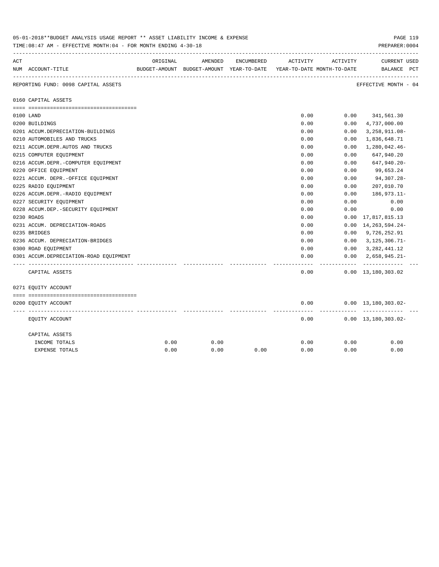|     | 05-01-2018**BUDGET ANALYSIS USAGE REPORT ** ASSET LIABILITY INCOME & EXPENSE<br>PAGE IIY<br>TIME: 08:47 AM - EFFECTIVE MONTH: 04 - FOR MONTH ENDING 4-30-18<br>PREPARER: 0004 |          |         |            |                                                                     |           |                                             |  |  |  |
|-----|-------------------------------------------------------------------------------------------------------------------------------------------------------------------------------|----------|---------|------------|---------------------------------------------------------------------|-----------|---------------------------------------------|--|--|--|
| ACT |                                                                                                                                                                               | ORIGINAL | AMENDED | ENCUMBERED | ACTIVITY                                                            | ACTIVITY  | <b>CURRENT USED</b>                         |  |  |  |
|     | NUM ACCOUNT-TITLE                                                                                                                                                             |          |         |            | BUDGET-AMOUNT BUDGET-AMOUNT YEAR-TO-DATE YEAR-TO-DATE MONTH-TO-DATE |           | BALANCE PCT                                 |  |  |  |
|     | REPORTING FUND: 0098 CAPITAL ASSETS                                                                                                                                           |          |         |            |                                                                     |           | EFFECTIVE MONTH - 04                        |  |  |  |
|     | 0160 CAPITAL ASSETS                                                                                                                                                           |          |         |            |                                                                     |           |                                             |  |  |  |
|     |                                                                                                                                                                               |          |         |            | 0.00                                                                |           | $0.00$ 341,561.30                           |  |  |  |
|     | 0100 LAND<br>0200 BUILDINGS                                                                                                                                                   |          |         |            | 0.00                                                                | 0.00      | 4,737,000.00                                |  |  |  |
|     | 0201 ACCUM.DEPRECIATION-BUILDINGS                                                                                                                                             |          |         |            | 0.00                                                                | 0.00      | $3,258,911.08-$                             |  |  |  |
|     | 0210 AUTOMOBILES AND TRUCKS                                                                                                                                                   |          |         |            | 0.00                                                                | 0.00      | 1,836,648.71                                |  |  |  |
|     | 0211 ACCUM.DEPR.AUTOS AND TRUCKS                                                                                                                                              |          |         |            | 0.00                                                                | 0.00      | 1,280,042.46-                               |  |  |  |
|     | 0215 COMPUTER EQUIPMENT                                                                                                                                                       |          |         |            | 0.00                                                                | 0.00      | 647,940.20                                  |  |  |  |
|     | 0216 ACCUM.DEPR.-COMPUTER EQUIPMENT                                                                                                                                           |          |         |            | 0.00                                                                | 0.00      | 647,940.20-                                 |  |  |  |
|     | 0220 OFFICE EQUIPMENT                                                                                                                                                         |          |         |            | 0.00                                                                | 0.00      | 99,653.24                                   |  |  |  |
|     | 0221 ACCUM. DEPR. - OFFICE EQUIPMENT                                                                                                                                          |          |         |            | 0.00                                                                | 0.00      | 94,307.28-                                  |  |  |  |
|     | 0225 RADIO EQUIPMENT                                                                                                                                                          |          |         |            | 0.00                                                                | 0.00      | 207,010.70                                  |  |  |  |
|     | 0226 ACCUM.DEPR.-RADIO EQUIPMENT                                                                                                                                              |          |         |            | 0.00                                                                | 0.00      | 186,973.11-                                 |  |  |  |
|     | 0227 SECURITY EQUIPMENT                                                                                                                                                       |          |         |            | 0.00                                                                | 0.00      | 0.00                                        |  |  |  |
|     | 0228 ACCUM.DEP. - SECURITY EQUIPMENT                                                                                                                                          |          |         |            | 0.00                                                                | 0.00      | 0.00                                        |  |  |  |
|     | 0230 ROADS                                                                                                                                                                    |          |         |            | 0.00                                                                | 0.00      | 17,817,815.13                               |  |  |  |
|     | 0231 ACCUM. DEPRECIATION-ROADS                                                                                                                                                |          |         |            | 0.00                                                                | 0.00      | 14, 263, 594. 24-                           |  |  |  |
|     | 0235 BRIDGES                                                                                                                                                                  |          |         |            | 0.00                                                                |           | $0.00$ 9,726,252.91                         |  |  |  |
|     | 0236 ACCUM. DEPRECIATION-BRIDGES                                                                                                                                              |          |         |            | 0.00                                                                | 0.00      | $3,125,306.71-$                             |  |  |  |
|     | 0300 ROAD EQUIPMENT                                                                                                                                                           |          |         |            | 0.00                                                                |           | $0.00 \quad 3,282,441.12$                   |  |  |  |
|     | 0301 ACCUM.DEPRECIATION-ROAD EQUIPMENT                                                                                                                                        |          |         |            | 0.00                                                                | 0.00      | $2,658,945.21-$                             |  |  |  |
|     | CAPITAL ASSETS                                                                                                                                                                |          |         |            | 0.00                                                                | --------- | -------------<br>$0.00 \quad 13,180,303.02$ |  |  |  |
|     | 0271 EQUITY ACCOUNT                                                                                                                                                           |          |         |            |                                                                     |           |                                             |  |  |  |
|     |                                                                                                                                                                               |          |         |            |                                                                     |           |                                             |  |  |  |
|     | 0200 EQUITY ACCOUNT                                                                                                                                                           |          |         |            | 0.00                                                                |           | $0.00 \quad 13,180,303.02 -$                |  |  |  |
|     | EQUITY ACCOUNT                                                                                                                                                                |          |         |            | 0.00                                                                |           | $0.00 \quad 13,180,303.02 -$                |  |  |  |
|     | CAPITAL ASSETS                                                                                                                                                                |          |         |            |                                                                     |           |                                             |  |  |  |
|     | INCOME TOTALS                                                                                                                                                                 | 0.00     | 0.00    |            | 0.00                                                                | 0.00      | 0.00                                        |  |  |  |
|     | EXPENSE TOTALS                                                                                                                                                                | 0.00     | 0.00    | 0.00       | 0.00                                                                | 0.00      | 0.00                                        |  |  |  |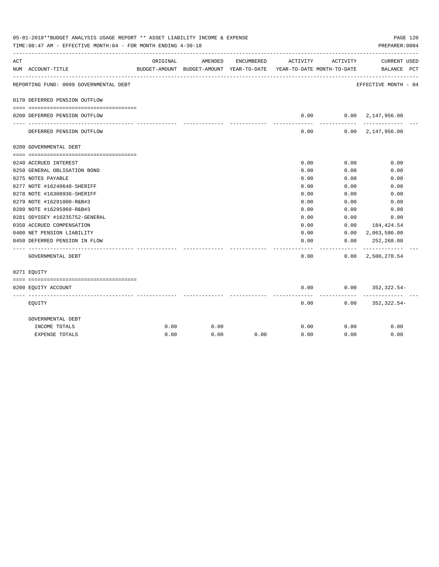| 05-01-2018**BUDGET ANALYSIS USAGE REPORT ** ASSET LIABILITY INCOME & EXPENSE<br>PAGE 120<br>PREPARER: 0004<br>TIME:08:47 AM - EFFECTIVE MONTH:04 - FOR MONTH ENDING 4-30-18 |                                                             |          |                                                     |            |                                        |              |                                            |  |
|-----------------------------------------------------------------------------------------------------------------------------------------------------------------------------|-------------------------------------------------------------|----------|-----------------------------------------------------|------------|----------------------------------------|--------------|--------------------------------------------|--|
| ACT                                                                                                                                                                         | NUM ACCOUNT-TITLE                                           | ORIGINAL | AMENDED<br>BUDGET-AMOUNT BUDGET-AMOUNT YEAR-TO-DATE | ENCUMBERED | ACTIVITY<br>YEAR-TO-DATE MONTH-TO-DATE | ACTIVITY     | CURRENT USED<br>BALANCE PCT                |  |
|                                                                                                                                                                             | REPORTING FUND: 0099 GOVERNMENTAL DEBT                      |          |                                                     |            |                                        |              | EFFECTIVE MONTH - 04                       |  |
|                                                                                                                                                                             | 0170 DEFERRED PENSION OUTFLOW                               |          |                                                     |            |                                        |              |                                            |  |
|                                                                                                                                                                             | 0200 DEFERRED PENSION OUTFLOW                               |          |                                                     |            | 0.00                                   |              | 0.00 2,147,956.00                          |  |
|                                                                                                                                                                             | DEFERRED PENSION OUTFLOW                                    |          |                                                     |            | ---------<br>0.00                      | ----------   | -------------<br>$0.00 \quad 2,147,956.00$ |  |
|                                                                                                                                                                             | 0200 GOVERNMENTAL DEBT                                      |          |                                                     |            |                                        |              |                                            |  |
|                                                                                                                                                                             |                                                             |          |                                                     |            |                                        |              |                                            |  |
|                                                                                                                                                                             | 0240 ACCRUED INTEREST                                       |          |                                                     |            | 0.00                                   | 0.00         | 0.00                                       |  |
|                                                                                                                                                                             | 0250 GENERAL OBLIGATION BOND                                |          |                                                     |            | 0.00                                   | 0.00         | 0.00                                       |  |
|                                                                                                                                                                             | 0275 NOTES PAYABLE                                          |          |                                                     |            | 0.00                                   | 0.00         | 0.00                                       |  |
|                                                                                                                                                                             | 0277 NOTE #16240648-SHERIFF                                 |          |                                                     |            | 0.00                                   | 0.00         | 0.00                                       |  |
|                                                                                                                                                                             | 0278 NOTE #16308936-SHERIFF                                 |          |                                                     |            | 0.00                                   | 0.00         | 0.00                                       |  |
|                                                                                                                                                                             | 0279 NOTE #16291000-R&B#3                                   |          |                                                     |            | 0.00<br>0.00                           | 0.00<br>0.00 | 0.00                                       |  |
|                                                                                                                                                                             | 0280 NOTE #16295968-R&B#3<br>0281 ODYSSEY #16235752-GENERAL |          |                                                     |            | 0.00                                   | 0.00         | 0.00<br>0.00                               |  |
|                                                                                                                                                                             | 0350 ACCRUED COMPENSATION                                   |          |                                                     |            | 0.00                                   | 0.00         | 184,424.54                                 |  |
|                                                                                                                                                                             | 0400 NET PENSION LIABILITY                                  |          |                                                     |            | 0.00                                   |              | $0.00 \quad 2,063,586.00$                  |  |
|                                                                                                                                                                             | 0450 DEFERRED PENSION IN FLOW                               |          |                                                     |            | 0.00                                   | 0.00         | 252,268.00                                 |  |
|                                                                                                                                                                             | GOVERNMENTAL DEBT                                           |          |                                                     |            | 0.00                                   |              | $0.00 \quad 2,500,278.54$                  |  |
|                                                                                                                                                                             | 0271 EOUITY                                                 |          |                                                     |            |                                        |              |                                            |  |
|                                                                                                                                                                             |                                                             |          |                                                     |            |                                        |              |                                            |  |
|                                                                                                                                                                             | 0200 EQUITY ACCOUNT                                         |          |                                                     |            | 0.00<br>--------                       | ---------    | $0.00$ $352,322.54$ -                      |  |
|                                                                                                                                                                             | EQUITY                                                      |          |                                                     |            | 0.00                                   |              | $0.00$ $352,322.54-$                       |  |
|                                                                                                                                                                             | GOVERNMENTAL DEBT                                           |          |                                                     |            |                                        |              |                                            |  |
|                                                                                                                                                                             | INCOME TOTALS                                               | 0.00     | 0.00                                                |            | 0.00                                   | 0.00         | 0.00                                       |  |
|                                                                                                                                                                             | <b>EXPENSE TOTALS</b>                                       | 0.00     | 0.00                                                | 0.00       | 0.00                                   | 0.00         | 0.00                                       |  |